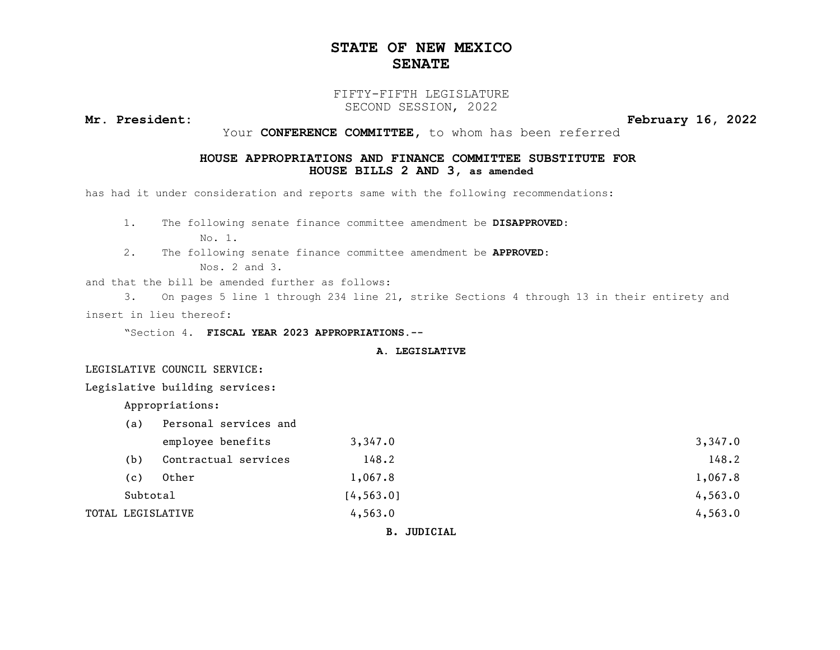### STATE OF NEW MEXICO SENATE

#### FIFTY-FIFTH LEGISLATURE SECOND SESSION, 2022

Mr. President: February 16, 2022

Your CONFERENCE COMMITTEE, to whom has been referred

#### HOUSE APPROPRIATIONS AND FINANCE COMMITTEE SUBSTITUTE FOR HOUSE BILLS 2 AND 3, as amended

has had it under consideration and reports same with the following recommendations:

1. The following senate finance committee amendment be DISAPPROVED:

No. 1.

2. The following senate finance committee amendment be APPROVED:

Nos. 2 and 3.

and that the bill be amended further as follows:

3. On pages 5 line 1 through 234 line 21, strike Sections 4 through 13 in their entirety and insert in lieu thereof:

"Section 4. FISCAL YEAR 2023 APPROPRIATIONS.--

#### A. LEGISLATIVE

LEGISLATIVE COUNCIL SERVICE:

Legislative building services:

Appropriations:

| (a)      | Personal services and |            |         |  |
|----------|-----------------------|------------|---------|--|
|          | employee benefits     | 3,347.0    | 3,347.0 |  |
| (b)      | Contractual services  | 148.2      | 148.2   |  |
| (c)      | Other                 | 1,067.8    | 1,067.8 |  |
| Subtotal |                       | [4, 563.0] | 4,563.0 |  |
|          | TOTAL LEGISLATIVE     | 4,563.0    | 4,563.0 |  |
|          |                       |            |         |  |

B. JUDICIAL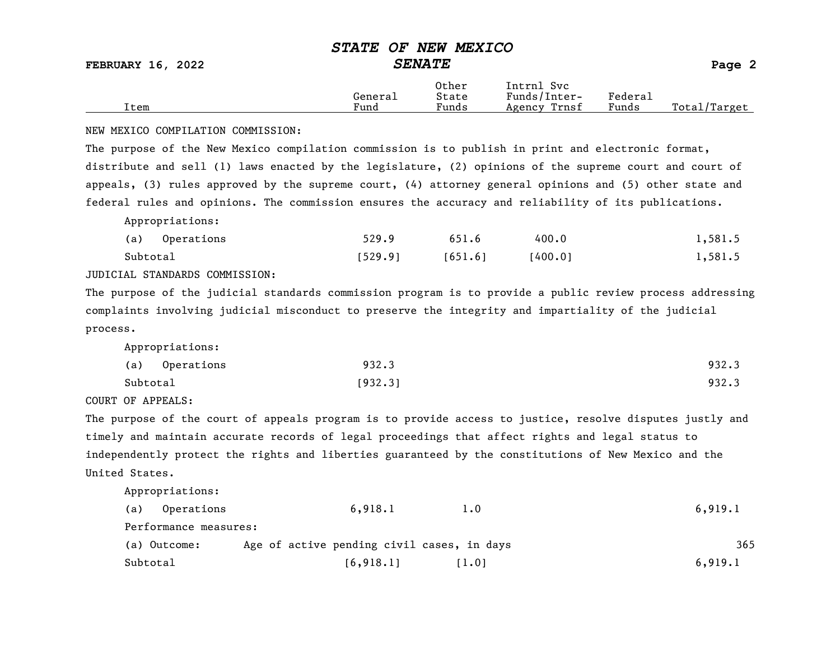FEBRUARY 16, 2022  $\begin{array}{ccc} \text{SENATE} \end{array}$  Page 2

|      |         | Other | Intrnl<br>svc   |                   |                  |
|------|---------|-------|-----------------|-------------------|------------------|
|      | General | State | Funds/Inter-    | ${}_{\rm Federa}$ |                  |
| Item | Fund    | Funds | Trnsf<br>Agency | Funds             | Total<br>'Target |

#### NEW MEXICO COMPILATION COMMISSION:

The purpose of the New Mexico compilation commission is to publish in print and electronic format, distribute and sell (1) laws enacted by the legislature, (2) opinions of the supreme court and court of appeals, (3) rules approved by the supreme court, (4) attorney general opinions and (5) other state and federal rules and opinions. The commission ensures the accuracy and reliability of its publications.

Appropriations:

|          | (a) Operations | 529.9   | 651.6   | 400.0   | 1,581.5 |
|----------|----------------|---------|---------|---------|---------|
| Subtotal |                | [529.9] | [651.6] | 1400.01 | 1,581.5 |

JUDICIAL STANDARDS COMMISSION:

The purpose of the judicial standards commission program is to provide a public review process addressing complaints involving judicial misconduct to preserve the integrity and impartiality of the judicial process.

Appropriations:

|          | (a) Operations | 932.3   | 932.3 |
|----------|----------------|---------|-------|
| Subtotal |                | [932.3] | 932.3 |

COURT OF APPEALS:

The purpose of the court of appeals program is to provide access to justice, resolve disputes justly and timely and maintain accurate records of legal proceedings that affect rights and legal status to independently protect the rights and liberties guaranteed by the constitutions of New Mexico and the United States.

| (a)<br>Operations     | 6,918.1<br>1.0                             | 6,919.1 |
|-----------------------|--------------------------------------------|---------|
| Performance measures: |                                            |         |
| (a) Outcome:          | Age of active pending civil cases, in days | 365     |
| Subtotal              | [6, 918.1]<br>[1.0]                        | 6,919.1 |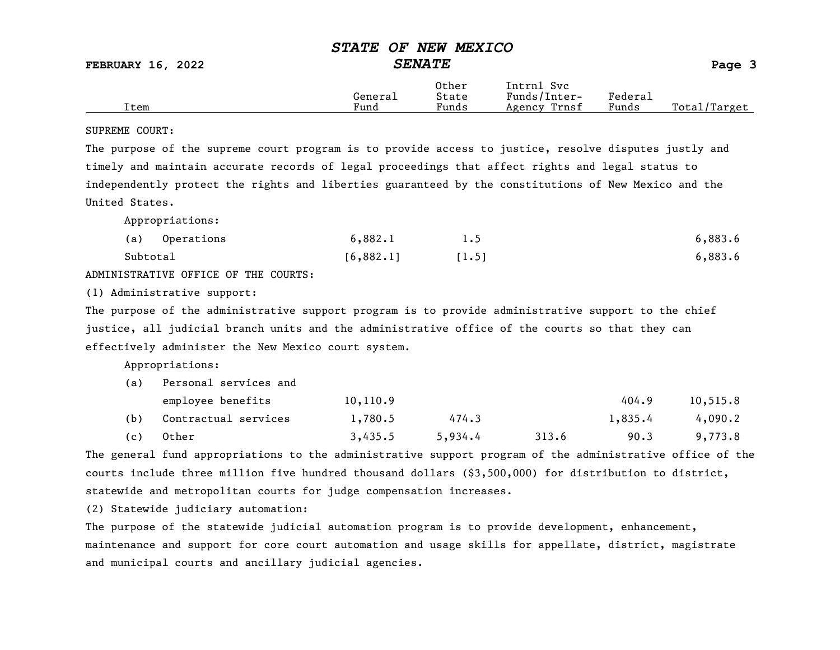FEBRUARY 16, 2022 SENATE Page 3

|      |         | Other                             | Intrnl<br>Sv c  |         |                   |
|------|---------|-----------------------------------|-----------------|---------|-------------------|
|      | Genera⊥ | State                             | Funds/Inter-    | Federau |                   |
| Item | Fund    | $\overline{\phantom{a}}$<br>Funds | Trnsf<br>Agency | Funds   | Total,<br>/Target |

#### SUPREME COURT:

The purpose of the supreme court program is to provide access to justice, resolve disputes justly and timely and maintain accurate records of legal proceedings that affect rights and legal status to independently protect the rights and liberties guaranteed by the constitutions of New Mexico and the United States.

Appropriations:

| (a)      | Operations | 6,882.1   |       | 6,883.6 |
|----------|------------|-----------|-------|---------|
| Subtotal |            | [6,882.1] | [1.5] | 6,883.6 |

ADMINISTRATIVE OFFICE OF THE COURTS:

(1) Administrative support:

The purpose of the administrative support program is to provide administrative support to the chief justice, all judicial branch units and the administrative office of the courts so that they can effectively administer the New Mexico court system.

Appropriations:

| (a) | Personal services and |           |         |       |         |          |
|-----|-----------------------|-----------|---------|-------|---------|----------|
|     | employee benefits     | 10, 110.9 |         |       | 404.9   | 10,515.8 |
| (b) | Contractual services  | 1,780.5   | 474.3   |       | 1,835.4 | 4,090.2  |
| (c) | Other                 | 3,435.5   | 5,934.4 | 313.6 | 90.3    | 9,773.8  |

The general fund appropriations to the administrative support program of the administrative office of the courts include three million five hundred thousand dollars (\$3,500,000) for distribution to district, statewide and metropolitan courts for judge compensation increases.

(2) Statewide judiciary automation:

The purpose of the statewide judicial automation program is to provide development, enhancement, maintenance and support for core court automation and usage skills for appellate, district, magistrate and municipal courts and ancillary judicial agencies.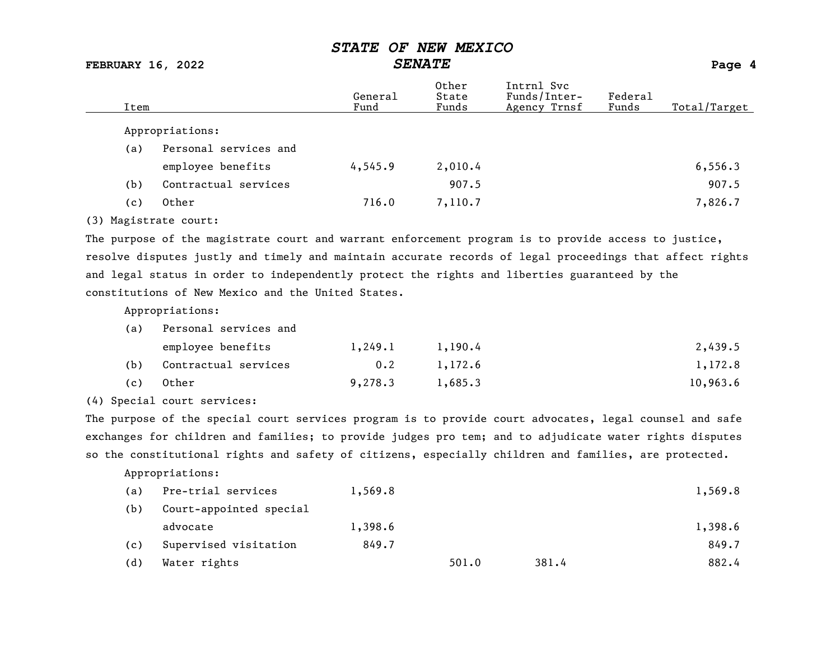FEBRUARY 16, 2022 SENATE Page 4

| Item |                       | General<br>Fund | Other<br>State<br>Funds | Intrnl Svc<br>Funds/Inter-<br>Agency Trnsf | Federal<br>Funds | Total/Target |
|------|-----------------------|-----------------|-------------------------|--------------------------------------------|------------------|--------------|
|      | Appropriations:       |                 |                         |                                            |                  |              |
| (a)  | Personal services and |                 |                         |                                            |                  |              |
|      | employee benefits     | 4,545.9         | 2,010.4                 |                                            |                  | 6, 556.3     |
| (b)  | Contractual services  |                 | 907.5                   |                                            |                  | 907.5        |
| (c)  | Other                 | 716.0           | 7,110.7                 |                                            |                  | 7,826.7      |
|      |                       |                 |                         |                                            |                  |              |

(3) Magistrate court:

The purpose of the magistrate court and warrant enforcement program is to provide access to justice, resolve disputes justly and timely and maintain accurate records of legal proceedings that affect rights and legal status in order to independently protect the rights and liberties guaranteed by the constitutions of New Mexico and the United States.

Appropriations:

| (a) | Personal services and |         |         |          |  |  |
|-----|-----------------------|---------|---------|----------|--|--|
|     | employee benefits     | 1,249.1 | 1,190.4 | 2,439.5  |  |  |
| (b) | Contractual services  | 0.2     | 1,172.6 | 1,172.8  |  |  |
| (c) | Other                 | 9,278,3 | 1,685.3 | 10,963.6 |  |  |

(4) Special court services:

The purpose of the special court services program is to provide court advocates, legal counsel and safe exchanges for children and families; to provide judges pro tem; and to adjudicate water rights disputes so the constitutional rights and safety of citizens, especially children and families, are protected.

| (a) | Pre-trial services      | 1,569.8 |       |       | 1,569.8 |
|-----|-------------------------|---------|-------|-------|---------|
| (b) | Court-appointed special |         |       |       |         |
|     | advocate                | 1,398.6 |       |       | 1,398.6 |
| (c) | Supervised visitation   | 849.7   |       |       | 849.7   |
| (d) | Water rights            |         | 501.0 | 381.4 | 882.4   |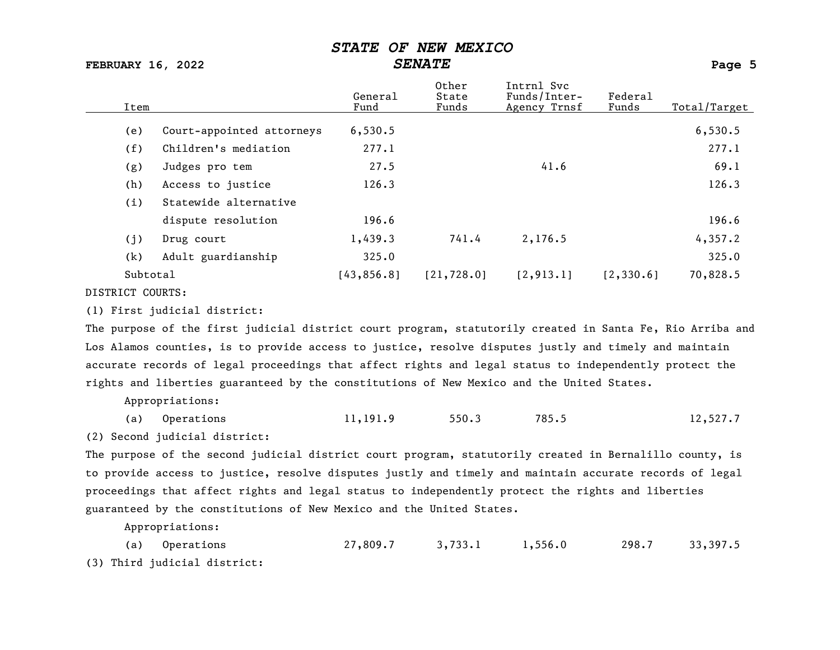FEBRUARY 16, 2022 SENATE Page 5

| Item            |                           | General<br>Fund | Other<br>State<br>Funds | Intrnl Svc<br>Funds/Inter-<br>Agency Trnsf | Federal<br>Funds | Total/Target |
|-----------------|---------------------------|-----------------|-------------------------|--------------------------------------------|------------------|--------------|
| (e)             | Court-appointed attorneys | 6,530.5         |                         |                                            |                  | 6,530.5      |
| (f)             | Children's mediation      | 277.1           |                         |                                            |                  | 277.1        |
| (g)             | Judges pro tem            | 27.5            |                         | 41.6                                       |                  | 69.1         |
| (h)             | Access to justice         | 126.3           |                         |                                            |                  | 126.3        |
| (i)             | Statewide alternative     |                 |                         |                                            |                  |              |
|                 | dispute resolution        | 196.6           |                         |                                            |                  | 196.6        |
| (j)             | Drug court                | 1,439.3         | 741.4                   | 2,176.5                                    |                  | 4,357.2      |
| (k)             | Adult guardianship        | 325.0           |                         |                                            |                  | 325.0        |
| Subtotal        |                           | [43, 856.8]     | [21, 728.0]             | [2, 913.1]                                 | [2, 330.6]       | 70,828.5     |
| DICEPTOR COUPRO |                           |                 |                         |                                            |                  |              |

DISTRICT COURTS:

(1) First judicial district:

The purpose of the first judicial district court program, statutorily created in Santa Fe, Rio Arriba and Los Alamos counties, is to provide access to justice, resolve disputes justly and timely and maintain accurate records of legal proceedings that affect rights and legal status to independently protect the rights and liberties guaranteed by the constitutions of New Mexico and the United States.

Appropriations:

|  | (a) Operations | 11,191.9 | 550.3 | 785.5 | 12,527.7 |
|--|----------------|----------|-------|-------|----------|
|--|----------------|----------|-------|-------|----------|

(2) Second judicial district:

The purpose of the second judicial district court program, statutorily created in Bernalillo county, is to provide access to justice, resolve disputes justly and timely and maintain accurate records of legal proceedings that affect rights and legal status to independently protect the rights and liberties guaranteed by the constitutions of New Mexico and the United States.

Appropriations:

(a) Operations 27,809.7 3,733.1 1,556.0 298.7 33,397.5 (3) Third judicial district: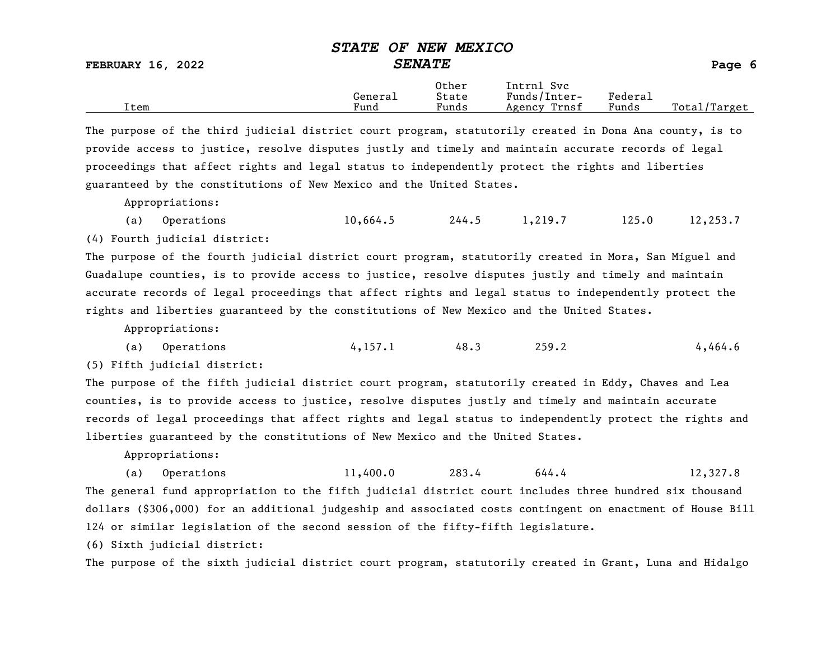FEBRUARY 16, 2022  $\begin{array}{ccc} \text{SENATE} \end{array}$  Page 6

|      | General | Other<br>State                | Intrnl<br>Svc<br>Funds/Inter- | Federau |                   |
|------|---------|-------------------------------|-------------------------------|---------|-------------------|
| Item | Fund    | $\sim$ $\sim$ $\sim$<br>Funds | Trnsf<br>Agency               | Funds   | Total,<br>Target/ |

The purpose of the third judicial district court program, statutorily created in Dona Ana county, is to provide access to justice, resolve disputes justly and timely and maintain accurate records of legal proceedings that affect rights and legal status to independently protect the rights and liberties guaranteed by the constitutions of New Mexico and the United States.

Appropriations:

(a) Operations 10,664.5 244.5 1,219.7 125.0 12,253.7

(4) Fourth judicial district:

The purpose of the fourth judicial district court program, statutorily created in Mora, San Miguel and Guadalupe counties, is to provide access to justice, resolve disputes justly and timely and maintain accurate records of legal proceedings that affect rights and legal status to independently protect the rights and liberties guaranteed by the constitutions of New Mexico and the United States.

Appropriations:

(a) Operations  $4,157.1$   $48.3$   $259.2$   $4,464.6$ 

(5) Fifth judicial district:

The purpose of the fifth judicial district court program, statutorily created in Eddy, Chaves and Lea counties, is to provide access to justice, resolve disputes justly and timely and maintain accurate records of legal proceedings that affect rights and legal status to independently protect the rights and liberties guaranteed by the constitutions of New Mexico and the United States.

Appropriations:

(a) Operations 11,400.0 283.4 644.4 12,327.8 The general fund appropriation to the fifth judicial district court includes three hundred six thousand dollars (\$306,000) for an additional judgeship and associated costs contingent on enactment of House Bill 124 or similar legislation of the second session of the fifty-fifth legislature.

(6) Sixth judicial district:

The purpose of the sixth judicial district court program, statutorily created in Grant, Luna and Hidalgo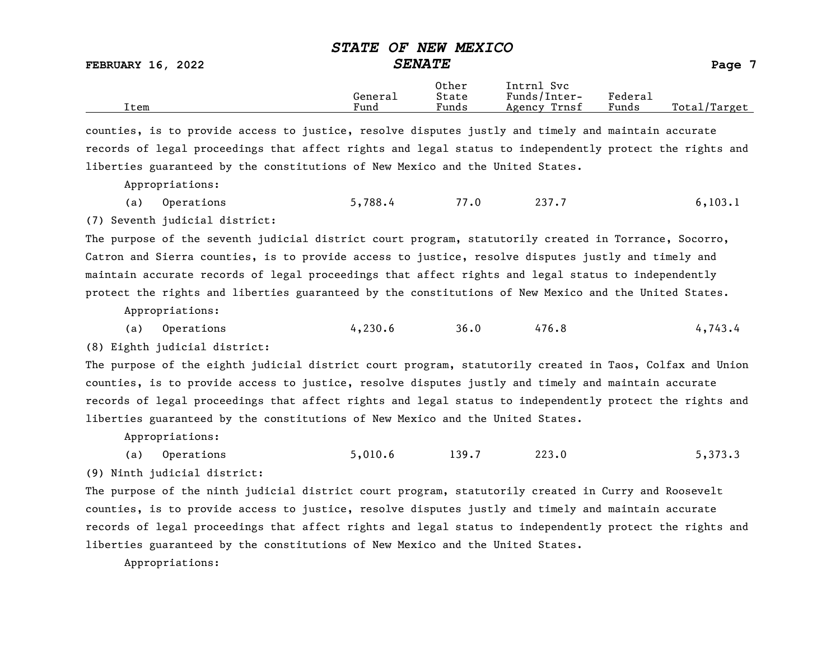FEBRUARY 16, 2022 SENATE Page 7

|      | General              | Other<br>State                    | Intrnl<br>Svc<br>Funds/Inter- | ${}_{\rm Federa}$ |                  |
|------|----------------------|-----------------------------------|-------------------------------|-------------------|------------------|
| Item | $\mathbf{r}$<br>Fund | $\overline{\phantom{a}}$<br>Funds | Trnsf<br>Agency               | Funds             | Total,<br>Target |

counties, is to provide access to justice, resolve disputes justly and timely and maintain accurate records of legal proceedings that affect rights and legal status to independently protect the rights and liberties guaranteed by the constitutions of New Mexico and the United States.

Appropriations:

|  | (a) Operations | 5,788.4 | 77.0 | 237.7 | 6, 103.1 |
|--|----------------|---------|------|-------|----------|
|--|----------------|---------|------|-------|----------|

(7) Seventh judicial district:

The purpose of the seventh judicial district court program, statutorily created in Torrance, Socorro, Catron and Sierra counties, is to provide access to justice, resolve disputes justly and timely and maintain accurate records of legal proceedings that affect rights and legal status to independently protect the rights and liberties guaranteed by the constitutions of New Mexico and the United States.

Appropriations:

(a) Operations 4,230.6 36.0 476.8 4,743.4

(8) Eighth judicial district:

The purpose of the eighth judicial district court program, statutorily created in Taos, Colfax and Union counties, is to provide access to justice, resolve disputes justly and timely and maintain accurate records of legal proceedings that affect rights and legal status to independently protect the rights and liberties guaranteed by the constitutions of New Mexico and the United States.

Appropriations:

(a) Operations 5,010.6 139.7 223.0 5,373.3 (9) Ninth judicial district:

The purpose of the ninth judicial district court program, statutorily created in Curry and Roosevelt counties, is to provide access to justice, resolve disputes justly and timely and maintain accurate records of legal proceedings that affect rights and legal status to independently protect the rights and liberties guaranteed by the constitutions of New Mexico and the United States.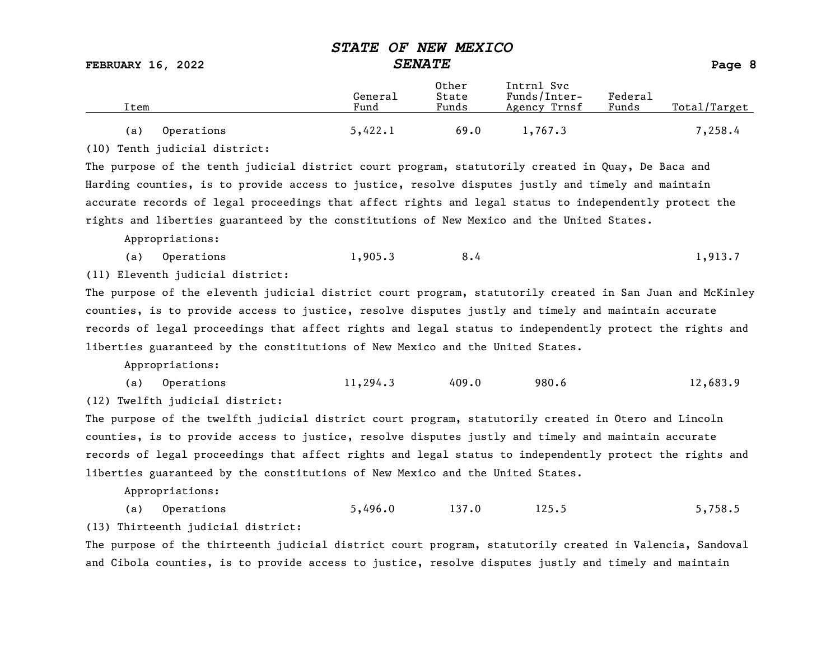FEBRUARY 16, 2022 SENATE Page 8

Other Intrnl Svc<br>General State Funds/Inter General State Funds/Inter- Federal Total/Target (a) Operations 5,422.1 69.0 1,767.3 7,258.4

(10) Tenth judicial district:

The purpose of the tenth judicial district court program, statutorily created in Quay, De Baca and Harding counties, is to provide access to justice, resolve disputes justly and timely and maintain accurate records of legal proceedings that affect rights and legal status to independently protect the rights and liberties guaranteed by the constitutions of New Mexico and the United States.

Appropriations:

(a) Operations 1,905.3 8.4 1,913.7

(11) Eleventh judicial district:

The purpose of the eleventh judicial district court program, statutorily created in San Juan and McKinley counties, is to provide access to justice, resolve disputes justly and timely and maintain accurate records of legal proceedings that affect rights and legal status to independently protect the rights and liberties guaranteed by the constitutions of New Mexico and the United States.

Appropriations:

(a) Operations 11,294.3 409.0 980.6 12,683.9

(12) Twelfth judicial district:

The purpose of the twelfth judicial district court program, statutorily created in Otero and Lincoln counties, is to provide access to justice, resolve disputes justly and timely and maintain accurate records of legal proceedings that affect rights and legal status to independently protect the rights and liberties guaranteed by the constitutions of New Mexico and the United States.

Appropriations:

(a) Operations 5,496.0 137.0 125.5 5,758.5

(13) Thirteenth judicial district:

The purpose of the thirteenth judicial district court program, statutorily created in Valencia, Sandoval and Cibola counties, is to provide access to justice, resolve disputes justly and timely and maintain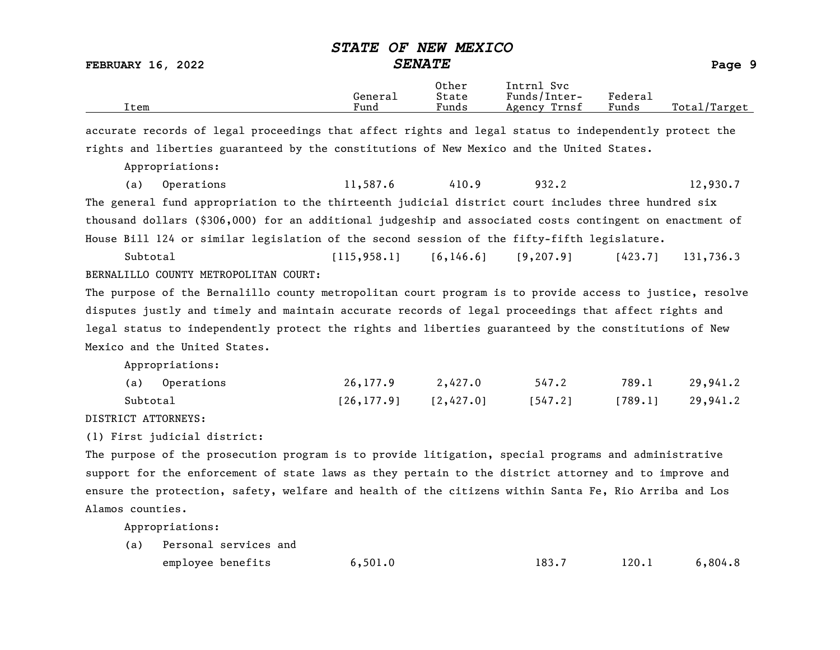| <b>FEBRUARY 16, 2022</b>                                                                                 | <i><b>STATE</b></i><br><b>SENATE</b>     | OF NEW MEXICO           |                                            |                  | Page 9       |  |
|----------------------------------------------------------------------------------------------------------|------------------------------------------|-------------------------|--------------------------------------------|------------------|--------------|--|
| Item                                                                                                     | General<br>Fund                          | Other<br>State<br>Funds | Intrnl Svc<br>Funds/Inter-<br>Agency Trnsf | Federal<br>Funds | Total/Target |  |
| accurate records of legal proceedings that affect rights and legal status to independently protect the   |                                          |                         |                                            |                  |              |  |
| rights and liberties guaranteed by the constitutions of New Mexico and the United States.                |                                          |                         |                                            |                  |              |  |
| Appropriations:                                                                                          |                                          |                         |                                            |                  |              |  |
| Operations<br>(a)                                                                                        | 11,587.6                                 | 410.9                   | 932.2                                      |                  | 12,930.7     |  |
| The general fund appropriation to the thirteenth judicial district court includes three hundred six      |                                          |                         |                                            |                  |              |  |
| thousand dollars (\$306,000) for an additional judgeship and associated costs contingent on enactment of |                                          |                         |                                            |                  |              |  |
| House Bill 124 or similar legislation of the second session of the fifty-fifth legislature.              |                                          |                         |                                            |                  |              |  |
| Subtotal                                                                                                 | $[115, 958.1]$ $[6, 146.6]$ $[9, 207.9]$ |                         |                                            | [423, 7]         | 131,736.3    |  |
| BERNALILLO COUNTY METROPOLITAN COURT:                                                                    |                                          |                         |                                            |                  |              |  |
| The purpose of the Bernalillo county metropolitan court program is to provide access to justice, resolve |                                          |                         |                                            |                  |              |  |

disputes justly and timely and maintain accurate records of legal proceedings that affect rights and legal status to independently protect the rights and liberties guaranteed by the constitutions of New Mexico and the United States.

Appropriations:

| (a) Operations | 26, 177.9                  | 2,427.0 | 547.2   | 789.1   | 29,941.2 |
|----------------|----------------------------|---------|---------|---------|----------|
| Subtotal       | $[26, 177.9]$ $[2, 427.0]$ |         | [547.2] | [789.1] | 29,941.2 |

DISTRICT ATTORNEYS:

(1) First judicial district:

The purpose of the prosecution program is to provide litigation, special programs and administrative support for the enforcement of state laws as they pertain to the district attorney and to improve and ensure the protection, safety, welfare and health of the citizens within Santa Fe, Rio Arriba and Los Alamos counties.

| (a) Personal services and |         |       |       |         |
|---------------------------|---------|-------|-------|---------|
| employee benefits         | 6,501.0 | 183.7 | 120.1 | 6,804.8 |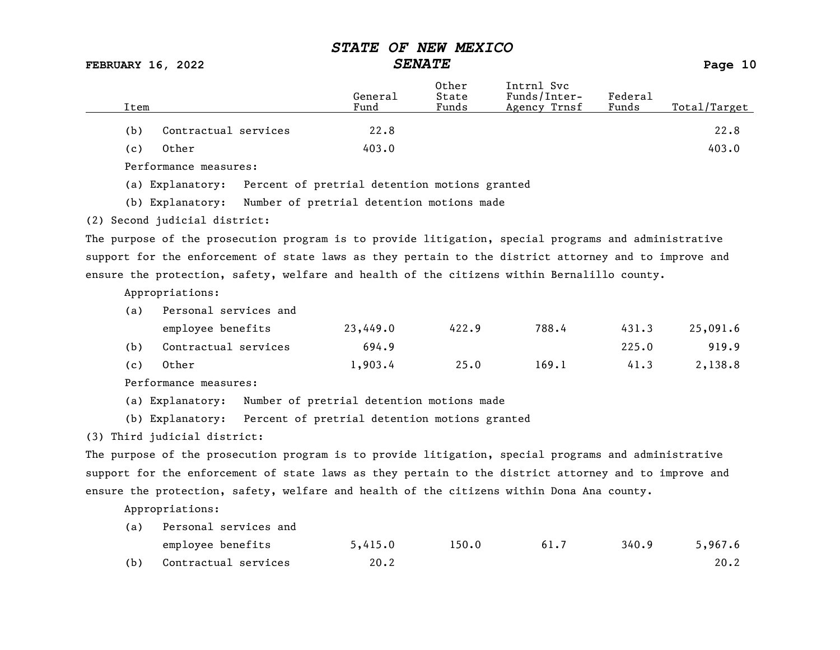FEBRUARY 16, 2022 SENATE Page 10

| Item                  |                      | General<br>Fund | Other<br>State<br>Funds | Intrnl Svc<br>Funds/Inter-<br>Agency Trnsf | Federal<br>Funds | Total/Target |
|-----------------------|----------------------|-----------------|-------------------------|--------------------------------------------|------------------|--------------|
| (b)                   | Contractual services | 22.8            |                         |                                            |                  | 22.8         |
| Other<br>(c)          |                      | 403.0           |                         |                                            |                  | 403.0        |
| Performance measures: |                      |                 |                         |                                            |                  |              |

(a) Explanatory: Percent of pretrial detention motions granted

(b) Explanatory: Number of pretrial detention motions made

(2) Second judicial district:

The purpose of the prosecution program is to provide litigation, special programs and administrative support for the enforcement of state laws as they pertain to the district attorney and to improve and ensure the protection, safety, welfare and health of the citizens within Bernalillo county.

Appropriations:

| (a) | Personal services and |          |       |       |       |          |  |  |  |
|-----|-----------------------|----------|-------|-------|-------|----------|--|--|--|
|     | employee benefits     | 23,449.0 | 422.9 | 788.4 | 431.3 | 25,091.6 |  |  |  |
| (b) | Contractual services  | 694.9    |       |       | 225.0 | 919.9    |  |  |  |
| (c) | Other                 | 1,903.4  | 25.0  | 169.1 | 41.3  | 2,138.8  |  |  |  |

Performance measures:

(a) Explanatory: Number of pretrial detention motions made

(b) Explanatory: Percent of pretrial detention motions granted

(3) Third judicial district:

The purpose of the prosecution program is to provide litigation, special programs and administrative support for the enforcement of state laws as they pertain to the district attorney and to improve and ensure the protection, safety, welfare and health of the citizens within Dona Ana county.

| (a) | Personal services and |         |       |      |       |         |
|-----|-----------------------|---------|-------|------|-------|---------|
|     | employee benefits     | 5,415.0 | 150.0 | 61.7 | 340.9 | 5,967.6 |
| (b) | Contractual services  | 20.2    |       |      |       | 20.2    |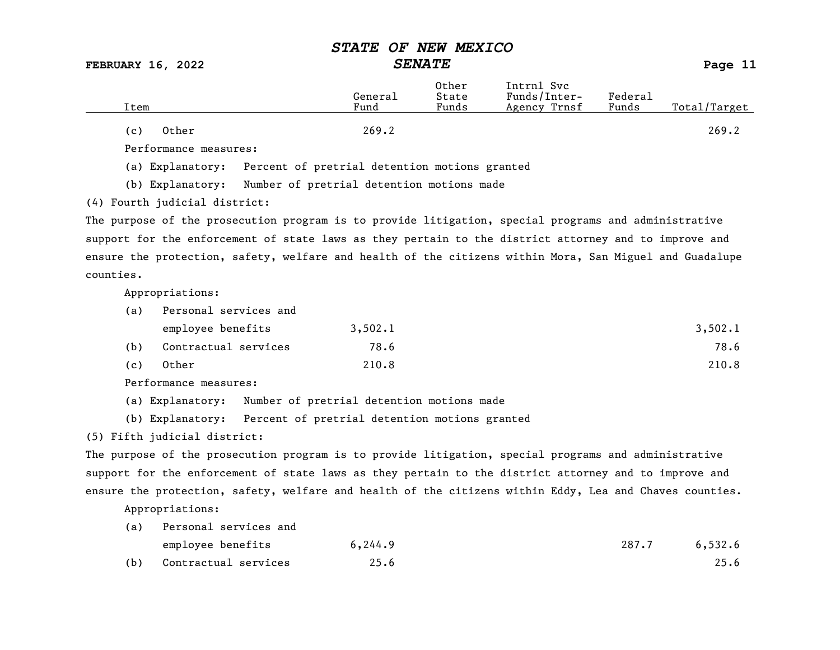FEBRUARY 16, 2022 SENATE Page 11

| Item         | General<br>Fund | Other<br>State<br>Funds | Intrnl Svc<br>Funds/Inter-<br>Agency Trnsf | Federal<br>Funds | Total/Target |
|--------------|-----------------|-------------------------|--------------------------------------------|------------------|--------------|
| Other<br>(c) | 269.2           |                         |                                            |                  | 269.2        |

Performance measures:

(a) Explanatory: Percent of pretrial detention motions granted

(b) Explanatory: Number of pretrial detention motions made

(4) Fourth judicial district:

The purpose of the prosecution program is to provide litigation, special programs and administrative support for the enforcement of state laws as they pertain to the district attorney and to improve and ensure the protection, safety, welfare and health of the citizens within Mora, San Miguel and Guadalupe counties.

Appropriations:

| (a) | Personal services and |         |         |
|-----|-----------------------|---------|---------|
|     | employee benefits     | 3,502.1 | 3,502.1 |
| (b) | Contractual services  | 78.6    | 78.6    |
| (c) | Other                 | 210.8   | 210.8   |

Performance measures:

(a) Explanatory: Number of pretrial detention motions made

(b) Explanatory: Percent of pretrial detention motions granted

#### (5) Fifth judicial district:

The purpose of the prosecution program is to provide litigation, special programs and administrative support for the enforcement of state laws as they pertain to the district attorney and to improve and ensure the protection, safety, welfare and health of the citizens within Eddy, Lea and Chaves counties.

| (a) | Personal services and |          |       |         |
|-----|-----------------------|----------|-------|---------|
|     | employee benefits     | 6, 244.9 | 287.7 | 6,532.6 |
| (b) | Contractual services  | 25.6     |       | 25.6    |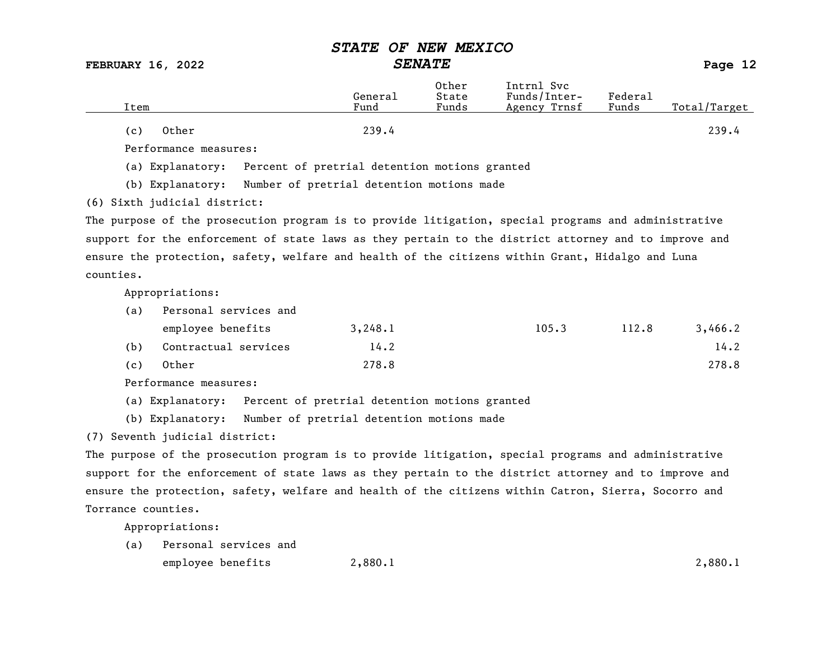FEBRUARY 16, 2022 SENATE Page 12

| Item         | General<br>Fund | Other<br>State<br>Funds | Intrnl Svc<br>Funds/Inter-<br>Agency Trnsf | Federal<br>Funds | Total/Target |
|--------------|-----------------|-------------------------|--------------------------------------------|------------------|--------------|
| Other<br>(c) | 239.4           |                         |                                            |                  | 239.4        |

Performance measures:

(a) Explanatory: Percent of pretrial detention motions granted

(b) Explanatory: Number of pretrial detention motions made

(6) Sixth judicial district:

The purpose of the prosecution program is to provide litigation, special programs and administrative support for the enforcement of state laws as they pertain to the district attorney and to improve and ensure the protection, safety, welfare and health of the citizens within Grant, Hidalgo and Luna counties.

Appropriations:

| (a) | Personal services and |         |       |       |         |  |  |
|-----|-----------------------|---------|-------|-------|---------|--|--|
|     | employee benefits     | 3,248.1 | 105.3 | 112.8 | 3,466.2 |  |  |
| (b) | Contractual services  | 14.2    |       |       | 14.2    |  |  |
| (c) | Other                 | 278.8   |       |       | 278.8   |  |  |

Performance measures:

(a) Explanatory: Percent of pretrial detention motions granted

(b) Explanatory: Number of pretrial detention motions made

(7) Seventh judicial district:

The purpose of the prosecution program is to provide litigation, special programs and administrative support for the enforcement of state laws as they pertain to the district attorney and to improve and ensure the protection, safety, welfare and health of the citizens within Catron, Sierra, Socorro and Torrance counties.

Appropriations:

(a) Personal services and employee benefits  $2,880.1$  2,080.1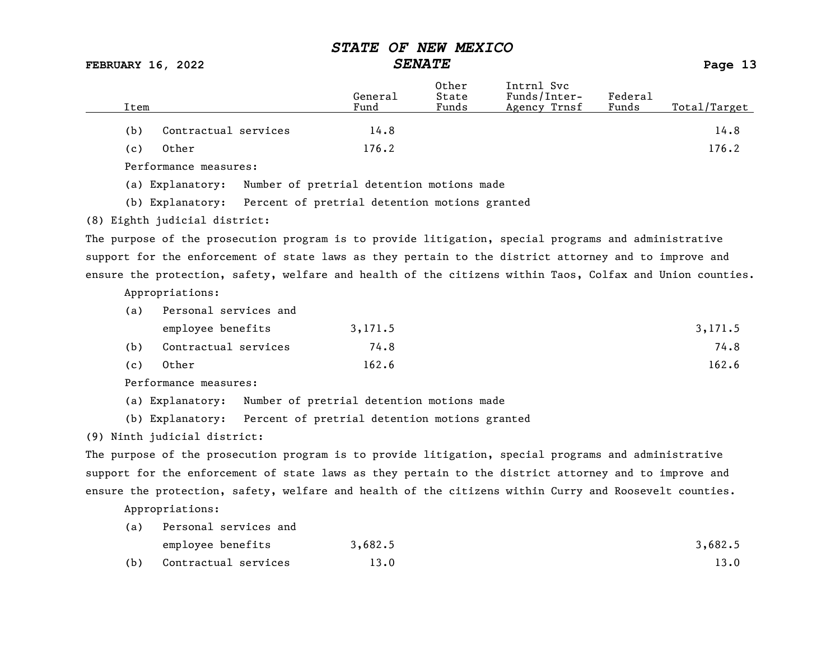FEBRUARY 16, 2022 SENATE Page 13

|      |                               |                                                                | General | Other<br>State | Intrnl Svc<br>Funds/Inter-                                                                                | Federal |              |
|------|-------------------------------|----------------------------------------------------------------|---------|----------------|-----------------------------------------------------------------------------------------------------------|---------|--------------|
| Item |                               |                                                                | Fund    | Funds          | Agency Trnsf                                                                                              | Funds   | Total/Target |
| (b)  | Contractual services          |                                                                | 14.8    |                |                                                                                                           |         | 14.8         |
| (c)  | Other                         |                                                                | 176.2   |                |                                                                                                           |         | 176.2        |
|      | Performance measures:         |                                                                |         |                |                                                                                                           |         |              |
|      | (a) Explanatory:              | Number of pretrial detention motions made                      |         |                |                                                                                                           |         |              |
|      |                               | (b) Explanatory: Percent of pretrial detention motions granted |         |                |                                                                                                           |         |              |
|      | (8) Eighth judicial district: |                                                                |         |                |                                                                                                           |         |              |
|      |                               |                                                                |         |                | The purpose of the prosecution program is to provide litigation, special programs and administrative      |         |              |
|      |                               |                                                                |         |                | support for the enforcement of state laws as they pertain to the district attorney and to improve and     |         |              |
|      |                               |                                                                |         |                | ensure the protection, safety, welfare and health of the citizens within Taos, Colfax and Union counties. |         |              |
|      | Appropriations:               |                                                                |         |                |                                                                                                           |         |              |
| (a)  | Personal services and         |                                                                |         |                |                                                                                                           |         |              |
|      | employee benefits             |                                                                | 3,171.5 |                |                                                                                                           |         | 3,171.5      |
| (b)  | Contractual services          |                                                                | 74.8    |                |                                                                                                           |         | 74.8         |

| (c) Other | 162.6 | 162.6 |
|-----------|-------|-------|

Performance measures:

(a) Explanatory: Number of pretrial detention motions made

(b) Explanatory: Percent of pretrial detention motions granted

(9) Ninth judicial district:

The purpose of the prosecution program is to provide litigation, special programs and administrative support for the enforcement of state laws as they pertain to the district attorney and to improve and ensure the protection, safety, welfare and health of the citizens within Curry and Roosevelt counties.

| (a) | Personal services and |         |         |  |  |
|-----|-----------------------|---------|---------|--|--|
|     | employee benefits     | 3,682.5 | 3,682.5 |  |  |
| (b) | Contractual services  | 13.0    | 13.0    |  |  |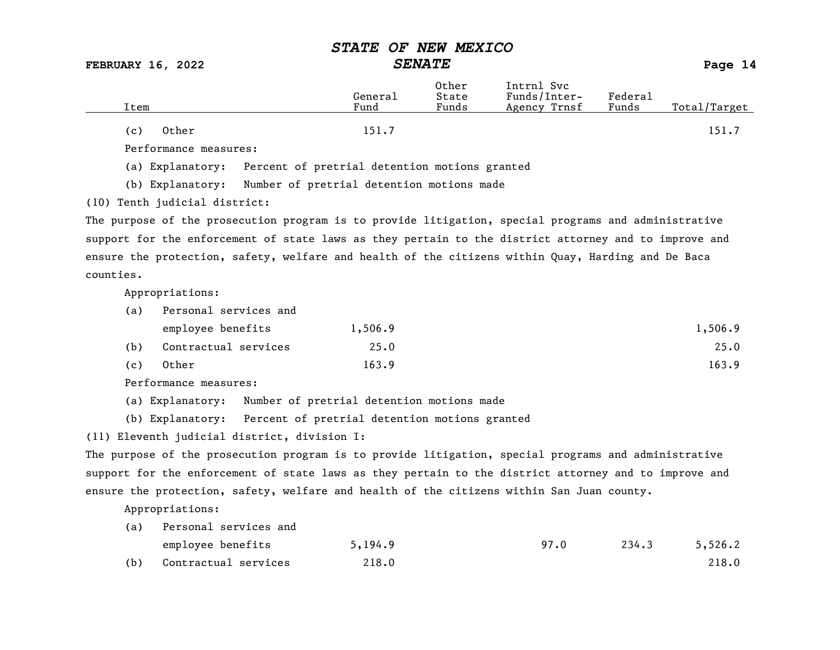FEBRUARY 16, 2022 SENATE Page 14

| Item         | General<br>Fund | Other<br>State<br>Funds | Intrnl Svc<br>Funds/Inter-<br>Agency Trnsf | Federal<br>Funds | Total/Target |
|--------------|-----------------|-------------------------|--------------------------------------------|------------------|--------------|
| Other<br>(c) | 151.7           |                         |                                            |                  | 151.7        |

Performance measures:

(a) Explanatory: Percent of pretrial detention motions granted

(b) Explanatory: Number of pretrial detention motions made

(10) Tenth judicial district:

The purpose of the prosecution program is to provide litigation, special programs and administrative support for the enforcement of state laws as they pertain to the district attorney and to improve and ensure the protection, safety, welfare and health of the citizens within Quay, Harding and De Baca counties.

Appropriations:

| (a) | Personal services and |         |         |  |  |  |
|-----|-----------------------|---------|---------|--|--|--|
|     | employee benefits     | 1,506.9 | 1,506.9 |  |  |  |
| (b) | Contractual services  | 25.0    | 25.0    |  |  |  |
| (c) | Other                 | 163.9   | 163.9   |  |  |  |

Performance measures:

(a) Explanatory: Number of pretrial detention motions made

(b) Explanatory: Percent of pretrial detention motions granted

(11) Eleventh judicial district, division I:

The purpose of the prosecution program is to provide litigation, special programs and administrative support for the enforcement of state laws as they pertain to the district attorney and to improve and ensure the protection, safety, welfare and health of the citizens within San Juan county.

| (a) | Personal services and |         |      |       |         |
|-----|-----------------------|---------|------|-------|---------|
|     | employee benefits     | 5,194.9 | 97.0 | 234.3 | 5,526.2 |
| (b) | Contractual services  | 218.0   |      |       | 218.0   |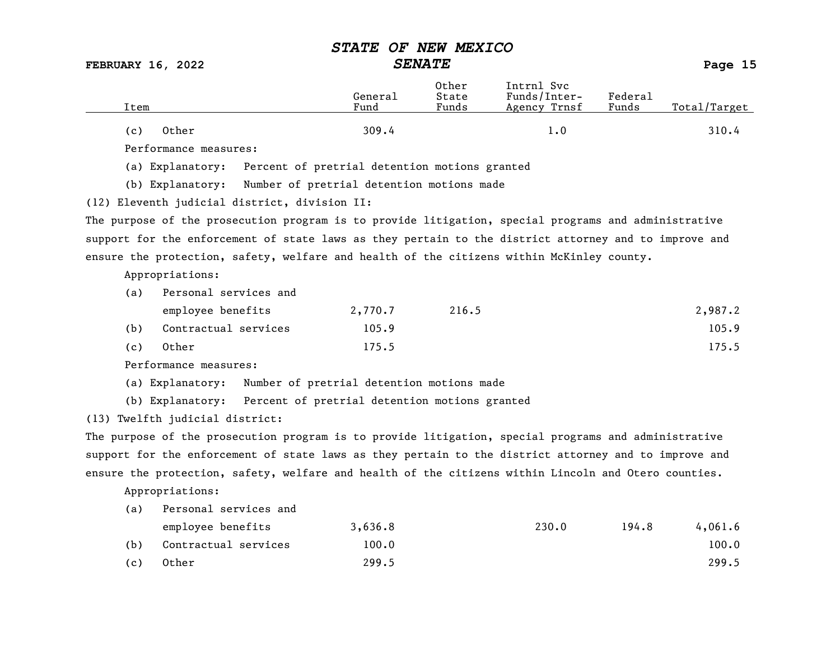FEBRUARY 16, 2022 SENATE Page 15

| Item                  | General<br>Fund | Other<br>State<br>Funds | Intrnl Svc<br>Funds/Inter-<br>Agency Trnsf | Federal<br>Funds | Total/Target |
|-----------------------|-----------------|-------------------------|--------------------------------------------|------------------|--------------|
| Other<br>(c)          | 309.4           |                         | 1.0                                        |                  | 310.4        |
| Performance measures: |                 |                         |                                            |                  |              |

(a) Explanatory: Percent of pretrial detention motions granted

(b) Explanatory: Number of pretrial detention motions made

(12) Eleventh judicial district, division II:

The purpose of the prosecution program is to provide litigation, special programs and administrative support for the enforcement of state laws as they pertain to the district attorney and to improve and ensure the protection, safety, welfare and health of the citizens within McKinley county.

Appropriations:

| (a) | Personal services and |         |       |         |  |  |  |
|-----|-----------------------|---------|-------|---------|--|--|--|
|     | employee benefits     | 2,770.7 | 216.5 | 2,987.2 |  |  |  |
| (b) | Contractual services  | 105.9   |       | 105.9   |  |  |  |
| (c) | Other                 | 175.5   |       | 175.5   |  |  |  |

Performance measures:

(a) Explanatory: Number of pretrial detention motions made

(b) Explanatory: Percent of pretrial detention motions granted

(13) Twelfth judicial district:

The purpose of the prosecution program is to provide litigation, special programs and administrative support for the enforcement of state laws as they pertain to the district attorney and to improve and ensure the protection, safety, welfare and health of the citizens within Lincoln and Otero counties.

| (a) | Personal services and |         |       |       |         |  |  |
|-----|-----------------------|---------|-------|-------|---------|--|--|
|     | employee benefits     | 3,636.8 | 230.0 | 194.8 | 4,061.6 |  |  |
| (b) | Contractual services  | 100.0   |       |       | 100.0   |  |  |
| (c) | Other                 | 299.5   |       |       | 299.5   |  |  |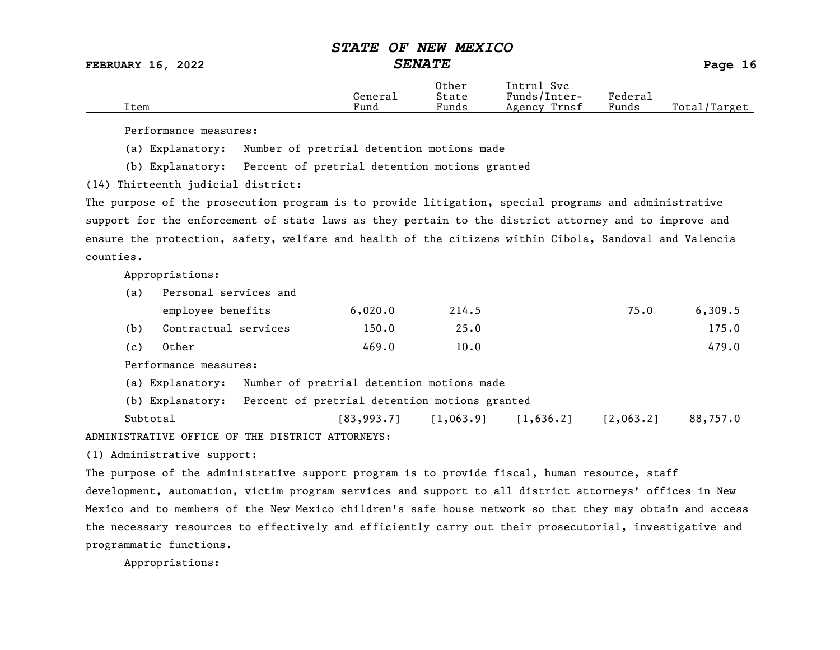FEBRUARY 16, 2022 SENATE Page 16

|      |         | Other                 | Intrnl<br>Sv c  |                     |                   |
|------|---------|-----------------------|-----------------|---------------------|-------------------|
|      | Generai | State                 | Funds/Inter-    | Federa <sub>1</sub> |                   |
| Item | Fund    | $\mathbf{r}$<br>Funds | Trnsf<br>Agency | Funds               | Total,<br>'Target |

Performance measures:

(a) Explanatory: Number of pretrial detention motions made

(b) Explanatory: Percent of pretrial detention motions granted

(14) Thirteenth judicial district:

The purpose of the prosecution program is to provide litigation, special programs and administrative support for the enforcement of state laws as they pertain to the district attorney and to improve and ensure the protection, safety, welfare and health of the citizens within Cibola, Sandoval and Valencia counties.

Appropriations:

| (a) | Personal services and |         |       |      |         |  |  |  |  |
|-----|-----------------------|---------|-------|------|---------|--|--|--|--|
|     | employee benefits     | 6,020.0 | 214.5 | 75.0 | 6,309.5 |  |  |  |  |
| (b) | Contractual services  | 150.0   | 25.0  |      | 175.0   |  |  |  |  |
| (c) | Other                 | 469.0   | 10.0  |      | 479.0   |  |  |  |  |

Performance measures:

(a) Explanatory: Number of pretrial detention motions made

(b) Explanatory: Percent of pretrial detention motions granted

Subtotal [83,993.7] [1,063.9] [1,636.2] [2,063.2] 88,757.0 ADMINISTRATIVE OFFICE OF THE DISTRICT ATTORNEYS:

(1) Administrative support:

The purpose of the administrative support program is to provide fiscal, human resource, staff development, automation, victim program services and support to all district attorneys' offices in New Mexico and to members of the New Mexico children's safe house network so that they may obtain and access the necessary resources to effectively and efficiently carry out their prosecutorial, investigative and programmatic functions.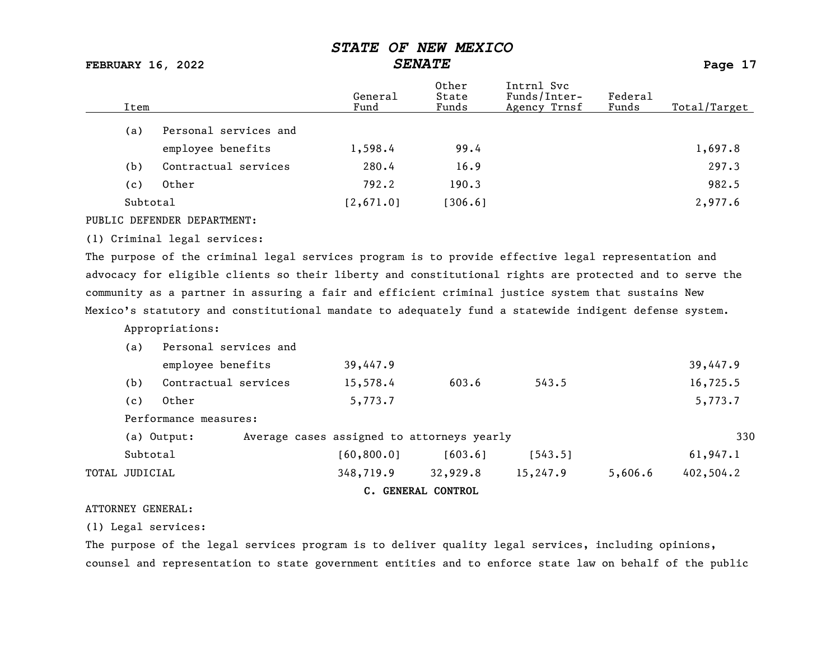FEBRUARY 16, 2022 SENATE Page 17

| Item     |                       | General<br>Fund | Other<br>State<br>Funds | Intrnl Svc<br>Funds/Inter-<br>Agency Trnsf | Federal<br>Funds | Total/Target |
|----------|-----------------------|-----------------|-------------------------|--------------------------------------------|------------------|--------------|
| (a)      | Personal services and |                 |                         |                                            |                  |              |
|          | employee benefits     | 1,598.4         | 99.4                    |                                            |                  | 1,697.8      |
| (b)      | Contractual services  | 280.4           | 16.9                    |                                            |                  | 297.3        |
| (c)      | Other                 | 792.2           | 190.3                   |                                            |                  | 982.5        |
| Subtotal |                       | [2,671.0]       | [306.6]                 |                                            |                  | 2,977.6      |

PUBLIC DEFENDER DEPARTMENT:

#### (1) Criminal legal services:

The purpose of the criminal legal services program is to provide effective legal representation and advocacy for eligible clients so their liberty and constitutional rights are protected and to serve the community as a partner in assuring a fair and efficient criminal justice system that sustains New Mexico's statutory and constitutional mandate to adequately fund a statewide indigent defense system.

Appropriations:

|                | (a)      | Personal services and |                                            |                    |          |         |           |
|----------------|----------|-----------------------|--------------------------------------------|--------------------|----------|---------|-----------|
|                |          | employee benefits     | 39,447.9                                   |                    |          |         | 39,447.9  |
|                | (b)      | Contractual services  | 15,578.4                                   | 603.6              | 543.5    |         | 16,725.5  |
|                | (c)      | Other                 | 5,773.7                                    |                    |          |         | 5,773.7   |
|                |          | Performance measures: |                                            |                    |          |         |           |
|                |          | (a) Output:           | Average cases assigned to attorneys yearly |                    |          |         | 330       |
|                | Subtotal |                       | [60, 800.0]                                | [603.6]            | [543.5]  |         | 61,947.1  |
| TOTAL JUDICIAL |          |                       | 348,719.9                                  | 32,929.8           | 15,247.9 | 5,606.6 | 402,504.2 |
|                |          |                       |                                            | C. GENERAL CONTROL |          |         |           |

#### ATTORNEY GENERAL:

(1) Legal services:

The purpose of the legal services program is to deliver quality legal services, including opinions, counsel and representation to state government entities and to enforce state law on behalf of the public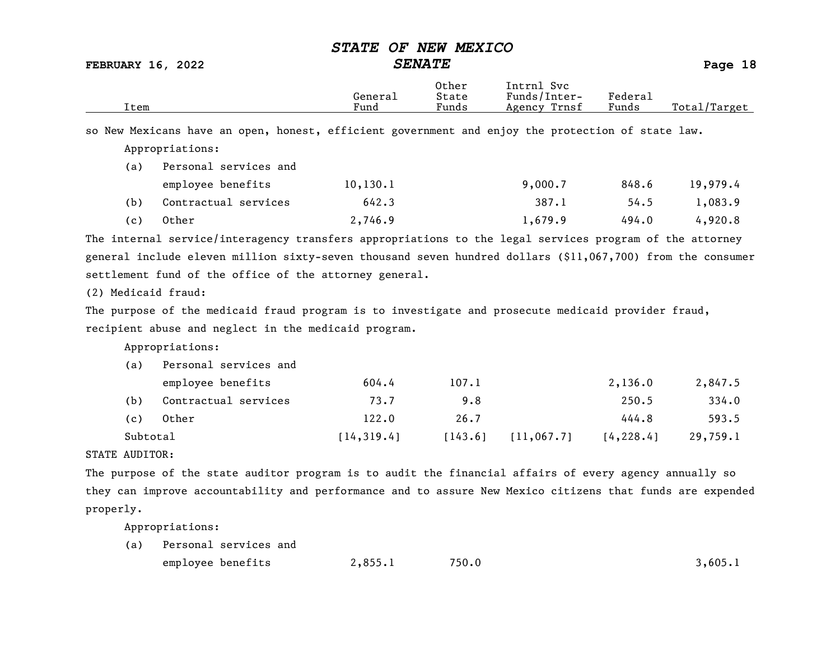FEBRUARY 16, 2022 SENATE Page 18

| Item                |                                                                                                            | General<br>Fund | Other<br>State<br>Funds | Intrnl Svc<br>Funds/Inter-<br>Agency Trnsf | Federa1<br>Funds | Total/Target |
|---------------------|------------------------------------------------------------------------------------------------------------|-----------------|-------------------------|--------------------------------------------|------------------|--------------|
|                     | so New Mexicans have an open, honest, efficient government and enjoy the protection of state law.          |                 |                         |                                            |                  |              |
|                     | Appropriations:                                                                                            |                 |                         |                                            |                  |              |
| (a)                 | Personal services and                                                                                      |                 |                         |                                            |                  |              |
|                     | employee benefits                                                                                          | 10, 130.1       |                         | 9,000.7                                    | 848.6            | 19,979.4     |
| (b)                 | Contractual services                                                                                       | 642.3           |                         | 387.1                                      | 54.5             | 1,083.9      |
| (c)                 | Other                                                                                                      | 2,746.9         |                         | 1,679.9                                    | 494.0            | 4,920.8      |
|                     | The internal service/interagency transfers appropriations to the legal services program of the attorney    |                 |                         |                                            |                  |              |
|                     | general include eleven million sixty-seven thousand seven hundred dollars (\$11,067,700) from the consumer |                 |                         |                                            |                  |              |
|                     | settlement fund of the office of the attorney general.                                                     |                 |                         |                                            |                  |              |
| (2) Medicaid fraud: |                                                                                                            |                 |                         |                                            |                  |              |
|                     | The purpose of the medicaid fraud program is to investigate and prosecute medicaid provider fraud,         |                 |                         |                                            |                  |              |
|                     | recipient abuse and neglect in the medicaid program.                                                       |                 |                         |                                            |                  |              |
|                     | Appropriations:                                                                                            |                 |                         |                                            |                  |              |
| (a)                 | Personal services and                                                                                      |                 |                         |                                            |                  |              |
|                     | employee benefits                                                                                          | 604.4           | 107.1                   |                                            | 2,136.0          | 2,847.5      |
| (b)                 | Contractual services                                                                                       | 73.7            | 9.8                     |                                            | 250.5            | 334.0        |
| (c)                 | Other                                                                                                      | 122.0           | 26.7                    |                                            | 444.8            | 593.5        |
| Subtotal            |                                                                                                            | [14, 319.4]     | [143.6]                 | [11, 067.7]                                | [4, 228.4]       | 29,759.1     |
| STATE AUDITOR:      |                                                                                                            |                 |                         |                                            |                  |              |
|                     | The purpose of the state auditor program is to audit the financial affairs of every agency annually so     |                 |                         |                                            |                  |              |
|                     | they can improve accountability and performance and to assure New Mexico citizens that funds are expended  |                 |                         |                                            |                  |              |
| properly.           |                                                                                                            |                 |                         |                                            |                  |              |
|                     | Appropriations:                                                                                            |                 |                         |                                            |                  |              |
| (a)                 | Personal services and                                                                                      |                 |                         |                                            |                  |              |

| employee benefits | 2,855.1 | 750.0 | 3,605.1 |
|-------------------|---------|-------|---------|
|                   |         |       |         |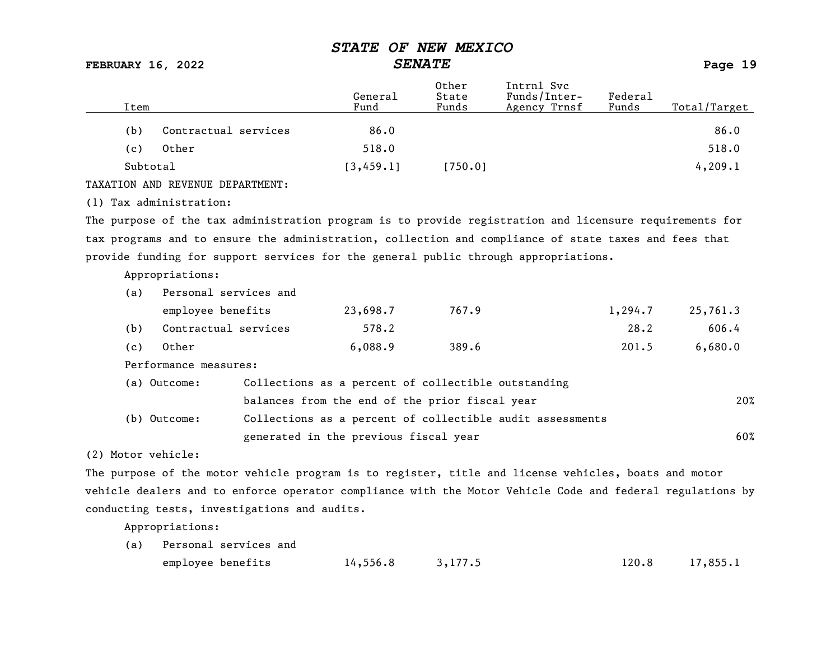FEBRUARY 16, 2022 SENATE Page 19

|                                                                                                         |                                                     | General    | Other<br>State | Intrnl Svc<br>Funds/Inter-                                | Federal |              |
|---------------------------------------------------------------------------------------------------------|-----------------------------------------------------|------------|----------------|-----------------------------------------------------------|---------|--------------|
| Item                                                                                                    |                                                     | Fund       | Funds          | Agency Trnsf                                              | Funds   | Total/Target |
| (b)                                                                                                     | Contractual services                                | 86.0       |                |                                                           |         | 86.0         |
| Other<br>(c)                                                                                            |                                                     | 518.0      |                |                                                           |         | 518.0        |
| Subtotal                                                                                                |                                                     | [3, 459.1] | [750.0]        |                                                           |         | 4, 209.1     |
| TAXATION AND REVENUE DEPARTMENT:                                                                        |                                                     |            |                |                                                           |         |              |
| (1) Tax administration:                                                                                 |                                                     |            |                |                                                           |         |              |
| The purpose of the tax administration program is to provide registration and licensure requirements for |                                                     |            |                |                                                           |         |              |
| tax programs and to ensure the administration, collection and compliance of state taxes and fees that   |                                                     |            |                |                                                           |         |              |
| provide funding for support services for the general public through appropriations.                     |                                                     |            |                |                                                           |         |              |
| Appropriations:                                                                                         |                                                     |            |                |                                                           |         |              |
| (a)                                                                                                     | Personal services and                               |            |                |                                                           |         |              |
| employee benefits                                                                                       |                                                     | 23,698.7   | 767.9          |                                                           | 1,294.7 | 25,761.3     |
| (b)                                                                                                     | Contractual services                                | 578.2      |                |                                                           | 28.2    | 606.4        |
| Other<br>(c)                                                                                            |                                                     | 6,088.9    | 389.6          |                                                           | 201.5   | 6,680.0      |
| Performance measures:                                                                                   |                                                     |            |                |                                                           |         |              |
| (a) Outcome:                                                                                            | Collections as a percent of collectible outstanding |            |                |                                                           |         |              |
|                                                                                                         | balances from the end of the prior fiscal year      |            |                |                                                           |         | 20%          |
| (b) Outcome:                                                                                            |                                                     |            |                | Collections as a percent of collectible audit assessments |         |              |
|                                                                                                         | generated in the previous fiscal year               |            |                |                                                           |         | 60%          |
| (2) Motor vehicle:                                                                                      |                                                     |            |                |                                                           |         |              |

The purpose of the motor vehicle program is to register, title and license vehicles, boats and motor vehicle dealers and to enforce operator compliance with the Motor Vehicle Code and federal regulations by conducting tests, investigations and audits.

| (a) Personal services and |                    |  |  |                  |  |  |  |  |
|---------------------------|--------------------|--|--|------------------|--|--|--|--|
| employee benefits         | $14,556.8$ 3,177.5 |  |  | $120.8$ 17,855.1 |  |  |  |  |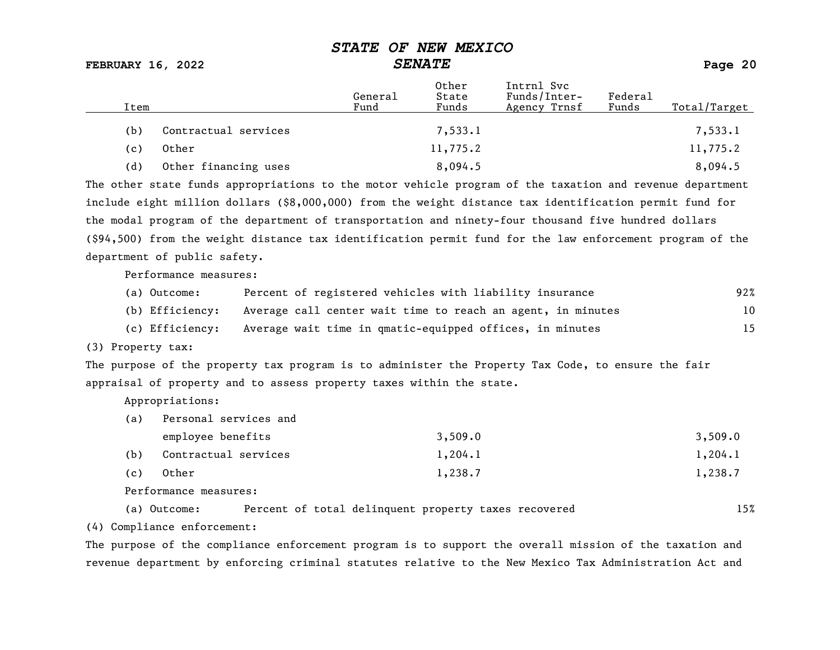FEBRUARY 16, 2022 SENATE Page 20

| Item |                      | General<br>Fund | Other<br>State<br>Funds | Intrnl Svc<br>Funds/Inter-<br>Agency Trnsf | Federal<br>Funds | Total/Target |
|------|----------------------|-----------------|-------------------------|--------------------------------------------|------------------|--------------|
| (b)  | Contractual services |                 | 7,533.1                 |                                            |                  | 7,533.1      |
| (c)  | Other                |                 | 11,775.2                |                                            |                  | 11,775.2     |
| (d)  | Other financing uses |                 | 8,094.5                 |                                            |                  | 8,094.5      |

The other state funds appropriations to the motor vehicle program of the taxation and revenue department include eight million dollars (\$8,000,000) from the weight distance tax identification permit fund for the modal program of the department of transportation and ninety-four thousand five hundred dollars (\$94,500) from the weight distance tax identification permit fund for the law enforcement program of the department of public safety.

Performance measures:

| (a) Outcome:    | Percent of registered vehicles with liability insurance     | 92% |
|-----------------|-------------------------------------------------------------|-----|
| (b) Efficiency: | Average call center wait time to reach an agent, in minutes | 10  |
| (c) Efficiency: | Average wait time in qmatic-equipped offices, in minutes    | 15  |

(3) Property tax:

The purpose of the property tax program is to administer the Property Tax Code, to ensure the fair appraisal of property and to assess property taxes within the state.

Appropriations:

| (a) | Personal services and |         |         |  |  |  |  |  |
|-----|-----------------------|---------|---------|--|--|--|--|--|
|     | employee benefits     | 3,509.0 | 3,509.0 |  |  |  |  |  |
| (b) | Contractual services  | 1,204.1 | 1,204.1 |  |  |  |  |  |
| (c) | Other                 | 1,238.7 | 1,238.7 |  |  |  |  |  |

Performance measures:

(a) Outcome: Percent of total delinquent property taxes recovered 15%

(4) Compliance enforcement:

The purpose of the compliance enforcement program is to support the overall mission of the taxation and revenue department by enforcing criminal statutes relative to the New Mexico Tax Administration Act and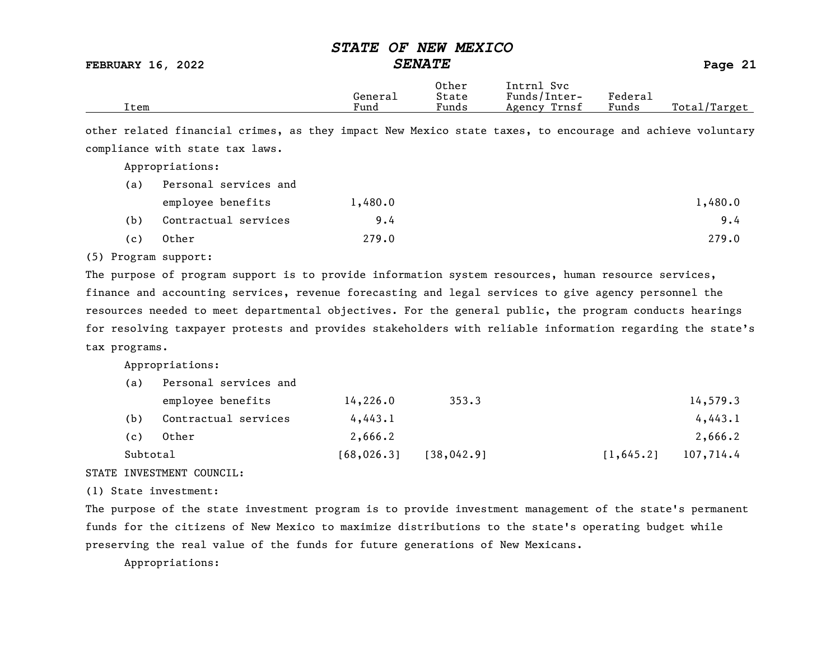FEBRUARY 16, 2022 SENATE Page 21

|      |         | Other | Intrnl<br>svc   |                                    |                  |
|------|---------|-------|-----------------|------------------------------------|------------------|
|      | General | State | Funds/Inter-    | ${}_{\rm \texttt{Federa}_{\perp}}$ |                  |
| Item | Fund    | Funds | Trnsf<br>Agency | Funds                              | Total,<br>Target |

other related financial crimes, as they impact New Mexico state taxes, to encourage and achieve voluntary compliance with state tax laws.

Appropriations:

| (a) | Personal services and |         |         |
|-----|-----------------------|---------|---------|
|     | employee benefits     | 1,480.0 | 1,480.0 |
| (b) | Contractual services  | 9.4     | 9.4     |
| (c) | Other                 | 279.0   | 279.0   |

#### (5) Program support:

The purpose of program support is to provide information system resources, human resource services, finance and accounting services, revenue forecasting and legal services to give agency personnel the resources needed to meet departmental objectives. For the general public, the program conducts hearings for resolving taxpayer protests and provides stakeholders with reliable information regarding the state's tax programs.

Appropriations:

| (a)      | Personal services and |             |             |                         |
|----------|-----------------------|-------------|-------------|-------------------------|
|          | employee benefits     | 14,226.0    | 353.3       | 14,579.3                |
| (b)      | Contractual services  | 4,443.1     |             | 4,443.1                 |
| (c)      | Other                 | 2,666.2     |             | 2,666.2                 |
| Subtotal |                       | [68, 026.3] | [38, 042.9] | 107,714.4<br>[1, 645.2] |

#### STATE INVESTMENT COUNCIL:

(1) State investment:

The purpose of the state investment program is to provide investment management of the state's permanent funds for the citizens of New Mexico to maximize distributions to the state's operating budget while preserving the real value of the funds for future generations of New Mexicans.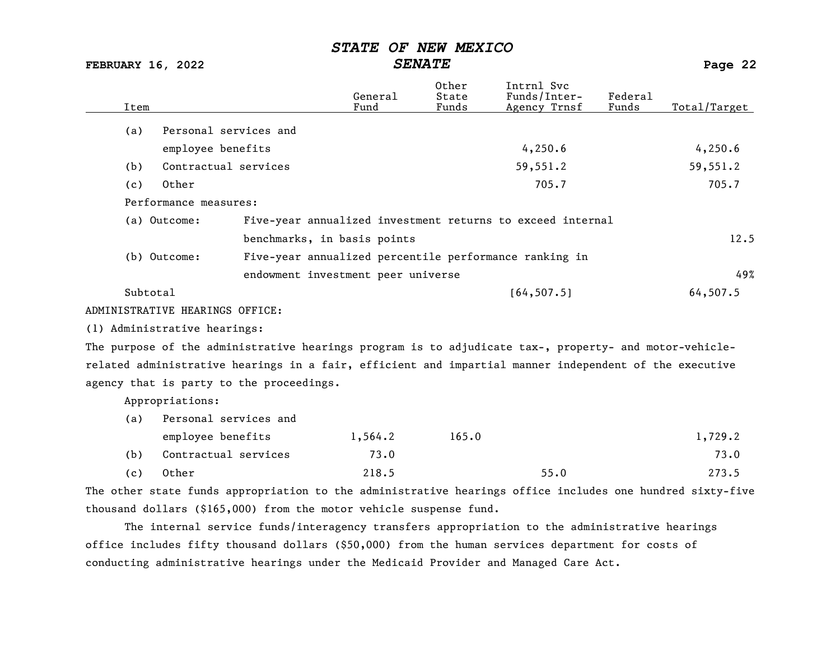| <b>FEBRUARY 16, 2022</b>                                                                                  |                                    | <b>SENATE</b>           |                                                            |                  | Page 22      |
|-----------------------------------------------------------------------------------------------------------|------------------------------------|-------------------------|------------------------------------------------------------|------------------|--------------|
| Item                                                                                                      | General<br>Fund                    | Other<br>State<br>Funds | Intrnl Svc<br>Funds/Inter-<br>Agency Trnsf                 | Federal<br>Funds | Total/Target |
| Personal services and<br>(a)                                                                              |                                    |                         |                                                            |                  |              |
| employee benefits                                                                                         |                                    |                         | 4,250.6                                                    |                  | 4,250.6      |
| Contractual services<br>(b)                                                                               |                                    |                         | 59,551.2                                                   |                  | 59,551.2     |
| Other<br>(c)                                                                                              |                                    |                         | 705.7                                                      |                  | 705.7        |
| Performance measures:                                                                                     |                                    |                         |                                                            |                  |              |
| (a) Outcome:                                                                                              |                                    |                         | Five-year annualized investment returns to exceed internal |                  |              |
|                                                                                                           | benchmarks, in basis points        |                         |                                                            |                  | 12.5         |
| (b) Outcome:                                                                                              |                                    |                         | Five-year annualized percentile performance ranking in     |                  |              |
|                                                                                                           | endowment investment peer universe |                         |                                                            |                  | 49%          |
| Subtotal                                                                                                  |                                    |                         | [64, 507.5]                                                |                  | 64, 507.5    |
| ADMINISTRATIVE HEARINGS OFFICE:                                                                           |                                    |                         |                                                            |                  |              |
| (1) Administrative hearings:                                                                              |                                    |                         |                                                            |                  |              |
| The purpose of the administrative hearings program is to adjudicate tax-, property- and motor-vehicle-    |                                    |                         |                                                            |                  |              |
| related administrative hearings in a fair, efficient and impartial manner independent of the executive    |                                    |                         |                                                            |                  |              |
| agency that is party to the proceedings.                                                                  |                                    |                         |                                                            |                  |              |
| Appropriations:                                                                                           |                                    |                         |                                                            |                  |              |
| Personal services and<br>(a)                                                                              |                                    |                         |                                                            |                  |              |
| employee benefits                                                                                         | 1,564.2                            | 165.0                   |                                                            |                  | 1,729.2      |
| Contractual services<br>(b)                                                                               | 73.0                               |                         |                                                            |                  | 73.0         |
| Other<br>(c)                                                                                              | 218.5                              |                         | 55.0                                                       |                  | 273.5        |
| The other state funds appropriation to the administrative hearings office includes one hundred sixty-five |                                    |                         |                                                            |                  |              |
| thousand dollars (\$165,000) from the motor vehicle suspense fund.                                        |                                    |                         |                                                            |                  |              |

The internal service funds/interagency transfers appropriation to the administrative hearings office includes fifty thousand dollars (\$50,000) from the human services department for costs of conducting administrative hearings under the Medicaid Provider and Managed Care Act.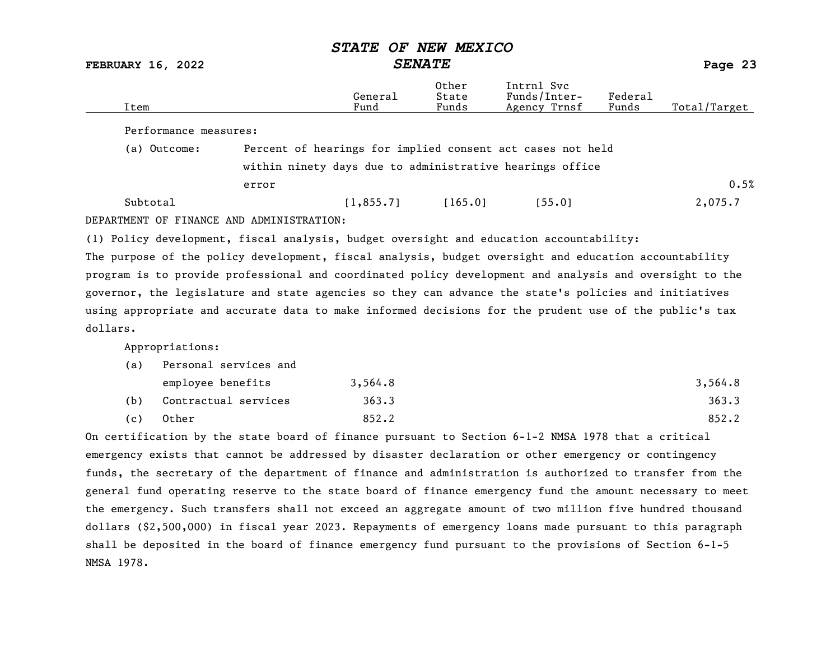FEBRUARY 16, 2022 SENATE Page 23

| Item                                                                                    |                                                            | General<br>Fund | Other<br>State<br>Funds | Intrnl Syc<br>$Funds/Inter-$<br>Agency Trnsf | Federal<br>Funds | Total/Target |  |
|-----------------------------------------------------------------------------------------|------------------------------------------------------------|-----------------|-------------------------|----------------------------------------------|------------------|--------------|--|
| Performance measures:                                                                   |                                                            |                 |                         |                                              |                  |              |  |
| (a) Outcome:                                                                            | Percent of hearings for implied consent act cases not held |                 |                         |                                              |                  |              |  |
|                                                                                         | within ninety days due to administrative hearings office   |                 |                         |                                              |                  |              |  |
|                                                                                         | error                                                      |                 |                         |                                              |                  | 0.5%         |  |
| Subtotal                                                                                |                                                            | [1, 855, 7]     | [165.0]                 | 155.01                                       |                  | 2,075.7      |  |
| DEPARTMENT OF FINANCE AND ADMINISTRATION:                                               |                                                            |                 |                         |                                              |                  |              |  |
| (1) Policy development, fiscal analysis, budget oversight and education accountability: |                                                            |                 |                         |                                              |                  |              |  |

The purpose of the policy development, fiscal analysis, budget oversight and education accountability program is to provide professional and coordinated policy development and analysis and oversight to the governor, the legislature and state agencies so they can advance the state's policies and initiatives using appropriate and accurate data to make informed decisions for the prudent use of the public's tax dollars.

Appropriations:

| (a) | Personal services and |         |         |
|-----|-----------------------|---------|---------|
|     | employee benefits     | 3,564.8 | 3,564.8 |
| (b) | Contractual services  | 363.3   | 363.3   |
| (c) | Other                 | 852.2   | 852.2   |

On certification by the state board of finance pursuant to Section 6-1-2 NMSA 1978 that a critical emergency exists that cannot be addressed by disaster declaration or other emergency or contingency funds, the secretary of the department of finance and administration is authorized to transfer from the general fund operating reserve to the state board of finance emergency fund the amount necessary to meet the emergency. Such transfers shall not exceed an aggregate amount of two million five hundred thousand dollars (\$2,500,000) in fiscal year 2023. Repayments of emergency loans made pursuant to this paragraph shall be deposited in the board of finance emergency fund pursuant to the provisions of Section 6-1-5 NMSA 1978.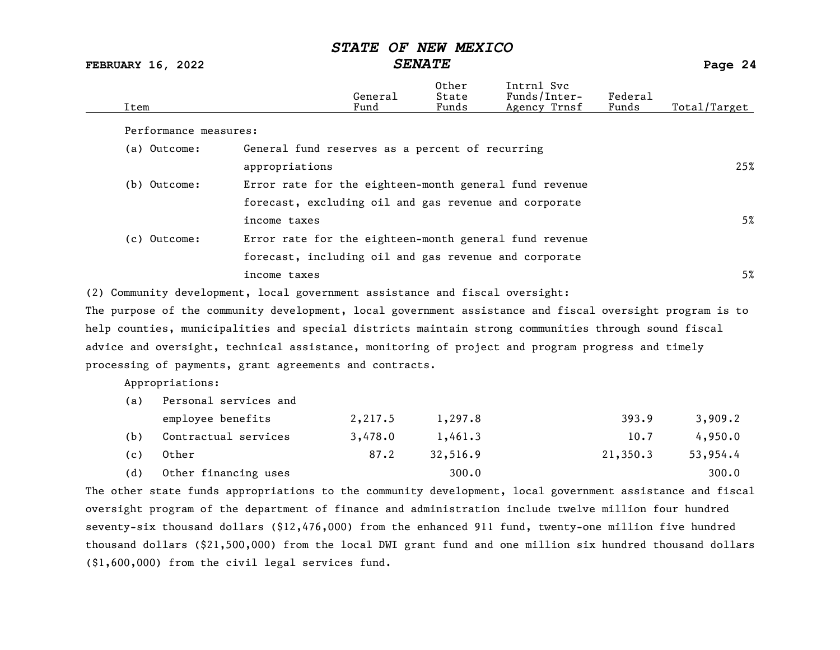# STATE OF NEW MEXICO<br>SENATE

FEBRUARY 16, 2022 SENATE Page 24

| Item                                                                                                           |                                                        | General<br>Fund | Other<br>State<br>Funds | Intrnl Svc<br>Funds/Inter-<br>Agency Trnsf | Federal<br>Funds | Total/Target |
|----------------------------------------------------------------------------------------------------------------|--------------------------------------------------------|-----------------|-------------------------|--------------------------------------------|------------------|--------------|
| Performance measures:                                                                                          |                                                        |                 |                         |                                            |                  |              |
| (a) Outcome:                                                                                                   | General fund reserves as a percent of recurring        |                 |                         |                                            |                  |              |
|                                                                                                                | appropriations                                         |                 |                         |                                            |                  | 25%          |
| (b) Outcome:                                                                                                   | Error rate for the eighteen-month general fund revenue |                 |                         |                                            |                  |              |
|                                                                                                                | forecast, excluding oil and gas revenue and corporate  |                 |                         |                                            |                  |              |
|                                                                                                                | income taxes                                           |                 |                         |                                            |                  | 5%           |
| (c) Outcome:                                                                                                   | Error rate for the eighteen-month general fund revenue |                 |                         |                                            |                  |              |
|                                                                                                                | forecast, including oil and gas revenue and corporate  |                 |                         |                                            |                  |              |
|                                                                                                                | income taxes                                           |                 |                         |                                            |                  | 5%           |
| (2) Community development, local government assistance and fiscal oversight:                                   |                                                        |                 |                         |                                            |                  |              |
| The purpose of the community development, $\it local$ government assistance and fiscal oversight program is to |                                                        |                 |                         |                                            |                  |              |
| help counties, municipalities and special districts maintain strong communities through sound fiscal           |                                                        |                 |                         |                                            |                  |              |
| advice and oversight, technical assistance, monitoring of project and program progress and timely              |                                                        |                 |                         |                                            |                  |              |
| processing of payments, grant agreements and contracts.                                                        |                                                        |                 |                         |                                            |                  |              |
|                                                                                                                |                                                        |                 |                         |                                            |                  |              |

Appropriations:

| (a) | Personal services and |         |          |          |          |
|-----|-----------------------|---------|----------|----------|----------|
|     | employee benefits     | 2,217.5 | 1,297.8  | 393.9    | 3,909.2  |
| (b) | Contractual services  | 3,478.0 | 1,461.3  | 10.7     | 4,950.0  |
| (c) | Other                 | 87.2    | 32,516.9 | 21,350.3 | 53,954.4 |
| (d) | Other financing uses  |         | 300.0    |          | 300.0    |

The other state funds appropriations to the community development, local government assistance and fiscal oversight program of the department of finance and administration include twelve million four hundred seventy-six thousand dollars (\$12,476,000) from the enhanced 911 fund, twenty-one million five hundred thousand dollars (\$21,500,000) from the local DWI grant fund and one million six hundred thousand dollars (\$1,600,000) from the civil legal services fund.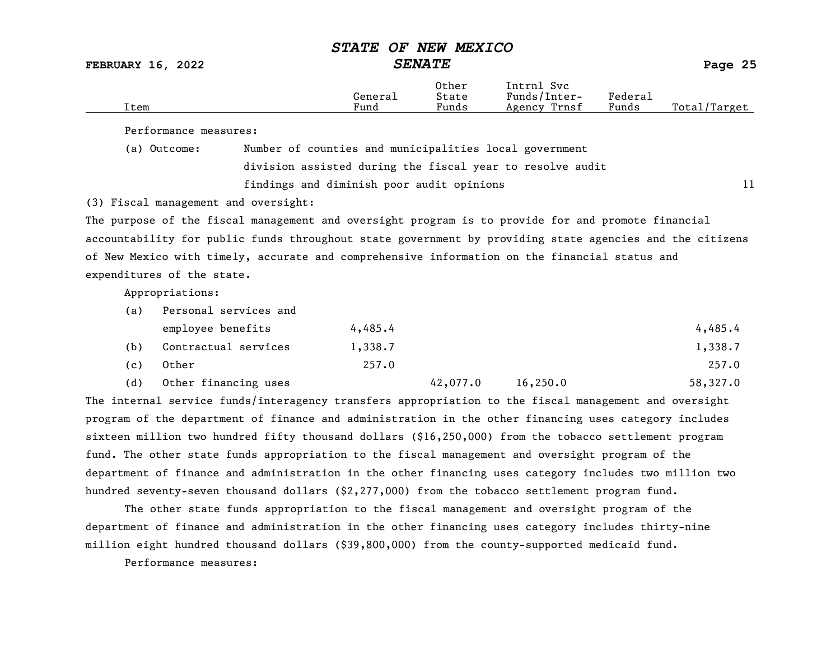FEBRUARY 16, 2022 SENATE Page 25

|      |         | Other | Svc<br>íntrnl   |                     |                  |
|------|---------|-------|-----------------|---------------------|------------------|
|      | General | State | Funds/Inter-    | Federa <sub>1</sub> |                  |
| Item | Fund    | Funds | Trnsf<br>Agency | Funds               | Total<br>'Target |
|      |         |       |                 |                     |                  |

Performance measures:

(a) Outcome: Number of counties and municipalities local government division assisted during the fiscal year to resolve audit findings and diminish poor audit opinions and the state of  $11$ 

(3) Fiscal management and oversight:

The purpose of the fiscal management and oversight program is to provide for and promote financial accountability for public funds throughout state government by providing state agencies and the citizens of New Mexico with timely, accurate and comprehensive information on the financial status and expenditures of the state.

Appropriations:

| (a) | Personal services and |         |          |           |          |
|-----|-----------------------|---------|----------|-----------|----------|
|     | employee benefits     | 4,485.4 |          |           | 4,485.4  |
| (b) | Contractual services  | 1,338.7 |          |           | 1,338.7  |
| (c) | Other                 | 257.0   |          |           | 257.0    |
| (d) | Other financing uses  |         | 42,077.0 | 16, 250.0 | 58,327.0 |

The internal service funds/interagency transfers appropriation to the fiscal management and oversight program of the department of finance and administration in the other financing uses category includes sixteen million two hundred fifty thousand dollars (\$16,250,000) from the tobacco settlement program fund. The other state funds appropriation to the fiscal management and oversight program of the department of finance and administration in the other financing uses category includes two million two hundred seventy-seven thousand dollars (\$2,277,000) from the tobacco settlement program fund.

The other state funds appropriation to the fiscal management and oversight program of the department of finance and administration in the other financing uses category includes thirty-nine million eight hundred thousand dollars (\$39,800,000) from the county-supported medicaid fund.

Performance measures: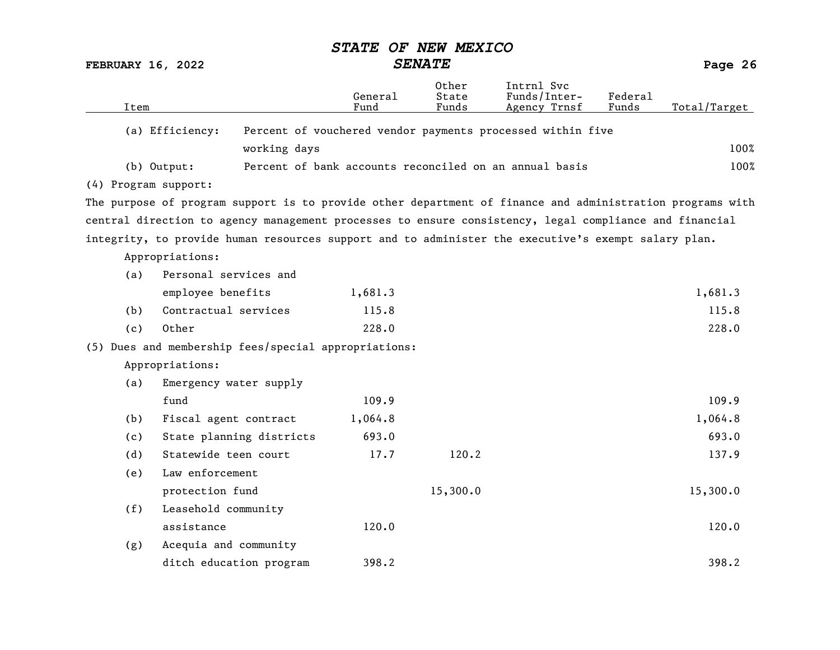FEBRUARY 16, 2022 SENATE Page 26

| Item                 |                                                                                                           | General<br>Fund | 0ther<br>State<br>Funds | Intrnl Svc<br>Funds/Inter-<br>Agency Trnsf                 | Federal<br>Funds | Total/Target |
|----------------------|-----------------------------------------------------------------------------------------------------------|-----------------|-------------------------|------------------------------------------------------------|------------------|--------------|
|                      |                                                                                                           |                 |                         |                                                            |                  |              |
| (a) Efficiency:      |                                                                                                           |                 |                         | Percent of vouchered vendor payments processed within five |                  |              |
|                      | working days                                                                                              |                 |                         |                                                            |                  | 100%         |
| $(b)$ Output:        |                                                                                                           |                 |                         | Percent of bank accounts reconciled on an annual basis     |                  | 100%         |
| (4) Program support: |                                                                                                           |                 |                         |                                                            |                  |              |
|                      | The purpose of program support is to provide other department of finance and administration programs with |                 |                         |                                                            |                  |              |
|                      | central direction to agency management processes to ensure consistency, legal compliance and financial    |                 |                         |                                                            |                  |              |
|                      | integrity, to provide human resources support and to administer the executive's exempt salary plan.       |                 |                         |                                                            |                  |              |
| Appropriations:      |                                                                                                           |                 |                         |                                                            |                  |              |
| (a)                  | Personal services and                                                                                     |                 |                         |                                                            |                  |              |
|                      | employee benefits                                                                                         | 1,681.3         |                         |                                                            |                  | 1,681.3      |
| (b)                  | Contractual services                                                                                      | 115.8           |                         |                                                            |                  | 115.8        |
| (c)                  | Other                                                                                                     | 228.0           |                         |                                                            |                  | 228.0        |
|                      | (5) Dues and membership fees/special appropriations:                                                      |                 |                         |                                                            |                  |              |
| Appropriations:      |                                                                                                           |                 |                         |                                                            |                  |              |
| (a)                  | Emergency water supply                                                                                    |                 |                         |                                                            |                  |              |
| fund                 |                                                                                                           | 109.9           |                         |                                                            |                  | 109.9        |
| (b)                  | Fiscal agent contract                                                                                     | 1,064.8         |                         |                                                            |                  | 1,064.8      |
| (c)                  | State planning districts                                                                                  | 693.0           |                         |                                                            |                  | 693.0        |
| (d)                  | Statewide teen court                                                                                      | 17.7            | 120.2                   |                                                            |                  | 137.9        |
| (e)                  | Law enforcement                                                                                           |                 |                         |                                                            |                  |              |
|                      | protection fund                                                                                           |                 | 15,300.0                |                                                            |                  | 15,300.0     |
| (f)                  | Leasehold community                                                                                       |                 |                         |                                                            |                  |              |
|                      | assistance                                                                                                | 120.0           |                         |                                                            |                  | 120.0        |
| (g)                  | Acequia and community                                                                                     |                 |                         |                                                            |                  |              |
|                      | ditch education program                                                                                   | 398.2           |                         |                                                            |                  | 398.2        |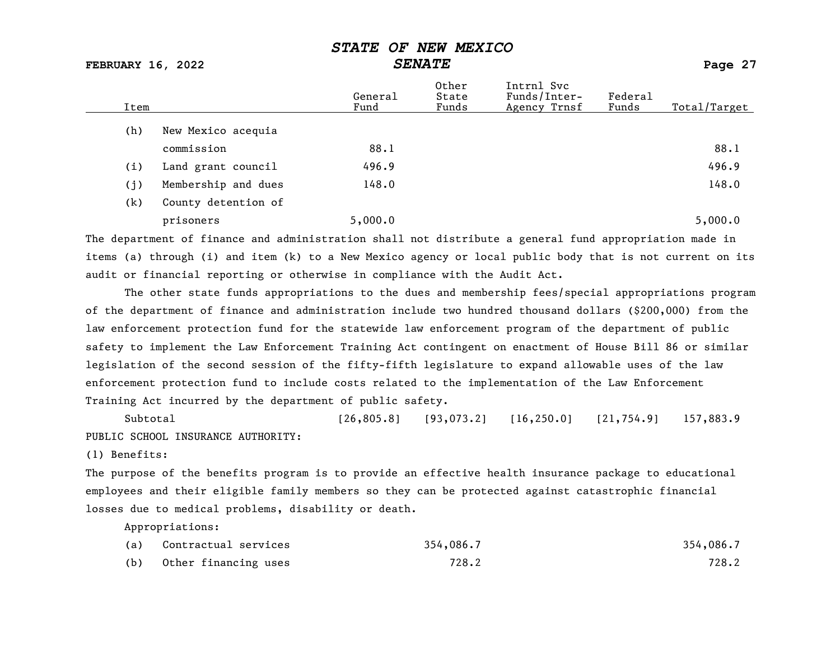# FEBRUARY 16, 2022 SENATE Page 27

| (h)<br>New Mexico acequia           | Total/Target |
|-------------------------------------|--------------|
|                                     |              |
| 88.1<br>commission                  | 88.1         |
| 496.9<br>Land grant council<br>(i)  | 496.9        |
| Membership and dues<br>148.0<br>(j) | 148.0        |
| County detention of<br>(k)          |              |
| 5,000.0<br>prisoners                | 5,000.0      |

The department of finance and administration shall not distribute a general fund appropriation made in items (a) through (i) and item (k) to a New Mexico agency or local public body that is not current on its audit or financial reporting or otherwise in compliance with the Audit Act.

The other state funds appropriations to the dues and membership fees/special appropriations program of the department of finance and administration include two hundred thousand dollars (\$200,000) from the law enforcement protection fund for the statewide law enforcement program of the department of public safety to implement the Law Enforcement Training Act contingent on enactment of House Bill 86 or similar legislation of the second session of the fifty-fifth legislature to expand allowable uses of the law enforcement protection fund to include costs related to the implementation of the Law Enforcement Training Act incurred by the department of public safety.

Subtotal [26,805.8] [93,073.2] [16,250.0] [21,754.9] 157,883.9 PUBLIC SCHOOL INSURANCE AUTHORITY:

(1) Benefits:

The purpose of the benefits program is to provide an effective health insurance package to educational employees and their eligible family members so they can be protected against catastrophic financial losses due to medical problems, disability or death.

| (a) | Contractual services | 354,086.7 | 354,086.7 |
|-----|----------------------|-----------|-----------|
| (b) | Other financing uses | 728.2     | 728.2     |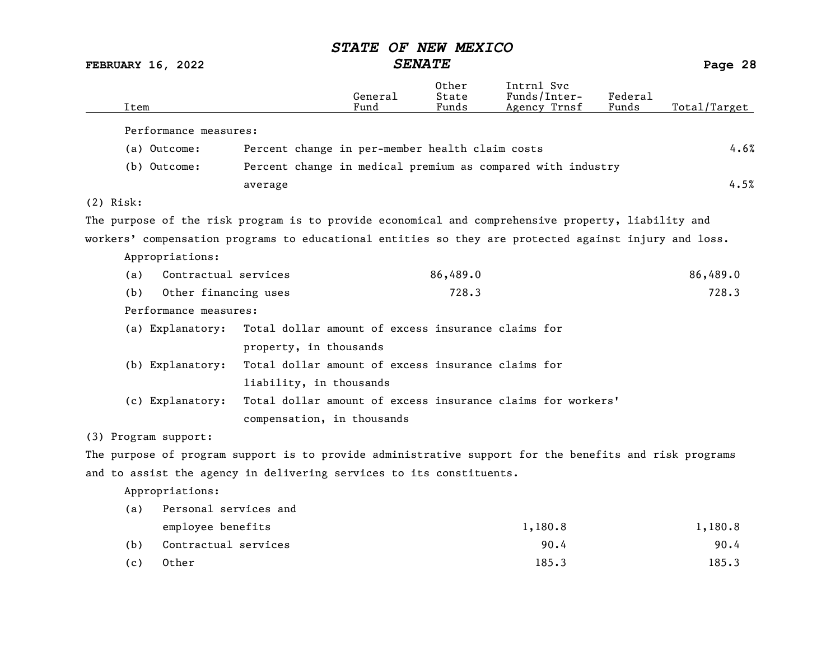| <b>SENATE</b><br><b>FEBRUARY 16, 2022</b>                                                              |                                                    |                 |                         | Page 28                                                     |                  |              |
|--------------------------------------------------------------------------------------------------------|----------------------------------------------------|-----------------|-------------------------|-------------------------------------------------------------|------------------|--------------|
| Item                                                                                                   |                                                    | General<br>Fund | Other<br>State<br>Funds | Intrnl Svc<br>Funds/Inter-<br>Agency Trnsf                  | Federal<br>Funds | Total/Target |
| Performance measures:                                                                                  |                                                    |                 |                         |                                                             |                  |              |
| (a) Outcome:                                                                                           | Percent change in per-member health claim costs    |                 |                         |                                                             |                  | 4.6%         |
| (b) Outcome:                                                                                           |                                                    |                 |                         | Percent change in medical premium as compared with industry |                  |              |
|                                                                                                        | average                                            |                 |                         |                                                             |                  | 4.5%         |
| $(2)$ Risk:                                                                                            |                                                    |                 |                         |                                                             |                  |              |
| The purpose of the risk program is to provide economical and comprehensive property, liability and     |                                                    |                 |                         |                                                             |                  |              |
| workers' compensation programs to educational entities so they are protected against injury and loss.  |                                                    |                 |                         |                                                             |                  |              |
| Appropriations:                                                                                        |                                                    |                 |                         |                                                             |                  |              |
| Contractual services<br>(a)                                                                            |                                                    |                 | 86,489.0                |                                                             |                  | 86,489.0     |
| (b)<br>Other financing uses                                                                            |                                                    |                 | 728.3                   |                                                             |                  | 728.3        |
| Performance measures:                                                                                  |                                                    |                 |                         |                                                             |                  |              |
| (a) Explanatory: Total dollar amount of excess insurance claims for                                    |                                                    |                 |                         |                                                             |                  |              |
|                                                                                                        | property, in thousands                             |                 |                         |                                                             |                  |              |
| (b) Explanatory:                                                                                       | Total dollar amount of excess insurance claims for |                 |                         |                                                             |                  |              |
|                                                                                                        | liability, in thousands                            |                 |                         |                                                             |                  |              |
| (c) Explanatory:                                                                                       |                                                    |                 |                         | Total dollar amount of excess insurance claims for workers' |                  |              |
|                                                                                                        | compensation, in thousands                         |                 |                         |                                                             |                  |              |
| (3) Program support:                                                                                   |                                                    |                 |                         |                                                             |                  |              |
| The purpose of program support is to provide administrative support for the benefits and risk programs |                                                    |                 |                         |                                                             |                  |              |
| and to assist the agency in delivering services to its constituents.                                   |                                                    |                 |                         |                                                             |                  |              |
| Appropriations:                                                                                        |                                                    |                 |                         |                                                             |                  |              |

| (a) | Personal services and |         |         |
|-----|-----------------------|---------|---------|
|     | employee benefits     | 1,180.8 | 1,180.8 |
| (b) | Contractual services  | 90.4    | 90.4    |
| (c) | Other                 | 185.3   | 185.3   |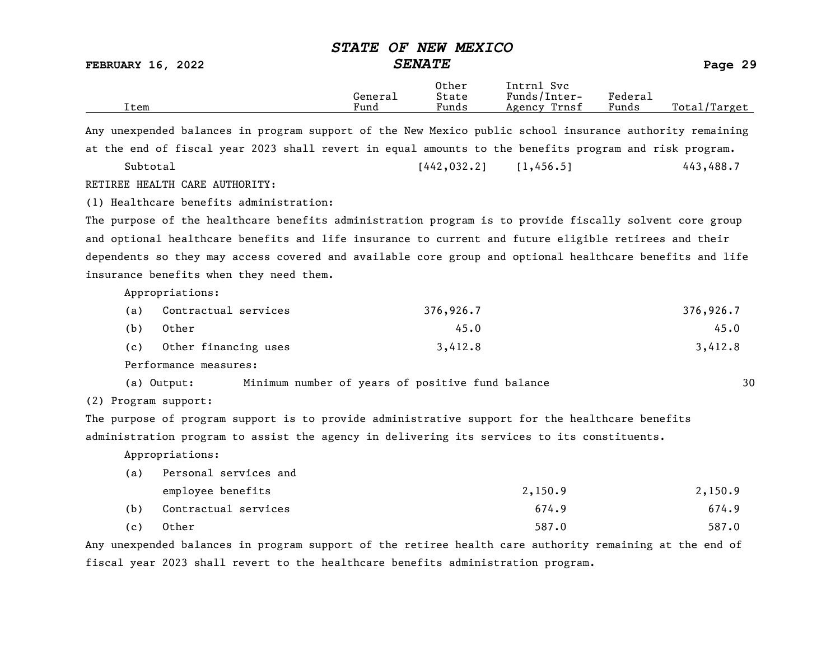FEBRUARY 16, 2022 SENATE Page 29

| Item                                                                                                     | General<br>Fund | Other<br>State<br>Funds | Intrnl Svc<br>Funds/Inter-<br>Agency Trnsf | Federal<br>Funds | Total/Target |
|----------------------------------------------------------------------------------------------------------|-----------------|-------------------------|--------------------------------------------|------------------|--------------|
| Any unexpended balances in program support of the New Mexico public school insurance authority remaining |                 |                         |                                            |                  |              |
| at the end of fiscal year 2023 shall revert in equal amounts to the benefits program and risk program.   |                 |                         |                                            |                  |              |
| Subtotal                                                                                                 |                 | 1442, 032, 21           | [1, 456, 5]                                |                  | 443,488.7    |
| RETIREE HEALTH CARE AUTHORITY:                                                                           |                 |                         |                                            |                  |              |
| (1) Healthcare benefits administration:                                                                  |                 |                         |                                            |                  |              |

The purpose of the healthcare benefits administration program is to provide fiscally solvent core group and optional healthcare benefits and life insurance to current and future eligible retirees and their dependents so they may access covered and available core group and optional healthcare benefits and life insurance benefits when they need them.

Appropriations:

| (a) | Contractual services | 376,926.7 | 376,926.7 |
|-----|----------------------|-----------|-----------|
| (b) | Other                | 45.0      | 45.0      |
| (c) | Other financing uses | 3,412.8   | 3,412.8   |

Performance measures:

(a) Output: Minimum number of years of positive fund balance 30

(2) Program support:

The purpose of program support is to provide administrative support for the healthcare benefits administration program to assist the agency in delivering its services to its constituents.

Appropriations:

| (a) | Personal services and |         |         |
|-----|-----------------------|---------|---------|
|     | employee benefits     | 2,150.9 | 2,150.9 |
| (b) | Contractual services  | 674.9   | 674.9   |
| (c) | Other                 | 587.0   | 587.0   |

Any unexpended balances in program support of the retiree health care authority remaining at the end of fiscal year 2023 shall revert to the healthcare benefits administration program.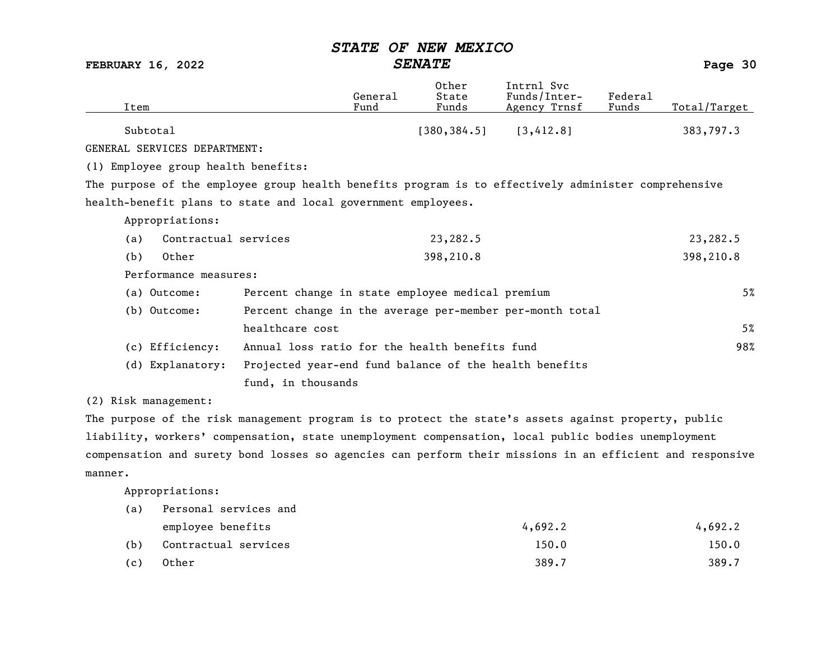FEBRUARY 16, 2022 SENATE Page 30

| Item                                                                                                 |                                                          | General<br>Fund | Other<br>State<br>Funds | Intrnl Svc<br>Funds/Inter-<br>Agency Trnsf | Federal<br>Funds | Total/Target |
|------------------------------------------------------------------------------------------------------|----------------------------------------------------------|-----------------|-------------------------|--------------------------------------------|------------------|--------------|
| Subtotal                                                                                             |                                                          |                 | [380, 384.5]            | [3, 412.8]                                 |                  | 383,797.3    |
| GENERAL SERVICES DEPARTMENT:                                                                         |                                                          |                 |                         |                                            |                  |              |
| (1) Employee group health benefits:                                                                  |                                                          |                 |                         |                                            |                  |              |
| The purpose of the employee group health benefits program is to effectively administer comprehensive |                                                          |                 |                         |                                            |                  |              |
| health-benefit plans to state and local government employees.                                        |                                                          |                 |                         |                                            |                  |              |
| Appropriations:                                                                                      |                                                          |                 |                         |                                            |                  |              |
| Contractual services<br>(a)                                                                          |                                                          |                 | 23,282.5                |                                            |                  | 23,282.5     |
| Other<br>(b)                                                                                         |                                                          |                 | 398,210.8               |                                            |                  | 398,210.8    |
| Performance measures:                                                                                |                                                          |                 |                         |                                            |                  |              |
| (a) Outcome:                                                                                         | Percent change in state employee medical premium         |                 |                         |                                            |                  | 5%           |
| (b) Outcome:                                                                                         | Percent change in the average per-member per-month total |                 |                         |                                            |                  |              |
|                                                                                                      | healthcare cost                                          |                 |                         |                                            |                  | 5%           |
| (c) Efficiency:                                                                                      | Annual loss ratio for the health benefits fund           |                 |                         |                                            |                  | 98%          |
| (d) Explanatory:                                                                                     | Projected year-end fund balance of the health benefits   |                 |                         |                                            |                  |              |
|                                                                                                      | fund, in thousands                                       |                 |                         |                                            |                  |              |
| (2) Risk management:                                                                                 |                                                          |                 |                         |                                            |                  |              |

The purpose of the risk management program is to protect the state's assets against property, public liability, workers' compensation, state unemployment compensation, local public bodies unemployment compensation and surety bond losses so agencies can perform their missions in an efficient and responsive manner.

| (a) | Personal services and |         |         |  |  |  |
|-----|-----------------------|---------|---------|--|--|--|
|     | employee benefits     | 4,692,2 | 4,692.2 |  |  |  |
| (b) | Contractual services  | 150.0   | 150.0   |  |  |  |
| (c) | Other                 | 389.7   | 389.7   |  |  |  |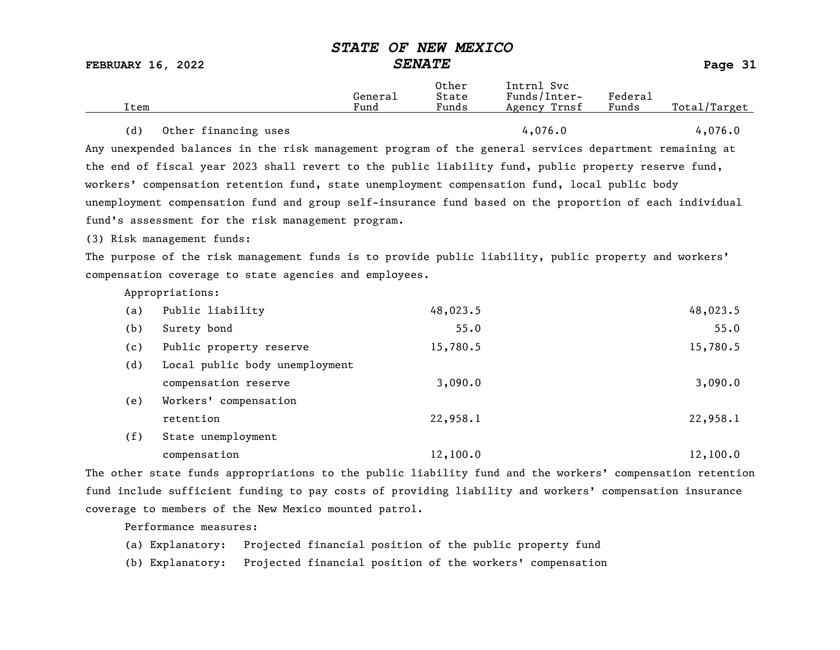FEBRUARY 16, 2022 SENATE Page 31 Other Intrnl Svc<br>General State Funds/Inter General State Funds/Inter- Federal Total/Target (d) Other financing uses  $4,076.0$   $4,076.0$   $4,076.0$ Any unexpended balances in the risk management program of the general services department remaining at the end of fiscal year 2023 shall revert to the public liability fund, public property reserve fund, workers' compensation retention fund, state unemployment compensation fund, local public body unemployment compensation fund and group self-insurance fund based on the proportion of each individual fund's assessment for the risk management program. (3) Risk management funds: The purpose of the risk management funds is to provide public liability, public property and workers' compensation coverage to state agencies and employees. Appropriations: (a) Public liability 48,023.5 48,023.5 (b) Surety bond 55.0 55.0 (c) Public property reserve 15,780.5 15,780.5 (d) Local public body unemployment compensation reserve 3,090.0 3,090.0 3,090.0 (e) Workers' compensation retention 22,958.1 22,958.1 (f) State unemployment compensation 12,100.0 12,100.0 12,100.0

The other state funds appropriations to the public liability fund and the workers' compensation retention fund include sufficient funding to pay costs of providing liability and workers' compensation insurance coverage to members of the New Mexico mounted patrol.

Performance measures:

(a) Explanatory: Projected financial position of the public property fund

(b) Explanatory: Projected financial position of the workers' compensation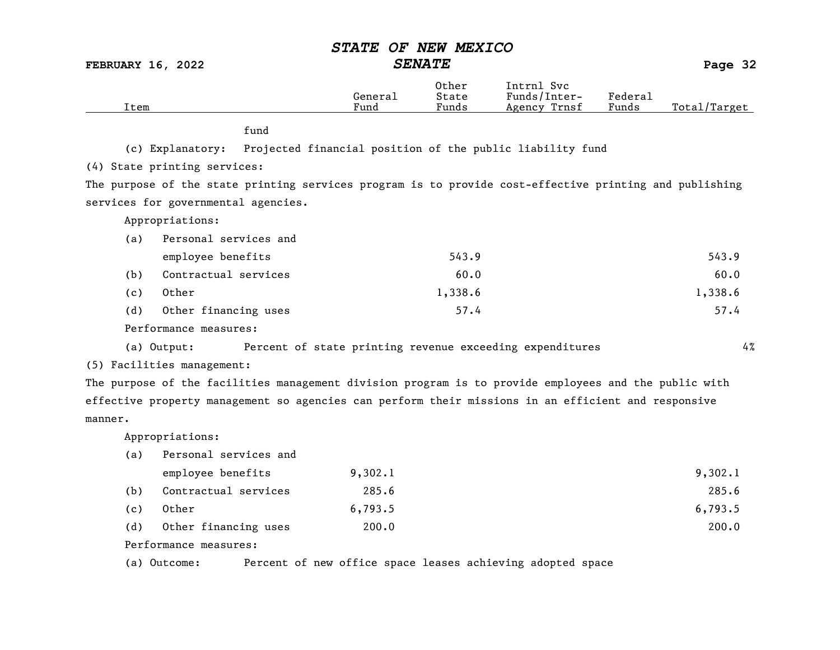FEBRUARY 16, 2022 SENATE Page 32

| Item    |                                     | General<br>Fund                                                                                         | Other<br>State<br>Funds | Intrnl Svc<br>Funds/Inter-<br>Agency Trnsf | Federal<br>Funds | Total/Target |
|---------|-------------------------------------|---------------------------------------------------------------------------------------------------------|-------------------------|--------------------------------------------|------------------|--------------|
|         | fund                                |                                                                                                         |                         |                                            |                  |              |
|         | (c) Explanatory:                    | Projected financial position of the public liability fund                                               |                         |                                            |                  |              |
|         | (4) State printing services:        |                                                                                                         |                         |                                            |                  |              |
|         |                                     | The purpose of the state printing services program is to provide cost-effective printing and publishing |                         |                                            |                  |              |
|         | services for governmental agencies. |                                                                                                         |                         |                                            |                  |              |
|         | Appropriations:                     |                                                                                                         |                         |                                            |                  |              |
| (a)     | Personal services and               |                                                                                                         |                         |                                            |                  |              |
|         | employee benefits                   |                                                                                                         | 543.9                   |                                            |                  | 543.9        |
| (b)     | Contractual services                |                                                                                                         | 60.0                    |                                            |                  | 60.0         |
| (c)     | Other                               |                                                                                                         | 1,338.6                 |                                            |                  | 1,338.6      |
| (d)     | Other financing uses                |                                                                                                         | 57.4                    |                                            |                  | 57.4         |
|         | Performance measures:               |                                                                                                         |                         |                                            |                  |              |
|         | (a) Output:                         | Percent of state printing revenue exceeding expenditures                                                |                         |                                            |                  | 4%           |
|         | (5) Facilities management:          |                                                                                                         |                         |                                            |                  |              |
|         |                                     | The purpose of the facilities management division program is to provide employees and the public with   |                         |                                            |                  |              |
|         |                                     | effective property management so agencies can perform their missions in an efficient and responsive     |                         |                                            |                  |              |
| manner. |                                     |                                                                                                         |                         |                                            |                  |              |
|         | Appropriations:                     |                                                                                                         |                         |                                            |                  |              |
| (a)     | Personal services and               |                                                                                                         |                         |                                            |                  |              |
|         | employee benefits                   | 9,302.1                                                                                                 |                         |                                            |                  | 9,302.1      |
| (b)     | Contractual services                | 285.6                                                                                                   |                         |                                            |                  | 285.6        |
| (c)     | Other                               | 6,793.5                                                                                                 |                         |                                            |                  | 6,793.5      |
| (d)     | Other financing uses                | 200.0                                                                                                   |                         |                                            |                  | 200.0        |
|         | Performance measures:               |                                                                                                         |                         |                                            |                  |              |

(a) Outcome: Percent of new office space leases achieving adopted space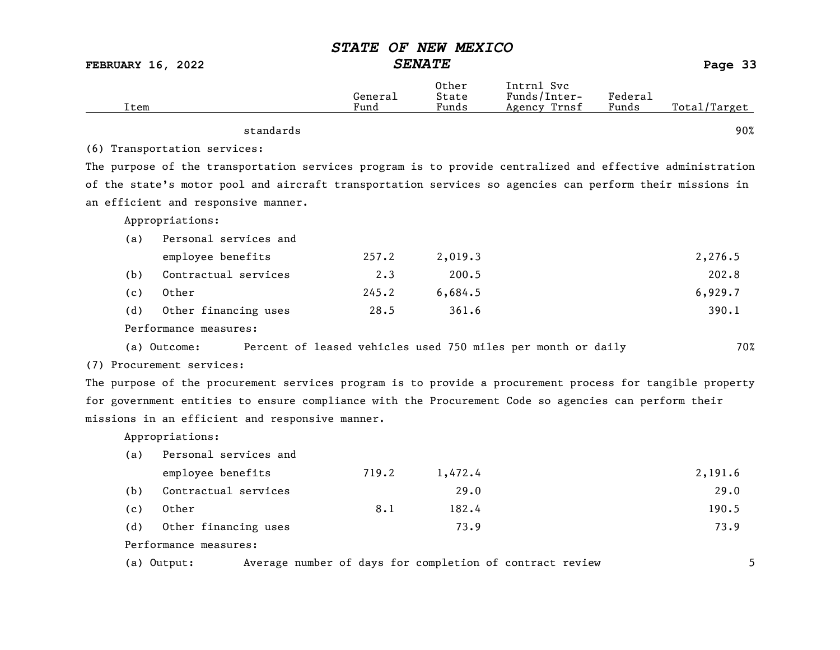| <b>SENATE</b><br><b>FEBRUARY 16, 2022</b> |                                                                                                           |                 | Page 33                 |                                                              |                  |              |
|-------------------------------------------|-----------------------------------------------------------------------------------------------------------|-----------------|-------------------------|--------------------------------------------------------------|------------------|--------------|
| Item                                      |                                                                                                           | General<br>Fund | Other<br>State<br>Funds | Intrnl Svc<br>Funds/Inter-<br>Agency Trnsf                   | Federal<br>Funds | Total/Target |
|                                           | standards                                                                                                 |                 |                         |                                                              |                  | 90%          |
|                                           | (6) Transportation services:                                                                              |                 |                         |                                                              |                  |              |
|                                           | The purpose of the transportation services program is to provide centralized and effective administration |                 |                         |                                                              |                  |              |
|                                           | of the state's motor pool and aircraft transportation services so agencies can perform their missions in  |                 |                         |                                                              |                  |              |
|                                           | an efficient and responsive manner.                                                                       |                 |                         |                                                              |                  |              |
|                                           | Appropriations:                                                                                           |                 |                         |                                                              |                  |              |
| (a)                                       | Personal services and                                                                                     |                 |                         |                                                              |                  |              |
|                                           | employee benefits                                                                                         | 257.2           | 2,019.3                 |                                                              |                  | 2,276.5      |
| (b)                                       | Contractual services                                                                                      | $2 \cdot 3$     | 200.5                   |                                                              |                  | 202.8        |
| (c)                                       | Other                                                                                                     | 245.2           | 6,684.5                 |                                                              |                  | 6,929.7      |
| (d)                                       | Other financing uses                                                                                      | 28.5            | 361.6                   |                                                              |                  | 390.1        |
|                                           | Performance measures:                                                                                     |                 |                         |                                                              |                  |              |
|                                           | (a) Outcome:                                                                                              |                 |                         | Percent of leased vehicles used 750 miles per month or daily |                  | 70%          |
|                                           | (7) Procurement services:                                                                                 |                 |                         |                                                              |                  |              |
|                                           | The purpose of the procurement services program is to provide a procurement process for tangible property |                 |                         |                                                              |                  |              |
|                                           | for government entities to ensure compliance with the Procurement Code so agencies can perform their      |                 |                         |                                                              |                  |              |
|                                           | missions in an efficient and responsive manner.                                                           |                 |                         |                                                              |                  |              |
|                                           | Appropriations:                                                                                           |                 |                         |                                                              |                  |              |
| (a)                                       | Personal services and                                                                                     |                 |                         |                                                              |                  |              |
|                                           | employee benefits                                                                                         | 719.2           | 1,472.4                 |                                                              |                  | 2,191.6      |
| (b)                                       | Contractual services                                                                                      |                 | 29.0                    |                                                              |                  | 29.0         |
| (c)                                       | Other                                                                                                     | 8.1             | 182.4                   |                                                              |                  | 190.5        |
| (d)                                       | Other financing uses                                                                                      |                 | 73.9                    |                                                              |                  | 73.9         |
|                                           | Performance measures:                                                                                     |                 |                         |                                                              |                  |              |
|                                           |                                                                                                           |                 |                         |                                                              |                  |              |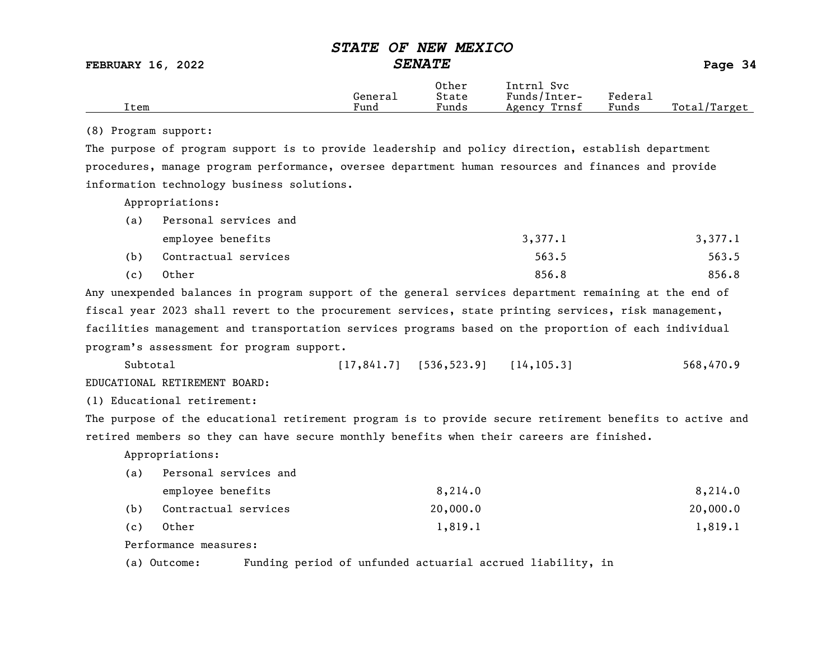|      |         | Other | Intrnl<br>Svc   |                             |                 |
|------|---------|-------|-----------------|-----------------------------|-----------------|
|      | General | State | Funds/Inter-    | ${}_{\rm \texttt{Federau}}$ |                 |
| Item | Fund    | Funds | Trnsf<br>Agency | Funds                       | Total<br>Target |

#### (8) Program support:

The purpose of program support is to provide leadership and policy direction, establish department procedures, manage program performance, oversee department human resources and finances and provide information technology business solutions.

Appropriations:

| (a) | Personal services and |         |         |
|-----|-----------------------|---------|---------|
|     | employee benefits     | 3,377.1 | 3,377.1 |
| (b) | Contractual services  | 563.5   | 563.5   |
| (c) | Other                 | 856.8   | 856.8   |

Any unexpended balances in program support of the general services department remaining at the end of fiscal year 2023 shall revert to the procurement services, state printing services, risk management, facilities management and transportation services programs based on the proportion of each individual program's assessment for program support.

Subtotal [17,841.7] [536,523.9] [14,105.3] 568,470.9 EDUCATIONAL RETIREMENT BOARD:

(1) Educational retirement:

The purpose of the educational retirement program is to provide secure retirement benefits to active and retired members so they can have secure monthly benefits when their careers are finished.

Appropriations:

(a) Personal services and

|     | employee benefits    | 8,214.0  | 8,214.0  |
|-----|----------------------|----------|----------|
| (b) | Contractual services | 20,000,0 | 20,000.0 |
| (c) | Other                | 1,819.1  | 1,819.1  |

Performance measures:

(a) Outcome: Funding period of unfunded actuarial accrued liability, in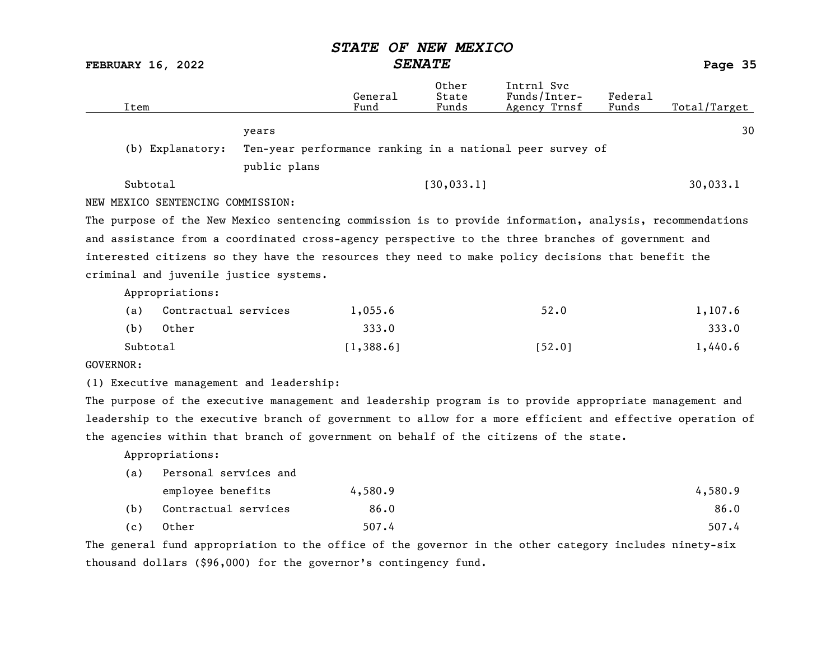FEBRUARY 16, 2022 SENATE Page 35

| Item                              |                       |                                                                  | General<br>Fund | Other<br>State<br>Funds | Intrnl Svc<br>Funds/Inter-<br>Agency Trnsf                                                                | Federal<br>Funds | Total/Target |
|-----------------------------------|-----------------------|------------------------------------------------------------------|-----------------|-------------------------|-----------------------------------------------------------------------------------------------------------|------------------|--------------|
|                                   |                       | years                                                            |                 |                         |                                                                                                           |                  | 30           |
|                                   | (b) Explanatory:      |                                                                  |                 |                         | Ten-year performance ranking in a national peer survey of                                                 |                  |              |
|                                   |                       | public plans                                                     |                 |                         |                                                                                                           |                  |              |
| Subtotal                          |                       |                                                                  |                 | [30, 033.1]             |                                                                                                           |                  | 30,033.1     |
| NEW MEXICO SENTENCING COMMISSION: |                       |                                                                  |                 |                         |                                                                                                           |                  |              |
|                                   |                       |                                                                  |                 |                         | The purpose of the New Mexico sentencing commission is to provide information, analysis, recommendations  |                  |              |
|                                   |                       |                                                                  |                 |                         | and assistance from a coordinated cross-agency perspective to the three branches of government and        |                  |              |
|                                   |                       |                                                                  |                 |                         | interested citizens so they have the resources they need to make policy decisions that benefit the        |                  |              |
|                                   |                       | criminal and juvenile justice systems.                           |                 |                         |                                                                                                           |                  |              |
|                                   | Appropriations:       |                                                                  |                 |                         |                                                                                                           |                  |              |
| (a)                               | Contractual services  |                                                                  | 1,055.6         |                         | 52.0                                                                                                      |                  | 1,107.6      |
| (b)                               | Other                 |                                                                  | 333.0           |                         |                                                                                                           |                  | 333.0        |
| Subtotal                          |                       |                                                                  | [1, 388.6]      |                         | [52.0]                                                                                                    |                  | 1,440.6      |
| GOVERNOR:                         |                       |                                                                  |                 |                         |                                                                                                           |                  |              |
|                                   |                       | (1) Executive management and leadership:                         |                 |                         |                                                                                                           |                  |              |
|                                   |                       |                                                                  |                 |                         | The purpose of the executive management and leadership program is to provide appropriate management and   |                  |              |
|                                   |                       |                                                                  |                 |                         | leadership to the executive branch of government to allow for a more efficient and effective operation of |                  |              |
|                                   |                       |                                                                  |                 |                         | the agencies within that branch of government on behalf of the citizens of the state.                     |                  |              |
|                                   | Appropriations:       |                                                                  |                 |                         |                                                                                                           |                  |              |
| (a)                               | Personal services and |                                                                  |                 |                         |                                                                                                           |                  |              |
|                                   | employee benefits     |                                                                  | 4,580.9         |                         |                                                                                                           |                  | 4,580.9      |
| (b)                               | Contractual services  |                                                                  | 86.0            |                         |                                                                                                           |                  | 86.0         |
| (c)                               | Other                 |                                                                  | 507.4           |                         |                                                                                                           |                  | 507.4        |
|                                   |                       |                                                                  |                 |                         | The general fund appropriation to the office of the governor in the other category includes ninety-six    |                  |              |
|                                   |                       | thousand dollars (\$96,000) for the governor's contingency fund. |                 |                         |                                                                                                           |                  |              |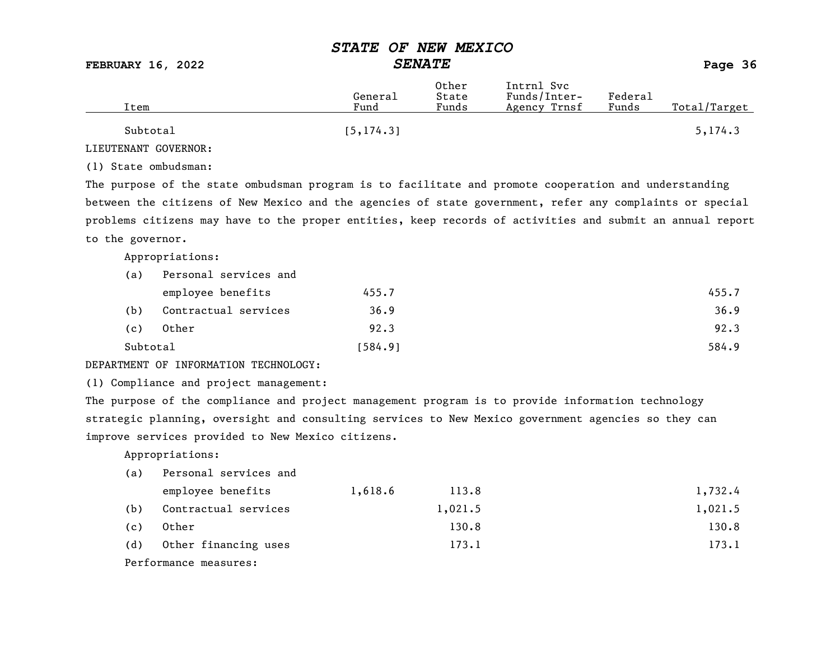# STATE OF NEW MEXICO<br>SENATE

FEBRUARY 16, 2022 SENATE SENATE

| Item     | General<br>Fund | Other<br>State<br>Funds | Intrnl Svc<br>Funds/Inter-<br>Agency Trnsf | Federal<br>Funds | Total/Target |
|----------|-----------------|-------------------------|--------------------------------------------|------------------|--------------|
| Subtotal | [5, 174.3]      |                         |                                            |                  | 5, 174.3     |

LIEUTENANT GOVERNOR:

(1) State ombudsman:

The purpose of the state ombudsman program is to facilitate and promote cooperation and understanding between the citizens of New Mexico and the agencies of state government, refer any complaints or special problems citizens may have to the proper entities, keep records of activities and submit an annual report to the governor.

Appropriations:

| (a)      | Personal services and |         |       |
|----------|-----------------------|---------|-------|
|          | employee benefits     | 455.7   | 455.7 |
| (b)      | Contractual services  | 36.9    | 36.9  |
| (c)      | Other                 | 92.3    | 92.3  |
| Subtotal |                       | [584.9] | 584.9 |

#### DEPARTMENT OF INFORMATION TECHNOLOGY:

(1) Compliance and project management:

The purpose of the compliance and project management program is to provide information technology strategic planning, oversight and consulting services to New Mexico government agencies so they can improve services provided to New Mexico citizens.

| (a) | Personal services and |         |         |         |
|-----|-----------------------|---------|---------|---------|
|     | employee benefits     | 1,618.6 | 113.8   | 1,732.4 |
| (b) | Contractual services  |         | 1,021.5 | 1,021.5 |
| (c) | Other                 |         | 130.8   | 130.8   |
| (d) | Other financing uses  |         | 173.1   | 173.1   |
|     | Performance measures: |         |         |         |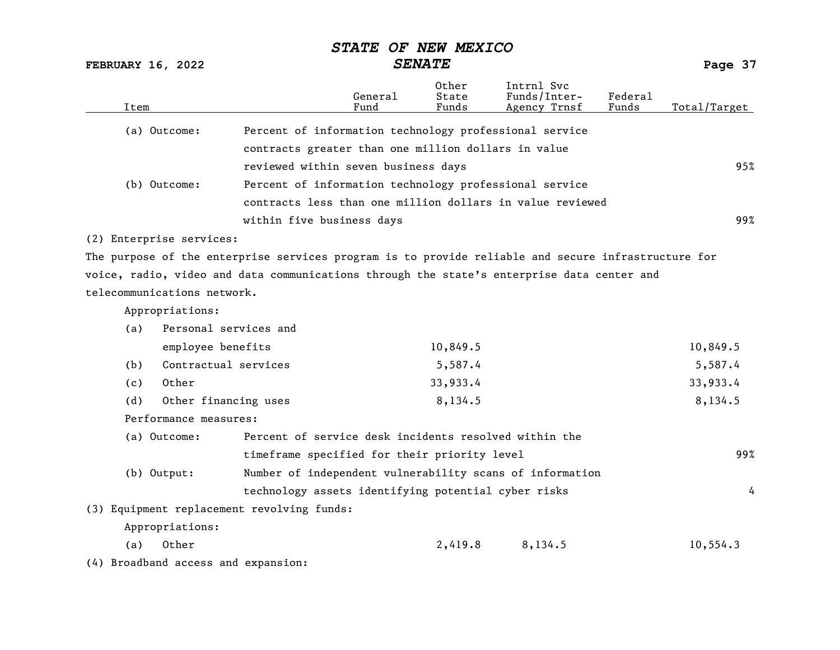FEBRUARY 16, 2022 SENATE Page 37

| Item |                                     |                                                                                                     | General<br>Fund | Other<br>State<br>Funds | Intrnl Svc<br>Funds/Inter-<br>Agency Trnsf | Federal<br>Funds | Total/Target |
|------|-------------------------------------|-----------------------------------------------------------------------------------------------------|-----------------|-------------------------|--------------------------------------------|------------------|--------------|
|      | (a) Outcome:                        | Percent of information technology professional service                                              |                 |                         |                                            |                  |              |
|      |                                     | contracts greater than one million dollars in value                                                 |                 |                         |                                            |                  |              |
|      |                                     | reviewed within seven business days                                                                 |                 |                         |                                            |                  | 95%          |
|      | (b) Outcome:                        | Percent of information technology professional service                                              |                 |                         |                                            |                  |              |
|      |                                     | contracts less than one million dollars in value reviewed                                           |                 |                         |                                            |                  |              |
|      |                                     |                                                                                                     |                 |                         |                                            |                  |              |
|      |                                     | within five business days                                                                           |                 |                         |                                            |                  | 99%          |
|      | (2) Enterprise services:            |                                                                                                     |                 |                         |                                            |                  |              |
|      |                                     | The purpose of the enterprise services program is to provide reliable and secure infrastructure for |                 |                         |                                            |                  |              |
|      |                                     | voice, radio, video and data communications through the state's enterprise data center and          |                 |                         |                                            |                  |              |
|      | telecommunications network.         |                                                                                                     |                 |                         |                                            |                  |              |
|      | Appropriations:                     |                                                                                                     |                 |                         |                                            |                  |              |
| (a)  | Personal services and               |                                                                                                     |                 |                         |                                            |                  |              |
|      | employee benefits                   |                                                                                                     |                 | 10,849.5                |                                            |                  | 10,849.5     |
| (b)  | Contractual services                |                                                                                                     |                 | 5,587.4                 |                                            |                  | 5,587.4      |
| (c)  | Other                               |                                                                                                     |                 | 33,933.4                |                                            |                  | 33,933.4     |
| (d)  | Other financing uses                |                                                                                                     |                 | 8,134.5                 |                                            |                  | 8,134.5      |
|      | Performance measures:               |                                                                                                     |                 |                         |                                            |                  |              |
|      | (a) Outcome:                        | Percent of service desk incidents resolved within the                                               |                 |                         |                                            |                  |              |
|      |                                     | timeframe specified for their priority level                                                        |                 |                         |                                            |                  | 99%          |
|      | (b) Output:                         | Number of independent vulnerability scans of information                                            |                 |                         |                                            |                  |              |
|      |                                     |                                                                                                     |                 |                         |                                            |                  | 4            |
|      |                                     | technology assets identifying potential cyber risks                                                 |                 |                         |                                            |                  |              |
|      |                                     | (3) Equipment replacement revolving funds:                                                          |                 |                         |                                            |                  |              |
|      | Appropriations:                     |                                                                                                     |                 |                         |                                            |                  |              |
| (a)  | Other                               |                                                                                                     |                 | 2,419.8                 | 8,134.5                                    |                  | 10, 554.3    |
|      | (4) Broadband access and expansion: |                                                                                                     |                 |                         |                                            |                  |              |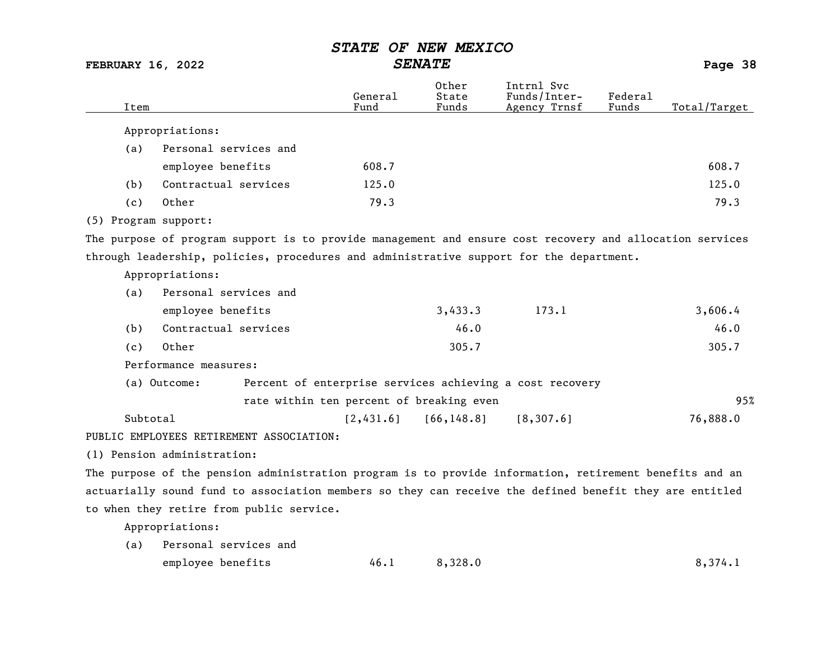FEBRUARY 16, 2022 SENATE Page 38

| Item                 |                                                                                                          | General<br>Fund | Other<br>State<br>Funds | Intrnl Svc<br>Funds/Inter-<br>Agency Trnsf               | Federal<br>Funds | Total/Target |
|----------------------|----------------------------------------------------------------------------------------------------------|-----------------|-------------------------|----------------------------------------------------------|------------------|--------------|
|                      | Appropriations:                                                                                          |                 |                         |                                                          |                  |              |
| (a)                  | Personal services and                                                                                    |                 |                         |                                                          |                  |              |
|                      | employee benefits                                                                                        | 608.7           |                         |                                                          |                  | 608.7        |
| (b)                  | Contractual services                                                                                     | 125.0           |                         |                                                          |                  | 125.0        |
| (c)                  | Other                                                                                                    | 79.3            |                         |                                                          |                  | 79.3         |
| (5) Program support: |                                                                                                          |                 |                         |                                                          |                  |              |
|                      | The purpose of program support is to provide management and ensure cost recovery and allocation services |                 |                         |                                                          |                  |              |
|                      | through leadership, policies, procedures and administrative support for the department.                  |                 |                         |                                                          |                  |              |
|                      | Appropriations:                                                                                          |                 |                         |                                                          |                  |              |
| (a)                  | Personal services and                                                                                    |                 |                         |                                                          |                  |              |
|                      | employee benefits                                                                                        |                 | 3,433.3                 | 173.1                                                    |                  | 3,606.4      |
| (b)                  | Contractual services                                                                                     |                 | 46.0                    |                                                          |                  | 46.0         |
| (c)                  | Other                                                                                                    |                 | 305.7                   |                                                          |                  | 305.7        |
|                      | Performance measures:                                                                                    |                 |                         |                                                          |                  |              |
|                      | (a) Outcome:                                                                                             |                 |                         | Percent of enterprise services achieving a cost recovery |                  |              |
|                      | rate within ten percent of breaking even                                                                 |                 |                         |                                                          |                  | 95%          |
| Subtotal             |                                                                                                          | [2,431.6]       | [66, 148.8]             | [8, 307.6]                                               |                  | 76,888.0     |
|                      | PUBLIC EMPLOYEES RETIREMENT ASSOCIATION:                                                                 |                 |                         |                                                          |                  |              |
|                      | (1) Pension administration:                                                                              |                 |                         |                                                          |                  |              |
|                      | The purpose of the pension administration program is to provide information, retirement benefits and an  |                 |                         |                                                          |                  |              |

actuarially sound fund to association members so they can receive the defined benefit they are entitled to when they retire from public service.

Appropriations:

| (a) Personal services and |      |         |         |  |  |
|---------------------------|------|---------|---------|--|--|
| employee benefits         | 46.1 | 8,328.0 | 8,374.1 |  |  |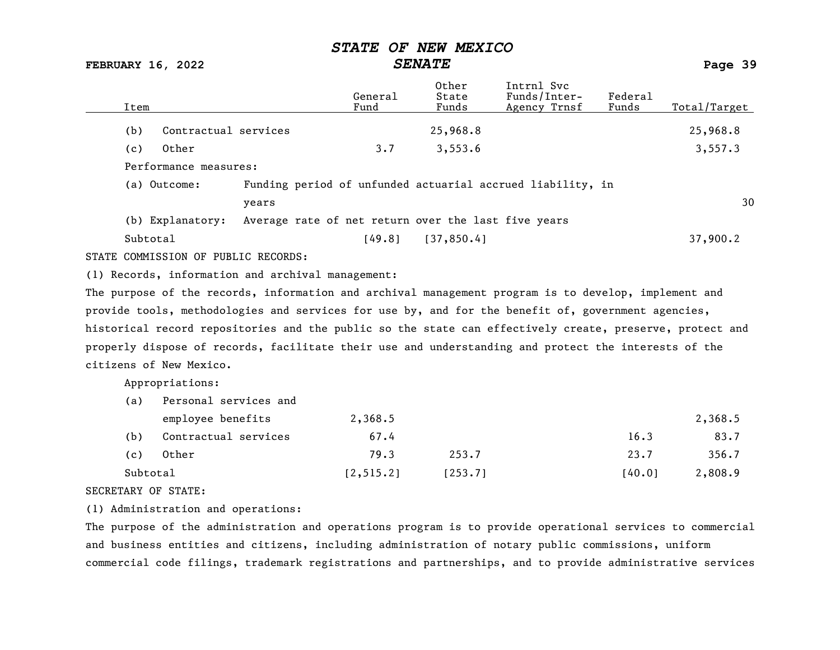FEBRUARY 16, 2022 SENATE Page 39

| Item                                                                                                      |                                                     | General<br>Fund | Other<br>State<br>Funds | Intrnl Svc<br>Funds/Inter-<br>Agency Trnsf                 | Federal<br>Funds | Total/Target |
|-----------------------------------------------------------------------------------------------------------|-----------------------------------------------------|-----------------|-------------------------|------------------------------------------------------------|------------------|--------------|
| (b)                                                                                                       | Contractual services                                |                 | 25,968.8                |                                                            |                  | 25,968.8     |
| Other<br>(c)                                                                                              |                                                     | 3.7             | 3,553.6                 |                                                            |                  | 3,557.3      |
| Performance measures:                                                                                     |                                                     |                 |                         |                                                            |                  |              |
| (a) Outcome:                                                                                              |                                                     |                 |                         | Funding period of unfunded actuarial accrued liability, in |                  |              |
|                                                                                                           | years                                               |                 |                         |                                                            |                  | 30           |
| (b) Explanatory:                                                                                          | Average rate of net return over the last five years |                 |                         |                                                            |                  |              |
| Subtotal                                                                                                  |                                                     | [49.8]          | [37, 850.4]             |                                                            |                  | 37,900.2     |
| STATE COMMISSION OF PUBLIC RECORDS:                                                                       |                                                     |                 |                         |                                                            |                  |              |
| (1) Records, information and archival management:                                                         |                                                     |                 |                         |                                                            |                  |              |
| The purpose of the records, information and archival management program is to develop, implement and      |                                                     |                 |                         |                                                            |                  |              |
| provide tools, methodologies and services for use by, and for the benefit of, government agencies,        |                                                     |                 |                         |                                                            |                  |              |
| historical record repositories and the public so the state can effectively create, preserve, protect and  |                                                     |                 |                         |                                                            |                  |              |
| properly dispose of records, facilitate their use and understanding and protect the interests of the      |                                                     |                 |                         |                                                            |                  |              |
| citizens of New Mexico.                                                                                   |                                                     |                 |                         |                                                            |                  |              |
| Appropriations:                                                                                           |                                                     |                 |                         |                                                            |                  |              |
| (a)                                                                                                       | Personal services and                               |                 |                         |                                                            |                  |              |
| employee benefits                                                                                         |                                                     | 2,368.5         |                         |                                                            |                  | 2,368.5      |
| (b)                                                                                                       | Contractual services                                | 67.4            |                         |                                                            | 16.3             | 83.7         |
| Other<br>(c)                                                                                              |                                                     | 79.3            | 253.7                   |                                                            | 23.7             | 356.7        |
| Subtotal                                                                                                  |                                                     | [2, 515.2]      | [253.7]                 |                                                            | [40.0]           | 2,808.9      |
| SECRETARY OF STATE:                                                                                       |                                                     |                 |                         |                                                            |                  |              |
| (1) Administration and operations:                                                                        |                                                     |                 |                         |                                                            |                  |              |
| The purpose of the administration and operations program is to provide operational services to commercial |                                                     |                 |                         |                                                            |                  |              |
| and business entities and citizens, including administration of notary public commissions, uniform        |                                                     |                 |                         |                                                            |                  |              |

commercial code filings, trademark registrations and partnerships, and to provide administrative services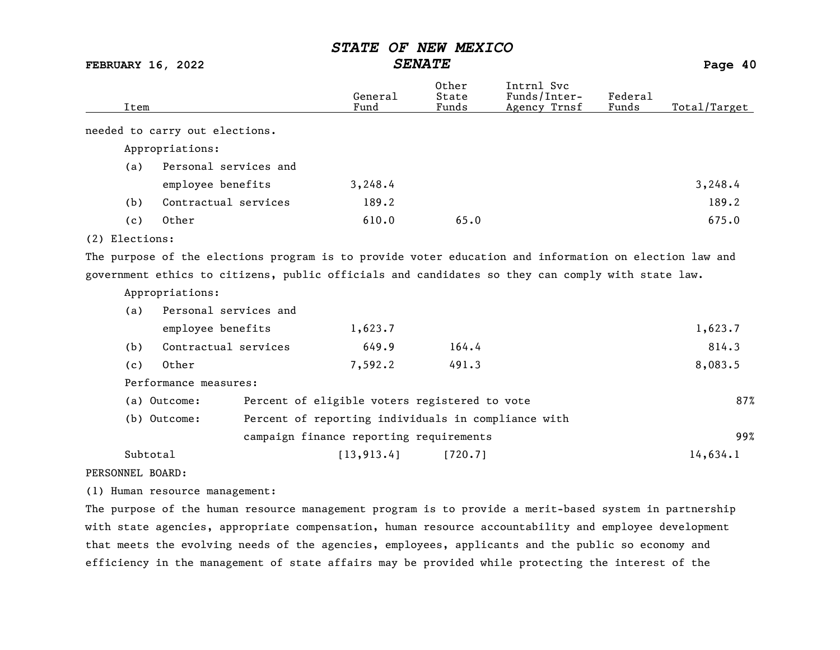FEBRUARY 16, 2022 SENATE Page 40

| Item             |                                | General<br>Fund                                     | Other<br>State<br>Funds | Intrnl Svc<br>Funds/Inter-<br>Agency Trnsf                                                             | Federal<br>Funds | Total/Target |
|------------------|--------------------------------|-----------------------------------------------------|-------------------------|--------------------------------------------------------------------------------------------------------|------------------|--------------|
|                  | needed to carry out elections. |                                                     |                         |                                                                                                        |                  |              |
|                  | Appropriations:                |                                                     |                         |                                                                                                        |                  |              |
| (a)              | Personal services and          |                                                     |                         |                                                                                                        |                  |              |
|                  | employee benefits              | 3,248.4                                             |                         |                                                                                                        |                  | 3,248.4      |
| (b)              | Contractual services           | 189.2                                               |                         |                                                                                                        |                  | 189.2        |
| (c)              | Other                          | 610.0                                               | 65.0                    |                                                                                                        |                  | 675.0        |
| (2) Elections:   |                                |                                                     |                         |                                                                                                        |                  |              |
|                  |                                |                                                     |                         | The purpose of the elections program is to provide voter education and information on election law and |                  |              |
|                  |                                |                                                     |                         | government ethics to citizens, public officials and candidates so they can comply with state law.      |                  |              |
|                  | Appropriations:                |                                                     |                         |                                                                                                        |                  |              |
| (a)              | Personal services and          |                                                     |                         |                                                                                                        |                  |              |
|                  | employee benefits              | 1,623.7                                             |                         |                                                                                                        |                  | 1,623.7      |
| (b)              | Contractual services           | 649.9                                               | 164.4                   |                                                                                                        |                  | 814.3        |
| (c)              | Other                          | 7,592.2                                             | 491.3                   |                                                                                                        |                  | 8,083.5      |
|                  | Performance measures:          |                                                     |                         |                                                                                                        |                  |              |
|                  | (a) Outcome:                   | Percent of eligible voters registered to vote       |                         |                                                                                                        |                  | 87%          |
|                  | (b) Outcome:                   | Percent of reporting individuals in compliance with |                         |                                                                                                        |                  |              |
|                  |                                | campaign finance reporting requirements             |                         |                                                                                                        |                  | 99%          |
|                  | Subtotal                       | [13, 913.4]                                         | [720.7]                 |                                                                                                        |                  | 14,634.1     |
| PERSONNEL BOARD: |                                |                                                     |                         |                                                                                                        |                  |              |

(1) Human resource management:

The purpose of the human resource management program is to provide a merit-based system in partnership with state agencies, appropriate compensation, human resource accountability and employee development that meets the evolving needs of the agencies, employees, applicants and the public so economy and efficiency in the management of state affairs may be provided while protecting the interest of the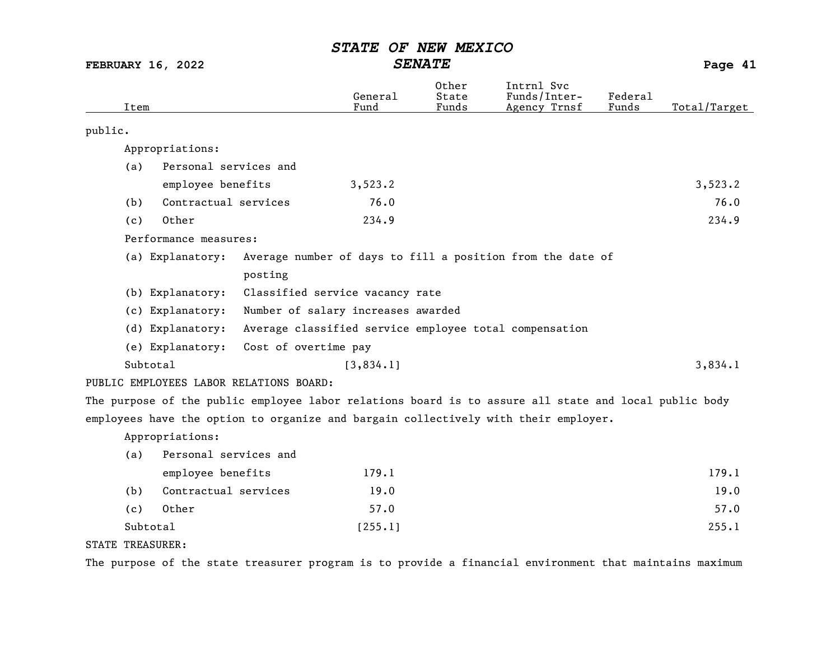FEBRUARY 16, 2022 SENATE Page 41

| Item                                                                                                  | General<br>Fund                                            | Other<br>State<br>Funds | Intrnl Svc<br>Funds/Inter-<br>Agency Trnsf | Federal<br>Funds | Total/Target |
|-------------------------------------------------------------------------------------------------------|------------------------------------------------------------|-------------------------|--------------------------------------------|------------------|--------------|
| public.                                                                                               |                                                            |                         |                                            |                  |              |
| Appropriations:                                                                                       |                                                            |                         |                                            |                  |              |
| Personal services and<br>(a)                                                                          |                                                            |                         |                                            |                  |              |
| employee benefits                                                                                     | 3,523.2                                                    |                         |                                            |                  | 3,523.2      |
| Contractual services<br>(b)                                                                           | 76.0                                                       |                         |                                            |                  | 76.0         |
| Other<br>(c)                                                                                          | 234.9                                                      |                         |                                            |                  | 234.9        |
| Performance measures:                                                                                 |                                                            |                         |                                            |                  |              |
| (a) Explanatory:                                                                                      | Average number of days to fill a position from the date of |                         |                                            |                  |              |
| posting                                                                                               |                                                            |                         |                                            |                  |              |
| (b) Explanatory:                                                                                      | Classified service vacancy rate                            |                         |                                            |                  |              |
| (c) Explanatory:                                                                                      | Number of salary increases awarded                         |                         |                                            |                  |              |
| (d) Explanatory:                                                                                      | Average classified service employee total compensation     |                         |                                            |                  |              |
| (e) Explanatory:                                                                                      | Cost of overtime pay                                       |                         |                                            |                  |              |
| Subtotal                                                                                              | [3, 834.1]                                                 |                         |                                            |                  | 3,834.1      |
| PUBLIC EMPLOYEES LABOR RELATIONS BOARD:                                                               |                                                            |                         |                                            |                  |              |
| The purpose of the public employee labor relations board is to assure all state and local public body |                                                            |                         |                                            |                  |              |
| employees have the option to organize and bargain collectively with their employer.                   |                                                            |                         |                                            |                  |              |
| Appropriations:                                                                                       |                                                            |                         |                                            |                  |              |
| Personal services and<br>(a)                                                                          |                                                            |                         |                                            |                  |              |
| employee benefits                                                                                     | 179.1                                                      |                         |                                            |                  | 179.1        |
| Contractual services<br>(b)                                                                           | 19.0                                                       |                         |                                            |                  | 19.0         |

(c) Other 57.0 57.0 Subtotal [255.1] 255.1]

### STATE TREASURER:

The purpose of the state treasurer program is to provide a financial environment that maintains maximum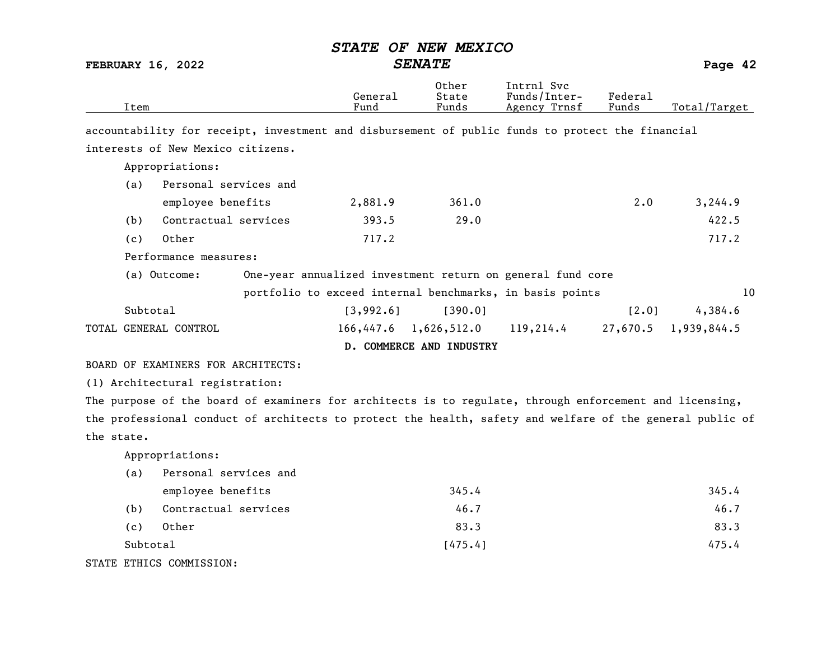FEBRUARY 16, 2022 SENATE Page 42

| Item                                                                                                    | General<br>Fund | Other<br>State<br>Funds | Intrnl Svc<br>Funds/Inter-<br><u>Agency Trnsf</u>          | Federal<br>Funds | Total/Target         |  |  |  |
|---------------------------------------------------------------------------------------------------------|-----------------|-------------------------|------------------------------------------------------------|------------------|----------------------|--|--|--|
| accountability for receipt, investment and disbursement of public funds to protect the financial        |                 |                         |                                                            |                  |                      |  |  |  |
| interests of New Mexico citizens.                                                                       |                 |                         |                                                            |                  |                      |  |  |  |
| Appropriations:                                                                                         |                 |                         |                                                            |                  |                      |  |  |  |
| Personal services and<br>(a)                                                                            |                 |                         |                                                            |                  |                      |  |  |  |
| employee benefits                                                                                       | 2,881.9         | 361.0                   |                                                            | $2 \cdot 0$      | 3,244.9              |  |  |  |
| Contractual services<br>(b)                                                                             | 393.5           | 29.0                    |                                                            |                  | 422.5                |  |  |  |
| Other<br>(c)                                                                                            | 717.2           |                         |                                                            |                  | 717.2                |  |  |  |
| Performance measures:                                                                                   |                 |                         |                                                            |                  |                      |  |  |  |
| (a) Outcome:                                                                                            |                 |                         | One-year annualized investment return on general fund core |                  |                      |  |  |  |
|                                                                                                         |                 |                         | portfolio to exceed internal benchmarks, in basis points   |                  | 10                   |  |  |  |
| Subtotal                                                                                                | [3,992.6]       | [390.0]                 |                                                            | [2.0]            | 4,384.6              |  |  |  |
| TOTAL GENERAL CONTROL                                                                                   |                 | $166,447.6$ 1,626,512.0 | 119,214.4                                                  |                  | 27,670.5 1,939,844.5 |  |  |  |
| D. COMMERCE AND INDUSTRY                                                                                |                 |                         |                                                            |                  |                      |  |  |  |
| BOARD OF EXAMINERS FOR ARCHITECTS:                                                                      |                 |                         |                                                            |                  |                      |  |  |  |
| (1) Architectural registration:                                                                         |                 |                         |                                                            |                  |                      |  |  |  |
| The purpose of the board of examiners for architects is to regulate, through enforcement and licensing, |                 |                         |                                                            |                  |                      |  |  |  |

the professional conduct of architects to protect the health, safety and welfare of the general public of the state.

Appropriations:

| (a)      | Personal services and  |         |       |  |  |  |
|----------|------------------------|---------|-------|--|--|--|
|          | employee benefits      | 345.4   | 345.4 |  |  |  |
| (b)      | Contractual services   | 46.7    | 46.7  |  |  |  |
| (c)      | Other                  | 83.3    | 83.3  |  |  |  |
| Subtotal |                        | [475.4] | 475.4 |  |  |  |
|          | PR PRUTZOO OOIBITOOTOM |         |       |  |  |  |

STATE ETHICS COMMISSION: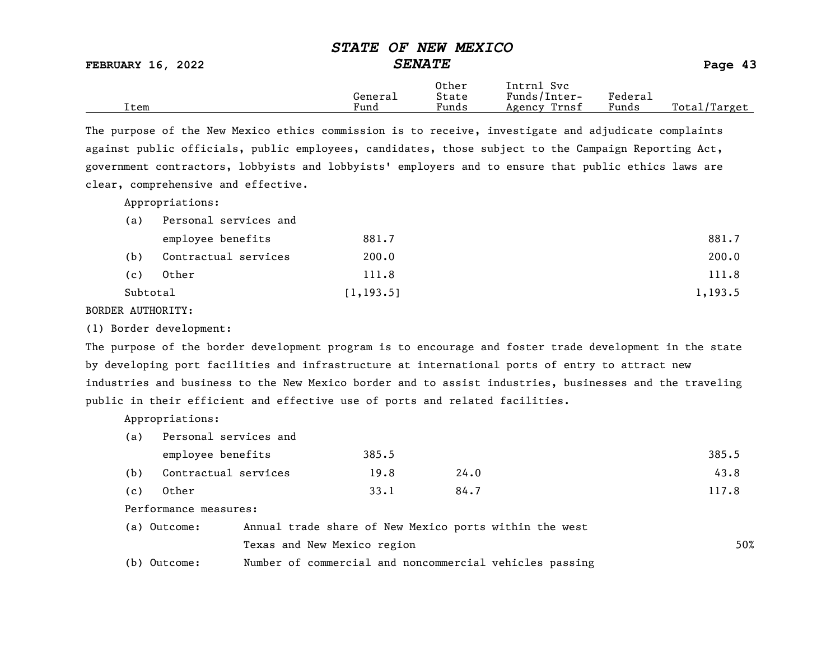FEBRUARY 16, 2022 SENATE SENATE

|      | Genera⊥ | Other<br>State | Svc<br>ntrnl:<br>Funds/Inter- | Federau |                                |
|------|---------|----------------|-------------------------------|---------|--------------------------------|
| Item | Fund    | Funds          | Trnsf<br>Agency               | Funds   | Total <sub>l</sub><br>'Target' |

The purpose of the New Mexico ethics commission is to receive, investigate and adjudicate complaints against public officials, public employees, candidates, those subject to the Campaign Reporting Act, government contractors, lobbyists and lobbyists' employers and to ensure that public ethics laws are clear, comprehensive and effective.

Appropriations:

| (a)      | Personal services and |            |         |  |  |
|----------|-----------------------|------------|---------|--|--|
|          | employee benefits     | 881.7      | 881.7   |  |  |
| (b)      | Contractual services  | 200.0      | 200.0   |  |  |
| (c)      | Other                 | 111.8      | 111.8   |  |  |
| Subtotal |                       | [1, 193.5] | 1,193.5 |  |  |

BORDER AUTHORITY:

(1) Border development:

The purpose of the border development program is to encourage and foster trade development in the state by developing port facilities and infrastructure at international ports of entry to attract new industries and business to the New Mexico border and to assist industries, businesses and the traveling public in their efficient and effective use of ports and related facilities.

Appropriations:

(a) Personal services and

|     | employee benefits    | 385.5 |      | 385.5 |
|-----|----------------------|-------|------|-------|
| (b) | Contractual services | 19.8  | 24.0 | 43.8  |
| (c) | Other                | 33.1  | 84.7 | 117.8 |

Performance measures:

| (a) Outcome: | Annual trade share of New Mexico ports within the west  |     |
|--------------|---------------------------------------------------------|-----|
|              | Texas and New Mexico region                             | 50% |
| (b) Outcome: | Number of commercial and noncommercial vehicles passing |     |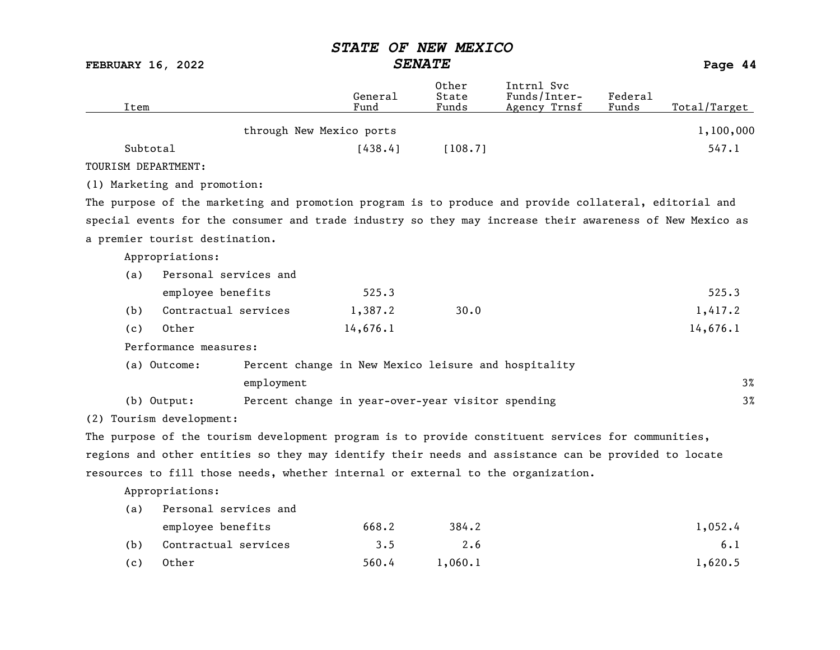FEBRUARY 16, 2022 SENATE Page 44

| Item                |                                |                                                      | General<br>Fund | Other<br>State<br>Funds | Intrnl Svc<br>Funds/Inter-<br>Agency Trnsf                                                               | Federal<br>Funds | Total/Target |
|---------------------|--------------------------------|------------------------------------------------------|-----------------|-------------------------|----------------------------------------------------------------------------------------------------------|------------------|--------------|
|                     |                                | through New Mexico ports                             |                 |                         |                                                                                                          |                  | 1,100,000    |
| Subtotal            |                                |                                                      | [438.4]         | [108.7]                 |                                                                                                          |                  | 547.1        |
| TOURISM DEPARTMENT: |                                |                                                      |                 |                         |                                                                                                          |                  |              |
|                     | (1) Marketing and promotion:   |                                                      |                 |                         |                                                                                                          |                  |              |
|                     |                                |                                                      |                 |                         | The purpose of the marketing and promotion program is to produce and provide collateral, editorial and   |                  |              |
|                     |                                |                                                      |                 |                         | special events for the consumer and trade industry so they may increase their awareness of New Mexico as |                  |              |
|                     | a premier tourist destination. |                                                      |                 |                         |                                                                                                          |                  |              |
|                     | Appropriations:                |                                                      |                 |                         |                                                                                                          |                  |              |
| (a)                 | Personal services and          |                                                      |                 |                         |                                                                                                          |                  |              |
|                     | employee benefits              |                                                      | 525.3           |                         |                                                                                                          |                  | 525.3        |
| (b)                 | Contractual services           |                                                      | 1,387.2         | 30.0                    |                                                                                                          |                  | 1,417.2      |
| (c)                 | Other                          |                                                      | 14,676.1        |                         |                                                                                                          |                  | 14,676.1     |
|                     | Performance measures:          |                                                      |                 |                         |                                                                                                          |                  |              |
|                     | (a) Outcome:                   | Percent change in New Mexico leisure and hospitality |                 |                         |                                                                                                          |                  |              |
|                     |                                | employment                                           |                 |                         |                                                                                                          |                  | $3\%$        |
|                     | (b) Output:                    | Percent change in year-over-year visitor spending    |                 |                         |                                                                                                          |                  | $3\%$        |
|                     | (2) Tourism development:       |                                                      |                 |                         |                                                                                                          |                  |              |
|                     |                                |                                                      |                 |                         | The purpose of the tourism development program is to provide constituent services for communities,       |                  |              |
|                     |                                |                                                      |                 |                         | regions and other entities so they may identify their needs and assistance can be provided to locate     |                  |              |
|                     |                                |                                                      |                 |                         | resources to fill those needs, whether internal or external to the organization.                         |                  |              |
|                     | Appropriations:                |                                                      |                 |                         |                                                                                                          |                  |              |
| (a)                 | Personal services and          |                                                      |                 |                         |                                                                                                          |                  |              |
|                     | employee benefits              |                                                      | 668.2           | 384.2                   |                                                                                                          |                  | 1,052.4      |
| (b)                 | Contractual services           |                                                      | 3.5             | 2.6                     |                                                                                                          |                  | 6.1          |
| (c)                 | Other                          |                                                      | 560.4           | 1,060.1                 |                                                                                                          |                  | 1,620.5      |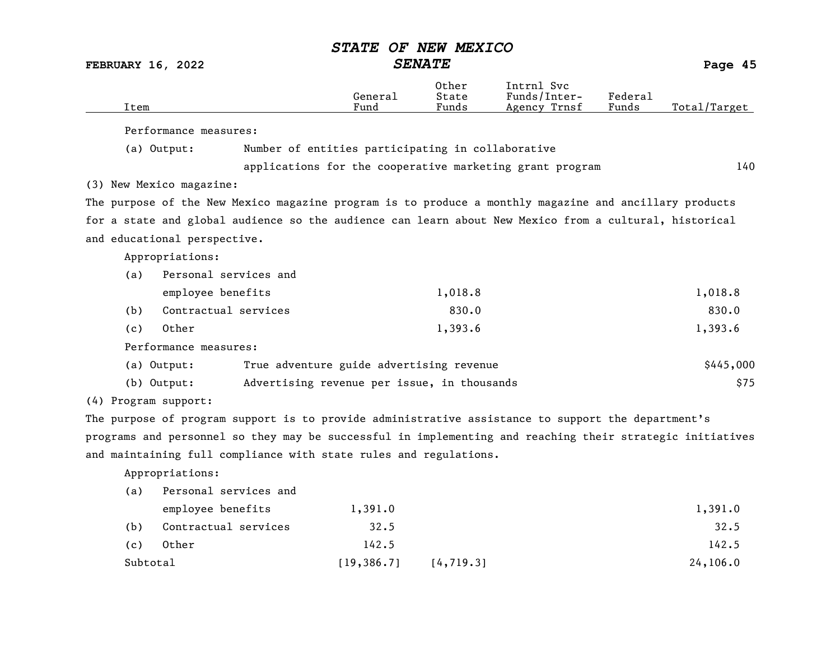|                          |                                                                                                           | STATE OF NEW MEXICO                               |                         |                                                          |                  |              |
|--------------------------|-----------------------------------------------------------------------------------------------------------|---------------------------------------------------|-------------------------|----------------------------------------------------------|------------------|--------------|
| <b>FEBRUARY 16, 2022</b> |                                                                                                           |                                                   | <b>SENATE</b>           |                                                          |                  | Page 45      |
| Item                     |                                                                                                           | General<br>Fund                                   | Other<br>State<br>Funds | Intrnl Svc<br>Funds/Inter-<br>Agency Trnsf               | Federal<br>Funds | Total/Target |
|                          | Performance measures:                                                                                     |                                                   |                         |                                                          |                  |              |
| (a) Output:              |                                                                                                           | Number of entities participating in collaborative |                         |                                                          |                  |              |
|                          |                                                                                                           |                                                   |                         | applications for the cooperative marketing grant program |                  | 140          |
| (3) New Mexico magazine: |                                                                                                           |                                                   |                         |                                                          |                  |              |
|                          | The purpose of the New Mexico magazine program is to produce a monthly magazine and ancillary products    |                                                   |                         |                                                          |                  |              |
|                          | for a state and global audience so the audience can learn about New Mexico from a cultural, historical    |                                                   |                         |                                                          |                  |              |
|                          | and educational perspective.                                                                              |                                                   |                         |                                                          |                  |              |
|                          | Appropriations:                                                                                           |                                                   |                         |                                                          |                  |              |
| (a)                      | Personal services and                                                                                     |                                                   |                         |                                                          |                  |              |
|                          | employee benefits                                                                                         |                                                   | 1,018.8                 |                                                          |                  | 1,018.8      |
| (b)                      | Contractual services                                                                                      |                                                   | 830.0                   |                                                          |                  | 830.0        |
| (c)                      | Other                                                                                                     |                                                   | 1,393.6                 |                                                          |                  | 1,393.6      |
|                          | Performance measures:                                                                                     |                                                   |                         |                                                          |                  |              |
| (a) Output:              |                                                                                                           | True adventure guide advertising revenue          |                         |                                                          |                  | \$445,000    |
| $(b)$ Output:            |                                                                                                           | Advertising revenue per issue, in thousands       |                         |                                                          |                  | \$75         |
| (4) Program support:     |                                                                                                           |                                                   |                         |                                                          |                  |              |
|                          | The purpose of program support is to provide administrative assistance to support the department's        |                                                   |                         |                                                          |                  |              |
|                          | programs and personnel so they may be successful in implementing and reaching their strategic initiatives |                                                   |                         |                                                          |                  |              |
|                          | and maintaining full compliance with state rules and regulations.                                         |                                                   |                         |                                                          |                  |              |
|                          | Appropriations:                                                                                           |                                                   |                         |                                                          |                  |              |
| (a)                      | Personal services and                                                                                     |                                                   |                         |                                                          |                  |              |
|                          | employee benefits                                                                                         | 1,391.0                                           |                         |                                                          |                  | 1,391.0      |
| (b)                      | Contractual services                                                                                      | 32.5                                              |                         |                                                          |                  | 32.5         |
| (c)                      | Other                                                                                                     | 142.5                                             |                         |                                                          |                  | 142.5        |

Subtotal [19,386.7] [4,719.3] 24,106.0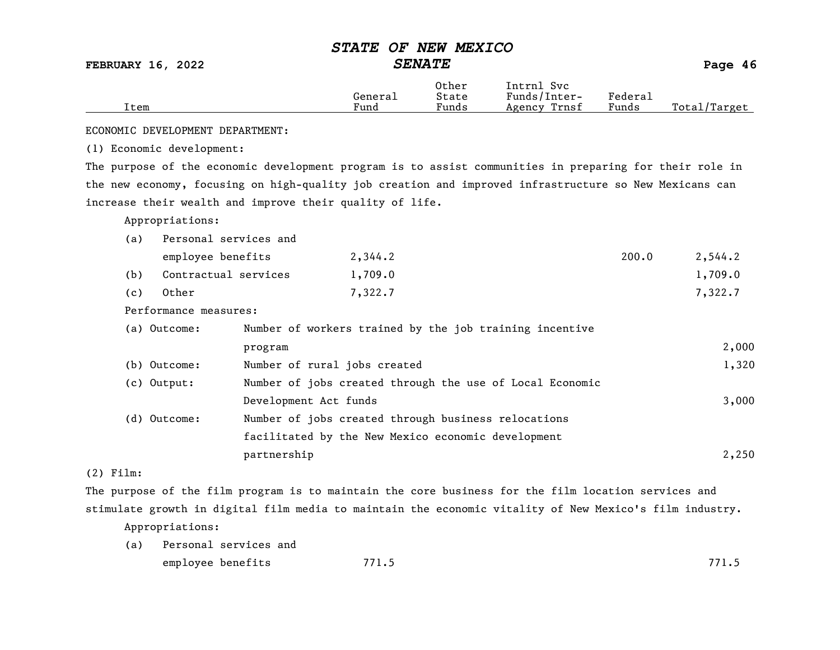FEBRUARY 16, 2022 SENATE Page 46

|      |         | Other                             | Intrnl<br><b>Svc</b> |                   |                  |
|------|---------|-----------------------------------|----------------------|-------------------|------------------|
|      | General | State                             | Funds/Inter-         | ${}_{\rm Federa}$ |                  |
| Item | Fund    | $\overline{\phantom{0}}$<br>Funds | Trnsf<br>Agency      | Funds             | Total<br>'Target |
|      |         |                                   |                      |                   |                  |

ECONOMIC DEVELOPMENT DEPARTMENT:

(1) Economic development:

The purpose of the economic development program is to assist communities in preparing for their role in the new economy, focusing on high-quality job creation and improved infrastructure so New Mexicans can increase their wealth and improve their quality of life.

Appropriations:

| Personal services and<br>(a) |                              |                                                          |       |         |
|------------------------------|------------------------------|----------------------------------------------------------|-------|---------|
| employee benefits            |                              | 2,344.2                                                  | 200.0 | 2,544.2 |
| Contractual services<br>(b)  |                              | 1,709.0                                                  |       | 1,709.0 |
| Other<br>(c)                 |                              | 7,322.7                                                  |       | 7,322.7 |
| Performance measures:        |                              |                                                          |       |         |
| (a) Outcome:                 |                              | Number of workers trained by the job training incentive  |       |         |
|                              | program                      |                                                          |       | 2,000   |
| (b) Outcome:                 | Number of rural jobs created |                                                          |       | 1,320   |
| $(c)$ Output:                |                              | Number of jobs created through the use of Local Economic |       |         |
|                              | Development Act funds        |                                                          |       | 3,000   |
| (d) Outcome:                 |                              | Number of jobs created through business relocations      |       |         |
|                              |                              | facilitated by the New Mexico economic development       |       |         |
|                              | partnership                  |                                                          |       | 2,250   |

(2) Film:

The purpose of the film program is to maintain the core business for the film location services and stimulate growth in digital film media to maintain the economic vitality of New Mexico's film industry.

Appropriations:

(a) Personal services and employee benefits 771.5 771.5 771.5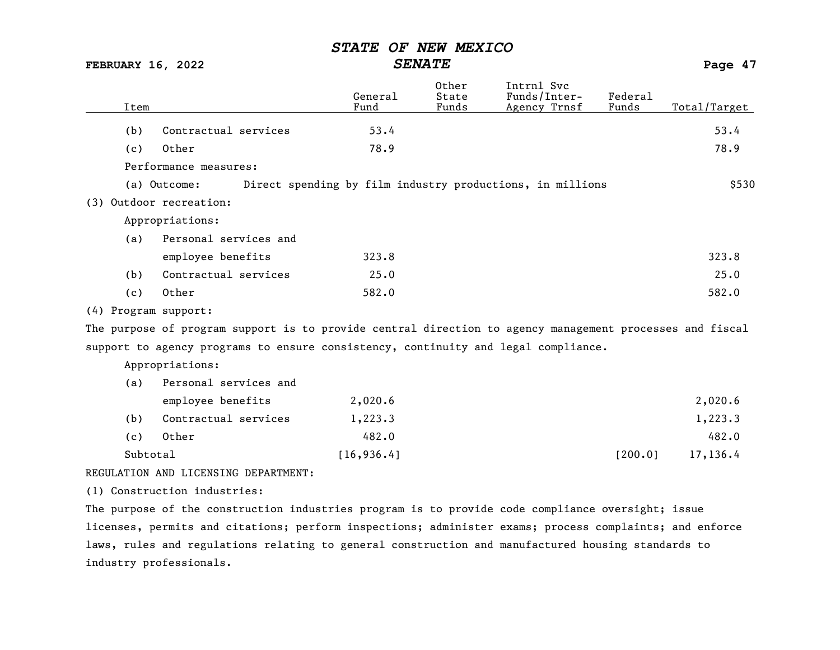FEBRUARY 16, 2022 SENATE Page 47

| Item |                                      | General<br>Fund                                                                                          | Other<br>State<br>Funds | Intrnl Svc<br>Funds/Inter-<br>Agency Trnsf | Federal<br>Funds | Total/Target |
|------|--------------------------------------|----------------------------------------------------------------------------------------------------------|-------------------------|--------------------------------------------|------------------|--------------|
| (b)  | Contractual services                 | 53.4                                                                                                     |                         |                                            |                  | 53.4         |
| (c)  | Other                                | 78.9                                                                                                     |                         |                                            |                  | 78.9         |
|      | Performance measures:                |                                                                                                          |                         |                                            |                  |              |
|      | (a) Outcome:                         | Direct spending by film industry productions, in millions                                                |                         |                                            |                  | \$530        |
|      | (3) Outdoor recreation:              |                                                                                                          |                         |                                            |                  |              |
|      | Appropriations:                      |                                                                                                          |                         |                                            |                  |              |
| (a)  | Personal services and                |                                                                                                          |                         |                                            |                  |              |
|      | employee benefits                    | 323.8                                                                                                    |                         |                                            |                  | 323.8        |
| (b)  | Contractual services                 | 25.0                                                                                                     |                         |                                            |                  | 25.0         |
| (c)  | Other                                | 582.0                                                                                                    |                         |                                            |                  | 582.0        |
|      | (4) Program support:                 |                                                                                                          |                         |                                            |                  |              |
|      |                                      | The purpose of program support is to provide central direction to agency management processes and fiscal |                         |                                            |                  |              |
|      |                                      | support to agency programs to ensure consistency, continuity and legal compliance.                       |                         |                                            |                  |              |
|      | Appropriations:                      |                                                                                                          |                         |                                            |                  |              |
| (a)  | Personal services and                |                                                                                                          |                         |                                            |                  |              |
|      | employee benefits                    | 2,020.6                                                                                                  |                         |                                            |                  | 2,020.6      |
| (b)  | Contractual services                 | 1,223.3                                                                                                  |                         |                                            |                  | 1,223.3      |
| (c)  | Other                                | 482.0                                                                                                    |                         |                                            |                  | 482.0        |
|      | Subtotal                             | [16, 936.4]                                                                                              |                         |                                            | [200.0]          | 17,136.4     |
|      | REGULATION AND LICENSING DEPARTMENT: |                                                                                                          |                         |                                            |                  |              |
|      | (1) Construction industries:         |                                                                                                          |                         |                                            |                  |              |

The purpose of the construction industries program is to provide code compliance oversight; issue licenses, permits and citations; perform inspections; administer exams; process complaints; and enforce laws, rules and regulations relating to general construction and manufactured housing standards to industry professionals.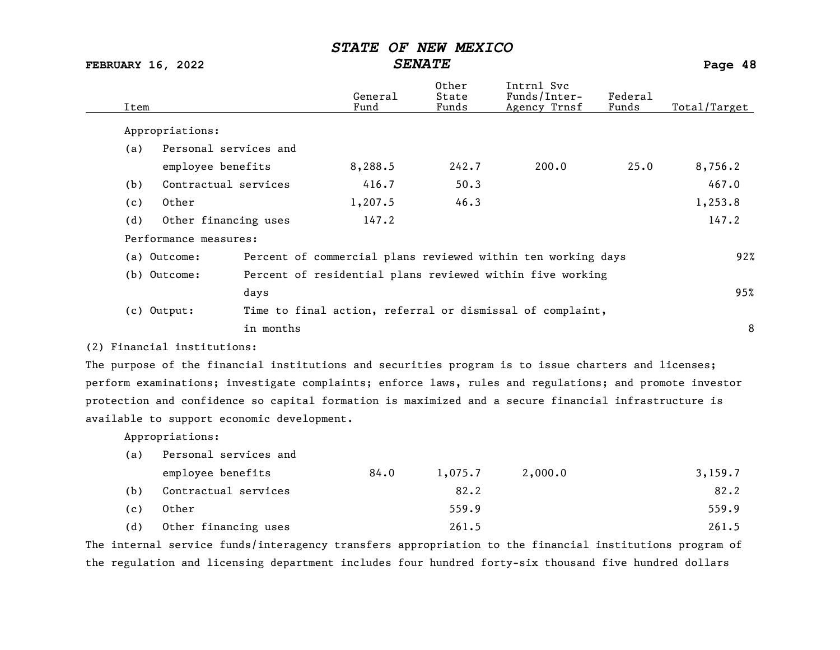FEBRUARY 16, 2022 SENATE Page 48

| Item |                                            |           | General<br>Fund | Other<br>State<br>Funds | Intrnl Svc<br>Funds/Inter-<br>Agency Trnsf                                                              | Federal<br>Funds | Total/Target |
|------|--------------------------------------------|-----------|-----------------|-------------------------|---------------------------------------------------------------------------------------------------------|------------------|--------------|
|      | Appropriations:                            |           |                 |                         |                                                                                                         |                  |              |
| (a)  | Personal services and                      |           |                 |                         |                                                                                                         |                  |              |
|      | employee benefits                          |           | 8,288.5         | 242.7                   | 200.0                                                                                                   | 25.0             | 8,756.2      |
| (b)  | Contractual services                       |           | 416.7           | 50.3                    |                                                                                                         |                  | 467.0        |
| (c)  | Other                                      |           | 1,207.5         | 46.3                    |                                                                                                         |                  | 1,253.8      |
| (d)  | Other financing uses                       |           | 147.2           |                         |                                                                                                         |                  | 147.2        |
|      | Performance measures:                      |           |                 |                         |                                                                                                         |                  |              |
|      | (a) Outcome:                               |           |                 |                         | Percent of commercial plans reviewed within ten working days                                            |                  | 92%          |
|      | (b) Outcome:                               |           |                 |                         | Percent of residential plans reviewed within five working                                               |                  |              |
|      |                                            | days      |                 |                         |                                                                                                         |                  | 95%          |
|      | $(c)$ Output:                              |           |                 |                         | Time to final action, referral or dismissal of complaint,                                               |                  |              |
|      |                                            | in months |                 |                         |                                                                                                         |                  | 8            |
|      | (2) Financial institutions:                |           |                 |                         |                                                                                                         |                  |              |
|      |                                            |           |                 |                         | The purpose of the financial institutions and securities program is to issue charters and licenses;     |                  |              |
|      |                                            |           |                 |                         | perform examinations; investigate complaints; enforce laws, rules and regulations; and promote investor |                  |              |
|      |                                            |           |                 |                         | protection and confidence so capital formation is maximized and a secure financial infrastructure is    |                  |              |
|      | available to support economic development. |           |                 |                         |                                                                                                         |                  |              |
|      | Appropriations:                            |           |                 |                         |                                                                                                         |                  |              |
| (a)  | Personal services and                      |           |                 |                         |                                                                                                         |                  |              |
|      | employee benefits                          |           | 84.0            | 1,075.7                 | 2,000.0                                                                                                 |                  | 3,159.7      |
| (b)  | Contractual services                       |           |                 | 82.2                    |                                                                                                         |                  | 82.2         |
| (c)  | Other                                      |           |                 | 559.9                   |                                                                                                         |                  | 559.9        |

(d) Other financing uses 261.5 261.5

The internal service funds/interagency transfers appropriation to the financial institutions program of the regulation and licensing department includes four hundred forty-six thousand five hundred dollars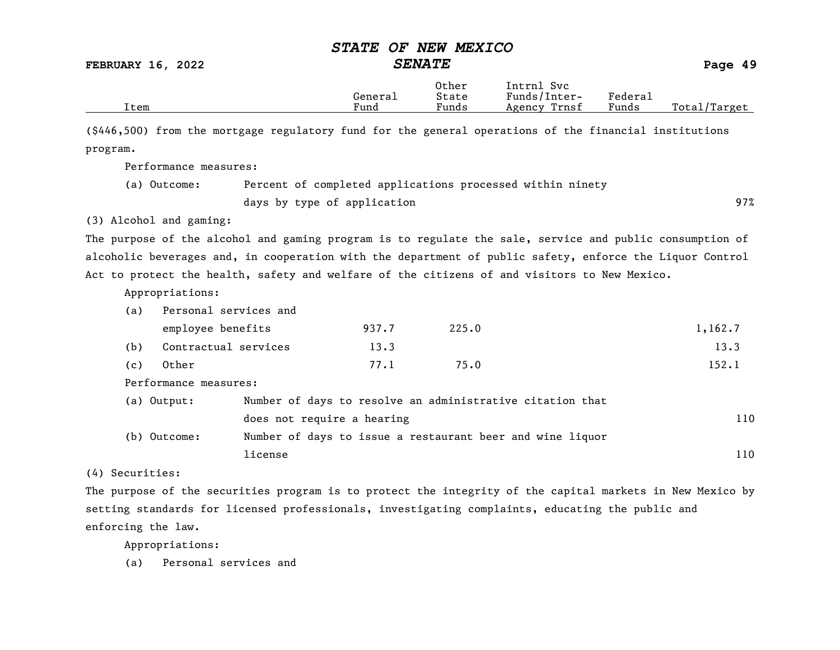FEBRUARY 16, 2022 SENATE Page 49

|      |         | Other                 | Svc<br>[ntrnl   |                                    |                   |
|------|---------|-----------------------|-----------------|------------------------------------|-------------------|
|      | Generai | State                 | Funds/Inter-    | ${}_{\rm \texttt{Federa}_{\perp}}$ |                   |
| Item | Fund    | $\mathbf{r}$<br>Funds | Trnsf<br>Agency | Funds                              | Total,<br>'Target |

(\$446,500) from the mortgage regulatory fund for the general operations of the financial institutions program.

Performance measures:

| (a) Outcome: | Percent of completed applications processed within ninety |     |
|--------------|-----------------------------------------------------------|-----|
|              | days by type of application                               | 97% |

(3) Alcohol and gaming:

The purpose of the alcohol and gaming program is to regulate the sale, service and public consumption of alcoholic beverages and, in cooperation with the department of public safety, enforce the Liquor Control Act to protect the health, safety and welfare of the citizens of and visitors to New Mexico.

Appropriations:

| (a) | Personal services and      |                            |       |                                                           |         |
|-----|----------------------------|----------------------------|-------|-----------------------------------------------------------|---------|
|     | employee benefits          |                            | 937.7 | 225.0                                                     | 1,162.7 |
| (b) | Contractual services       |                            | 13.3  |                                                           | 13.3    |
| (c) | Other                      |                            | 77.1  | 75.0                                                      | 152.1   |
|     | Performance measures:      |                            |       |                                                           |         |
|     | (a) Output:                |                            |       | Number of days to resolve an administrative citation that |         |
|     |                            | does not require a hearing |       |                                                           | 110     |
|     | $(h)$ $01$ + $02$ $\ldots$ |                            |       | Number of days to jecus a restaurant beer and vine liquor |         |

(b) Outcome: Number of days to issue a restaurant beer and wine liquor license and the set of the set of the set of the set of the set of the set of the set of the set of the set of the set of the set of the set of the set of the set of the set of the set of the set of the set of the set of t

(4) Securities:

The purpose of the securities program is to protect the integrity of the capital markets in New Mexico by setting standards for licensed professionals, investigating complaints, educating the public and enforcing the law.

Appropriations:

(a) Personal services and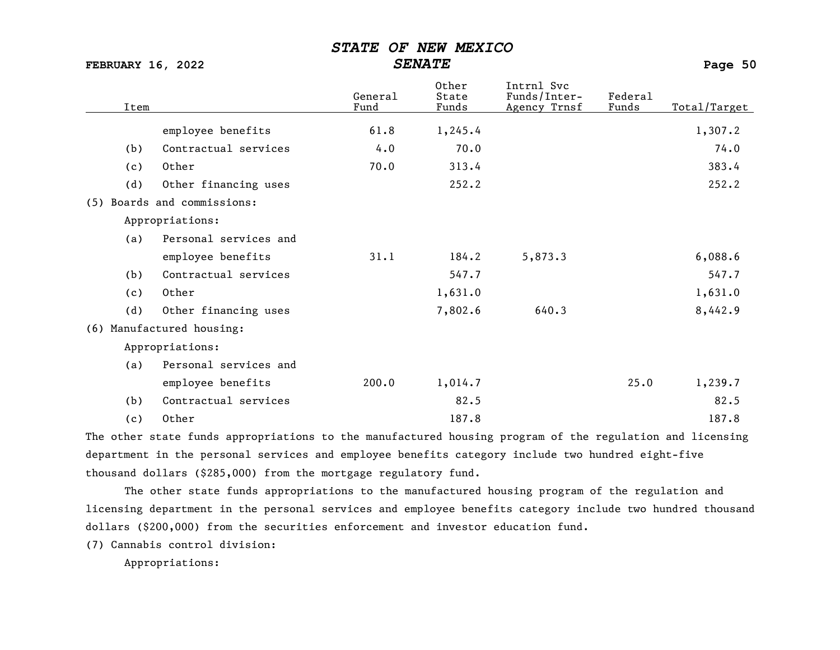| <b>FEBRUARY 16, 2022</b> |                      | <b>SENATE</b>   |                         |                                            | Page 50          |              |  |
|--------------------------|----------------------|-----------------|-------------------------|--------------------------------------------|------------------|--------------|--|
| Item                     |                      | General<br>Fund | Other<br>State<br>Funds | Intrnl Svc<br>Funds/Inter-<br>Agency Trnsf | Federal<br>Funds | Total/Target |  |
|                          | employee benefits    | 61.8            | 1,245.4                 |                                            |                  | 1,307.2      |  |
| (b)                      | Contractual services | 4.0             | 70.0                    |                                            |                  | 74.0         |  |
| (c)                      | Other                | 70.0            | 313.4                   |                                            |                  | 383.4        |  |

(5) Boards and commissions:

Appropriations:

(a) Personal services and

|     | employee benefits     | 31.1 | 184.2   | 5,873.3 | 6,088.6 |
|-----|-----------------------|------|---------|---------|---------|
| (b) | Contractual services  |      | 547.7   |         | 547.7   |
| (c) | Other                 |      | 1,631.0 |         | 1,631.0 |
| (d) | Other financing uses  |      | 7,802.6 | 640.3   | 8,442.9 |
|     | Manufactured housing: |      |         |         |         |

(d) Other financing uses 252.2 252.2 252.2

Appropriations:

 $(6)$ 

| (a) | Personal services and |       |         |      |         |
|-----|-----------------------|-------|---------|------|---------|
|     | employee benefits     | 200.0 | 1,014.7 | 25.0 | 1,239.7 |
| (b) | Contractual services  |       | 82.5    |      | 82.5    |
| (c) | Other                 |       | 187.8   |      | 187.8   |

The other state funds appropriations to the manufactured housing program of the regulation and licensing department in the personal services and employee benefits category include two hundred eight-five thousand dollars (\$285,000) from the mortgage regulatory fund.

The other state funds appropriations to the manufactured housing program of the regulation and licensing department in the personal services and employee benefits category include two hundred thousand dollars (\$200,000) from the securities enforcement and investor education fund.

(7) Cannabis control division:

Appropriations: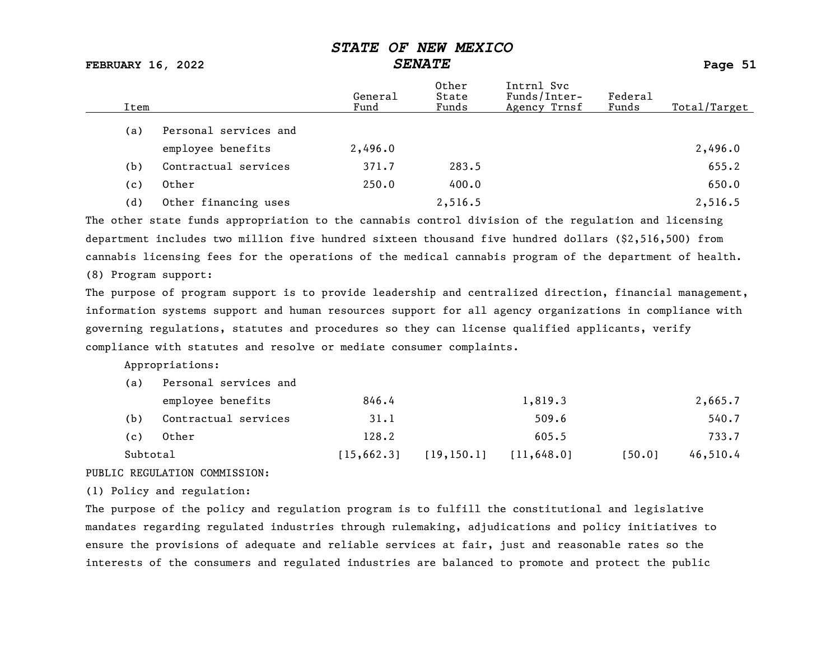FEBRUARY 16, 2022 SENATE Page 51

| Item |                       | General<br>Fund | Other<br>State<br>Funds | Intrnl Svc<br>Funds/Inter-<br>Agency Trnsf | Federal<br>Funds | Total/Target |
|------|-----------------------|-----------------|-------------------------|--------------------------------------------|------------------|--------------|
| (a)  | Personal services and |                 |                         |                                            |                  |              |
|      | employee benefits     | 2,496.0         |                         |                                            |                  | 2,496.0      |
| (b)  | Contractual services  | 371.7           | 283.5                   |                                            |                  | 655.2        |
| (c)  | Other                 | 250.0           | 400.0                   |                                            |                  | 650.0        |
| (d)  | Other financing uses  |                 | 2,516.5                 |                                            |                  | 2,516.5      |

The other state funds appropriation to the cannabis control division of the regulation and licensing department includes two million five hundred sixteen thousand five hundred dollars (\$2,516,500) from cannabis licensing fees for the operations of the medical cannabis program of the department of health.

(8) Program support:

The purpose of program support is to provide leadership and centralized direction, financial management, information systems support and human resources support for all agency organizations in compliance with governing regulations, statutes and procedures so they can license qualified applicants, verify compliance with statutes and resolve or mediate consumer complaints.

Appropriations:

| (a)      | Personal services and |             |             |             |        |          |
|----------|-----------------------|-------------|-------------|-------------|--------|----------|
|          | employee benefits     | 846.4       |             | 1,819.3     |        | 2,665.7  |
| (b)      | Contractual services  | 31.1        |             | 509.6       |        | 540.7    |
| (c)      | Other                 | 128.2       |             | 605.5       |        | 733.7    |
| Subtotal |                       | [15, 662.3] | [19, 150.1] | [11, 648.0] | [50.0] | 46,510.4 |

#### PUBLIC REGULATION COMMISSION:

(1) Policy and regulation:

The purpose of the policy and regulation program is to fulfill the constitutional and legislative mandates regarding regulated industries through rulemaking, adjudications and policy initiatives to ensure the provisions of adequate and reliable services at fair, just and reasonable rates so the interests of the consumers and regulated industries are balanced to promote and protect the public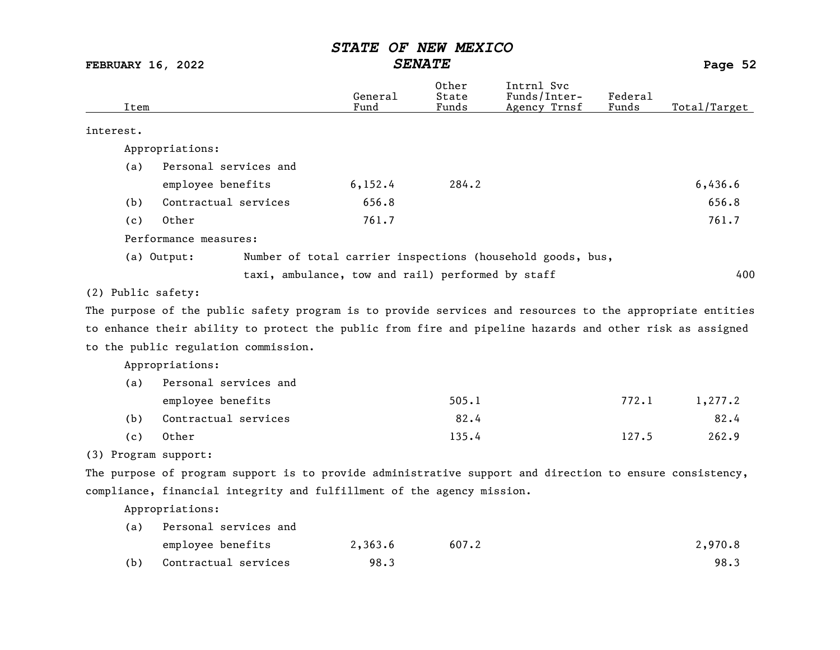FEBRUARY 16, 2022 SENATE SENATE

Other Intrnl Svc<br>General State Funds/Inter General State Funds/Inter- Federal Total/Target interest. Appropriations: (a) Personal services and employee benefits 6,152.4 284.2 6,436.6 (b) Contractual services 656.8 656.8 656.8 656.8 656.8 656.8 656.8 656.8 656.8 656.8 656.8 656.8 656.8 656.8 656.8 656.8 656.8 656.8 656.8 656.8 656.8 656.8 ft in the state of the state of the state of the state of the sta (c) Other 761.7 761.7 Performance measures: (a) Output: Number of total carrier inspections (household goods, bus, taxi, ambulance, tow and rail) performed by staff  $400$ (2) Public safety: The purpose of the public safety program is to provide services and resources to the appropriate entities to enhance their ability to protect the public from fire and pipeline hazards and other risk as assigned to the public regulation commission. Appropriations: (a) Personal services and employee benefits 505.1 772.1 1,277.2 (b) Contractual services 82.4 82.4 (c) Other 135.4 127.5 262.9 (3) Program support: The purpose of program support is to provide administrative support and direction to ensure consistency, compliance, financial integrity and fulfillment of the agency mission. Appropriations: (a) Personal services and

|     | employee benefits    | 2,363.6 | 607.2 | 2,970.8 |
|-----|----------------------|---------|-------|---------|
| (b) | Contractual services | 98.3    |       | 98.3    |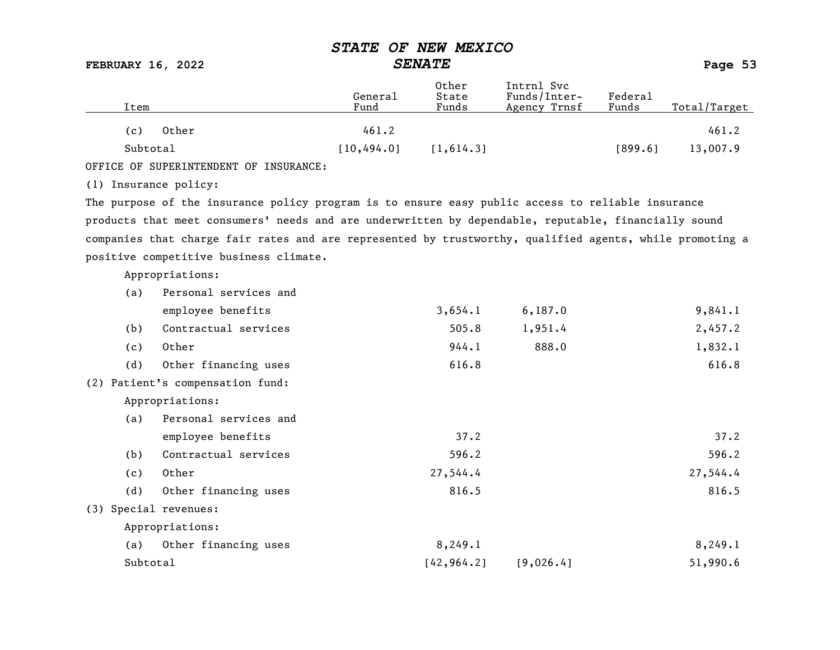FEBRUARY 16, 2022 SENATE Page 53

| Item                  |                                                                                                          | General<br>Fund | Other<br>State<br>Funds | Intrnl Svc<br>Funds/Inter-<br>Agency Trnsf | Federal<br>Funds | Total/Target |
|-----------------------|----------------------------------------------------------------------------------------------------------|-----------------|-------------------------|--------------------------------------------|------------------|--------------|
| (c)                   | Other                                                                                                    | 461.2           |                         |                                            |                  | 461.2        |
| Subtotal              |                                                                                                          | [10, 494.0]     | [1, 614.3]              |                                            | [899.6]          | 13,007.9     |
|                       | OFFICE OF SUPERINTENDENT OF INSURANCE:                                                                   |                 |                         |                                            |                  |              |
|                       |                                                                                                          |                 |                         |                                            |                  |              |
| (1) Insurance policy: |                                                                                                          |                 |                         |                                            |                  |              |
|                       | The purpose of the insurance policy program is to ensure easy public access to reliable insurance        |                 |                         |                                            |                  |              |
|                       | products that meet consumers' needs and are underwritten by dependable, reputable, financially sound     |                 |                         |                                            |                  |              |
|                       | companies that charge fair rates and are represented by trustworthy, qualified agents, while promoting a |                 |                         |                                            |                  |              |
|                       | positive competitive business climate.                                                                   |                 |                         |                                            |                  |              |
|                       | Appropriations:                                                                                          |                 |                         |                                            |                  |              |
| (a)                   | Personal services and                                                                                    |                 |                         |                                            |                  |              |
|                       | employee benefits                                                                                        |                 | 3,654.1                 | 6, 187.0                                   |                  | 9,841.1      |
| (b)                   | Contractual services                                                                                     |                 | 505.8                   | 1,951.4                                    |                  | 2,457.2      |
| (c)                   | Other                                                                                                    |                 | 944.1                   | 888.0                                      |                  | 1,832.1      |
| (d)                   | Other financing uses                                                                                     |                 | 616.8                   |                                            |                  | 616.8        |
|                       | (2) Patient's compensation fund:                                                                         |                 |                         |                                            |                  |              |
|                       | Appropriations:                                                                                          |                 |                         |                                            |                  |              |
| (a)                   | Personal services and                                                                                    |                 |                         |                                            |                  |              |
|                       | employee benefits                                                                                        |                 | 37.2                    |                                            |                  | 37.2         |
| (b)                   | Contractual services                                                                                     |                 | 596.2                   |                                            |                  | 596.2        |
| (c)                   | Other                                                                                                    |                 | 27,544.4                |                                            |                  | 27,544.4     |
| (d)                   | Other financing uses                                                                                     |                 | 816.5                   |                                            |                  | 816.5        |
| (3) Special revenues: |                                                                                                          |                 |                         |                                            |                  |              |
|                       | Appropriations:                                                                                          |                 |                         |                                            |                  |              |
| (a)                   | Other financing uses                                                                                     |                 | 8,249.1                 |                                            |                  | 8, 249.1     |
| Subtotal              |                                                                                                          |                 | [42, 964.2]             | [9,026.4]                                  |                  | 51,990.6     |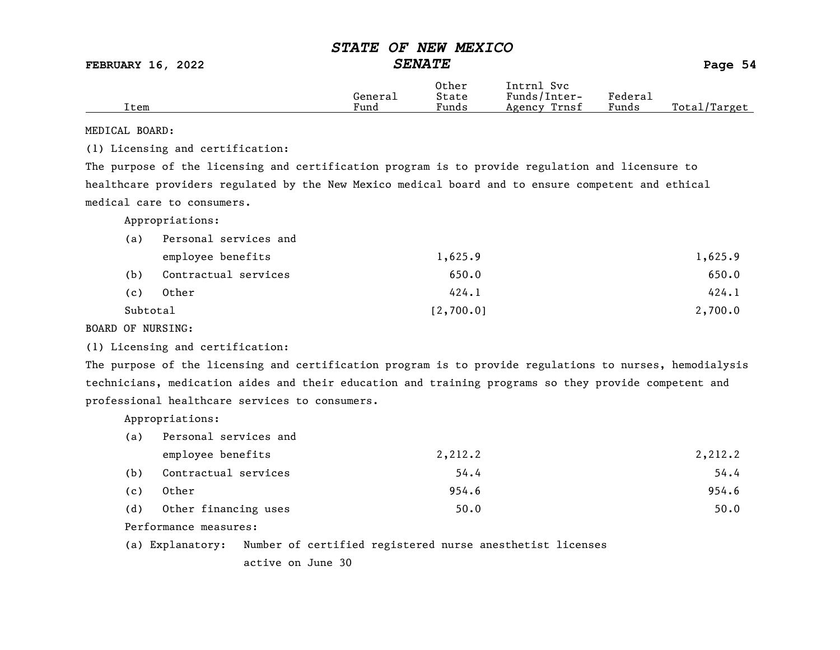FEBRUARY 16, 2022 SENATE Page 54

|      |         | Other | Intrnl<br>Svc   |         |                  |
|------|---------|-------|-----------------|---------|------------------|
|      | Generai | State | Funds/Inter-    | Federau |                  |
| Item | Fund    | Funds | Trnsf<br>Agency | Funds   | Total,<br>Target |

MEDICAL BOARD:

(1) Licensing and certification:

The purpose of the licensing and certification program is to provide regulation and licensure to healthcare providers regulated by the New Mexico medical board and to ensure competent and ethical medical care to consumers.

Appropriations:

| (a)      | Personal services and |           |         |
|----------|-----------------------|-----------|---------|
|          | employee benefits     | 1,625.9   | 1,625.9 |
| (b)      | Contractual services  | 650.0     | 650.0   |
| (c)      | Other                 | 424.1     | 424.1   |
| Subtotal |                       | [2,700.0] | 2,700.0 |

BOARD OF NURSING:

(1) Licensing and certification:

The purpose of the licensing and certification program is to provide regulations to nurses, hemodialysis technicians, medication aides and their education and training programs so they provide competent and professional healthcare services to consumers.

Appropriations:

| (a) | Personal services and |         |         |
|-----|-----------------------|---------|---------|
|     | employee benefits     | 2,212.2 | 2,212.2 |
| (b) | Contractual services  | 54.4    | 54.4    |
| (c) | Other                 | 954.6   | 954.6   |
| (d) | Other financing uses  | 50.0    | 50.0    |

Performance measures:

(a) Explanatory: Number of certified registered nurse anesthetist licenses

active on June 30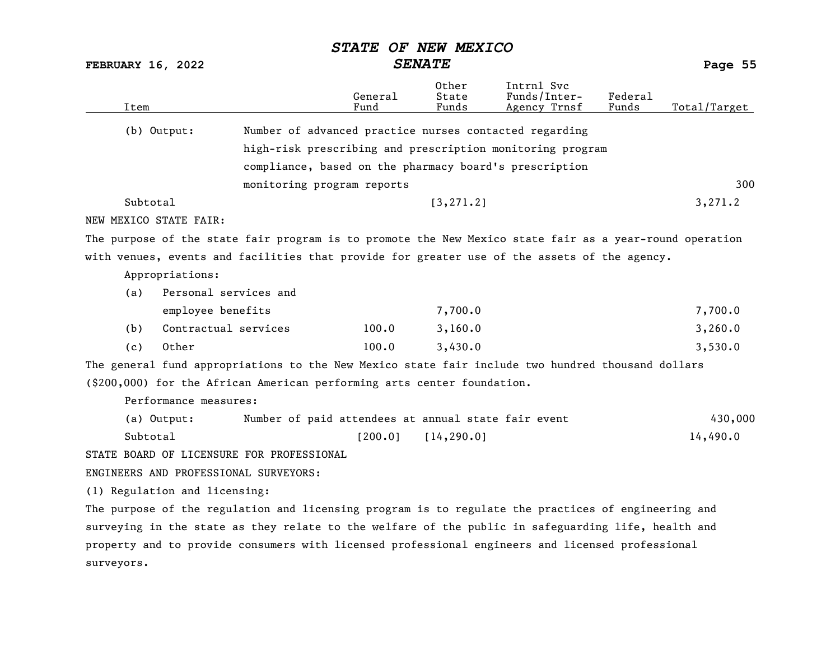FEBRUARY 16, 2022 SENATE Page 55

| Item                                                                                                    |                                                           | General<br>Fund | Other<br>State<br>Funds | Intrnl Svc<br>Funds/Inter-<br>Agency Trnsf | Federal<br>Funds | Total/Target |
|---------------------------------------------------------------------------------------------------------|-----------------------------------------------------------|-----------------|-------------------------|--------------------------------------------|------------------|--------------|
| $(b)$ Output:                                                                                           | Number of advanced practice nurses contacted regarding    |                 |                         |                                            |                  |              |
|                                                                                                         | high-risk prescribing and prescription monitoring program |                 |                         |                                            |                  |              |
|                                                                                                         | compliance, based on the pharmacy board's prescription    |                 |                         |                                            |                  |              |
|                                                                                                         | monitoring program reports                                |                 |                         |                                            |                  | 300          |
| Subtotal                                                                                                |                                                           |                 | [3, 271.2]              |                                            |                  | 3,271.2      |
| NEW MEXICO STATE FAIR:                                                                                  |                                                           |                 |                         |                                            |                  |              |
| The purpose of the state fair program is to promote the New Mexico state fair as a year-round operation |                                                           |                 |                         |                                            |                  |              |
| with venues, events and facilities that provide for greater use of the assets of the agency.            |                                                           |                 |                         |                                            |                  |              |
| Appropriations:                                                                                         |                                                           |                 |                         |                                            |                  |              |
| Personal services and<br>(a)                                                                            |                                                           |                 |                         |                                            |                  |              |
| employee benefits                                                                                       |                                                           |                 | 7,700.0                 |                                            |                  | 7,700.0      |
| Contractual services<br>(b)                                                                             |                                                           | 100.0           | 3,160.0                 |                                            |                  | 3,260.0      |
| Other<br>(c)                                                                                            |                                                           | 100.0           | 3,430.0                 |                                            |                  | 3,530.0      |
| The general fund appropriations to the New Mexico state fair include two hundred thousand dollars       |                                                           |                 |                         |                                            |                  |              |
| (\$200,000) for the African American performing arts center foundation.                                 |                                                           |                 |                         |                                            |                  |              |
| Performance measures:                                                                                   |                                                           |                 |                         |                                            |                  |              |
| (a) Output:                                                                                             | Number of paid attendees at annual state fair event       |                 |                         |                                            |                  | 430,000      |
| Subtotal                                                                                                |                                                           | [200.0]         | [14, 290.0]             |                                            |                  | 14,490.0     |
| STATE BOARD OF LICENSURE FOR PROFESSIONAL                                                               |                                                           |                 |                         |                                            |                  |              |
| ENGINEERS AND PROFESSIONAL SURVEYORS:                                                                   |                                                           |                 |                         |                                            |                  |              |
| (1) Regulation and licensing:                                                                           |                                                           |                 |                         |                                            |                  |              |
| The purpose of the regulation and licensing program is to regulate the practices of engineering and     |                                                           |                 |                         |                                            |                  |              |
| surveying in the state as they relate to the welfare of the public in safeguarding life, health and     |                                                           |                 |                         |                                            |                  |              |
| property and to provide consumers with licensed professional engineers and licensed professional        |                                                           |                 |                         |                                            |                  |              |
| surveyors.                                                                                              |                                                           |                 |                         |                                            |                  |              |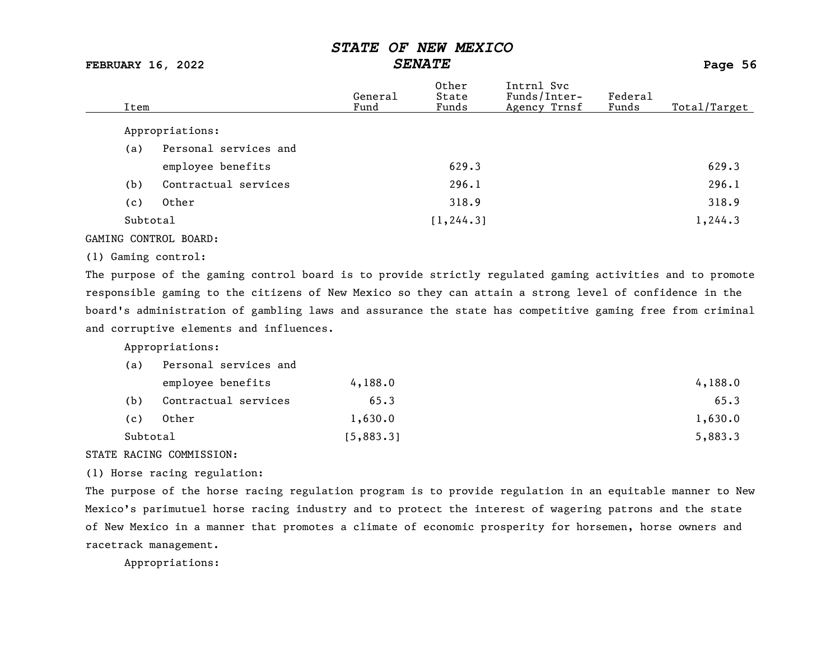FEBRUARY 16, 2022 SENATE Page 56

| Item     |                       | General<br>Fund | Other<br>State<br>Funds | Intrnl Svc<br>Funds/Inter-<br>Agency Trnsf | Federal<br>Funds | Total/Target |
|----------|-----------------------|-----------------|-------------------------|--------------------------------------------|------------------|--------------|
|          | Appropriations:       |                 |                         |                                            |                  |              |
| (a)      | Personal services and |                 |                         |                                            |                  |              |
|          | employee benefits     |                 | 629.3                   |                                            |                  | 629.3        |
| (b)      | Contractual services  |                 | 296.1                   |                                            |                  | 296.1        |
| (c)      | Other                 |                 | 318.9                   |                                            |                  | 318.9        |
| Subtotal |                       |                 | [1, 244.3]              |                                            |                  | 1,244.3      |
|          |                       |                 |                         |                                            |                  |              |

#### GAMING CONTROL BOARD:

#### (1) Gaming control:

The purpose of the gaming control board is to provide strictly regulated gaming activities and to promote responsible gaming to the citizens of New Mexico so they can attain a strong level of confidence in the board's administration of gambling laws and assurance the state has competitive gaming free from criminal and corruptive elements and influences.

Appropriations:

| (a)      | Personal services and |           |         |
|----------|-----------------------|-----------|---------|
|          | employee benefits     | 4,188.0   | 4,188.0 |
| (b)      | Contractual services  | 65.3      | 65.3    |
| (c)      | Other                 | 1,630.0   | 1,630.0 |
| Subtotal |                       | [5,883.3] | 5,883.3 |

#### STATE RACING COMMISSION:

(1) Horse racing regulation:

The purpose of the horse racing regulation program is to provide regulation in an equitable manner to New Mexico's parimutuel horse racing industry and to protect the interest of wagering patrons and the state of New Mexico in a manner that promotes a climate of economic prosperity for horsemen, horse owners and racetrack management.

Appropriations: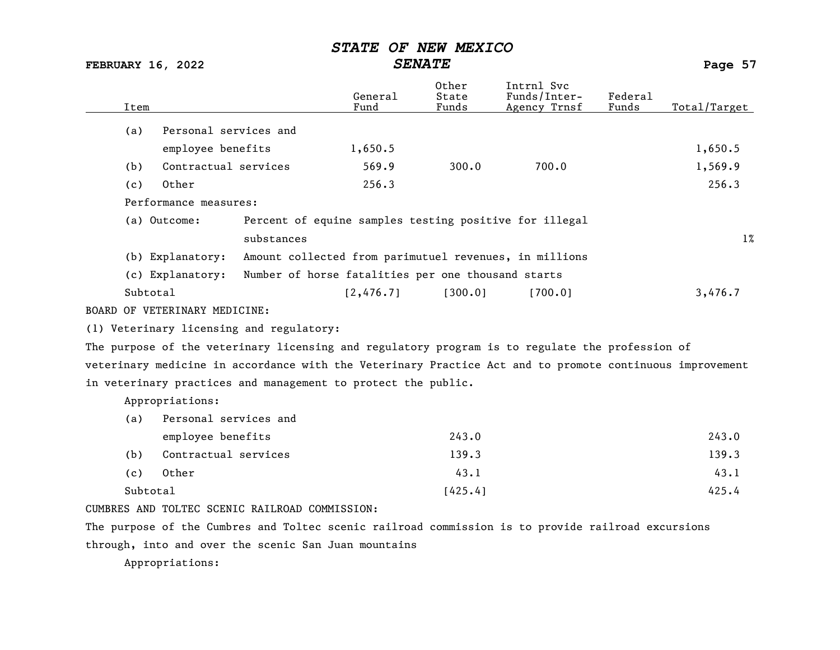| <b>FEBRUARY 16, 2022</b>                                                                                 | <b>SENATE</b>                                          |                         | Page 57                                    |                  |              |
|----------------------------------------------------------------------------------------------------------|--------------------------------------------------------|-------------------------|--------------------------------------------|------------------|--------------|
| Item                                                                                                     | General<br>Fund                                        | Other<br>State<br>Funds | Intrnl Svc<br>Funds/Inter-<br>Agency Trnsf | Federal<br>Funds | Total/Target |
| Personal services and<br>(a)                                                                             |                                                        |                         |                                            |                  |              |
| employee benefits                                                                                        | 1,650.5                                                |                         |                                            |                  | 1,650.5      |
| Contractual services<br>(b)                                                                              | 569.9                                                  | 300.0                   | 700.0                                      |                  | 1,569.9      |
| Other<br>(c)                                                                                             | 256.3                                                  |                         |                                            |                  | 256.3        |
| Performance measures:                                                                                    |                                                        |                         |                                            |                  |              |
| (a) Outcome:                                                                                             | Percent of equine samples testing positive for illegal |                         |                                            |                  |              |
| substances                                                                                               |                                                        |                         |                                            |                  | $1\%$        |
| (b) Explanatory:                                                                                         | Amount collected from parimutuel revenues, in millions |                         |                                            |                  |              |
| (c) Explanatory:                                                                                         | Number of horse fatalities per one thousand starts     |                         |                                            |                  |              |
| Subtotal                                                                                                 | [2, 476.7]                                             | [300.0]                 | [700.0]                                    |                  | 3,476.7      |
| BOARD OF VETERINARY MEDICINE:                                                                            |                                                        |                         |                                            |                  |              |
| (1) Veterinary licensing and regulatory:                                                                 |                                                        |                         |                                            |                  |              |
| The purpose of the veterinary licensing and regulatory program is to regulate the profession of          |                                                        |                         |                                            |                  |              |
| veterinary medicine in accordance with the Veterinary Practice Act and to promote continuous improvement |                                                        |                         |                                            |                  |              |
| in veterinary practices and management to protect the public.                                            |                                                        |                         |                                            |                  |              |
| Appropriations:                                                                                          |                                                        |                         |                                            |                  |              |
| Personal services and<br>(a)                                                                             |                                                        |                         |                                            |                  |              |
| employee benefits                                                                                        |                                                        | 243.0                   |                                            |                  | 243.0        |
| Contractual services<br>(b)                                                                              |                                                        | 139.3                   |                                            |                  | 139.3        |
| Other<br>(c)                                                                                             |                                                        | 43.1                    |                                            |                  | 43.1         |
| Subtotal                                                                                                 |                                                        | [425.4]                 |                                            |                  | 425.4        |
| CUMBRES AND TOLTEC SCENIC RAILROAD COMMISSION:                                                           |                                                        |                         |                                            |                  |              |
| The purpose of the Cumbres and Toltec scenic railroad commission is to provide railroad excursions       |                                                        |                         |                                            |                  |              |
| through, into and over the scenic San Juan mountains                                                     |                                                        |                         |                                            |                  |              |

Appropriations: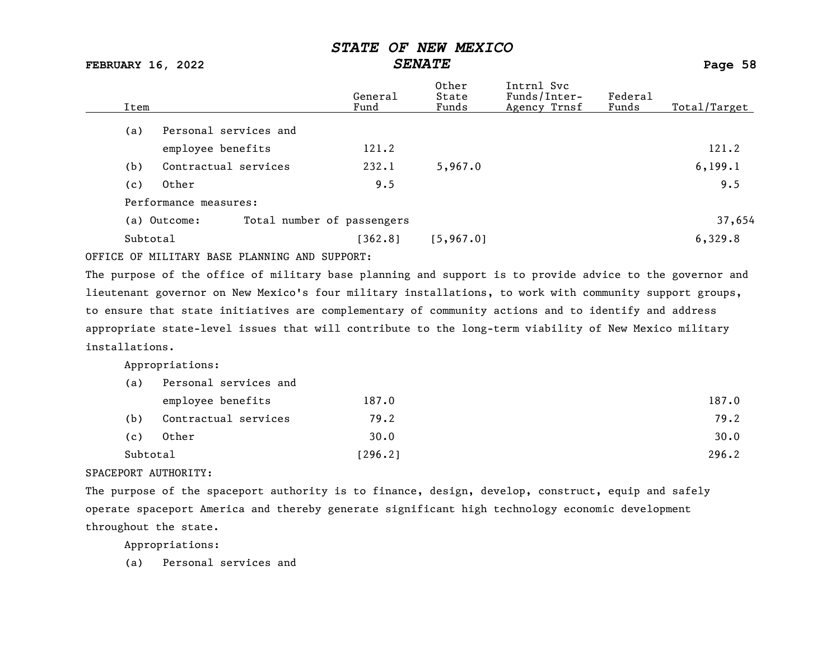FEBRUARY 16, 2022 SENATE SENATE SERUARY 16, 2022

Other Intrnl Svc<br>General State Funds/Inter General State Funds/Inter- Federal<br>
Fund Funds Agency Trnsf Funds Total/Target (a) Personal services and employee benefits 121.2 121.2 (b) Contractual services 232.1 5,967.0 6,199.1 (c) Other 9.5 9.5 Performance measures: (a) Outcome: Total number of passengers 37,654 Subtotal [362.8] [5,967.0] [5,967.0] 6,329.8

OFFICE OF MILITARY BASE PLANNING AND SUPPORT:

The purpose of the office of military base planning and support is to provide advice to the governor and lieutenant governor on New Mexico's four military installations, to work with community support groups, to ensure that state initiatives are complementary of community actions and to identify and address appropriate state-level issues that will contribute to the long-term viability of New Mexico military installations.

Appropriations:

| (a)      | Personal services and |         |       |
|----------|-----------------------|---------|-------|
|          | employee benefits     | 187.0   | 187.0 |
| (b)      | Contractual services  | 79.2    | 79.2  |
| (c)      | Other                 | 30.0    | 30.0  |
| Subtotal |                       | [296.2] | 296.2 |

#### SPACEPORT AUTHORITY:

The purpose of the spaceport authority is to finance, design, develop, construct, equip and safely operate spaceport America and thereby generate significant high technology economic development throughout the state.

Appropriations:

(a) Personal services and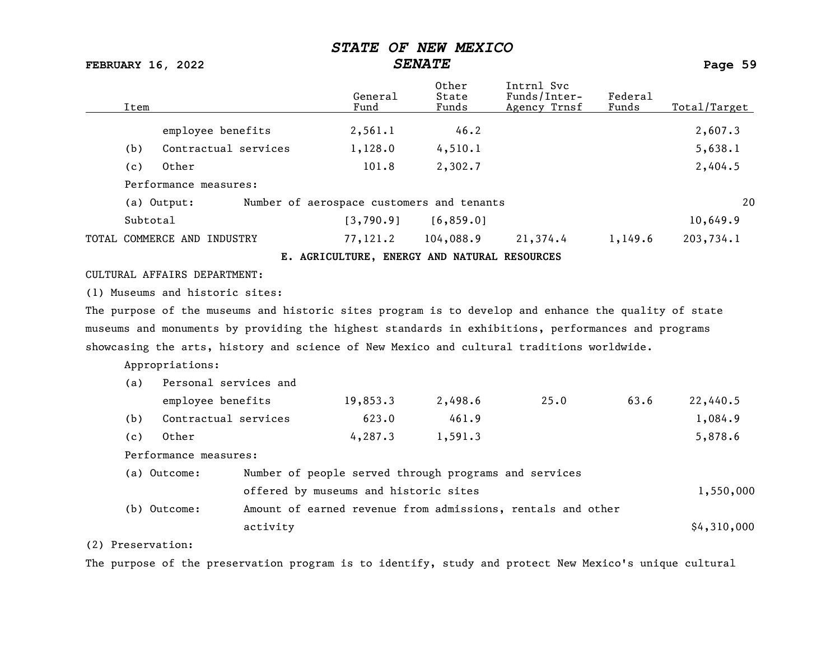### FEBRUARY 16, 2022 SENATE Page 59

| Item              |                                 |                                                       | General<br>Fund | Other<br>State<br>Funds                      | Intrnl Svc<br>Funds/Inter-<br>Agency Trnsf                                                           | Federal<br>Funds | Total/Target |
|-------------------|---------------------------------|-------------------------------------------------------|-----------------|----------------------------------------------|------------------------------------------------------------------------------------------------------|------------------|--------------|
|                   | employee benefits               |                                                       | 2,561.1         | 46.2                                         |                                                                                                      |                  | 2,607.3      |
| (b)               | Contractual services            |                                                       | 1,128.0         | 4,510.1                                      |                                                                                                      |                  | 5,638.1      |
| (c)               | Other                           |                                                       | 101.8           | 2,302.7                                      |                                                                                                      |                  | 2,404.5      |
|                   | Performance measures:           |                                                       |                 |                                              |                                                                                                      |                  |              |
|                   | (a) Output:                     | Number of aerospace customers and tenants             |                 |                                              |                                                                                                      |                  | 20           |
|                   | Subtotal                        |                                                       | [3,790.9]       | [6, 859.0]                                   |                                                                                                      |                  | 10,649.9     |
|                   | TOTAL COMMERCE AND INDUSTRY     |                                                       | 77,121.2        | 104,088.9                                    | 21,374.4                                                                                             | 1,149.6          | 203,734.1    |
|                   |                                 |                                                       |                 | E. AGRICULTURE, ENERGY AND NATURAL RESOURCES |                                                                                                      |                  |              |
|                   | CULTURAL AFFAIRS DEPARTMENT:    |                                                       |                 |                                              |                                                                                                      |                  |              |
|                   | (1) Museums and historic sites: |                                                       |                 |                                              |                                                                                                      |                  |              |
|                   |                                 |                                                       |                 |                                              | The purpose of the museums and historic sites program is to develop and enhance the quality of state |                  |              |
|                   |                                 |                                                       |                 |                                              | museums and monuments by providing the highest standards in exhibitions, performances and programs   |                  |              |
|                   |                                 |                                                       |                 |                                              | showcasing the arts, history and science of New Mexico and cultural traditions worldwide.            |                  |              |
|                   | Appropriations:                 |                                                       |                 |                                              |                                                                                                      |                  |              |
| (a)               | Personal services and           |                                                       |                 |                                              |                                                                                                      |                  |              |
|                   | employee benefits               |                                                       | 19,853.3        | 2,498.6                                      | 25.0                                                                                                 | 63.6             | 22,440.5     |
| (b)               | Contractual services            |                                                       | 623.0           | 461.9                                        |                                                                                                      |                  | 1,084.9      |
| (c)               | Other                           |                                                       | 4, 287.3        | 1,591.3                                      |                                                                                                      |                  | 5,878.6      |
|                   | Performance measures:           |                                                       |                 |                                              |                                                                                                      |                  |              |
|                   | (a) Outcome:                    | Number of people served through programs and services |                 |                                              |                                                                                                      |                  |              |
|                   |                                 | offered by museums and historic sites                 |                 |                                              |                                                                                                      |                  | 1,550,000    |
|                   | (b) Outcome:                    |                                                       |                 |                                              | Amount of earned revenue from admissions, rentals and other                                          |                  |              |
|                   |                                 | activity                                              |                 |                                              |                                                                                                      |                  | \$4,310,000  |
| (2) Preservation: |                                 |                                                       |                 |                                              |                                                                                                      |                  |              |

The purpose of the preservation program is to identify, study and protect New Mexico's unique cultural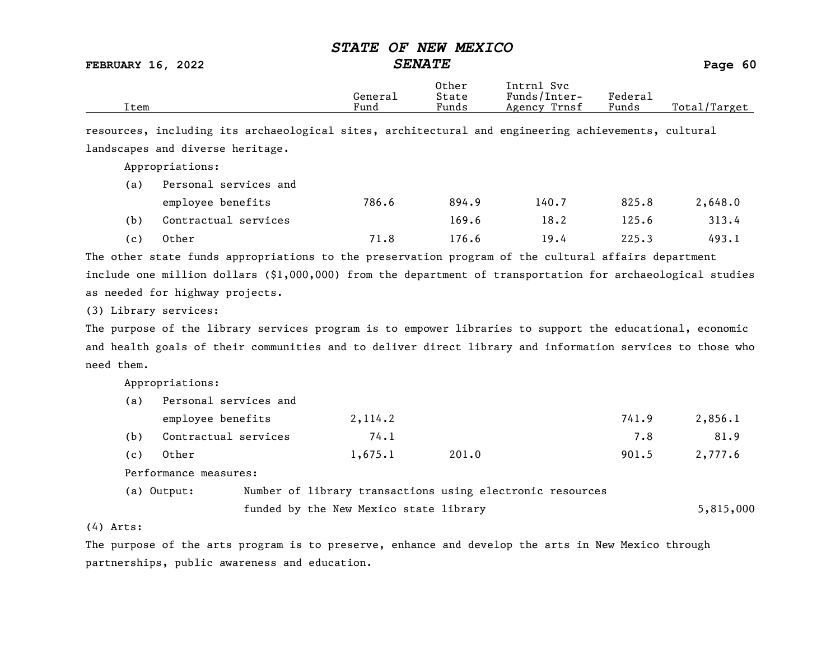FEBRUARY 16, 2022 SENATE Page 60

|      |         | Other | Intrnl<br>Svc   |         |                    |
|------|---------|-------|-----------------|---------|--------------------|
|      | Generai | State | Funds/Inter-    | Federa⊥ |                    |
| Item | Fund    | Funds | Trnsf<br>Agency | Funds   | Total,<br>'/Target |

resources, including its archaeological sites, architectural and engineering achievements, cultural landscapes and diverse heritage.

Appropriations:

| (a) | Personal services and |       |       |       |       |         |
|-----|-----------------------|-------|-------|-------|-------|---------|
|     | employee benefits     | 786.6 | 894.9 | 140.7 | 825.8 | 2,648.0 |
| (b) | Contractual services  |       | 169.6 | 18.2  | 125.6 | 313.4   |
| (C) | Other                 | 71.8  | 176.6 | 19.4  | 225.3 | 493.1   |

The other state funds appropriations to the preservation program of the cultural affairs department include one million dollars (\$1,000,000) from the department of transportation for archaeological studies as needed for highway projects.

(3) Library services:

The purpose of the library services program is to empower libraries to support the educational, economic and health goals of their communities and to deliver direct library and information services to those who need them.

Appropriations:

| (a) | Personal services and |  |                                        |                                                           |       |           |
|-----|-----------------------|--|----------------------------------------|-----------------------------------------------------------|-------|-----------|
|     | employee benefits     |  | 2, 114.2                               |                                                           | 741.9 | 2,856.1   |
| (b) | Contractual services  |  | 74.1                                   |                                                           | 7.8   | 81.9      |
| (c) | Other                 |  | 1,675.1                                | 201.0                                                     | 901.5 | 2,777.6   |
|     | Performance measures: |  |                                        |                                                           |       |           |
|     | (a) Output:           |  |                                        | Number of library transactions using electronic resources |       |           |
|     |                       |  | funded by the New Mexico state library |                                                           |       | 5,815,000 |

(4) Arts:

The purpose of the arts program is to preserve, enhance and develop the arts in New Mexico through partnerships, public awareness and education.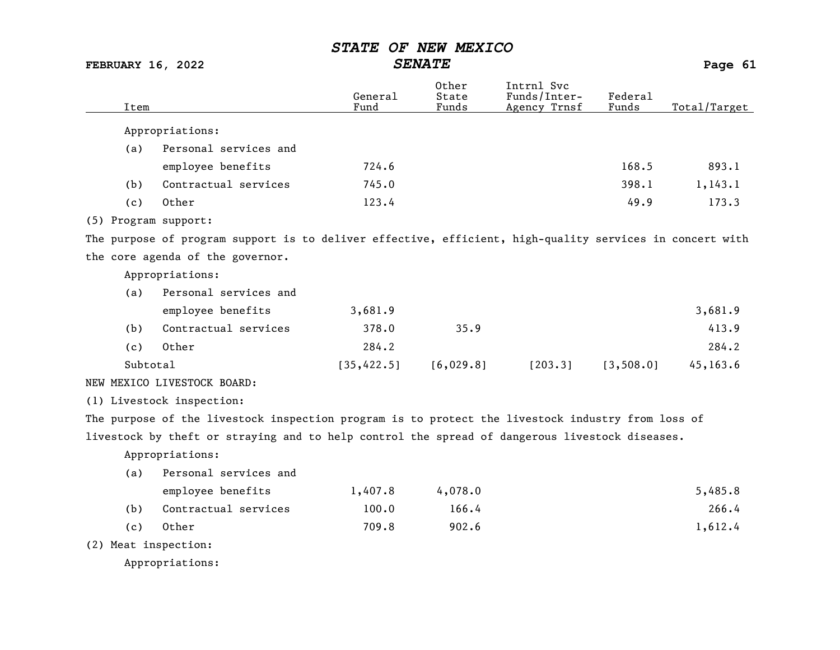| <b>FEBRUARY 16, 2022</b> |                                                                                                          | <b>SENATE</b>   |                         |                                            |                  | Page 61      |
|--------------------------|----------------------------------------------------------------------------------------------------------|-----------------|-------------------------|--------------------------------------------|------------------|--------------|
| Item                     |                                                                                                          | General<br>Fund | Other<br>State<br>Funds | Intrnl Svc<br>Funds/Inter-<br>Agency Trnsf | Federal<br>Funds | Total/Target |
|                          | Appropriations:                                                                                          |                 |                         |                                            |                  |              |
| (a)                      | Personal services and                                                                                    |                 |                         |                                            |                  |              |
|                          | employee benefits                                                                                        | 724.6           |                         |                                            | 168.5            | 893.1        |
| (b)                      | Contractual services                                                                                     | 745.0           |                         |                                            | 398.1            | 1, 143.1     |
| (c)                      | Other                                                                                                    | 123.4           |                         |                                            | 49.9             | 173.3        |
|                          | (5) Program support:                                                                                     |                 |                         |                                            |                  |              |
|                          | The purpose of program support is to deliver effective, efficient, high-quality services in concert with |                 |                         |                                            |                  |              |
|                          | the core agenda of the governor.                                                                         |                 |                         |                                            |                  |              |
|                          | Appropriations:                                                                                          |                 |                         |                                            |                  |              |
| (a)                      | Personal services and                                                                                    |                 |                         |                                            |                  |              |
|                          | employee benefits                                                                                        | 3,681.9         |                         |                                            |                  | 3,681.9      |
| (b)                      | Contractual services                                                                                     | 378.0           | 35.9                    |                                            |                  | 413.9        |
| (c)                      | Other                                                                                                    | 284.2           |                         |                                            |                  | 284.2        |
|                          | Subtotal                                                                                                 | [35, 422.5]     | [6,029.8]               | [203.3]                                    | [3, 508.0]       | 45, 163.6    |
|                          | NEW MEXICO LIVESTOCK BOARD:                                                                              |                 |                         |                                            |                  |              |
|                          | (1) Livestock inspection:                                                                                |                 |                         |                                            |                  |              |
|                          | The purpose of the livestock inspection program is to protect the livestock industry from loss of        |                 |                         |                                            |                  |              |
|                          | livestock by theft or straying and to help control the spread of dangerous livestock diseases.           |                 |                         |                                            |                  |              |
|                          | Appropriations:                                                                                          |                 |                         |                                            |                  |              |
| (a)                      | Personal services and                                                                                    |                 |                         |                                            |                  |              |
|                          | employee benefits                                                                                        | 1,407.8         | 4,078.0                 |                                            |                  | 5,485.8      |
| (b)                      | Contractual services                                                                                     | 100.0           | 166.4                   |                                            |                  | 266.4        |
| (c)                      | Other                                                                                                    | 709.8           | 902.6                   |                                            |                  | 1,612.4      |
|                          | (2) Meat inspection:                                                                                     |                 |                         |                                            |                  |              |
|                          | Appropriations:                                                                                          |                 |                         |                                            |                  |              |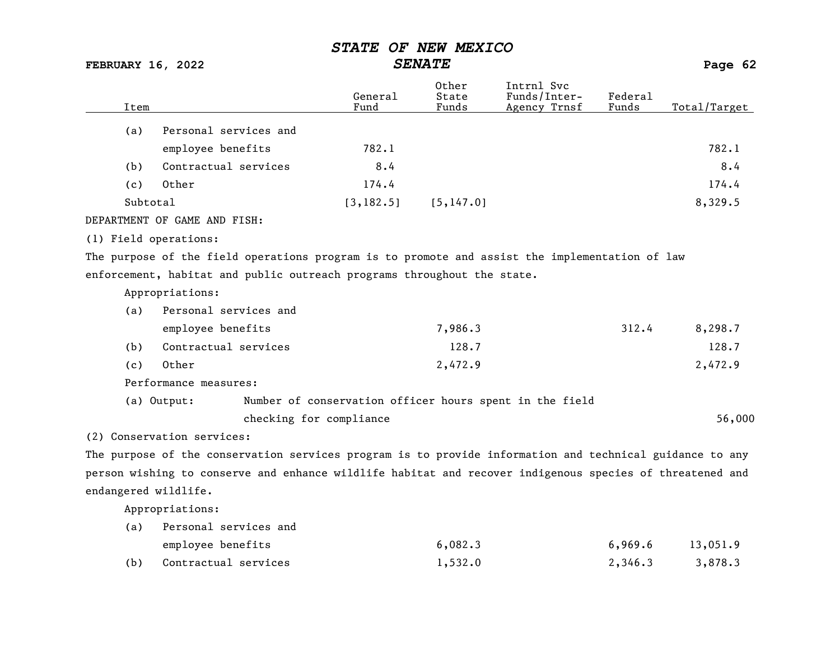FEBRUARY 16, 2022 SENATE Page 62 Other Intrnl Svc<br>General State Funds/Inter General State Funds/Inter- Federal<br>
Fund Funds Agency Trnsf Funds Total/Target (a) Personal services and employee benefits 782.1 782.1 (b) Contractual services 8.4 8.4 8.4 8.4 (c) Other 174.4 174.4 Subtotal [3,182.5] [5,147.0] 8,329.5 DEPARTMENT OF GAME AND FISH: (1) Field operations: The purpose of the field operations program is to promote and assist the implementation of law enforcement, habitat and public outreach programs throughout the state. Appropriations: (a) Personal services and employee benefits 312.4 8,298.7 (b) Contractual services and the services of the contractual services and the service of the contractual services and the service of the services of the services of the service of the service of the service of the service (c) Other 2,472.9 2,472.9 Performance measures: (a) Output: Number of conservation officer hours spent in the field checking for compliance 56,000 (2) Conservation services: The purpose of the conservation services program is to provide information and technical guidance to any person wishing to conserve and enhance wildlife habitat and recover indigenous species of threatened and endangered wildlife.

Appropriations:

(a) Personal services and employee benefits 6,082.3 6,969.6 13,051.9 (b) Contractual services 1,532.0 2,346.3 3,878.3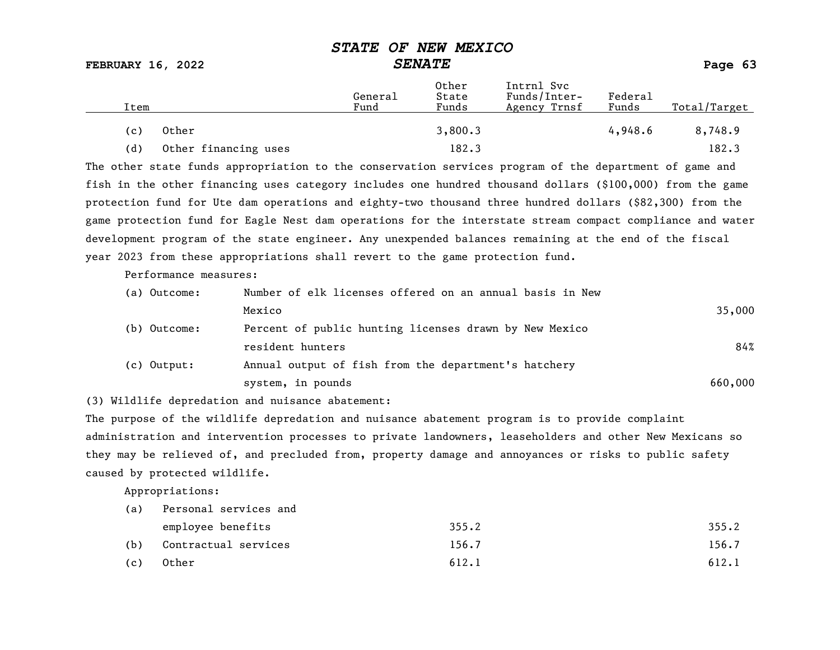FEBRUARY 16, 2022 SENATE Page 63

| Item |                      | General<br>Fund | Other<br>State<br>Funds | Intrnl Svc<br>Funds/Inter-<br>Agency Trnsf | Federal<br>Funds | Total/Target |
|------|----------------------|-----------------|-------------------------|--------------------------------------------|------------------|--------------|
| (c)  | Other                |                 | 3,800.3                 |                                            | 4,948.6          | 8,748.9      |
| (d)  | Other financing uses |                 | 182.3                   |                                            |                  | 182.3        |

The other state funds appropriation to the conservation services program of the department of game and fish in the other financing uses category includes one hundred thousand dollars (\$100,000) from the game protection fund for Ute dam operations and eighty-two thousand three hundred dollars (\$82,300) from the game protection fund for Eagle Nest dam operations for the interstate stream compact compliance and water development program of the state engineer. Any unexpended balances remaining at the end of the fiscal year 2023 from these appropriations shall revert to the game protection fund.

Performance measures:

| (a) Outcome:  | Number of elk licenses offered on an annual basis in New |         |
|---------------|----------------------------------------------------------|---------|
|               | Mexico                                                   | 35,000  |
| (b) Outcome:  | Percent of public hunting licenses drawn by New Mexico   |         |
|               | resident hunters                                         | 84%     |
| $(c)$ Output: | Annual output of fish from the department's hatchery     |         |
|               | system, in pounds                                        | 660,000 |

(3) Wildlife depredation and nuisance abatement:

The purpose of the wildlife depredation and nuisance abatement program is to provide complaint administration and intervention processes to private landowners, leaseholders and other New Mexicans so they may be relieved of, and precluded from, property damage and annoyances or risks to public safety caused by protected wildlife.

Appropriations:

| (a) | Personal services and |       |       |
|-----|-----------------------|-------|-------|
|     | employee benefits     | 355.2 | 355.2 |
| (b) | Contractual services  | 156.7 | 156.7 |
| (c) | Other                 | 612.1 | 612.1 |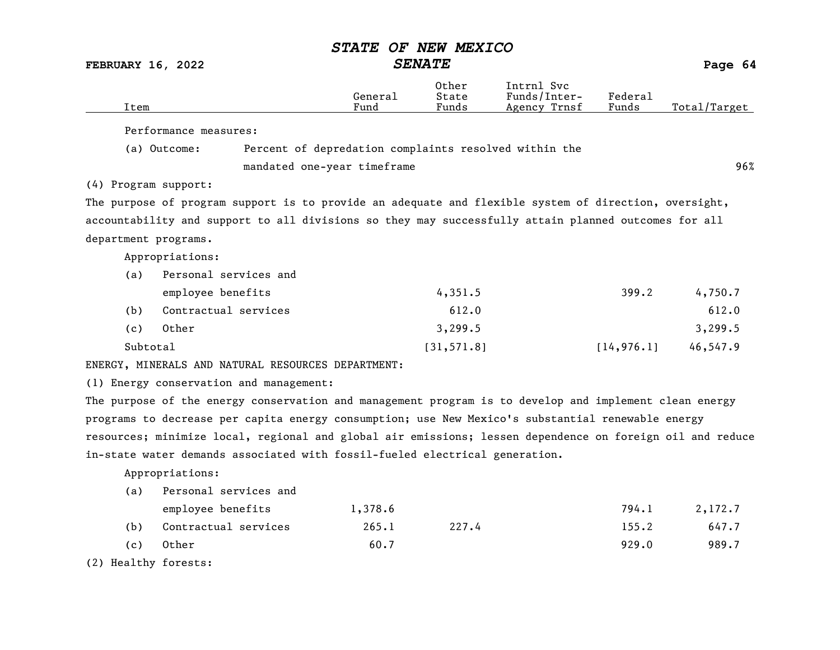|                          |                                                                                                           | <i><b>STATE</b></i> | OF NEW MEXICO           |                                            |                  |              |
|--------------------------|-----------------------------------------------------------------------------------------------------------|---------------------|-------------------------|--------------------------------------------|------------------|--------------|
| <b>FEBRUARY 16, 2022</b> |                                                                                                           |                     | <b>SENATE</b>           |                                            |                  | Page 64      |
| Item                     |                                                                                                           | General<br>Fund     | Other<br>State<br>Funds | Intrnl Svc<br>Funds/Inter-<br>Agency Trnsf | Federal<br>Funds | Total/Target |
|                          |                                                                                                           |                     |                         |                                            |                  |              |
|                          | Performance measures:                                                                                     |                     |                         |                                            |                  |              |
|                          | Percent of depredation complaints resolved within the<br>(a) Outcome:                                     |                     |                         |                                            |                  |              |
|                          | mandated one-year timeframe                                                                               |                     |                         |                                            |                  | 96%          |
| (4) Program support:     |                                                                                                           |                     |                         |                                            |                  |              |
|                          | The purpose of program support is to provide an adequate and flexible system of direction, oversight,     |                     |                         |                                            |                  |              |
|                          | accountability and support to all divisions so they may successfully attain planned outcomes for all      |                     |                         |                                            |                  |              |
| department programs.     |                                                                                                           |                     |                         |                                            |                  |              |
|                          | Appropriations:                                                                                           |                     |                         |                                            |                  |              |
| (a)                      | Personal services and                                                                                     |                     |                         |                                            |                  |              |
|                          | employee benefits                                                                                         |                     | 4,351.5                 |                                            | 399.2            | 4,750.7      |
| (b)                      | Contractual services                                                                                      |                     | 612.0                   |                                            |                  | 612.0        |
| (c)                      | Other                                                                                                     |                     | 3,299.5                 |                                            |                  | 3,299.5      |
| Subtotal                 |                                                                                                           |                     | [31, 571.8]             |                                            | [14, 976.1]      | 46,547.9     |
|                          | ENERGY, MINERALS AND NATURAL RESOURCES DEPARTMENT:                                                        |                     |                         |                                            |                  |              |
|                          | (1) Energy conservation and management:                                                                   |                     |                         |                                            |                  |              |
|                          | The purpose of the energy conservation and management program is to develop and implement clean energy    |                     |                         |                                            |                  |              |
|                          | programs to decrease per capita energy consumption; use New Mexico's substantial renewable energy         |                     |                         |                                            |                  |              |
|                          | resources; minimize local, regional and global air emissions; lessen dependence on foreign oil and reduce |                     |                         |                                            |                  |              |
|                          | in-state water demands associated with fossil-fueled electrical generation.                               |                     |                         |                                            |                  |              |

Appropriations:

| (a) | Personal services and |         |       |       |         |
|-----|-----------------------|---------|-------|-------|---------|
|     | employee benefits     | 1,378.6 |       | 794.1 | 2,172.7 |
| (b) | Contractual services  | 265.1   | 227.4 | 155.2 | 647.7   |
| (c) | Other                 | 60.7    |       | 929.0 | 989.7   |

(2) Healthy forests: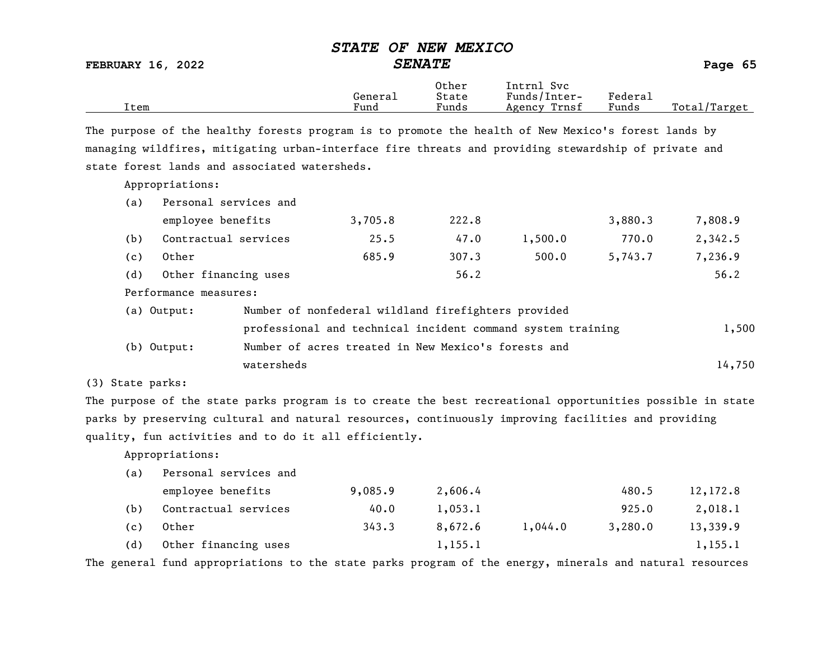|                          | <b>STATE OF NEW MEXICO</b> |         |
|--------------------------|----------------------------|---------|
| <b>FEBRUARY 16, 2022</b> | <i><b>SENATE</b></i>       | Page 65 |

|      |         | Other | Intrnl<br>svc   |                   |                    |
|------|---------|-------|-----------------|-------------------|--------------------|
|      | General | State | Funds/Inter-    | ${}_{\rm Federa}$ |                    |
| Item | Fund    | Funds | Trnsf<br>Agency | Funds             | Total,<br>'/Target |

The purpose of the healthy forests program is to promote the health of New Mexico's forest lands by managing wildfires, mitigating urban-interface fire threats and providing stewardship of private and state forest lands and associated watersheds.

Appropriations:

| (a) | Personal services and |                                                             |         |       |         |         |         |
|-----|-----------------------|-------------------------------------------------------------|---------|-------|---------|---------|---------|
|     | employee benefits     |                                                             | 3,705.8 | 222.8 |         | 3,880.3 | 7,808.9 |
| (b) | Contractual services  |                                                             | 25.5    | 47.0  | 1,500.0 | 770.0   | 2,342.5 |
| (c) | Other                 |                                                             | 685.9   | 307.3 | 500.0   | 5,743.7 | 7,236.9 |
| (d) | Other financing uses  |                                                             |         | 56.2  |         |         | 56.2    |
|     | Performance measures: |                                                             |         |       |         |         |         |
|     | (a) Output:           | Number of nonfederal wildland firefighters provided         |         |       |         |         |         |
|     |                       | professional and technical incident command system training |         |       |         |         | 1,500   |
|     | $(b)$ Output:         | Number of acres treated in New Mexico's forests and         |         |       |         |         |         |
|     |                       | watersheds                                                  |         |       |         |         | 14,750  |

(3) State parks:

The purpose of the state parks program is to create the best recreational opportunities possible in state parks by preserving cultural and natural resources, continuously improving facilities and providing quality, fun activities and to do it all efficiently.

Appropriations:

| (a) | Personal services and |         |         |         |         |          |
|-----|-----------------------|---------|---------|---------|---------|----------|
|     | employee benefits     | 9,085.9 | 2,606.4 |         | 480.5   | 12,172.8 |
| (b) | Contractual services  | 40.0    | 1,053.1 |         | 925.0   | 2,018.1  |
| (c) | Other                 | 343.3   | 8,672.6 | 1,044.0 | 3,280.0 | 13,339.9 |
| (d) | Other financing uses  |         | 1,155.1 |         |         | 1,155.1  |

The general fund appropriations to the state parks program of the energy, minerals and natural resources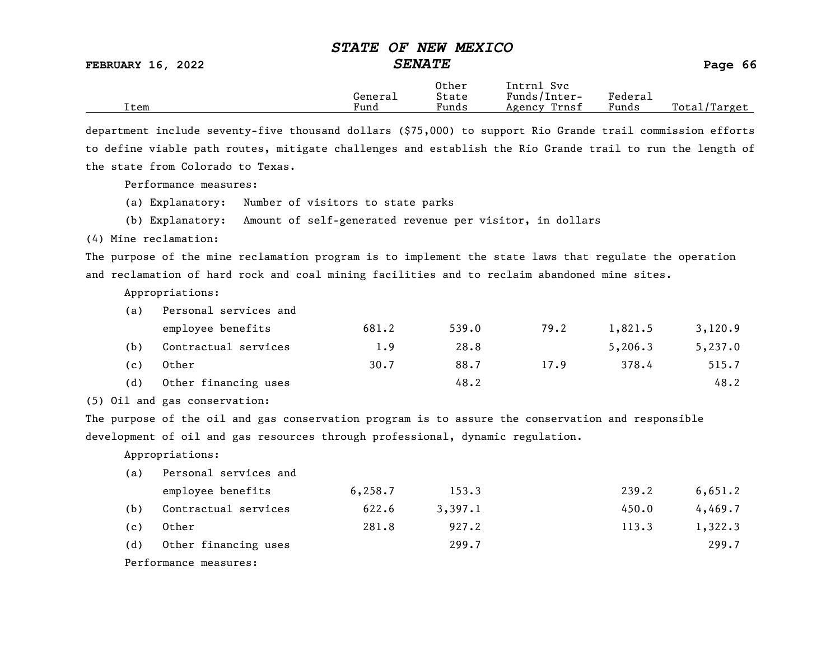FEBRUARY 16, 2022 SENATE Page 66

Other Intrnl Svc

|      | Genera⊥   | $+$ a $+$ a $-$<br>olale | ⊌und∟<br>$n \uparrow \rho \uparrow$<br>ᅩ⊥ㄴㄴㄴ | ⊬edera⊥ |                              |
|------|-----------|--------------------------|----------------------------------------------|---------|------------------------------|
| ltem | _<br>Fund | $-$<br>_<br>Funds        | Agency<br>rnsi:                              | Funds   | $m -$<br>Total<br>こしし<br>∸∽∸ |
|      |           |                          |                                              |         |                              |

department include seventy-five thousand dollars (\$75,000) to support Rio Grande trail commission efforts to define viable path routes, mitigate challenges and establish the Rio Grande trail to run the length of the state from Colorado to Texas.

Performance measures:

(a) Explanatory: Number of visitors to state parks

(b) Explanatory: Amount of self-generated revenue per visitor, in dollars

(4) Mine reclamation:

The purpose of the mine reclamation program is to implement the state laws that regulate the operation and reclamation of hard rock and coal mining facilities and to reclaim abandoned mine sites.

Appropriations:

| (a) | Personal services and |       |       |      |         |         |
|-----|-----------------------|-------|-------|------|---------|---------|
|     | employee benefits     | 681.2 | 539.0 | 79.2 | 1,821.5 | 3,120.9 |
| (b) | Contractual services  | 1.9   | 28.8  |      | 5,206.3 | 5,237.0 |
| (c) | Other                 | 30.7  | 88.7  | 17.9 | 378.4   | 515.7   |
| (d) | Other financing uses  |       | 48.2  |      |         | 48.2    |

(5) Oil and gas conservation:

The purpose of the oil and gas conservation program is to assure the conservation and responsible development of oil and gas resources through professional, dynamic regulation.

Appropriations:

| (a) | Personal services and |          |         |       |         |
|-----|-----------------------|----------|---------|-------|---------|
|     | employee benefits     | 6, 258.7 | 153.3   | 239.2 | 6,651.2 |
| (b) | Contractual services  | 622.6    | 3,397.1 | 450.0 | 4,469.7 |
| (c) | Other                 | 281.8    | 927.2   | 113.3 | 1,322.3 |
| (d) | Other financing uses  |          | 299.7   |       | 299.7   |
|     | Performance measures: |          |         |       |         |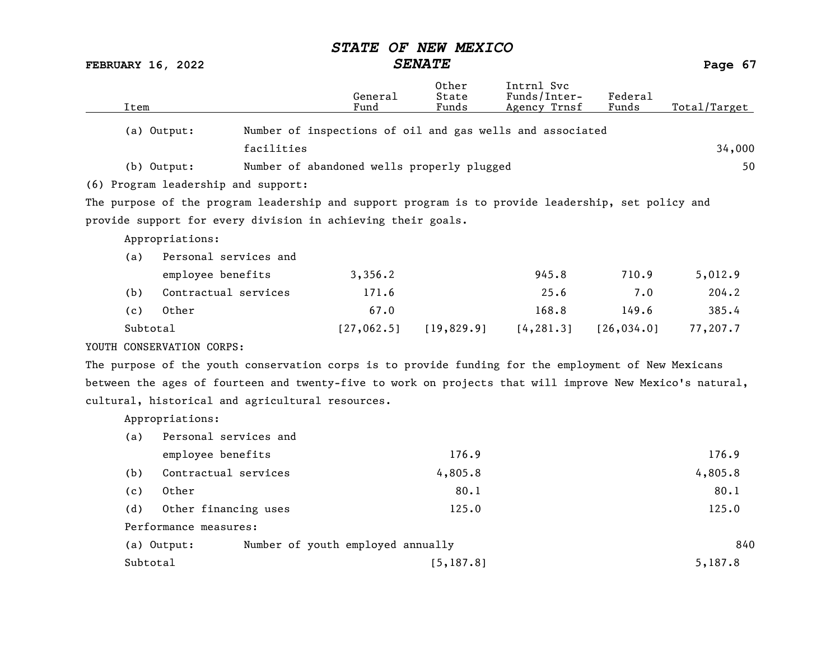FEBRUARY 16, 2022 SENATE Page 67

|          |                                                                                                    | General                                                   | Other<br>State | Intrnl Svc<br>Funds/Inter- | Federal     |              |
|----------|----------------------------------------------------------------------------------------------------|-----------------------------------------------------------|----------------|----------------------------|-------------|--------------|
| Item     |                                                                                                    | Fund                                                      | Funds          | Agency Trnsf               | Funds       | Total/Target |
|          | (a) Output:                                                                                        | Number of inspections of oil and gas wells and associated |                |                            |             |              |
|          | facilities                                                                                         |                                                           |                |                            |             | 34,000       |
|          | (b) Output:                                                                                        | Number of abandoned wells properly plugged                |                |                            |             | 50           |
|          | (6) Program leadership and support:                                                                |                                                           |                |                            |             |              |
|          | The purpose of the program leadership and support program is to provide leadership, set policy and |                                                           |                |                            |             |              |
|          | provide support for every division in achieving their goals.                                       |                                                           |                |                            |             |              |
|          | Appropriations:                                                                                    |                                                           |                |                            |             |              |
| (a)      | Personal services and                                                                              |                                                           |                |                            |             |              |
|          | employee benefits                                                                                  | 3,356.2                                                   |                | 945.8                      | 710.9       | 5,012.9      |
| (b)      | Contractual services                                                                               | 171.6                                                     |                | 25.6                       | 7.0         | 204.2        |
| (c)      | Other                                                                                              | 67.0                                                      |                | 168.8                      | 149.6       | 385.4        |
| Subtotal |                                                                                                    | [27, 062.5]                                               | [19,829.9]     | [4, 281.3]                 | [26, 034.0] | 77,207.7     |
|          | YOUTH CONSERVATION CORPS:                                                                          |                                                           |                |                            |             |              |

The purpose of the youth conservation corps is to provide funding for the employment of New Mexicans between the ages of fourteen and twenty-five to work on projects that will improve New Mexico's natural, cultural, historical and agricultural resources.

Appropriations:

| (a)      | Personal services and                            |            |         |
|----------|--------------------------------------------------|------------|---------|
|          | employee benefits                                | 176.9      | 176.9   |
| (b)      | Contractual services                             | 4,805.8    | 4,805.8 |
| (c)      | Other                                            | 80.1       | 80.1    |
| (d)      | Other financing uses                             | 125.0      | 125.0   |
|          | Performance measures:                            |            |         |
|          | Number of youth employed annually<br>(a) Output: |            | 840     |
| Subtotal |                                                  | [5, 187.8] | 5,187.8 |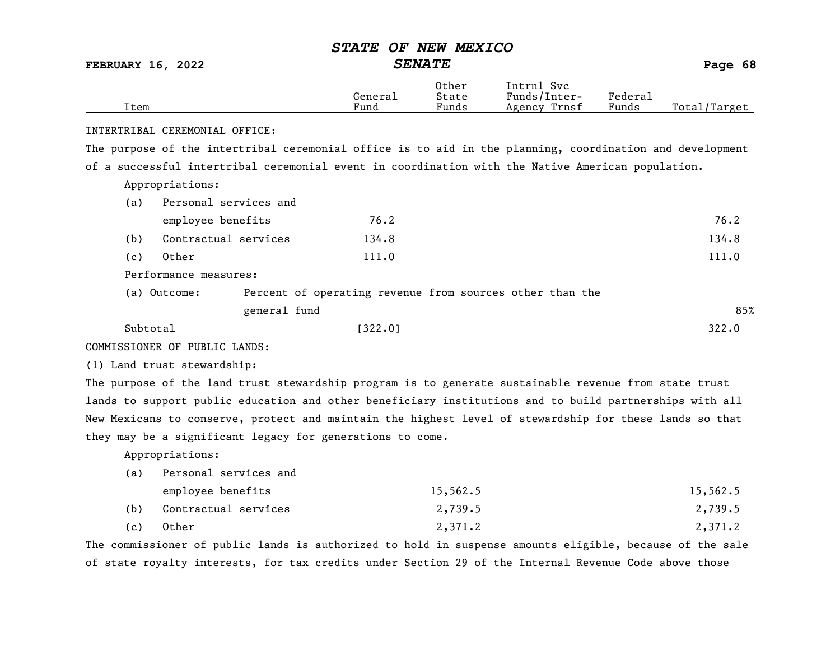|  |  |  | STATE OF NEW MEXICO |
|--|--|--|---------------------|
|--|--|--|---------------------|

FEBRUARY 16, 2022 SENATE Page 68

| Item     |                                                                                                          | General<br>Fund | Other<br>State<br>Funds | Intrnl Svc<br>Funds/Inter-<br>Agency Trnsf | Federal<br>Funds   | Total/Target   |
|----------|----------------------------------------------------------------------------------------------------------|-----------------|-------------------------|--------------------------------------------|--------------------|----------------|
|          | INTERTRIBAL CEREMONIAL OFFICE:                                                                           |                 |                         |                                            |                    |                |
|          | The purpose of the intertribal ceremonial office is to aid in the planning, coordination and development |                 |                         |                                            |                    |                |
|          | of a successful intertribal ceremonial event in coordination with the Native American population.        |                 |                         |                                            |                    |                |
|          | Appropriations:                                                                                          |                 |                         |                                            |                    |                |
| (a)      | Personal services and                                                                                    |                 |                         |                                            |                    |                |
|          | employee benefits                                                                                        | 76.2            |                         |                                            |                    | 76.2           |
| (b)      | Contractual services                                                                                     | 134.8           |                         |                                            |                    | 134.8          |
| (c)      | Other                                                                                                    | 111.0           |                         |                                            |                    | 111.0          |
|          | Performance measures:                                                                                    |                 |                         |                                            |                    |                |
|          | (a) Outcome:<br>Percent of operating revenue from sources other than the                                 |                 |                         |                                            |                    |                |
|          | general fund                                                                                             |                 |                         |                                            |                    | 85%            |
| Subtotal |                                                                                                          | [322.0]         |                         |                                            |                    | 322.0          |
|          | COMMISSIONER OF PUBLIC LANDS:                                                                            |                 |                         |                                            |                    |                |
|          | (1) Land trust stewardship:                                                                              |                 |                         |                                            |                    |                |
|          | The purpose of the land trust stewardship program is to generate sustainable revenue from state trust    |                 |                         |                                            |                    |                |
|          | lands to support public education and other beneficiary institutions and to build partnerships with all  |                 |                         |                                            |                    |                |
|          | New Mexicans to conserve, protect and maintain the highest level of stewardship for these lands so that  |                 |                         |                                            |                    |                |
|          | they may be a significant legacy for generations to come.                                                |                 |                         |                                            |                    |                |
|          | Appropriations:                                                                                          |                 |                         |                                            |                    |                |
| (a)      | Personal services and                                                                                    |                 |                         |                                            |                    |                |
|          | employee benefits                                                                                        |                 | 15,562.5                |                                            |                    | 15,562.5       |
| (b)      | Contractual services                                                                                     |                 | 2,739.5                 |                                            |                    | 2,739.5        |
| (c)      | Other                                                                                                    |                 | 2,371.2                 |                                            |                    | 2,371.2        |
|          | منتمر مرفى فرائمها امتعر فمستحدث ومستحدث والمحافرين والمرموم ومستوار مرواني                              |                 |                         |                                            | مندموها والمائوكاء | ملامم مطلب كمم |

The commissioner of public lands is authorized to hold in suspense amounts eligible, because of the sale of state royalty interests, for tax credits under Section 29 of the Internal Revenue Code above those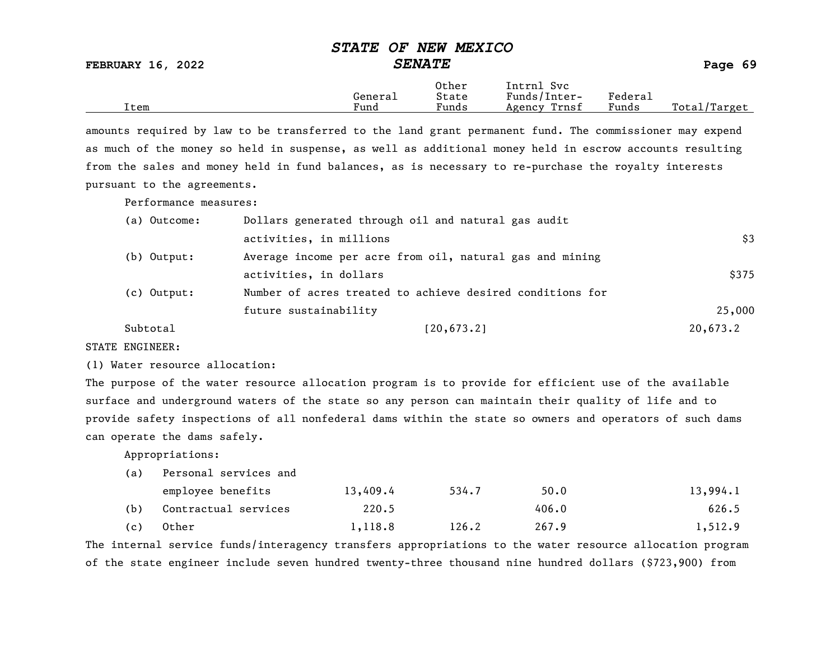FEBRUARY 16, 2022 SENATE Page 69

|      | General              | Other<br>State                    | Intrnl<br>Svc<br>Funds/Inter- | ${}_{\rm Federa}$ |                  |
|------|----------------------|-----------------------------------|-------------------------------|-------------------|------------------|
| Item | $\mathbf{r}$<br>Fund | $\overline{\phantom{a}}$<br>Funds | Trnsf<br>Agency               | Funds             | Total,<br>Target |

amounts required by law to be transferred to the land grant permanent fund. The commissioner may expend as much of the money so held in suspense, as well as additional money held in escrow accounts resulting from the sales and money held in fund balances, as is necessary to re-purchase the royalty interests pursuant to the agreements.

Performance measures:

| (a) Outcome: | Dollars generated through oil and natural gas audit       |          |
|--------------|-----------------------------------------------------------|----------|
|              | activities, in millions                                   | \$3      |
| (b) Output:  | Average income per acre from oil, natural gas and mining  |          |
|              | activities, in dollars                                    | \$375    |
| (c) Output:  | Number of acres treated to achieve desired conditions for |          |
|              | future sustainability                                     | 25,000   |
| Subtotal     | [20, 673.2]                                               | 20,673.2 |

STATE ENGINEER:

(1) Water resource allocation:

The purpose of the water resource allocation program is to provide for efficient use of the available surface and underground waters of the state so any person can maintain their quality of life and to provide safety inspections of all nonfederal dams within the state so owners and operators of such dams can operate the dams safely.

Appropriations:

| (a) Personal services and |  |
|---------------------------|--|
|---------------------------|--|

|     | employee benefits    | 13,409.4 | 534.7 | 50.0  | 13,994.1 |
|-----|----------------------|----------|-------|-------|----------|
| (b) | Contractual services | 220.5    |       | 406.0 | 626.5    |
| (c) | Other                | 1,118.8  | 126.2 | 267.9 | 1,512.9  |

The internal service funds/interagency transfers appropriations to the water resource allocation program of the state engineer include seven hundred twenty-three thousand nine hundred dollars (\$723,900) from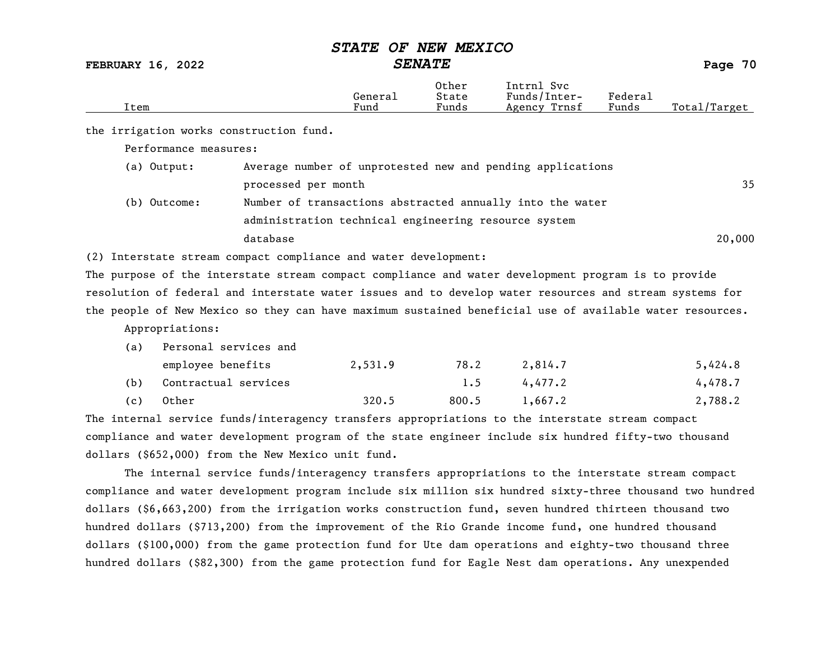FEBRUARY 16, 2022 SENATE SENATE

| Item                                                                                                     |                                                      | Genera <sub>1</sub><br>Fund | Other<br>State<br>Funds | Intrn1 Syc<br>Funds/Inter-<br>Agency Trnsf                 | Federal<br>Funds | Total/Target |  |
|----------------------------------------------------------------------------------------------------------|------------------------------------------------------|-----------------------------|-------------------------|------------------------------------------------------------|------------------|--------------|--|
| the irrigation works construction fund.                                                                  |                                                      |                             |                         |                                                            |                  |              |  |
| Performance measures:                                                                                    |                                                      |                             |                         |                                                            |                  |              |  |
| (a) Output:                                                                                              |                                                      |                             |                         | Average number of unprotested new and pending applications |                  |              |  |
|                                                                                                          | processed per month                                  |                             |                         |                                                            |                  | 35           |  |
| (b) Outcome:                                                                                             |                                                      |                             |                         | Number of transactions abstracted annually into the water  |                  |              |  |
|                                                                                                          | administration technical engineering resource system |                             |                         |                                                            |                  |              |  |
|                                                                                                          | database                                             |                             |                         |                                                            |                  | 20,000       |  |
| (2) Interstate stream compact compliance and water development:                                          |                                                      |                             |                         |                                                            |                  |              |  |
| The purpose of the interstate stream compact compliance and water development program is to provide      |                                                      |                             |                         |                                                            |                  |              |  |
| resolution of federal and interstate water issues and to develop water resources and stream systems for  |                                                      |                             |                         |                                                            |                  |              |  |
| the people of New Mexico so they can have maximum sustained beneficial use of available water resources. |                                                      |                             |                         |                                                            |                  |              |  |
| Appropriations:                                                                                          |                                                      |                             |                         |                                                            |                  |              |  |
| (a)                                                                                                      | Personal services and                                |                             |                         |                                                            |                  |              |  |
| employee benefits                                                                                        |                                                      | 2,531.9                     | 78.2                    | 2,814.7                                                    |                  | 5,424.8      |  |
| (b)                                                                                                      | Contractual services                                 |                             | 1.5                     | 4,477.2                                                    |                  | 4,478.7      |  |

| (c) Other | 320.5 | $800.5$ 1,667.2 | 2,788.2 |
|-----------|-------|-----------------|---------|

The internal service funds/interagency transfers appropriations to the interstate stream compact compliance and water development program of the state engineer include six hundred fifty-two thousand dollars (\$652,000) from the New Mexico unit fund.

The internal service funds/interagency transfers appropriations to the interstate stream compact compliance and water development program include six million six hundred sixty-three thousand two hundred dollars (\$6,663,200) from the irrigation works construction fund, seven hundred thirteen thousand two hundred dollars (\$713,200) from the improvement of the Rio Grande income fund, one hundred thousand dollars (\$100,000) from the game protection fund for Ute dam operations and eighty-two thousand three hundred dollars (\$82,300) from the game protection fund for Eagle Nest dam operations. Any unexpended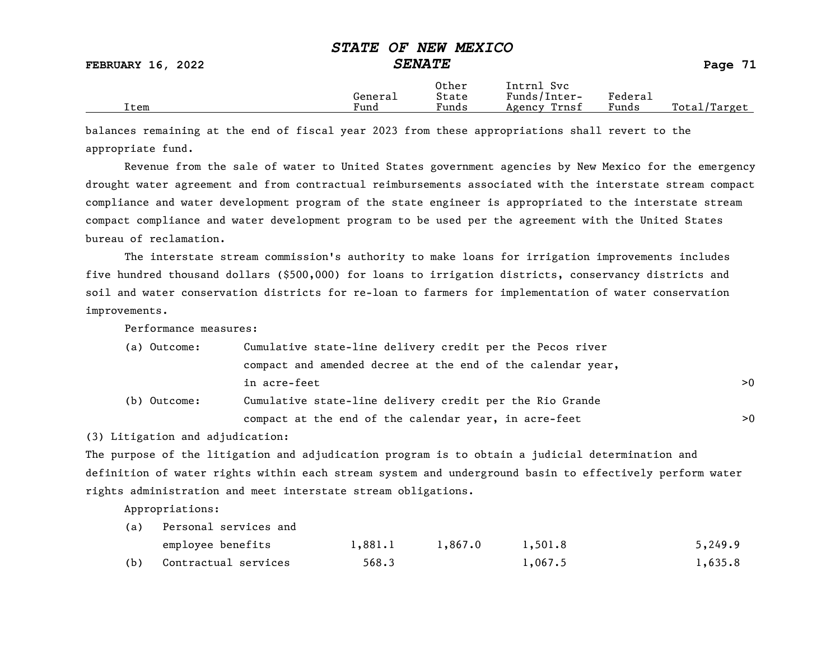|      | Generai | Other<br>State | Intrnl<br>Svc<br>Funds/Inter- | ${}_{\rm \texttt{Federa}_{\perp}}$ |              |
|------|---------|----------------|-------------------------------|------------------------------------|--------------|
| Item | Fund    | Funds          | Trnsf<br>Agency               | Funds                              | Total/Target |

balances remaining at the end of fiscal year 2023 from these appropriations shall revert to the appropriate fund.

Revenue from the sale of water to United States government agencies by New Mexico for the emergency drought water agreement and from contractual reimbursements associated with the interstate stream compact compliance and water development program of the state engineer is appropriated to the interstate stream compact compliance and water development program to be used per the agreement with the United States bureau of reclamation.

The interstate stream commission's authority to make loans for irrigation improvements includes five hundred thousand dollars (\$500,000) for loans to irrigation districts, conservancy districts and soil and water conservation districts for re-loan to farmers for implementation of water conservation improvements.

Performance measures:

| (a) Outcome: | Cumulative state-line delivery credit per the Pecos river   |    |  |  |  |
|--------------|-------------------------------------------------------------|----|--|--|--|
|              | compact and amended decree at the end of the calendar year, |    |  |  |  |
|              | in acre-feet                                                | >0 |  |  |  |
| (b) Outcome: | Cumulative state-line delivery credit per the Rio Grande    |    |  |  |  |
|              | compact at the end of the calendar year, in acre-feet       | >0 |  |  |  |

(3) Litigation and adjudication:

The purpose of the litigation and adjudication program is to obtain a judicial determination and definition of water rights within each stream system and underground basin to effectively perform water rights administration and meet interstate stream obligations.

Appropriations:

| (a) | Personal services and |         |         |         |         |
|-----|-----------------------|---------|---------|---------|---------|
|     | employee benefits     | 1,881.1 | 1,867.0 | 1,501.8 | 5,249.9 |
| (b) | Contractual services  | 568.3   |         | 1,067.5 | 1,635.8 |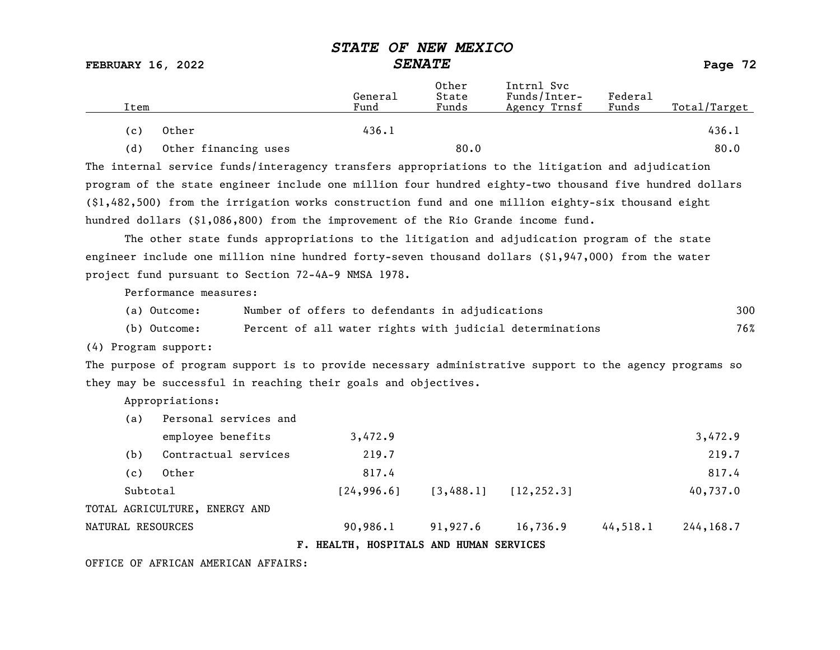FEBRUARY 16, 2022 SENATE SENATE

| Item |                      | General<br>Fund | Other<br>State<br>Funds | Intrnl Svc<br>Funds/Inter-<br>Agency Trnsf | Federal<br>Funds | Total/Target |
|------|----------------------|-----------------|-------------------------|--------------------------------------------|------------------|--------------|
| (c)  | Other                | 436.1           |                         |                                            |                  | 436.1        |
| (d)  | Other financing uses |                 | 80.0                    |                                            |                  | 80.0         |

The internal service funds/interagency transfers appropriations to the litigation and adjudication program of the state engineer include one million four hundred eighty-two thousand five hundred dollars (\$1,482,500) from the irrigation works construction fund and one million eighty-six thousand eight hundred dollars (\$1,086,800) from the improvement of the Rio Grande income fund.

The other state funds appropriations to the litigation and adjudication program of the state engineer include one million nine hundred forty-seven thousand dollars (\$1,947,000) from the water project fund pursuant to Section 72-4A-9 NMSA 1978.

Performance measures:

| (a) Outcome: | Number of offers to defendants in adjudications          | 300 |
|--------------|----------------------------------------------------------|-----|
| (b) Outcome: | Percent of all water rights with judicial determinations | 76% |

(4) Program support:

The purpose of program support is to provide necessary administrative support to the agency programs so they may be successful in reaching their goals and objectives.

Appropriations:

| Personal services and<br>(a) |          |                               |             |                                         |             |          |             |
|------------------------------|----------|-------------------------------|-------------|-----------------------------------------|-------------|----------|-------------|
|                              |          | employee benefits             | 3,472.9     |                                         |             |          | 3,472.9     |
|                              | (b)      | Contractual services          | 219.7       |                                         |             |          | 219.7       |
|                              | (c)      | Other                         | 817.4       |                                         |             |          | 817.4       |
|                              | Subtotal |                               | [24, 996.6] | [3, 488.1]                              | [12, 252.3] |          | 40,737.0    |
|                              |          | TOTAL AGRICULTURE, ENERGY AND |             |                                         |             |          |             |
|                              |          | NATURAL RESOURCES             | 90,986.1    | 91,927.6                                | 16,736.9    | 44,518.1 | 244, 168, 7 |
|                              |          |                               |             | F. HEALTH, HOSPITALS AND HUMAN SERVICES |             |          |             |

OFFICE OF AFRICAN AMERICAN AFFAIRS: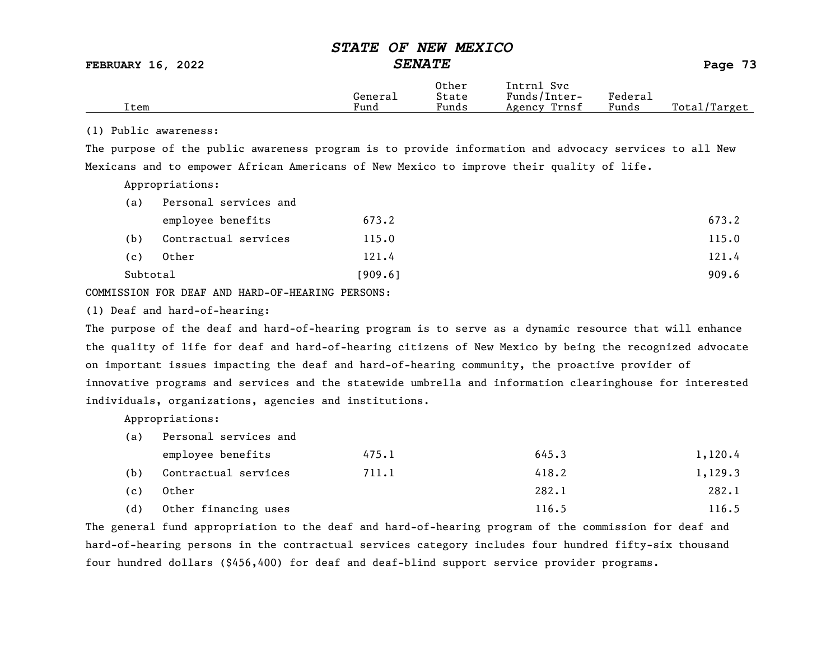FEBRUARY 16, 2022 SENATE Page 73

|      |         | Other                 | Intrnl<br><b>Svc</b> |                             |                 |
|------|---------|-----------------------|----------------------|-----------------------------|-----------------|
|      | General | State                 | Funds/Inter-         | ${}_{\rm \texttt{Federau}}$ |                 |
| Item | Fund    | $\mathbf{r}$<br>Funds | Trnsf<br>Agency      | Funds                       | Total<br>Target |

#### (1) Public awareness:

The purpose of the public awareness program is to provide information and advocacy services to all New Mexicans and to empower African Americans of New Mexico to improve their quality of life.

Appropriations:

| (a)      | Personal services and |         |       |
|----------|-----------------------|---------|-------|
|          | employee benefits     | 673.2   | 673.2 |
| (b)      | Contractual services  | 115.0   | 115.0 |
| (c)      | Other                 | 121.4   | 121.4 |
| Subtotal |                       | [909.6] | 909.6 |

COMMISSION FOR DEAF AND HARD-OF-HEARING PERSONS:

(1) Deaf and hard-of-hearing:

The purpose of the deaf and hard-of-hearing program is to serve as a dynamic resource that will enhance the quality of life for deaf and hard-of-hearing citizens of New Mexico by being the recognized advocate on important issues impacting the deaf and hard-of-hearing community, the proactive provider of innovative programs and services and the statewide umbrella and information clearinghouse for interested individuals, organizations, agencies and institutions.

Appropriations:

(a) Personal services and

|     | employee benefits    | 475.1 | 645.3 | 1,120.4 |
|-----|----------------------|-------|-------|---------|
| (b) | Contractual services | 711.1 | 418.2 | 1,129.3 |
| (c) | Other                |       | 282.1 | 282.1   |
| (d) | Other financing uses |       | 116.5 | 116.5   |

The general fund appropriation to the deaf and hard-of-hearing program of the commission for deaf and hard-of-hearing persons in the contractual services category includes four hundred fifty-six thousand four hundred dollars (\$456,400) for deaf and deaf-blind support service provider programs.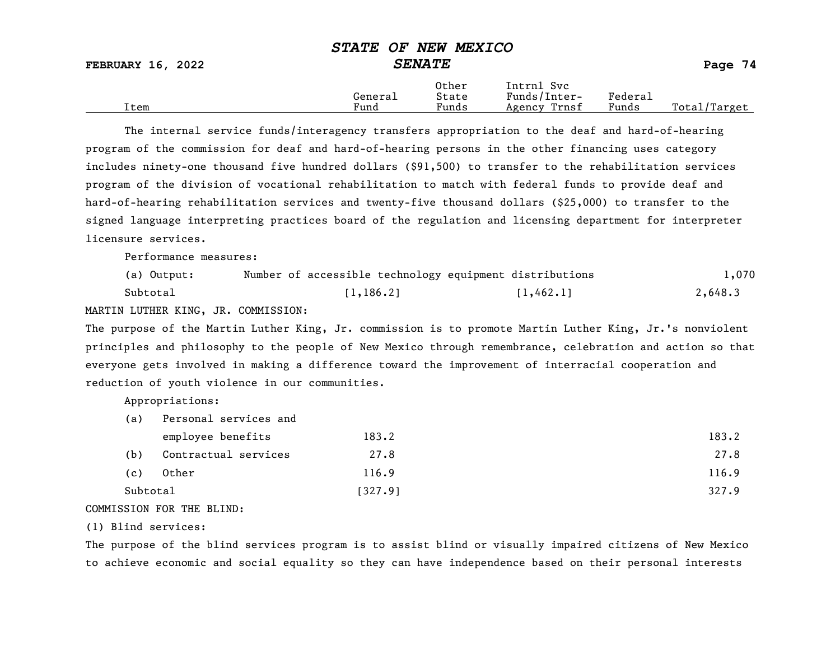#### STATE OF NEW MEXICO FEBRUARY 16, 2022 SENATE Page 74 Other Intrnl Svc<br>General State Funds/Inter General State Funds/Inter- Federal Total/Target

The internal service funds/interagency transfers appropriation to the deaf and hard-of-hearing program of the commission for deaf and hard-of-hearing persons in the other financing uses category includes ninety-one thousand five hundred dollars (\$91,500) to transfer to the rehabilitation services program of the division of vocational rehabilitation to match with federal funds to provide deaf and hard-of-hearing rehabilitation services and twenty-five thousand dollars (\$25,000) to transfer to the signed language interpreting practices board of the regulation and licensing department for interpreter licensure services.

Performance measures:

| (a) Output: | Number of accessible technology equipment distributions |           | 1,070   |
|-------------|---------------------------------------------------------|-----------|---------|
| Subtotal    | [1, 186.2]                                              | [1,462.1] | 2,648.3 |

MARTIN LUTHER KING, JR. COMMISSION:

The purpose of the Martin Luther King, Jr. commission is to promote Martin Luther King, Jr.'s nonviolent principles and philosophy to the people of New Mexico through remembrance, celebration and action so that everyone gets involved in making a difference toward the improvement of interracial cooperation and reduction of youth violence in our communities.

Appropriations:

| (a)      | Personal services and |         |       |
|----------|-----------------------|---------|-------|
|          | employee benefits     | 183.2   | 183.2 |
| (b)      | Contractual services  | 27.8    | 27.8  |
| (c)      | Other                 | 116.9   | 116.9 |
| Subtotal |                       | [327.9] | 327.9 |
|          |                       |         |       |

COMMISSION FOR THE BLIND:

(1) Blind services:

The purpose of the blind services program is to assist blind or visually impaired citizens of New Mexico to achieve economic and social equality so they can have independence based on their personal interests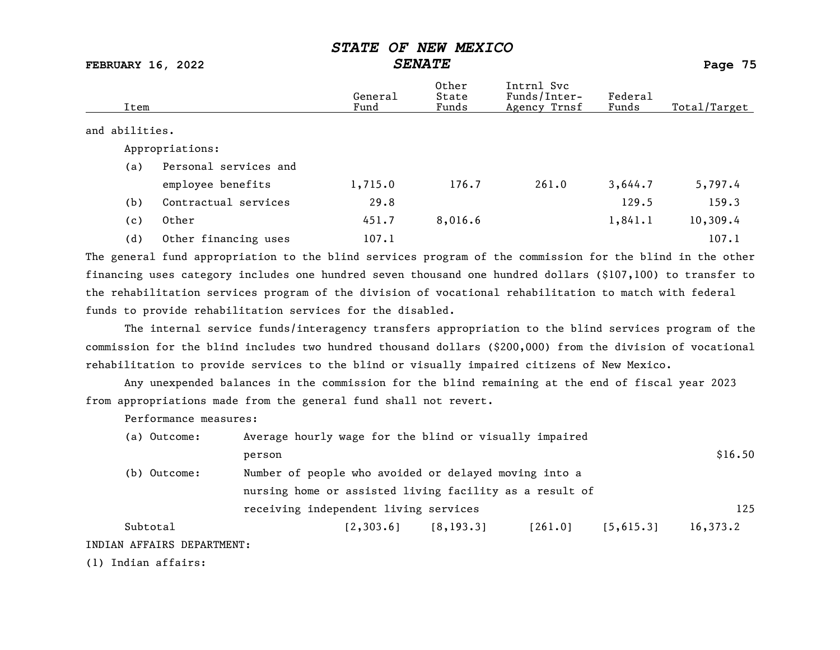FEBRUARY 16, 2022 SENATE Page 75

| Item           |                       | General<br>Fund | Other<br>State<br>Funds | Intrnl Svc<br>Funds/Inter-<br>Agency Trnsf | Federal<br>Funds | Total/Target |
|----------------|-----------------------|-----------------|-------------------------|--------------------------------------------|------------------|--------------|
| and abilities. |                       |                 |                         |                                            |                  |              |
|                | Appropriations:       |                 |                         |                                            |                  |              |
| (a)            | Personal services and |                 |                         |                                            |                  |              |
|                | employee benefits     | 1,715.0         | 176.7                   | 261.0                                      | 3,644.7          | 5,797.4      |
| (b)            | Contractual services  | 29.8            |                         |                                            | 129.5            | 159.3        |
| (c)            | Other                 | 451.7           | 8,016.6                 |                                            | 1,841.1          | 10,309.4     |
| (d)            | Other financing uses  | 107.1           |                         |                                            |                  | 107.1        |

The general fund appropriation to the blind services program of the commission for the blind in the other financing uses category includes one hundred seven thousand one hundred dollars (\$107,100) to transfer to the rehabilitation services program of the division of vocational rehabilitation to match with federal funds to provide rehabilitation services for the disabled.

The internal service funds/interagency transfers appropriation to the blind services program of the commission for the blind includes two hundred thousand dollars (\$200,000) from the division of vocational rehabilitation to provide services to the blind or visually impaired citizens of New Mexico.

Any unexpended balances in the commission for the blind remaining at the end of fiscal year 2023 from appropriations made from the general fund shall not revert.

Performance measures:

| (a) Outcome:                                            | Average hourly wage for the blind or visually impaired |            |         |           |          |
|---------------------------------------------------------|--------------------------------------------------------|------------|---------|-----------|----------|
|                                                         | person                                                 |            |         |           | \$16.50  |
| (b) Outcome:                                            | Number of people who avoided or delayed moving into a  |            |         |           |          |
| nursing home or assisted living facility as a result of |                                                        |            |         |           |          |
|                                                         | receiving independent living services                  |            |         |           | 125      |
| Subtotal                                                | [2, 303.6]                                             | [8, 193.3] | [261.0] | [5,615.3] | 16,373.2 |
| INDIAN AFFAIRS DEPARTMENT:                              |                                                        |            |         |           |          |

(1) Indian affairs: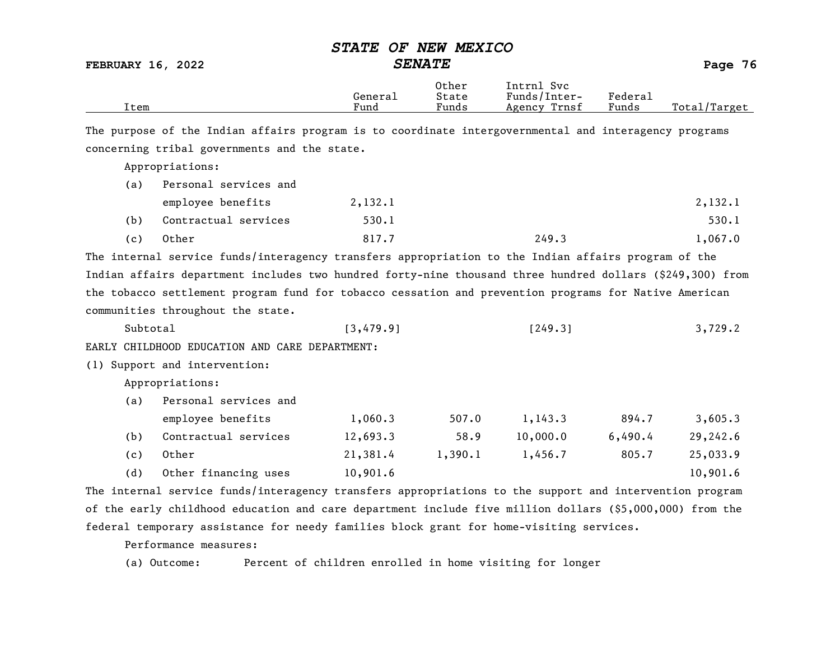| <b>FEBRUARY 16, 2022</b> |                                                                                                           |                 | סטבעצי וושט עס<br><b>SENATE</b> |                                            |                  | Page 76      |
|--------------------------|-----------------------------------------------------------------------------------------------------------|-----------------|---------------------------------|--------------------------------------------|------------------|--------------|
| Item                     |                                                                                                           | General<br>Fund | Other<br>State<br>Funds         | Intrnl Svc<br>Funds/Inter-<br>Agency Trnsf | Federa1<br>Funds | Total/Target |
|                          | The purpose of the Indian affairs program is to coordinate intergovernmental and interagency programs     |                 |                                 |                                            |                  |              |
|                          | concerning tribal governments and the state.                                                              |                 |                                 |                                            |                  |              |
|                          | Appropriations:                                                                                           |                 |                                 |                                            |                  |              |
| (a)                      | Personal services and                                                                                     |                 |                                 |                                            |                  |              |
|                          | employee benefits                                                                                         | 2,132.1         |                                 |                                            |                  | 2,132.1      |
| (b)                      | Contractual services                                                                                      | 530.1           |                                 |                                            |                  | 530.1        |
| (c)                      | Other                                                                                                     | 817.7           |                                 | 249.3                                      |                  | 1,067.0      |
|                          | The internal service funds/interagency transfers appropriation to the Indian affairs program of the       |                 |                                 |                                            |                  |              |
|                          | Indian affairs department includes two hundred forty-nine thousand three hundred dollars (\$249,300) from |                 |                                 |                                            |                  |              |
|                          | the tobacco settlement program fund for tobacco cessation and prevention programs for Native American     |                 |                                 |                                            |                  |              |
|                          | communities throughout the state.                                                                         |                 |                                 |                                            |                  |              |
|                          | Subtotal                                                                                                  | [3, 479.9]      |                                 | [249.3]                                    |                  | 3,729.2      |
|                          | EARLY CHILDHOOD EDUCATION AND CARE DEPARTMENT:                                                            |                 |                                 |                                            |                  |              |
|                          | (1) Support and intervention:                                                                             |                 |                                 |                                            |                  |              |
|                          | Appropriations:                                                                                           |                 |                                 |                                            |                  |              |
| (a)                      | Personal services and                                                                                     |                 |                                 |                                            |                  |              |
|                          | employee benefits                                                                                         | 1,060.3         | 507.0                           | 1,143.3                                    | 894.7            | 3,605.3      |
| (b)                      | Contractual services                                                                                      | 12,693.3        | 58.9                            | 10,000.0                                   | 6,490.4          | 29,242.6     |
| (c)                      | Other                                                                                                     | 21,381.4        | 1,390.1                         | 1,456.7                                    | 805.7            | 25,033.9     |
| (d)                      | Other financing uses                                                                                      | 10,901.6        |                                 |                                            |                  | 10,901.6     |
|                          | The internal service funds/interagency transfers appropriations to the support and intervention program   |                 |                                 |                                            |                  |              |

 $STATF$   $OF$   $NFI$   $MFY$ 

The internal service funds/interagency transfers appropriations to the support and intervention program of the early childhood education and care department include five million dollars (\$5,000,000) from the federal temporary assistance for needy families block grant for home-visiting services.

Performance measures:

(a) Outcome: Percent of children enrolled in home visiting for longer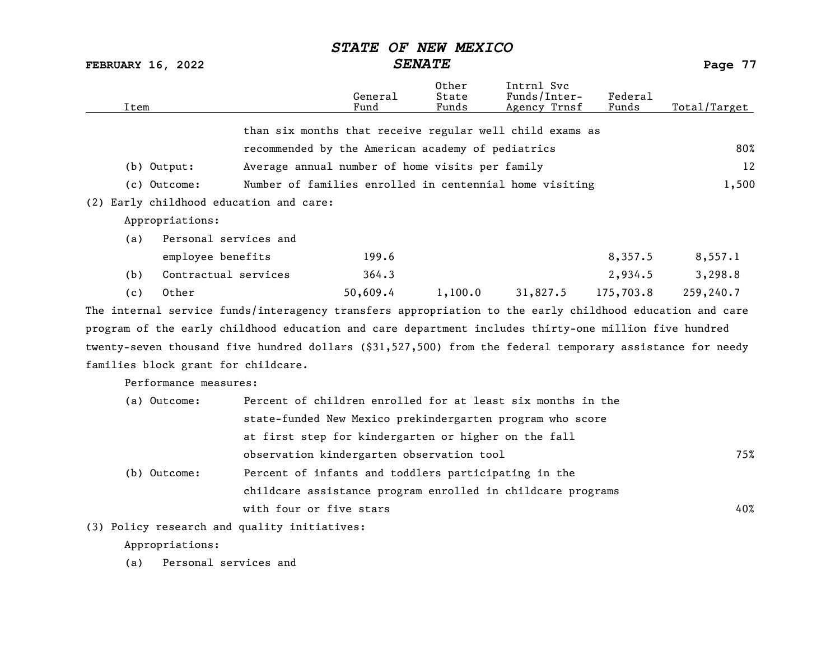FEBRUARY 16, 2022 SENATE Page 77

| Item |                                     |                                                                                                           | General<br>Fund | Other<br>State<br>Funds | Intrnl Svc<br>Funds/Inter-<br>Agency Trnsf | Federal<br>Funds | Total/Target |
|------|-------------------------------------|-----------------------------------------------------------------------------------------------------------|-----------------|-------------------------|--------------------------------------------|------------------|--------------|
|      |                                     | than six months that receive regular well child exams as                                                  |                 |                         |                                            |                  |              |
|      |                                     | recommended by the American academy of pediatrics                                                         |                 |                         |                                            |                  | 80%          |
|      | $(b)$ Output:                       | Average annual number of home visits per family                                                           |                 |                         |                                            |                  | 12           |
|      | (c) Outcome:                        | Number of families enrolled in centennial home visiting                                                   |                 |                         |                                            |                  | 1,500        |
|      |                                     | (2) Early childhood education and care:                                                                   |                 |                         |                                            |                  |              |
|      | Appropriations:                     |                                                                                                           |                 |                         |                                            |                  |              |
| (a)  | Personal services and               |                                                                                                           |                 |                         |                                            |                  |              |
|      | employee benefits                   |                                                                                                           | 199.6           |                         |                                            | 8,357.5          | 8,557.1      |
| (b)  | Contractual services                |                                                                                                           | 364.3           |                         |                                            | 2,934.5          | 3,298.8      |
| (c)  | Other                               |                                                                                                           | 50,609.4        | 1,100.0                 | 31,827.5                                   | 175,703.8        | 259,240.7    |
|      |                                     | The internal service funds/interagency transfers appropriation to the early childhood education and care  |                 |                         |                                            |                  |              |
|      |                                     | program of the early childhood education and care department includes thirty-one million five hundred     |                 |                         |                                            |                  |              |
|      |                                     | twenty-seven thousand five hundred dollars (\$31,527,500) from the federal temporary assistance for needy |                 |                         |                                            |                  |              |
|      | families block grant for childcare. |                                                                                                           |                 |                         |                                            |                  |              |

Performance measures:

| (a) Outcome: | Percent of children enrolled for at least six months in the |     |
|--------------|-------------------------------------------------------------|-----|
|              | state-funded New Mexico prekindergarten program who score   |     |
|              | at first step for kindergarten or higher on the fall        |     |
|              | observation kindergarten observation tool                   | 75% |
| (b) Outcome: | Percent of infants and toddlers participating in the        |     |
|              | childcare assistance program enrolled in childcare programs |     |
|              | with four or five stars                                     | 40% |
|              |                                                             |     |

(3) Policy research and quality initiatives:

Appropriations:

(a) Personal services and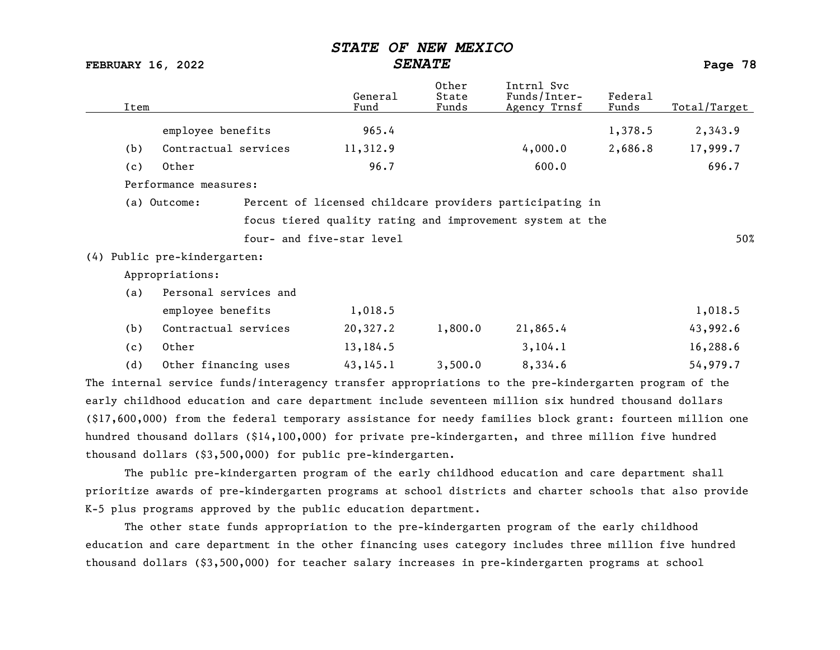| <b>FEBRUARY 16, 2022</b> |                              |  |                           | <b>SENATE</b>           |                                                                                                       |                  | Page 78      |
|--------------------------|------------------------------|--|---------------------------|-------------------------|-------------------------------------------------------------------------------------------------------|------------------|--------------|
| Item                     |                              |  | General<br>Fund           | Other<br>State<br>Funds | Intrnl Svc<br>Funds/Inter-<br>Agency Trnsf                                                            | Federa1<br>Funds | Total/Target |
|                          | employee benefits            |  | 965.4                     |                         |                                                                                                       | 1,378.5          | 2,343.9      |
| (b)                      | Contractual services         |  | 11,312.9                  |                         | 4,000.0                                                                                               | 2,686.8          | 17,999.7     |
| (c)                      | Other                        |  | 96.7                      |                         | 600.0                                                                                                 |                  | 696.7        |
|                          | Performance measures:        |  |                           |                         |                                                                                                       |                  |              |
|                          | (a) Outcome:                 |  |                           |                         | Percent of licensed childcare providers participating in                                              |                  |              |
|                          |                              |  |                           |                         | focus tiered quality rating and improvement system at the                                             |                  |              |
|                          |                              |  | four- and five-star level |                         |                                                                                                       |                  | 50%          |
|                          | (4) Public pre-kindergarten: |  |                           |                         |                                                                                                       |                  |              |
|                          | Appropriations:              |  |                           |                         |                                                                                                       |                  |              |
| (a)                      | Personal services and        |  |                           |                         |                                                                                                       |                  |              |
|                          | employee benefits            |  | 1,018.5                   |                         |                                                                                                       |                  | 1,018.5      |
| (b)                      | Contractual services         |  | 20,327.2                  | 1,800.0                 | 21,865.4                                                                                              |                  | 43,992.6     |
| (c)                      | Other                        |  | 13,184.5                  |                         | 3, 104.1                                                                                              |                  | 16,288.6     |
| (d)                      | Other financing uses         |  | 43, 145.1                 | 3,500.0                 | 8,334.6                                                                                               |                  | 54,979.7     |
|                          |                              |  |                           |                         | The internal service funds/interagency transfer appropriations to the pre-kindergarten program of the |                  |              |
|                          |                              |  |                           |                         | early childhood education and care department include seventeen million six hundred thousand dollars  |                  |              |

(\$17,600,000) from the federal temporary assistance for needy families block grant: fourteen million one hundred thousand dollars (\$14,100,000) for private pre-kindergarten, and three million five hundred thousand dollars (\$3,500,000) for public pre-kindergarten.

The public pre-kindergarten program of the early childhood education and care department shall prioritize awards of pre-kindergarten programs at school districts and charter schools that also provide K-5 plus programs approved by the public education department.

The other state funds appropriation to the pre-kindergarten program of the early childhood education and care department in the other financing uses category includes three million five hundred thousand dollars (\$3,500,000) for teacher salary increases in pre-kindergarten programs at school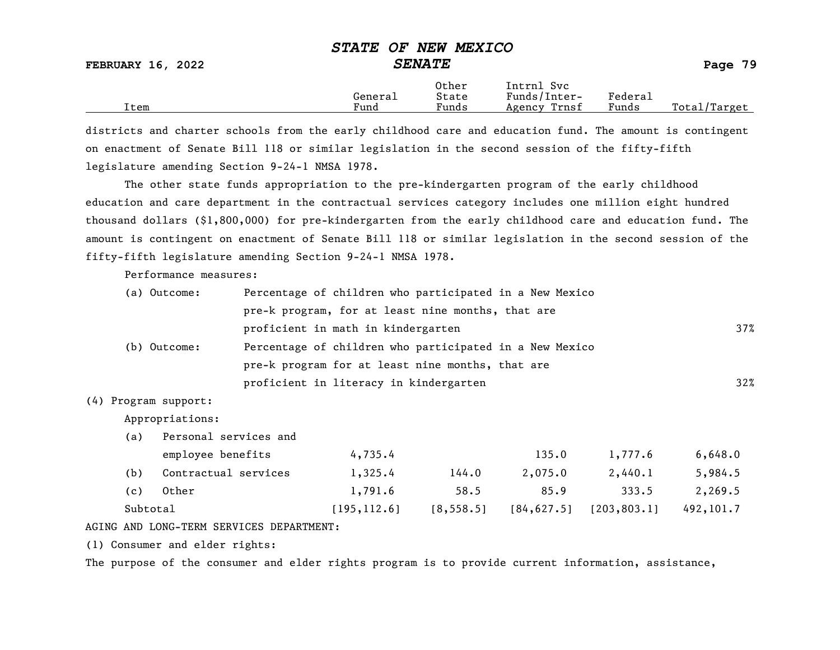#### STATE OF NEW MEXICO FEBRUARY 16, 2022 SENATE Page 79 Other Intrnl Svc<br>General State Funds/Inter General State Funds/Inter- Federal Total/Target

districts and charter schools from the early childhood care and education fund. The amount is contingent on enactment of Senate Bill 118 or similar legislation in the second session of the fifty-fifth legislature amending Section 9-24-1 NMSA 1978.

The other state funds appropriation to the pre-kindergarten program of the early childhood education and care department in the contractual services category includes one million eight hundred thousand dollars (\$1,800,000) for pre-kindergarten from the early childhood care and education fund. The amount is contingent on enactment of Senate Bill 118 or similar legislation in the second session of the fifty-fifth legislature amending Section 9-24-1 NMSA 1978.

Performance measures:

| (a) Outcome: | Percentage of children who participated in a New Mexico |        |
|--------------|---------------------------------------------------------|--------|
|              | pre-k program, for at least nine months, that are       |        |
|              | proficient in math in kindergarten                      | 37%    |
| (b) Outcome: | Percentage of children who participated in a New Mexico |        |
|              | pre-k program for at least nine months, that are        |        |
|              | proficient in literacy in kindergarten                  | $32\%$ |

#### (4) Program support:

Appropriations:

(a) Personal services and

|          | employee benefits    | 4,735.4      |            | 135.0       | 1,777.6      | 6,648.0    |
|----------|----------------------|--------------|------------|-------------|--------------|------------|
| (b)      | Contractual services | 1,325.4      | 144.0      | 2,075.0     | 2,440.1      | 5,984.5    |
| (c)      | Other                | 1,791.6      | 58.5       | 85.9        | 333.5        | 2,269.5    |
| Subtotal |                      | 195, 112, 61 | [8, 558.5] | [84, 627.5] | [203, 803.1] | 492, 101.7 |

#### AGING AND LONG-TERM SERVICES DEPARTMENT:

(1) Consumer and elder rights:

The purpose of the consumer and elder rights program is to provide current information, assistance,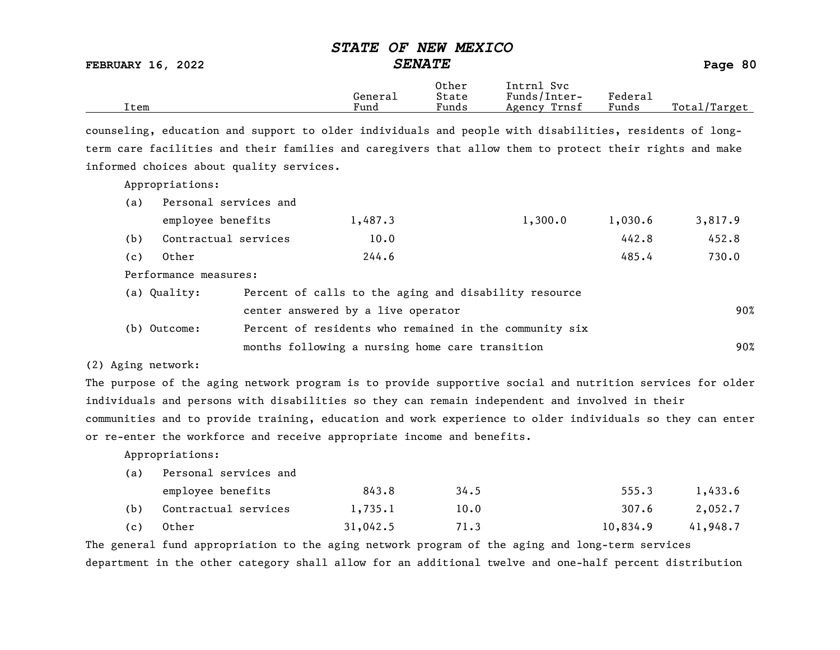FEBRUARY 16, 2022 SENATE Page 80

|      |         | Other                 | Intrnl<br>Svc   |                                    |                   |
|------|---------|-----------------------|-----------------|------------------------------------|-------------------|
|      | Genera⊥ | State                 | Funds/Inter-    | ${}_{\rm \texttt{Federa}_{\perp}}$ |                   |
| Item | Fund    | $\mathbf{r}$<br>Funds | Trnsf<br>Agency | Funds                              | Total<br>'Target' |

counseling, education and support to older individuals and people with disabilities, residents of longterm care facilities and their families and caregivers that allow them to protect their rights and make informed choices about quality services.

Appropriations:

| (a)                                                                   | Personal services and |         |         |         |         |
|-----------------------------------------------------------------------|-----------------------|---------|---------|---------|---------|
|                                                                       | employee benefits     | 1,487.3 | 1,300.0 | 1,030.6 | 3,817.9 |
| (b)                                                                   | Contractual services  | 10.0    |         | 442.8   | 452.8   |
| (c)                                                                   | Other                 | 244.6   |         | 485.4   | 730.0   |
| Performance measures:                                                 |                       |         |         |         |         |
| Percent of calls to the aging and disability resource<br>(a) Quality: |                       |         |         |         |         |

|              | center answered by a live operator                     | 90% |
|--------------|--------------------------------------------------------|-----|
| (b) Outcome: | Percent of residents who remained in the community six |     |
|              | months following a nursing home care transition        | 90% |

(2) Aging network:

The purpose of the aging network program is to provide supportive social and nutrition services for older individuals and persons with disabilities so they can remain independent and involved in their communities and to provide training, education and work experience to older individuals so they can enter or re-enter the workforce and receive appropriate income and benefits.

Appropriations:

(a) Personal services and

|     | employee benefits        | 843.8    | 34.5 | 555.3    | 1,433.6  |
|-----|--------------------------|----------|------|----------|----------|
|     | (b) Contractual services | 1,735.1  | 10.0 | 307.6    | 2,052.7  |
| (c) | Other                    | 31,042.5 | 71.3 | 10,834.9 | 41,948.7 |

The general fund appropriation to the aging network program of the aging and long-term services department in the other category shall allow for an additional twelve and one-half percent distribution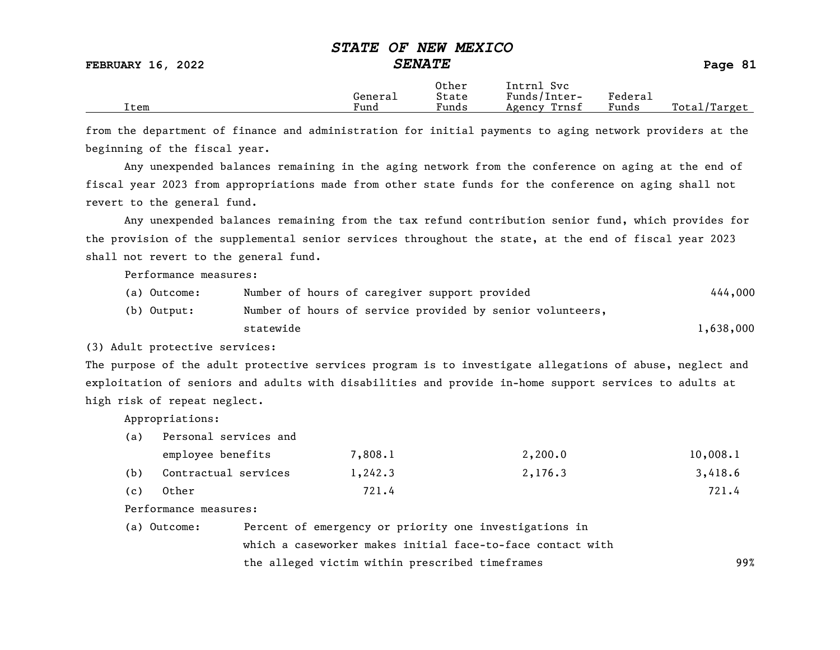|      | General | Other<br>State | Intrnl<br>Svc<br>Funds/Inter- | Federal |              |
|------|---------|----------------|-------------------------------|---------|--------------|
| Item | Fund    | Funds          | Trnsf<br>Agency               | Funds   | Total/Target |

from the department of finance and administration for initial payments to aging network providers at the beginning of the fiscal year.

Any unexpended balances remaining in the aging network from the conference on aging at the end of fiscal year 2023 from appropriations made from other state funds for the conference on aging shall not revert to the general fund.

Any unexpended balances remaining from the tax refund contribution senior fund, which provides for the provision of the supplemental senior services throughout the state, at the end of fiscal year 2023 shall not revert to the general fund.

Performance measures:

| (a) Outcome: | Number of hours of caregiver support provided             | 444,000   |
|--------------|-----------------------------------------------------------|-----------|
| (b) Output:  | Number of hours of service provided by senior volunteers, |           |
|              | statewide                                                 | 1,638,000 |

(3) Adult protective services:

The purpose of the adult protective services program is to investigate allegations of abuse, neglect and exploitation of seniors and adults with disabilities and provide in-home support services to adults at high risk of repeat neglect.

Appropriations:

(a) Personal services and

|     | employee benefits    | 7,808.1 | 2,200.0 | 10,008.1 |
|-----|----------------------|---------|---------|----------|
| (b) | Contractual services | 1,242.3 | 2,176.3 | 3,418.6  |
| (c) | Other                | 721.4   |         | 721.4    |

Performance measures:

| (a) Outcome: | Percent of emergency or priority one investigations in     |     |
|--------------|------------------------------------------------------------|-----|
|              | which a caseworker makes initial face-to-face contact with |     |
|              | the alleged victim within prescribed timeframes            | 99% |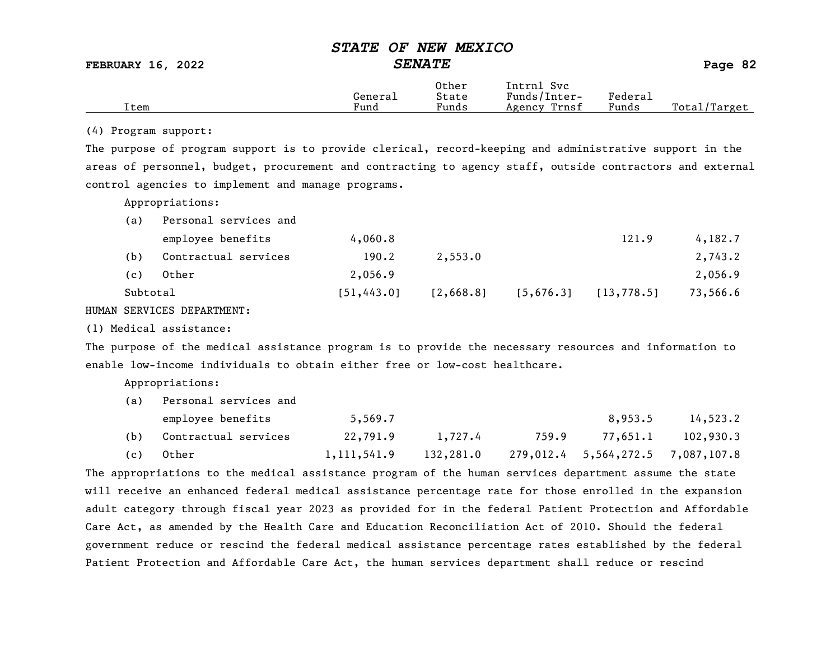FEBRUARY 16, 2022 SENATE Page 82

|      |         | Other                             | Intrnl<br>Svc   |         |                   |
|------|---------|-----------------------------------|-----------------|---------|-------------------|
|      | Generai | State                             | Funds/Inter-    | Federau |                   |
| Item | Fund    | $\overline{\phantom{a}}$<br>Funds | Trnsf<br>Agency | Funds   | Total,<br>/Target |

#### (4) Program support:

The purpose of program support is to provide clerical, record-keeping and administrative support in the areas of personnel, budget, procurement and contracting to agency staff, outside contractors and external control agencies to implement and manage programs.

Appropriations:

| Personal services and |             |           |           |             |          |
|-----------------------|-------------|-----------|-----------|-------------|----------|
| employee benefits     | 4,060.8     |           |           | 121.9       | 4,182.7  |
| Contractual services  | 190.2       | 2,553.0   |           |             | 2,743.2  |
| Other                 | 2,056.9     |           |           |             | 2,056.9  |
|                       | [51, 443.0] | [2,668.8] | [5,676.3] | [13, 778.5] | 73,566.6 |
|                       | Subtotal    |           |           |             |          |

HUMAN SERVICES DEPARTMENT:

(1) Medical assistance:

The purpose of the medical assistance program is to provide the necessary resources and information to enable low-income individuals to obtain either free or low-cost healthcare.

Appropriations:

| (a) | Personal services and |             |           |       |                                   |           |  |  |
|-----|-----------------------|-------------|-----------|-------|-----------------------------------|-----------|--|--|
|     | employee benefits     | 5,569.7     |           |       | 8,953.5                           | 14,523.2  |  |  |
| (b) | Contractual services  | 22,791.9    | 1,727.4   | 759.9 | 77,651.1                          | 102,930.3 |  |  |
| (c) | Other                 | 1,111,541.9 | 132,281.0 |       | 279,012.4 5,564,272.5 7,087,107.8 |           |  |  |

The appropriations to the medical assistance program of the human services department assume the state will receive an enhanced federal medical assistance percentage rate for those enrolled in the expansion adult category through fiscal year 2023 as provided for in the federal Patient Protection and Affordable Care Act, as amended by the Health Care and Education Reconciliation Act of 2010. Should the federal government reduce or rescind the federal medical assistance percentage rates established by the federal Patient Protection and Affordable Care Act, the human services department shall reduce or rescind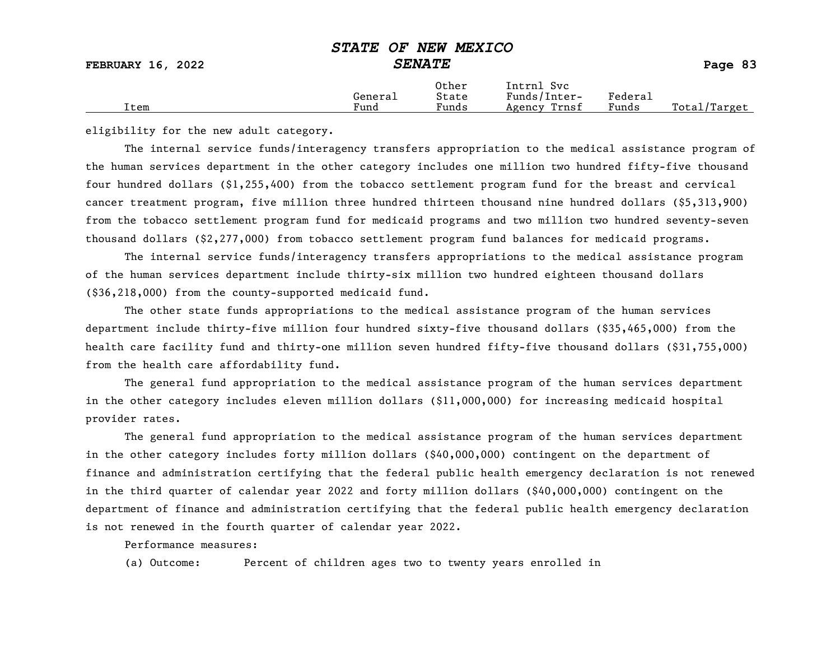| <b>FEBRUARY 16, 2022</b> | DIAID OF NEW PEAICO | <b>SENATE</b>  |                            |         | Page 83      |
|--------------------------|---------------------|----------------|----------------------------|---------|--------------|
|                          | General             | Other<br>State | Intrnl Svc<br>Funds/Inter- | Federal |              |
| Item                     | Fund                | Funds          | Agency Trnsf               | Funds   | Total/Target |

eligibility for the new adult category.

The internal service funds/interagency transfers appropriation to the medical assistance program of the human services department in the other category includes one million two hundred fifty-five thousand four hundred dollars (\$1,255,400) from the tobacco settlement program fund for the breast and cervical cancer treatment program, five million three hundred thirteen thousand nine hundred dollars (\$5,313,900) from the tobacco settlement program fund for medicaid programs and two million two hundred seventy-seven thousand dollars (\$2,277,000) from tobacco settlement program fund balances for medicaid programs.

The internal service funds/interagency transfers appropriations to the medical assistance program of the human services department include thirty-six million two hundred eighteen thousand dollars (\$36,218,000) from the county-supported medicaid fund.

The other state funds appropriations to the medical assistance program of the human services department include thirty-five million four hundred sixty-five thousand dollars (\$35,465,000) from the health care facility fund and thirty-one million seven hundred fifty-five thousand dollars (\$31,755,000) from the health care affordability fund.

The general fund appropriation to the medical assistance program of the human services department in the other category includes eleven million dollars (\$11,000,000) for increasing medicaid hospital provider rates.

The general fund appropriation to the medical assistance program of the human services department in the other category includes forty million dollars (\$40,000,000) contingent on the department of finance and administration certifying that the federal public health emergency declaration is not renewed in the third quarter of calendar year 2022 and forty million dollars (\$40,000,000) contingent on the department of finance and administration certifying that the federal public health emergency declaration is not renewed in the fourth quarter of calendar year 2022.

Performance measures:

(a) Outcome: Percent of children ages two to twenty years enrolled in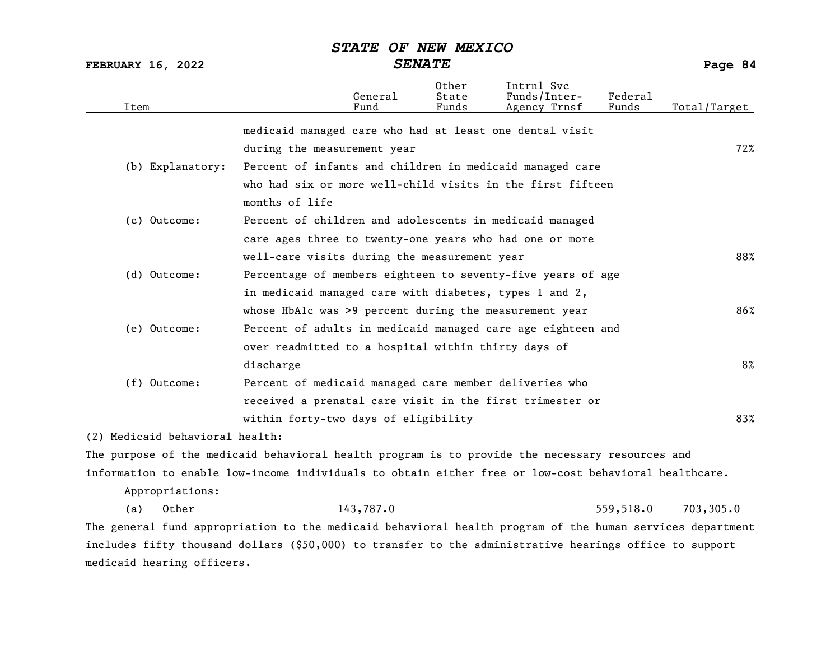FEBRUARY 16, 2022 SENATE Page 84

| Item                            | General<br>Fund                                                                                           | Other<br>State<br>Funds | Intrnl Svc<br>Funds/Inter-<br>Agency Trnsf | Federal<br>Funds | Total/Target |
|---------------------------------|-----------------------------------------------------------------------------------------------------------|-------------------------|--------------------------------------------|------------------|--------------|
|                                 | medicaid managed care who had at least one dental visit                                                   |                         |                                            |                  |              |
|                                 | during the measurement year                                                                               |                         |                                            |                  | 72%          |
| (b) Explanatory:                | Percent of infants and children in medicaid managed care                                                  |                         |                                            |                  |              |
|                                 | who had six or more well-child visits in the first fifteen                                                |                         |                                            |                  |              |
|                                 | months of life                                                                                            |                         |                                            |                  |              |
| (c) Outcome:                    | Percent of children and adolescents in medicaid managed                                                   |                         |                                            |                  |              |
|                                 | care ages three to twenty-one years who had one or more                                                   |                         |                                            |                  |              |
|                                 | well-care visits during the measurement year                                                              |                         |                                            |                  | 88%          |
| (d) Outcome:                    | Percentage of members eighteen to seventy-five years of age                                               |                         |                                            |                  |              |
|                                 | in medicaid managed care with diabetes, types 1 and 2,                                                    |                         |                                            |                  |              |
|                                 | whose HbAlc was >9 percent during the measurement year                                                    |                         |                                            |                  | 86%          |
| (e) Outcome:                    | Percent of adults in medicaid managed care age eighteen and                                               |                         |                                            |                  |              |
|                                 | over readmitted to a hospital within thirty days of                                                       |                         |                                            |                  |              |
|                                 | discharge                                                                                                 |                         |                                            |                  | $8\%$        |
| (f) Outcome:                    | Percent of medicaid managed care member deliveries who                                                    |                         |                                            |                  |              |
|                                 | received a prenatal care visit in the first trimester or                                                  |                         |                                            |                  |              |
|                                 | within forty-two days of eligibility                                                                      |                         |                                            |                  | 83%          |
| (2) Medicaid behavioral health: |                                                                                                           |                         |                                            |                  |              |
|                                 | The purpose of the medicaid behavioral health program is to provide the necessary resources and           |                         |                                            |                  |              |
|                                 | information to enable low-income individuals to obtain either free or low-cost behavioral healthcare.     |                         |                                            |                  |              |
| Appropriations:                 |                                                                                                           |                         |                                            |                  |              |
| (a)<br>Other                    | 143,787.0                                                                                                 |                         |                                            | 559,518.0        | 703,305.0    |
|                                 | The general fund appropriation to the medicaid behavioral health program of the human services department |                         |                                            |                  |              |
|                                 | includes fifty thousand dollars (\$50,000) to transfer to the administrative hearings office to support   |                         |                                            |                  |              |
| medicaid hearing officers.      |                                                                                                           |                         |                                            |                  |              |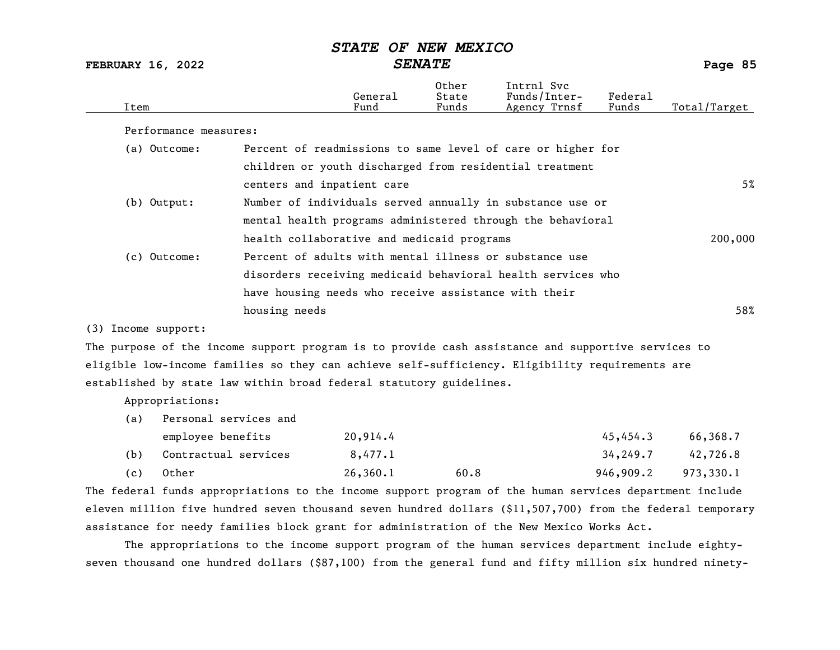FEBRUARY 16, 2022 SENATE Page 85

| Item                  |                                                        | General<br>Fund | Other<br>State<br>Funds | Intrnl Svc<br>Funds/Inter-<br>Agency Trnsf                  | Federal<br>Funds | Total/Target |
|-----------------------|--------------------------------------------------------|-----------------|-------------------------|-------------------------------------------------------------|------------------|--------------|
| Performance measures: |                                                        |                 |                         |                                                             |                  |              |
| (a) Outcome:          |                                                        |                 |                         | Percent of readmissions to same level of care or higher for |                  |              |
|                       |                                                        |                 |                         | children or youth discharged from residential treatment     |                  |              |
|                       | centers and inpatient care                             |                 |                         |                                                             |                  | 5%           |
| $(b)$ Output:         |                                                        |                 |                         | Number of individuals served annually in substance use or   |                  |              |
|                       |                                                        |                 |                         | mental health programs administered through the behavioral  |                  |              |
|                       | health collaborative and medicaid programs             |                 |                         |                                                             |                  | 200,000      |
| (c) Outcome:          | Percent of adults with mental illness or substance use |                 |                         |                                                             |                  |              |
|                       |                                                        |                 |                         | disorders receiving medicaid behavioral health services who |                  |              |
|                       | have housing needs who receive assistance with their   |                 |                         |                                                             |                  |              |
|                       | housing needs                                          |                 |                         |                                                             |                  | 58%          |
| $(3)$ Income support: |                                                        |                 |                         |                                                             |                  |              |

 $(3)$  Income supp

The purpose of the income support program is to provide cash assistance and supportive services to eligible low-income families so they can achieve self-sufficiency. Eligibility requirements are established by state law within broad federal statutory guidelines.

Appropriations:

| (a) | Personal services and |          |      |           |           |
|-----|-----------------------|----------|------|-----------|-----------|
|     | employee benefits     | 20,914.4 |      | 45,454.3  | 66,368.7  |
| (b) | Contractual services  | 8,477.1  |      | 34,249.7  | 42,726.8  |
| (c) | Other                 | 26,360.1 | 60.8 | 946,909.2 | 973,330.1 |

The federal funds appropriations to the income support program of the human services department include eleven million five hundred seven thousand seven hundred dollars (\$11,507,700) from the federal temporary assistance for needy families block grant for administration of the New Mexico Works Act.

The appropriations to the income support program of the human services department include eightyseven thousand one hundred dollars (\$87,100) from the general fund and fifty million six hundred ninety-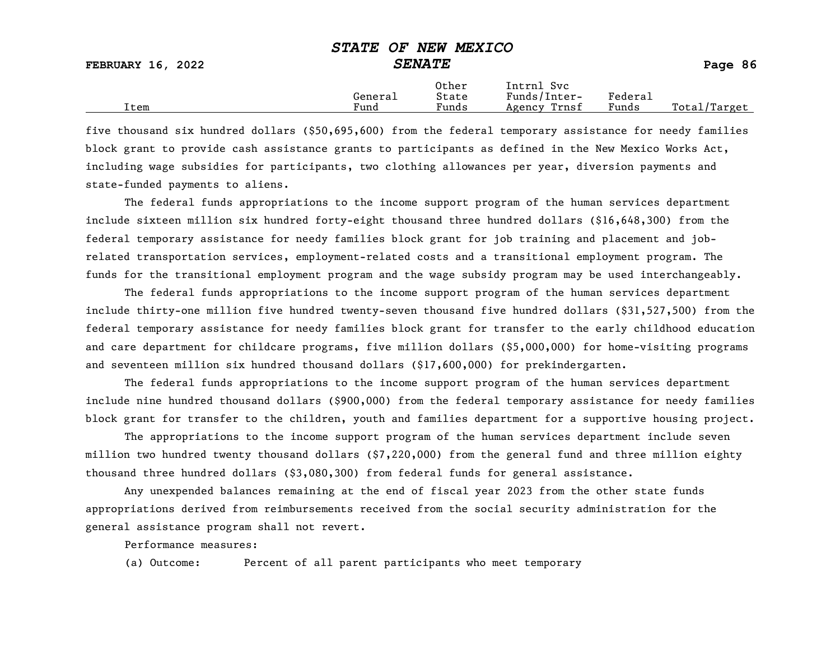|      | General | Other<br>State | Intrnl<br><b>Svc</b><br>Funds/Inter- | Federai |                    |
|------|---------|----------------|--------------------------------------|---------|--------------------|
| Item | Fund    | Funds          | Trnsf<br>Agency                      | Funds   | Total/<br>'/Target |

five thousand six hundred dollars (\$50,695,600) from the federal temporary assistance for needy families block grant to provide cash assistance grants to participants as defined in the New Mexico Works Act, including wage subsidies for participants, two clothing allowances per year, diversion payments and state-funded payments to aliens.

The federal funds appropriations to the income support program of the human services department include sixteen million six hundred forty-eight thousand three hundred dollars (\$16,648,300) from the federal temporary assistance for needy families block grant for job training and placement and jobrelated transportation services, employment-related costs and a transitional employment program. The funds for the transitional employment program and the wage subsidy program may be used interchangeably.

The federal funds appropriations to the income support program of the human services department include thirty-one million five hundred twenty-seven thousand five hundred dollars (\$31,527,500) from the federal temporary assistance for needy families block grant for transfer to the early childhood education and care department for childcare programs, five million dollars (\$5,000,000) for home-visiting programs and seventeen million six hundred thousand dollars (\$17,600,000) for prekindergarten.

The federal funds appropriations to the income support program of the human services department include nine hundred thousand dollars (\$900,000) from the federal temporary assistance for needy families block grant for transfer to the children, youth and families department for a supportive housing project.

The appropriations to the income support program of the human services department include seven million two hundred twenty thousand dollars (\$7,220,000) from the general fund and three million eighty thousand three hundred dollars (\$3,080,300) from federal funds for general assistance.

Any unexpended balances remaining at the end of fiscal year 2023 from the other state funds appropriations derived from reimbursements received from the social security administration for the general assistance program shall not revert.

Performance measures:

(a) Outcome: Percent of all parent participants who meet temporary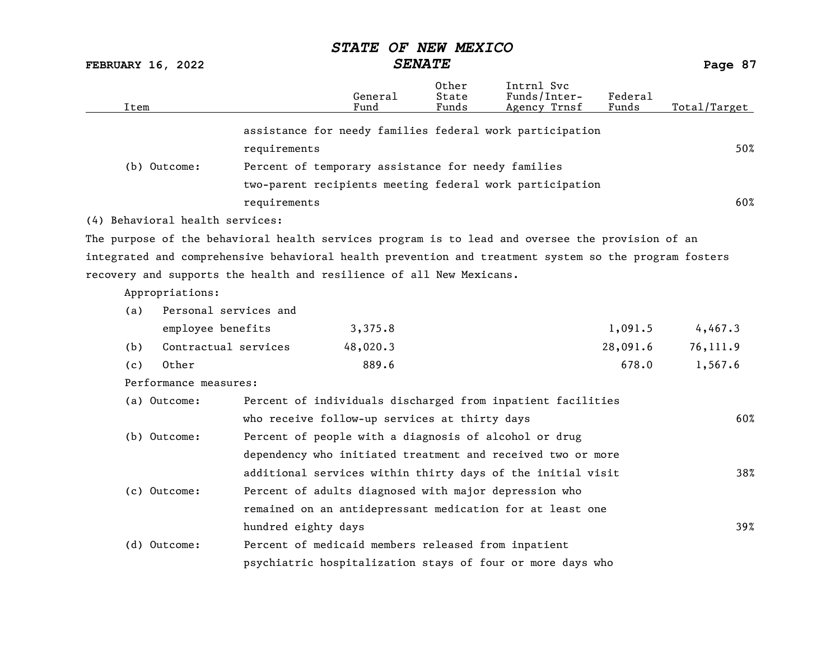FEBRUARY 16, 2022 SENATE Page 87

| Item                                                                                                  |                                                       | General<br>Fund | Other<br>State<br>Funds | Intrnl Svc<br>Funds/Inter-<br>Agency Trnsf                  | Federal<br>Funds | Total/Target |
|-------------------------------------------------------------------------------------------------------|-------------------------------------------------------|-----------------|-------------------------|-------------------------------------------------------------|------------------|--------------|
|                                                                                                       |                                                       |                 |                         | assistance for needy families federal work participation    |                  |              |
|                                                                                                       | requirements                                          |                 |                         |                                                             |                  | 50%          |
| (b) Outcome:                                                                                          | Percent of temporary assistance for needy families    |                 |                         |                                                             |                  |              |
|                                                                                                       |                                                       |                 |                         | two-parent recipients meeting federal work participation    |                  |              |
|                                                                                                       | requirements                                          |                 |                         |                                                             |                  | 60%          |
| (4) Behavioral health services:                                                                       |                                                       |                 |                         |                                                             |                  |              |
| The purpose of the behavioral health services program is to lead and oversee the provision of an      |                                                       |                 |                         |                                                             |                  |              |
| integrated and comprehensive behavioral health prevention and treatment system so the program fosters |                                                       |                 |                         |                                                             |                  |              |
| recovery and supports the health and resilience of all New Mexicans.                                  |                                                       |                 |                         |                                                             |                  |              |
| Appropriations:                                                                                       |                                                       |                 |                         |                                                             |                  |              |
| Personal services and<br>(a)                                                                          |                                                       |                 |                         |                                                             |                  |              |
| employee benefits                                                                                     |                                                       | 3,375.8         |                         |                                                             | 1,091.5          | 4,467.3      |
| Contractual services<br>(b)                                                                           |                                                       | 48,020.3        |                         |                                                             | 28,091.6         | 76,111.9     |
| Other<br>(c)                                                                                          |                                                       | 889.6           |                         |                                                             | 678.0            | 1,567.6      |
| Performance measures:                                                                                 |                                                       |                 |                         |                                                             |                  |              |
| (a) Outcome:                                                                                          |                                                       |                 |                         | Percent of individuals discharged from inpatient facilities |                  |              |
|                                                                                                       | who receive follow-up services at thirty days         |                 |                         |                                                             |                  | 60%          |
| (b) Outcome:                                                                                          | Percent of people with a diagnosis of alcohol or drug |                 |                         |                                                             |                  |              |
|                                                                                                       |                                                       |                 |                         | dependency who initiated treatment and received two or more |                  |              |
|                                                                                                       |                                                       |                 |                         | additional services within thirty days of the initial visit |                  | 38%          |
| (c) Outcome:                                                                                          | Percent of adults diagnosed with major depression who |                 |                         |                                                             |                  |              |
|                                                                                                       |                                                       |                 |                         | remained on an antidepressant medication for at least one   |                  |              |
|                                                                                                       | hundred eighty days                                   |                 |                         |                                                             |                  | 39%          |
| (d) Outcome:                                                                                          | Percent of medicaid members released from inpatient   |                 |                         |                                                             |                  |              |
|                                                                                                       |                                                       |                 |                         | psychiatric hospitalization stays of four or more days who  |                  |              |
|                                                                                                       |                                                       |                 |                         |                                                             |                  |              |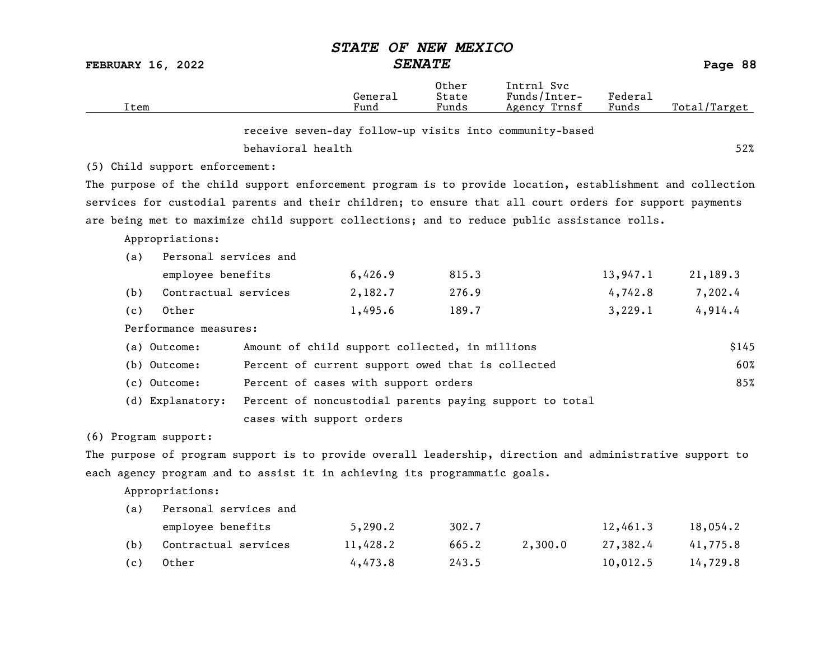|                          |                                                                                                           | <i><b>STATE</b></i>                                     | OF NEW MEXICO           |                                            |                  |              |
|--------------------------|-----------------------------------------------------------------------------------------------------------|---------------------------------------------------------|-------------------------|--------------------------------------------|------------------|--------------|
| <b>FEBRUARY 16, 2022</b> |                                                                                                           | <b>SENATE</b>                                           |                         |                                            |                  | Page 88      |
| Item                     |                                                                                                           | General<br>Fund                                         | Other<br>State<br>Funds | Intrnl Svc<br>Funds/Inter-<br>Agency Trnsf | Federal<br>Funds | Total/Target |
|                          |                                                                                                           | receive seven-day follow-up visits into community-based |                         |                                            |                  |              |
|                          | behavioral health                                                                                         |                                                         |                         |                                            |                  | 52%          |
|                          | (5) Child support enforcement:                                                                            |                                                         |                         |                                            |                  |              |
|                          | The purpose of the child support enforcement program is to provide location, establishment and collection |                                                         |                         |                                            |                  |              |
|                          | services for custodial parents and their children; to ensure that all court orders for support payments   |                                                         |                         |                                            |                  |              |
|                          | are being met to maximize child support collections; and to reduce public assistance rolls.               |                                                         |                         |                                            |                  |              |
|                          | Appropriations:                                                                                           |                                                         |                         |                                            |                  |              |
| (a)                      | Personal services and                                                                                     |                                                         |                         |                                            |                  |              |
|                          | employee benefits                                                                                         | 6,426.9                                                 | 815.3                   |                                            | 13,947.1         | 21,189.3     |
| (b)                      | Contractual services                                                                                      | 2,182.7                                                 | 276.9                   |                                            | 4,742.8          | 7,202.4      |
| (c)                      | Other                                                                                                     | 1,495.6                                                 | 189.7                   |                                            | 3,229.1          | 4,914.4      |
|                          | Performance measures:                                                                                     |                                                         |                         |                                            |                  |              |
|                          | (a) Outcome:                                                                                              | Amount of child support collected, in millions          |                         |                                            |                  | \$145        |
|                          | (b) Outcome:                                                                                              | Percent of current support owed that is collected       |                         |                                            |                  | 60%          |
|                          | (c) Outcome:                                                                                              | Percent of cases with support orders                    |                         |                                            |                  | 85%          |
|                          | (d) Explanatory:                                                                                          | Percent of noncustodial parents paying support to total |                         |                                            |                  |              |
|                          |                                                                                                           | cases with support orders                               |                         |                                            |                  |              |
| (6) Program support:     |                                                                                                           |                                                         |                         |                                            |                  |              |
|                          | The purpose of program support is to provide overall leadership, direction and administrative support to  |                                                         |                         |                                            |                  |              |
|                          | each agency program and to assist it in achieving its programmatic goals.                                 |                                                         |                         |                                            |                  |              |
|                          | Appropriations:                                                                                           |                                                         |                         |                                            |                  |              |
| (a)                      | Personal services and                                                                                     |                                                         |                         |                                            |                  |              |
|                          | employee benefits                                                                                         | 5,290.2                                                 | 302.7                   |                                            | 12,461.3         | 18,054.2     |
| (b)                      | Contractual services                                                                                      | 11,428.2                                                | 665.2                   | 2,300.0                                    | 27,382.4         | 41,775.8     |
| (c)                      | Other                                                                                                     | 4,473.8                                                 | 243.5                   |                                            | 10,012.5         | 14,729.8     |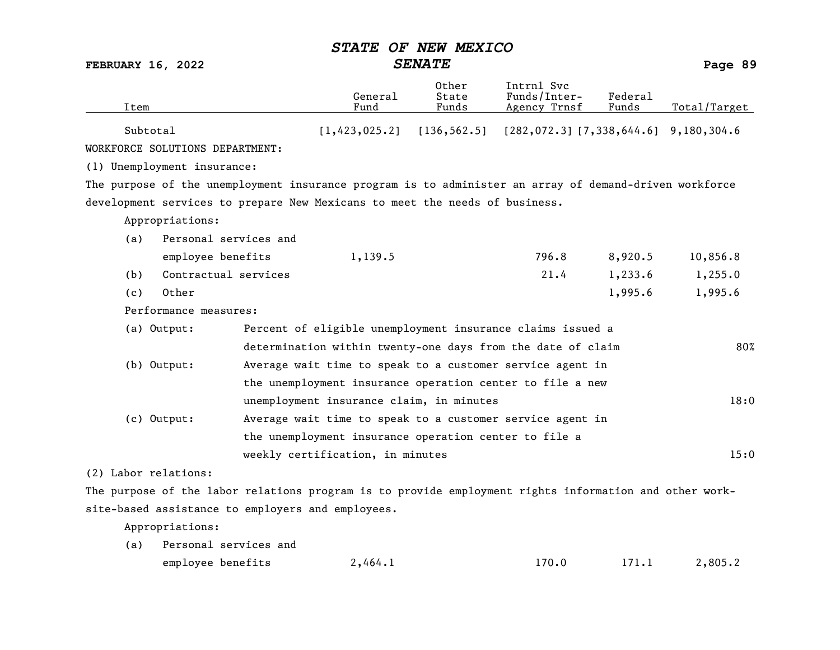FEBRUARY 16, 2022 SENATE Page 89

| Item                                                                                                   |                                                       | General<br>Fund | Other<br>State<br>Funds | Intrnl Svc<br>Funds/Inter-<br>Agency Trnsf                    | Federal<br>Funds | Total/Target |
|--------------------------------------------------------------------------------------------------------|-------------------------------------------------------|-----------------|-------------------------|---------------------------------------------------------------|------------------|--------------|
| Subtotal                                                                                               |                                                       | [1, 423, 025.2] |                         | $[136, 562.5]$ $[282, 072.3]$ $[7, 338, 644.6]$ 9, 180, 304.6 |                  |              |
| WORKFORCE SOLUTIONS DEPARTMENT:                                                                        |                                                       |                 |                         |                                                               |                  |              |
| (1) Unemployment insurance:                                                                            |                                                       |                 |                         |                                                               |                  |              |
| The purpose of the unemployment insurance program is to administer an array of demand-driven workforce |                                                       |                 |                         |                                                               |                  |              |
| development services to prepare New Mexicans to meet the needs of business.                            |                                                       |                 |                         |                                                               |                  |              |
| Appropriations:                                                                                        |                                                       |                 |                         |                                                               |                  |              |
| Personal services and<br>(a)                                                                           |                                                       |                 |                         |                                                               |                  |              |
| employee benefits                                                                                      |                                                       | 1,139.5         |                         | 796.8                                                         | 8,920.5          | 10,856.8     |
| Contractual services<br>(b)                                                                            |                                                       |                 |                         | 21.4                                                          | 1,233.6          | 1,255.0      |
| Other<br>(c)                                                                                           |                                                       |                 |                         |                                                               | 1,995.6          | 1,995.6      |
| Performance measures:                                                                                  |                                                       |                 |                         |                                                               |                  |              |
| (a) Output:                                                                                            |                                                       |                 |                         | Percent of eligible unemployment insurance claims issued a    |                  |              |
|                                                                                                        |                                                       |                 |                         | determination within twenty-one days from the date of claim   |                  | 80%          |
| $(b)$ Output:                                                                                          |                                                       |                 |                         | Average wait time to speak to a customer service agent in     |                  |              |
|                                                                                                        |                                                       |                 |                         | the unemployment insurance operation center to file a new     |                  |              |
|                                                                                                        | unemployment insurance claim, in minutes              |                 |                         |                                                               |                  | 18:0         |
| (c) Output:                                                                                            |                                                       |                 |                         | Average wait time to speak to a customer service agent in     |                  |              |
|                                                                                                        | the unemployment insurance operation center to file a |                 |                         |                                                               |                  |              |
|                                                                                                        | weekly certification, in minutes                      |                 |                         |                                                               |                  | 15:0         |
| (2) Labor relations:                                                                                   |                                                       |                 |                         |                                                               |                  |              |
| The purpose of the labor relations program is to provide employment rights information and other work- |                                                       |                 |                         |                                                               |                  |              |
| site-based assistance to employers and employees.                                                      |                                                       |                 |                         |                                                               |                  |              |

Appropriations:

| (a) Personal services and |         |       |       |         |
|---------------------------|---------|-------|-------|---------|
| employee benefits         | 2,464.1 | 170.0 | 171.1 | 2,805.2 |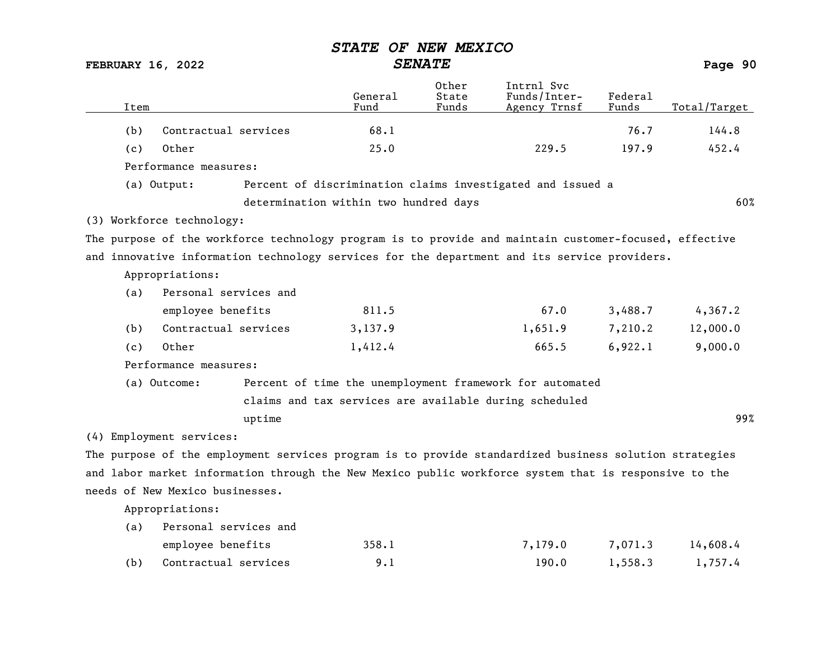FEBRUARY 16, 2022 SENATE Page 90

| Contractual services<br>68.1<br>76.7<br>144.8<br>(b)<br>Other<br>25.0<br>229.5<br>197.9<br>452.4<br>(c)<br>Performance measures:<br>Percent of discrimination claims investigated and issued a<br>(a) Output:<br>determination within two hundred days<br>(3) Workforce technology:<br>The purpose of the workforce technology program is to provide and maintain customer-focused, effective<br>and innovative information technology services for the department and its service providers.<br>Appropriations:<br>Personal services and<br>(a)<br>811.5<br>67.0<br>employee benefits<br>3,488.7<br>4,367.2<br>Contractual services<br>3,137.9<br>1,651.9<br>7,210.2<br>12,000.0<br>(b)<br>Other<br>665.5<br>6,922.1<br>9,000.0<br>1,412.4<br>(c)<br>Performance measures:<br>Percent of time the unemployment framework for automated<br>(a) Outcome:<br>claims and tax services are available during scheduled<br>99%<br>uptime<br>(4) Employment services:<br>The purpose of the employment services program is to provide standardized business solution strategies<br>and labor market information through the New Mexico public workforce system that is responsive to the<br>needs of New Mexico businesses.<br>Appropriations: | Item |  | General<br>Fund | Other<br>State<br>Funds | Intrnl Svc<br>Funds/Inter-<br>Agency Trnsf | Federal<br>Funds | Total/Target |
|-----------------------------------------------------------------------------------------------------------------------------------------------------------------------------------------------------------------------------------------------------------------------------------------------------------------------------------------------------------------------------------------------------------------------------------------------------------------------------------------------------------------------------------------------------------------------------------------------------------------------------------------------------------------------------------------------------------------------------------------------------------------------------------------------------------------------------------------------------------------------------------------------------------------------------------------------------------------------------------------------------------------------------------------------------------------------------------------------------------------------------------------------------------------------------------------------------------------------------------------|------|--|-----------------|-------------------------|--------------------------------------------|------------------|--------------|
|                                                                                                                                                                                                                                                                                                                                                                                                                                                                                                                                                                                                                                                                                                                                                                                                                                                                                                                                                                                                                                                                                                                                                                                                                                         |      |  |                 |                         |                                            |                  |              |
|                                                                                                                                                                                                                                                                                                                                                                                                                                                                                                                                                                                                                                                                                                                                                                                                                                                                                                                                                                                                                                                                                                                                                                                                                                         |      |  |                 |                         |                                            |                  |              |
|                                                                                                                                                                                                                                                                                                                                                                                                                                                                                                                                                                                                                                                                                                                                                                                                                                                                                                                                                                                                                                                                                                                                                                                                                                         |      |  |                 |                         |                                            |                  |              |
|                                                                                                                                                                                                                                                                                                                                                                                                                                                                                                                                                                                                                                                                                                                                                                                                                                                                                                                                                                                                                                                                                                                                                                                                                                         |      |  |                 |                         |                                            |                  |              |
|                                                                                                                                                                                                                                                                                                                                                                                                                                                                                                                                                                                                                                                                                                                                                                                                                                                                                                                                                                                                                                                                                                                                                                                                                                         |      |  |                 |                         |                                            |                  | 60%          |
|                                                                                                                                                                                                                                                                                                                                                                                                                                                                                                                                                                                                                                                                                                                                                                                                                                                                                                                                                                                                                                                                                                                                                                                                                                         |      |  |                 |                         |                                            |                  |              |
|                                                                                                                                                                                                                                                                                                                                                                                                                                                                                                                                                                                                                                                                                                                                                                                                                                                                                                                                                                                                                                                                                                                                                                                                                                         |      |  |                 |                         |                                            |                  |              |
|                                                                                                                                                                                                                                                                                                                                                                                                                                                                                                                                                                                                                                                                                                                                                                                                                                                                                                                                                                                                                                                                                                                                                                                                                                         |      |  |                 |                         |                                            |                  |              |
|                                                                                                                                                                                                                                                                                                                                                                                                                                                                                                                                                                                                                                                                                                                                                                                                                                                                                                                                                                                                                                                                                                                                                                                                                                         |      |  |                 |                         |                                            |                  |              |
|                                                                                                                                                                                                                                                                                                                                                                                                                                                                                                                                                                                                                                                                                                                                                                                                                                                                                                                                                                                                                                                                                                                                                                                                                                         |      |  |                 |                         |                                            |                  |              |
|                                                                                                                                                                                                                                                                                                                                                                                                                                                                                                                                                                                                                                                                                                                                                                                                                                                                                                                                                                                                                                                                                                                                                                                                                                         |      |  |                 |                         |                                            |                  |              |
|                                                                                                                                                                                                                                                                                                                                                                                                                                                                                                                                                                                                                                                                                                                                                                                                                                                                                                                                                                                                                                                                                                                                                                                                                                         |      |  |                 |                         |                                            |                  |              |
|                                                                                                                                                                                                                                                                                                                                                                                                                                                                                                                                                                                                                                                                                                                                                                                                                                                                                                                                                                                                                                                                                                                                                                                                                                         |      |  |                 |                         |                                            |                  |              |
|                                                                                                                                                                                                                                                                                                                                                                                                                                                                                                                                                                                                                                                                                                                                                                                                                                                                                                                                                                                                                                                                                                                                                                                                                                         |      |  |                 |                         |                                            |                  |              |
|                                                                                                                                                                                                                                                                                                                                                                                                                                                                                                                                                                                                                                                                                                                                                                                                                                                                                                                                                                                                                                                                                                                                                                                                                                         |      |  |                 |                         |                                            |                  |              |
|                                                                                                                                                                                                                                                                                                                                                                                                                                                                                                                                                                                                                                                                                                                                                                                                                                                                                                                                                                                                                                                                                                                                                                                                                                         |      |  |                 |                         |                                            |                  |              |
|                                                                                                                                                                                                                                                                                                                                                                                                                                                                                                                                                                                                                                                                                                                                                                                                                                                                                                                                                                                                                                                                                                                                                                                                                                         |      |  |                 |                         |                                            |                  |              |
|                                                                                                                                                                                                                                                                                                                                                                                                                                                                                                                                                                                                                                                                                                                                                                                                                                                                                                                                                                                                                                                                                                                                                                                                                                         |      |  |                 |                         |                                            |                  |              |
|                                                                                                                                                                                                                                                                                                                                                                                                                                                                                                                                                                                                                                                                                                                                                                                                                                                                                                                                                                                                                                                                                                                                                                                                                                         |      |  |                 |                         |                                            |                  |              |
|                                                                                                                                                                                                                                                                                                                                                                                                                                                                                                                                                                                                                                                                                                                                                                                                                                                                                                                                                                                                                                                                                                                                                                                                                                         |      |  |                 |                         |                                            |                  |              |
|                                                                                                                                                                                                                                                                                                                                                                                                                                                                                                                                                                                                                                                                                                                                                                                                                                                                                                                                                                                                                                                                                                                                                                                                                                         |      |  |                 |                         |                                            |                  |              |
|                                                                                                                                                                                                                                                                                                                                                                                                                                                                                                                                                                                                                                                                                                                                                                                                                                                                                                                                                                                                                                                                                                                                                                                                                                         |      |  |                 |                         |                                            |                  |              |
| Personal services and                                                                                                                                                                                                                                                                                                                                                                                                                                                                                                                                                                                                                                                                                                                                                                                                                                                                                                                                                                                                                                                                                                                                                                                                                   |      |  |                 |                         |                                            |                  |              |
| (a)<br>358.1                                                                                                                                                                                                                                                                                                                                                                                                                                                                                                                                                                                                                                                                                                                                                                                                                                                                                                                                                                                                                                                                                                                                                                                                                            |      |  |                 |                         |                                            |                  |              |
| employee benefits<br>7,179.0<br>7,071.3<br>14,608.4<br>Contractual services<br>9.1<br>190.0<br>1,558.3<br>(b)<br>1,757.4                                                                                                                                                                                                                                                                                                                                                                                                                                                                                                                                                                                                                                                                                                                                                                                                                                                                                                                                                                                                                                                                                                                |      |  |                 |                         |                                            |                  |              |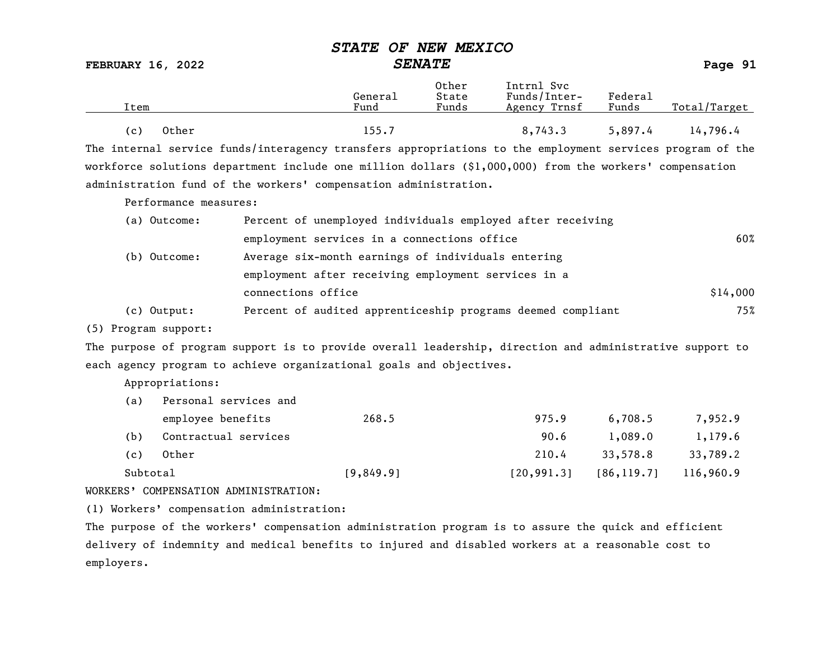FEBRUARY 16, 2022 SENATE Page 91

| Item           | General<br>Fund | Other<br>State<br>Funds | Intrnl Svc<br>Funds/Inter-<br>Agency Trnsf | Federal<br>Funds | Total/Target |
|----------------|-----------------|-------------------------|--------------------------------------------|------------------|--------------|
| Other<br>( c ) | 155.7           |                         | 8,743.3                                    | 5,897.4          | 14,796.4     |

The internal service funds/interagency transfers appropriations to the employment services program of the workforce solutions department include one million dollars (\$1,000,000) from the workers' compensation administration fund of the workers' compensation administration.

Performance measures:

| (a) Outcome: | Percent of unemployed individuals employed after receiving  |          |
|--------------|-------------------------------------------------------------|----------|
|              | employment services in a connections office                 | 60%      |
| (b) Outcome: | Average six-month earnings of individuals entering          |          |
|              | employment after receiving employment services in a         |          |
|              | connections office                                          | \$14,000 |
| (c) Output:  | Percent of audited apprenticeship programs deemed compliant | 75%      |

(5) Program support:

The purpose of program support is to provide overall leadership, direction and administrative support to each agency program to achieve organizational goals and objectives.

Appropriations:

| (a)      | Personal services and |           |             |             |           |
|----------|-----------------------|-----------|-------------|-------------|-----------|
|          | employee benefits     | 268.5     | 975.9       | 6,708,5     | 7,952.9   |
| (b)      | Contractual services  |           | 90.6        | 1,089.0     | 1,179.6   |
| (c)      | Other                 |           | 210.4       | 33,578.8    | 33,789.2  |
| Subtotal |                       | [9,849.9] | [20, 991.3] | [86, 119.7] | 116,960.9 |

WORKERS' COMPENSATION ADMINISTRATION:

(1) Workers' compensation administration:

The purpose of the workers' compensation administration program is to assure the quick and efficient delivery of indemnity and medical benefits to injured and disabled workers at a reasonable cost to employers.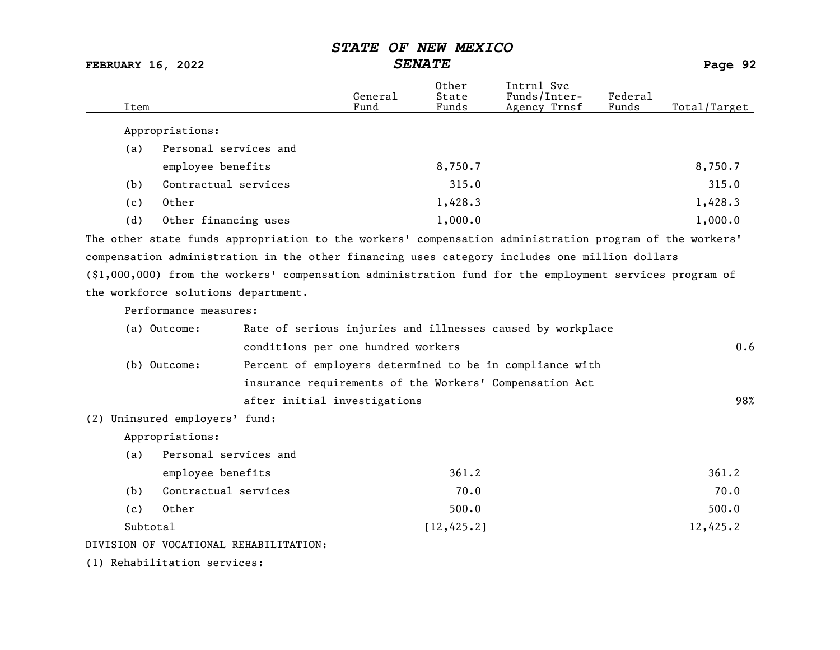FEBRUARY 16, 2022 SENATE Page 92

| Item     |                                     |                                                                                                           | General<br>Fund | Other<br>State<br>Funds | Intrnl Svc<br>Funds/Inter-<br>Agency Trnsf                 | Federal<br>Funds | Total/Target |
|----------|-------------------------------------|-----------------------------------------------------------------------------------------------------------|-----------------|-------------------------|------------------------------------------------------------|------------------|--------------|
|          | Appropriations:                     |                                                                                                           |                 |                         |                                                            |                  |              |
| (a)      | Personal services and               |                                                                                                           |                 |                         |                                                            |                  |              |
|          | employee benefits                   |                                                                                                           |                 | 8,750.7                 |                                                            |                  | 8,750.7      |
| (b)      | Contractual services                |                                                                                                           |                 | 315.0                   |                                                            |                  | 315.0        |
| (c)      | Other                               |                                                                                                           |                 | 1,428.3                 |                                                            |                  | 1,428.3      |
| (d)      | Other financing uses                |                                                                                                           |                 | 1,000.0                 |                                                            |                  | 1,000.0      |
|          |                                     | The other state funds appropriation to the workers' compensation administration program of the workers'   |                 |                         |                                                            |                  |              |
|          |                                     | compensation administration in the other financing uses category includes one million dollars             |                 |                         |                                                            |                  |              |
|          |                                     | $(\$1,000,000)$ from the workers' compensation administration fund for the employment services program of |                 |                         |                                                            |                  |              |
|          | the workforce solutions department. |                                                                                                           |                 |                         |                                                            |                  |              |
|          | Performance measures:               |                                                                                                           |                 |                         |                                                            |                  |              |
|          | (a) Outcome:                        |                                                                                                           |                 |                         | Rate of serious injuries and illnesses caused by workplace |                  |              |
|          |                                     | conditions per one hundred workers                                                                        |                 |                         |                                                            |                  | 0.6          |
|          | (b) Outcome:                        |                                                                                                           |                 |                         | Percent of employers determined to be in compliance with   |                  |              |
|          |                                     |                                                                                                           |                 |                         | insurance requirements of the Workers' Compensation Act    |                  |              |
|          |                                     | after initial investigations                                                                              |                 |                         |                                                            |                  | 98%          |
|          | (2) Uninsured employers' fund:      |                                                                                                           |                 |                         |                                                            |                  |              |
|          | Appropriations:                     |                                                                                                           |                 |                         |                                                            |                  |              |
| (a)      | Personal services and               |                                                                                                           |                 |                         |                                                            |                  |              |
|          | employee benefits                   |                                                                                                           |                 | 361.2                   |                                                            |                  | 361.2        |
| (b)      | Contractual services                |                                                                                                           |                 | 70.0                    |                                                            |                  | 70.0         |
| (c)      | Other                               |                                                                                                           |                 | 500.0                   |                                                            |                  | 500.0        |
| Subtotal |                                     |                                                                                                           |                 | [12, 425.2]             |                                                            |                  | 12,425.2     |
|          |                                     | DIVISION OF VOCATIONAL REHABILITATION:                                                                    |                 |                         |                                                            |                  |              |
|          | (1) Rehabilitation services:        |                                                                                                           |                 |                         |                                                            |                  |              |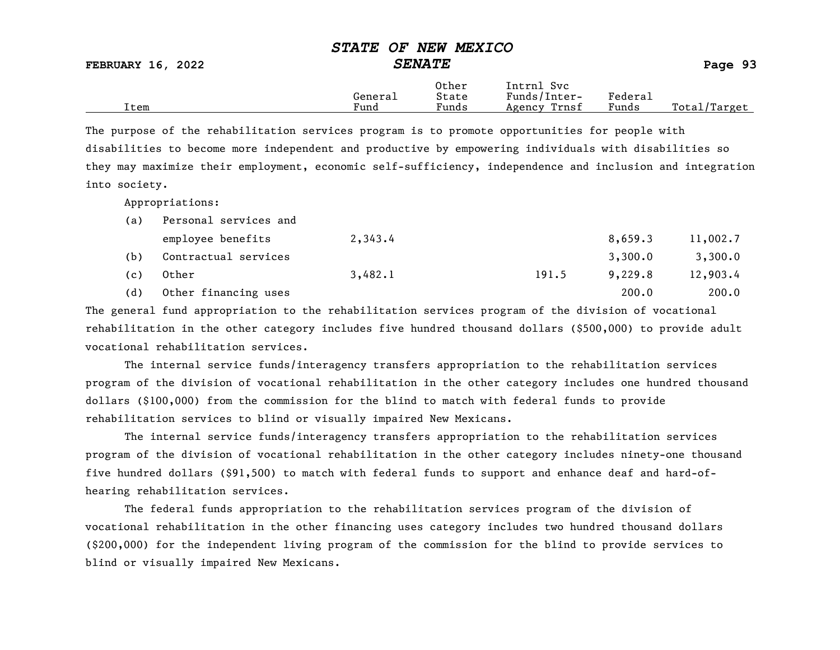FEBRUARY 16, 2022 SENATE Page 93

|      | General | Other<br>State  | Intrnl<br>Sv c<br>Funds/Inter- | ${}_{\rm \tiny \text{Federa}_{\perp}}$ |                   |
|------|---------|-----------------|--------------------------------|----------------------------------------|-------------------|
| Item | Fund    | $\sim$<br>Funds | Trnsf<br>Agency                | Funds                                  | Total/<br>/Target |

The purpose of the rehabilitation services program is to promote opportunities for people with disabilities to become more independent and productive by empowering individuals with disabilities so they may maximize their employment, economic self-sufficiency, independence and inclusion and integration into society.

Appropriations:

| (a) | Personal services and |         |       |         |          |
|-----|-----------------------|---------|-------|---------|----------|
|     | employee benefits     | 2,343.4 |       | 8,659.3 | 11,002.7 |
| (b) | Contractual services  |         |       | 3,300.0 | 3,300.0  |
| (c) | Other                 | 3,482.1 | 191.5 | 9,229.8 | 12,903.4 |
| (d) | Other financing uses  |         |       | 200.0   | 200.0    |

The general fund appropriation to the rehabilitation services program of the division of vocational rehabilitation in the other category includes five hundred thousand dollars (\$500,000) to provide adult vocational rehabilitation services.

The internal service funds/interagency transfers appropriation to the rehabilitation services program of the division of vocational rehabilitation in the other category includes one hundred thousand dollars (\$100,000) from the commission for the blind to match with federal funds to provide rehabilitation services to blind or visually impaired New Mexicans.

The internal service funds/interagency transfers appropriation to the rehabilitation services program of the division of vocational rehabilitation in the other category includes ninety-one thousand five hundred dollars (\$91,500) to match with federal funds to support and enhance deaf and hard-ofhearing rehabilitation services.

The federal funds appropriation to the rehabilitation services program of the division of vocational rehabilitation in the other financing uses category includes two hundred thousand dollars (\$200,000) for the independent living program of the commission for the blind to provide services to blind or visually impaired New Mexicans.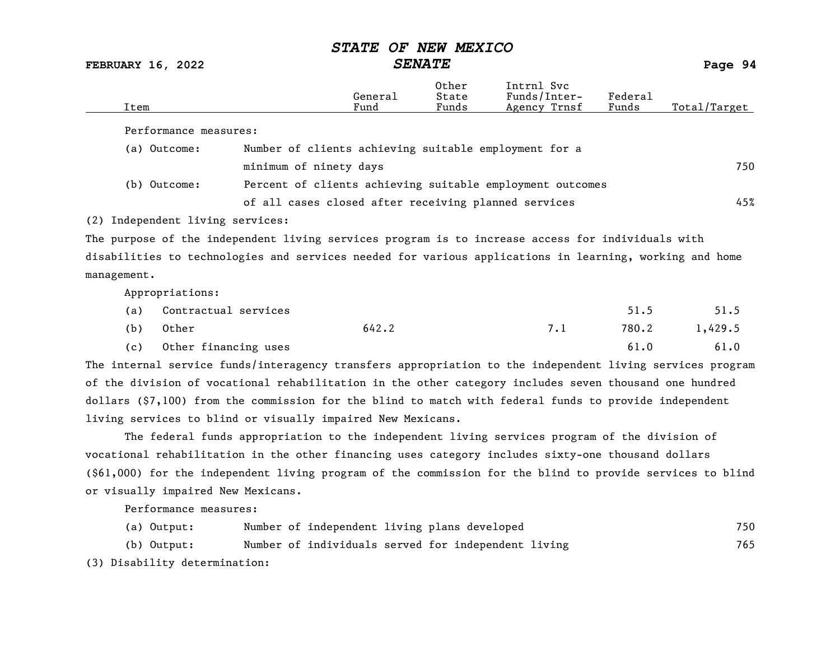FEBRUARY 16, 2022 SENATE Page 94

| Item                                                                                                    |                                                           | General<br>Fund | Other<br>State<br>Funds | Intrnl Svc<br>Funds/Inter-<br>Agency Trnsf | Federal<br>Funds | Total/Target |
|---------------------------------------------------------------------------------------------------------|-----------------------------------------------------------|-----------------|-------------------------|--------------------------------------------|------------------|--------------|
| Performance measures:                                                                                   |                                                           |                 |                         |                                            |                  |              |
| (a) Outcome:                                                                                            | Number of clients achieving suitable employment for a     |                 |                         |                                            |                  |              |
|                                                                                                         | minimum of ninety days                                    |                 |                         |                                            |                  | 750          |
| (b) Outcome:                                                                                            | Percent of clients achieving suitable employment outcomes |                 |                         |                                            |                  |              |
|                                                                                                         | of all cases closed after receiving planned services      |                 |                         |                                            |                  | 45%          |
| (2) Independent living services:                                                                        |                                                           |                 |                         |                                            |                  |              |
| The purpose of the independent living services program is to increase access for individuals with       |                                                           |                 |                         |                                            |                  |              |
| disabilities to technologies and services needed for various applications in learning, working and home |                                                           |                 |                         |                                            |                  |              |
| management.                                                                                             |                                                           |                 |                         |                                            |                  |              |
| Appropriations:                                                                                         |                                                           |                 |                         |                                            |                  |              |

| (a) | Contractual services |       | 51.5  | 51.5    |
|-----|----------------------|-------|-------|---------|
| (b) | Other                | 642.2 | 780.2 | 1,429.5 |
| (c) | Other financing uses |       | 61.0  | 61.0    |

The internal service funds/interagency transfers appropriation to the independent living services program of the division of vocational rehabilitation in the other category includes seven thousand one hundred dollars (\$7,100) from the commission for the blind to match with federal funds to provide independent living services to blind or visually impaired New Mexicans.

The federal funds appropriation to the independent living services program of the division of vocational rehabilitation in the other financing uses category includes sixty-one thousand dollars (\$61,000) for the independent living program of the commission for the blind to provide services to blind or visually impaired New Mexicans.

Performance measures:

|  | (a) Output:                   |  | Number of independent living plans developed        |  |  | 750 |
|--|-------------------------------|--|-----------------------------------------------------|--|--|-----|
|  | (b) Output:                   |  | Number of individuals served for independent living |  |  | 765 |
|  | (3) Disability determination: |  |                                                     |  |  |     |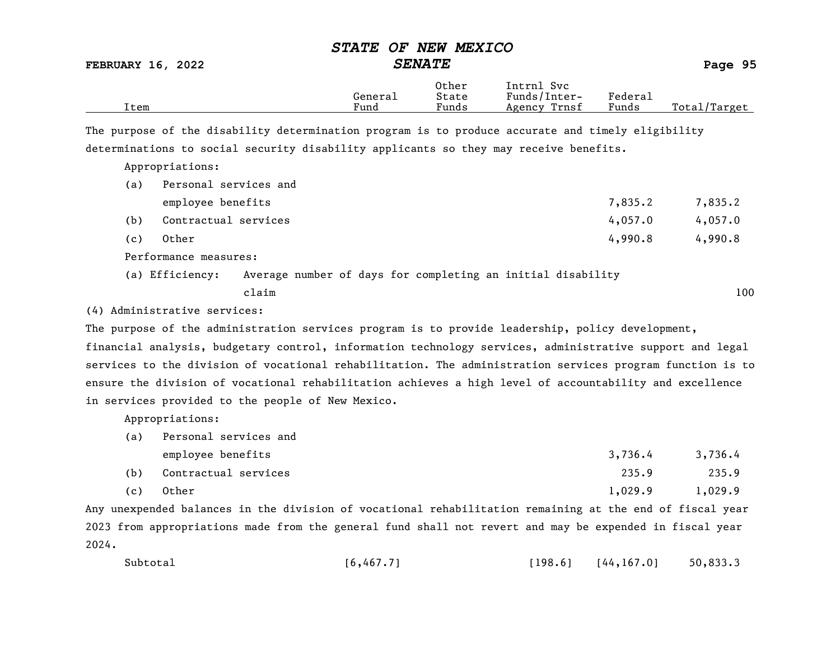## STATE OF NEW MEXICO FEBRUARY 16, 2022 SENATE Page 95 Other Intrnl Svc<br>General State Funds/Inter General State Funds/Inter- Federal<br>
Fund Funds Agency Trnsf Funds Total/Target The purpose of the disability determination program is to produce accurate and timely eligibility determinations to social security disability applicants so they may receive benefits.

Appropriations:

| (a) | Personal services and                                                          |         |         |
|-----|--------------------------------------------------------------------------------|---------|---------|
|     | employee benefits                                                              | 7,835.2 | 7,835.2 |
| (b) | Contractual services                                                           | 4,057.0 | 4,057.0 |
| (c) | Other                                                                          | 4,990.8 | 4,990.8 |
|     | Performance measures:                                                          |         |         |
|     | Average number of days for completing an initial disability<br>(a) Efficiency: |         |         |

claim 100

(4) Administrative services:

The purpose of the administration services program is to provide leadership, policy development,

financial analysis, budgetary control, information technology services, administrative support and legal services to the division of vocational rehabilitation. The administration services program function is to ensure the division of vocational rehabilitation achieves a high level of accountability and excellence in services provided to the people of New Mexico.

Appropriations:

| (a) | Personal services and |         |          |
|-----|-----------------------|---------|----------|
|     | employee benefits     | 3,736,4 | 3,736.4  |
| (b) | Contractual services  | 235.9   | 235.9    |
| .   |                       | .       | - ---- - |

(c) Other 1,029.9 1,029.9

Any unexpended balances in the division of vocational rehabilitation remaining at the end of fiscal year 2023 from appropriations made from the general fund shall not revert and may be expended in fiscal year 2024.

| Subtotal<br>[6, 467.7] | [198.6] | [44, 167.0] | 50,833.3 |
|------------------------|---------|-------------|----------|
|------------------------|---------|-------------|----------|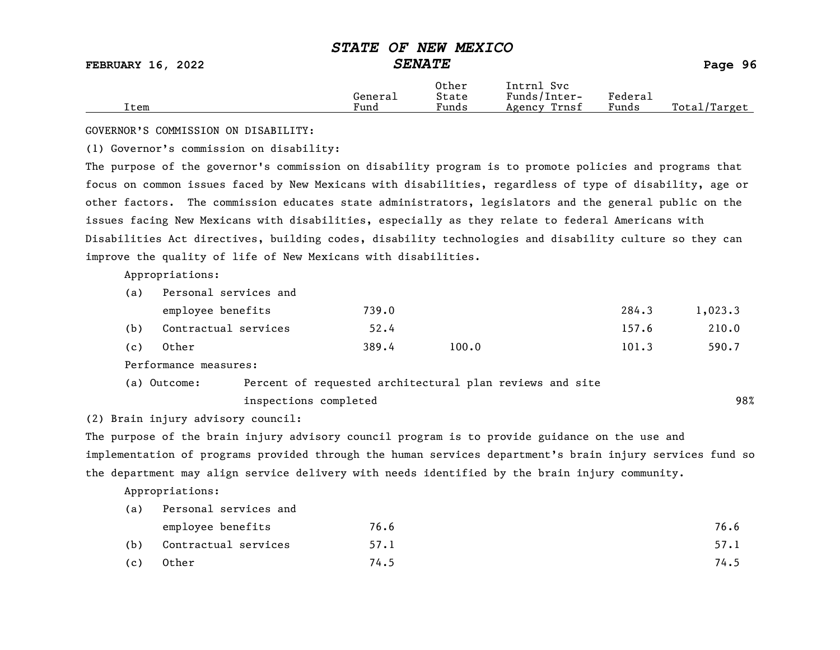|      |         | Other | Intrnl<br>Sv c  |                                    |                  |
|------|---------|-------|-----------------|------------------------------------|------------------|
|      | General | State | Funds/Inter-    | ${}_{\rm \texttt{Federa}_{\perp}}$ |                  |
| Item | Fund    | Funds | Trnsf<br>Agency | Funds                              | Total<br>Target/ |

GOVERNOR'S COMMISSION ON DISABILITY:

(1) Governor's commission on disability:

The purpose of the governor's commission on disability program is to promote policies and programs that focus on common issues faced by New Mexicans with disabilities, regardless of type of disability, age or other factors. The commission educates state administrators, legislators and the general public on the issues facing New Mexicans with disabilities, especially as they relate to federal Americans with Disabilities Act directives, building codes, disability technologies and disability culture so they can improve the quality of life of New Mexicans with disabilities.

Appropriations:

| (a) | Personal services and |       |       |       |         |
|-----|-----------------------|-------|-------|-------|---------|
|     | employee benefits     | 739.0 |       | 284.3 | 1,023.3 |
| (b) | Contractual services  | 52.4  |       | 157.6 | 210.0   |
| (c) | Other                 | 389.4 | 100.0 | 101.3 | 590.7   |

Performance measures:

| (a) Outcome: | Percent of requested architectural plan reviews and site |     |
|--------------|----------------------------------------------------------|-----|
|              | inspections completed                                    | 98% |

(2) Brain injury advisory council:

The purpose of the brain injury advisory council program is to provide guidance on the use and implementation of programs provided through the human services department's brain injury services fund so the department may align service delivery with needs identified by the brain injury community.

Appropriations:

| (a) | Personal services and |      |      |  |  |
|-----|-----------------------|------|------|--|--|
|     | employee benefits     | 76.6 | 76.6 |  |  |
| (b) | Contractual services  | 57.1 | 57.1 |  |  |
| (c) | Other                 | 74.5 | 74.5 |  |  |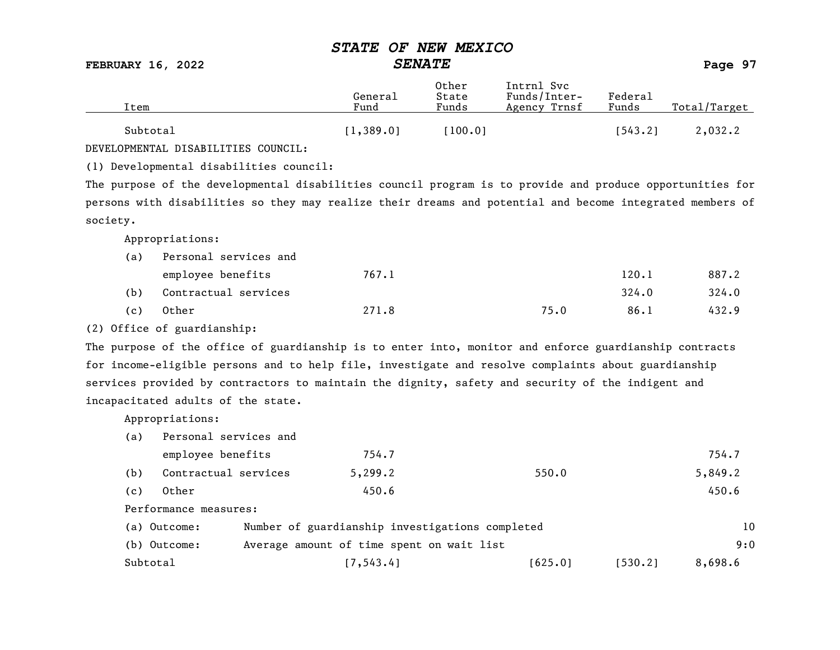FEBRUARY 16, 2022 SENATE Page 97

| Item     | General<br>Fund | Other<br>State<br>Funds | Intrnl Svc<br>Funds/Inter-<br>Agency Trnsf | Federal<br>Funds | Total/Target |
|----------|-----------------|-------------------------|--------------------------------------------|------------------|--------------|
| Subtotal | 1,389.0         | 100.01                  |                                            | 543.21           | 2,032.2      |

DEVELOPMENTAL DISABILITIES COUNCIL:

(1) Developmental disabilities council:

The purpose of the developmental disabilities council program is to provide and produce opportunities for persons with disabilities so they may realize their dreams and potential and become integrated members of society.

Appropriations:

| (a) | Personal services and |       |      |       |       |
|-----|-----------------------|-------|------|-------|-------|
|     | employee benefits     | 767.1 |      | 120.1 | 887.2 |
| (b) | Contractual services  |       |      | 324.0 | 324.0 |
| (c) | Other                 | 271.8 | 75.0 | 86.1  | 432.9 |

(2) Office of guardianship:

The purpose of the office of guardianship is to enter into, monitor and enforce guardianship contracts for income-eligible persons and to help file, investigate and resolve complaints about guardianship services provided by contractors to maintain the dignity, safety and security of the indigent and incapacitated adults of the state.

Appropriations:

| (a) | Personal services and |                                                 |            |         |         |         |
|-----|-----------------------|-------------------------------------------------|------------|---------|---------|---------|
|     | employee benefits     |                                                 | 754.7      |         |         | 754.7   |
| (b) | Contractual services  |                                                 | 5, 299.2   | 550.0   |         | 5,849.2 |
| (c) | Other                 |                                                 | 450.6      |         |         | 450.6   |
|     | Performance measures: |                                                 |            |         |         |         |
|     | (a) Outcome:          | Number of guardianship investigations completed |            |         |         | 10      |
|     | (b) Outcome:          | Average amount of time spent on wait list       |            |         |         | 9:0     |
|     | Subtotal              |                                                 | [7, 543.4] | [625.0] | 1530.21 | 8,698.6 |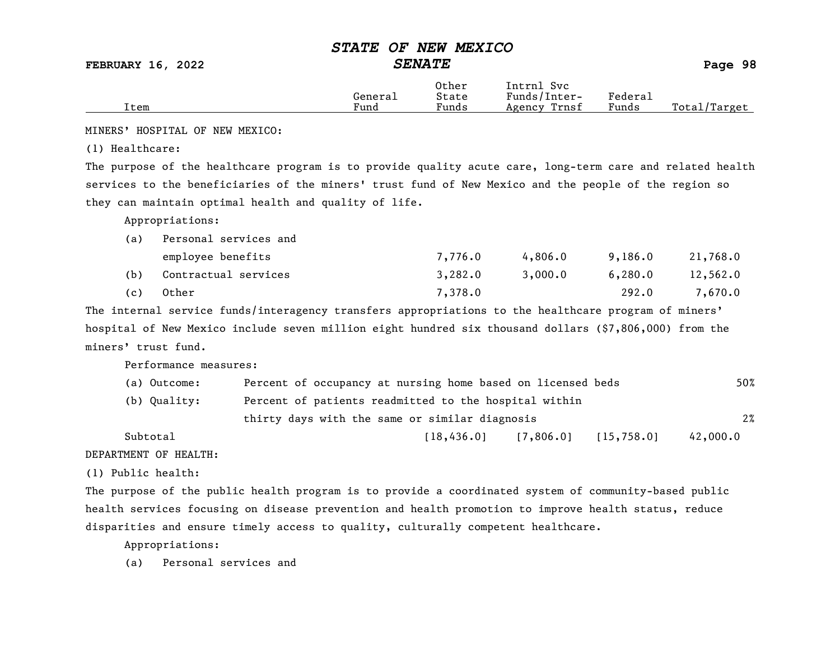FEBRUARY 16, 2022 SENATE Page 98

|      | Genera⊥ | Other<br>State | Intrnl<br>Svc<br>Funds/Inter- | Federau |              |
|------|---------|----------------|-------------------------------|---------|--------------|
| Item | Fund    | Funds          | Trnsf<br>Agency               | Funds   | Total/Target |

MINERS' HOSPITAL OF NEW MEXICO:

(1) Healthcare:

The purpose of the healthcare program is to provide quality acute care, long-term care and related health services to the beneficiaries of the miners' trust fund of New Mexico and the people of the region so they can maintain optimal health and quality of life.

Appropriations:

| (a) | Personal services and |         |         |         |          |
|-----|-----------------------|---------|---------|---------|----------|
|     | employee benefits     | 7,776.0 | 4,806.0 | 9,186.0 | 21,768.0 |
| (b) | Contractual services  | 3,282.0 | 3,000.0 | 6,280.0 | 12,562.0 |
| (c) | Other                 | 7,378.0 |         | 292.0   | 7,670.0  |

The internal service funds/interagency transfers appropriations to the healthcare program of miners' hospital of New Mexico include seven million eight hundred six thousand dollars (\$7,806,000) from the miners' trust fund.

Performance measures:

| (a) Outcome: | Percent of occupancy at nursing home based on licensed beds | 50%      |  |  |  |
|--------------|-------------------------------------------------------------|----------|--|--|--|
| (b) Quality: | Percent of patients readmitted to the hospital within       |          |  |  |  |
|              | thirty days with the same or similar diagnosis              |          |  |  |  |
| Subtotal     | [15, 758.0]<br>[18, 436, 0]<br>[7,806.0]                    | 42,000.0 |  |  |  |

DEPARTMENT OF HEALTH:

(1) Public health:

The purpose of the public health program is to provide a coordinated system of community-based public health services focusing on disease prevention and health promotion to improve health status, reduce disparities and ensure timely access to quality, culturally competent healthcare.

Appropriations:

(a) Personal services and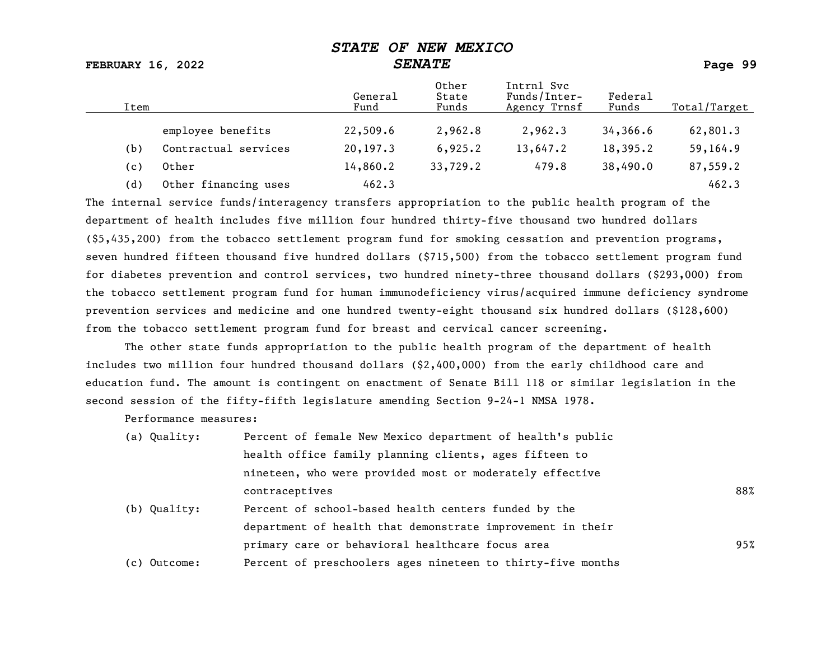FEBRUARY 16, 2022 SENATE Page 99

| Item |                      | General<br>Fund | Other<br>State<br>Funds | Intrnl Svc<br>Funds/Inter-<br>Agency Trnsf | Federal<br>Funds | Total/Target |
|------|----------------------|-----------------|-------------------------|--------------------------------------------|------------------|--------------|
|      | employee benefits    | 22,509.6        | 2,962.8                 | 2,962.3                                    | 34,366.6         | 62,801.3     |
| (b)  | Contractual services | 20,197.3        | 6,925.2                 | 13,647.2                                   | 18,395.2         | 59,164.9     |
| (c)  | Other                | 14,860.2        | 33,729.2                | 479.8                                      | 38,490.0         | 87,559.2     |
| (d)  | Other financing uses | 462.3           |                         |                                            |                  | 462.3        |

The internal service funds/interagency transfers appropriation to the public health program of the department of health includes five million four hundred thirty-five thousand two hundred dollars (\$5,435,200) from the tobacco settlement program fund for smoking cessation and prevention programs, seven hundred fifteen thousand five hundred dollars (\$715,500) from the tobacco settlement program fund for diabetes prevention and control services, two hundred ninety-three thousand dollars (\$293,000) from the tobacco settlement program fund for human immunodeficiency virus/acquired immune deficiency syndrome prevention services and medicine and one hundred twenty-eight thousand six hundred dollars (\$128,600) from the tobacco settlement program fund for breast and cervical cancer screening.

The other state funds appropriation to the public health program of the department of health includes two million four hundred thousand dollars (\$2,400,000) from the early childhood care and education fund. The amount is contingent on enactment of Senate Bill 118 or similar legislation in the second session of the fifty-fifth legislature amending Section 9-24-1 NMSA 1978.

Performance measures:

| (a) Quality: | Percent of female New Mexico department of health's public  |     |
|--------------|-------------------------------------------------------------|-----|
|              | health office family planning clients, ages fifteen to      |     |
|              | nineteen, who were provided most or moderately effective    |     |
|              | contraceptives                                              | 88% |
| (b) Quality: | Percent of school-based health centers funded by the        |     |
|              | department of health that demonstrate improvement in their  |     |
|              | primary care or behavioral healthcare focus area            | 95% |
| (c) Outcome: | Percent of preschoolers ages nineteen to thirty-five months |     |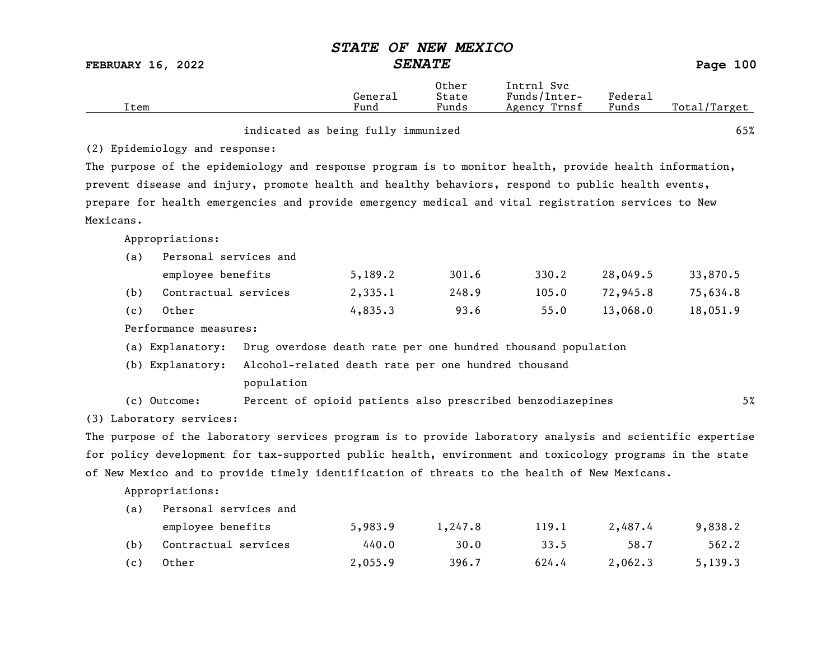|                          |                                                                                                           | <i><b>STATE</b></i> | OF NEW MEXICO           |                                                              |                  |              |
|--------------------------|-----------------------------------------------------------------------------------------------------------|---------------------|-------------------------|--------------------------------------------------------------|------------------|--------------|
| <b>FEBRUARY 16, 2022</b> |                                                                                                           | <b>SENATE</b>       |                         |                                                              |                  | Page 100     |
| Item                     |                                                                                                           | General<br>Fund     | Other<br>State<br>Funds | Intrnl Svc<br>Funds/Inter-<br>Agency Trnsf                   | Federal<br>Funds | Total/Target |
|                          | indicated as being fully immunized                                                                        |                     |                         |                                                              |                  | 65%          |
|                          | (2) Epidemiology and response:                                                                            |                     |                         |                                                              |                  |              |
|                          | The purpose of the epidemiology and response program is to monitor health, provide health information,    |                     |                         |                                                              |                  |              |
|                          | prevent disease and injury, promote health and healthy behaviors, respond to public health events,        |                     |                         |                                                              |                  |              |
|                          | prepare for health emergencies and provide emergency medical and vital registration services to New       |                     |                         |                                                              |                  |              |
| Mexicans.                |                                                                                                           |                     |                         |                                                              |                  |              |
| Appropriations:          |                                                                                                           |                     |                         |                                                              |                  |              |
| (a)                      | Personal services and                                                                                     |                     |                         |                                                              |                  |              |
|                          | employee benefits                                                                                         | 5,189.2             | 301.6                   | 330.2                                                        | 28,049.5         | 33,870.5     |
| (b)                      | Contractual services                                                                                      | 2,335.1             | 248.9                   | 105.0                                                        | 72,945.8         | 75,634.8     |
| Other<br>(c)             |                                                                                                           | 4,835.3             | 93.6                    | 55.0                                                         | 13,068.0         | 18,051.9     |
|                          | Performance measures:                                                                                     |                     |                         |                                                              |                  |              |
|                          | (a) Explanatory:                                                                                          |                     |                         | Drug overdose death rate per one hundred thousand population |                  |              |
| (b) Explanatory:         | Alcohol-related death rate per one hundred thousand                                                       |                     |                         |                                                              |                  |              |
|                          | population                                                                                                |                     |                         |                                                              |                  |              |
| (c) Outcome:             |                                                                                                           |                     |                         | Percent of opioid patients also prescribed benzodiazepines   |                  | 5%           |
| (3) Laboratory services: |                                                                                                           |                     |                         |                                                              |                  |              |
|                          | The purpose of the laboratory services program is to provide laboratory analysis and scientific expertise |                     |                         |                                                              |                  |              |
|                          | for policy development for tax-supported public health, environment and toxicology programs in the state  |                     |                         |                                                              |                  |              |
|                          | of New Mexico and to provide timely identification of threats to the health of New Mexicans.              |                     |                         |                                                              |                  |              |
| Appropriations:          |                                                                                                           |                     |                         |                                                              |                  |              |
| (a)                      | Personal services and                                                                                     |                     |                         |                                                              |                  |              |

|     | employee benefits    | 5,983.9 | 1,247.8 | 119.1 | 2,487.4 | 9,838.2 |
|-----|----------------------|---------|---------|-------|---------|---------|
| (b) | Contractual services | 440.0   | 30.0    | 33.5  | 58.7    | 562.2   |
| (c) | Other                | 2,055.9 | 396.7   | 624.4 | 2,062.3 | 5,139.3 |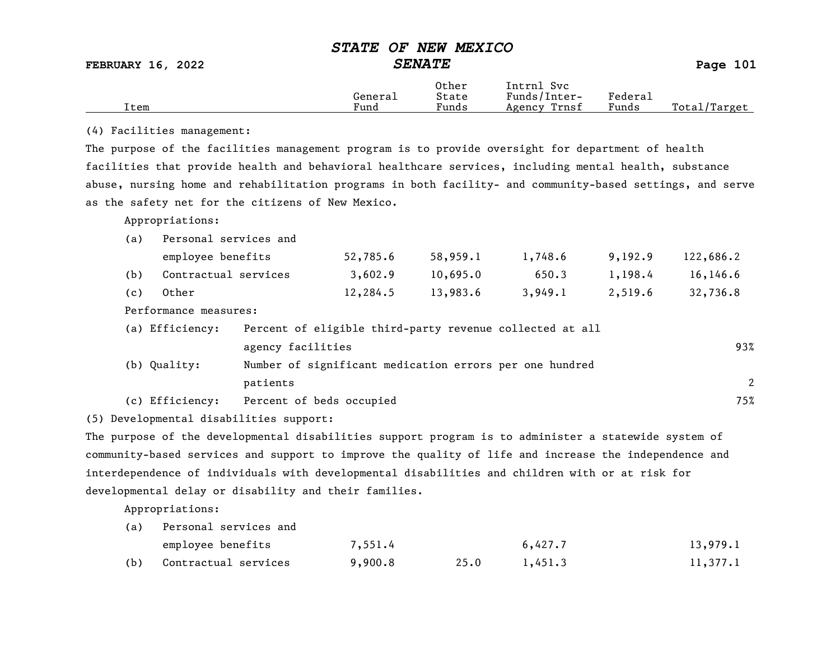FEBRUARY 16, 2022 SENATE SENATE

|      |         | Other | Svc<br>Intrnl   |         |                  |
|------|---------|-------|-----------------|---------|------------------|
|      | Generai | State | Funds/Inter-    | Federa⊥ |                  |
| Item | Fund    | Funds | Trnsf<br>Agency | Funds   | Total<br>'Target |

#### (4) Facilities management:

The purpose of the facilities management program is to provide oversight for department of health facilities that provide health and behavioral healthcare services, including mental health, substance abuse, nursing home and rehabilitation programs in both facility- and community-based settings, and serve as the safety net for the citizens of New Mexico.

Appropriations:

| (a) | Personal services and |                   |          |                                                          |         |         |           |
|-----|-----------------------|-------------------|----------|----------------------------------------------------------|---------|---------|-----------|
|     | employee benefits     |                   | 52,785.6 | 58,959.1                                                 | 1,748.6 | 9,192.9 | 122,686.2 |
| (b) | Contractual services  |                   | 3,602.9  | 10,695.0                                                 | 650.3   | 1,198.4 | 16, 146.6 |
| (c) | Other                 |                   | 12,284.5 | 13,983.6                                                 | 3,949.1 | 2,519.6 | 32,736.8  |
|     | Performance measures: |                   |          |                                                          |         |         |           |
|     | (a) Efficiency:       |                   |          | Percent of eligible third-party revenue collected at all |         |         |           |
|     |                       | agency facilities |          |                                                          |         |         | 93%       |
|     | (b) Quality:          |                   |          | Number of significant medication errors per one hundred  |         |         |           |

patients 2

(c) Efficiency: Percent of beds occupied 75%

(5) Developmental disabilities support:

The purpose of the developmental disabilities support program is to administer a statewide system of community-based services and support to improve the quality of life and increase the independence and interdependence of individuals with developmental disabilities and children with or at risk for developmental delay or disability and their families.

Appropriations:

| (a) | Personal services and |         |      |         |          |
|-----|-----------------------|---------|------|---------|----------|
|     | employee benefits     | 7,551.4 |      | 6,427.7 | 13,979.1 |
| (b) | Contractual services  | 9,900.8 | 25.0 | 1,451,3 | 11,377.1 |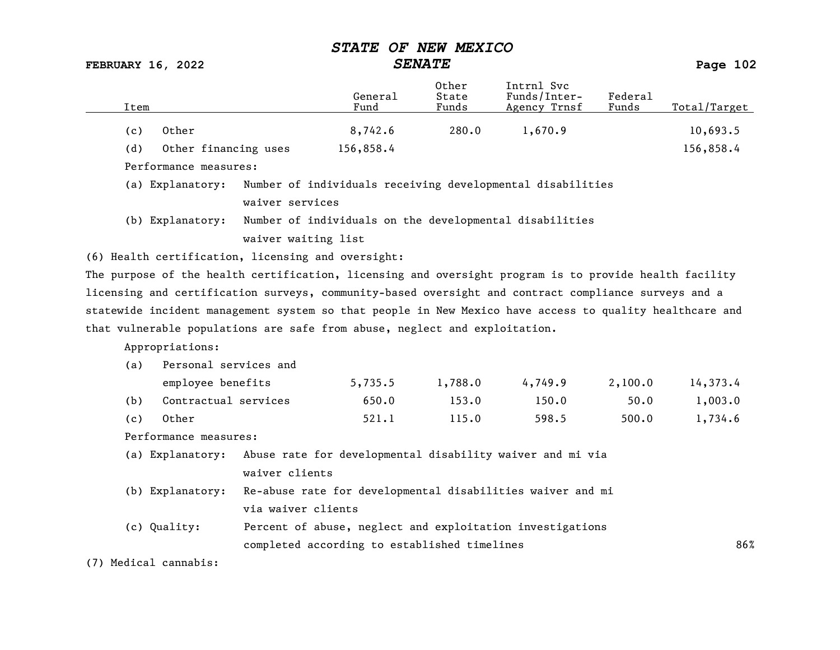FEBRUARY 16, 2022 SENATE SENATE

| Item |                       |                                                                            | General<br>Fund | Other<br>State<br>Funds | Intrnl Svc<br>Funds/Inter-<br>Agency Trnsf                                                              | Federal<br>Funds | Total/Target |
|------|-----------------------|----------------------------------------------------------------------------|-----------------|-------------------------|---------------------------------------------------------------------------------------------------------|------------------|--------------|
| (c)  | Other                 |                                                                            | 8,742.6         | 280.0                   | 1,670.9                                                                                                 |                  | 10,693.5     |
| (d)  | Other financing uses  |                                                                            | 156,858.4       |                         |                                                                                                         |                  | 156,858.4    |
|      | Performance measures: |                                                                            |                 |                         |                                                                                                         |                  |              |
|      | (a) Explanatory:      |                                                                            |                 |                         | Number of individuals receiving developmental disabilities                                              |                  |              |
|      |                       | waiver services                                                            |                 |                         |                                                                                                         |                  |              |
|      | (b) Explanatory:      |                                                                            |                 |                         | Number of individuals on the developmental disabilities                                                 |                  |              |
|      |                       | waiver waiting list                                                        |                 |                         |                                                                                                         |                  |              |
|      |                       | (6) Health certification, licensing and oversight:                         |                 |                         |                                                                                                         |                  |              |
|      |                       |                                                                            |                 |                         | The purpose of the health certification, licensing and oversight program is to provide health facility  |                  |              |
|      |                       |                                                                            |                 |                         | licensing and certification surveys, community-based oversight and contract compliance surveys and a    |                  |              |
|      |                       |                                                                            |                 |                         | statewide incident management system so that people in New Mexico have access to quality healthcare and |                  |              |
|      |                       | that vulnerable populations are safe from abuse, neglect and exploitation. |                 |                         |                                                                                                         |                  |              |
|      | Appropriations:       |                                                                            |                 |                         |                                                                                                         |                  |              |
| (a)  | Personal services and |                                                                            |                 |                         |                                                                                                         |                  |              |
|      | employee benefits     |                                                                            | 5,735.5         | 1,788.0                 | 4,749.9                                                                                                 | 2,100.0          | 14,373.4     |
| (b)  | Contractual services  |                                                                            | 650.0           | 153.0                   | 150.0                                                                                                   | 50.0             | 1,003.0      |
| (c)  | Other                 |                                                                            | 521.1           | 115.0                   | 598.5                                                                                                   | 500.0            | 1,734.6      |
|      | Performance measures: |                                                                            |                 |                         |                                                                                                         |                  |              |
|      | (a) Explanatory:      |                                                                            |                 |                         | Abuse rate for developmental disability waiver and mi via                                               |                  |              |
|      |                       | waiver clients                                                             |                 |                         |                                                                                                         |                  |              |
|      | (b) Explanatory:      |                                                                            |                 |                         | Re-abuse rate for developmental disabilities waiver and mi                                              |                  |              |
|      |                       | via waiver clients                                                         |                 |                         |                                                                                                         |                  |              |
|      | (c) Quality:          |                                                                            |                 |                         | Percent of abuse, neglect and exploitation investigations                                               |                  |              |
|      |                       | completed according to established timelines                               |                 |                         |                                                                                                         |                  | 86%          |

(7) Medical cannabis: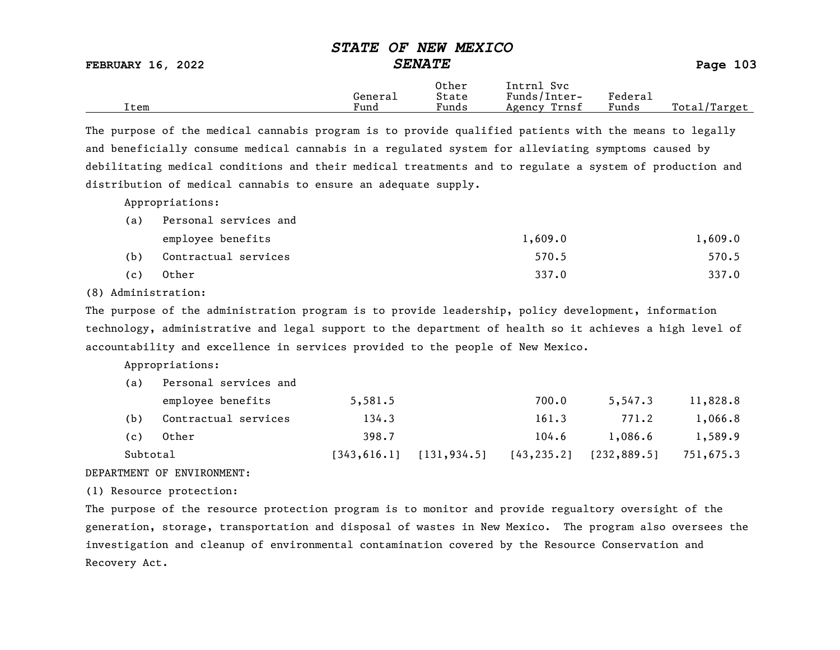FEBRUARY 16, 2022 SENATE SENATE

|      | General | Other<br>State        | Intrnl<br>Svc<br>Funds/Inter- | ${}_{\rm \tiny \text{Federa}_{\perp}}$ |                   |
|------|---------|-----------------------|-------------------------------|----------------------------------------|-------------------|
| Item | Fund    | $\mathbf{r}$<br>Funds | Trnsf<br>Agency               | Funds                                  | Total,<br>/Target |

The purpose of the medical cannabis program is to provide qualified patients with the means to legally and beneficially consume medical cannabis in a regulated system for alleviating symptoms caused by debilitating medical conditions and their medical treatments and to regulate a system of production and distribution of medical cannabis to ensure an adequate supply.

Appropriations:

| (a) | Personal services and |         |         |
|-----|-----------------------|---------|---------|
|     | employee benefits     | 1,609.0 | 1,609.0 |
| (b) | Contractual services  | 570.5   | 570.5   |
| (c) | Other                 | 337.0   | 337.0   |

(8) Administration:

The purpose of the administration program is to provide leadership, policy development, information technology, administrative and legal support to the department of health so it achieves a high level of accountability and excellence in services provided to the people of New Mexico.

Appropriations:

| Subtotal |                       | 1343,616.11 | [131, 934.5] | [43, 235.2] | [232, 889.5] | 751,675.3 |
|----------|-----------------------|-------------|--------------|-------------|--------------|-----------|
| (c)      | Other                 | 398.7       |              | 104.6       | 1,086.6      | 1,589.9   |
| (b)      | Contractual services  | 134.3       |              | 161.3       | 771.2        | 1,066.8   |
|          | employee benefits     | 5,581.5     |              | 700.0       | 5,547.3      | 11,828.8  |
| (a)      | Personal services and |             |              |             |              |           |

#### DEPARTMENT OF ENVIRONMENT:

(1) Resource protection:

The purpose of the resource protection program is to monitor and provide regualtory oversight of the generation, storage, transportation and disposal of wastes in New Mexico. The program also oversees the investigation and cleanup of environmental contamination covered by the Resource Conservation and Recovery Act.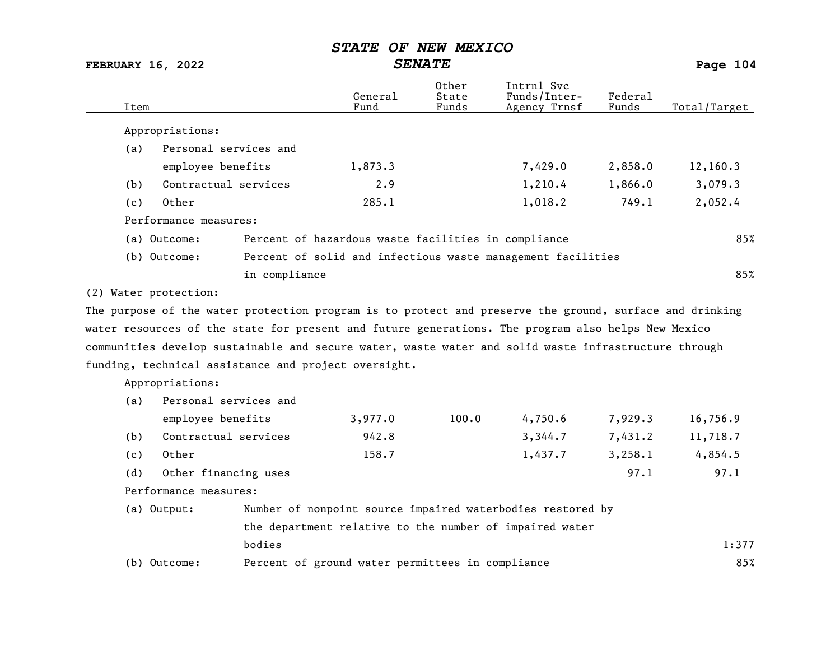FEBRUARY 16, 2022 SENATE SENATE

Other Intrnl Svc<br>General State Funds/Inter General State Funds/Inter- Federal Total/Target Appropriations: (a) Personal services and employee benefits 1,873.3 1,873.3 1,873.3 1,873.2 2,858.0 12,160.3 (b) Contractual services 2.9 1,210.4 1,866.0 3,079.3 (c) Other 285.1 1,018.2 749.1 2,052.4 Performance measures: (a) Outcome: Percent of hazardous waste facilities in compliance 85% (b) Outcome: Percent of solid and infectious waste management facilities in compliance 85% (2) Water protection: The purpose of the water protection program is to protect and preserve the ground, surface and drinking water resources of the state for present and future generations. The program also helps New Mexico communities develop sustainable and secure water, waste water and solid waste infrastructure through funding, technical assistance and project oversight. Appropriations: (a) Personal services and employee benefits 3,977.0 100.0 4,750.6 7,929.3 16,756.9 (b) Contractual services 942.8 3,344.7 7,431.2 11,718.7 (c) Other 158.7 1,437.7 3,258.1 4,854.5 (d) Other financing uses 97.1 97.1

Performance measures:

| (a) Output:  | Number of nonpoint source impaired waterbodies restored by |       |
|--------------|------------------------------------------------------------|-------|
|              | the department relative to the number of impaired water    |       |
|              | bodies                                                     | 1:377 |
| (b) Outcome: | Percent of ground water permittees in compliance           | 85%   |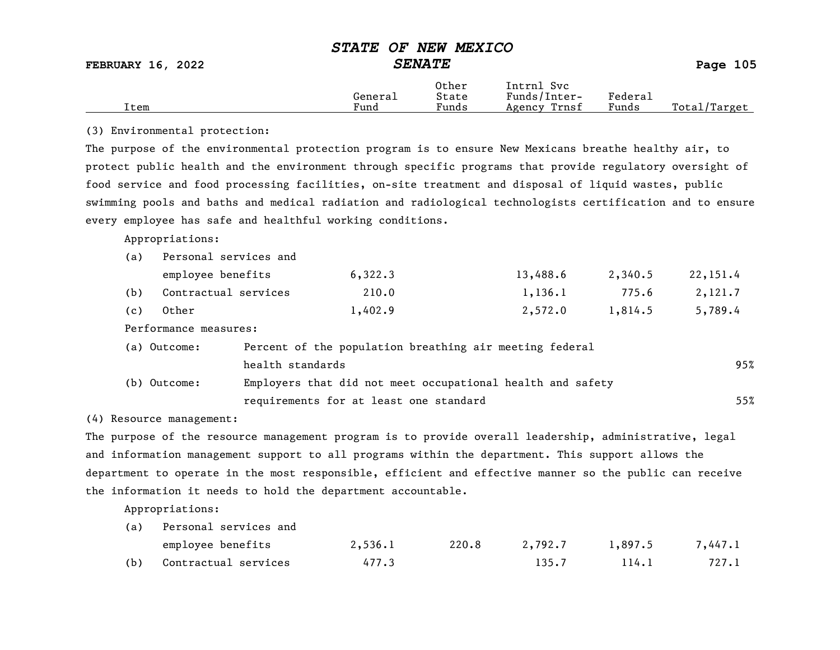FEBRUARY 16, 2022 SENATE SENATE

|      |         | Other                             | Intrnl<br><b>Svc</b> |                   |                   |
|------|---------|-----------------------------------|----------------------|-------------------|-------------------|
|      | Generai | State                             | Funds/Inter-         | ${}_{\rm Federa}$ |                   |
| Item | Fund    | $\overline{\phantom{a}}$<br>Funds | Trnsf<br>Agency      | Funds             | Total,<br>/Target |

#### (3) Environmental protection:

The purpose of the environmental protection program is to ensure New Mexicans breathe healthy air, to protect public health and the environment through specific programs that provide regulatory oversight of food service and food processing facilities, on-site treatment and disposal of liquid wastes, public swimming pools and baths and medical radiation and radiological technologists certification and to ensure every employee has safe and healthful working conditions.

Appropriations:

| (a) | Personal services and |         |          |         |          |  |  |  |  |
|-----|-----------------------|---------|----------|---------|----------|--|--|--|--|
|     | employee benefits     | 6,322.3 | 13,488.6 | 2,340.5 | 22,151.4 |  |  |  |  |
| (b) | Contractual services  | 210.0   | 1,136.1  | 775.6   | 2,121.7  |  |  |  |  |
| (c) | Other                 | 1,402.9 | 2,572.0  | 1,814.5 | 5,789.4  |  |  |  |  |

Performance measures:

| (a) Outcome: | Percent of the population breathing air meeting federal    |     |
|--------------|------------------------------------------------------------|-----|
|              | health standards                                           | 95% |
| (b) Outcome: | Employers that did not meet occupational health and safety |     |
|              | requirements for at least one standard                     | 55% |

(4) Resource management:

The purpose of the resource management program is to provide overall leadership, administrative, legal and information management support to all programs within the department. This support allows the department to operate in the most responsible, efficient and effective manner so the public can receive the information it needs to hold the department accountable.

Appropriations:

| (a) | Personal services and |         |       |         |         |         |
|-----|-----------------------|---------|-------|---------|---------|---------|
|     | employee benefits     | 2,536.1 | 220.8 | 2,792.7 | 1,897.5 | 7,447.1 |
| (b) | Contractual services  | 477.3   |       | 135.7   | 114.1   | 727.1   |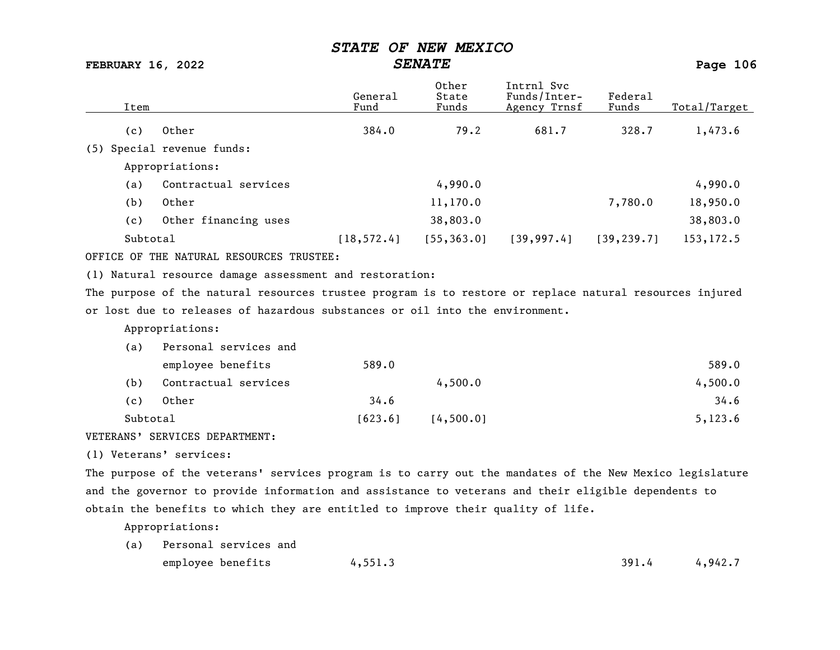FEBRUARY 16, 2022 SENATE SENATE

|          |                                                                                                         | General     | Other<br>State | Intrnl Svc<br>Funds/Inter- | Federal     |              |
|----------|---------------------------------------------------------------------------------------------------------|-------------|----------------|----------------------------|-------------|--------------|
| Item     |                                                                                                         | Fund        | Funds          | Agency Trnsf               | Funds       | Total/Target |
| (c)      | Other                                                                                                   | 384.0       | 79.2           | 681.7                      | 328.7       | 1,473.6      |
| (5)      | Special revenue funds:                                                                                  |             |                |                            |             |              |
|          | Appropriations:                                                                                         |             |                |                            |             |              |
| (a)      | Contractual services                                                                                    |             | 4,990.0        |                            |             | 4,990.0      |
| (b)      | Other                                                                                                   |             | 11,170.0       |                            | 7,780.0     | 18,950.0     |
| (c)      | Other financing uses                                                                                    |             | 38,803.0       |                            |             | 38,803.0     |
| Subtotal |                                                                                                         | [18, 572.4] | [55, 363.0]    | [39, 997.4]                | [39, 239.7] | 153, 172.5   |
|          | OFFICE OF THE NATURAL RESOURCES TRUSTEE:                                                                |             |                |                            |             |              |
|          | (1) Natural resource damage assessment and restoration:                                                 |             |                |                            |             |              |
|          | The purpose of the natural resources trustee program is to restore or replace natural resources injured |             |                |                            |             |              |
|          | or lost due to releases of hazardous substances or oil into the environment.                            |             |                |                            |             |              |
|          | Appropriations:                                                                                         |             |                |                            |             |              |
| (a)      | Personal services and                                                                                   |             |                |                            |             |              |
|          | employee benefits                                                                                       | 589.0       |                |                            |             | 589.0        |
| (b)      | Contractual services                                                                                    |             | 4,500.0        |                            |             | 4,500.0      |

(c) Other 34.6 34.6 Subtotal [623.6] [623.6] [4,500.0]

VETERANS' SERVICES DEPARTMENT:

(1) Veterans' services:

The purpose of the veterans' services program is to carry out the mandates of the New Mexico legislature and the governor to provide information and assistance to veterans and their eligible dependents to obtain the benefits to which they are entitled to improve their quality of life.

Appropriations:

| (a) Personal services and |         |       |         |  |  |
|---------------------------|---------|-------|---------|--|--|
| employee benefits         | 4,551.3 | 391.4 | 4,942.7 |  |  |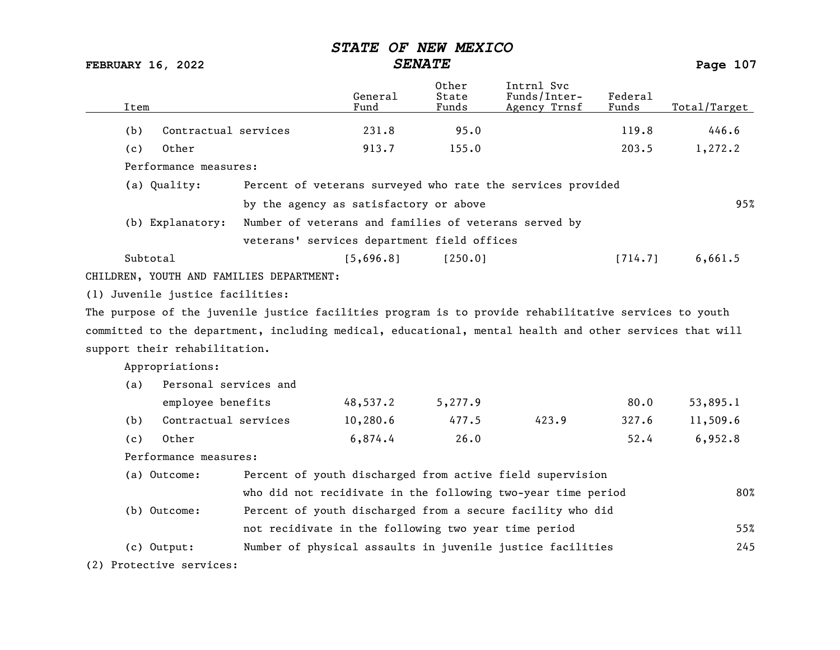FEBRUARY 16, 2022 SENATE SENATE

| Item                                                 |                                  |                                                                                                         | General<br>Fund | Other<br>State<br>Funds | Intrnl Svc<br>Funds/Inter-<br>Agency Trnsf | Federal<br>Funds | Total/Target |
|------------------------------------------------------|----------------------------------|---------------------------------------------------------------------------------------------------------|-----------------|-------------------------|--------------------------------------------|------------------|--------------|
| (b)                                                  | Contractual services             |                                                                                                         | 231.8           | 95.0                    |                                            | 119.8            | 446.6        |
| (c)                                                  | Other                            |                                                                                                         | 913.7           | 155.0                   |                                            | 203.5            | 1,272.2      |
|                                                      | Performance measures:            |                                                                                                         |                 |                         |                                            |                  |              |
|                                                      | (a) Quality:                     | Percent of veterans surveyed who rate the services provided                                             |                 |                         |                                            |                  |              |
|                                                      |                                  | by the agency as satisfactory or above                                                                  |                 |                         |                                            |                  | 95%          |
|                                                      | (b) Explanatory:                 | Number of veterans and families of veterans served by                                                   |                 |                         |                                            |                  |              |
|                                                      |                                  | veterans' services department field offices                                                             |                 |                         |                                            |                  |              |
|                                                      | Subtotal                         |                                                                                                         | [5,696.8]       | [250.0]                 |                                            | [714.7]          | 6,661.5      |
|                                                      |                                  | CHILDREN, YOUTH AND FAMILIES DEPARTMENT:                                                                |                 |                         |                                            |                  |              |
|                                                      | (1) Juvenile justice facilities: |                                                                                                         |                 |                         |                                            |                  |              |
|                                                      |                                  | The purpose of the juvenile justice facilities program is to provide rehabilitative services to youth   |                 |                         |                                            |                  |              |
|                                                      |                                  | committed to the department, including medical, educational, mental health and other services that will |                 |                         |                                            |                  |              |
|                                                      | support their rehabilitation.    |                                                                                                         |                 |                         |                                            |                  |              |
|                                                      | Appropriations:                  |                                                                                                         |                 |                         |                                            |                  |              |
| (a)                                                  | Personal services and            |                                                                                                         |                 |                         |                                            |                  |              |
|                                                      | employee benefits                |                                                                                                         | 48,537.2        | 5,277.9                 |                                            | 80.0             | 53,895.1     |
| (b)                                                  | Contractual services             |                                                                                                         | 10,280.6        | 477.5                   | 423.9                                      | 327.6            | 11,509.6     |
| (c)                                                  | Other                            |                                                                                                         | 6,874.4         | 26.0                    |                                            | 52.4             | 6,952.8      |
|                                                      | Performance measures:            |                                                                                                         |                 |                         |                                            |                  |              |
|                                                      | (a) Outcome:                     | Percent of youth discharged from active field supervision                                               |                 |                         |                                            |                  |              |
|                                                      |                                  | who did not recidivate in the following two-year time period                                            |                 |                         |                                            |                  |              |
|                                                      | (b) Outcome:                     | Percent of youth discharged from a secure facility who did                                              |                 |                         |                                            |                  |              |
| not recidivate in the following two year time period |                                  |                                                                                                         |                 |                         |                                            | 55%              |              |
|                                                      | $(c)$ Output:                    | Number of physical assaults in juvenile justice facilities                                              |                 |                         |                                            |                  | 245          |
|                                                      | (2) Protective services:         |                                                                                                         |                 |                         |                                            |                  |              |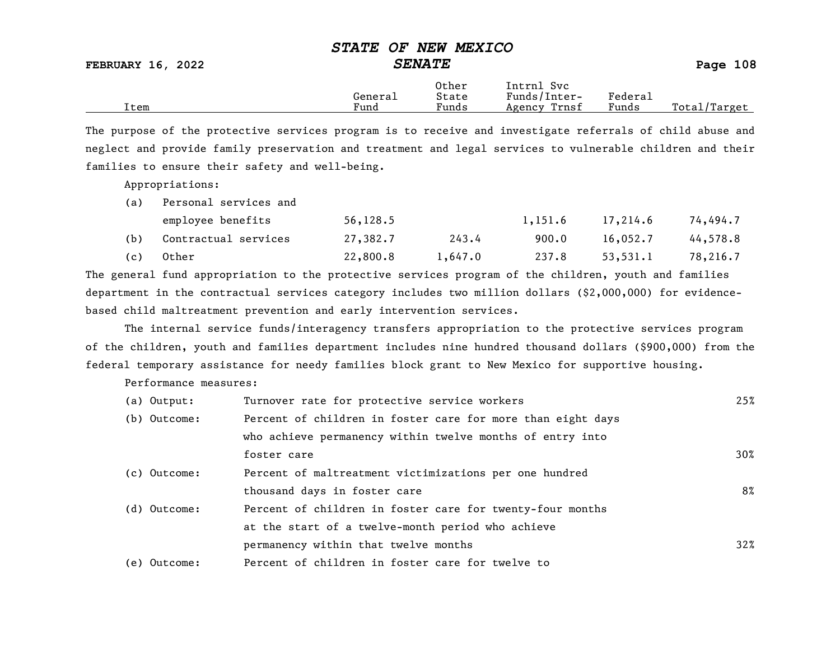FEBRUARY 16, 2022 SENATE SENATE

|      | General | Other<br>State                    | [ntrnl<br>Svc<br>Funds/Inter- | ${}_{\rm Federa}$ |                 |
|------|---------|-----------------------------------|-------------------------------|-------------------|-----------------|
| Item | Fund    | $\overline{\phantom{0}}$<br>Funds | Trnsf<br>Agency               | Funds             | Total<br>Target |

The purpose of the protective services program is to receive and investigate referrals of child abuse and neglect and provide family preservation and treatment and legal services to vulnerable children and their families to ensure their safety and well-being.

Appropriations:

| (a) | Personal services and |           |         |         |          |          |  |  |
|-----|-----------------------|-----------|---------|---------|----------|----------|--|--|
|     | employee benefits     | 56, 128.5 |         | 1,151.6 | 17,214.6 | 74,494.7 |  |  |
| (b) | Contractual services  | 27,382.7  | 243.4   | 900.0   | 16,052,7 | 44,578.8 |  |  |
| (c) | Other                 | 22,800.8  | 1,647.0 | 237.8   | 53,531.1 | 78,216.7 |  |  |

The general fund appropriation to the protective services program of the children, youth and families department in the contractual services category includes two million dollars (\$2,000,000) for evidencebased child maltreatment prevention and early intervention services.

The internal service funds/interagency transfers appropriation to the protective services program of the children, youth and families department includes nine hundred thousand dollars (\$900,000) from the federal temporary assistance for needy families block grant to New Mexico for supportive housing.

Performance measures:

| (a) Output:  | Turnover rate for protective service workers                | 25%    |
|--------------|-------------------------------------------------------------|--------|
| (b) Outcome: | Percent of children in foster care for more than eight days |        |
|              | who achieve permanency within twelve months of entry into   |        |
|              | foster care                                                 | $30\%$ |
| (c) Outcome: | Percent of maltreatment victimizations per one hundred      |        |
|              | thousand days in foster care                                | 8%     |
| (d) Outcome: | Percent of children in foster care for twenty-four months   |        |
|              | at the start of a twelve-month period who achieve           |        |
|              | permanency within that twelve months                        | $32\%$ |
| (e) Outcome: | Percent of children in foster care for twelve to            |        |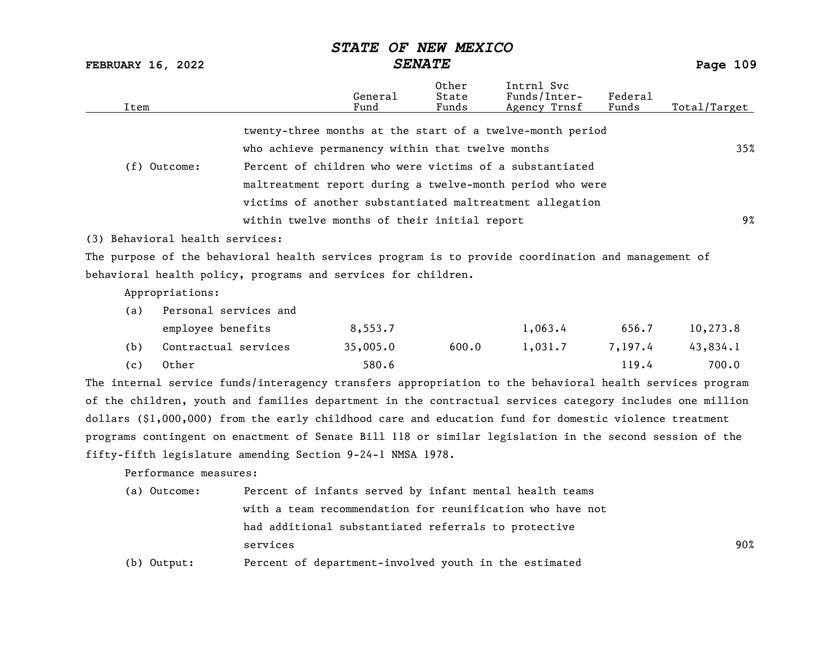FEBRUARY 16, 2022 SENATE SENATE

| Item |                                 |                                                                                                          | General<br>Fund | Other<br>State<br>Funds | Intrnl Svc<br>Funds/Inter-<br>Agency Trnsf                | Federa1<br>Funds | Total/Target |
|------|---------------------------------|----------------------------------------------------------------------------------------------------------|-----------------|-------------------------|-----------------------------------------------------------|------------------|--------------|
|      |                                 |                                                                                                          |                 |                         | twenty-three months at the start of a twelve-month period |                  |              |
|      |                                 | who achieve permanency within that twelve months                                                         |                 |                         |                                                           |                  | 35%          |
|      | (f) Outcome:                    | Percent of children who were victims of a substantiated                                                  |                 |                         |                                                           |                  |              |
|      |                                 |                                                                                                          |                 |                         | maltreatment report during a twelve-month period who were |                  |              |
|      |                                 | victims of another substantiated maltreatment allegation                                                 |                 |                         |                                                           |                  |              |
|      |                                 | within twelve months of their initial report                                                             |                 |                         |                                                           |                  | $9\%$        |
|      | (3) Behavioral health services: |                                                                                                          |                 |                         |                                                           |                  |              |
|      |                                 | The purpose of the behavioral health services program is to provide coordination and management of       |                 |                         |                                                           |                  |              |
|      |                                 | behavioral health policy, programs and services for children.                                            |                 |                         |                                                           |                  |              |
|      | Appropriations:                 |                                                                                                          |                 |                         |                                                           |                  |              |
| (a)  | Personal services and           |                                                                                                          |                 |                         |                                                           |                  |              |
|      | employee benefits               |                                                                                                          | 8,553.7         |                         | 1,063.4                                                   | 656.7            | 10,273.8     |
| (b)  | Contractual services            |                                                                                                          | 35,005.0        | 600.0                   | 1,031.7                                                   | 7,197.4          | 43,834.1     |
| (c)  | Other                           |                                                                                                          | 580.6           |                         |                                                           | 119.4            | 700.0        |
|      |                                 | The internal service funds/interagency transfers appropriation to the behavioral health services program |                 |                         |                                                           |                  |              |
|      |                                 | of the children, youth and families department in the contractual services category includes one million |                 |                         |                                                           |                  |              |
|      |                                 | dollars (\$1,000,000) from the early childhood care and education fund for domestic violence treatment   |                 |                         |                                                           |                  |              |
|      |                                 | programs contingent on enactment of Senate Bill 118 or similar legislation in the second session of the  |                 |                         |                                                           |                  |              |
|      |                                 | fifty-fifth legislature amending Section 9-24-1 NMSA 1978.                                               |                 |                         |                                                           |                  |              |
|      | Performance measures:           |                                                                                                          |                 |                         |                                                           |                  |              |
|      | (a) Outcome:                    | Percent of infants served by infant mental health teams                                                  |                 |                         |                                                           |                  |              |
|      |                                 |                                                                                                          |                 |                         | with a team recommendation for reunification who have not |                  |              |

had additional substantiated referrals to protective

services 90%

(b) Output: Percent of department-involved youth in the estimated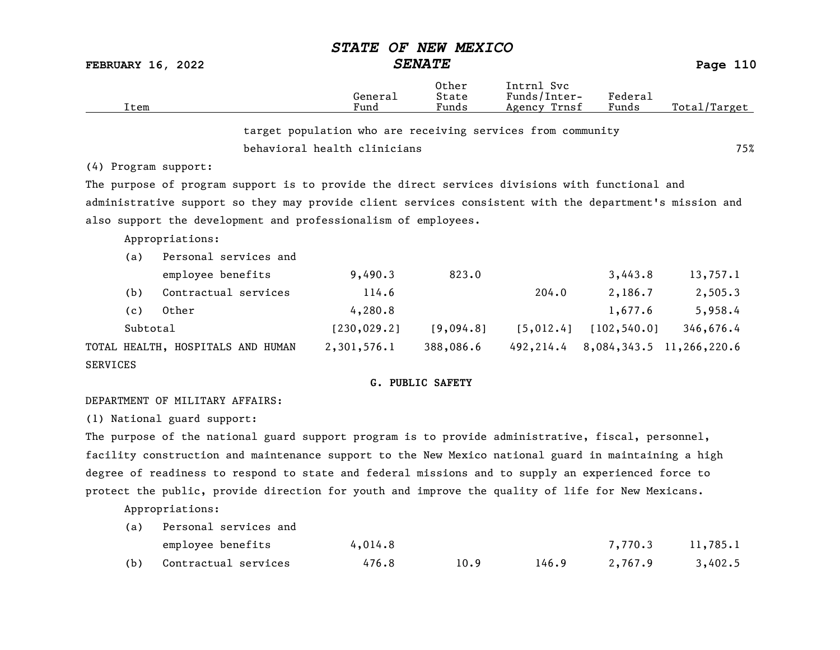|                          |                                                                                                         | <i><b>STATE</b></i>                                         | OF NEW MEXICO                                   |                                            |                  |                          |
|--------------------------|---------------------------------------------------------------------------------------------------------|-------------------------------------------------------------|-------------------------------------------------|--------------------------------------------|------------------|--------------------------|
| <b>FEBRUARY 16, 2022</b> |                                                                                                         |                                                             | <b>SENATE</b>                                   |                                            |                  | Page 110                 |
| Item                     |                                                                                                         | General<br>Fund                                             | Other<br>State<br>Funds                         | Intrnl Svc<br>Funds/Inter-<br>Agency Trnsf | Federal<br>Funds | Total/Target             |
|                          |                                                                                                         | target population who are receiving services from community |                                                 |                                            |                  |                          |
|                          |                                                                                                         | behavioral health clinicians                                |                                                 |                                            |                  | 75%                      |
| (4) Program support:     |                                                                                                         |                                                             |                                                 |                                            |                  |                          |
|                          | The purpose of program support is to provide the direct services divisions with functional and          |                                                             |                                                 |                                            |                  |                          |
|                          | administrative support so they may provide client services consistent with the department's mission and |                                                             |                                                 |                                            |                  |                          |
|                          | also support the development and professionalism of employees.                                          |                                                             |                                                 |                                            |                  |                          |
|                          | Appropriations:                                                                                         |                                                             |                                                 |                                            |                  |                          |
| (a)                      | Personal services and                                                                                   |                                                             |                                                 |                                            |                  |                          |
|                          | employee benefits                                                                                       | 9,490.3                                                     | 823.0                                           |                                            | 3,443.8          | 13,757.1                 |
| (b)                      | Contractual services                                                                                    | 114.6                                                       |                                                 | 204.0                                      | 2,186.7          | 2,505.3                  |
| (c)                      | Other                                                                                                   | 4,280.8                                                     |                                                 |                                            | 1,677.6          | 5,958.4                  |
| Subtotal                 |                                                                                                         | [230, 029.2]                                                | [9,094.8]                                       | [5, 012.4]                                 | [102, 540.0]     | 346,676.4                |
|                          | TOTAL HEALTH, HOSPITALS AND HUMAN                                                                       | 2,301,576.1                                                 | 388,086.6                                       | 492,214.4                                  |                  | 8,084,343.5 11,266,220.6 |
| <b>SERVICES</b>          |                                                                                                         |                                                             |                                                 |                                            |                  |                          |
|                          |                                                                                                         |                                                             | $C$ $D$ $D$ $T$ $C$ $C$ $A$ $D$ $T$ $T$ $T$ $T$ |                                            |                  |                          |

#### G. PUBLIC SAFETY

#### DEPARTMENT OF MILITARY AFFAIRS:

(1) National guard support:

The purpose of the national guard support program is to provide administrative, fiscal, personnel, facility construction and maintenance support to the New Mexico national guard in maintaining a high degree of readiness to respond to state and federal missions and to supply an experienced force to protect the public, provide direction for youth and improve the quality of life for New Mexicans.

Appropriations:

| (a) | Personal services and |         |      |       |         |          |
|-----|-----------------------|---------|------|-------|---------|----------|
|     | employee benefits     | 4,014.8 |      |       | 7,770.3 | 11,785.1 |
| (b) | Contractual services  | 476.8   | 10.9 | 146.9 | 2,767.9 | 3,402.5  |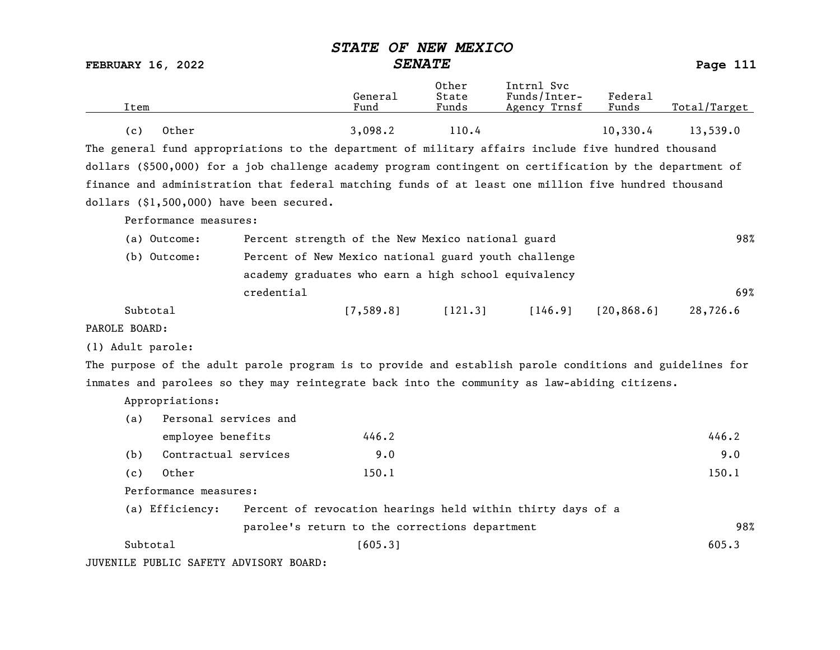|                          |                                                                                                          | STATE OF NEW MEXICO                                         |                         |                                            |                  |              |
|--------------------------|----------------------------------------------------------------------------------------------------------|-------------------------------------------------------------|-------------------------|--------------------------------------------|------------------|--------------|
| <b>FEBRUARY 16, 2022</b> |                                                                                                          | <b>SENATE</b>                                               |                         |                                            |                  | Page 111     |
| Item                     |                                                                                                          | General<br>Fund                                             | Other<br>State<br>Funds | Intrnl Svc<br>Funds/Inter-<br>Agency Trnsf | Federal<br>Funds | Total/Target |
| (c)                      | Other                                                                                                    | 3,098.2                                                     | 110.4                   |                                            | 10,330.4         | 13,539.0     |
|                          | The general fund appropriations to the department of military affairs include five hundred thousand      |                                                             |                         |                                            |                  |              |
|                          | dollars (\$500,000) for a job challenge academy program contingent on certification by the department of |                                                             |                         |                                            |                  |              |
|                          | finance and administration that federal matching funds of at least one million five hundred thousand     |                                                             |                         |                                            |                  |              |
|                          | dollars (\$1,500,000) have been secured.                                                                 |                                                             |                         |                                            |                  |              |
|                          | Performance measures:                                                                                    |                                                             |                         |                                            |                  |              |
| (a) Outcome:             |                                                                                                          | Percent strength of the New Mexico national guard           |                         |                                            |                  | 98%          |
| (b) Outcome:             |                                                                                                          | Percent of New Mexico national guard youth challenge        |                         |                                            |                  |              |
|                          |                                                                                                          | academy graduates who earn a high school equivalency        |                         |                                            |                  |              |
|                          | credential                                                                                               |                                                             |                         |                                            |                  | 69%          |
| Subtotal                 |                                                                                                          | [7, 589.8]                                                  | [121.3]                 | [146.9]                                    | [20, 868.6]      | 28,726.6     |
| PAROLE BOARD:            |                                                                                                          |                                                             |                         |                                            |                  |              |
| (1) Adult parole:        |                                                                                                          |                                                             |                         |                                            |                  |              |
|                          | The purpose of the adult parole program is to provide and establish parole conditions and guidelines for |                                                             |                         |                                            |                  |              |
|                          | inmates and parolees so they may reintegrate back into the community as law-abiding citizens.            |                                                             |                         |                                            |                  |              |
| Appropriations:          |                                                                                                          |                                                             |                         |                                            |                  |              |
| (a)                      | Personal services and                                                                                    |                                                             |                         |                                            |                  |              |
|                          | employee benefits                                                                                        | 446.2                                                       |                         |                                            |                  | 446.2        |
| (b)                      | Contractual services                                                                                     | 9.0                                                         |                         |                                            |                  | 9.0          |
| (c)                      | Other                                                                                                    | 150.1                                                       |                         |                                            |                  | 150.1        |
|                          | Performance measures:                                                                                    |                                                             |                         |                                            |                  |              |
|                          | (a) Efficiency:                                                                                          | Percent of revocation hearings held within thirty days of a |                         |                                            |                  |              |
|                          |                                                                                                          | parolee's return to the corrections department              |                         |                                            |                  | 98%          |
| Subtotal                 |                                                                                                          | [605.3]                                                     |                         |                                            |                  | 605.3        |

JUVENILE PUBLIC SAFETY ADVISORY BOARD: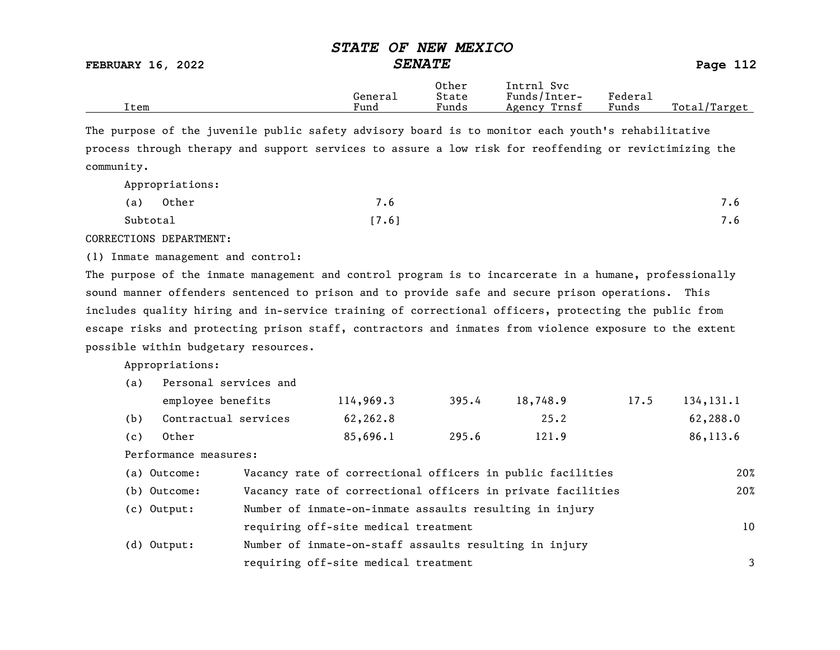FEBRUARY 16, 2022 SENATE SENATE

|      |              | Other | Intrnl<br>Svc   |                                    |                 |
|------|--------------|-------|-----------------|------------------------------------|-----------------|
|      | -<br>General | State | Funds/Inter-    | ${}_{\rm \texttt{Federa}_{\perp}}$ |                 |
| Item | Fund         | Funds | Trnsf<br>Agency | Funds                              | Total<br>Target |

The purpose of the juvenile public safety advisory board is to monitor each youth's rehabilitative process through therapy and support services to assure a low risk for reoffending or revictimizing the community.

Appropriations:

| Other<br>(a) | $\overline{\phantom{0}}$<br>$\cdot$ b | 7.6 |
|--------------|---------------------------------------|-----|
| Subtotal     | [7.6]                                 | 7.6 |

CORRECTIONS DEPARTMENT:

(1) Inmate management and control:

The purpose of the inmate management and control program is to incarcerate in a humane, professionally sound manner offenders sentenced to prison and to provide safe and secure prison operations. This includes quality hiring and in-service training of correctional officers, protecting the public from escape risks and protecting prison staff, contractors and inmates from violence exposure to the extent possible within budgetary resources.

Appropriations:

| (a) | Personal services and                                                    |                                                             |           |       |          |      |             |
|-----|--------------------------------------------------------------------------|-------------------------------------------------------------|-----------|-------|----------|------|-------------|
|     | employee benefits                                                        |                                                             | 114,969.3 | 395.4 | 18,748.9 | 17.5 | 134, 131. 1 |
| (b) | Contractual services                                                     |                                                             | 62,262.8  |       | 25.2     |      | 62,288.0    |
| (c) | Other                                                                    |                                                             | 85,696.1  | 295.6 | 121.9    |      | 86,113.6    |
|     | Performance measures:                                                    |                                                             |           |       |          |      |             |
|     | (a) Outcome:                                                             | Vacancy rate of correctional officers in public facilities  |           |       |          |      | 20%         |
|     | (b) Outcome:                                                             | Vacancy rate of correctional officers in private facilities |           |       |          |      | 20%         |
|     | Number of inmate-on-inmate assaults resulting in injury<br>$(c)$ Output: |                                                             |           |       |          |      |             |
|     | requiring off-site medical treatment                                     |                                                             |           |       |          | 10   |             |

| $(d)$ Output: | Number of inmate-on-staff assaults resulting in injury |  |
|---------------|--------------------------------------------------------|--|
|               | requiring off-site medical treatment                   |  |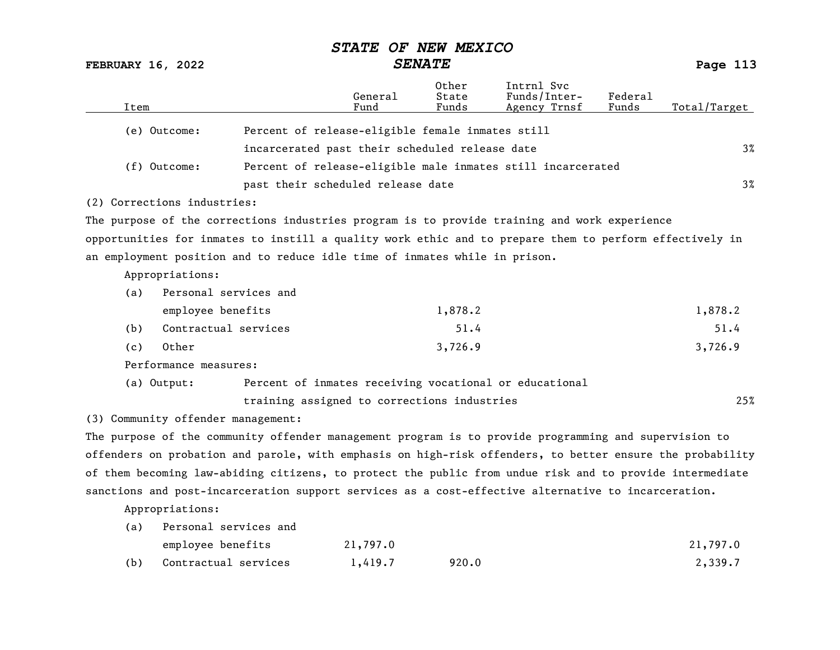FEBRUARY 16, 2022 SENATE Page 113

| Item                                                                                                      |                                                        | General<br>Fund | Other<br>State<br>Funds | Intrnl Svc<br>Funds/Inter-<br>Agency Trnsf                  | Federal<br>Funds | Total/Target |
|-----------------------------------------------------------------------------------------------------------|--------------------------------------------------------|-----------------|-------------------------|-------------------------------------------------------------|------------------|--------------|
| (e) Outcome:                                                                                              | Percent of release-eligible female inmates still       |                 |                         |                                                             |                  |              |
|                                                                                                           | incarcerated past their scheduled release date         |                 |                         |                                                             |                  | $3\%$        |
| (f) Outcome:                                                                                              |                                                        |                 |                         | Percent of release-eligible male inmates still incarcerated |                  |              |
|                                                                                                           | past their scheduled release date                      |                 |                         |                                                             |                  | $3\%$        |
| (2) Corrections industries:                                                                               |                                                        |                 |                         |                                                             |                  |              |
| The purpose of the corrections industries program is to provide training and work experience              |                                                        |                 |                         |                                                             |                  |              |
| opportunities for inmates to instill a quality work ethic and to prepare them to perform effectively in   |                                                        |                 |                         |                                                             |                  |              |
| an employment position and to reduce idle time of inmates while in prison.                                |                                                        |                 |                         |                                                             |                  |              |
| Appropriations:                                                                                           |                                                        |                 |                         |                                                             |                  |              |
| Personal services and<br>(a)                                                                              |                                                        |                 |                         |                                                             |                  |              |
| employee benefits                                                                                         |                                                        |                 | 1,878.2                 |                                                             |                  | 1,878.2      |
| Contractual services<br>(b)                                                                               |                                                        |                 | 51.4                    |                                                             |                  | 51.4         |
| Other<br>(c)                                                                                              |                                                        |                 | 3,726.9                 |                                                             |                  | 3,726.9      |
| Performance measures:                                                                                     |                                                        |                 |                         |                                                             |                  |              |
| (a) Output:                                                                                               | Percent of inmates receiving vocational or educational |                 |                         |                                                             |                  |              |
|                                                                                                           | training assigned to corrections industries            |                 |                         |                                                             |                  | 25%          |
| (3) Community offender management:                                                                        |                                                        |                 |                         |                                                             |                  |              |
| The purpose of the community offender management program is to provide programming and supervision to     |                                                        |                 |                         |                                                             |                  |              |
| offenders on probation and parole, with emphasis on high-risk offenders, to better ensure the probability |                                                        |                 |                         |                                                             |                  |              |

of them becoming law-abiding citizens, to protect the public from undue risk and to provide intermediate sanctions and post-incarceration support services as a cost-effective alternative to incarceration.

Appropriations:

| (a) | Personal services and |          |       |          |
|-----|-----------------------|----------|-------|----------|
|     | employee benefits     | 21,797.0 |       | 21,797.0 |
| (b) | Contractual services  | 1,419.7  | 920.0 | 2,339.7  |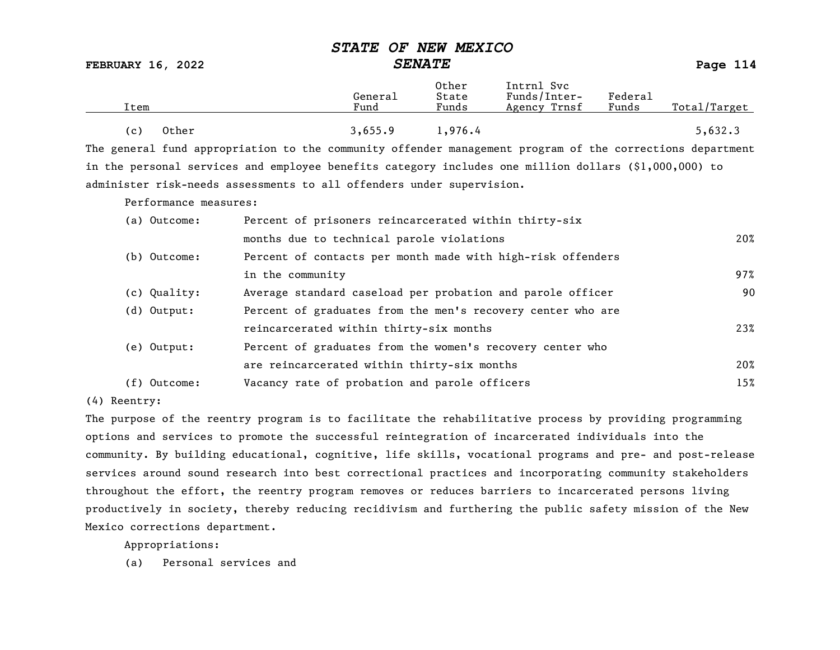### FEBRUARY 16, 2022 SENATE SENATE

| ítem                                | General<br>Fund | Other<br>State<br>Funds | Intrnl Svc<br>Funds/Inter-<br>Agency Trnsf | Federal<br>Funds | Total/Target |
|-------------------------------------|-----------------|-------------------------|--------------------------------------------|------------------|--------------|
| Other<br>$\left( \mathbf{c}\right)$ | 3,655.9         | .976.4                  |                                            |                  | 5,632.3      |

The general fund appropriation to the community offender management program of the corrections department in the personal services and employee benefits category includes one million dollars (\$1,000,000) to administer risk-needs assessments to all offenders under supervision.

Performance measures:

| (a) Outcome:   | Percent of prisoners reincarcerated within thirty-six       |     |
|----------------|-------------------------------------------------------------|-----|
|                | months due to technical parole violations                   | 20% |
| (b) Outcome:   | Percent of contacts per month made with high-risk offenders |     |
|                | in the community                                            | 97% |
| (c) Quality:   | Average standard caseload per probation and parole officer  | 90  |
| (d) Output:    | Percent of graduates from the men's recovery center who are |     |
|                | reincarcerated within thirty-six months                     | 23% |
| (e) Output:    | Percent of graduates from the women's recovery center who   |     |
|                | are reincarcerated within thirty-six months                 | 20% |
| $(f)$ Outcome: | Vacancy rate of probation and parole officers               | 15% |

(4) Reentry:

The purpose of the reentry program is to facilitate the rehabilitative process by providing programming options and services to promote the successful reintegration of incarcerated individuals into the community. By building educational, cognitive, life skills, vocational programs and pre- and post-release services around sound research into best correctional practices and incorporating community stakeholders throughout the effort, the reentry program removes or reduces barriers to incarcerated persons living productively in society, thereby reducing recidivism and furthering the public safety mission of the New Mexico corrections department.

Appropriations: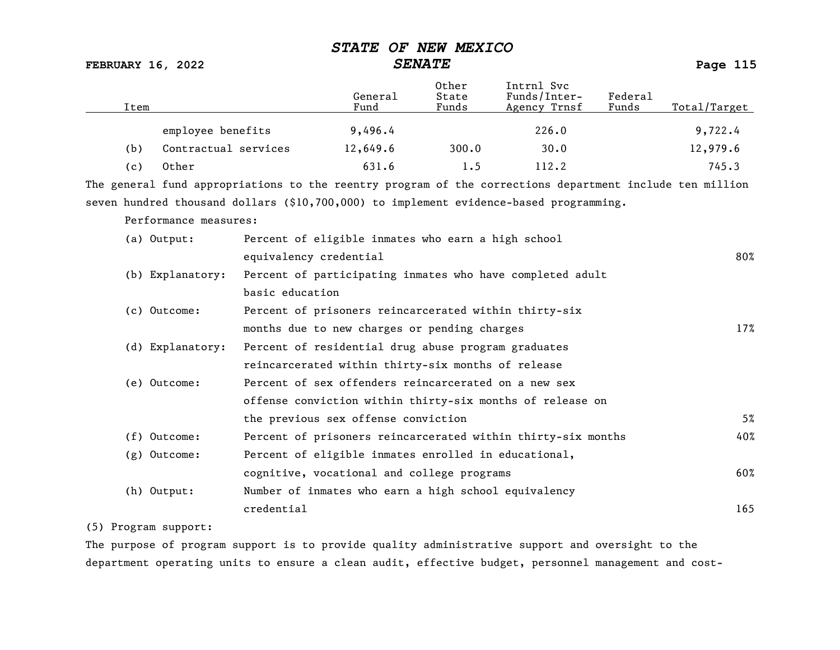FEBRUARY 16, 2022 SENATE Page 115

| Item |                       |                                                       | General<br>Fund | Other<br>State<br>Funds | Intrnl Svc<br>Funds/Inter-<br>Agency Trnsf                                                               | Federa1<br>Funds | Total/Target |
|------|-----------------------|-------------------------------------------------------|-----------------|-------------------------|----------------------------------------------------------------------------------------------------------|------------------|--------------|
|      | employee benefits     |                                                       | 9,496.4         |                         | 226.0                                                                                                    |                  | 9,722.4      |
| (b)  | Contractual services  |                                                       | 12,649.6        | 300.0                   | 30.0                                                                                                     |                  | 12,979.6     |
| (c)  | Other                 |                                                       | 631.6           | 1.5                     | 112.2                                                                                                    |                  | 745.3        |
|      |                       |                                                       |                 |                         | The general fund appropriations to the reentry program of the corrections department include ten million |                  |              |
|      |                       |                                                       |                 |                         | seven hundred thousand dollars (\$10,700,000) to implement evidence-based programming.                   |                  |              |
|      | Performance measures: |                                                       |                 |                         |                                                                                                          |                  |              |
|      | (a) Output:           | Percent of eligible inmates who earn a high school    |                 |                         |                                                                                                          |                  |              |
|      |                       | equivalency credential                                |                 |                         |                                                                                                          |                  | 80%          |
|      | (b) Explanatory:      |                                                       |                 |                         | Percent of participating inmates who have completed adult                                                |                  |              |
|      |                       | basic education                                       |                 |                         |                                                                                                          |                  |              |
|      | (c) Outcome:          | Percent of prisoners reincarcerated within thirty-six |                 |                         |                                                                                                          |                  |              |
|      |                       | months due to new charges or pending charges          |                 |                         |                                                                                                          |                  | 17%          |
|      | (d) Explanatory:      | Percent of residential drug abuse program graduates   |                 |                         |                                                                                                          |                  |              |
|      |                       | reincarcerated within thirty-six months of release    |                 |                         |                                                                                                          |                  |              |
|      | (e) Outcome:          | Percent of sex offenders reincarcerated on a new sex  |                 |                         |                                                                                                          |                  |              |
|      |                       |                                                       |                 |                         | offense conviction within thirty-six months of release on                                                |                  |              |
|      |                       | the previous sex offense conviction                   |                 |                         |                                                                                                          |                  | 5%           |
|      | (f) Outcome:          |                                                       |                 |                         | Percent of prisoners reincarcerated within thirty-six months                                             |                  | 40%          |
|      | $(g)$ Outcome:        | Percent of eligible inmates enrolled in educational,  |                 |                         |                                                                                                          |                  |              |
|      |                       | cognitive, vocational and college programs            |                 |                         |                                                                                                          |                  | 60%          |
|      | (h) Output:           | Number of inmates who earn a high school equivalency  |                 |                         |                                                                                                          |                  |              |
|      |                       | credential                                            |                 |                         |                                                                                                          |                  | 165          |

### (5) Program support:

The purpose of program support is to provide quality administrative support and oversight to the department operating units to ensure a clean audit, effective budget, personnel management and cost-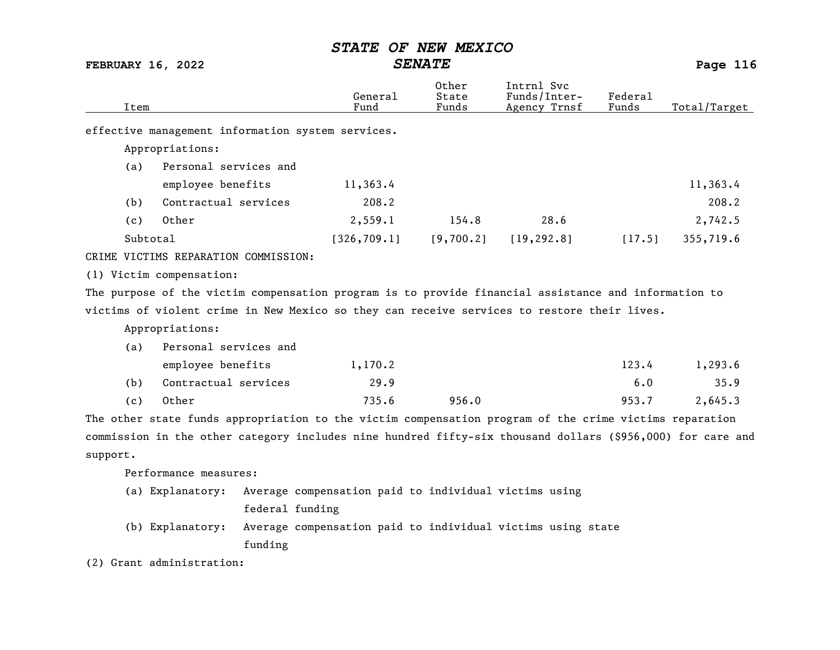FEBRUARY 16, 2022 SENATE Page 116

| Item     |                                      |                 | General<br>Fund                                                                                            | Other<br>State<br>Funds | Intrnl Svc<br>Funds/Inter-<br>Agency Trnsf | Federal<br>Funds | Total/Target |
|----------|--------------------------------------|-----------------|------------------------------------------------------------------------------------------------------------|-------------------------|--------------------------------------------|------------------|--------------|
|          |                                      |                 | effective management information system services.                                                          |                         |                                            |                  |              |
|          | Appropriations:                      |                 |                                                                                                            |                         |                                            |                  |              |
| (a)      | Personal services and                |                 |                                                                                                            |                         |                                            |                  |              |
|          | employee benefits                    |                 | 11,363.4                                                                                                   |                         |                                            |                  | 11,363.4     |
| (b)      | Contractual services                 |                 | 208.2                                                                                                      |                         |                                            |                  | 208.2        |
| (c)      | Other                                |                 | 2,559.1                                                                                                    | 154.8                   | 28.6                                       |                  | 2,742.5      |
|          | Subtotal                             |                 | [326, 709.1]                                                                                               | [9,700.2]               | [19, 292.8]                                | [17.5]           | 355,719.6    |
|          | CRIME VICTIMS REPARATION COMMISSION: |                 |                                                                                                            |                         |                                            |                  |              |
|          | (1) Victim compensation:             |                 |                                                                                                            |                         |                                            |                  |              |
|          |                                      |                 | The purpose of the victim compensation program is to provide financial assistance and information to       |                         |                                            |                  |              |
|          |                                      |                 | victims of violent crime in New Mexico so they can receive services to restore their lives.                |                         |                                            |                  |              |
|          | Appropriations:                      |                 |                                                                                                            |                         |                                            |                  |              |
| (a)      | Personal services and                |                 |                                                                                                            |                         |                                            |                  |              |
|          | employee benefits                    |                 | 1,170.2                                                                                                    |                         |                                            | 123.4            | 1,293.6      |
| (b)      | Contractual services                 |                 | 29.9                                                                                                       |                         |                                            | 6.0              | 35.9         |
| (c)      | Other                                |                 | 735.6                                                                                                      | 956.0                   |                                            | 953.7            | 2,645.3      |
|          |                                      |                 | The other state funds appropriation to the victim compensation program of the crime victims reparation     |                         |                                            |                  |              |
|          |                                      |                 | commission in the other category includes nine hundred fifty-six thousand dollars (\$956,000) for care and |                         |                                            |                  |              |
| support. |                                      |                 |                                                                                                            |                         |                                            |                  |              |
|          | Performance measures:                |                 |                                                                                                            |                         |                                            |                  |              |
|          | (a) Explanatory:                     |                 | Average compensation paid to individual victims using                                                      |                         |                                            |                  |              |
|          |                                      | federal funding |                                                                                                            |                         |                                            |                  |              |
|          | (b) Explanatory:                     |                 | Average compensation paid to individual victims using state                                                |                         |                                            |                  |              |
|          |                                      | funding         |                                                                                                            |                         |                                            |                  |              |

(2) Grant administration: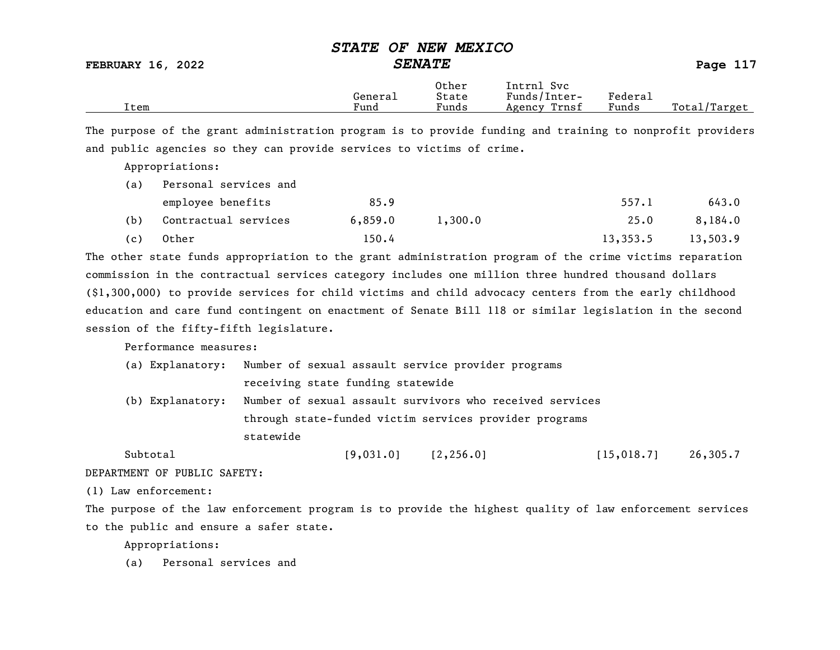FEBRUARY 16, 2022 SENATE Page 117

|      |         | Other | Svc<br>Intrnl   |                                        |                  |
|------|---------|-------|-----------------|----------------------------------------|------------------|
|      | General | State | Funds/Inter-    | ${}_{\rm \tiny \text{Federa}_{\perp}}$ |                  |
| Item | Fund    | Funds | Trnsf<br>Agency | Funds                                  | Total<br>Target/ |

The purpose of the grant administration program is to provide funding and training to nonprofit providers and public agencies so they can provide services to victims of crime.

Appropriations:

| (a) | Personal services and |         |         |          |          |
|-----|-----------------------|---------|---------|----------|----------|
|     | employee benefits     | 85.9    |         | 557.1    | 643.0    |
| (b) | Contractual services  | 6,859.0 | 1,300,0 | 25.0     | 8,184.0  |
| (c) | Other                 | 150.4   |         | 13,353.5 | 13,503.9 |

The other state funds appropriation to the grant administration program of the crime victims reparation commission in the contractual services category includes one million three hundred thousand dollars (\$1,300,000) to provide services for child victims and child advocacy centers from the early childhood education and care fund contingent on enactment of Senate Bill 118 or similar legislation in the second session of the fifty-fifth legislature.

Performance measures:

|                  | (a) Explanatory: Number of sexual assault service provider programs |            |             |          |
|------------------|---------------------------------------------------------------------|------------|-------------|----------|
|                  | receiving state funding statewide                                   |            |             |          |
| (b) Explanatory: | Number of sexual assault survivors who received services            |            |             |          |
|                  | through state-funded victim services provider programs              |            |             |          |
|                  | statewide                                                           |            |             |          |
| Subtotal         | [9,031.0]                                                           | [2, 256.0] | [15, 018.7] | 26,305.7 |

DEPARTMENT OF PUBLIC SAFETY:

(1) Law enforcement:

The purpose of the law enforcement program is to provide the highest quality of law enforcement services to the public and ensure a safer state.

Appropriations: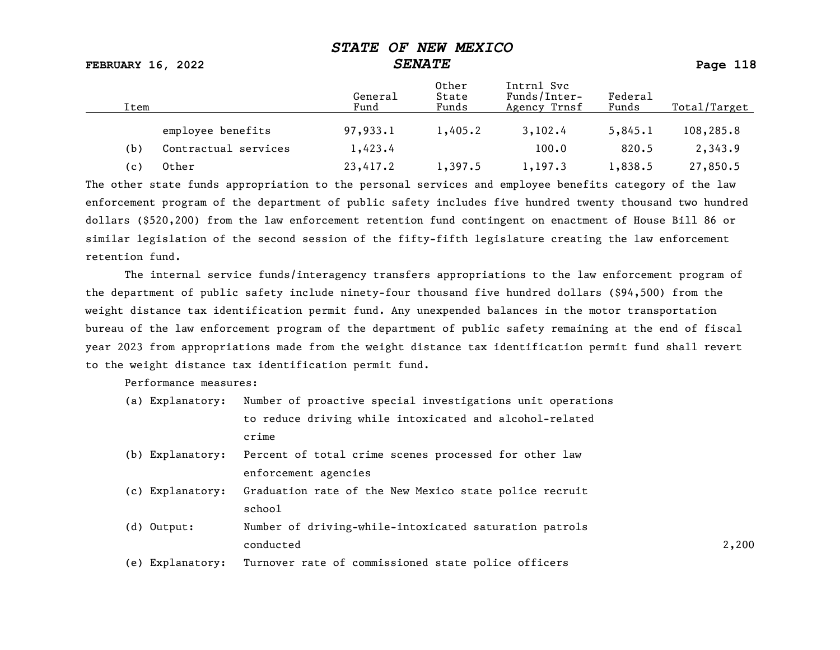FEBRUARY 16, 2022 SENATE Page 118

| Item |                      | General<br>Fund | Other<br>State<br>Funds | Intrnl Svc<br>Funds/Inter-<br>Agency Trnsf | Federal<br>Funds | Total/Target |
|------|----------------------|-----------------|-------------------------|--------------------------------------------|------------------|--------------|
|      | employee benefits    | 97,933.1        | 1,405.2                 | 3,102.4                                    | 5,845.1          | 108,285.8    |
| (b)  | Contractual services | 1,423.4         |                         | 100.0                                      | 820.5            | 2,343.9      |
| (c)  | Other                | 23,417.2        | 1,397.5                 | 1,197.3                                    | 1,838.5          | 27,850.5     |

The other state funds appropriation to the personal services and employee benefits category of the law enforcement program of the department of public safety includes five hundred twenty thousand two hundred dollars (\$520,200) from the law enforcement retention fund contingent on enactment of House Bill 86 or similar legislation of the second session of the fifty-fifth legislature creating the law enforcement retention fund.

The internal service funds/interagency transfers appropriations to the law enforcement program of the department of public safety include ninety-four thousand five hundred dollars (\$94,500) from the weight distance tax identification permit fund. Any unexpended balances in the motor transportation bureau of the law enforcement program of the department of public safety remaining at the end of fiscal year 2023 from appropriations made from the weight distance tax identification permit fund shall revert to the weight distance tax identification permit fund.

Performance measures:

|  | (a) Explanatory: Number of proactive special investigations unit operations |
|--|-----------------------------------------------------------------------------|
|  | to reduce driving while intoxicated and alcohol-related                     |
|  | crime                                                                       |

- (b) Explanatory: Percent of total crime scenes processed for other law enforcement agencies
- (c) Explanatory: Graduation rate of the New Mexico state police recruit school and the set of the set of the set of the set of the set of the set of the set of the set of the set of the set of the set of the set of the set of the set of the set of the set of the set of the set of the set of th
- (d) Output: Number of driving-while-intoxicated saturation patrols conducted 2,200
- (e) Explanatory: Turnover rate of commissioned state police officers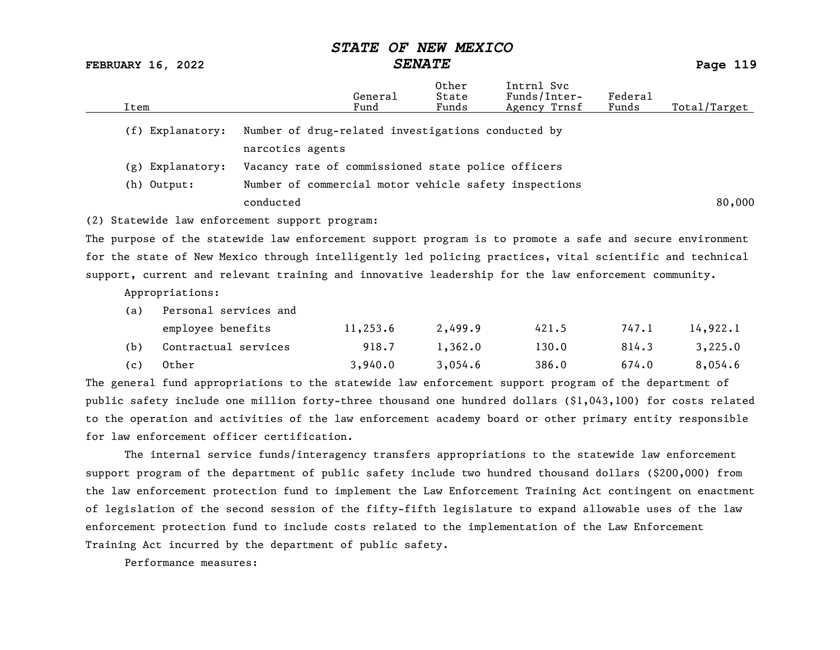## STATE OF NEW MEXICO<br>SENATE

FEBRUARY 16, 2022 SENATE SENATE

|      |                       |                                                                                                            | General  | Other<br>State | Intrnl Svc<br>Funds/Inter- | Federal |              |
|------|-----------------------|------------------------------------------------------------------------------------------------------------|----------|----------------|----------------------------|---------|--------------|
| Item |                       |                                                                                                            | Fund     | Funds          | Agency Trnsf               | Funds   | Total/Target |
|      | (f) Explanatory:      | Number of drug-related investigations conducted by<br>narcotics agents                                     |          |                |                            |         |              |
|      | (g) Explanatory:      | Vacancy rate of commissioned state police officers                                                         |          |                |                            |         |              |
|      | (h) Output:           | Number of commercial motor vehicle safety inspections                                                      |          |                |                            |         |              |
|      |                       | conducted                                                                                                  |          |                |                            |         | 80,000       |
|      |                       | (2) Statewide law enforcement support program:                                                             |          |                |                            |         |              |
|      |                       | The purpose of the statewide law enforcement support program is to promote a safe and secure environment   |          |                |                            |         |              |
|      |                       | for the state of New Mexico through intelligently led policing practices, vital scientific and technical   |          |                |                            |         |              |
|      |                       | support, current and relevant training and innovative leadership for the law enforcement community.        |          |                |                            |         |              |
|      | Appropriations:       |                                                                                                            |          |                |                            |         |              |
| (a)  | Personal services and |                                                                                                            |          |                |                            |         |              |
|      | employee benefits     |                                                                                                            | 11,253.6 | 2,499.9        | 421.5                      | 747.1   | 14,922.1     |
| (b)  | Contractual services  |                                                                                                            | 918.7    | 1,362.0        | 130.0                      | 814.3   | 3,225.0      |
| (c)  | Other                 |                                                                                                            | 3,940.0  | 3,054.6        | 386.0                      | 674.0   | 8,054.6      |
|      |                       | The general fund appropriations to the statewide law enforcement support program of the department of      |          |                |                            |         |              |
|      |                       | public safety include one million forty-three thousand one hundred dollars (\$1,043,100) for costs related |          |                |                            |         |              |
|      |                       | to the operation and activities of the law enforcement academy board or other primary entity responsible   |          |                |                            |         |              |
|      |                       | for law enforcement officer certification.                                                                 |          |                |                            |         |              |
|      |                       | The internal service funds/interagency transfers appropriations to the statewide law enforcement           |          |                |                            |         |              |

support program of the department of public safety include two hundred thousand dollars (\$200,000) from the law enforcement protection fund to implement the Law Enforcement Training Act contingent on enactment of legislation of the second session of the fifty-fifth legislature to expand allowable uses of the law enforcement protection fund to include costs related to the implementation of the Law Enforcement Training Act incurred by the department of public safety.

Performance measures: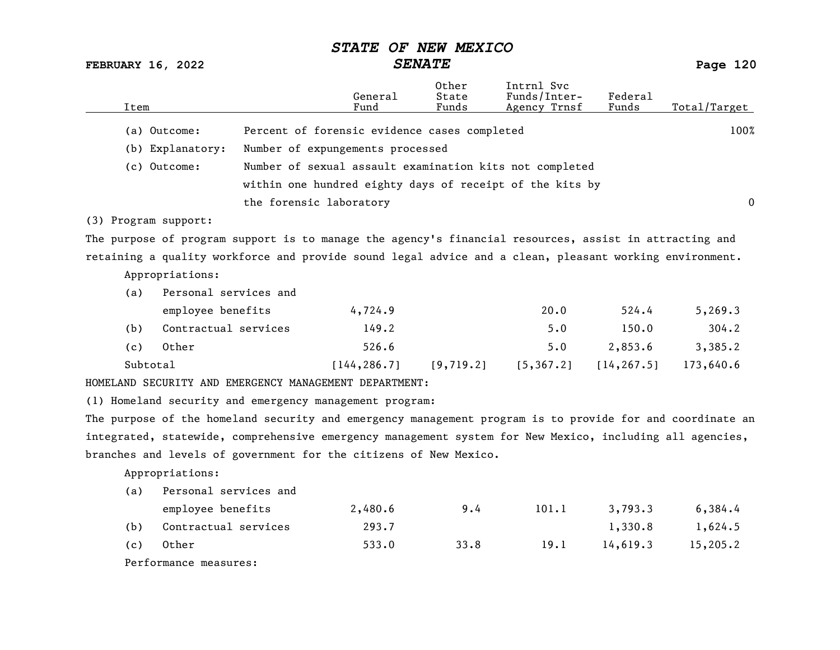FEBRUARY 16, 2022 SENATE Page 120

| (a) Outcome:<br>Percent of forensic evidence cases completed<br>100%<br>Number of expungements processed<br>(b) Explanatory:<br>(c) Outcome:<br>Number of sexual assault examination kits not completed<br>within one hundred eighty days of receipt of the kits by<br>the forensic laboratory<br>$\overline{0}$<br>(3) Program support:<br>The purpose of program support is to manage the agency's financial resources, assist in attracting and<br>retaining a quality workforce and provide sound legal advice and a clean, pleasant working environment.<br>Appropriations:<br>Personal services and<br>(a)<br>employee benefits<br>4,724.9<br>20.0<br>524.4<br>5, 269.3<br>Contractual services<br>5.0<br>304.2<br>(b)<br>149.2<br>150.0<br>Other<br>526.6<br>2,853.6<br>3,385.2<br>(c)<br>5.0<br>Subtotal<br>[144, 286.7]<br>[9, 719.2]<br>[5, 367.2]<br>[14, 267.5]<br>173,640.6<br>HOMELAND SECURITY AND EMERGENCY MANAGEMENT DEPARTMENT:<br>(1) Homeland security and emergency management program:<br>The purpose of the homeland security and emergency management program is to provide for and coordinate an<br>integrated, statewide, comprehensive emergency management system for New Mexico, including all agencies,<br>branches and levels of government for the citizens of New Mexico.<br>Appropriations: | Item |  | General<br>Fund | Other<br>State<br>Funds | Intrnl Svc<br>Funds/Inter-<br>Agency Trnsf | Federal<br>Funds | Total/Target |
|--------------------------------------------------------------------------------------------------------------------------------------------------------------------------------------------------------------------------------------------------------------------------------------------------------------------------------------------------------------------------------------------------------------------------------------------------------------------------------------------------------------------------------------------------------------------------------------------------------------------------------------------------------------------------------------------------------------------------------------------------------------------------------------------------------------------------------------------------------------------------------------------------------------------------------------------------------------------------------------------------------------------------------------------------------------------------------------------------------------------------------------------------------------------------------------------------------------------------------------------------------------------------------------------------------------------------------|------|--|-----------------|-------------------------|--------------------------------------------|------------------|--------------|
|                                                                                                                                                                                                                                                                                                                                                                                                                                                                                                                                                                                                                                                                                                                                                                                                                                                                                                                                                                                                                                                                                                                                                                                                                                                                                                                                |      |  |                 |                         |                                            |                  |              |
|                                                                                                                                                                                                                                                                                                                                                                                                                                                                                                                                                                                                                                                                                                                                                                                                                                                                                                                                                                                                                                                                                                                                                                                                                                                                                                                                |      |  |                 |                         |                                            |                  |              |
|                                                                                                                                                                                                                                                                                                                                                                                                                                                                                                                                                                                                                                                                                                                                                                                                                                                                                                                                                                                                                                                                                                                                                                                                                                                                                                                                |      |  |                 |                         |                                            |                  |              |
|                                                                                                                                                                                                                                                                                                                                                                                                                                                                                                                                                                                                                                                                                                                                                                                                                                                                                                                                                                                                                                                                                                                                                                                                                                                                                                                                |      |  |                 |                         |                                            |                  |              |
|                                                                                                                                                                                                                                                                                                                                                                                                                                                                                                                                                                                                                                                                                                                                                                                                                                                                                                                                                                                                                                                                                                                                                                                                                                                                                                                                |      |  |                 |                         |                                            |                  |              |
|                                                                                                                                                                                                                                                                                                                                                                                                                                                                                                                                                                                                                                                                                                                                                                                                                                                                                                                                                                                                                                                                                                                                                                                                                                                                                                                                |      |  |                 |                         |                                            |                  |              |
|                                                                                                                                                                                                                                                                                                                                                                                                                                                                                                                                                                                                                                                                                                                                                                                                                                                                                                                                                                                                                                                                                                                                                                                                                                                                                                                                |      |  |                 |                         |                                            |                  |              |
|                                                                                                                                                                                                                                                                                                                                                                                                                                                                                                                                                                                                                                                                                                                                                                                                                                                                                                                                                                                                                                                                                                                                                                                                                                                                                                                                |      |  |                 |                         |                                            |                  |              |
|                                                                                                                                                                                                                                                                                                                                                                                                                                                                                                                                                                                                                                                                                                                                                                                                                                                                                                                                                                                                                                                                                                                                                                                                                                                                                                                                |      |  |                 |                         |                                            |                  |              |
|                                                                                                                                                                                                                                                                                                                                                                                                                                                                                                                                                                                                                                                                                                                                                                                                                                                                                                                                                                                                                                                                                                                                                                                                                                                                                                                                |      |  |                 |                         |                                            |                  |              |
|                                                                                                                                                                                                                                                                                                                                                                                                                                                                                                                                                                                                                                                                                                                                                                                                                                                                                                                                                                                                                                                                                                                                                                                                                                                                                                                                |      |  |                 |                         |                                            |                  |              |
|                                                                                                                                                                                                                                                                                                                                                                                                                                                                                                                                                                                                                                                                                                                                                                                                                                                                                                                                                                                                                                                                                                                                                                                                                                                                                                                                |      |  |                 |                         |                                            |                  |              |
|                                                                                                                                                                                                                                                                                                                                                                                                                                                                                                                                                                                                                                                                                                                                                                                                                                                                                                                                                                                                                                                                                                                                                                                                                                                                                                                                |      |  |                 |                         |                                            |                  |              |
|                                                                                                                                                                                                                                                                                                                                                                                                                                                                                                                                                                                                                                                                                                                                                                                                                                                                                                                                                                                                                                                                                                                                                                                                                                                                                                                                |      |  |                 |                         |                                            |                  |              |
|                                                                                                                                                                                                                                                                                                                                                                                                                                                                                                                                                                                                                                                                                                                                                                                                                                                                                                                                                                                                                                                                                                                                                                                                                                                                                                                                |      |  |                 |                         |                                            |                  |              |
|                                                                                                                                                                                                                                                                                                                                                                                                                                                                                                                                                                                                                                                                                                                                                                                                                                                                                                                                                                                                                                                                                                                                                                                                                                                                                                                                |      |  |                 |                         |                                            |                  |              |
|                                                                                                                                                                                                                                                                                                                                                                                                                                                                                                                                                                                                                                                                                                                                                                                                                                                                                                                                                                                                                                                                                                                                                                                                                                                                                                                                |      |  |                 |                         |                                            |                  |              |
|                                                                                                                                                                                                                                                                                                                                                                                                                                                                                                                                                                                                                                                                                                                                                                                                                                                                                                                                                                                                                                                                                                                                                                                                                                                                                                                                |      |  |                 |                         |                                            |                  |              |
|                                                                                                                                                                                                                                                                                                                                                                                                                                                                                                                                                                                                                                                                                                                                                                                                                                                                                                                                                                                                                                                                                                                                                                                                                                                                                                                                |      |  |                 |                         |                                            |                  |              |
|                                                                                                                                                                                                                                                                                                                                                                                                                                                                                                                                                                                                                                                                                                                                                                                                                                                                                                                                                                                                                                                                                                                                                                                                                                                                                                                                |      |  |                 |                         |                                            |                  |              |
|                                                                                                                                                                                                                                                                                                                                                                                                                                                                                                                                                                                                                                                                                                                                                                                                                                                                                                                                                                                                                                                                                                                                                                                                                                                                                                                                |      |  |                 |                         |                                            |                  |              |
| Personal services and<br>(a)                                                                                                                                                                                                                                                                                                                                                                                                                                                                                                                                                                                                                                                                                                                                                                                                                                                                                                                                                                                                                                                                                                                                                                                                                                                                                                   |      |  |                 |                         |                                            |                  |              |
| 101.1<br>employee benefits<br>2,480.6<br>9.4<br>3,793.3<br>6,384.4                                                                                                                                                                                                                                                                                                                                                                                                                                                                                                                                                                                                                                                                                                                                                                                                                                                                                                                                                                                                                                                                                                                                                                                                                                                             |      |  |                 |                         |                                            |                  |              |
| Contractual services<br>(b)<br>293.7<br>1,330.8<br>1,624.5                                                                                                                                                                                                                                                                                                                                                                                                                                                                                                                                                                                                                                                                                                                                                                                                                                                                                                                                                                                                                                                                                                                                                                                                                                                                     |      |  |                 |                         |                                            |                  |              |
| Other<br>533.0<br>19.1<br>14,619.3<br>15,205.2<br>(c)<br>33.8                                                                                                                                                                                                                                                                                                                                                                                                                                                                                                                                                                                                                                                                                                                                                                                                                                                                                                                                                                                                                                                                                                                                                                                                                                                                  |      |  |                 |                         |                                            |                  |              |
| Performance measures:                                                                                                                                                                                                                                                                                                                                                                                                                                                                                                                                                                                                                                                                                                                                                                                                                                                                                                                                                                                                                                                                                                                                                                                                                                                                                                          |      |  |                 |                         |                                            |                  |              |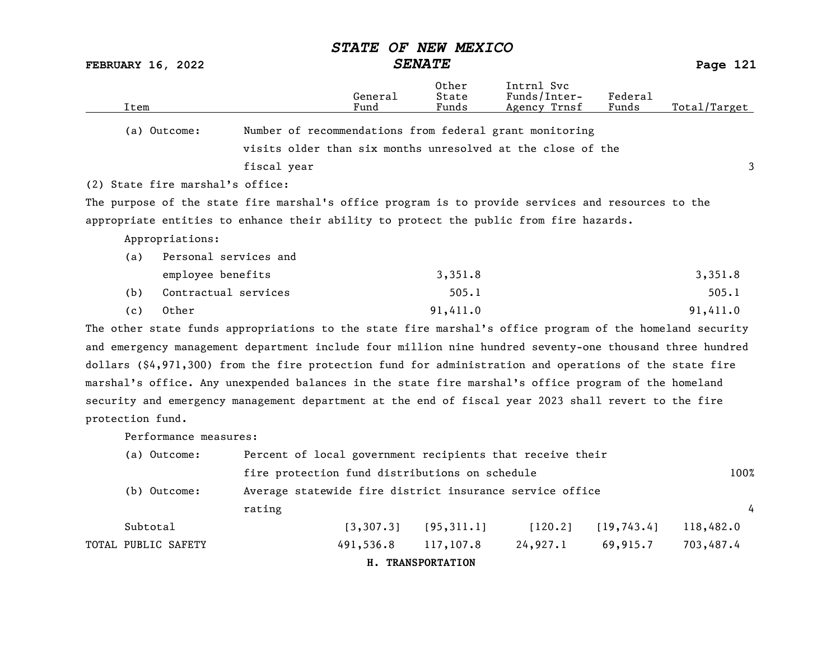|                                  |                                                                                                          |                 | סטבעצע חשת עס           |                                            |                  |              |
|----------------------------------|----------------------------------------------------------------------------------------------------------|-----------------|-------------------------|--------------------------------------------|------------------|--------------|
| FEBRUARY 16, 2022                |                                                                                                          | <b>SENATE</b>   |                         |                                            |                  | Page 121     |
| Item                             |                                                                                                          | General<br>Fund | Other<br>State<br>Funds | Intrnl Svc<br>Funds/Inter-<br>Agency Trnsf | Federal<br>Funds | Total/Target |
| (a) Outcome:                     | Number of recommendations from federal grant monitoring                                                  |                 |                         |                                            |                  |              |
|                                  | visits older than six months unresolved at the close of the                                              |                 |                         |                                            |                  |              |
|                                  | fiscal year                                                                                              |                 |                         |                                            |                  | 3            |
| (2) State fire marshal's office: |                                                                                                          |                 |                         |                                            |                  |              |
|                                  | The purpose of the state fire marshal's office program is to provide services and resources to the       |                 |                         |                                            |                  |              |
|                                  | appropriate entities to enhance their ability to protect the public from fire hazards.                   |                 |                         |                                            |                  |              |
| Appropriations:                  |                                                                                                          |                 |                         |                                            |                  |              |
| (a)                              | Personal services and                                                                                    |                 |                         |                                            |                  |              |
|                                  | employee benefits                                                                                        |                 | 3,351.8                 |                                            |                  | 3,351.8      |
| (b)                              | Contractual services                                                                                     |                 | 505.1                   |                                            |                  | 505.1        |
| Other<br>(c)                     |                                                                                                          |                 | 91,411.0                |                                            |                  | 91,411.0     |
|                                  | The other state funds appropriations to the state fire marshal's office program of the homeland security |                 |                         |                                            |                  |              |
|                                  | and emergency management department include four million nine hundred seventy-one thousand three hundred |                 |                         |                                            |                  |              |
|                                  | dollars (\$4,971,300) from the fire protection fund for administration and operations of the state fire  |                 |                         |                                            |                  |              |
|                                  | marshal's office. Any unexpended balances in the state fire marshal's office program of the homeland     |                 |                         |                                            |                  |              |
|                                  | security and emergency management department at the end of fiscal year 2023 shall revert to the fire     |                 |                         |                                            |                  |              |
| protection fund.                 |                                                                                                          |                 |                         |                                            |                  |              |
| Performance measures:            |                                                                                                          |                 |                         |                                            |                  |              |
| (a) Outcome:                     | Percent of local government recipients that receive their                                                |                 |                         |                                            |                  |              |
|                                  | fire protection fund distributions on schedule                                                           |                 |                         |                                            |                  | 100%         |
| (b) Outcome:                     | Average statewide fire district insurance service office                                                 |                 |                         |                                            |                  |              |
|                                  | rating                                                                                                   |                 |                         |                                            |                  | 4            |

 $STANTF$   $OF$   $NFI$   $MFY$  $TCO$ 

| Subtotal            |                     | $[3,307.3]$ $[95,311.1]$ |          | $[120.2]$ $[19,743.4]$ $118,482.0$ |  |
|---------------------|---------------------|--------------------------|----------|------------------------------------|--|
| TOTAL PUBLIC SAFETY | 491,536.8 117,107.8 |                          | 24,927.1 | 69,915.7 703,487.4                 |  |

H. TRANSPORTATION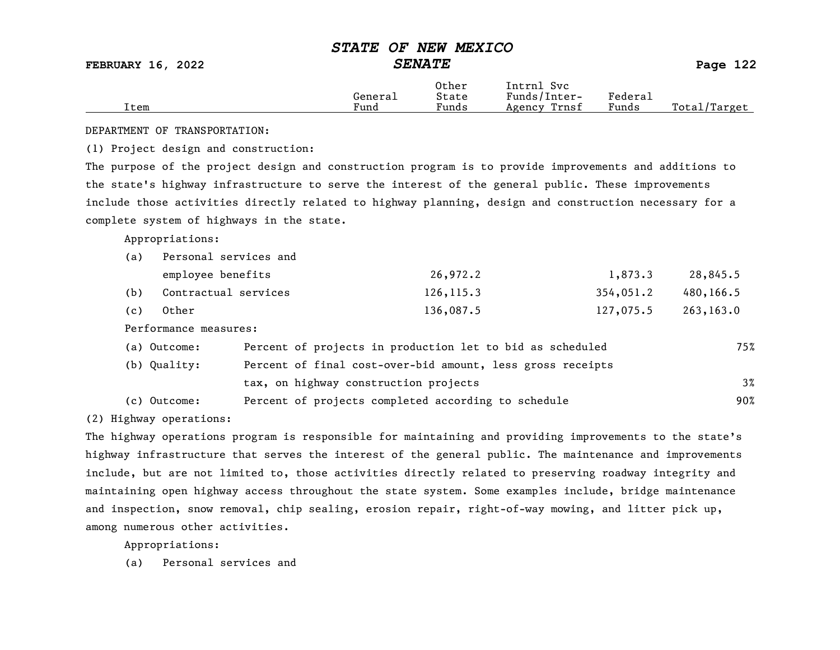FEBRUARY 16, 2022 SENATE Page 122

|      |         | Other | Intrnl<br>Svc   |         |                    |
|------|---------|-------|-----------------|---------|--------------------|
|      | General | State | Funds/Inter-    | Federau |                    |
| Item | Fund    | Funds | Trnsf<br>Agency | Funds   | Total/<br>'Target' |

DEPARTMENT OF TRANSPORTATION:

(1) Project design and construction:

The purpose of the project design and construction program is to provide improvements and additions to the state's highway infrastructure to serve the interest of the general public. These improvements include those activities directly related to highway planning, design and construction necessary for a complete system of highways in the state.

Appropriations:

| (a) | Personal services and |            |           |           |
|-----|-----------------------|------------|-----------|-----------|
|     | employee benefits     | 26,972.2   | 1,873.3   | 28,845.5  |
| (b) | Contractual services  | 126, 115.3 | 354,051.2 | 480,166.5 |
| (c) | Other                 | 136,087.5  | 127,075.5 | 263,163.0 |

Performance measures:

| (a) Outcome: | Percent of projects in production let to bid as scheduled  | 75%   |
|--------------|------------------------------------------------------------|-------|
| (b) Quality: | Percent of final cost-over-bid amount, less gross receipts |       |
|              | tax, on highway construction projects                      | $3\%$ |
| (c) Outcome: | Percent of projects completed according to schedule        | 90%   |

(2) Highway operations:

The highway operations program is responsible for maintaining and providing improvements to the state's highway infrastructure that serves the interest of the general public. The maintenance and improvements include, but are not limited to, those activities directly related to preserving roadway integrity and maintaining open highway access throughout the state system. Some examples include, bridge maintenance and inspection, snow removal, chip sealing, erosion repair, right-of-way mowing, and litter pick up, among numerous other activities.

Appropriations: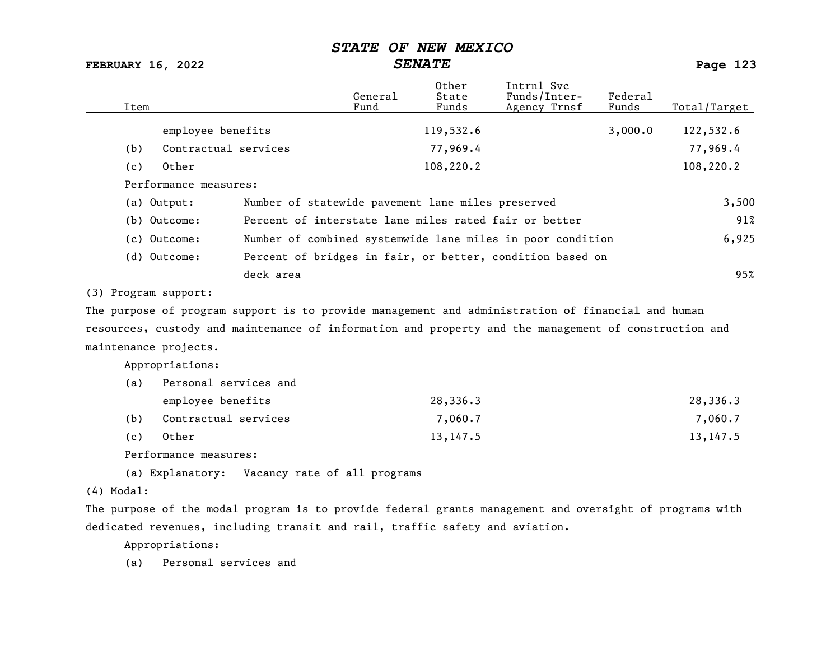FEBRUARY 16, 2022 SENATE SENATE

| Item                                                                                                    | General<br>Fund | 0ther<br>State<br>Funds | Intrnl Svc<br>Funds/Inter-<br>Agency Trnsf                 | Federal<br>Funds | Total/Target |
|---------------------------------------------------------------------------------------------------------|-----------------|-------------------------|------------------------------------------------------------|------------------|--------------|
| employee benefits                                                                                       |                 | 119,532.6               |                                                            | 3,000.0          | 122,532.6    |
| Contractual services<br>(b)                                                                             |                 | 77,969.4                |                                                            |                  | 77,969.4     |
| Other<br>(c)                                                                                            |                 | 108,220.2               |                                                            |                  | 108,220.2    |
| Performance measures:                                                                                   |                 |                         |                                                            |                  |              |
| (a) Output:<br>Number of statewide pavement lane miles preserved                                        |                 |                         |                                                            |                  | 3,500        |
| (b) Outcome:                                                                                            |                 |                         | Percent of interstate lane miles rated fair or better      |                  | 91%          |
| (c) Outcome:                                                                                            |                 |                         | Number of combined systemwide lane miles in poor condition |                  | 6,925        |
| (d) Outcome:                                                                                            |                 |                         | Percent of bridges in fair, or better, condition based on  |                  |              |
| deck area                                                                                               |                 |                         |                                                            |                  | 95%          |
| (3) Program support:                                                                                    |                 |                         |                                                            |                  |              |
| The purpose of program support is to provide management and administration of financial and human       |                 |                         |                                                            |                  |              |
| resources, custody and maintenance of information and property and the management of construction and   |                 |                         |                                                            |                  |              |
| maintenance projects.                                                                                   |                 |                         |                                                            |                  |              |
| Appropriations:                                                                                         |                 |                         |                                                            |                  |              |
| Personal services and<br>(a)                                                                            |                 |                         |                                                            |                  |              |
| employee benefits                                                                                       |                 | 28,336.3                |                                                            |                  | 28,336.3     |
| Contractual services<br>(b)                                                                             |                 | 7,060.7                 |                                                            |                  | 7,060.7      |
| Other<br>(c)                                                                                            |                 | 13, 147.5               |                                                            |                  | 13, 147.5    |
| Performance measures:                                                                                   |                 |                         |                                                            |                  |              |
| (a) Explanatory:<br>Vacancy rate of all programs                                                        |                 |                         |                                                            |                  |              |
| $(4)$ Modal:                                                                                            |                 |                         |                                                            |                  |              |
| The purpose of the modal program is to provide federal grants management and oversight of programs with |                 |                         |                                                            |                  |              |

dedicated revenues, including transit and rail, traffic safety and aviation.

Appropriations: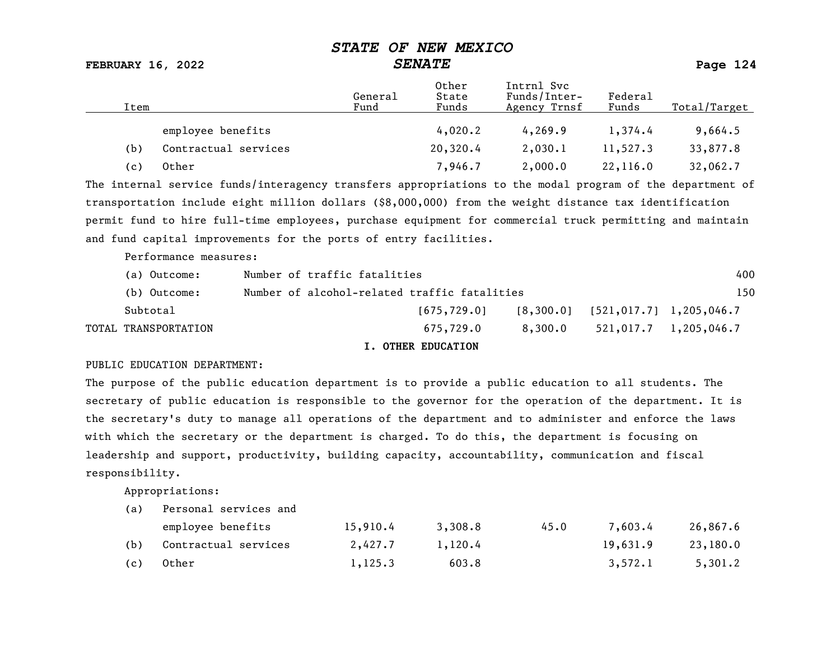FEBRUARY 16, 2022 SENATE Page 124

| Item |                      | General<br>Fund | Other<br>State<br>Funds | Intrnl Svc<br>Funds/Inter-<br>Agency Trnsf | Federal<br>Funds | Total/Target |
|------|----------------------|-----------------|-------------------------|--------------------------------------------|------------------|--------------|
|      | employee benefits    |                 | 4,020.2                 | 4,269.9                                    | 1,374.4          | 9,664.5      |
| (b)  | Contractual services |                 | 20,320.4                | 2,030.1                                    | 11,527.3         | 33,877.8     |
| (c)  | Other                |                 | 7,946.7                 | 2,000.0                                    | 22,116.0         | 32,062.7     |

The internal service funds/interagency transfers appropriations to the modal program of the department of transportation include eight million dollars (\$8,000,000) from the weight distance tax identification permit fund to hire full-time employees, purchase equipment for commercial truck permitting and maintain and fund capital improvements for the ports of entry facilities.

Performance measures:

| (a) Outcome:         | Number of traffic fatalities                 |               |         |                                       | 400                           |
|----------------------|----------------------------------------------|---------------|---------|---------------------------------------|-------------------------------|
| (b) Outcome:         | Number of alcohol-related traffic fatalities |               |         |                                       | 150                           |
| Subtotal             |                                              | [675, 729, 0] |         | $[8,300.0]$ $[521,017.7]$ 1,205,046.7 |                               |
| TOTAL TRANSPORTATION |                                              | 675.729.0     | 8,300.0 |                                       | $521,017.7 \quad 1,205,046.7$ |
|                      |                                              |               |         |                                       |                               |

#### I. OTHER EDUCATION

#### PUBLIC EDUCATION DEPARTMENT:

The purpose of the public education department is to provide a public education to all students. The secretary of public education is responsible to the governor for the operation of the department. It is the secretary's duty to manage all operations of the department and to administer and enforce the laws with which the secretary or the department is charged. To do this, the department is focusing on leadership and support, productivity, building capacity, accountability, communication and fiscal responsibility.

Appropriations:

|     | employee benefits        | 15,910.4 | 3,308.8 | 45.0 | 7.603.4  | 26,867.6 |
|-----|--------------------------|----------|---------|------|----------|----------|
|     | (b) Contractual services | 2,427.7  | 1,120.4 |      | 19,631.9 | 23,180.0 |
| (c) | Other                    | 1,125.3  | 603.8   |      | 3,572.1  | 5,301.2  |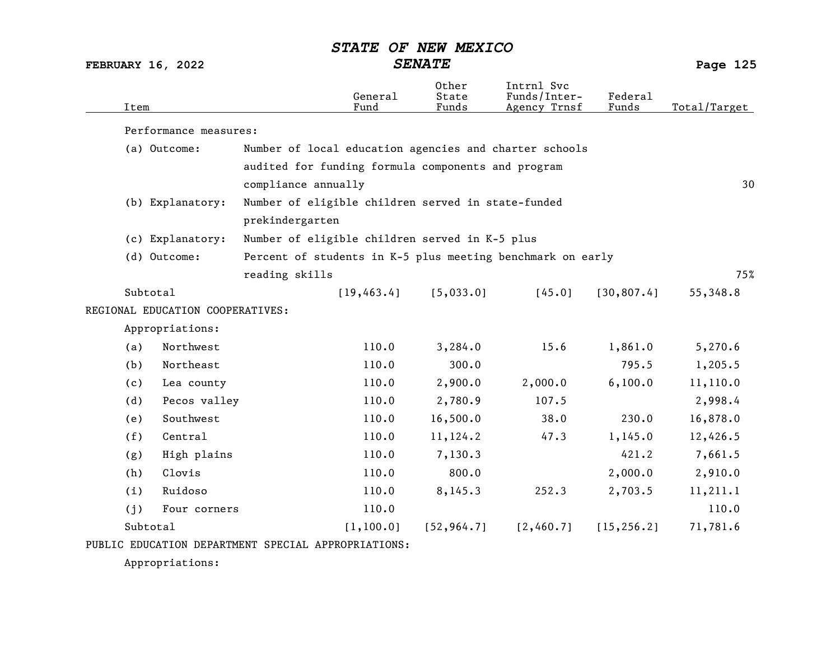FEBRUARY 16, 2022 SENATE Page 125

| Item     |                                  |                                                    | General<br>Fund | 0ther<br>State<br>Funds | Intrnl Svc<br>Funds/Inter-<br>Agency Trnsf                 | Federal<br>Funds | Total/Target |
|----------|----------------------------------|----------------------------------------------------|-----------------|-------------------------|------------------------------------------------------------|------------------|--------------|
|          | Performance measures:            |                                                    |                 |                         |                                                            |                  |              |
|          | (a) Outcome:                     |                                                    |                 |                         | Number of local education agencies and charter schools     |                  |              |
|          |                                  | audited for funding formula components and program |                 |                         |                                                            |                  |              |
|          |                                  | compliance annually                                |                 |                         |                                                            |                  | 30           |
|          | (b) Explanatory:                 | Number of eligible children served in state-funded |                 |                         |                                                            |                  |              |
|          |                                  | prekindergarten                                    |                 |                         |                                                            |                  |              |
|          | (c) Explanatory:                 | Number of eligible children served in K-5 plus     |                 |                         |                                                            |                  |              |
|          | (d) Outcome:                     |                                                    |                 |                         | Percent of students in K-5 plus meeting benchmark on early |                  |              |
|          |                                  | reading skills                                     |                 |                         |                                                            |                  | 75%          |
| Subtotal |                                  |                                                    | [19, 463.4]     | [5,033.0]               | [45.0]                                                     | [30, 807.4]      | 55,348.8     |
|          | REGIONAL EDUCATION COOPERATIVES: |                                                    |                 |                         |                                                            |                  |              |
|          | Appropriations:                  |                                                    |                 |                         |                                                            |                  |              |
| (a)      | Northwest                        |                                                    | 110.0           | 3,284.0                 | 15.6                                                       | 1,861.0          | 5,270.6      |
| (b)      | Northeast                        |                                                    | 110.0           | 300.0                   |                                                            | 795.5            | 1,205.5      |
| (c)      | Lea county                       |                                                    | 110.0           | 2,900.0                 | 2,000.0                                                    | 6,100.0          | 11,110.0     |
| (d)      | Pecos valley                     |                                                    | 110.0           | 2,780.9                 | 107.5                                                      |                  | 2,998.4      |
| (e)      | Southwest                        |                                                    | 110.0           | 16,500.0                | 38.0                                                       | 230.0            | 16,878.0     |
| (f)      | Central                          |                                                    | 110.0           | 11,124.2                | 47.3                                                       | 1,145.0          | 12,426.5     |
| (g)      | High plains                      |                                                    | 110.0           | 7,130.3                 |                                                            | 421.2            | 7,661.5      |
| (h)      | Clovis                           |                                                    | 110.0           | 800.0                   |                                                            | 2,000.0          | 2,910.0      |
| (i)      | Ruidoso                          |                                                    | 110.0           | 8,145.3                 | 252.3                                                      | 2,703.5          | 11, 211.1    |
| (j)      | Four corners                     |                                                    | 110.0           |                         |                                                            |                  | 110.0        |
| Subtotal |                                  |                                                    | [1, 100.0]      | [52, 964.7]             | [2,460.7]                                                  | [15, 256.2]      | 71,781.6     |
|          |                                  |                                                    |                 |                         |                                                            |                  |              |

PUBLIC EDUCATION DEPARTMENT SPECIAL APPROPRIATIONS:

Appropriations: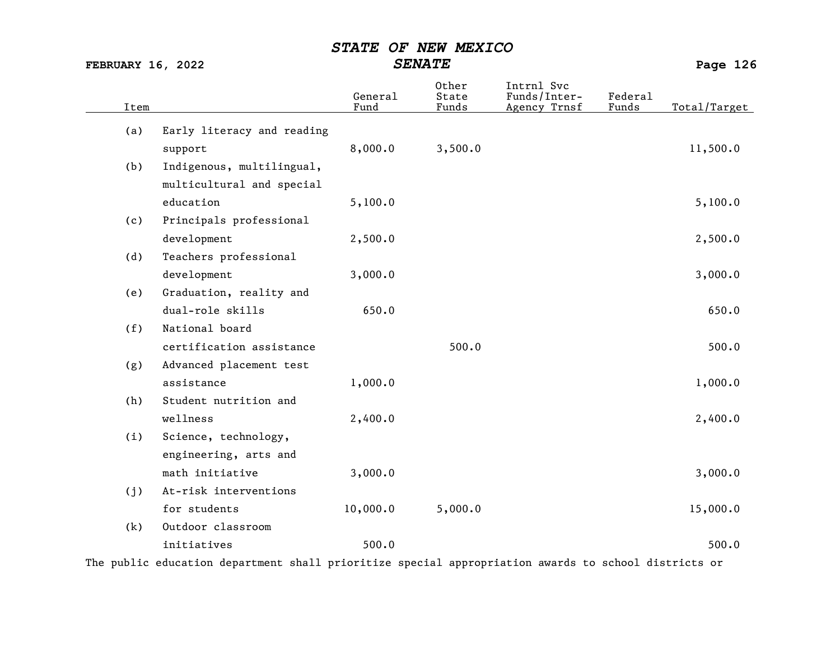FEBRUARY 16, 2022 SENATE Page 126

| Item |                            | General<br>Fund | Other<br>State<br>Funds | Intrnl Svc<br>Funds/Inter-<br>Agency Trnsf | Federal<br>Funds | Total/Target |
|------|----------------------------|-----------------|-------------------------|--------------------------------------------|------------------|--------------|
| (a)  | Early literacy and reading |                 |                         |                                            |                  |              |
|      | support                    | 8,000.0         | 3,500.0                 |                                            |                  | 11,500.0     |
| (b)  | Indigenous, multilingual,  |                 |                         |                                            |                  |              |
|      | multicultural and special  |                 |                         |                                            |                  |              |
|      | education                  | 5,100.0         |                         |                                            |                  | 5,100.0      |
| (c)  | Principals professional    |                 |                         |                                            |                  |              |
|      | development                | 2,500.0         |                         |                                            |                  | 2,500.0      |
| (d)  | Teachers professional      |                 |                         |                                            |                  |              |
|      | development                | 3,000.0         |                         |                                            |                  | 3,000.0      |
| (e)  | Graduation, reality and    |                 |                         |                                            |                  |              |
|      | dual-role skills           | 650.0           |                         |                                            |                  | 650.0        |
| (f)  | National board             |                 |                         |                                            |                  |              |
|      | certification assistance   |                 | 500.0                   |                                            |                  | 500.0        |
| (g)  | Advanced placement test    |                 |                         |                                            |                  |              |
|      | assistance                 | 1,000.0         |                         |                                            |                  | 1,000.0      |
| (h)  | Student nutrition and      |                 |                         |                                            |                  |              |
|      | wellness                   | 2,400.0         |                         |                                            |                  | 2,400.0      |
| (i)  | Science, technology,       |                 |                         |                                            |                  |              |
|      | engineering, arts and      |                 |                         |                                            |                  |              |
|      | math initiative            | 3,000.0         |                         |                                            |                  | 3,000.0      |
| (j)  | At-risk interventions      |                 |                         |                                            |                  |              |
|      | for students               | 10,000.0        | 5,000.0                 |                                            |                  | 15,000.0     |
| (k)  | Outdoor classroom          |                 |                         |                                            |                  |              |
|      | initiatives                | 500.0           |                         |                                            |                  | 500.0        |

The public education department shall prioritize special appropriation awards to school districts or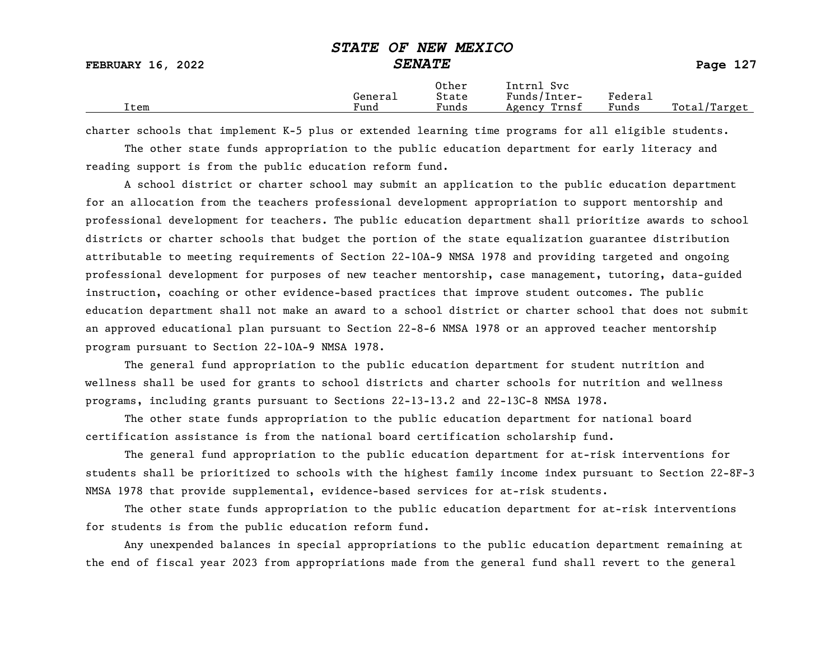| <b>FEBRUARY 16, 2022</b> | <u>Uisil VI Nin Muhit</u> uv | <i><b>SENATE</b></i>    |                                            |                  | Page 127     |
|--------------------------|------------------------------|-------------------------|--------------------------------------------|------------------|--------------|
| Item                     | General<br>Fund              | Other<br>State<br>Funds | Intrnl Svc<br>Funds/Inter-<br>Agency Trnsf | Federal<br>Funds | Total/Target |

charter schools that implement K-5 plus or extended learning time programs for all eligible students.

The other state funds appropriation to the public education department for early literacy and reading support is from the public education reform fund.

A school district or charter school may submit an application to the public education department for an allocation from the teachers professional development appropriation to support mentorship and professional development for teachers. The public education department shall prioritize awards to school districts or charter schools that budget the portion of the state equalization guarantee distribution attributable to meeting requirements of Section 22-10A-9 NMSA 1978 and providing targeted and ongoing professional development for purposes of new teacher mentorship, case management, tutoring, data-guided instruction, coaching or other evidence-based practices that improve student outcomes. The public education department shall not make an award to a school district or charter school that does not submit an approved educational plan pursuant to Section 22-8-6 NMSA 1978 or an approved teacher mentorship program pursuant to Section 22-10A-9 NMSA 1978.

The general fund appropriation to the public education department for student nutrition and wellness shall be used for grants to school districts and charter schools for nutrition and wellness programs, including grants pursuant to Sections 22-13-13.2 and 22-13C-8 NMSA 1978.

The other state funds appropriation to the public education department for national board certification assistance is from the national board certification scholarship fund.

The general fund appropriation to the public education department for at-risk interventions for students shall be prioritized to schools with the highest family income index pursuant to Section 22-8F-3 NMSA 1978 that provide supplemental, evidence-based services for at-risk students.

The other state funds appropriation to the public education department for at-risk interventions for students is from the public education reform fund.

Any unexpended balances in special appropriations to the public education department remaining at the end of fiscal year 2023 from appropriations made from the general fund shall revert to the general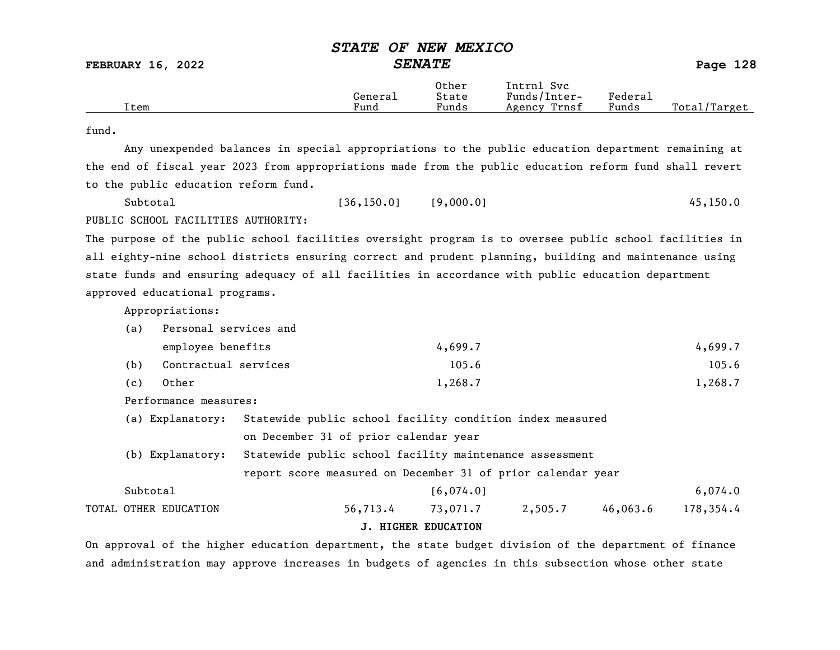|      |         | Other | Intrnl<br>Svc   |                            |                   |
|------|---------|-------|-----------------|----------------------------|-------------------|
|      | General | State | Funds/Inter-    | ${}_{\rm{}Federa_{\perp}}$ |                   |
| Item | Fund    | Funds | Trnsf<br>Agency | Funds                      | Total,<br>/Target |

#### fund.

Any unexpended balances in special appropriations to the public education department remaining at the end of fiscal year 2023 from appropriations made from the public education reform fund shall revert to the public education reform fund.

| Subtotal                            | [36, 150.0] | [9,000.0] | 45, 150.0 |
|-------------------------------------|-------------|-----------|-----------|
| PUBLIC SCHOOL FACILITIES AUTHORITY: |             |           |           |

The purpose of the public school facilities oversight program is to oversee public school facilities in all eighty-nine school districts ensuring correct and prudent planning, building and maintenance using state funds and ensuring adequacy of all facilities in accordance with public education department approved educational programs.

Appropriations:

| (a) Personal services and |
|---------------------------|
|---------------------------|

|     | employee benefits    | 4,699.7 | 4,699.7 |
|-----|----------------------|---------|---------|
| (b) | Contractual services | 105.6   | 105.6   |
| (c) | Other                | 1,268.7 | 1,268.7 |

Performance measures:

- (a) Explanatory: Statewide public school facility condition index measured on December 31 of prior calendar year
- (b) Explanatory: Statewide public school facility maintenance assessment report score measured on December 31 of prior calendar year
- Subtotal 6,074.0 TOTAL OTHER EDUCATION 56,713.4 73,071.7 2,505.7 46,063.6 178,354.4

#### J. HIGHER EDUCATION

On approval of the higher education department, the state budget division of the department of finance and administration may approve increases in budgets of agencies in this subsection whose other state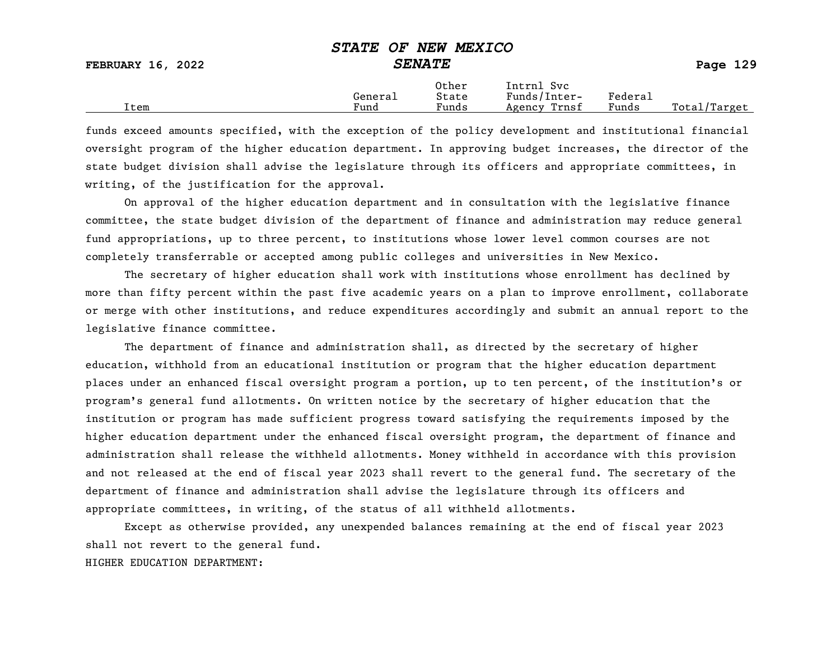|                          | --------- | ---------------      |                            |         |              |
|--------------------------|-----------|----------------------|----------------------------|---------|--------------|
| <b>FEBRUARY 16, 2022</b> |           | <i><b>SENATE</b></i> |                            |         | Page 129     |
|                          | General   | Other<br>State       | Intrnl Svc<br>Funds/Inter- | Federal |              |
| Item                     | Fund      | Funds                | Agency Trnsf               | Funds   | Total/Target |

funds exceed amounts specified, with the exception of the policy development and institutional financial oversight program of the higher education department. In approving budget increases, the director of the state budget division shall advise the legislature through its officers and appropriate committees, in writing, of the justification for the approval.

On approval of the higher education department and in consultation with the legislative finance committee, the state budget division of the department of finance and administration may reduce general fund appropriations, up to three percent, to institutions whose lower level common courses are not completely transferrable or accepted among public colleges and universities in New Mexico.

The secretary of higher education shall work with institutions whose enrollment has declined by more than fifty percent within the past five academic years on a plan to improve enrollment, collaborate or merge with other institutions, and reduce expenditures accordingly and submit an annual report to the legislative finance committee.

The department of finance and administration shall, as directed by the secretary of higher education, withhold from an educational institution or program that the higher education department places under an enhanced fiscal oversight program a portion, up to ten percent, of the institution's or program's general fund allotments. On written notice by the secretary of higher education that the institution or program has made sufficient progress toward satisfying the requirements imposed by the higher education department under the enhanced fiscal oversight program, the department of finance and administration shall release the withheld allotments. Money withheld in accordance with this provision and not released at the end of fiscal year 2023 shall revert to the general fund. The secretary of the department of finance and administration shall advise the legislature through its officers and appropriate committees, in writing, of the status of all withheld allotments.

Except as otherwise provided, any unexpended balances remaining at the end of fiscal year 2023 shall not revert to the general fund.

#### HIGHER EDUCATION DEPARTMENT: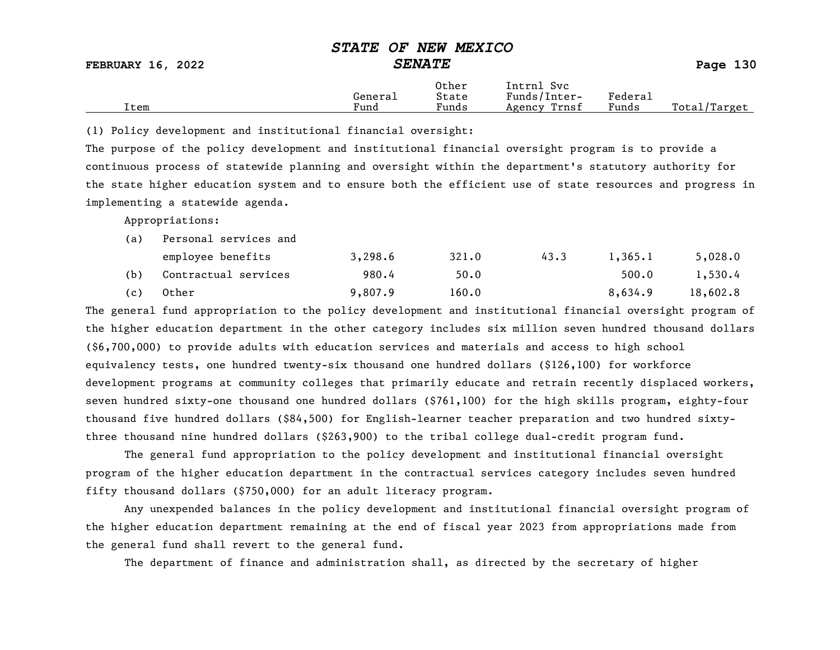|      | General | Other<br>State | Intrnl<br>Svc<br>Funds/Inter- | Federal |                                |
|------|---------|----------------|-------------------------------|---------|--------------------------------|
| Item | Fund    | Funds          | Trnsf<br>Agency               | Funds   | Total <sub>l</sub><br>'/Target |

(1) Policy development and institutional financial oversight:

The purpose of the policy development and institutional financial oversight program is to provide a continuous process of statewide planning and oversight within the department's statutory authority for the state higher education system and to ensure both the efficient use of state resources and progress in implementing a statewide agenda.

Appropriations:

| (a) | Personal services and |         |       |      |         |          |  |  |  |  |
|-----|-----------------------|---------|-------|------|---------|----------|--|--|--|--|
|     | employee benefits     | 3,298.6 | 321.0 | 43.3 | 1,365.1 | 5,028.0  |  |  |  |  |
| (b) | Contractual services  | 980.4   | 50.0  |      | 500.0   | 1,530.4  |  |  |  |  |
| (c) | Other                 | 9,807.9 | 160.0 |      | 8,634.9 | 18,602.8 |  |  |  |  |

The general fund appropriation to the policy development and institutional financial oversight program of the higher education department in the other category includes six million seven hundred thousand dollars (\$6,700,000) to provide adults with education services and materials and access to high school equivalency tests, one hundred twenty-six thousand one hundred dollars (\$126,100) for workforce development programs at community colleges that primarily educate and retrain recently displaced workers, seven hundred sixty-one thousand one hundred dollars (\$761,100) for the high skills program, eighty-four thousand five hundred dollars (\$84,500) for English-learner teacher preparation and two hundred sixtythree thousand nine hundred dollars (\$263,900) to the tribal college dual-credit program fund.

The general fund appropriation to the policy development and institutional financial oversight program of the higher education department in the contractual services category includes seven hundred fifty thousand dollars (\$750,000) for an adult literacy program.

Any unexpended balances in the policy development and institutional financial oversight program of the higher education department remaining at the end of fiscal year 2023 from appropriations made from the general fund shall revert to the general fund.

The department of finance and administration shall, as directed by the secretary of higher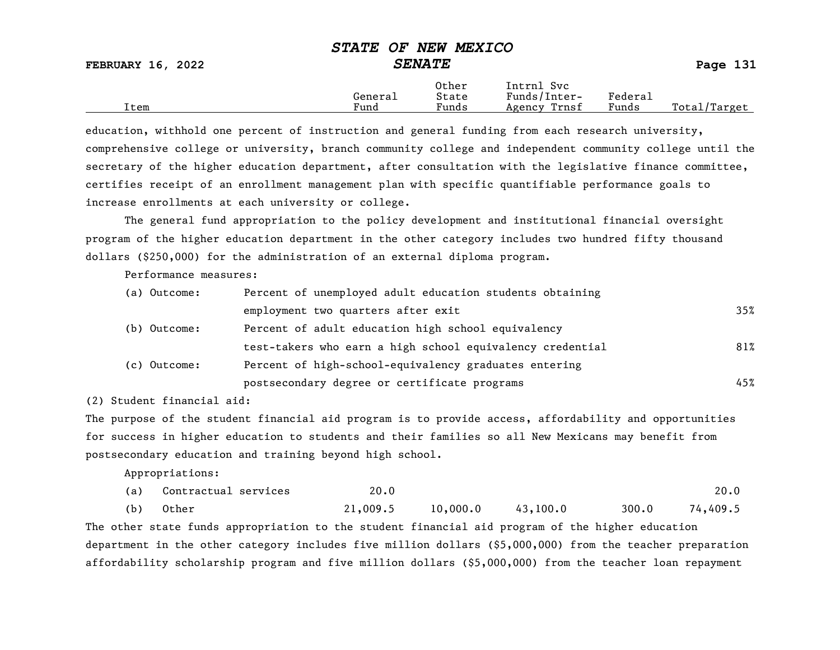| <b>FEBRUARY 16, 2022</b> | DIAID OF NEW PEAICO | <b>SENATE</b>  |                            |         | Page 131     |
|--------------------------|---------------------|----------------|----------------------------|---------|--------------|
|                          | General             | Other<br>State | Intrnl Svc<br>Funds/Inter- | Federal |              |
| Item                     | Fund                | Funds          | Agency Trnsf               | Funds   | Total/Target |

education, withhold one percent of instruction and general funding from each research university, comprehensive college or university, branch community college and independent community college until the secretary of the higher education department, after consultation with the legislative finance committee, certifies receipt of an enrollment management plan with specific quantifiable performance goals to increase enrollments at each university or college.

The general fund appropriation to the policy development and institutional financial oversight program of the higher education department in the other category includes two hundred fifty thousand dollars (\$250,000) for the administration of an external diploma program.

Performance measures:

| (a) Outcome: | Percent of unemployed adult education students obtaining  |     |
|--------------|-----------------------------------------------------------|-----|
|              | employment two quarters after exit                        | 35% |
| (b) Outcome: | Percent of adult education high school equivalency        |     |
|              | test-takers who earn a high school equivalency credential | 81% |
| (c) Outcome: | Percent of high-school-equivalency graduates entering     |     |
|              | postsecondary degree or certificate programs              | 45% |

(2) Student financial aid:

The purpose of the student financial aid program is to provide access, affordability and opportunities for success in higher education to students and their families so all New Mexicans may benefit from postsecondary education and training beyond high school.

Appropriations:

|     | (a) Contractual services | 20.0     |          |          |       | 20.0     |
|-----|--------------------------|----------|----------|----------|-------|----------|
| (b) | Other                    | 21,009.5 | 10,000.0 | 43,100.0 | 300.0 | 74,409.5 |

The other state funds appropriation to the student financial aid program of the higher education department in the other category includes five million dollars (\$5,000,000) from the teacher preparation affordability scholarship program and five million dollars (\$5,000,000) from the teacher loan repayment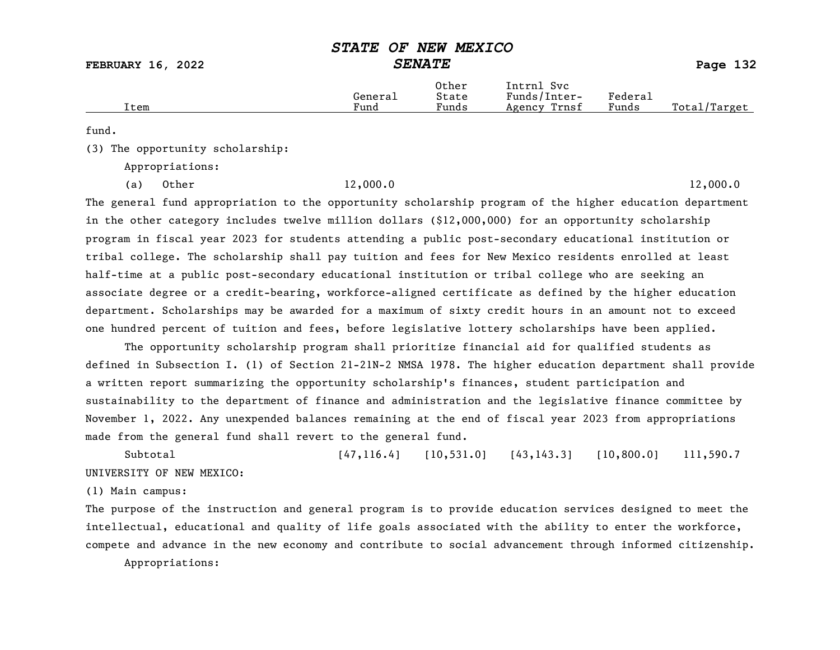FEBRUARY 16, 2022 SENATE Page 132

|      | Generai | Other<br>State | Intrnl<br>Svc<br>Funds/Inter- | Federa⊥ |                    |
|------|---------|----------------|-------------------------------|---------|--------------------|
| Item | Funa    | Funds          | Trnsf<br>Agency               | Funds   | Total,<br>'/Target |

fund.

(3) The opportunity scholarship:

Appropriations:

(a) Other 12,000.0 12,000.0

The general fund appropriation to the opportunity scholarship program of the higher education department in the other category includes twelve million dollars (\$12,000,000) for an opportunity scholarship program in fiscal year 2023 for students attending a public post-secondary educational institution or tribal college. The scholarship shall pay tuition and fees for New Mexico residents enrolled at least half-time at a public post-secondary educational institution or tribal college who are seeking an associate degree or a credit-bearing, workforce-aligned certificate as defined by the higher education department. Scholarships may be awarded for a maximum of sixty credit hours in an amount not to exceed one hundred percent of tuition and fees, before legislative lottery scholarships have been applied.

The opportunity scholarship program shall prioritize financial aid for qualified students as defined in Subsection I. (1) of Section 21-21N-2 NMSA 1978. The higher education department shall provide a written report summarizing the opportunity scholarship's finances, student participation and sustainability to the department of finance and administration and the legislative finance committee by November 1, 2022. Any unexpended balances remaining at the end of fiscal year 2023 from appropriations made from the general fund shall revert to the general fund.

Subtotal [47,116.4] [10,531.0] [43,143.3] [10,800.0] 111,590.7 UNIVERSITY OF NEW MEXICO:

(1) Main campus:

The purpose of the instruction and general program is to provide education services designed to meet the intellectual, educational and quality of life goals associated with the ability to enter the workforce, compete and advance in the new economy and contribute to social advancement through informed citizenship.

Appropriations: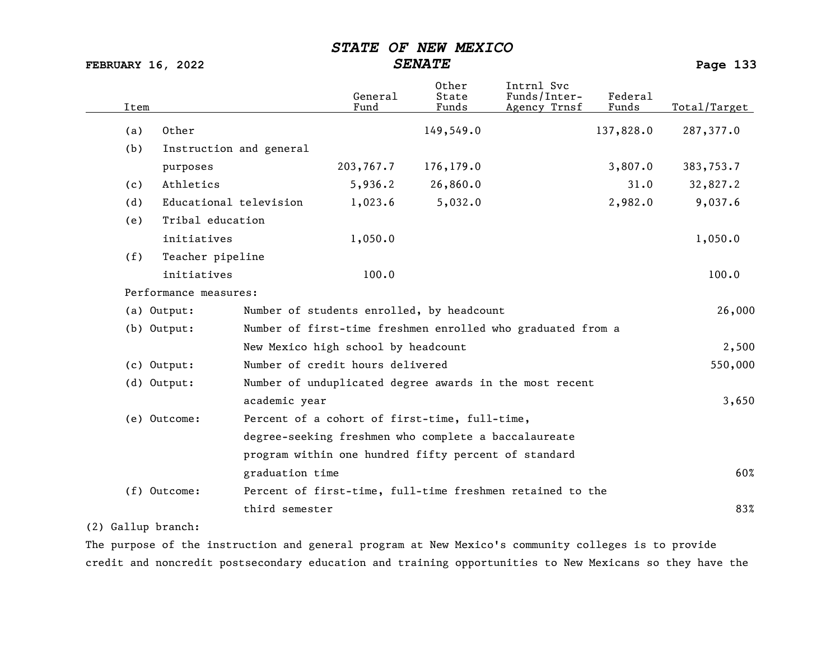FEBRUARY 16, 2022 SENATE Page 133

| Item          |                        |                         | General<br>Fund                     | Other<br>State<br>Funds                              | Intrnl Svc<br>Funds/Inter-<br>Agency Trnsf                  | Federal<br>Funds | Total/Target |
|---------------|------------------------|-------------------------|-------------------------------------|------------------------------------------------------|-------------------------------------------------------------|------------------|--------------|
| (a)           | Other                  |                         |                                     | 149,549.0                                            |                                                             | 137,828.0        | 287,377.0    |
| (b)           |                        | Instruction and general |                                     |                                                      |                                                             |                  |              |
|               | purposes               |                         | 203,767.7                           | 176,179.0                                            |                                                             | 3,807.0          | 383,753.7    |
| (c)           | Athletics              |                         | 5,936.2                             | 26,860.0                                             |                                                             | 31.0             | 32,827.2     |
| (d)           | Educational television |                         | 1,023.6                             | 5,032.0                                              |                                                             | 2,982.0          | 9,037.6      |
| (e)           | Tribal education       |                         |                                     |                                                      |                                                             |                  |              |
|               | initiatives            |                         | 1,050.0                             |                                                      |                                                             |                  | 1,050.0      |
| (f)           | Teacher pipeline       |                         |                                     |                                                      |                                                             |                  |              |
|               | initiatives            |                         | 100.0                               |                                                      |                                                             |                  | 100.0        |
|               | Performance measures:  |                         |                                     |                                                      |                                                             |                  |              |
| (a) Output:   |                        |                         |                                     | Number of students enrolled, by headcount            |                                                             |                  | 26,000       |
| $(b)$ Output: |                        |                         |                                     |                                                      | Number of first-time freshmen enrolled who graduated from a |                  |              |
|               |                        |                         | New Mexico high school by headcount |                                                      |                                                             |                  | 2,500        |
| (c) Output:   |                        |                         | Number of credit hours delivered    |                                                      |                                                             |                  | 550,000      |
| (d) Output:   |                        |                         |                                     |                                                      | Number of unduplicated degree awards in the most recent     |                  |              |
|               |                        | academic year           |                                     |                                                      |                                                             |                  | 3,650        |
| (e) Outcome:  |                        |                         |                                     | Percent of a cohort of first-time, full-time,        |                                                             |                  |              |
|               |                        |                         |                                     | degree-seeking freshmen who complete a baccalaureate |                                                             |                  |              |
|               |                        |                         |                                     | program within one hundred fifty percent of standard |                                                             |                  |              |
|               |                        | graduation time         |                                     |                                                      |                                                             |                  | 60%          |
| (f) Outcome:  |                        |                         |                                     |                                                      | Percent of first-time, full-time freshmen retained to the   |                  |              |
|               |                        | third semester          |                                     |                                                      |                                                             |                  | 83%          |

### (2) Gallup branch:

The purpose of the instruction and general program at New Mexico's community colleges is to provide credit and noncredit postsecondary education and training opportunities to New Mexicans so they have the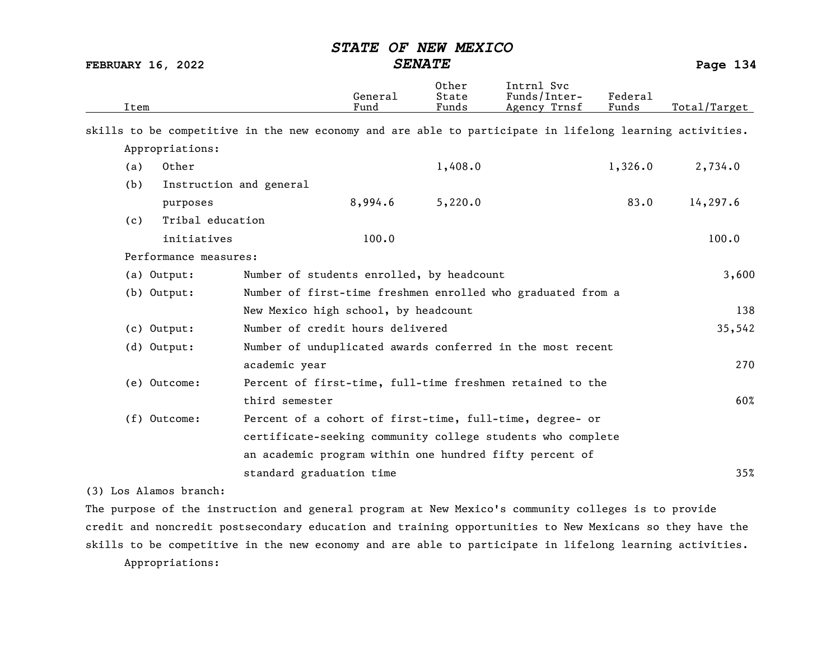FEBRUARY 16, 2022 SENATE Page 134

| Item |                         |                                                                                                          | General<br>Fund | 0ther<br>State<br>Funds | Intrnl Svc<br>Funds/Inter-<br>Agency Trnsf | Federal<br>Funds | Total/Target |
|------|-------------------------|----------------------------------------------------------------------------------------------------------|-----------------|-------------------------|--------------------------------------------|------------------|--------------|
|      |                         | skills to be competitive in the new economy and are able to participate in lifelong learning activities. |                 |                         |                                            |                  |              |
|      | Appropriations:         |                                                                                                          |                 |                         |                                            |                  |              |
| (a)  | Other                   |                                                                                                          |                 | 1,408.0                 |                                            | 1,326.0          | 2,734.0      |
| (b)  | Instruction and general |                                                                                                          |                 |                         |                                            |                  |              |
|      | purposes                |                                                                                                          | 8,994.6         | 5,220.0                 |                                            | 83.0             | 14,297.6     |
| (c)  | Tribal education        |                                                                                                          |                 |                         |                                            |                  |              |
|      | initiatives             |                                                                                                          | 100.0           |                         |                                            |                  | 100.0        |
|      | Performance measures:   |                                                                                                          |                 |                         |                                            |                  |              |
|      | (a) Output:             | Number of students enrolled, by headcount                                                                |                 |                         |                                            |                  | 3,600        |
|      | (b) Output:             | Number of first-time freshmen enrolled who graduated from a                                              |                 |                         |                                            |                  |              |
|      |                         | New Mexico high school, by headcount                                                                     |                 |                         |                                            |                  | 138          |
|      | (c) Output:             | Number of credit hours delivered                                                                         |                 |                         |                                            |                  | 35,542       |
|      | $(d)$ Output:           | Number of unduplicated awards conferred in the most recent                                               |                 |                         |                                            |                  |              |
|      |                         | academic year                                                                                            |                 |                         |                                            |                  | 270          |
|      | (e) Outcome:            | Percent of first-time, full-time freshmen retained to the                                                |                 |                         |                                            |                  |              |
|      |                         | third semester                                                                                           |                 |                         |                                            |                  | 60%          |
|      | (f) Outcome:            | Percent of a cohort of first-time, full-time, degree- or                                                 |                 |                         |                                            |                  |              |
|      |                         | certificate-seeking community college students who complete                                              |                 |                         |                                            |                  |              |
|      |                         | an academic program within one hundred fifty percent of                                                  |                 |                         |                                            |                  |              |
|      |                         | standard graduation time                                                                                 |                 |                         |                                            |                  | 35%          |

(3) Los Alamos branch:

The purpose of the instruction and general program at New Mexico's community colleges is to provide credit and noncredit postsecondary education and training opportunities to New Mexicans so they have the skills to be competitive in the new economy and are able to participate in lifelong learning activities. Appropriations: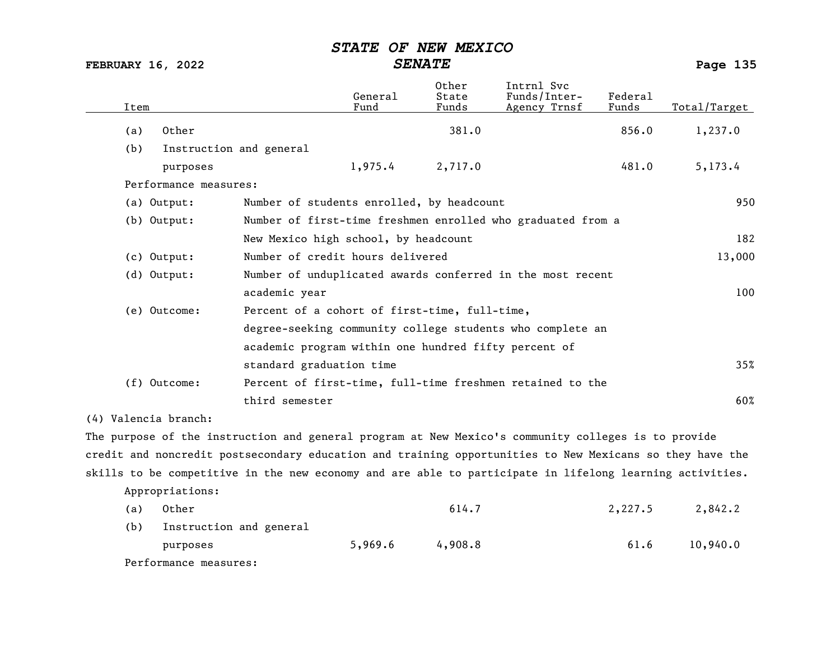FEBRUARY 16, 2022 SENATE Page 135

| Item |                         |                                                      | General<br>Fund | Other<br>State<br>Funds | Intrnl Svc<br>Funds/Inter-<br>Agency Trnsf                  | Federal<br>Funds | Total/Target |
|------|-------------------------|------------------------------------------------------|-----------------|-------------------------|-------------------------------------------------------------|------------------|--------------|
| (a)  | Other                   |                                                      |                 | 381.0                   |                                                             | 856.0            | 1,237.0      |
| (b)  | Instruction and general |                                                      |                 |                         |                                                             |                  |              |
|      | purposes                |                                                      | 1,975.4         | 2,717.0                 |                                                             | 481.0            | 5,173.4      |
|      | Performance measures:   |                                                      |                 |                         |                                                             |                  |              |
|      | (a) Output:             | Number of students enrolled, by headcount            |                 |                         |                                                             |                  | 950          |
|      | (b) Output:             |                                                      |                 |                         | Number of first-time freshmen enrolled who graduated from a |                  |              |
|      |                         | New Mexico high school, by headcount                 |                 |                         |                                                             |                  | 182          |
|      | (c) Output:             | Number of credit hours delivered                     |                 |                         |                                                             |                  | 13,000       |
|      | (d) Output:             |                                                      |                 |                         | Number of unduplicated awards conferred in the most recent  |                  |              |
|      |                         | academic year                                        |                 |                         |                                                             |                  | 100          |
|      | (e) Outcome:            | Percent of a cohort of first-time, full-time,        |                 |                         |                                                             |                  |              |
|      |                         |                                                      |                 |                         | degree-seeking community college students who complete an   |                  |              |
|      |                         | academic program within one hundred fifty percent of |                 |                         |                                                             |                  |              |
|      |                         | standard graduation time                             |                 |                         |                                                             |                  | 35%          |
|      | $(f)$ Outcome:          |                                                      |                 |                         | Percent of first-time, full-time freshmen retained to the   |                  |              |
|      |                         | third semester                                       |                 |                         |                                                             |                  | 60%          |
|      |                         |                                                      |                 |                         |                                                             |                  |              |

(4) Valencia branch:

The purpose of the instruction and general program at New Mexico's community colleges is to provide credit and noncredit postsecondary education and training opportunities to New Mexicans so they have the skills to be competitive in the new economy and are able to participate in lifelong learning activities.

Appropriations:

| (a) | Other                   |         | 614.7   | 2,227.5 | 2,842.2  |
|-----|-------------------------|---------|---------|---------|----------|
| (b) | Instruction and general |         |         |         |          |
|     | purposes                | 5,969.6 | 4,908.8 | 61.6    | 10,940.0 |
|     | Performance measures:   |         |         |         |          |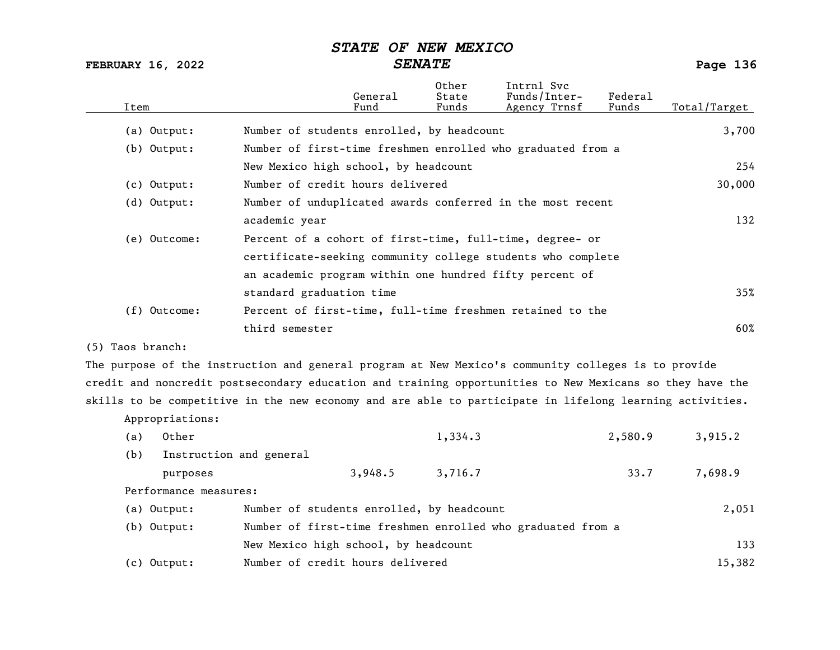FEBRUARY 16, 2022 SENATE Page 136

| Item           |                                           | General<br>Fund | Other<br>State<br>Funds | Intrnl Svc<br>Funds/Inter-<br>Agency Trnsf                  | Federal<br>Funds | Total/Target |
|----------------|-------------------------------------------|-----------------|-------------------------|-------------------------------------------------------------|------------------|--------------|
| (a) Output:    | Number of students enrolled, by headcount |                 |                         |                                                             |                  | 3,700        |
| $(b)$ Output:  |                                           |                 |                         | Number of first-time freshmen enrolled who graduated from a |                  |              |
|                | New Mexico high school, by headcount      |                 |                         |                                                             |                  | 254          |
| (c) Output:    | Number of credit hours delivered          |                 |                         |                                                             |                  | 30,000       |
| (d) Output:    |                                           |                 |                         | Number of unduplicated awards conferred in the most recent  |                  |              |
|                | academic year                             |                 |                         |                                                             |                  | 132          |
| (e) Outcome:   |                                           |                 |                         | Percent of a cohort of first-time, full-time, degree- or    |                  |              |
|                |                                           |                 |                         | certificate-seeking community college students who complete |                  |              |
|                |                                           |                 |                         | an academic program within one hundred fifty percent of     |                  |              |
|                | standard graduation time                  |                 |                         |                                                             |                  | 35%          |
| $(f)$ Outcome: |                                           |                 |                         | Percent of first-time, full-time freshmen retained to the   |                  |              |
|                | third semester                            |                 |                         |                                                             |                  | 60%          |
|                |                                           |                 |                         |                                                             |                  |              |

(5) Taos branch:

Appropriations:

The purpose of the instruction and general program at New Mexico's community colleges is to provide credit and noncredit postsecondary education and training opportunities to New Mexicans so they have the skills to be competitive in the new economy and are able to participate in lifelong learning activities.

| Other<br>(a)          |                                                             | 1,334.3 | 2,580.9 | 3,915.2 |
|-----------------------|-------------------------------------------------------------|---------|---------|---------|
| (b)                   | Instruction and general                                     |         |         |         |
| purposes              | 3,948.5                                                     | 3,716.7 | 33.7    | 7,698.9 |
| Performance measures: |                                                             |         |         |         |
| (a) Output:           | Number of students enrolled, by headcount                   |         |         | 2,051   |
| (b) Output:           | Number of first-time freshmen enrolled who graduated from a |         |         |         |
|                       | New Mexico high school, by headcount                        |         |         | 133     |
| $(c)$ Output:         | Number of credit hours delivered                            |         |         | 15,382  |
|                       |                                                             |         |         |         |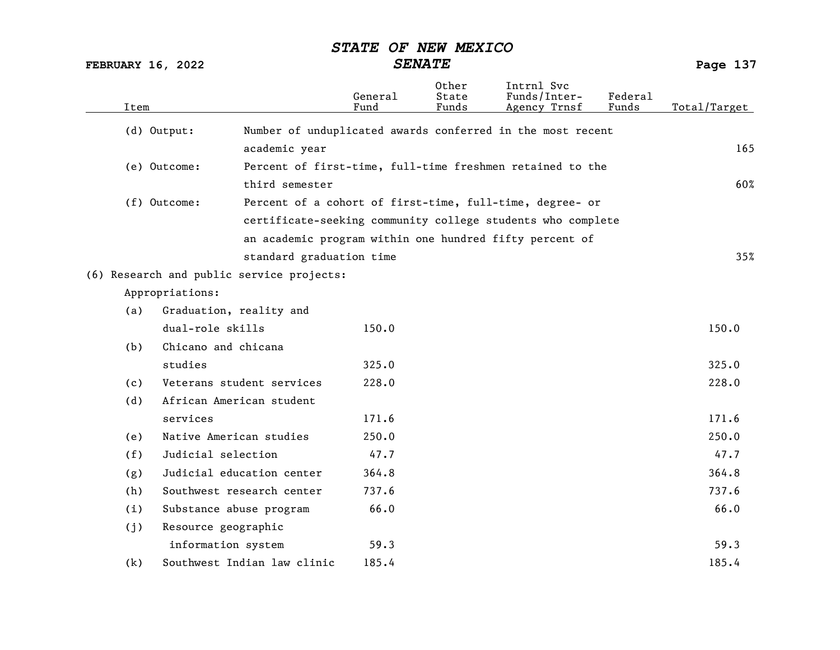FEBRUARY 16, 2022 SENATE Page 137

| Item |                                           |                          | General<br>Fund | 0ther<br>State<br>Funds | Intrnl Svc<br>Funds/Inter-<br>Agency Trnsf                  | Federal<br>Funds | Total/Target |
|------|-------------------------------------------|--------------------------|-----------------|-------------------------|-------------------------------------------------------------|------------------|--------------|
|      | (d) Output:                               |                          |                 |                         | Number of unduplicated awards conferred in the most recent  |                  |              |
|      |                                           | academic year            |                 |                         |                                                             |                  | 165          |
|      | (e) Outcome:                              |                          |                 |                         | Percent of first-time, full-time freshmen retained to the   |                  |              |
|      |                                           | third semester           |                 |                         |                                                             |                  | 60%          |
|      | (f) Outcome:                              |                          |                 |                         | Percent of a cohort of first-time, full-time, degree- or    |                  |              |
|      |                                           |                          |                 |                         | certificate-seeking community college students who complete |                  |              |
|      |                                           |                          |                 |                         | an academic program within one hundred fifty percent of     |                  |              |
|      |                                           | standard graduation time |                 |                         |                                                             |                  | 35%          |
|      | (6) Research and public service projects: |                          |                 |                         |                                                             |                  |              |
|      | Appropriations:                           |                          |                 |                         |                                                             |                  |              |
| (a)  | Graduation, reality and                   |                          |                 |                         |                                                             |                  |              |
|      | dual-role skills                          |                          | 150.0           |                         |                                                             |                  | 150.0        |
| (b)  | Chicano and chicana                       |                          |                 |                         |                                                             |                  |              |
|      | studies                                   |                          | 325.0           |                         |                                                             |                  | 325.0        |
| (c)  | Veterans student services                 |                          | 228.0           |                         |                                                             |                  | 228.0        |
| (d)  | African American student                  |                          |                 |                         |                                                             |                  |              |
|      | services                                  |                          | 171.6           |                         |                                                             |                  | 171.6        |
| (e)  | Native American studies                   |                          | 250.0           |                         |                                                             |                  | 250.0        |
| (f)  | Judicial selection                        |                          | 47.7            |                         |                                                             |                  | 47.7         |
| (g)  | Judicial education center                 |                          | 364.8           |                         |                                                             |                  | 364.8        |
| (h)  | Southwest research center                 |                          | 737.6           |                         |                                                             |                  | 737.6        |
| (i)  | Substance abuse program                   |                          | 66.0            |                         |                                                             |                  | 66.0         |
| (j)  | Resource geographic                       |                          |                 |                         |                                                             |                  |              |
|      | information system                        |                          | 59.3            |                         |                                                             |                  | 59.3         |
| (k)  | Southwest Indian law clinic               |                          | 185.4           |                         |                                                             |                  | 185.4        |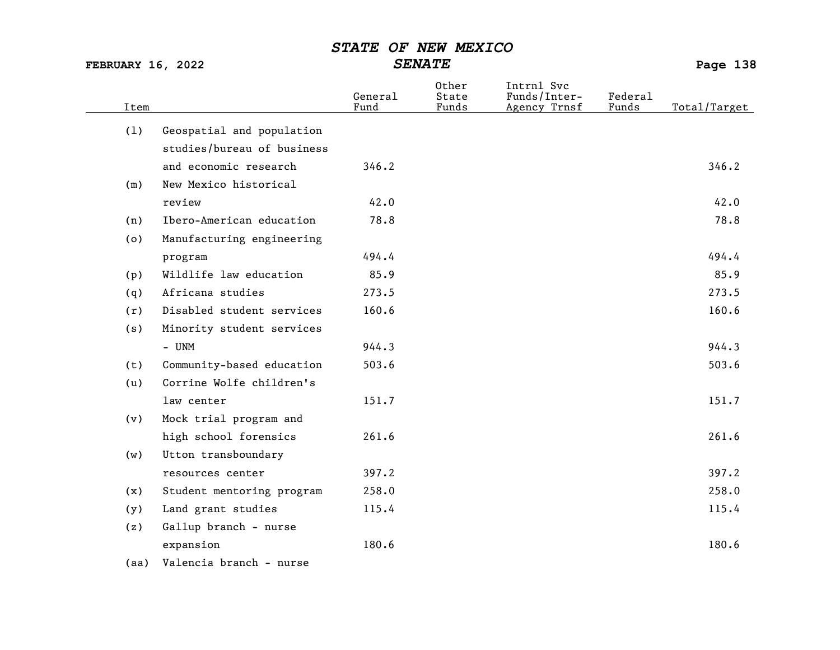FEBRUARY 16, 2022 SENATE Page 138

| Item |                            | General<br>Fund | Other<br>State<br>Funds | Intrnl Svc<br>Funds/Inter-<br>Agency Trnsf | Federal<br>Funds | Total/Target |
|------|----------------------------|-----------------|-------------------------|--------------------------------------------|------------------|--------------|
| (1)  | Geospatial and population  |                 |                         |                                            |                  |              |
|      | studies/bureau of business |                 |                         |                                            |                  |              |
|      | and economic research      | 346.2           |                         |                                            |                  | 346.2        |
| (m)  | New Mexico historical      |                 |                         |                                            |                  |              |
|      | review                     | 42.0            |                         |                                            |                  | 42.0         |
| (n)  | Ibero-American education   | 78.8            |                         |                                            |                  | 78.8         |
| (0)  | Manufacturing engineering  |                 |                         |                                            |                  |              |
|      | program                    | 494.4           |                         |                                            |                  | 494.4        |
| (p)  | Wildlife law education     | 85.9            |                         |                                            |                  | 85.9         |
| (q)  | Africana studies           | 273.5           |                         |                                            |                  | 273.5        |
| (r)  | Disabled student services  | 160.6           |                         |                                            |                  | 160.6        |
| (s)  | Minority student services  |                 |                         |                                            |                  |              |
|      | - UNM                      | 944.3           |                         |                                            |                  | 944.3        |
| (t)  | Community-based education  | 503.6           |                         |                                            |                  | 503.6        |
| (u)  | Corrine Wolfe children's   |                 |                         |                                            |                  |              |
|      | law center                 | 151.7           |                         |                                            |                  | 151.7        |
| (v)  | Mock trial program and     |                 |                         |                                            |                  |              |
|      | high school forensics      | 261.6           |                         |                                            |                  | 261.6        |
| (w)  | Utton transboundary        |                 |                         |                                            |                  |              |
|      | resources center           | 397.2           |                         |                                            |                  | 397.2        |
| (x)  | Student mentoring program  | 258.0           |                         |                                            |                  | 258.0        |
| (y)  | Land grant studies         | 115.4           |                         |                                            |                  | 115.4        |
| (z)  | Gallup branch - nurse      |                 |                         |                                            |                  |              |
|      | expansion                  | 180.6           |                         |                                            |                  | 180.6        |
|      | .                          |                 |                         |                                            |                  |              |

(aa) Valencia branch - nurse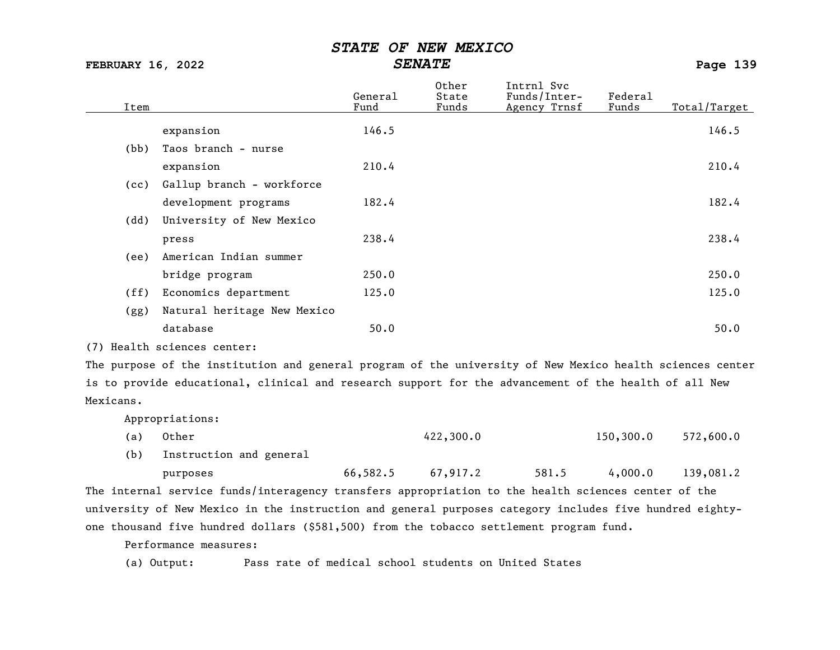FEBRUARY 16, 2022 SENATE Page 139

| Item         |                             | General<br>Fund | Other<br>State<br>Funds | Intrnl Svc<br>Funds/Inter-<br>Agency Trnsf | Federal<br>Funds | Total/Target |
|--------------|-----------------------------|-----------------|-------------------------|--------------------------------------------|------------------|--------------|
|              | expansion                   | 146.5           |                         |                                            |                  | 146.5        |
| (bb)         | Taos branch - nurse         |                 |                         |                                            |                  |              |
|              | expansion                   | 210.4           |                         |                                            |                  | 210.4        |
| (cc)         | Gallup branch - workforce   |                 |                         |                                            |                  |              |
|              | development programs        | 182.4           |                         |                                            |                  | 182.4        |
| (dd)         | University of New Mexico    |                 |                         |                                            |                  |              |
|              | press                       | 238.4           |                         |                                            |                  | 238.4        |
| (ee)         | American Indian summer      |                 |                         |                                            |                  |              |
|              | bridge program              | 250.0           |                         |                                            |                  | 250.0        |
| (ff)         | Economics department        | 125.0           |                         |                                            |                  | 125.0        |
| (gg)         | Natural heritage New Mexico |                 |                         |                                            |                  |              |
|              | database                    | 50.0            |                         |                                            |                  | 50.0         |
| . <b>.</b> . |                             |                 |                         |                                            |                  |              |

(7) Health sciences center:

The purpose of the institution and general program of the university of New Mexico health sciences center is to provide educational, clinical and research support for the advancement of the health of all New Mexicans.

Appropriations:

| (a) Other | 422,300.0 | 150,300.0 572,600.0 |  |
|-----------|-----------|---------------------|--|
|           |           |                     |  |

(b) Instruction and general

purposes 66,582.5 67,917.2 581.5 4,000.0 139,081.2

The internal service funds/interagency transfers appropriation to the health sciences center of the university of New Mexico in the instruction and general purposes category includes five hundred eightyone thousand five hundred dollars (\$581,500) from the tobacco settlement program fund.

Performance measures:

(a) Output: Pass rate of medical school students on United States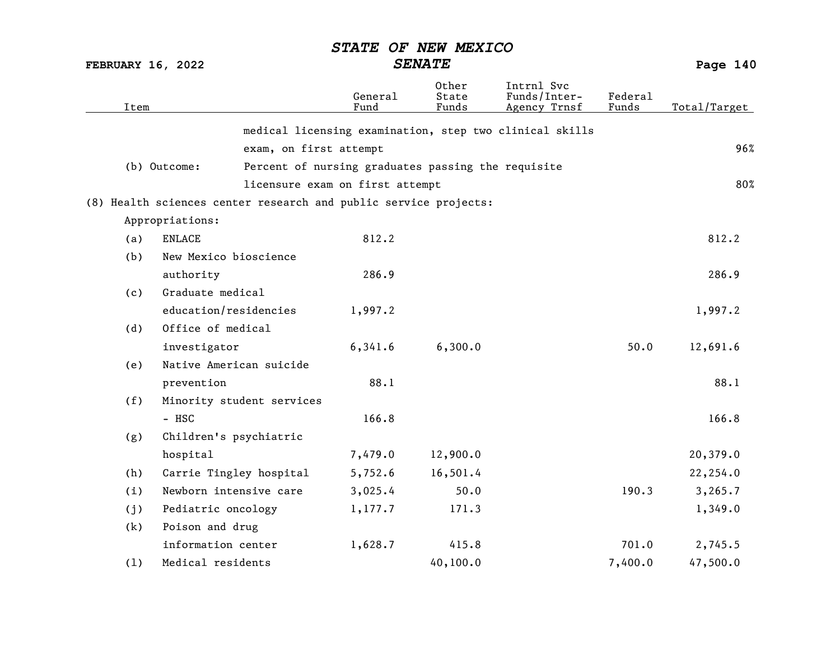FEBRUARY 16, 2022 SENATE Page 140

| Item |                                                                  | General<br>Fund                                    | Other<br>State<br>Funds | Intrnl Svc<br>Funds/Inter-<br>Agency Trnsf              | <b>Federal</b><br>Funds | Total/Target |
|------|------------------------------------------------------------------|----------------------------------------------------|-------------------------|---------------------------------------------------------|-------------------------|--------------|
|      |                                                                  |                                                    |                         | medical licensing examination, step two clinical skills |                         |              |
|      | exam, on first attempt                                           |                                                    |                         |                                                         |                         | 96%          |
|      | (b) Outcome:                                                     | Percent of nursing graduates passing the requisite |                         |                                                         |                         |              |
|      |                                                                  | licensure exam on first attempt                    |                         |                                                         |                         | 80%          |
|      | (8) Health sciences center research and public service projects: |                                                    |                         |                                                         |                         |              |
|      | Appropriations:                                                  |                                                    |                         |                                                         |                         |              |
| (a)  | <b>ENLACE</b>                                                    | 812.2                                              |                         |                                                         |                         | 812.2        |
| (b)  | New Mexico bioscience                                            |                                                    |                         |                                                         |                         |              |
|      | authority                                                        | 286.9                                              |                         |                                                         |                         | 286.9        |
| (c)  | Graduate medical                                                 |                                                    |                         |                                                         |                         |              |
|      | education/residencies                                            | 1,997.2                                            |                         |                                                         |                         | 1,997.2      |
| (d)  | Office of medical                                                |                                                    |                         |                                                         |                         |              |
|      | investigator                                                     | 6,341.6                                            | 6,300.0                 |                                                         | 50.0                    | 12,691.6     |
| (e)  | Native American suicide                                          |                                                    |                         |                                                         |                         |              |
|      | prevention                                                       | 88.1                                               |                         |                                                         |                         | 88.1         |
| (f)  | Minority student services                                        |                                                    |                         |                                                         |                         |              |
|      | - HSC                                                            | 166.8                                              |                         |                                                         |                         | 166.8        |
| (g)  | Children's psychiatric                                           |                                                    |                         |                                                         |                         |              |
|      | hospital                                                         | 7,479.0                                            | 12,900.0                |                                                         |                         | 20,379.0     |
| (h)  | Carrie Tingley hospital                                          | 5,752.6                                            | 16,501.4                |                                                         |                         | 22,254.0     |
| (i)  | Newborn intensive care                                           | 3,025.4                                            | 50.0                    |                                                         | 190.3                   | 3, 265.7     |
| (j)  | Pediatric oncology                                               | 1,177.7                                            | 171.3                   |                                                         |                         | 1,349.0      |
| (k)  | Poison and drug                                                  |                                                    |                         |                                                         |                         |              |
|      | information center                                               | 1,628.7                                            | 415.8                   |                                                         | 701.0                   | 2,745.5      |
| (1)  | Medical residents                                                |                                                    | 40,100.0                |                                                         | 7,400.0                 | 47,500.0     |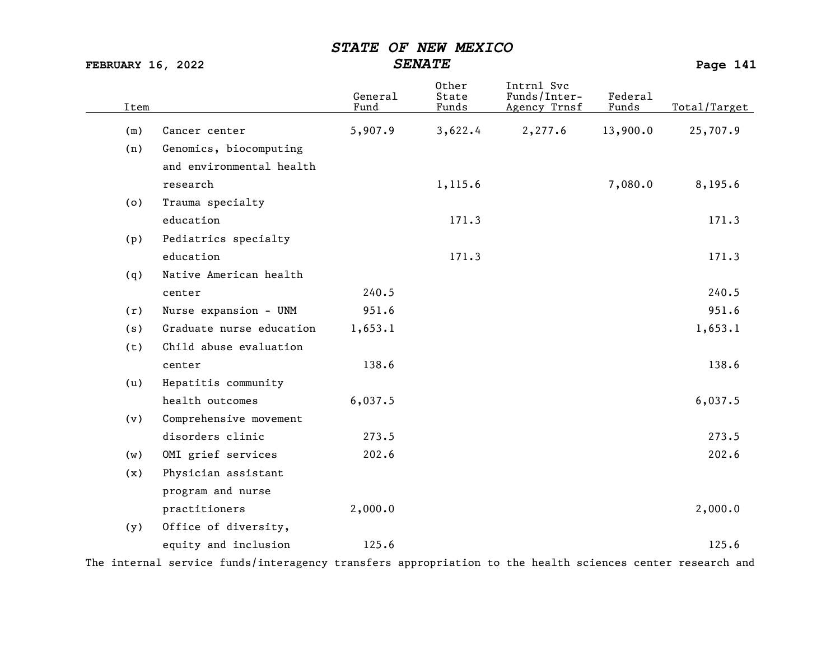FEBRUARY 16, 2022 SENATE SENATE

| Item |                          | General<br>Fund | Other<br>State<br>Funds | Intrnl Svc<br>Funds/Inter-<br>Agency Trnsf | Federal<br>Funds | Total/Target |
|------|--------------------------|-----------------|-------------------------|--------------------------------------------|------------------|--------------|
| (m)  | Cancer center            | 5,907.9         | 3,622.4                 | 2,277.6                                    | 13,900.0         | 25,707.9     |
| (n)  | Genomics, biocomputing   |                 |                         |                                            |                  |              |
|      | and environmental health |                 |                         |                                            |                  |              |
|      | research                 |                 | 1,115.6                 |                                            | 7,080.0          | 8,195.6      |
| (0)  | Trauma specialty         |                 |                         |                                            |                  |              |
|      | education                |                 | 171.3                   |                                            |                  | 171.3        |
| (p)  | Pediatrics specialty     |                 |                         |                                            |                  |              |
|      | education                |                 | 171.3                   |                                            |                  | 171.3        |
| (q)  | Native American health   |                 |                         |                                            |                  |              |
|      | center                   | 240.5           |                         |                                            |                  | 240.5        |
| (r)  | Nurse expansion - UNM    | 951.6           |                         |                                            |                  | 951.6        |
| (s)  | Graduate nurse education | 1,653.1         |                         |                                            |                  | 1,653.1      |
| (t)  | Child abuse evaluation   |                 |                         |                                            |                  |              |
|      | center                   | 138.6           |                         |                                            |                  | 138.6        |
| (u)  | Hepatitis community      |                 |                         |                                            |                  |              |
|      | health outcomes          | 6,037.5         |                         |                                            |                  | 6,037.5      |
| (v)  | Comprehensive movement   |                 |                         |                                            |                  |              |
|      | disorders clinic         | 273.5           |                         |                                            |                  | 273.5        |
| (w)  | OMI grief services       | 202.6           |                         |                                            |                  | 202.6        |
| (x)  | Physician assistant      |                 |                         |                                            |                  |              |
|      | program and nurse        |                 |                         |                                            |                  |              |
|      | practitioners            | 2,000.0         |                         |                                            |                  | 2,000.0      |
| (y)  | Office of diversity,     |                 |                         |                                            |                  |              |
|      | equity and inclusion     | 125.6           |                         |                                            |                  | 125.6        |

The internal service funds/interagency transfers appropriation to the health sciences center research and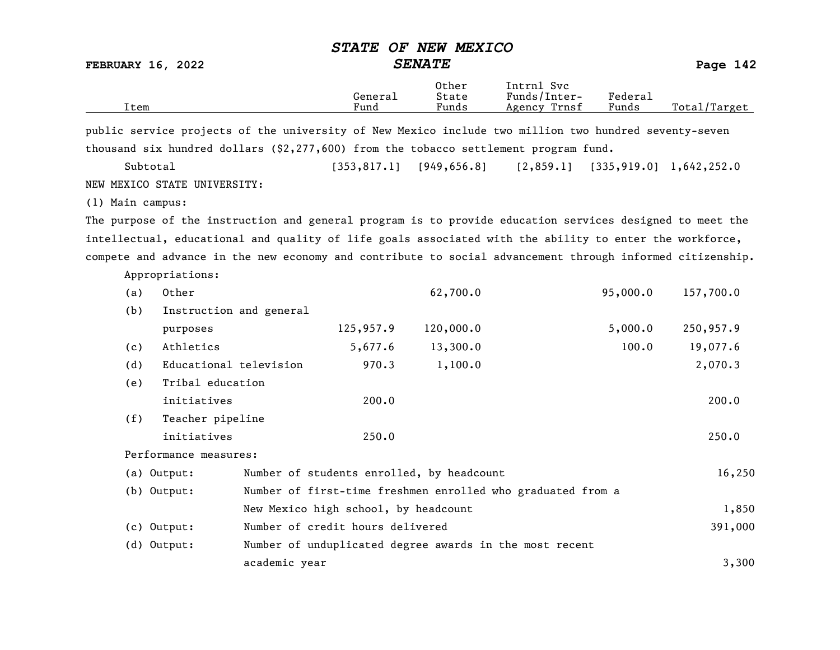FEBRUARY 16, 2022 SENATE SENATE

| Item                                                                                                      |                                           | General<br>Fund | Other<br>State<br>Funds | Intrnl Svc<br>Funds/Inter-<br>Agency Trnsf                  | Federal<br>Funds | Total/Target               |
|-----------------------------------------------------------------------------------------------------------|-------------------------------------------|-----------------|-------------------------|-------------------------------------------------------------|------------------|----------------------------|
| public service projects of the university of New Mexico include two million two hundred seventy-seven     |                                           |                 |                         |                                                             |                  |                            |
| thousand six hundred dollars (\$2,277,600) from the tobacco settlement program fund.                      |                                           |                 |                         |                                                             |                  |                            |
| Subtotal                                                                                                  |                                           | [353, 817.1]    | [949, 656.8]            | [2, 859.1]                                                  |                  | $[335, 919.0]$ 1,642,252.0 |
| NEW MEXICO STATE UNIVERSITY:                                                                              |                                           |                 |                         |                                                             |                  |                            |
| (1) Main campus:                                                                                          |                                           |                 |                         |                                                             |                  |                            |
| The purpose of the instruction and general program is to provide education services designed to meet the  |                                           |                 |                         |                                                             |                  |                            |
| intellectual, educational and quality of life goals associated with the ability to enter the workforce,   |                                           |                 |                         |                                                             |                  |                            |
| compete and advance in the new economy and contribute to social advancement through informed citizenship. |                                           |                 |                         |                                                             |                  |                            |
| Appropriations:                                                                                           |                                           |                 |                         |                                                             |                  |                            |
| Other<br>(a)                                                                                              |                                           |                 | 62,700.0                |                                                             | 95,000.0         | 157,700.0                  |
| (b)                                                                                                       | Instruction and general                   |                 |                         |                                                             |                  |                            |
| purposes                                                                                                  |                                           | 125,957.9       | 120,000.0               |                                                             | 5,000.0          | 250,957.9                  |
| Athletics<br>(c)                                                                                          |                                           | 5,677.6         | 13,300.0                |                                                             | 100.0            | 19,077.6                   |
| (d)                                                                                                       | Educational television                    | 970.3           | 1,100.0                 |                                                             |                  | 2,070.3                    |
| Tribal education<br>(e)                                                                                   |                                           |                 |                         |                                                             |                  |                            |
| initiatives                                                                                               |                                           | 200.0           |                         |                                                             |                  | 200.0                      |
| (f)<br>Teacher pipeline                                                                                   |                                           |                 |                         |                                                             |                  |                            |
| initiatives                                                                                               |                                           | 250.0           |                         |                                                             |                  | 250.0                      |
| Performance measures:                                                                                     |                                           |                 |                         |                                                             |                  |                            |
| (a) Output:                                                                                               | Number of students enrolled, by headcount |                 |                         |                                                             |                  | 16,250                     |
| $(b)$ Output:                                                                                             |                                           |                 |                         | Number of first-time freshmen enrolled who graduated from a |                  |                            |
|                                                                                                           | New Mexico high school, by headcount      |                 |                         |                                                             |                  | 1,850                      |
| $(c)$ Output:                                                                                             | Number of credit hours delivered          |                 |                         |                                                             |                  | 391,000                    |
| (d) Output:                                                                                               |                                           |                 |                         | Number of unduplicated degree awards in the most recent     |                  |                            |
|                                                                                                           | academic year                             |                 |                         |                                                             |                  | 3,300                      |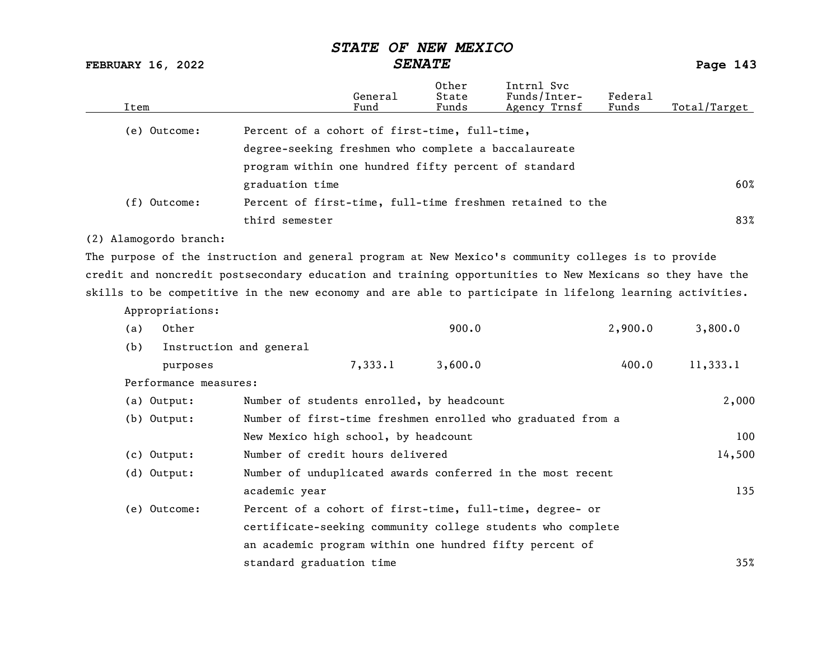FEBRUARY 16, 2022 SENATE SENATE

| Percent of a cohort of first-time, full-time,<br>(e) Outcome:<br>degree-seeking freshmen who complete a baccalaureate<br>program within one hundred fifty percent of standard<br>graduation time<br>(f) Outcome:<br>Percent of first-time, full-time freshmen retained to the<br>83%<br>third semester<br>(2) Alamogordo branch:<br>The purpose of the instruction and general program at New Mexico's community colleges is to provide<br>credit and noncredit postsecondary education and training opportunities to New Mexicans so they have the<br>skills to be competitive in the new economy and are able to participate in lifelong learning activities.<br>Appropriations: | Total/Target |
|------------------------------------------------------------------------------------------------------------------------------------------------------------------------------------------------------------------------------------------------------------------------------------------------------------------------------------------------------------------------------------------------------------------------------------------------------------------------------------------------------------------------------------------------------------------------------------------------------------------------------------------------------------------------------------|--------------|
|                                                                                                                                                                                                                                                                                                                                                                                                                                                                                                                                                                                                                                                                                    |              |
|                                                                                                                                                                                                                                                                                                                                                                                                                                                                                                                                                                                                                                                                                    |              |
|                                                                                                                                                                                                                                                                                                                                                                                                                                                                                                                                                                                                                                                                                    |              |
|                                                                                                                                                                                                                                                                                                                                                                                                                                                                                                                                                                                                                                                                                    | 60%          |
|                                                                                                                                                                                                                                                                                                                                                                                                                                                                                                                                                                                                                                                                                    |              |
|                                                                                                                                                                                                                                                                                                                                                                                                                                                                                                                                                                                                                                                                                    |              |
|                                                                                                                                                                                                                                                                                                                                                                                                                                                                                                                                                                                                                                                                                    |              |
|                                                                                                                                                                                                                                                                                                                                                                                                                                                                                                                                                                                                                                                                                    |              |
|                                                                                                                                                                                                                                                                                                                                                                                                                                                                                                                                                                                                                                                                                    |              |
|                                                                                                                                                                                                                                                                                                                                                                                                                                                                                                                                                                                                                                                                                    |              |
|                                                                                                                                                                                                                                                                                                                                                                                                                                                                                                                                                                                                                                                                                    |              |
| 900.0<br>2,900.0<br>3,800.0<br>Other<br>(a)                                                                                                                                                                                                                                                                                                                                                                                                                                                                                                                                                                                                                                        |              |
| (b)<br>Instruction and general                                                                                                                                                                                                                                                                                                                                                                                                                                                                                                                                                                                                                                                     |              |
| 7,333.1<br>3,600.0<br>400.0<br>11,333.1<br>purposes                                                                                                                                                                                                                                                                                                                                                                                                                                                                                                                                                                                                                                |              |
| Performance measures:                                                                                                                                                                                                                                                                                                                                                                                                                                                                                                                                                                                                                                                              |              |
| Number of students enrolled, by headcount<br>2,000<br>(a) Output:                                                                                                                                                                                                                                                                                                                                                                                                                                                                                                                                                                                                                  |              |
| $(b)$ Output:<br>Number of first-time freshmen enrolled who graduated from a                                                                                                                                                                                                                                                                                                                                                                                                                                                                                                                                                                                                       |              |
| New Mexico high school, by headcount                                                                                                                                                                                                                                                                                                                                                                                                                                                                                                                                                                                                                                               | 100          |
| Number of credit hours delivered<br>$(c)$ Output:<br>14,500                                                                                                                                                                                                                                                                                                                                                                                                                                                                                                                                                                                                                        |              |
| (d) Output:<br>Number of unduplicated awards conferred in the most recent                                                                                                                                                                                                                                                                                                                                                                                                                                                                                                                                                                                                          |              |
| academic year                                                                                                                                                                                                                                                                                                                                                                                                                                                                                                                                                                                                                                                                      | 135          |
| (e) Outcome:<br>Percent of a cohort of first-time, full-time, degree- or                                                                                                                                                                                                                                                                                                                                                                                                                                                                                                                                                                                                           |              |
| certificate-seeking community college students who complete                                                                                                                                                                                                                                                                                                                                                                                                                                                                                                                                                                                                                        |              |
| an academic program within one hundred fifty percent of                                                                                                                                                                                                                                                                                                                                                                                                                                                                                                                                                                                                                            |              |
| standard graduation time                                                                                                                                                                                                                                                                                                                                                                                                                                                                                                                                                                                                                                                           | 35%          |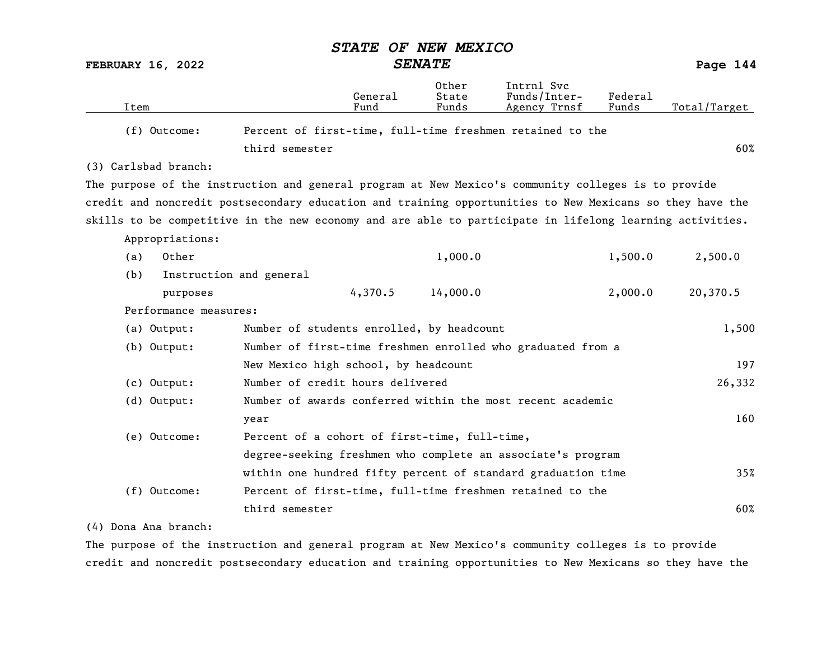|                          |                                                                                                          | <b>STATE</b>                                  | OF NEW MEXICO           |                                                              |                  |              |
|--------------------------|----------------------------------------------------------------------------------------------------------|-----------------------------------------------|-------------------------|--------------------------------------------------------------|------------------|--------------|
| <b>FEBRUARY 16, 2022</b> |                                                                                                          |                                               | <b>SENATE</b>           |                                                              |                  | Page 144     |
| Item                     |                                                                                                          | General<br>Fund                               | Other<br>State<br>Funds | Intrnl Svc<br>Funds/Inter-<br>Agency Trnsf                   | Federal<br>Funds | Total/Target |
| (f) Outcome:             |                                                                                                          |                                               |                         | Percent of first-time, full-time freshmen retained to the    |                  |              |
|                          | third semester                                                                                           |                                               |                         |                                                              |                  | 60%          |
| (3) Carlsbad branch:     |                                                                                                          |                                               |                         |                                                              |                  |              |
|                          | The purpose of the instruction and general program at New Mexico's community colleges is to provide      |                                               |                         |                                                              |                  |              |
|                          | credit and noncredit postsecondary education and training opportunities to New Mexicans so they have the |                                               |                         |                                                              |                  |              |
|                          | skills to be competitive in the new economy and are able to participate in lifelong learning activities. |                                               |                         |                                                              |                  |              |
| Appropriations:          |                                                                                                          |                                               |                         |                                                              |                  |              |
| Other<br>(a)             |                                                                                                          |                                               | 1,000.0                 |                                                              | 1,500.0          | 2,500.0      |
| (b)                      | Instruction and general                                                                                  |                                               |                         |                                                              |                  |              |
| purposes                 |                                                                                                          | 4,370.5                                       | 14,000.0                |                                                              | 2,000.0          | 20,370.5     |
| Performance measures:    |                                                                                                          |                                               |                         |                                                              |                  |              |
| (a) Output:              |                                                                                                          | Number of students enrolled, by headcount     |                         |                                                              |                  | 1,500        |
| (b) Output:              |                                                                                                          |                                               |                         | Number of first-time freshmen enrolled who graduated from a  |                  |              |
|                          |                                                                                                          | New Mexico high school, by headcount          |                         |                                                              |                  | 197          |
| $(c)$ Output:            |                                                                                                          | Number of credit hours delivered              |                         |                                                              |                  | 26,332       |
| (d) Output:              |                                                                                                          |                                               |                         | Number of awards conferred within the most recent academic   |                  |              |
|                          | year                                                                                                     |                                               |                         |                                                              |                  | 160          |
| (e) Outcome:             |                                                                                                          | Percent of a cohort of first-time, full-time, |                         |                                                              |                  |              |
|                          |                                                                                                          |                                               |                         | degree-seeking freshmen who complete an associate's program  |                  |              |
|                          |                                                                                                          |                                               |                         | within one hundred fifty percent of standard graduation time |                  | 35%          |
| (f) Outcome:             |                                                                                                          |                                               |                         | Percent of first-time, full-time freshmen retained to the    |                  |              |
|                          | third semester                                                                                           |                                               |                         |                                                              |                  | 60%          |

#### (4) Dona Ana branch:

The purpose of the instruction and general program at New Mexico's community colleges is to provide credit and noncredit postsecondary education and training opportunities to New Mexicans so they have the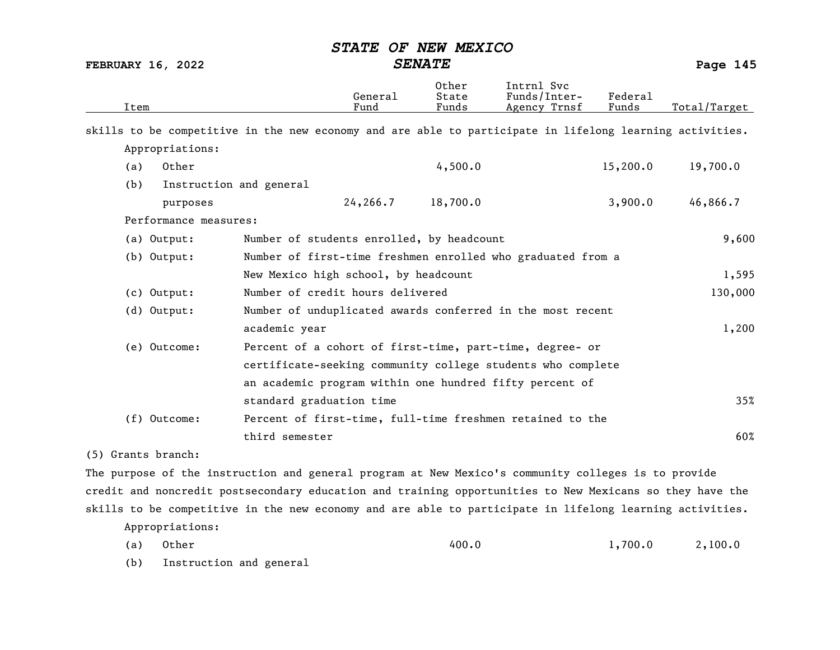FEBRUARY 16, 2022 SENATE Page 145

| Item                                                                                                     |                                                             | General<br>Fund | Other<br>State<br>Funds | Intrnl Svc<br>Funds/Inter-<br>Agency Trnsf | Federal<br>Funds | Total/Target |  |  |  |
|----------------------------------------------------------------------------------------------------------|-------------------------------------------------------------|-----------------|-------------------------|--------------------------------------------|------------------|--------------|--|--|--|
| skills to be competitive in the new economy and are able to participate in lifelong learning activities. |                                                             |                 |                         |                                            |                  |              |  |  |  |
| Appropriations:                                                                                          |                                                             |                 |                         |                                            |                  |              |  |  |  |
| Other<br>(a)                                                                                             |                                                             |                 | 4,500.0                 |                                            | 15,200.0         | 19,700.0     |  |  |  |
| (b)                                                                                                      | Instruction and general                                     |                 |                         |                                            |                  |              |  |  |  |
| purposes                                                                                                 |                                                             | 24,266.7        | 18,700.0                |                                            | 3,900.0          | 46,866.7     |  |  |  |
| Performance measures:                                                                                    |                                                             |                 |                         |                                            |                  |              |  |  |  |
| (a) Output:                                                                                              | Number of students enrolled, by headcount                   |                 |                         |                                            |                  | 9,600        |  |  |  |
| $(b)$ Output:                                                                                            | Number of first-time freshmen enrolled who graduated from a |                 |                         |                                            |                  |              |  |  |  |
|                                                                                                          | New Mexico high school, by headcount                        |                 |                         |                                            |                  | 1,595        |  |  |  |
| $(c)$ Output:                                                                                            | Number of credit hours delivered                            |                 |                         |                                            |                  | 130,000      |  |  |  |
| (d) Output:                                                                                              | Number of unduplicated awards conferred in the most recent  |                 |                         |                                            |                  |              |  |  |  |
|                                                                                                          | academic year                                               |                 |                         |                                            |                  | 1,200        |  |  |  |
| (e) Outcome:                                                                                             | Percent of a cohort of first-time, part-time, degree- or    |                 |                         |                                            |                  |              |  |  |  |
|                                                                                                          | certificate-seeking community college students who complete |                 |                         |                                            |                  |              |  |  |  |
|                                                                                                          | an academic program within one hundred fifty percent of     |                 |                         |                                            |                  |              |  |  |  |
|                                                                                                          | standard graduation time                                    |                 |                         |                                            |                  | 35%          |  |  |  |
| (f) Outcome:                                                                                             | Percent of first-time, full-time freshmen retained to the   |                 |                         |                                            |                  |              |  |  |  |
|                                                                                                          | third semester                                              |                 |                         |                                            |                  | 60%          |  |  |  |
| (5) Grants branch:                                                                                       |                                                             |                 |                         |                                            |                  |              |  |  |  |
| The purpose of the instruction and general program at New Mexico's community colleges is to provide      |                                                             |                 |                         |                                            |                  |              |  |  |  |
| credit and noncredit postsecondary education and training opportunities to New Mexicans so they have the |                                                             |                 |                         |                                            |                  |              |  |  |  |
| skills to be competitive in the new economy and are able to participate in lifelong learning activities. |                                                             |                 |                         |                                            |                  |              |  |  |  |

(a) Other 400.0 1,700.0 2,100.0

(b) Instruction and general

Appropriations: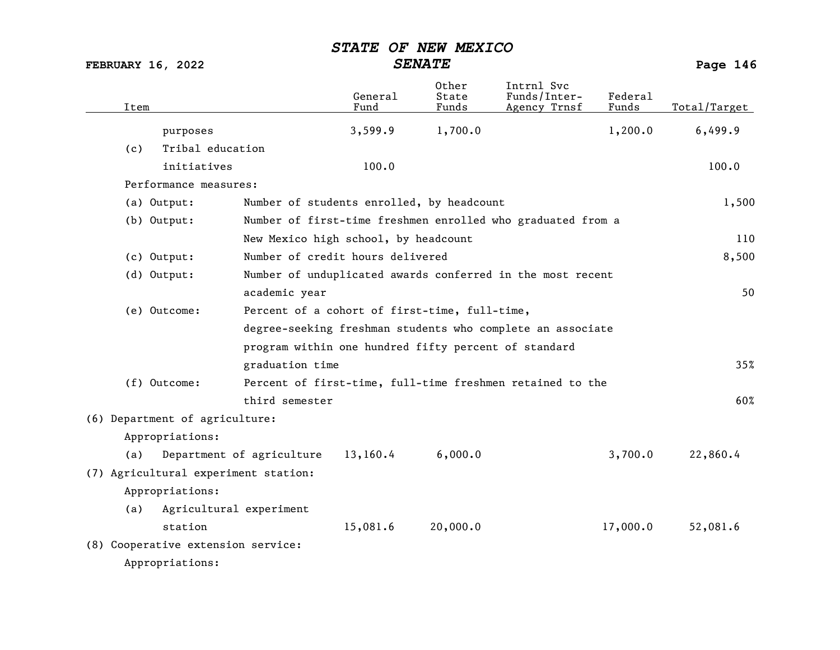| Item |                                                                             |                                                      | General<br>Fund | Other<br>State<br>Funds | Intrnl Svc<br>Funds/Inter-<br>Agency Trnsf                  | Federal<br>Funds | Total/Target |
|------|-----------------------------------------------------------------------------|------------------------------------------------------|-----------------|-------------------------|-------------------------------------------------------------|------------------|--------------|
|      | purposes                                                                    |                                                      | 3,599.9         | 1,700.0                 |                                                             | 1,200.0          | 6,499.9      |
| (c)  | Tribal education                                                            |                                                      |                 |                         |                                                             |                  |              |
|      | initiatives                                                                 |                                                      | 100.0           |                         |                                                             |                  | 100.0        |
|      | Performance measures:                                                       |                                                      |                 |                         |                                                             |                  |              |
|      | (a) Output:                                                                 | Number of students enrolled, by headcount            |                 |                         |                                                             |                  | 1,500        |
|      | $(b)$ Output:                                                               |                                                      |                 |                         | Number of first-time freshmen enrolled who graduated from a |                  |              |
|      |                                                                             | New Mexico high school, by headcount                 |                 |                         |                                                             |                  | 110          |
|      | $(c)$ Output:                                                               | Number of credit hours delivered                     |                 |                         |                                                             |                  | 8,500        |
|      | $(d)$ Output:<br>Number of unduplicated awards conferred in the most recent |                                                      |                 |                         |                                                             |                  |              |
|      |                                                                             | academic year                                        |                 |                         |                                                             |                  | 50           |
|      | (e) Outcome:                                                                | Percent of a cohort of first-time, full-time,        |                 |                         |                                                             |                  |              |
|      |                                                                             |                                                      |                 |                         | degree-seeking freshman students who complete an associate  |                  |              |
|      |                                                                             | program within one hundred fifty percent of standard |                 |                         |                                                             |                  |              |
|      |                                                                             | graduation time                                      |                 |                         |                                                             |                  | 35%          |
|      | (f) Outcome:                                                                |                                                      |                 |                         | Percent of first-time, full-time freshmen retained to the   |                  |              |
|      |                                                                             | third semester                                       |                 |                         |                                                             |                  | 60%          |
|      | (6) Department of agriculture:                                              |                                                      |                 |                         |                                                             |                  |              |
|      | Appropriations:                                                             |                                                      |                 |                         |                                                             |                  |              |
| (a)  |                                                                             | Department of agriculture                            | 13,160.4        | 6,000.0                 |                                                             | 3,700.0          | 22,860.4     |
|      | (7) Agricultural experiment station:                                        |                                                      |                 |                         |                                                             |                  |              |
|      | Appropriations:                                                             |                                                      |                 |                         |                                                             |                  |              |
| (a)  | Agricultural experiment                                                     |                                                      |                 |                         |                                                             |                  |              |
|      | station                                                                     |                                                      | 15,081.6        | 20,000.0                |                                                             | 17,000.0         | 52,081.6     |
|      | (8) Cooperative extension service:                                          |                                                      |                 |                         |                                                             |                  |              |
|      | Appropriations:                                                             |                                                      |                 |                         |                                                             |                  |              |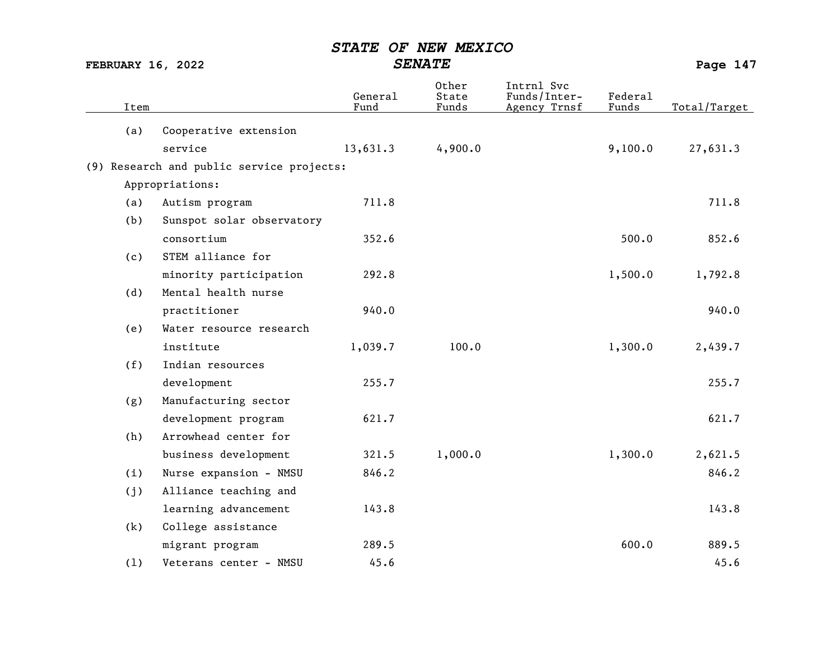| Item |                                           | General<br>Fund | Other<br>State<br>Funds | Intrnl Svc<br>Funds/Inter-<br>Agency Trnsf | Federal<br>Funds | Total/Target |
|------|-------------------------------------------|-----------------|-------------------------|--------------------------------------------|------------------|--------------|
| (a)  | Cooperative extension                     |                 |                         |                                            |                  |              |
|      | service                                   | 13,631.3        | 4,900.0                 |                                            | 9,100.0          | 27,631.3     |
|      | (9) Research and public service projects: |                 |                         |                                            |                  |              |
|      | Appropriations:                           |                 |                         |                                            |                  |              |
| (a)  | Autism program                            | 711.8           |                         |                                            |                  | 711.8        |
| (b)  | Sunspot solar observatory                 |                 |                         |                                            |                  |              |
|      | consortium                                | 352.6           |                         |                                            | 500.0            | 852.6        |
| (c)  | STEM alliance for                         |                 |                         |                                            |                  |              |
|      | minority participation                    | 292.8           |                         |                                            | 1,500.0          | 1,792.8      |
| (d)  | Mental health nurse                       |                 |                         |                                            |                  |              |
|      | practitioner                              | 940.0           |                         |                                            |                  | 940.0        |
| (e)  | Water resource research                   |                 |                         |                                            |                  |              |
|      | institute                                 | 1,039.7         | 100.0                   |                                            | 1,300.0          | 2,439.7      |
| (f)  | Indian resources                          |                 |                         |                                            |                  |              |
|      | development                               | 255.7           |                         |                                            |                  | 255.7        |
| (g)  | Manufacturing sector                      |                 |                         |                                            |                  |              |
|      | development program                       | 621.7           |                         |                                            |                  | 621.7        |
| (h)  | Arrowhead center for                      |                 |                         |                                            |                  |              |
|      | business development                      | 321.5           | 1,000.0                 |                                            | 1,300.0          | 2,621.5      |
| (i)  | Nurse expansion - NMSU                    | 846.2           |                         |                                            |                  | 846.2        |
| (j)  | Alliance teaching and                     |                 |                         |                                            |                  |              |
|      | learning advancement                      | 143.8           |                         |                                            |                  | 143.8        |
| (k)  | College assistance                        |                 |                         |                                            |                  |              |
|      | migrant program                           | 289.5           |                         |                                            | 600.0            | 889.5        |
| (1)  | Veterans center - NMSU                    | 45.6            |                         |                                            |                  | 45.6         |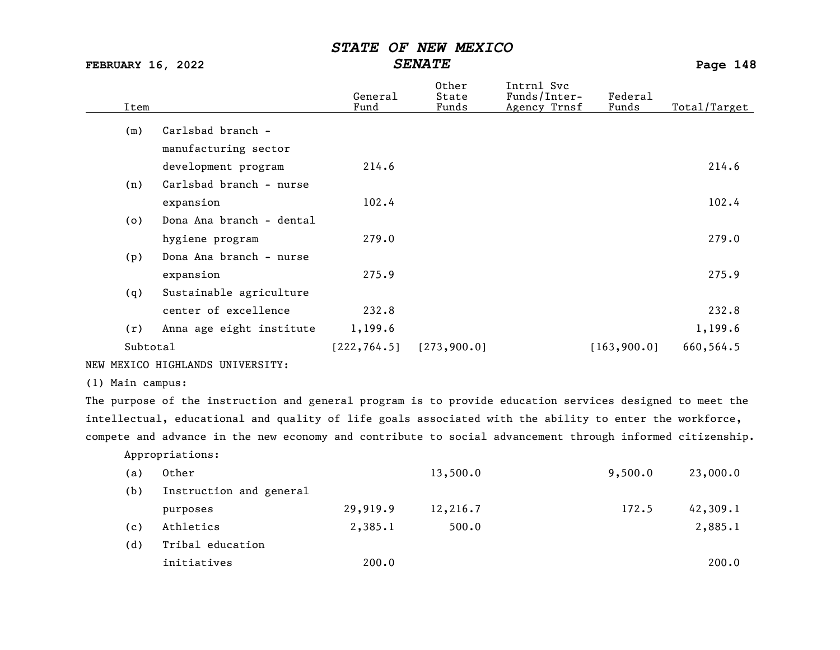FEBRUARY 16, 2022 SENATE Page 148

| Item     |                          | General<br>Fund | Other<br>State<br>Funds | Intrnl Svc<br>Funds/Inter-<br>Agency Trnsf | Federal<br>Funds | Total/Target |
|----------|--------------------------|-----------------|-------------------------|--------------------------------------------|------------------|--------------|
| (m)      | Carlsbad branch -        |                 |                         |                                            |                  |              |
|          | manufacturing sector     |                 |                         |                                            |                  |              |
|          | development program      | 214.6           |                         |                                            |                  | 214.6        |
| (n)      | Carlsbad branch - nurse  |                 |                         |                                            |                  |              |
|          | expansion                | 102.4           |                         |                                            |                  | 102.4        |
| (0)      | Dona Ana branch - dental |                 |                         |                                            |                  |              |
|          | hygiene program          | 279.0           |                         |                                            |                  | 279.0        |
| (p)      | Dona Ana branch - nurse  |                 |                         |                                            |                  |              |
|          | expansion                | 275.9           |                         |                                            |                  | 275.9        |
| (q)      | Sustainable agriculture  |                 |                         |                                            |                  |              |
|          | center of excellence     | 232.8           |                         |                                            |                  | 232.8        |
| (r)      | Anna age eight institute | 1,199.6         |                         |                                            |                  | 1,199.6      |
| Subtotal |                          | [222, 764.5]    | [273, 900.0]            |                                            | [163, 900.0]     | 660,564.5    |

NEW MEXICO HIGHLANDS UNIVERSITY:

(1) Main campus:

The purpose of the instruction and general program is to provide education services designed to meet the intellectual, educational and quality of life goals associated with the ability to enter the workforce, compete and advance in the new economy and contribute to social advancement through informed citizenship.

Appropriations:

| (a) | Other                   |          | 13,500.0 | 9,500.0 | 23,000.0 |
|-----|-------------------------|----------|----------|---------|----------|
| (b) | Instruction and general |          |          |         |          |
|     | purposes                | 29,919.9 | 12,216.7 | 172.5   | 42,309.1 |
| (c) | Athletics               | 2,385.1  | 500.0    |         | 2,885.1  |
| (d) | Tribal education        |          |          |         |          |
|     | initiatives             | 200.0    |          |         | 200.0    |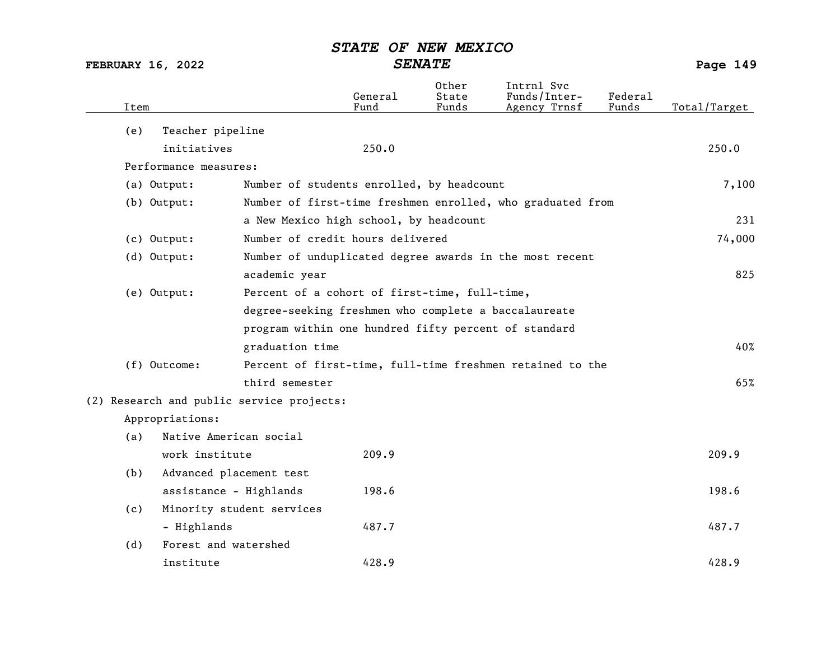| Item |                                           |                                               | General<br>Fund | Other<br>State<br>Funds | Intrnl Svc<br>Funds/Inter-<br>Agency Trnsf                 | Federal<br>Funds | Total/Target |
|------|-------------------------------------------|-----------------------------------------------|-----------------|-------------------------|------------------------------------------------------------|------------------|--------------|
| (e)  | Teacher pipeline                          |                                               |                 |                         |                                                            |                  |              |
|      | initiatives                               |                                               | 250.0           |                         |                                                            |                  | 250.0        |
|      | Performance measures:                     |                                               |                 |                         |                                                            |                  |              |
|      | (a) Output:                               | Number of students enrolled, by headcount     |                 |                         |                                                            |                  | 7,100        |
|      | (b) Output:                               |                                               |                 |                         | Number of first-time freshmen enrolled, who graduated from |                  |              |
|      |                                           | a New Mexico high school, by headcount        |                 |                         |                                                            |                  | 231          |
|      | (c) Output:                               | Number of credit hours delivered              |                 |                         |                                                            |                  | 74,000       |
|      | (d) Output:                               |                                               |                 |                         | Number of unduplicated degree awards in the most recent    |                  |              |
|      |                                           | academic year                                 |                 |                         |                                                            |                  | 825          |
|      | (e) Output:                               | Percent of a cohort of first-time, full-time, |                 |                         |                                                            |                  |              |
|      |                                           |                                               |                 |                         | degree-seeking freshmen who complete a baccalaureate       |                  |              |
|      |                                           |                                               |                 |                         | program within one hundred fifty percent of standard       |                  |              |
|      |                                           | graduation time                               |                 |                         |                                                            |                  | 40%          |
|      | (f) Outcome:                              |                                               |                 |                         | Percent of first-time, full-time freshmen retained to the  |                  |              |
|      |                                           | third semester                                |                 |                         |                                                            |                  | 65%          |
|      | (2) Research and public service projects: |                                               |                 |                         |                                                            |                  |              |
|      | Appropriations:                           |                                               |                 |                         |                                                            |                  |              |
| (a)  | Native American social                    |                                               |                 |                         |                                                            |                  |              |
|      | work institute                            |                                               | 209.9           |                         |                                                            |                  | 209.9        |
| (b)  | Advanced placement test                   |                                               |                 |                         |                                                            |                  |              |
|      | assistance - Highlands                    |                                               | 198.6           |                         |                                                            |                  | 198.6        |
| (c)  |                                           | Minority student services                     |                 |                         |                                                            |                  |              |
|      | - Highlands                               |                                               | 487.7           |                         |                                                            |                  | 487.7        |
| (d)  | Forest and watershed                      |                                               |                 |                         |                                                            |                  |              |
|      | institute                                 |                                               | 428.9           |                         |                                                            |                  | 428.9        |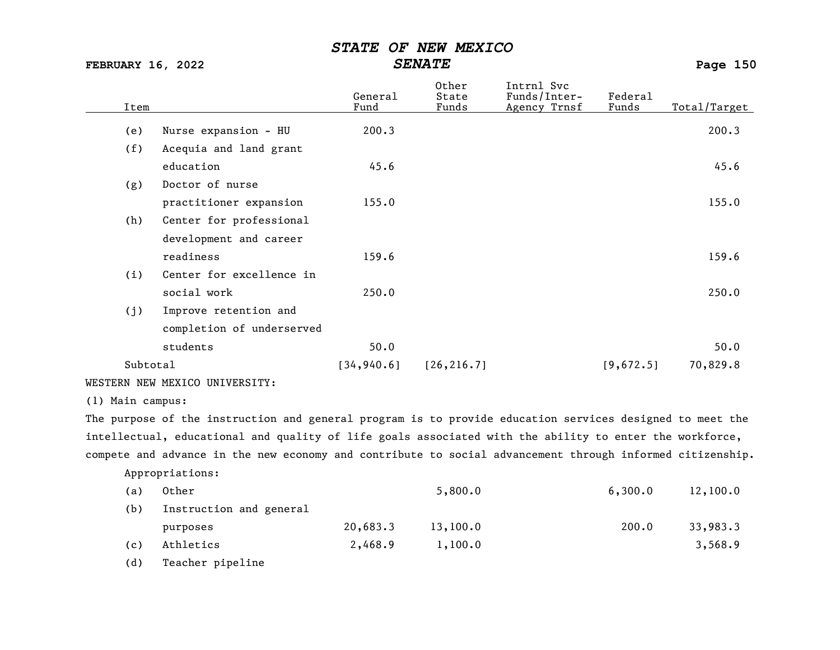FEBRUARY 16, 2022 SENATE SENATE

|                  |                                                                                                           | General     | Other<br>State | Intrnl Svc<br>Funds/Inter- | Federa1   |              |
|------------------|-----------------------------------------------------------------------------------------------------------|-------------|----------------|----------------------------|-----------|--------------|
| Item             |                                                                                                           | Fund        | Funds          | Agency Trnsf               | Funds     | Total/Target |
| (e)              | Nurse expansion - HU                                                                                      | 200.3       |                |                            |           | 200.3        |
| (f)              | Acequia and land grant                                                                                    |             |                |                            |           |              |
|                  | education                                                                                                 | 45.6        |                |                            |           | 45.6         |
| (g)              | Doctor of nurse                                                                                           |             |                |                            |           |              |
|                  | practitioner expansion                                                                                    | 155.0       |                |                            |           | 155.0        |
| (h)              | Center for professional                                                                                   |             |                |                            |           |              |
|                  | development and career                                                                                    |             |                |                            |           |              |
|                  | readiness                                                                                                 | 159.6       |                |                            |           | 159.6        |
| (i)              | Center for excellence in                                                                                  |             |                |                            |           |              |
|                  | social work                                                                                               | 250.0       |                |                            |           | 250.0        |
| (j)              | Improve retention and                                                                                     |             |                |                            |           |              |
|                  | completion of underserved                                                                                 |             |                |                            |           |              |
|                  | students                                                                                                  | 50.0        |                |                            |           | 50.0         |
| Subtotal         |                                                                                                           | [34, 940.6] | [26, 216.7]    |                            | [9,672.5] | 70,829.8     |
|                  | WESTERN NEW MEXICO UNIVERSITY:                                                                            |             |                |                            |           |              |
| (1) Main campus: |                                                                                                           |             |                |                            |           |              |
|                  | The purpose of the instruction and general program is to provide education services designed to meet the  |             |                |                            |           |              |
|                  | intellectual, educational and quality of life goals associated with the ability to enter the workforce,   |             |                |                            |           |              |
|                  | compete and advance in the new economy and contribute to social advancement through informed citizenship. |             |                |                            |           |              |
|                  | Appropriations:                                                                                           |             |                |                            |           |              |

| (a) | Other                   |          | 5,800.0  | 6,300.0 | 12,100.0 |
|-----|-------------------------|----------|----------|---------|----------|
| (b) | Instruction and general |          |          |         |          |
|     | purposes                | 20,683.3 | 13,100.0 | 200.0   | 33,983.3 |
| (c) | Athletics               | 2,468.9  | 1,100.0  |         | 3,568.9  |
| (d) | Teacher pipeline        |          |          |         |          |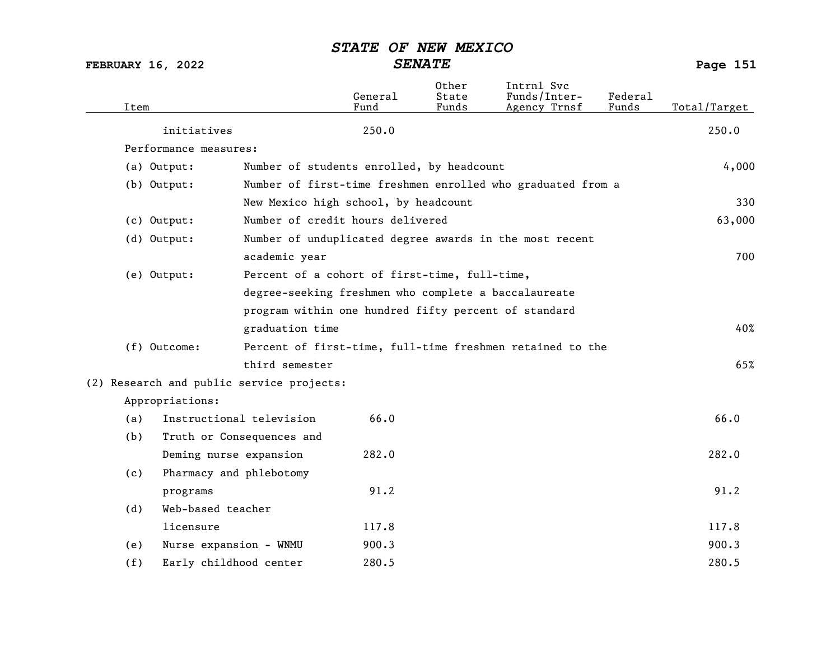| Item |                                           |                           | General<br>Fund                                      | Other<br>State<br>Funds | Intrnl Svc<br>Funds/Inter-<br>Agency Trnsf                  | Federal<br>Funds | Total/Target |
|------|-------------------------------------------|---------------------------|------------------------------------------------------|-------------------------|-------------------------------------------------------------|------------------|--------------|
|      | initiatives                               |                           | 250.0                                                |                         |                                                             |                  | 250.0        |
|      | Performance measures:                     |                           |                                                      |                         |                                                             |                  |              |
|      | (a) Output:                               |                           | Number of students enrolled, by headcount            |                         |                                                             |                  | 4,000        |
|      | $(b)$ Output:                             |                           |                                                      |                         | Number of first-time freshmen enrolled who graduated from a |                  |              |
|      |                                           |                           | New Mexico high school, by headcount                 |                         |                                                             |                  | 330          |
|      | (c) Output:                               |                           | Number of credit hours delivered                     |                         |                                                             |                  | 63,000       |
|      | (d) Output:                               |                           |                                                      |                         | Number of unduplicated degree awards in the most recent     |                  |              |
|      |                                           | academic year             |                                                      |                         |                                                             |                  | 700          |
|      | (e) Output:                               |                           | Percent of a cohort of first-time, full-time,        |                         |                                                             |                  |              |
|      |                                           |                           | degree-seeking freshmen who complete a baccalaureate |                         |                                                             |                  |              |
|      |                                           |                           | program within one hundred fifty percent of standard |                         |                                                             |                  |              |
|      |                                           | graduation time           |                                                      |                         |                                                             |                  | 40%          |
|      | (f) Outcome:                              |                           |                                                      |                         | Percent of first-time, full-time freshmen retained to the   |                  |              |
|      |                                           | third semester            |                                                      |                         |                                                             |                  | 65%          |
|      | (2) Research and public service projects: |                           |                                                      |                         |                                                             |                  |              |
|      | Appropriations:                           |                           |                                                      |                         |                                                             |                  |              |
| (a)  |                                           | Instructional television  | 66.0                                                 |                         |                                                             |                  | 66.0         |
| (b)  |                                           | Truth or Consequences and |                                                      |                         |                                                             |                  |              |
|      | Deming nurse expansion                    |                           | 282.0                                                |                         |                                                             |                  | 282.0        |
| (c)  | Pharmacy and phlebotomy                   |                           |                                                      |                         |                                                             |                  |              |
|      | programs                                  |                           | 91.2                                                 |                         |                                                             |                  | 91.2         |
| (d)  | Web-based teacher                         |                           |                                                      |                         |                                                             |                  |              |
|      | licensure                                 |                           | 117.8                                                |                         |                                                             |                  | 117.8        |
| (e)  | Nurse expansion - WNMU                    |                           | 900.3                                                |                         |                                                             |                  | 900.3        |
| (f)  | Early childhood center                    |                           | 280.5                                                |                         |                                                             |                  | 280.5        |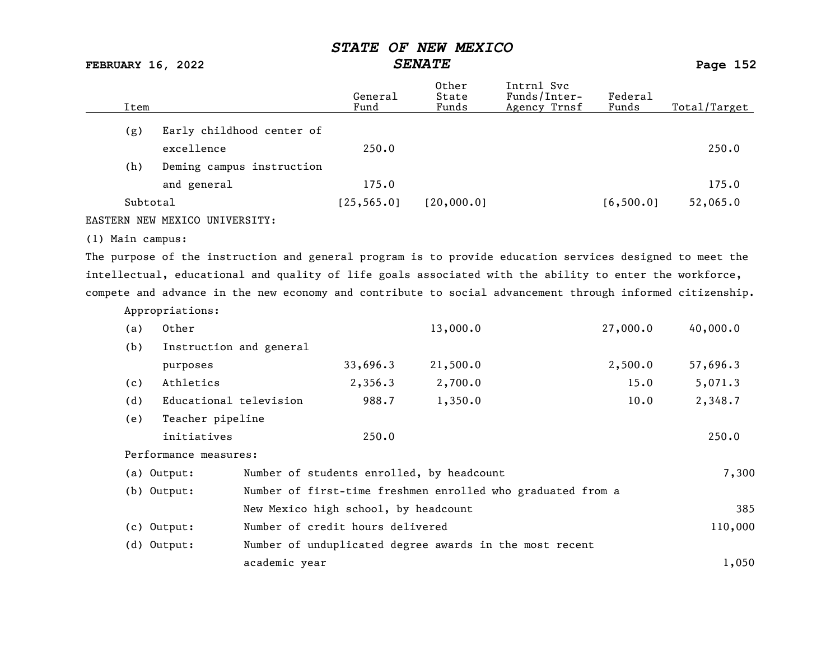FEBRUARY 16, 2022 SENATE SENATE

| Item                             | General<br>Fund | Other<br>State<br>Funds | Intrnl Svc<br>Funds/Inter-<br>Agency Trnsf | Federal<br>Funds | Total/Target |
|----------------------------------|-----------------|-------------------------|--------------------------------------------|------------------|--------------|
| Early childhood center of<br>(g) |                 |                         |                                            |                  |              |
| excellence                       | 250.0           |                         |                                            |                  | 250.0        |
| (h)<br>Deming campus instruction |                 |                         |                                            |                  |              |
| and general                      | 175.0           |                         |                                            |                  | 175.0        |
| Subtotal                         | [25, 565.0]     | [20,000.0]              |                                            | [6, 500.0]       | 52,065.0     |
| EASTERN NEW MEXICO UNIVERSITY:   |                 |                         |                                            |                  |              |

(1) Main campus:

Appropriations:

The purpose of the instruction and general program is to provide education services designed to meet the intellectual, educational and quality of life goals associated with the ability to enter the workforce, compete and advance in the new economy and contribute to social advancement through informed citizenship.

| (a) | Other                   |               |                                      | 13,000.0                                                    | 27,000.0 | 40,000.0 |
|-----|-------------------------|---------------|--------------------------------------|-------------------------------------------------------------|----------|----------|
| (b) | Instruction and general |               |                                      |                                                             |          |          |
|     | purposes                |               | 33,696.3                             | 21,500.0                                                    | 2,500.0  | 57,696.3 |
| (c) | Athletics               |               | 2,356.3                              | 2,700.0                                                     | 15.0     | 5,071.3  |
| (d) | Educational television  |               | 988.7                                | 1,350.0                                                     | 10.0     | 2,348.7  |
| (e) | Teacher pipeline        |               |                                      |                                                             |          |          |
|     | initiatives             |               | 250.0                                |                                                             |          | 250.0    |
|     | Performance measures:   |               |                                      |                                                             |          |          |
|     | (a) Output:             |               |                                      | Number of students enrolled, by headcount                   |          | 7,300    |
|     | (b) Output:             |               |                                      | Number of first-time freshmen enrolled who graduated from a |          |          |
|     |                         |               | New Mexico high school, by headcount |                                                             |          | 385      |
|     | $(c)$ Output:           |               | Number of credit hours delivered     |                                                             |          | 110,000  |
|     | $(d)$ Output:           |               |                                      | Number of unduplicated degree awards in the most recent     |          |          |
|     |                         | academic year |                                      |                                                             |          | 1,050    |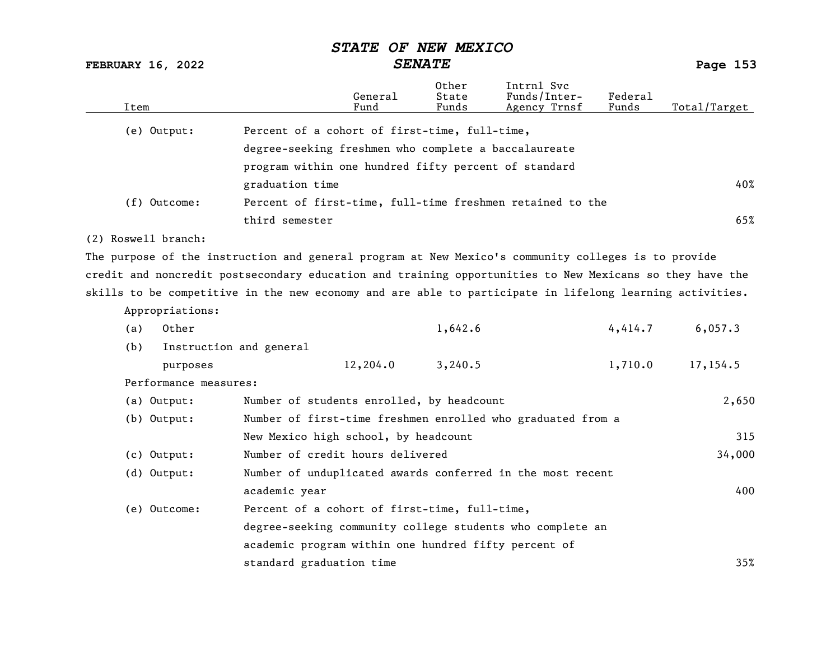FEBRUARY 16, 2022 SENATE SENATE

| Item |                       | General<br>Fund                                                                                          | Other<br>State<br>Funds                              | Intrnl Svc<br>Funds/Inter-<br>Agency Trnsf | Federal<br>Funds | Total/Target |  |  |  |  |
|------|-----------------------|----------------------------------------------------------------------------------------------------------|------------------------------------------------------|--------------------------------------------|------------------|--------------|--|--|--|--|
|      | (e) Output:           |                                                                                                          | Percent of a cohort of first-time, full-time,        |                                            |                  |              |  |  |  |  |
|      |                       | degree-seeking freshmen who complete a baccalaureate                                                     |                                                      |                                            |                  |              |  |  |  |  |
|      |                       |                                                                                                          | program within one hundred fifty percent of standard |                                            |                  |              |  |  |  |  |
|      |                       | graduation time                                                                                          |                                                      |                                            |                  | 40%          |  |  |  |  |
|      | (f) Outcome:          | Percent of first-time, full-time freshmen retained to the                                                |                                                      |                                            |                  |              |  |  |  |  |
|      |                       | third semester                                                                                           |                                                      |                                            |                  | 65%          |  |  |  |  |
|      | (2) Roswell branch:   |                                                                                                          |                                                      |                                            |                  |              |  |  |  |  |
|      |                       | The purpose of the instruction and general program at New Mexico's community colleges is to provide      |                                                      |                                            |                  |              |  |  |  |  |
|      |                       | credit and noncredit postsecondary education and training opportunities to New Mexicans so they have the |                                                      |                                            |                  |              |  |  |  |  |
|      |                       | skills to be competitive in the new economy and are able to participate in lifelong learning activities. |                                                      |                                            |                  |              |  |  |  |  |
|      | Appropriations:       |                                                                                                          |                                                      |                                            |                  |              |  |  |  |  |
| (a)  | Other                 |                                                                                                          | 1,642.6                                              |                                            | 4,414.7          | 6,057.3      |  |  |  |  |
| (b)  |                       | Instruction and general                                                                                  |                                                      |                                            |                  |              |  |  |  |  |
|      | purposes              | 12,204.0                                                                                                 | 3,240.5                                              |                                            | 1,710.0          | 17,154.5     |  |  |  |  |
|      | Performance measures: |                                                                                                          |                                                      |                                            |                  |              |  |  |  |  |
|      | (a) Output:           | Number of students enrolled, by headcount                                                                |                                                      |                                            |                  | 2,650        |  |  |  |  |
|      | $(b)$ Output:         | Number of first-time freshmen enrolled who graduated from a                                              |                                                      |                                            |                  |              |  |  |  |  |
|      |                       | New Mexico high school, by headcount                                                                     |                                                      |                                            |                  | 315          |  |  |  |  |
|      | $(c)$ Output:         | Number of credit hours delivered                                                                         |                                                      |                                            |                  | 34,000       |  |  |  |  |
|      | (d) Output:           | Number of unduplicated awards conferred in the most recent                                               |                                                      |                                            |                  |              |  |  |  |  |
|      |                       | academic year                                                                                            |                                                      |                                            |                  | 400          |  |  |  |  |
|      | (e) Outcome:          | Percent of a cohort of first-time, full-time,                                                            |                                                      |                                            |                  |              |  |  |  |  |
|      |                       | degree-seeking community college students who complete an                                                |                                                      |                                            |                  |              |  |  |  |  |
|      |                       | academic program within one hundred fifty percent of                                                     |                                                      |                                            |                  |              |  |  |  |  |
|      |                       | standard graduation time                                                                                 |                                                      |                                            |                  | 35%          |  |  |  |  |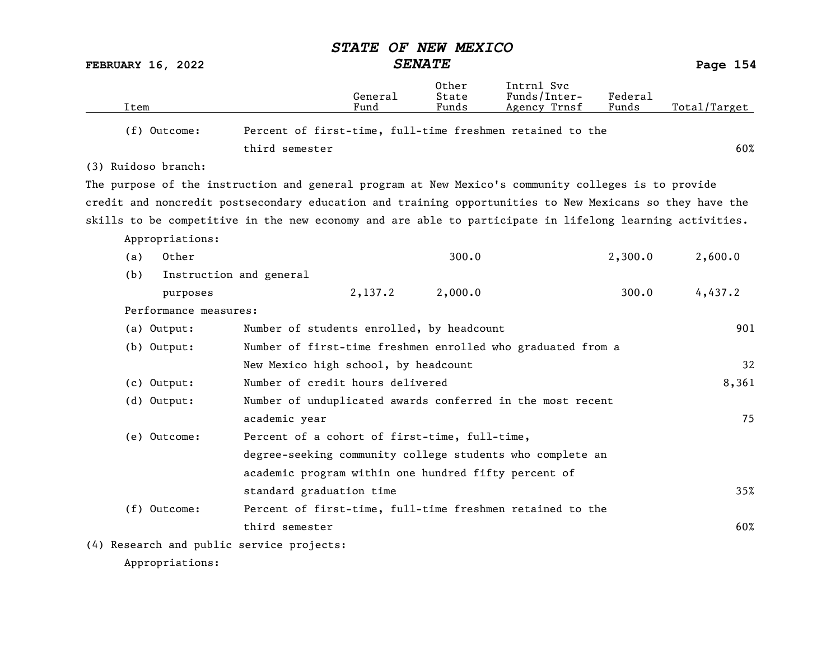|                          |                       |                                                                                                          | <b>STATE</b>    | OF NEW MEXICO           |                                                             |                         |              |
|--------------------------|-----------------------|----------------------------------------------------------------------------------------------------------|-----------------|-------------------------|-------------------------------------------------------------|-------------------------|--------------|
| <b>FEBRUARY 16, 2022</b> |                       |                                                                                                          |                 | <b>SENATE</b>           |                                                             |                         | Page 154     |
| Item                     |                       |                                                                                                          | General<br>Fund | Other<br>State<br>Funds | Intrnl Svc<br>Funds/Inter-<br>Agency Trnsf                  | <b>Federal</b><br>Funds | Total/Target |
|                          | (f) Outcome:          |                                                                                                          |                 |                         | Percent of first-time, full-time freshmen retained to the   |                         |              |
|                          |                       | third semester                                                                                           |                 |                         |                                                             |                         | 60%          |
| (3) Ruidoso branch:      |                       |                                                                                                          |                 |                         |                                                             |                         |              |
|                          |                       | The purpose of the instruction and general program at New Mexico's community colleges is to provide      |                 |                         |                                                             |                         |              |
|                          |                       | credit and noncredit postsecondary education and training opportunities to New Mexicans so they have the |                 |                         |                                                             |                         |              |
|                          |                       | skills to be competitive in the new economy and are able to participate in lifelong learning activities. |                 |                         |                                                             |                         |              |
|                          | Appropriations:       |                                                                                                          |                 |                         |                                                             |                         |              |
| (a)                      | Other                 |                                                                                                          |                 | 300.0                   |                                                             | 2,300.0                 | 2,600.0      |
| (b)                      |                       | Instruction and general                                                                                  |                 |                         |                                                             |                         |              |
|                          | purposes              |                                                                                                          | 2,137.2         | 2,000.0                 |                                                             | 300.0                   | 4,437.2      |
|                          | Performance measures: |                                                                                                          |                 |                         |                                                             |                         |              |
|                          | (a) Output:           | Number of students enrolled, by headcount                                                                |                 |                         |                                                             |                         | 901          |
|                          | (b) Output:           |                                                                                                          |                 |                         | Number of first-time freshmen enrolled who graduated from a |                         |              |
|                          |                       | New Mexico high school, by headcount                                                                     |                 |                         |                                                             |                         | 32           |
|                          | $(c)$ Output:         | Number of credit hours delivered                                                                         |                 |                         |                                                             |                         | 8,361        |
|                          | (d) Output:           |                                                                                                          |                 |                         | Number of unduplicated awards conferred in the most recent  |                         |              |
|                          |                       | academic year                                                                                            |                 |                         |                                                             |                         | 75           |
|                          | (e) Outcome:          | Percent of a cohort of first-time, full-time,                                                            |                 |                         |                                                             |                         |              |
|                          |                       |                                                                                                          |                 |                         | degree-seeking community college students who complete an   |                         |              |
|                          |                       | academic program within one hundred fifty percent of                                                     |                 |                         |                                                             |                         |              |
|                          |                       | standard graduation time                                                                                 |                 |                         |                                                             |                         | 35%          |
|                          | (f) Outcome:          |                                                                                                          |                 |                         | Percent of first-time, full-time freshmen retained to the   |                         |              |
|                          |                       | third semester                                                                                           |                 |                         |                                                             |                         | 60%          |
|                          |                       | (4) Research and public service projects:                                                                |                 |                         |                                                             |                         |              |
|                          |                       |                                                                                                          |                 |                         |                                                             |                         |              |

Appropriations: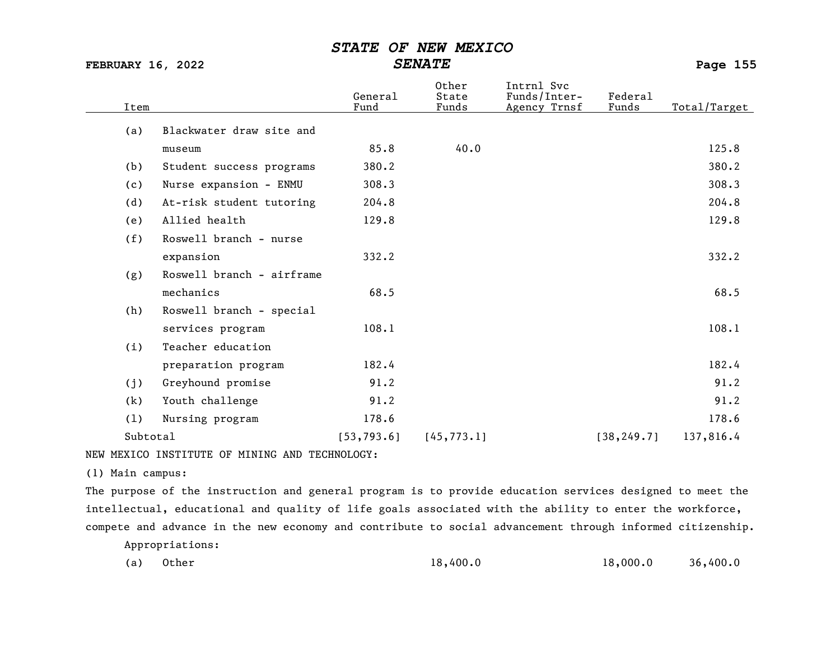FEBRUARY 16, 2022 SENATE Page 155

| Item     |                           | General<br>Fund | Other<br>State<br>Funds | Intrnl Svc<br>Funds/Inter-<br>Agency Trnsf | Federal<br>Funds | Total/Target |
|----------|---------------------------|-----------------|-------------------------|--------------------------------------------|------------------|--------------|
| (a)      | Blackwater draw site and  |                 |                         |                                            |                  |              |
|          | museum                    | 85.8            | 40.0                    |                                            |                  | 125.8        |
| (b)      | Student success programs  | 380.2           |                         |                                            |                  | 380.2        |
| (c)      | Nurse expansion - ENMU    | 308.3           |                         |                                            |                  | 308.3        |
| (d)      | At-risk student tutoring  | 204.8           |                         |                                            |                  | 204.8        |
| (e)      | Allied health             | 129.8           |                         |                                            |                  | 129.8        |
| (f)      | Roswell branch - nurse    |                 |                         |                                            |                  |              |
|          | expansion                 | 332.2           |                         |                                            |                  | 332.2        |
| (g)      | Roswell branch - airframe |                 |                         |                                            |                  |              |
|          | mechanics                 | 68.5            |                         |                                            |                  | 68.5         |
| (h)      | Roswell branch - special  |                 |                         |                                            |                  |              |
|          | services program          | 108.1           |                         |                                            |                  | 108.1        |
| (i)      | Teacher education         |                 |                         |                                            |                  |              |
|          | preparation program       | 182.4           |                         |                                            |                  | 182.4        |
| (j)      | Greyhound promise         | 91.2            |                         |                                            |                  | 91.2         |
| (k)      | Youth challenge           | 91.2            |                         |                                            |                  | 91.2         |
| (1)      | Nursing program           | 178.6           |                         |                                            |                  | 178.6        |
| Subtotal |                           | [53, 793.6]     | [45, 773.1]             |                                            | [38, 249.7]      | 137,816.4    |

NEW MEXICO INSTITUTE OF MINING AND TECHNOLOGY:

(1) Main campus:

The purpose of the instruction and general program is to provide education services designed to meet the intellectual, educational and quality of life goals associated with the ability to enter the workforce, compete and advance in the new economy and contribute to social advancement through informed citizenship.

Appropriations:

| (a) Other | 18,400.0 | 18,000.0 | 36,400.0 |
|-----------|----------|----------|----------|
|-----------|----------|----------|----------|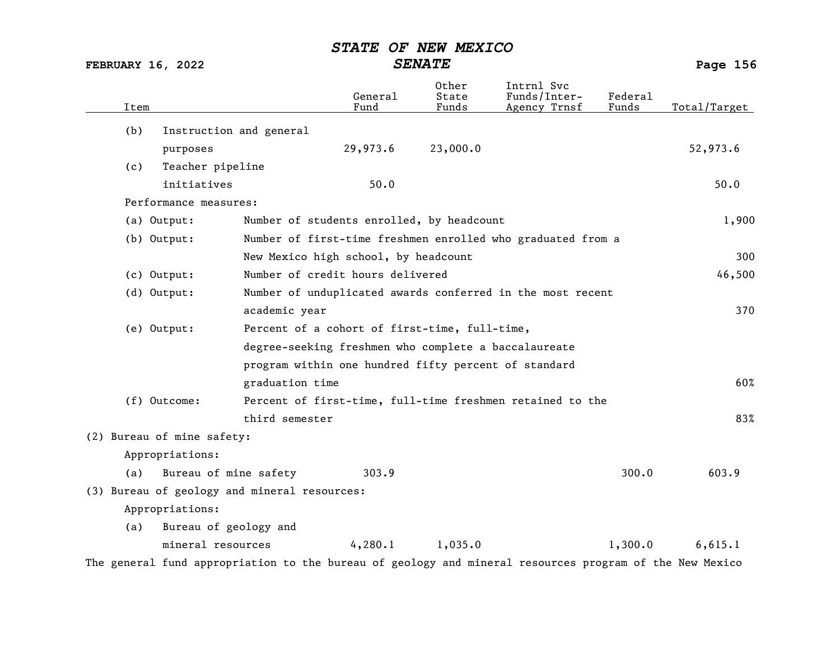FEBRUARY 16, 2022 SENATE Page 156

| Item                                                                       |                                                      | General<br>Fund | 0ther<br>State<br>Funds | Intrnl Svc<br>Funds/Inter-<br>Agency Trnsf                | Federal<br>Funds | Total/Target                |
|----------------------------------------------------------------------------|------------------------------------------------------|-----------------|-------------------------|-----------------------------------------------------------|------------------|-----------------------------|
| (b)                                                                        | Instruction and general                              |                 |                         |                                                           |                  |                             |
| purposes                                                                   |                                                      | 29,973.6        | 23,000.0                |                                                           |                  | 52,973.6                    |
| Teacher pipeline<br>(c)                                                    |                                                      |                 |                         |                                                           |                  |                             |
| initiatives                                                                |                                                      | 50.0            |                         |                                                           |                  | 50.0                        |
| Performance measures:                                                      |                                                      |                 |                         |                                                           |                  |                             |
| (a) Output:                                                                | Number of students enrolled, by headcount            |                 |                         |                                                           |                  | 1,900                       |
| Number of first-time freshmen enrolled who graduated from a<br>(b) Output: |                                                      |                 |                         |                                                           |                  |                             |
|                                                                            | New Mexico high school, by headcount                 |                 |                         |                                                           |                  | 300                         |
| $(c)$ Output:                                                              | Number of credit hours delivered                     |                 |                         |                                                           |                  | 46,500                      |
| (d) Output:<br>Number of unduplicated awards conferred in the most recent  |                                                      |                 |                         |                                                           |                  |                             |
|                                                                            | academic year                                        |                 |                         |                                                           |                  | 370                         |
| (e) Output:                                                                | Percent of a cohort of first-time, full-time,        |                 |                         |                                                           |                  |                             |
|                                                                            | degree-seeking freshmen who complete a baccalaureate |                 |                         |                                                           |                  |                             |
|                                                                            | program within one hundred fifty percent of standard |                 |                         |                                                           |                  |                             |
|                                                                            | graduation time                                      |                 |                         |                                                           |                  | 60%                         |
| (f) Outcome:                                                               |                                                      |                 |                         | Percent of first-time, full-time freshmen retained to the |                  |                             |
|                                                                            | third semester                                       |                 |                         |                                                           |                  | 83%                         |
| (2) Bureau of mine safety:                                                 |                                                      |                 |                         |                                                           |                  |                             |
| Appropriations:                                                            |                                                      |                 |                         |                                                           |                  |                             |
| (a)                                                                        | Bureau of mine safety                                | 303.9           |                         |                                                           | 300.0            | 603.9                       |
|                                                                            | (3) Bureau of geology and mineral resources:         |                 |                         |                                                           |                  |                             |
| Appropriations:                                                            |                                                      |                 |                         |                                                           |                  |                             |
| (a)                                                                        | Bureau of geology and                                |                 |                         |                                                           |                  |                             |
| mineral resources                                                          |                                                      | 4,280.1         | 1,035.0                 |                                                           | 1,300.0          | 6,615.1                     |
|                                                                            |                                                      |                 |                         |                                                           |                  | $\sim$ $\sim$ $\sim$ $\sim$ |

The general fund appropriation to the bureau of geology and mineral resources program of the New Mexico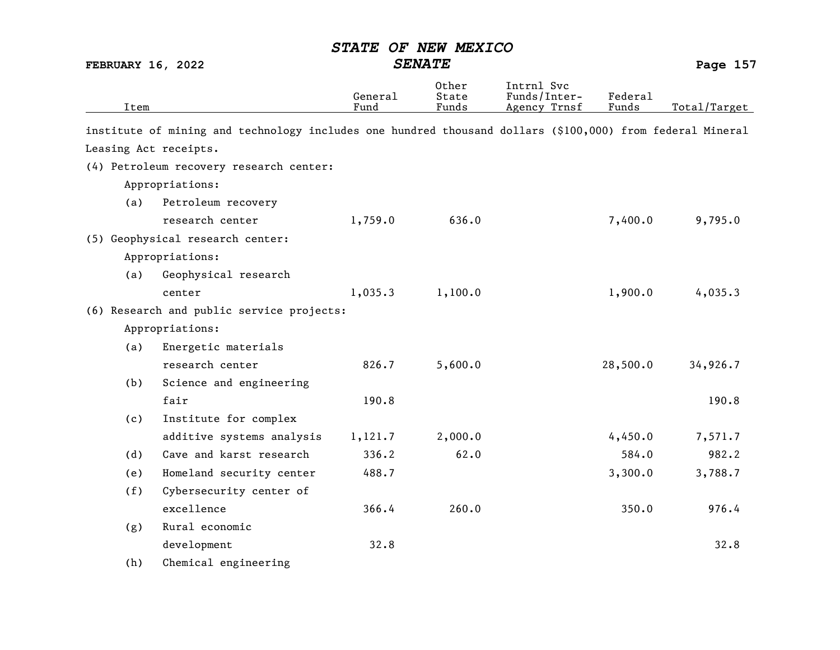| Item |     |                                                                                                           | General<br>Fund | 0ther<br>State<br>Funds | Intrnl Svc<br>Funds/Inter-<br>Agency Trnsf | Federal<br>Funds | Total/Target |
|------|-----|-----------------------------------------------------------------------------------------------------------|-----------------|-------------------------|--------------------------------------------|------------------|--------------|
|      |     | institute of mining and technology includes one hundred thousand dollars (\$100,000) from federal Mineral |                 |                         |                                            |                  |              |
|      |     | Leasing Act receipts.                                                                                     |                 |                         |                                            |                  |              |
|      |     | (4) Petroleum recovery research center:                                                                   |                 |                         |                                            |                  |              |
|      |     | Appropriations:                                                                                           |                 |                         |                                            |                  |              |
|      | (a) | Petroleum recovery                                                                                        |                 |                         |                                            |                  |              |
|      |     | research center                                                                                           | 1,759.0         | 636.0                   |                                            | 7,400.0          | 9,795.0      |
|      |     | (5) Geophysical research center:                                                                          |                 |                         |                                            |                  |              |
|      |     | Appropriations:                                                                                           |                 |                         |                                            |                  |              |
|      | (a) | Geophysical research                                                                                      |                 |                         |                                            |                  |              |
|      |     | center                                                                                                    | 1,035.3         | 1,100.0                 |                                            | 1,900.0          | 4,035.3      |
|      |     | (6) Research and public service projects:                                                                 |                 |                         |                                            |                  |              |
|      |     | Appropriations:                                                                                           |                 |                         |                                            |                  |              |
|      | (a) | Energetic materials                                                                                       |                 |                         |                                            |                  |              |
|      |     | research center                                                                                           | 826.7           | 5,600.0                 |                                            | 28,500.0         | 34,926.7     |
|      | (b) | Science and engineering                                                                                   |                 |                         |                                            |                  |              |
|      |     | fair                                                                                                      | 190.8           |                         |                                            |                  | 190.8        |
|      | (c) | Institute for complex                                                                                     |                 |                         |                                            |                  |              |
|      |     | additive systems analysis                                                                                 | 1,121.7         | 2,000.0                 |                                            | 4,450.0          | 7,571.7      |
|      | (d) | Cave and karst research                                                                                   | 336.2           | 62.0                    |                                            | 584.0            | 982.2        |
|      | (e) | Homeland security center                                                                                  | 488.7           |                         |                                            | 3,300.0          | 3,788.7      |
|      | (f) | Cybersecurity center of                                                                                   |                 |                         |                                            |                  |              |
|      |     | excellence                                                                                                | 366.4           | 260.0                   |                                            | 350.0            | 976.4        |
|      | (g) | Rural economic                                                                                            |                 |                         |                                            |                  |              |
|      |     | development                                                                                               | 32.8            |                         |                                            |                  | 32.8         |
|      | (h) | Chemical engineering                                                                                      |                 |                         |                                            |                  |              |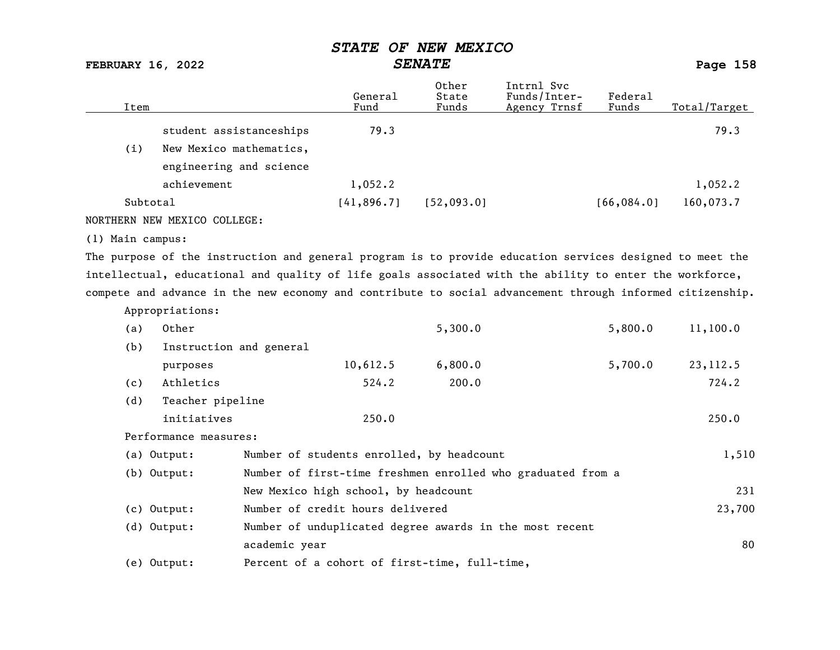FEBRUARY 16, 2022 SENATE Page 158

| Item |                         | General<br>Fund | Other<br>State<br>Funds | Intrnl Svc<br>Funds/Inter-<br>Agency Trnsf | Federal<br>Funds | Total/Target |
|------|-------------------------|-----------------|-------------------------|--------------------------------------------|------------------|--------------|
|      | student assistanceships | 79.3            |                         |                                            |                  | 79.3         |
| (i)  | New Mexico mathematics, |                 |                         |                                            |                  |              |
|      | engineering and science |                 |                         |                                            |                  |              |
|      | achievement             | 1,052.2         |                         |                                            |                  | 1,052.2      |
|      | Subtotal                | [41,896.7]      | [52, 093.0]             |                                            | [66, 084.0]      | 160,073.7    |
|      |                         |                 |                         |                                            |                  |              |

NORTHERN NEW MEXICO COLLEGE:

(1) Main campus:

The purpose of the instruction and general program is to provide education services designed to meet the intellectual, educational and quality of life goals associated with the ability to enter the workforce, compete and advance in the new economy and contribute to social advancement through informed citizenship.

|     | Appropriations:         |                                                             |         |         |          |
|-----|-------------------------|-------------------------------------------------------------|---------|---------|----------|
| (a) | Other                   |                                                             | 5,300.0 | 5,800.0 | 11,100.0 |
| (b) | Instruction and general |                                                             |         |         |          |
|     | purposes                | 10,612.5                                                    | 6,800.0 | 5,700.0 | 23,112.5 |
| (c) | Athletics               | 524.2                                                       | 200.0   |         | 724.2    |
| (d) | Teacher pipeline        |                                                             |         |         |          |
|     | initiatives             | 250.0                                                       |         |         | 250.0    |
|     | Performance measures:   |                                                             |         |         |          |
|     | (a) Output:             | Number of students enrolled, by headcount                   |         |         | 1,510    |
|     | (b) Output:             | Number of first-time freshmen enrolled who graduated from a |         |         |          |
|     |                         | New Mexico high school, by headcount                        |         |         | 231      |
|     | (c) Output:             | Number of credit hours delivered                            |         |         | 23,700   |
|     | $(d)$ Output:           | Number of unduplicated degree awards in the most recent     |         |         |          |
|     |                         | academic year                                               |         |         | 80       |
|     | (e) Output:             | Percent of a cohort of first-time, full-time,               |         |         |          |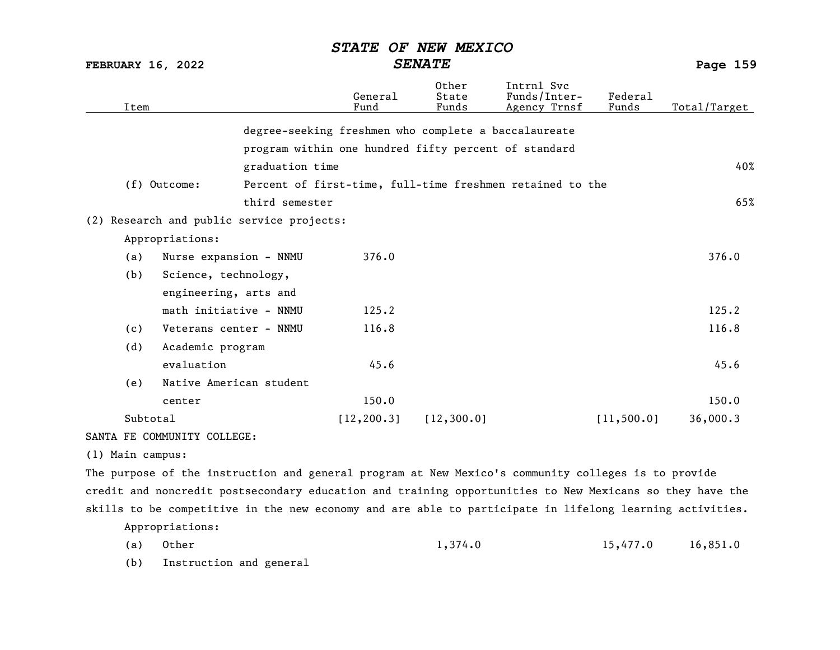FEBRUARY 16, 2022 SENATE Page 159

|                | Item             |                                           |                 | General<br>Fund                                      | Other<br>State<br>Funds                                   | Intrnl Svc<br>Funds/Inter-<br>Agency Trnsf | Federal<br>Funds | Total/Target |
|----------------|------------------|-------------------------------------------|-----------------|------------------------------------------------------|-----------------------------------------------------------|--------------------------------------------|------------------|--------------|
|                |                  |                                           |                 | degree-seeking freshmen who complete a baccalaureate |                                                           |                                            |                  |              |
|                |                  |                                           |                 | program within one hundred fifty percent of standard |                                                           |                                            |                  |              |
|                |                  |                                           | graduation time |                                                      |                                                           |                                            |                  | 40%          |
| $(f)$ Outcome: |                  |                                           |                 |                                                      | Percent of first-time, full-time freshmen retained to the |                                            |                  |              |
| third semester |                  |                                           |                 |                                                      |                                                           |                                            |                  | 65%          |
|                |                  | (2) Research and public service projects: |                 |                                                      |                                                           |                                            |                  |              |
|                |                  | Appropriations:                           |                 |                                                      |                                                           |                                            |                  |              |
|                | (a)              | 376.0<br>Nurse expansion - NNMU           |                 |                                                      |                                                           |                                            | 376.0            |              |
|                | (b)              | Science, technology,                      |                 |                                                      |                                                           |                                            |                  |              |
|                |                  | engineering, arts and                     |                 |                                                      |                                                           |                                            |                  |              |
|                |                  | math initiative - NNMU                    |                 | 125.2                                                |                                                           |                                            |                  | 125.2        |
|                | (c)              | Veterans center - NNMU                    |                 | 116.8                                                |                                                           |                                            |                  | 116.8        |
|                | (d)              | Academic program                          |                 |                                                      |                                                           |                                            |                  |              |
|                |                  | evaluation                                |                 | 45.6                                                 |                                                           |                                            |                  | 45.6         |
|                | (e)              | Native American student                   |                 |                                                      |                                                           |                                            |                  |              |
|                |                  | center                                    |                 | 150.0                                                |                                                           |                                            |                  | 150.0        |
|                | Subtotal         |                                           |                 | [12, 200.3]                                          | [12, 300.0]                                               |                                            | [11, 500.0]      | 36,000.3     |
|                |                  | SANTA FE COMMUNITY COLLEGE:               |                 |                                                      |                                                           |                                            |                  |              |
|                | (1) Main campus: |                                           |                 |                                                      |                                                           |                                            |                  |              |

The purpose of the instruction and general program at New Mexico's community colleges is to provide credit and noncredit postsecondary education and training opportunities to New Mexicans so they have the skills to be competitive in the new economy and are able to participate in lifelong learning activities. Appropriations:

(a) Other 1,374.0 15,477.0 16,851.0

(b) Instruction and general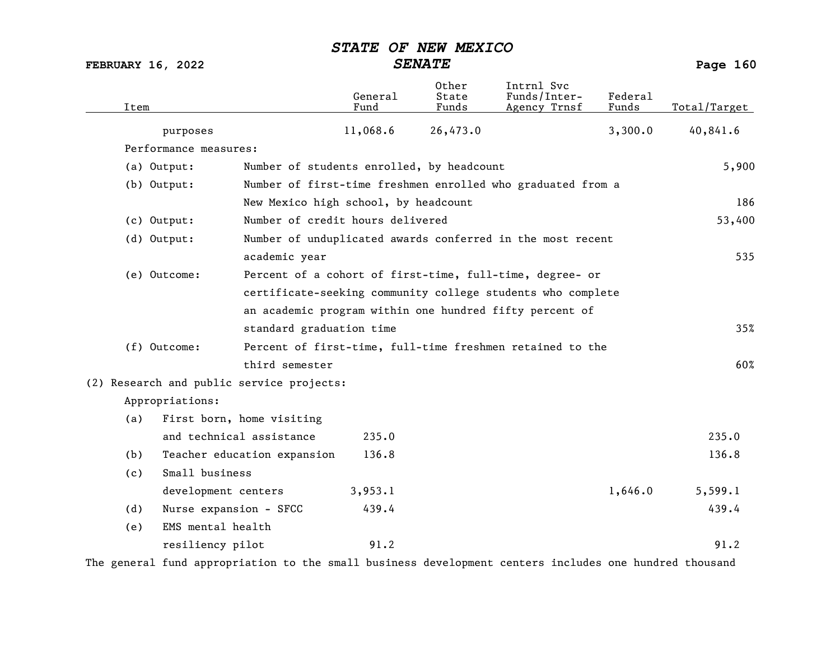FEBRUARY 16, 2022 SENATE SENATE

| Item |                       |                                           | General<br>Fund | Other<br>State<br>Funds | Intrnl Svc<br>Funds/Inter-<br>Agency Trnsf                  | Federal<br>Funds | Total/Target |
|------|-----------------------|-------------------------------------------|-----------------|-------------------------|-------------------------------------------------------------|------------------|--------------|
|      | purposes              |                                           | 11,068.6        | 26,473.0                |                                                             | 3,300.0          | 40,841.6     |
|      | Performance measures: |                                           |                 |                         |                                                             |                  |              |
|      | (a) Output:           | Number of students enrolled, by headcount |                 |                         |                                                             |                  | 5,900        |
|      | (b) Output:           |                                           |                 |                         | Number of first-time freshmen enrolled who graduated from a |                  |              |
|      |                       | New Mexico high school, by headcount      |                 |                         |                                                             |                  | 186          |
|      | $(c)$ Output:         | Number of credit hours delivered          |                 |                         |                                                             |                  | 53,400       |
|      | (d) Output:           |                                           |                 |                         | Number of unduplicated awards conferred in the most recent  |                  |              |
|      |                       | academic year                             |                 |                         |                                                             |                  | 535          |
|      | (e) Outcome:          |                                           |                 |                         | Percent of a cohort of first-time, full-time, degree- or    |                  |              |
|      |                       |                                           |                 |                         | certificate-seeking community college students who complete |                  |              |
|      |                       |                                           |                 |                         | an academic program within one hundred fifty percent of     |                  |              |
|      |                       | standard graduation time                  |                 |                         |                                                             |                  | 35%          |
|      | (f) Outcome:          |                                           |                 |                         | Percent of first-time, full-time freshmen retained to the   |                  |              |
|      |                       | third semester                            |                 |                         |                                                             |                  | 60%          |
|      |                       | (2) Research and public service projects: |                 |                         |                                                             |                  |              |
|      | Appropriations:       |                                           |                 |                         |                                                             |                  |              |
| (a)  |                       | First born, home visiting                 |                 |                         |                                                             |                  |              |
|      |                       | and technical assistance                  | 235.0           |                         |                                                             |                  | 235.0        |
| (b)  |                       | Teacher education expansion               | 136.8           |                         |                                                             |                  | 136.8        |
| (c)  | Small business        |                                           |                 |                         |                                                             |                  |              |
|      | development centers   |                                           | 3,953.1         |                         |                                                             | 1,646.0          | 5,599.1      |
| (d)  |                       | Nurse expansion - SFCC                    | 439.4           |                         |                                                             |                  | 439.4        |
| (e)  | EMS mental health     |                                           |                 |                         |                                                             |                  |              |
|      | resiliency pilot      |                                           | 91.2            |                         |                                                             |                  | 91.2         |

The general fund appropriation to the small business development centers includes one hundred thousand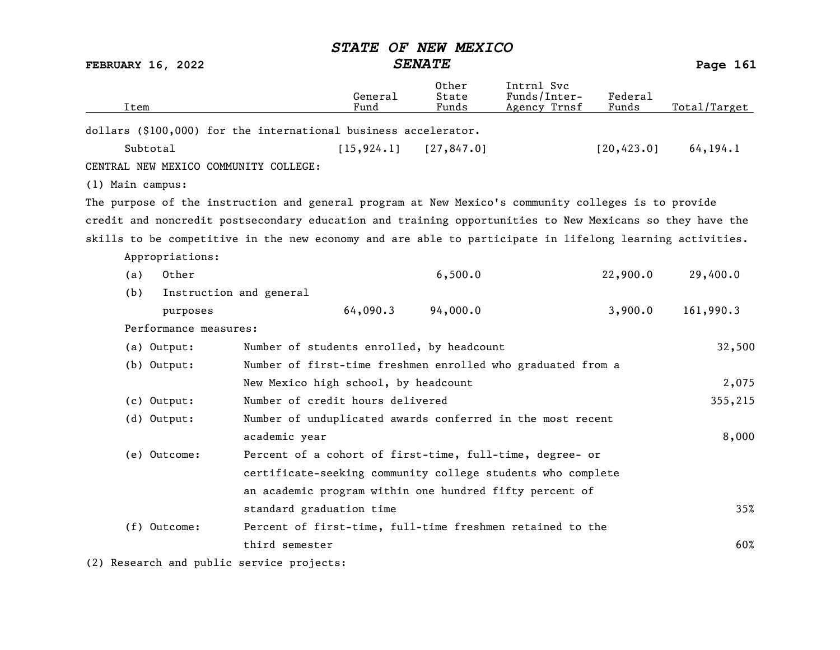| <b>FEBRUARY 16, 2022</b>              |                                                                                                          | <b>SENATE</b>           |                                            |                  |              |  |
|---------------------------------------|----------------------------------------------------------------------------------------------------------|-------------------------|--------------------------------------------|------------------|--------------|--|
| Item                                  | General<br>Fund                                                                                          | Other<br>State<br>Funds | Intrnl Svc<br>Funds/Inter-<br>Agency Trnsf | Federal<br>Funds | Total/Target |  |
|                                       | dollars (\$100,000) for the international business accelerator.                                          |                         |                                            |                  |              |  |
| Subtotal                              | [15, 924.1]                                                                                              | [27, 847.0]             |                                            | [20, 423.0]      | 64, 194.1    |  |
| CENTRAL NEW MEXICO COMMUNITY COLLEGE: |                                                                                                          |                         |                                            |                  |              |  |
| (1) Main campus:                      |                                                                                                          |                         |                                            |                  |              |  |
|                                       | The purpose of the instruction and general program at New Mexico's community colleges is to provide      |                         |                                            |                  |              |  |
|                                       | credit and noncredit postsecondary education and training opportunities to New Mexicans so they have the |                         |                                            |                  |              |  |
|                                       | skills to be competitive in the new economy and are able to participate in lifelong learning activities. |                         |                                            |                  |              |  |
| Appropriations:                       |                                                                                                          |                         |                                            |                  |              |  |
| Other<br>(a)                          |                                                                                                          | 6,500.0                 |                                            | 22,900.0         | 29,400.0     |  |
| (b)                                   | Instruction and general                                                                                  |                         |                                            |                  |              |  |
| purposes                              | 64,090.3                                                                                                 | 94,000.0                |                                            | 3,900.0          | 161,990.3    |  |
| Performance measures:                 |                                                                                                          |                         |                                            |                  |              |  |
| (a) Output:                           | Number of students enrolled, by headcount                                                                |                         |                                            |                  | 32,500       |  |
| (b) Output:                           | Number of first-time freshmen enrolled who graduated from a                                              |                         |                                            |                  |              |  |
|                                       | New Mexico high school, by headcount                                                                     |                         |                                            |                  | 2,075        |  |
| $(c)$ Output:                         | Number of credit hours delivered                                                                         |                         |                                            |                  | 355,215      |  |
| (d) Output:                           | Number of unduplicated awards conferred in the most recent                                               |                         |                                            |                  |              |  |
|                                       | academic year                                                                                            |                         |                                            |                  | 8,000        |  |
| (e) Outcome:                          | Percent of a cohort of first-time, full-time, degree- or                                                 |                         |                                            |                  |              |  |
|                                       | certificate-seeking community college students who complete                                              |                         |                                            |                  |              |  |
|                                       | an academic program within one hundred fifty percent of                                                  |                         |                                            |                  |              |  |
|                                       | standard graduation time                                                                                 |                         |                                            |                  | 35%          |  |
| (f) Outcome:                          | Percent of first-time, full-time freshmen retained to the                                                |                         |                                            |                  |              |  |
|                                       | third semester                                                                                           |                         |                                            |                  | 60%          |  |

(2) Research and public service projects: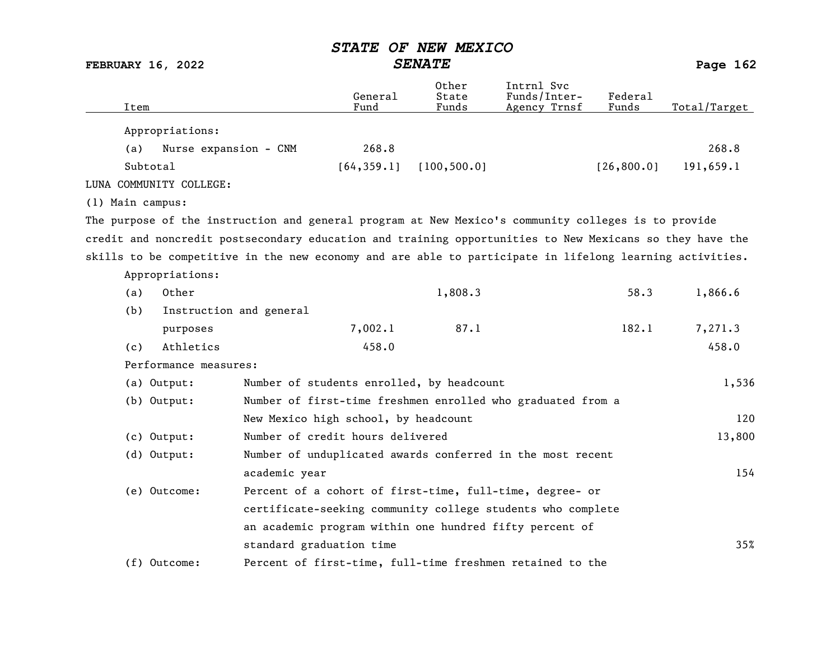FEBRUARY 16, 2022 SENATE SENATE

| Item             |                         |                                                                                                          | General<br>Fund | Other<br>State<br>Funds | Intrnl Svc<br>Funds/Inter-<br>Agency Trnsf | Federal<br>Funds | Total/Target |
|------------------|-------------------------|----------------------------------------------------------------------------------------------------------|-----------------|-------------------------|--------------------------------------------|------------------|--------------|
|                  | Appropriations:         |                                                                                                          |                 |                         |                                            |                  |              |
| (a)              | Nurse expansion - CNM   |                                                                                                          | 268.8           |                         |                                            |                  | 268.8        |
|                  | Subtotal                |                                                                                                          | [64, 359.1]     | [100, 500.0]            |                                            | [26, 800.0]      | 191,659.1    |
|                  | LUNA COMMUNITY COLLEGE: |                                                                                                          |                 |                         |                                            |                  |              |
| (1) Main campus: |                         |                                                                                                          |                 |                         |                                            |                  |              |
|                  |                         | The purpose of the instruction and general program at New Mexico's community colleges is to provide      |                 |                         |                                            |                  |              |
|                  |                         | credit and noncredit postsecondary education and training opportunities to New Mexicans so they have the |                 |                         |                                            |                  |              |
|                  |                         | skills to be competitive in the new economy and are able to participate in lifelong learning activities. |                 |                         |                                            |                  |              |
|                  | Appropriations:         |                                                                                                          |                 |                         |                                            |                  |              |
| (a)              | Other                   |                                                                                                          |                 | 1,808.3                 |                                            | 58.3             | 1,866.6      |
| (b)              | Instruction and general |                                                                                                          |                 |                         |                                            |                  |              |
|                  | purposes                |                                                                                                          | 7,002.1         | 87.1                    |                                            | 182.1            | 7,271.3      |
| (c)              | Athletics               |                                                                                                          | 458.0           |                         |                                            |                  | 458.0        |
|                  | Performance measures:   |                                                                                                          |                 |                         |                                            |                  |              |
|                  | (a) Output:             | Number of students enrolled, by headcount                                                                |                 |                         |                                            |                  | 1,536        |
|                  | (b) Output:             | Number of first-time freshmen enrolled who graduated from a                                              |                 |                         |                                            |                  |              |
|                  |                         | New Mexico high school, by headcount                                                                     |                 |                         |                                            |                  | 120          |
|                  | (c) Output:             | Number of credit hours delivered                                                                         |                 |                         |                                            |                  | 13,800       |
|                  | (d) Output:             | Number of unduplicated awards conferred in the most recent                                               |                 |                         |                                            |                  |              |
|                  |                         | academic year                                                                                            |                 |                         |                                            |                  | 154          |
|                  | (e) Outcome:            | Percent of a cohort of first-time, full-time, degree- or                                                 |                 |                         |                                            |                  |              |
|                  |                         | certificate-seeking community college students who complete                                              |                 |                         |                                            |                  |              |
|                  |                         | an academic program within one hundred fifty percent of                                                  |                 |                         |                                            |                  |              |
|                  |                         | standard graduation time                                                                                 |                 |                         |                                            |                  | 35%          |
|                  | (f) Outcome:            | Percent of first-time, full-time freshmen retained to the                                                |                 |                         |                                            |                  |              |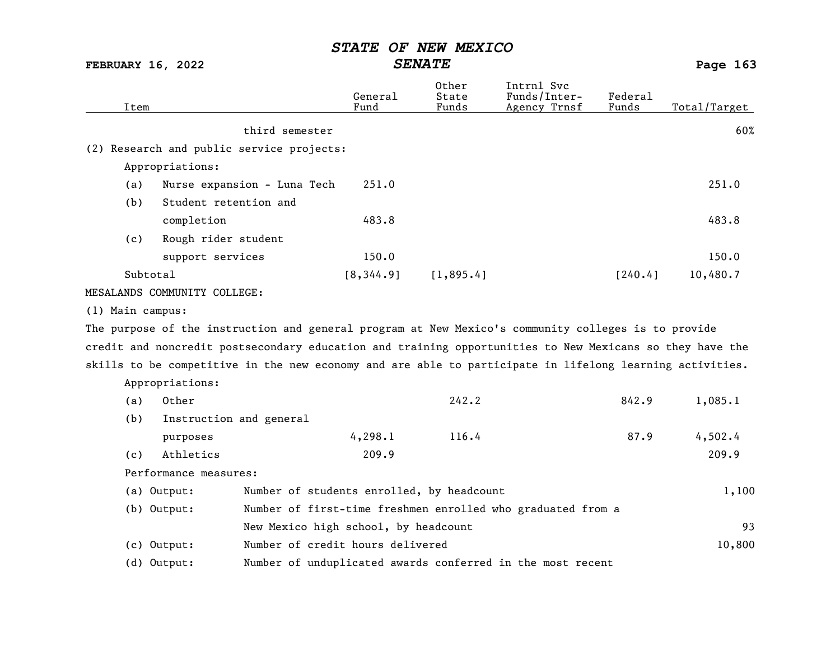FEBRUARY 16, 2022 SENATE SENATE

| Item             |                              |                                                                                                          | General<br>Fund | 0ther<br>State<br>Funds | Intrnl Svc<br>Funds/Inter-<br>Agency Trnsf                  | Federal<br>Funds | Total/Target |
|------------------|------------------------------|----------------------------------------------------------------------------------------------------------|-----------------|-------------------------|-------------------------------------------------------------|------------------|--------------|
|                  |                              | third semester                                                                                           |                 |                         |                                                             |                  | 60%          |
|                  |                              | (2) Research and public service projects:                                                                |                 |                         |                                                             |                  |              |
|                  | Appropriations:              |                                                                                                          |                 |                         |                                                             |                  |              |
| (a)              |                              | Nurse expansion - Luna Tech                                                                              | 251.0           |                         |                                                             |                  | 251.0        |
| (b)              | Student retention and        |                                                                                                          |                 |                         |                                                             |                  |              |
|                  | completion                   |                                                                                                          | 483.8           |                         |                                                             |                  | 483.8        |
| (c)              | Rough rider student          |                                                                                                          |                 |                         |                                                             |                  |              |
|                  | support services             |                                                                                                          | 150.0           |                         |                                                             |                  | 150.0        |
|                  | Subtotal                     |                                                                                                          | [8, 344.9]      | [1, 895.4]              |                                                             | [240.4]          | 10,480.7     |
|                  | MESALANDS COMMUNITY COLLEGE: |                                                                                                          |                 |                         |                                                             |                  |              |
| (1) Main campus: |                              |                                                                                                          |                 |                         |                                                             |                  |              |
|                  |                              | The purpose of the instruction and general program at New Mexico's community colleges is to provide      |                 |                         |                                                             |                  |              |
|                  |                              | credit and noncredit postsecondary education and training opportunities to New Mexicans so they have the |                 |                         |                                                             |                  |              |
|                  |                              | skills to be competitive in the new economy and are able to participate in lifelong learning activities. |                 |                         |                                                             |                  |              |
|                  | Appropriations:              |                                                                                                          |                 |                         |                                                             |                  |              |
| (a)              | Other                        |                                                                                                          |                 | 242.2                   |                                                             | 842.9            | 1,085.1      |
| (b)              |                              | Instruction and general                                                                                  |                 |                         |                                                             |                  |              |
|                  | purposes                     |                                                                                                          | 4, 298.1        | 116.4                   |                                                             | 87.9             | 4,502.4      |
| (c)              | Athletics                    |                                                                                                          | 209.9           |                         |                                                             |                  | 209.9        |
|                  | Performance measures:        |                                                                                                          |                 |                         |                                                             |                  |              |
|                  | (a) Output:                  | Number of students enrolled, by headcount                                                                |                 |                         |                                                             |                  | 1,100        |
|                  | (b) Output:                  |                                                                                                          |                 |                         | Number of first-time freshmen enrolled who graduated from a |                  |              |
|                  |                              | New Mexico high school, by headcount                                                                     |                 |                         |                                                             |                  | 93           |
|                  | (c) Output:                  | Number of credit hours delivered                                                                         |                 |                         |                                                             |                  | 10,800       |
|                  | (d) Output:                  |                                                                                                          |                 |                         | Number of unduplicated awards conferred in the most recent  |                  |              |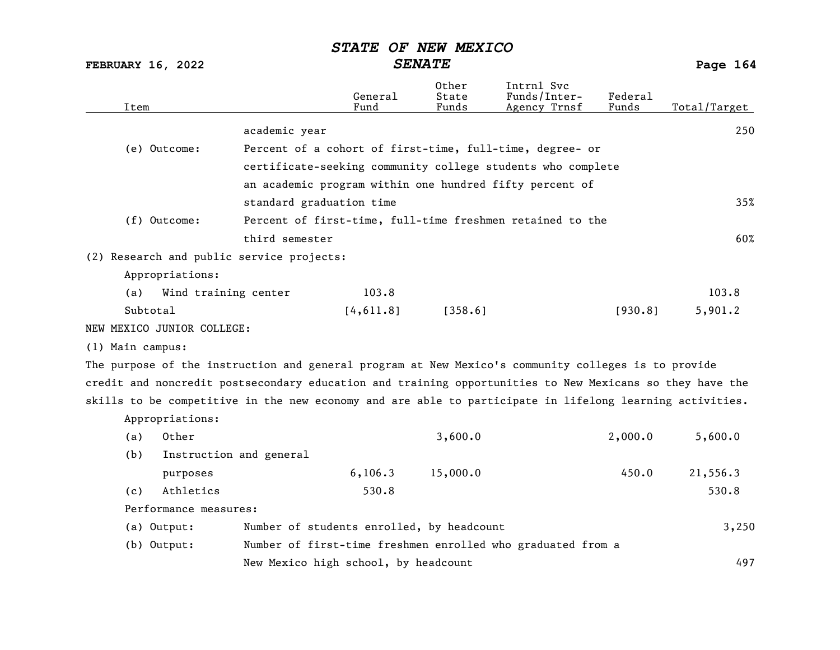|                  | Item                       |                                                                                                          | General<br>Fund | Other<br>State<br>Funds | Intrnl Svc<br>Funds/Inter-<br>Agency Trnsf                  | Federal<br>Funds | Total/Target |
|------------------|----------------------------|----------------------------------------------------------------------------------------------------------|-----------------|-------------------------|-------------------------------------------------------------|------------------|--------------|
|                  |                            | academic year                                                                                            |                 |                         |                                                             |                  | 250          |
|                  | (e) Outcome:               |                                                                                                          |                 |                         | Percent of a cohort of first-time, full-time, degree- or    |                  |              |
|                  |                            |                                                                                                          |                 |                         | certificate-seeking community college students who complete |                  |              |
|                  |                            |                                                                                                          |                 |                         | an academic program within one hundred fifty percent of     |                  |              |
|                  |                            | standard graduation time                                                                                 |                 |                         |                                                             |                  | 35%          |
|                  | (f) Outcome:               |                                                                                                          |                 |                         | Percent of first-time, full-time freshmen retained to the   |                  |              |
|                  |                            | third semester                                                                                           |                 |                         |                                                             |                  | 60%          |
|                  |                            | (2) Research and public service projects:                                                                |                 |                         |                                                             |                  |              |
|                  | Appropriations:            |                                                                                                          |                 |                         |                                                             |                  |              |
| (a)              | Wind training center       |                                                                                                          | 103.8           |                         |                                                             |                  | 103.8        |
|                  | Subtotal                   |                                                                                                          | [4, 611.8]      | [358.6]                 |                                                             | [930.8]          | 5,901.2      |
|                  | NEW MEXICO JUNIOR COLLEGE: |                                                                                                          |                 |                         |                                                             |                  |              |
| (1) Main campus: |                            |                                                                                                          |                 |                         |                                                             |                  |              |
|                  |                            | The purpose of the instruction and general program at New Mexico's community colleges is to provide      |                 |                         |                                                             |                  |              |
|                  |                            | credit and noncredit postsecondary education and training opportunities to New Mexicans so they have the |                 |                         |                                                             |                  |              |
|                  |                            | skills to be competitive in the new economy and are able to participate in lifelong learning activities. |                 |                         |                                                             |                  |              |
|                  | Appropriations:            |                                                                                                          |                 |                         |                                                             |                  |              |
| (a)              | Other                      |                                                                                                          |                 | 3,600.0                 |                                                             | 2,000.0          | 5,600.0      |
| (b)              |                            | Instruction and general                                                                                  |                 |                         |                                                             |                  |              |
|                  | purposes                   |                                                                                                          | 6, 106.3        | 15,000.0                |                                                             | 450.0            | 21,556.3     |
| (c)              | Athletics                  |                                                                                                          | 530.8           |                         |                                                             |                  | 530.8        |
|                  | Performance measures:      |                                                                                                          |                 |                         |                                                             |                  |              |
|                  | (a) Output:                | Number of students enrolled, by headcount                                                                |                 |                         |                                                             |                  | 3,250        |
|                  | (b) Output:                |                                                                                                          |                 |                         | Number of first-time freshmen enrolled who graduated from a |                  |              |
|                  |                            | New Mexico high school, by headcount                                                                     |                 |                         |                                                             |                  | 497          |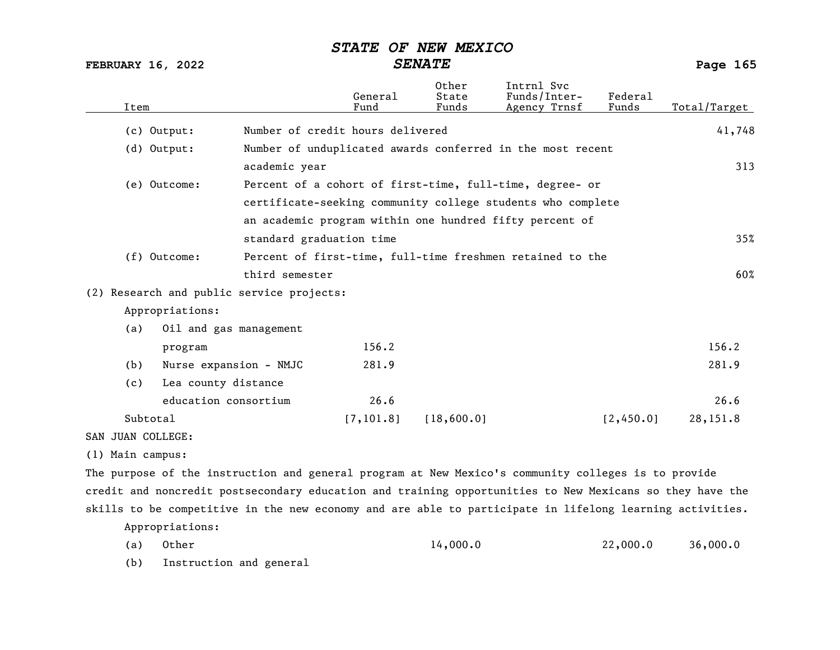FEBRUARY 16, 2022 SENATE Page 165

| Item              |                        |                                           | General<br>Fund | Other<br>State<br>Funds | Intrnl Svc<br>Funds/Inter-<br>Agency Trnsf                                                               | Federal<br>Funds | Total/Target |
|-------------------|------------------------|-------------------------------------------|-----------------|-------------------------|----------------------------------------------------------------------------------------------------------|------------------|--------------|
|                   | $(c)$ Output:          | Number of credit hours delivered          |                 |                         |                                                                                                          |                  | 41,748       |
|                   | $(d)$ Output:          |                                           |                 |                         | Number of unduplicated awards conferred in the most recent                                               |                  |              |
|                   |                        | academic year                             |                 |                         |                                                                                                          |                  | 313          |
|                   | (e) Outcome:           |                                           |                 |                         | Percent of a cohort of first-time, full-time, degree- or                                                 |                  |              |
|                   |                        |                                           |                 |                         | certificate-seeking community college students who complete                                              |                  |              |
|                   |                        |                                           |                 |                         | an academic program within one hundred fifty percent of                                                  |                  |              |
|                   |                        | standard graduation time                  |                 |                         |                                                                                                          |                  | 35%          |
|                   | $(f)$ Outcome:         |                                           |                 |                         | Percent of first-time, full-time freshmen retained to the                                                |                  |              |
|                   |                        | third semester                            |                 |                         |                                                                                                          |                  | 60%          |
|                   |                        | (2) Research and public service projects: |                 |                         |                                                                                                          |                  |              |
|                   | Appropriations:        |                                           |                 |                         |                                                                                                          |                  |              |
| (a)               | Oil and gas management |                                           |                 |                         |                                                                                                          |                  |              |
|                   | program                |                                           | 156.2           |                         |                                                                                                          |                  | 156.2        |
| (b)               | Nurse expansion - NMJC |                                           | 281.9           |                         |                                                                                                          |                  | 281.9        |
| (c)               | Lea county distance    |                                           |                 |                         |                                                                                                          |                  |              |
|                   | education consortium   |                                           | 26.6            |                         |                                                                                                          |                  | 26.6         |
|                   | Subtotal               |                                           | [7, 101.8]      | [18,600.0]              |                                                                                                          | [2,450.0]        | 28,151.8     |
| SAN JUAN COLLEGE: |                        |                                           |                 |                         |                                                                                                          |                  |              |
| (1) Main campus:  |                        |                                           |                 |                         |                                                                                                          |                  |              |
|                   |                        |                                           |                 |                         | The purpose of the instruction and general program at New Mexico's community colleges is to provide      |                  |              |
|                   |                        |                                           |                 |                         | credit and noncredit postsecondary education and training opportunities to New Mexicans so they have the |                  |              |
|                   |                        |                                           |                 |                         | skills to be competitive in the new economy and are able to participate in lifelong learning activities. |                  |              |
|                   | Appropriations:        |                                           |                 |                         |                                                                                                          |                  |              |

(a) Other 14,000.0 22,000.0 36,000.0

(b) Instruction and general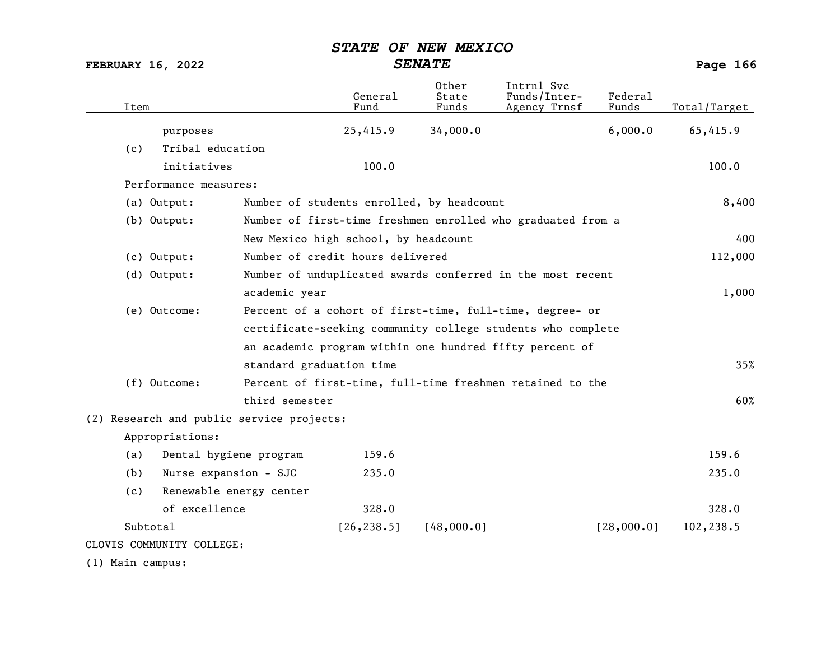| Item             |                                           |                                                            | General<br>Fund                           | Other<br>State<br>Funds | Intrnl Svc<br>Funds/Inter-<br>Agency Trnsf                  | Federa1<br>Funds | Total/Target |
|------------------|-------------------------------------------|------------------------------------------------------------|-------------------------------------------|-------------------------|-------------------------------------------------------------|------------------|--------------|
|                  | purposes                                  |                                                            | 25,415.9                                  | 34,000.0                |                                                             | 6,000.0          | 65,415.9     |
| (c)              | Tribal education                          |                                                            |                                           |                         |                                                             |                  |              |
|                  | initiatives                               |                                                            | 100.0                                     |                         |                                                             |                  | 100.0        |
|                  | Performance measures:                     |                                                            |                                           |                         |                                                             |                  |              |
|                  | (a) Output:                               |                                                            | Number of students enrolled, by headcount |                         |                                                             |                  | 8,400        |
|                  | $(b)$ Output:                             |                                                            |                                           |                         | Number of first-time freshmen enrolled who graduated from a |                  |              |
|                  |                                           |                                                            | New Mexico high school, by headcount      |                         |                                                             |                  | 400          |
|                  | (c) Output:                               |                                                            | Number of credit hours delivered          |                         |                                                             |                  | 112,000      |
|                  | (d) Output:                               | Number of unduplicated awards conferred in the most recent |                                           |                         |                                                             |                  |              |
|                  |                                           | academic year                                              |                                           |                         |                                                             |                  | 1,000        |
|                  | (e) Outcome:                              |                                                            |                                           |                         | Percent of a cohort of first-time, full-time, degree- or    |                  |              |
|                  |                                           |                                                            |                                           |                         | certificate-seeking community college students who complete |                  |              |
|                  |                                           |                                                            |                                           |                         | an academic program within one hundred fifty percent of     |                  |              |
|                  |                                           | standard graduation time                                   |                                           |                         |                                                             |                  | 35%          |
|                  | (f) Outcome:                              |                                                            |                                           |                         | Percent of first-time, full-time freshmen retained to the   |                  |              |
|                  |                                           | third semester                                             |                                           |                         |                                                             |                  | 60%          |
|                  | (2) Research and public service projects: |                                                            |                                           |                         |                                                             |                  |              |
|                  | Appropriations:                           |                                                            |                                           |                         |                                                             |                  |              |
| (a)              | Dental hygiene program                    |                                                            | 159.6                                     |                         |                                                             |                  | 159.6        |
| (b)              | Nurse expansion - SJC                     |                                                            | 235.0                                     |                         |                                                             |                  | 235.0        |
| (c)              | Renewable energy center                   |                                                            |                                           |                         |                                                             |                  |              |
|                  | of excellence                             |                                                            | 328.0                                     |                         |                                                             |                  | 328.0        |
|                  | Subtotal                                  |                                                            | [26, 238.5]                               | [48,000.0]              |                                                             | [28,000.0]       | 102,238.5    |
|                  | CLOVIS COMMUNITY COLLEGE:                 |                                                            |                                           |                         |                                                             |                  |              |
| (1) Main campus: |                                           |                                                            |                                           |                         |                                                             |                  |              |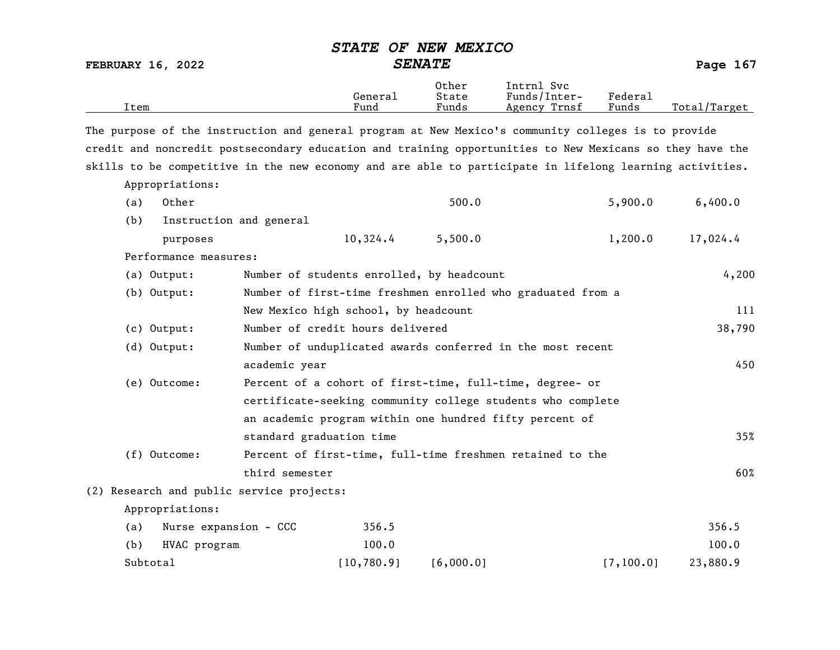| Item |                       |                                                             | General<br>Fund | Other<br>State<br>Funds | Intrnl Svc<br>Funds/Inter-<br>Agency Trnsf                                                               | Federal<br>Funds | Total/Target |
|------|-----------------------|-------------------------------------------------------------|-----------------|-------------------------|----------------------------------------------------------------------------------------------------------|------------------|--------------|
|      |                       |                                                             |                 |                         | The purpose of the instruction and general program at New Mexico's community colleges is to provide      |                  |              |
|      |                       |                                                             |                 |                         | credit and noncredit postsecondary education and training opportunities to New Mexicans so they have the |                  |              |
|      |                       |                                                             |                 |                         | skills to be competitive in the new economy and are able to participate in lifelong learning activities. |                  |              |
|      | Appropriations:       |                                                             |                 |                         |                                                                                                          |                  |              |
| (a)  | Other                 |                                                             |                 | 500.0                   |                                                                                                          | 5,900.0          | 6,400.0      |
| (b)  |                       | Instruction and general                                     |                 |                         |                                                                                                          |                  |              |
|      | purposes              |                                                             | 10,324.4        | 5,500.0                 |                                                                                                          | 1,200.0          | 17,024.4     |
|      | Performance measures: |                                                             |                 |                         |                                                                                                          |                  |              |
|      | (a) Output:           | Number of students enrolled, by headcount                   |                 |                         |                                                                                                          |                  | 4,200        |
|      | (b) Output:           |                                                             |                 |                         | Number of first-time freshmen enrolled who graduated from a                                              |                  |              |
|      |                       | New Mexico high school, by headcount                        |                 |                         |                                                                                                          |                  | 111          |
|      | $(c)$ Output:         | Number of credit hours delivered                            |                 |                         |                                                                                                          |                  | 38,790       |
|      | (d) Output:           |                                                             |                 |                         | Number of unduplicated awards conferred in the most recent                                               |                  |              |
|      |                       | academic year                                               |                 |                         |                                                                                                          |                  | 450          |
|      | (e) Outcome:          |                                                             |                 |                         | Percent of a cohort of first-time, full-time, degree- or                                                 |                  |              |
|      |                       | certificate-seeking community college students who complete |                 |                         |                                                                                                          |                  |              |
|      |                       |                                                             |                 |                         | an academic program within one hundred fifty percent of                                                  |                  |              |
|      |                       | standard graduation time                                    |                 |                         |                                                                                                          |                  | 35%          |
|      | (f) Outcome:          |                                                             |                 |                         | Percent of first-time, full-time freshmen retained to the                                                |                  |              |
|      |                       | third semester                                              |                 |                         |                                                                                                          |                  | 60%          |
|      |                       | (2) Research and public service projects:                   |                 |                         |                                                                                                          |                  |              |
|      | Appropriations:       |                                                             |                 |                         |                                                                                                          |                  |              |
| (a)  | Nurse expansion - CCC |                                                             | 356.5           |                         |                                                                                                          |                  | 356.5        |
| (b)  | HVAC program          |                                                             | 100.0           |                         |                                                                                                          |                  | 100.0        |
|      | Subtotal              |                                                             | [10, 780.9]     | [6,000.0]               |                                                                                                          | [7, 100.0]       | 23,880.9     |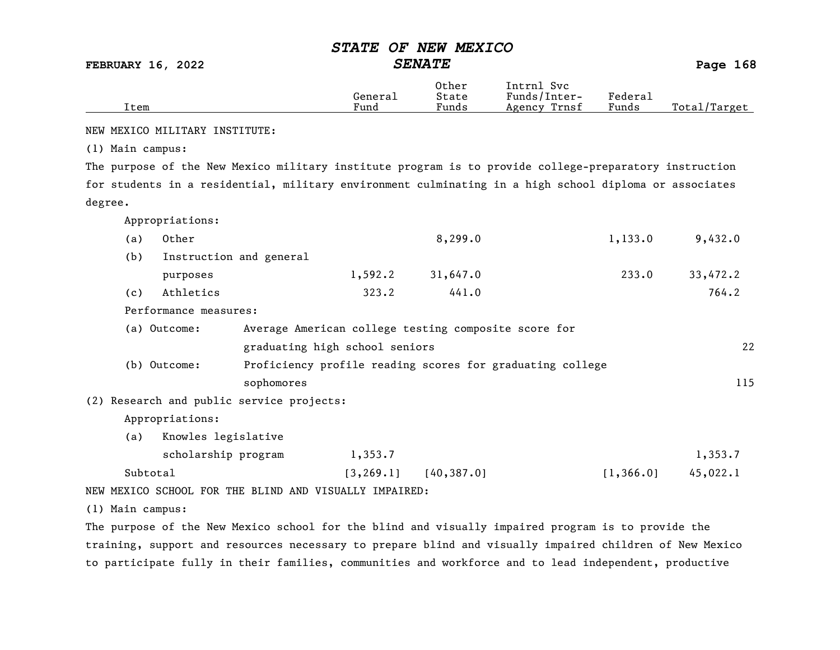FEBRUARY 16, 2022 SENATE Page 168

|      | General | Other<br>State | Svc<br>Intrnl<br>Funds/Inter- | Federai |              |
|------|---------|----------------|-------------------------------|---------|--------------|
| Item | Fund    | Funds          | Trnsf<br>Agency               | Funds   | Total/Target |

NEW MEXICO MILITARY INSTITUTE:

(1) Main campus:

The purpose of the New Mexico military institute program is to provide college-preparatory instruction for students in a residential, military environment culminating in a high school diploma or associates degree.

Appropriations:

| (a) | Other                 |                                                           | 8,299.0  | 1,133.0 | 9,432.0  |
|-----|-----------------------|-----------------------------------------------------------|----------|---------|----------|
| (b) |                       | Instruction and general                                   |          |         |          |
|     | purposes              | 1,592.2                                                   | 31,647.0 | 233.0   | 33,472.2 |
| (c) | Athletics             | 323.2                                                     | 441.0    |         | 764.2    |
|     | Performance measures: |                                                           |          |         |          |
|     | (a) Outcome:          | Average American college testing composite score for      |          |         |          |
|     |                       | graduating high school seniors                            |          |         | 22       |
|     | (b) Outcome:          | Proficiency profile reading scores for graduating college |          |         |          |

sophomores and the set of the set of the set of the set of the set of the set of the set of the set of the set of the set of the set of the set of the set of the set of the set of the set of the set of the set of the set o

(2) Research and public service projects:

Appropriations:

(a) Knowles legislative

| scholarship program | 1,353.7 |                            |          | 1,353.7  |
|---------------------|---------|----------------------------|----------|----------|
| Subtotal            |         | $[3, 269.1]$ $[40, 387.0]$ | 1,366,01 | 45,022.1 |

NEW MEXICO SCHOOL FOR THE BLIND AND VISUALLY IMPAIRED:

(1) Main campus:

The purpose of the New Mexico school for the blind and visually impaired program is to provide the training, support and resources necessary to prepare blind and visually impaired children of New Mexico to participate fully in their families, communities and workforce and to lead independent, productive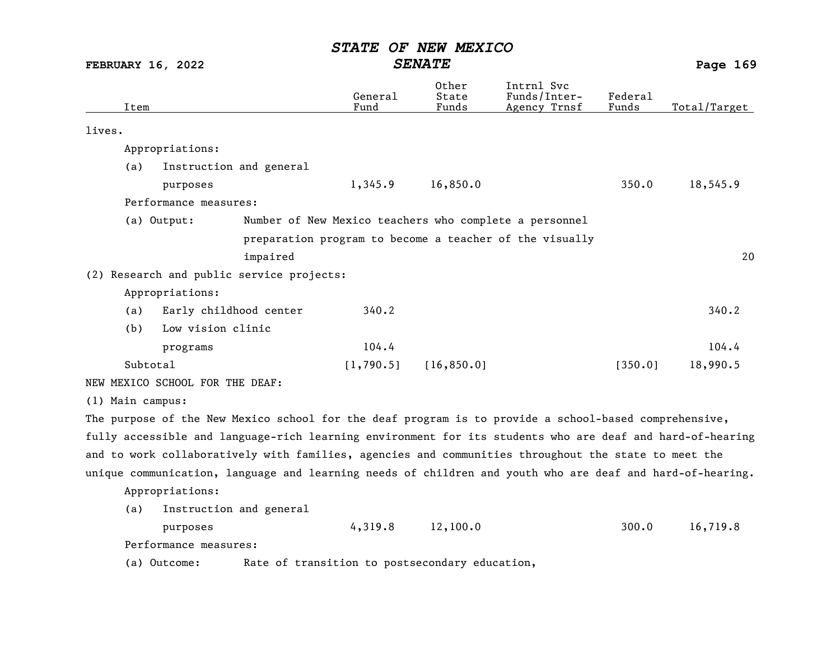FEBRUARY 16, 2022 SENATE SENATE

| Item             |                                 |                                                  | General<br>Fund | Other<br>State<br>Funds | Intrnl Svc<br>Funds/Inter-<br>Agency Trnsf                                                                | Federal<br>Funds | Total/Target |
|------------------|---------------------------------|--------------------------------------------------|-----------------|-------------------------|-----------------------------------------------------------------------------------------------------------|------------------|--------------|
| lives.           |                                 |                                                  |                 |                         |                                                                                                           |                  |              |
|                  | Appropriations:                 |                                                  |                 |                         |                                                                                                           |                  |              |
| (a)              | Instruction and general         |                                                  |                 |                         |                                                                                                           |                  |              |
|                  | purposes                        |                                                  | 1,345.9         | 16,850.0                |                                                                                                           | 350.0            | 18,545.9     |
|                  | Performance measures:           |                                                  |                 |                         |                                                                                                           |                  |              |
|                  | (a) Output:                     |                                                  |                 |                         | Number of New Mexico teachers who complete a personnel                                                    |                  |              |
|                  |                                 |                                                  |                 |                         | preparation program to become a teacher of the visually                                                   |                  |              |
|                  |                                 | impaired                                         |                 |                         |                                                                                                           |                  | 20           |
|                  |                                 | (2) Research and public service projects:        |                 |                         |                                                                                                           |                  |              |
|                  | Appropriations:                 |                                                  |                 |                         |                                                                                                           |                  |              |
| (a)              | Early childhood center          |                                                  | 340.2           |                         |                                                                                                           |                  | 340.2        |
| (b)              | Low vision clinic               |                                                  |                 |                         |                                                                                                           |                  |              |
|                  | programs                        |                                                  | 104.4           |                         |                                                                                                           |                  | 104.4        |
|                  | Subtotal                        |                                                  | [1,790.5]       | [16, 850.0]             |                                                                                                           | [350.0]          | 18,990.5     |
|                  | NEW MEXICO SCHOOL FOR THE DEAF: |                                                  |                 |                         |                                                                                                           |                  |              |
| (1) Main campus: |                                 |                                                  |                 |                         |                                                                                                           |                  |              |
|                  |                                 |                                                  |                 |                         | The purpose of the New Mexico school for the deaf program is to provide a school-based comprehensive,     |                  |              |
|                  |                                 |                                                  |                 |                         | fully accessible and language-rich learning environment for its students who are deaf and hard-of-hearing |                  |              |
|                  |                                 |                                                  |                 |                         | and to work collaboratively with families, agencies and communities throughout the state to meet the      |                  |              |
|                  |                                 |                                                  |                 |                         | unique communication, language and learning needs of children and youth who are deaf and hard-of-hearing. |                  |              |
|                  | Appropriations:                 |                                                  |                 |                         |                                                                                                           |                  |              |
| (a)              | Instruction and general         |                                                  |                 |                         |                                                                                                           |                  |              |
|                  | purposes                        |                                                  | 4,319.8         | 12,100.0                |                                                                                                           | 300.0            | 16,719.8     |
|                  | Performance measures:           |                                                  |                 |                         |                                                                                                           |                  |              |
|                  | $(2)$ $(2)$                     | . Data af tungastitan ta nastasanalam salvastita |                 |                         |                                                                                                           |                  |              |

(a) Outcome: Rate of transition to postsecondary education,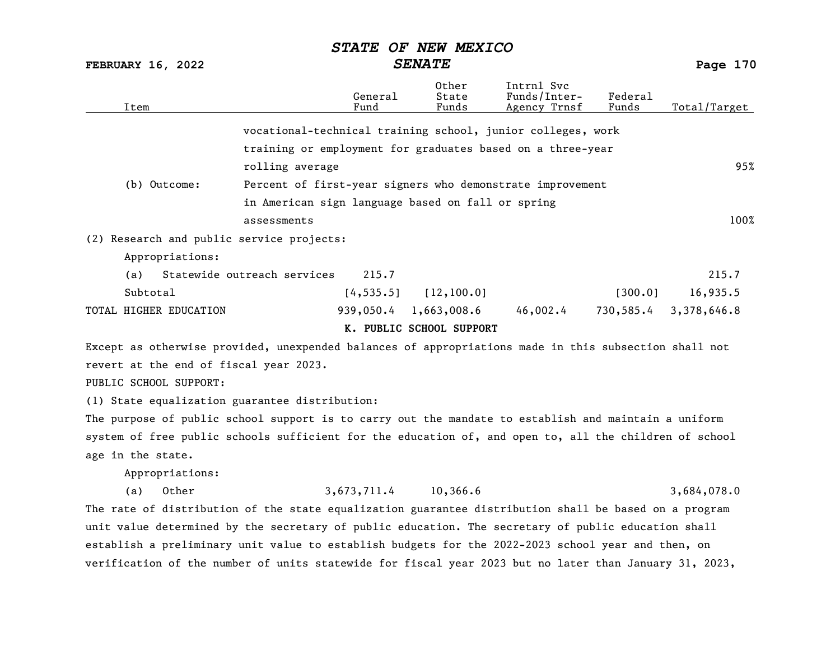FEBRUARY 16, 2022 SENATE SENATE

| Item                                                                                                  |                                                             | General<br>Fund | Other<br>State<br>Funds  | Intrnl Svc<br>Funds/Inter-<br>Agency Trnsf | Federal<br>Funds | Total/Target |  |
|-------------------------------------------------------------------------------------------------------|-------------------------------------------------------------|-----------------|--------------------------|--------------------------------------------|------------------|--------------|--|
|                                                                                                       | vocational-technical training school, junior colleges, work |                 |                          |                                            |                  |              |  |
|                                                                                                       | training or employment for graduates based on a three-year  |                 |                          |                                            |                  |              |  |
|                                                                                                       | rolling average                                             |                 |                          |                                            |                  | 95%          |  |
| (b) Outcome:<br>Percent of first-year signers who demonstrate improvement                             |                                                             |                 |                          |                                            |                  |              |  |
|                                                                                                       | in American sign language based on fall or spring           |                 |                          |                                            |                  |              |  |
|                                                                                                       | assessments                                                 |                 |                          |                                            |                  | 100%         |  |
| (2) Research and public service projects:                                                             |                                                             |                 |                          |                                            |                  |              |  |
| Appropriations:                                                                                       |                                                             |                 |                          |                                            |                  |              |  |
| (a)                                                                                                   | Statewide outreach services                                 | 215.7           |                          |                                            |                  | 215.7        |  |
| Subtotal                                                                                              |                                                             | [4, 535.5]      | [12, 100.0]              |                                            | [300.0]          | 16,935.5     |  |
| TOTAL HIGHER EDUCATION                                                                                |                                                             | 939,050.4       | 1,663,008.6              | 46,002.4                                   | 730,585.4        | 3,378,646.8  |  |
|                                                                                                       |                                                             |                 | K. PUBLIC SCHOOL SUPPORT |                                            |                  |              |  |
| Except as otherwise provided, unexpended balances of appropriations made in this subsection shall not |                                                             |                 |                          |                                            |                  |              |  |
| revert at the end of fiscal year 2023.                                                                |                                                             |                 |                          |                                            |                  |              |  |
| PUBLIC SCHOOL SUPPORT:                                                                                |                                                             |                 |                          |                                            |                  |              |  |

(1) State equalization guarantee distribution:

The purpose of public school support is to carry out the mandate to establish and maintain a uniform system of free public schools sufficient for the education of, and open to, all the children of school age in the state.

Appropriations:

(a) Other 3,673,711.4 10,366.6 3,684,078.0 The rate of distribution of the state equalization guarantee distribution shall be based on a program unit value determined by the secretary of public education. The secretary of public education shall establish a preliminary unit value to establish budgets for the 2022-2023 school year and then, on verification of the number of units statewide for fiscal year 2023 but no later than January 31, 2023,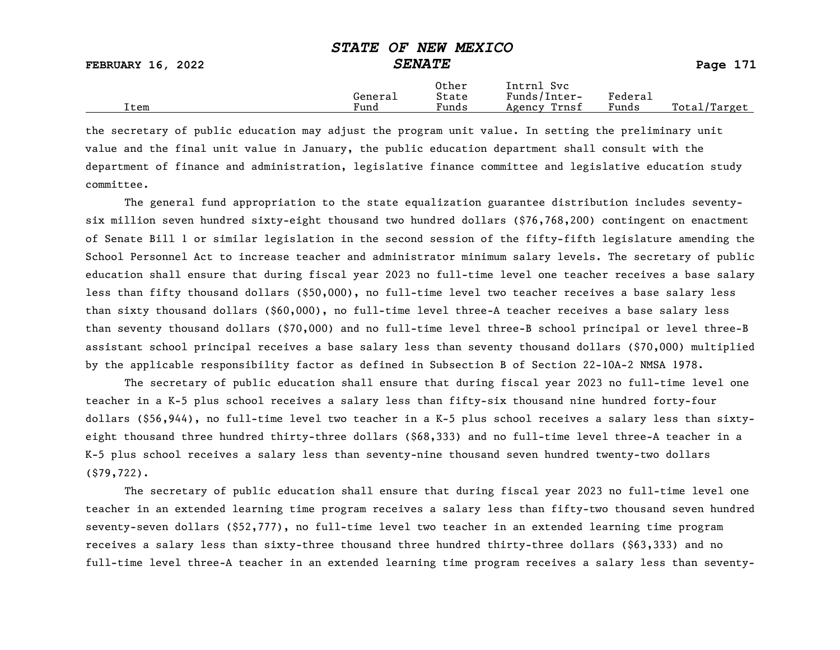|                          | --------<br>----------------- |                |                            |         |              |
|--------------------------|-------------------------------|----------------|----------------------------|---------|--------------|
| <b>FEBRUARY 16, 2022</b> |                               | <b>SENATE</b>  |                            |         | Page $171$   |
|                          | General                       | Other<br>State | Intrnl Svc<br>Funds/Inter- | Federal |              |
| Item                     | Fund                          | Funds          | Agency Trnsf               | Funds   | Total/Target |

the secretary of public education may adjust the program unit value. In setting the preliminary unit value and the final unit value in January, the public education department shall consult with the department of finance and administration, legislative finance committee and legislative education study committee.

The general fund appropriation to the state equalization guarantee distribution includes seventysix million seven hundred sixty-eight thousand two hundred dollars (\$76,768,200) contingent on enactment of Senate Bill 1 or similar legislation in the second session of the fifty-fifth legislature amending the School Personnel Act to increase teacher and administrator minimum salary levels. The secretary of public education shall ensure that during fiscal year 2023 no full-time level one teacher receives a base salary less than fifty thousand dollars (\$50,000), no full-time level two teacher receives a base salary less than sixty thousand dollars (\$60,000), no full-time level three-A teacher receives a base salary less than seventy thousand dollars (\$70,000) and no full-time level three-B school principal or level three-B assistant school principal receives a base salary less than seventy thousand dollars (\$70,000) multiplied by the applicable responsibility factor as defined in Subsection B of Section 22-10A-2 NMSA 1978.

The secretary of public education shall ensure that during fiscal year 2023 no full-time level one teacher in a K-5 plus school receives a salary less than fifty-six thousand nine hundred forty-four dollars (\$56,944), no full-time level two teacher in a K-5 plus school receives a salary less than sixtyeight thousand three hundred thirty-three dollars (\$68,333) and no full-time level three-A teacher in a K-5 plus school receives a salary less than seventy-nine thousand seven hundred twenty-two dollars (\$79,722).

The secretary of public education shall ensure that during fiscal year 2023 no full-time level one teacher in an extended learning time program receives a salary less than fifty-two thousand seven hundred seventy-seven dollars (\$52,777), no full-time level two teacher in an extended learning time program receives a salary less than sixty-three thousand three hundred thirty-three dollars (\$63,333) and no full-time level three-A teacher in an extended learning time program receives a salary less than seventy-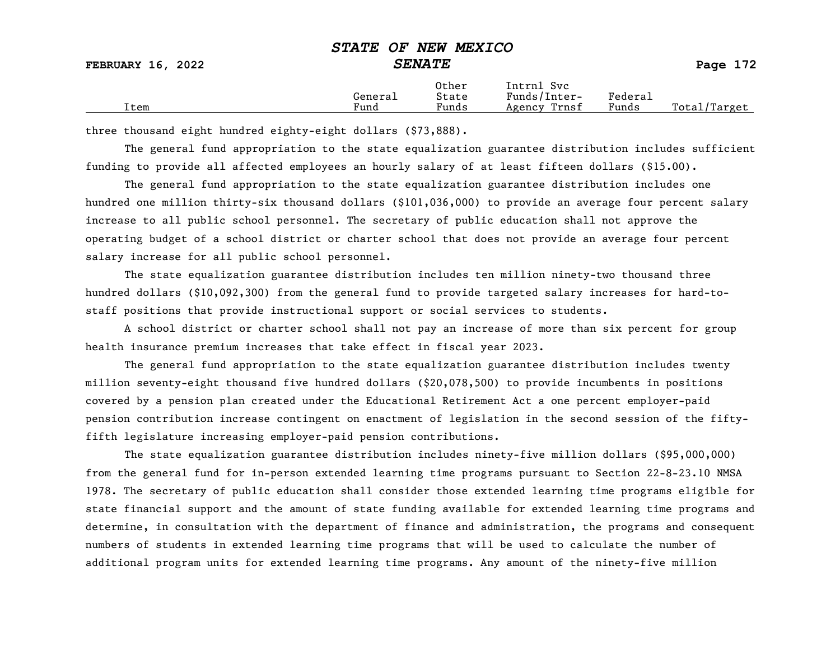### STATE OF NEW MEXICO FEBRUARY 16, 2022 SENATE Page 172

|      | General | Other<br>State        | Svc<br>Intrnl<br>Funds/Inter- | ${}_{\rm \tiny \text{Federa}_{\perp}}$ |                   |
|------|---------|-----------------------|-------------------------------|----------------------------------------|-------------------|
| Item | Fund    | $\mathbf{r}$<br>Funds | Trnsf<br>Agency               | Funds                                  | Total,<br>/Target |

three thousand eight hundred eighty-eight dollars (\$73,888).

The general fund appropriation to the state equalization guarantee distribution includes sufficient funding to provide all affected employees an hourly salary of at least fifteen dollars (\$15.00).

The general fund appropriation to the state equalization guarantee distribution includes one hundred one million thirty-six thousand dollars (\$101,036,000) to provide an average four percent salary increase to all public school personnel. The secretary of public education shall not approve the operating budget of a school district or charter school that does not provide an average four percent salary increase for all public school personnel.

The state equalization guarantee distribution includes ten million ninety-two thousand three hundred dollars (\$10,092,300) from the general fund to provide targeted salary increases for hard-tostaff positions that provide instructional support or social services to students.

A school district or charter school shall not pay an increase of more than six percent for group health insurance premium increases that take effect in fiscal year 2023.

The general fund appropriation to the state equalization guarantee distribution includes twenty million seventy-eight thousand five hundred dollars (\$20,078,500) to provide incumbents in positions covered by a pension plan created under the Educational Retirement Act a one percent employer-paid pension contribution increase contingent on enactment of legislation in the second session of the fiftyfifth legislature increasing employer-paid pension contributions.

The state equalization guarantee distribution includes ninety-five million dollars (\$95,000,000) from the general fund for in-person extended learning time programs pursuant to Section 22-8-23.10 NMSA 1978. The secretary of public education shall consider those extended learning time programs eligible for state financial support and the amount of state funding available for extended learning time programs and determine, in consultation with the department of finance and administration, the programs and consequent numbers of students in extended learning time programs that will be used to calculate the number of additional program units for extended learning time programs. Any amount of the ninety-five million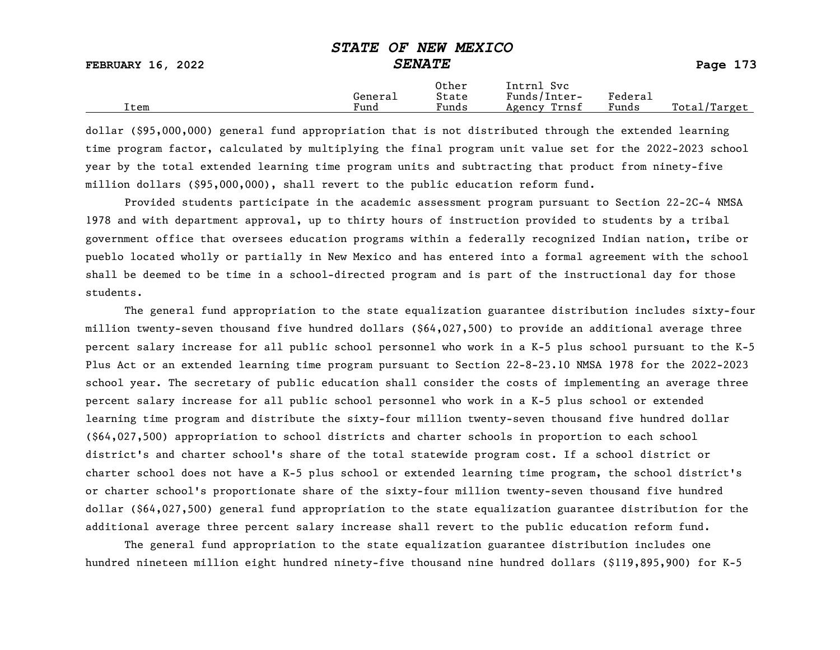| FEBRUARY 16, 2022 | DIAID OF NON MOAICO<br><i><b>SENATE</b></i> | Page 173       |                            |         |              |
|-------------------|---------------------------------------------|----------------|----------------------------|---------|--------------|
|                   | General                                     | Other<br>State | Intrnl Svc<br>Funds/Inter- | Federal |              |
| Ttem              | Fund                                        | Funds          | Agency Trnsf               | Funds   | Total/Target |

dollar (\$95,000,000) general fund appropriation that is not distributed through the extended learning time program factor, calculated by multiplying the final program unit value set for the 2022-2023 school year by the total extended learning time program units and subtracting that product from ninety-five million dollars (\$95,000,000), shall revert to the public education reform fund.

Provided students participate in the academic assessment program pursuant to Section 22-2C-4 NMSA 1978 and with department approval, up to thirty hours of instruction provided to students by a tribal government office that oversees education programs within a federally recognized Indian nation, tribe or pueblo located wholly or partially in New Mexico and has entered into a formal agreement with the school shall be deemed to be time in a school-directed program and is part of the instructional day for those students.

The general fund appropriation to the state equalization guarantee distribution includes sixty-four million twenty-seven thousand five hundred dollars (\$64,027,500) to provide an additional average three percent salary increase for all public school personnel who work in a K-5 plus school pursuant to the K-5 Plus Act or an extended learning time program pursuant to Section 22-8-23.10 NMSA 1978 for the 2022-2023 school year. The secretary of public education shall consider the costs of implementing an average three percent salary increase for all public school personnel who work in a K-5 plus school or extended learning time program and distribute the sixty-four million twenty-seven thousand five hundred dollar (\$64,027,500) appropriation to school districts and charter schools in proportion to each school district's and charter school's share of the total statewide program cost. If a school district or charter school does not have a K-5 plus school or extended learning time program, the school district's or charter school's proportionate share of the sixty-four million twenty-seven thousand five hundred dollar (\$64,027,500) general fund appropriation to the state equalization guarantee distribution for the additional average three percent salary increase shall revert to the public education reform fund.

The general fund appropriation to the state equalization guarantee distribution includes one hundred nineteen million eight hundred ninety-five thousand nine hundred dollars (\$119,895,900) for K-5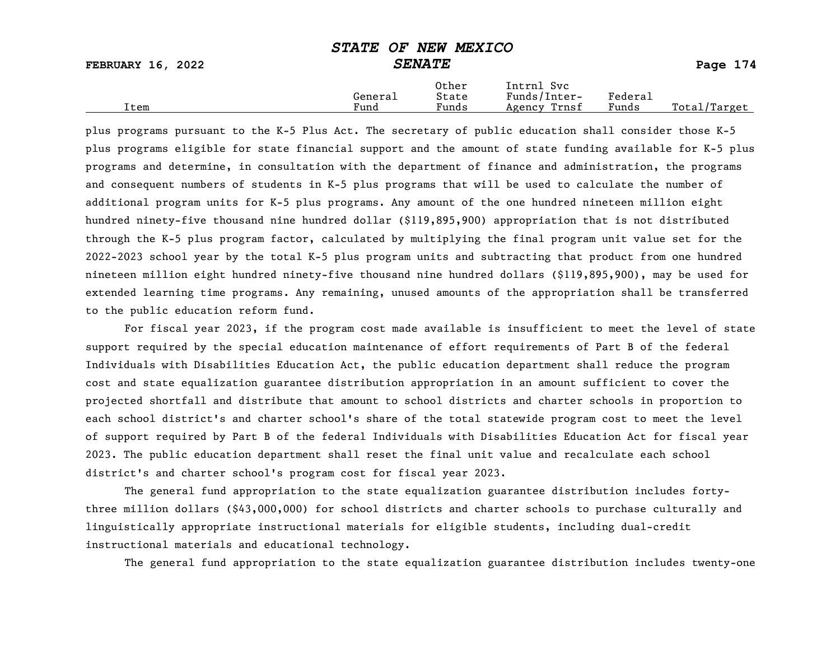| <b>FEBRUARY 16, 2022</b> | <u>UIIIL UL ININ IILIILUV</u><br><b>SENATE</b> |                |                            |         | Page 174     |
|--------------------------|------------------------------------------------|----------------|----------------------------|---------|--------------|
|                          | General                                        | Other<br>State | Intrnl Svc<br>Funds/Inter- | Federal |              |
| Item                     | Fund                                           | Funds          | Agency Trnsf               | Funds   | Total/Target |

plus programs pursuant to the K-5 Plus Act. The secretary of public education shall consider those K-5 plus programs eligible for state financial support and the amount of state funding available for K-5 plus programs and determine, in consultation with the department of finance and administration, the programs and consequent numbers of students in K-5 plus programs that will be used to calculate the number of additional program units for K-5 plus programs. Any amount of the one hundred nineteen million eight hundred ninety-five thousand nine hundred dollar (\$119,895,900) appropriation that is not distributed through the K-5 plus program factor, calculated by multiplying the final program unit value set for the 2022-2023 school year by the total K-5 plus program units and subtracting that product from one hundred nineteen million eight hundred ninety-five thousand nine hundred dollars (\$119,895,900), may be used for extended learning time programs. Any remaining, unused amounts of the appropriation shall be transferred to the public education reform fund.

For fiscal year 2023, if the program cost made available is insufficient to meet the level of state support required by the special education maintenance of effort requirements of Part B of the federal Individuals with Disabilities Education Act, the public education department shall reduce the program cost and state equalization guarantee distribution appropriation in an amount sufficient to cover the projected shortfall and distribute that amount to school districts and charter schools in proportion to each school district's and charter school's share of the total statewide program cost to meet the level of support required by Part B of the federal Individuals with Disabilities Education Act for fiscal year 2023. The public education department shall reset the final unit value and recalculate each school district's and charter school's program cost for fiscal year 2023.

The general fund appropriation to the state equalization guarantee distribution includes fortythree million dollars (\$43,000,000) for school districts and charter schools to purchase culturally and linguistically appropriate instructional materials for eligible students, including dual-credit instructional materials and educational technology.

The general fund appropriation to the state equalization guarantee distribution includes twenty-one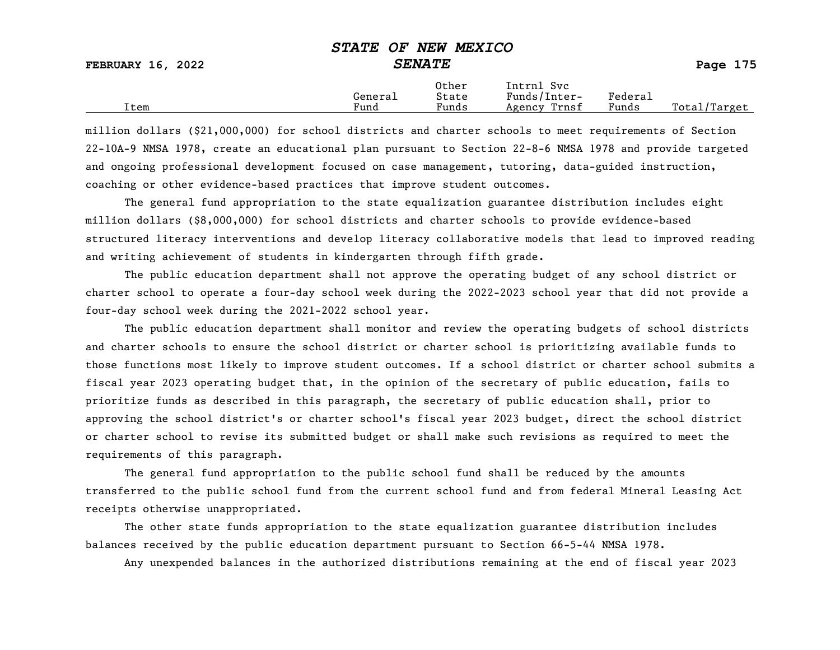FEBRUARY 16, 2022 SENATE Page 175

|      | General              | Other<br>State                    | Intrnl<br>Svc<br>Funds/Inter- | ${}_{\rm Federa}$ |                  |
|------|----------------------|-----------------------------------|-------------------------------|-------------------|------------------|
| Item | $\mathbf{r}$<br>Fund | $\overline{\phantom{a}}$<br>Funds | Trnsf<br>Agency               | Funds             | Total,<br>Target |

million dollars (\$21,000,000) for school districts and charter schools to meet requirements of Section 22-10A-9 NMSA 1978, create an educational plan pursuant to Section 22-8-6 NMSA 1978 and provide targeted and ongoing professional development focused on case management, tutoring, data-guided instruction, coaching or other evidence-based practices that improve student outcomes.

The general fund appropriation to the state equalization guarantee distribution includes eight million dollars (\$8,000,000) for school districts and charter schools to provide evidence-based structured literacy interventions and develop literacy collaborative models that lead to improved reading and writing achievement of students in kindergarten through fifth grade.

The public education department shall not approve the operating budget of any school district or charter school to operate a four-day school week during the 2022-2023 school year that did not provide a four-day school week during the 2021-2022 school year.

The public education department shall monitor and review the operating budgets of school districts and charter schools to ensure the school district or charter school is prioritizing available funds to those functions most likely to improve student outcomes. If a school district or charter school submits a fiscal year 2023 operating budget that, in the opinion of the secretary of public education, fails to prioritize funds as described in this paragraph, the secretary of public education shall, prior to approving the school district's or charter school's fiscal year 2023 budget, direct the school district or charter school to revise its submitted budget or shall make such revisions as required to meet the requirements of this paragraph.

The general fund appropriation to the public school fund shall be reduced by the amounts transferred to the public school fund from the current school fund and from federal Mineral Leasing Act receipts otherwise unappropriated.

The other state funds appropriation to the state equalization guarantee distribution includes balances received by the public education department pursuant to Section 66-5-44 NMSA 1978.

Any unexpended balances in the authorized distributions remaining at the end of fiscal year 2023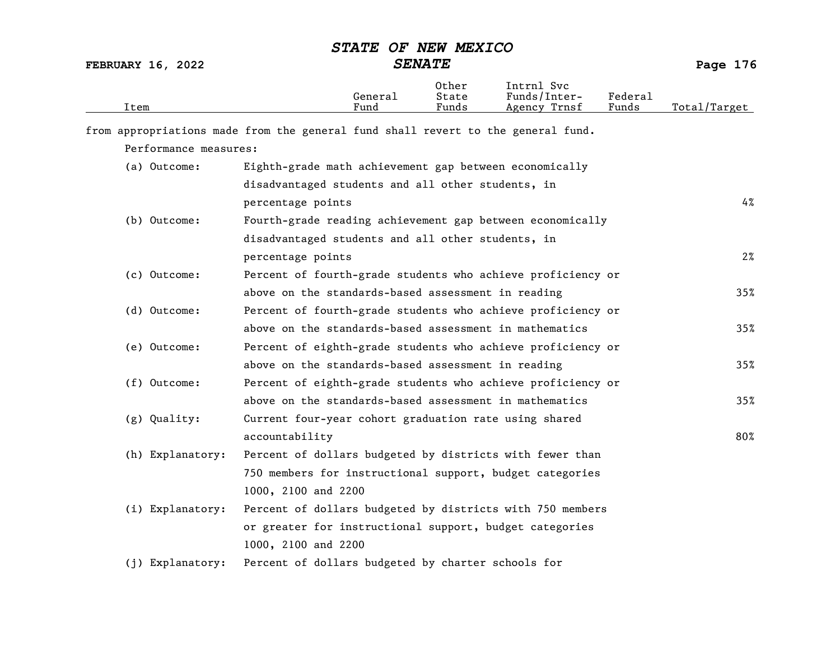| Item                                                                             |                                                             | General<br>Fund | Other<br>State<br>Funds | Intrnl Svc<br>Funds/Inter-<br>Agency Trnsf | Federal<br>Funds | Total/Target |
|----------------------------------------------------------------------------------|-------------------------------------------------------------|-----------------|-------------------------|--------------------------------------------|------------------|--------------|
| from appropriations made from the general fund shall revert to the general fund. |                                                             |                 |                         |                                            |                  |              |
| Performance measures:                                                            |                                                             |                 |                         |                                            |                  |              |
| (a) Outcome:                                                                     | Eighth-grade math achievement gap between economically      |                 |                         |                                            |                  |              |
|                                                                                  | disadvantaged students and all other students, in           |                 |                         |                                            |                  |              |
|                                                                                  | percentage points                                           |                 |                         |                                            |                  | 4%           |
| (b) Outcome:                                                                     | Fourth-grade reading achievement gap between economically   |                 |                         |                                            |                  |              |
|                                                                                  | disadvantaged students and all other students, in           |                 |                         |                                            |                  |              |
|                                                                                  | percentage points                                           |                 |                         |                                            |                  | $2\%$        |
| (c) Outcome:                                                                     | Percent of fourth-grade students who achieve proficiency or |                 |                         |                                            |                  |              |
|                                                                                  | above on the standards-based assessment in reading          |                 |                         |                                            |                  | 35%          |
| (d) Outcome:                                                                     | Percent of fourth-grade students who achieve proficiency or |                 |                         |                                            |                  |              |
|                                                                                  | above on the standards-based assessment in mathematics      |                 |                         |                                            |                  | 35%          |
| (e) Outcome:                                                                     | Percent of eighth-grade students who achieve proficiency or |                 |                         |                                            |                  |              |
|                                                                                  | above on the standards-based assessment in reading          |                 |                         |                                            |                  | 35%          |
| (f) Outcome:                                                                     | Percent of eighth-grade students who achieve proficiency or |                 |                         |                                            |                  |              |
|                                                                                  | above on the standards-based assessment in mathematics      |                 |                         |                                            |                  | 35%          |
| (g) Quality:                                                                     | Current four-year cohort graduation rate using shared       |                 |                         |                                            |                  |              |
|                                                                                  | accountability                                              |                 |                         |                                            |                  | 80%          |
| (h) Explanatory:                                                                 | Percent of dollars budgeted by districts with fewer than    |                 |                         |                                            |                  |              |
|                                                                                  | 750 members for instructional support, budget categories    |                 |                         |                                            |                  |              |
|                                                                                  | 1000, 2100 and 2200                                         |                 |                         |                                            |                  |              |
| (i) Explanatory:                                                                 | Percent of dollars budgeted by districts with 750 members   |                 |                         |                                            |                  |              |
|                                                                                  | or greater for instructional support, budget categories     |                 |                         |                                            |                  |              |
|                                                                                  | 1000, 2100 and 2200                                         |                 |                         |                                            |                  |              |
| (j) Explanatory:                                                                 | Percent of dollars budgeted by charter schools for          |                 |                         |                                            |                  |              |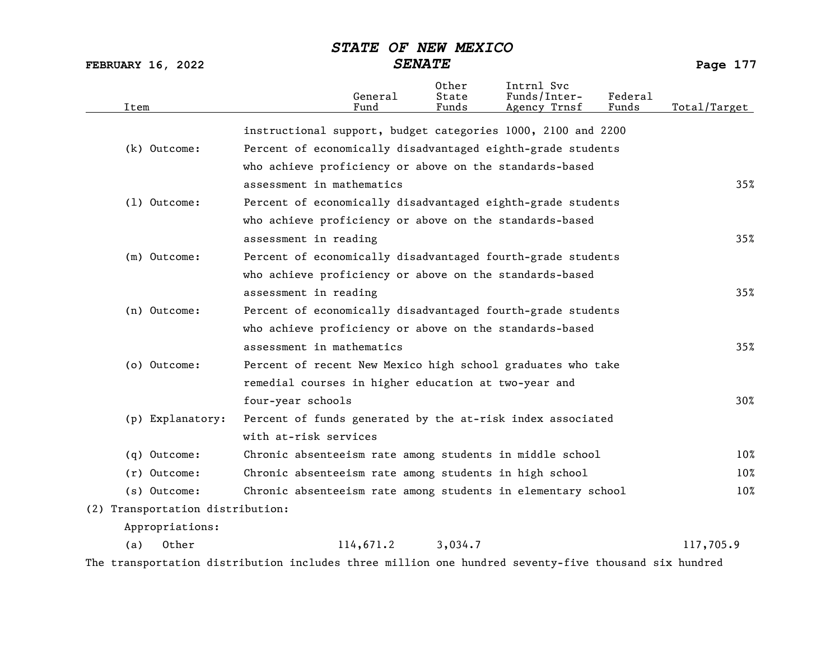FEBRUARY 16, 2022 SENATE Page 177

| Item |                                  | General<br>Fund                                              | Other<br>State<br>Funds | Intrnl Svc<br>Funds/Inter-<br>Agency Trnsf | Federal<br>Funds | Total/Target |
|------|----------------------------------|--------------------------------------------------------------|-------------------------|--------------------------------------------|------------------|--------------|
|      |                                  | instructional support, budget categories 1000, 2100 and 2200 |                         |                                            |                  |              |
|      | $(k)$ Outcome:                   | Percent of economically disadvantaged eighth-grade students  |                         |                                            |                  |              |
|      |                                  | who achieve proficiency or above on the standards-based      |                         |                                            |                  |              |
|      |                                  | assessment in mathematics                                    |                         |                                            |                  | 35%          |
|      | $(1)$ Outcome:                   | Percent of economically disadvantaged eighth-grade students  |                         |                                            |                  |              |
|      |                                  | who achieve proficiency or above on the standards-based      |                         |                                            |                  |              |
|      |                                  | assessment in reading                                        |                         |                                            |                  | 35%          |
|      | (m) Outcome:                     | Percent of economically disadvantaged fourth-grade students  |                         |                                            |                  |              |
|      |                                  | who achieve proficiency or above on the standards-based      |                         |                                            |                  |              |
|      |                                  | assessment in reading                                        |                         |                                            |                  | 35%          |
|      | (n) Outcome:                     | Percent of economically disadvantaged fourth-grade students  |                         |                                            |                  |              |
|      |                                  | who achieve proficiency or above on the standards-based      |                         |                                            |                  |              |
|      |                                  | assessment in mathematics                                    |                         |                                            |                  | 35%          |
|      | (o) Outcome:                     | Percent of recent New Mexico high school graduates who take  |                         |                                            |                  |              |
|      |                                  | remedial courses in higher education at two-year and         |                         |                                            |                  |              |
|      |                                  | four-year schools                                            |                         |                                            |                  | 30%          |
|      | (p) Explanatory:                 | Percent of funds generated by the at-risk index associated   |                         |                                            |                  |              |
|      |                                  | with at-risk services                                        |                         |                                            |                  |              |
|      | (q) Outcome:                     | Chronic absenteeism rate among students in middle school     |                         |                                            |                  | 10%          |
|      | $(r)$ Outcome:                   | Chronic absenteeism rate among students in high school       |                         |                                            |                  | 10%          |
|      | (s) Outcome:                     | Chronic absenteeism rate among students in elementary school |                         |                                            |                  | 10%          |
|      | (2) Transportation distribution: |                                                              |                         |                                            |                  |              |
|      | Appropriations:                  |                                                              |                         |                                            |                  |              |
| (a)  | Other                            | 114,671.2                                                    | 3,034.7                 |                                            |                  | 117,705.9    |

The transportation distribution includes three million one hundred seventy-five thousand six hundred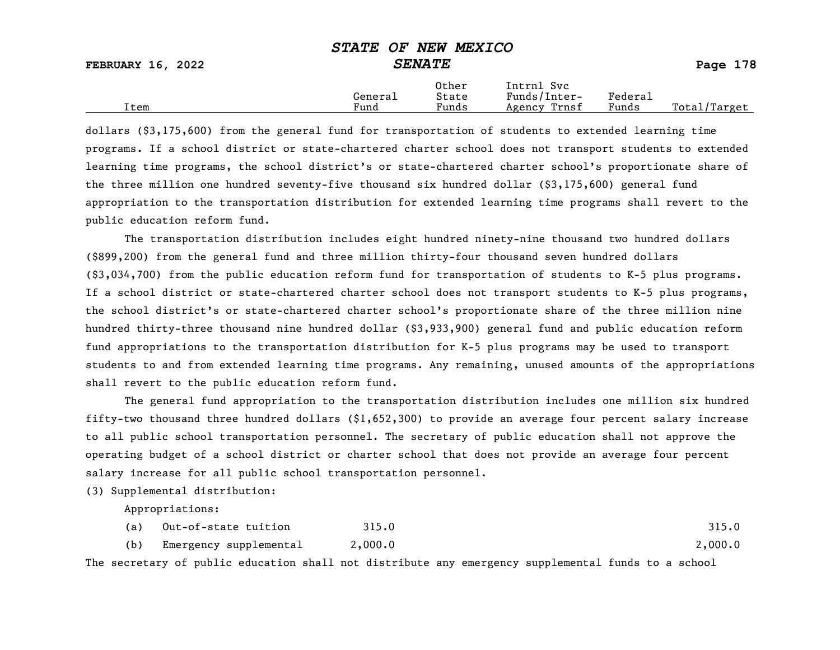|                          | ---------<br>--------------                             |         |              |
|--------------------------|---------------------------------------------------------|---------|--------------|
| <b>FEBRUARY 16, 2022</b> | <i><b>SENATE</b></i>                                    |         | Page 178     |
|                          | Other<br>Intrnl Svc<br>Funds/Inter-<br>State<br>General | Federal |              |
| Item                     | Funds<br>Fund<br>Agency Trnsf                           | Funds   | Total/Target |

dollars (\$3,175,600) from the general fund for transportation of students to extended learning time programs. If a school district or state-chartered charter school does not transport students to extended learning time programs, the school district's or state-chartered charter school's proportionate share of the three million one hundred seventy-five thousand six hundred dollar (\$3,175,600) general fund appropriation to the transportation distribution for extended learning time programs shall revert to the public education reform fund.

The transportation distribution includes eight hundred ninety-nine thousand two hundred dollars (\$899,200) from the general fund and three million thirty-four thousand seven hundred dollars (\$3,034,700) from the public education reform fund for transportation of students to K-5 plus programs. If a school district or state-chartered charter school does not transport students to K-5 plus programs, the school district's or state-chartered charter school's proportionate share of the three million nine hundred thirty-three thousand nine hundred dollar (\$3,933,900) general fund and public education reform fund appropriations to the transportation distribution for K-5 plus programs may be used to transport students to and from extended learning time programs. Any remaining, unused amounts of the appropriations shall revert to the public education reform fund.

The general fund appropriation to the transportation distribution includes one million six hundred fifty-two thousand three hundred dollars (\$1,652,300) to provide an average four percent salary increase to all public school transportation personnel. The secretary of public education shall not approve the operating budget of a school district or charter school that does not provide an average four percent salary increase for all public school transportation personnel.

(3) Supplemental distribution:

Appropriations:

|     | (a) Out-of-state tuition | 315.0   | 315.0   |
|-----|--------------------------|---------|---------|
| (b) | Emergency supplemental   | 2,000.0 | 2,000.0 |

The secretary of public education shall not distribute any emergency supplemental funds to a school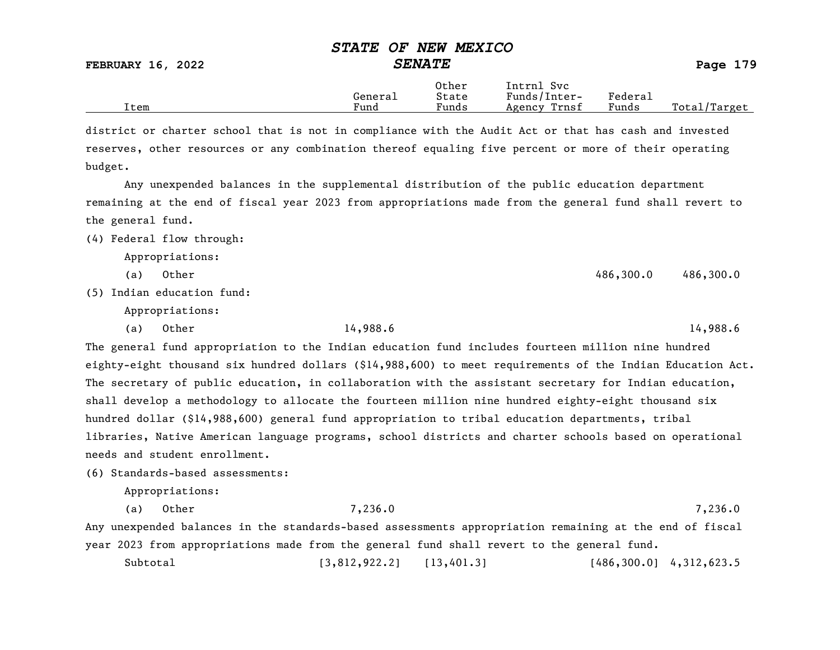FEBRUARY 16, 2022 SENATE Page 179

|      |         | Other | Svc<br>Intrnl   |                             |                   |
|------|---------|-------|-----------------|-----------------------------|-------------------|
|      | Generai | State | Funds/Inter-    | ${}_{\rm \texttt{Federau}}$ |                   |
| Item | Fund    | Funds | Trnsf<br>Agency | Funds                       | Total,<br>Target/ |

district or charter school that is not in compliance with the Audit Act or that has cash and invested reserves, other resources or any combination thereof equaling five percent or more of their operating budget.

Any unexpended balances in the supplemental distribution of the public education department remaining at the end of fiscal year 2023 from appropriations made from the general fund shall revert to the general fund.

(4) Federal flow through:

Appropriations:

(a) Other 486,300.0 486,300.0 486,300.0

(5) Indian education fund:

Appropriations:

(a) Other 14,988.6 14,988.6

The general fund appropriation to the Indian education fund includes fourteen million nine hundred eighty-eight thousand six hundred dollars (\$14,988,600) to meet requirements of the Indian Education Act. The secretary of public education, in collaboration with the assistant secretary for Indian education, shall develop a methodology to allocate the fourteen million nine hundred eighty-eight thousand six hundred dollar (\$14,988,600) general fund appropriation to tribal education departments, tribal libraries, Native American language programs, school districts and charter schools based on operational needs and student enrollment.

(6) Standards-based assessments:

Appropriations:

(a) Other 7,236.0 7,236.0 Any unexpended balances in the standards-based assessments appropriation remaining at the end of fiscal year 2023 from appropriations made from the general fund shall revert to the general fund.

Subtotal [3,812,922.2] [13,401.3] [486,300.0] 4,312,623.5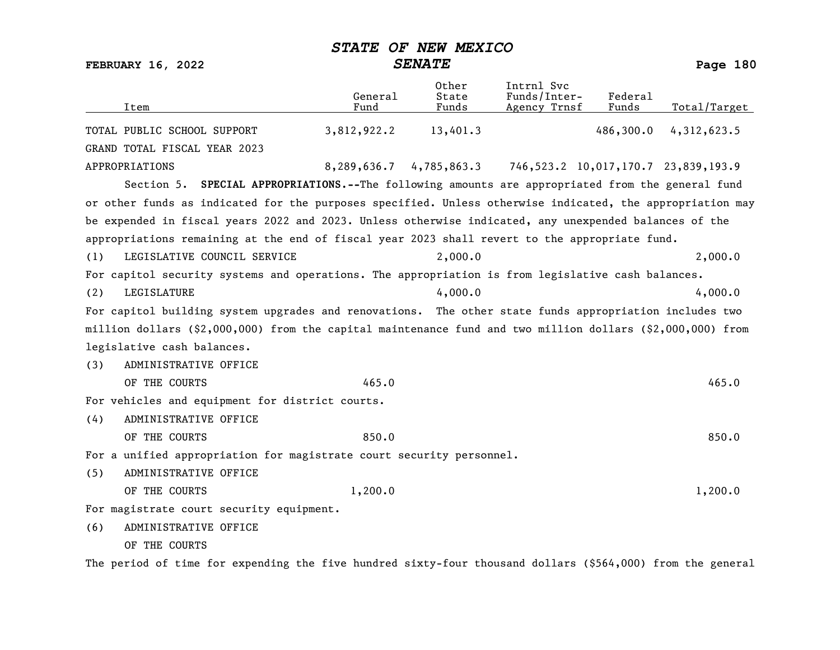| Item                                                                                                       | General<br>Fund | Other<br>State<br>Funds                                     | Intrnl Svc<br>Funds/Inter-<br>Agency Trnsf | Federal<br>Funds | Total/Target |
|------------------------------------------------------------------------------------------------------------|-----------------|-------------------------------------------------------------|--------------------------------------------|------------------|--------------|
| TOTAL PUBLIC SCHOOL SUPPORT                                                                                | 3,812,922.2     | 13,401.3                                                    |                                            | 486,300.0        | 4,312,623.5  |
| GRAND TOTAL FISCAL YEAR 2023                                                                               |                 |                                                             |                                            |                  |              |
| APPROPRIATIONS                                                                                             |                 | 8,289,636.7 4,785,863.3 746,523.2 10,017,170.7 23,839,193.9 |                                            |                  |              |
| Section 5. SPECIAL APPROPRIATIONS.--The following amounts are appropriated from the general fund           |                 |                                                             |                                            |                  |              |
| or other funds as indicated for the purposes specified. Unless otherwise indicated, the appropriation may  |                 |                                                             |                                            |                  |              |
| be expended in fiscal years 2022 and 2023. Unless otherwise indicated, any unexpended balances of the      |                 |                                                             |                                            |                  |              |
| appropriations remaining at the end of fiscal year 2023 shall revert to the appropriate fund.              |                 |                                                             |                                            |                  |              |
| LEGISLATIVE COUNCIL SERVICE<br>(1)                                                                         |                 | 2,000.0                                                     |                                            |                  | 2,000.0      |
| For capitol security systems and operations. The appropriation is from legislative cash balances.          |                 |                                                             |                                            |                  |              |
| LEGISLATURE<br>(2)                                                                                         |                 | 4,000.0                                                     |                                            |                  | 4,000.0      |
| For capitol building system upgrades and renovations. The other state funds appropriation includes two     |                 |                                                             |                                            |                  |              |
| million dollars (\$2,000,000) from the capital maintenance fund and two million dollars (\$2,000,000) from |                 |                                                             |                                            |                  |              |
| legislative cash balances.                                                                                 |                 |                                                             |                                            |                  |              |
| ADMINISTRATIVE OFFICE<br>(3)                                                                               |                 |                                                             |                                            |                  |              |
| OF THE COURTS                                                                                              | 465.0           |                                                             |                                            |                  | 465.0        |
| For vehicles and equipment for district courts.                                                            |                 |                                                             |                                            |                  |              |
| ADMINISTRATIVE OFFICE<br>(4)                                                                               |                 |                                                             |                                            |                  |              |
| OF THE COURTS                                                                                              | 850.0           |                                                             |                                            |                  | 850.0        |
| For a unified appropriation for magistrate court security personnel.                                       |                 |                                                             |                                            |                  |              |
| ADMINISTRATIVE OFFICE<br>(5)                                                                               |                 |                                                             |                                            |                  |              |
| OF THE COURTS                                                                                              | 1,200.0         |                                                             |                                            |                  | 1,200.0      |
| For magistrate court security equipment.                                                                   |                 |                                                             |                                            |                  |              |
| ADMINISTRATIVE OFFICE<br>(6)                                                                               |                 |                                                             |                                            |                  |              |
| OF THE COURTS                                                                                              |                 |                                                             |                                            |                  |              |

The period of time for expending the five hundred sixty-four thousand dollars (\$564,000) from the general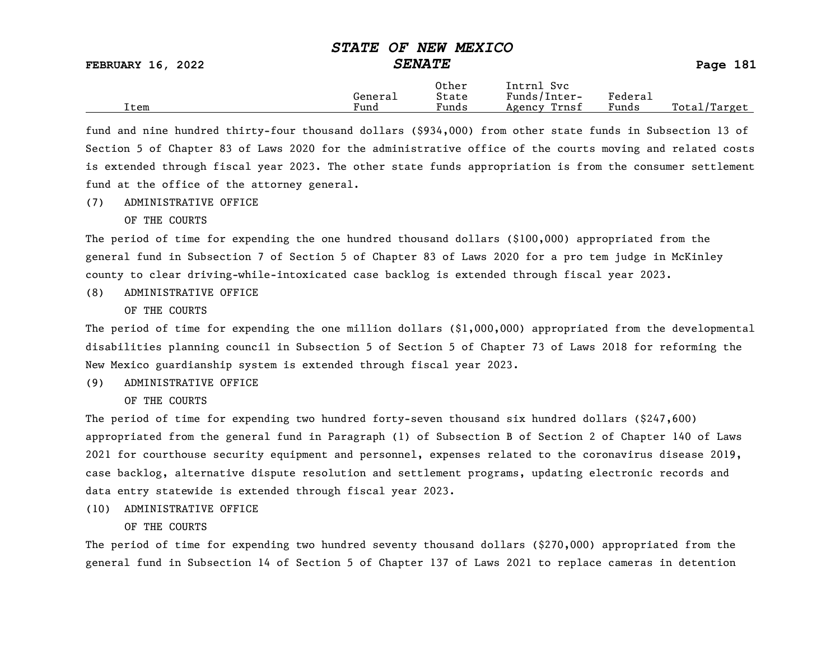|      | General | Other<br>State        | Svc<br>Intrnl<br>Funds/Inter- | ${}_{\rm \tiny \text{Federa}_{\perp}}$ |                 |
|------|---------|-----------------------|-------------------------------|----------------------------------------|-----------------|
| Item | Fund    | $\mathbf{r}$<br>Funds | Trnsf<br>Agency               | Funds                                  | Total<br>Target |

fund and nine hundred thirty-four thousand dollars (\$934,000) from other state funds in Subsection 13 of Section 5 of Chapter 83 of Laws 2020 for the administrative office of the courts moving and related costs is extended through fiscal year 2023. The other state funds appropriation is from the consumer settlement fund at the office of the attorney general.

(7) ADMINISTRATIVE OFFICE

OF THE COURTS

The period of time for expending the one hundred thousand dollars (\$100,000) appropriated from the general fund in Subsection 7 of Section 5 of Chapter 83 of Laws 2020 for a pro tem judge in McKinley county to clear driving-while-intoxicated case backlog is extended through fiscal year 2023.

(8) ADMINISTRATIVE OFFICE

OF THE COURTS

The period of time for expending the one million dollars (\$1,000,000) appropriated from the developmental disabilities planning council in Subsection 5 of Section 5 of Chapter 73 of Laws 2018 for reforming the New Mexico guardianship system is extended through fiscal year 2023.

(9) ADMINISTRATIVE OFFICE

OF THE COURTS

The period of time for expending two hundred forty-seven thousand six hundred dollars (\$247,600) appropriated from the general fund in Paragraph (1) of Subsection B of Section 2 of Chapter 140 of Laws 2021 for courthouse security equipment and personnel, expenses related to the coronavirus disease 2019, case backlog, alternative dispute resolution and settlement programs, updating electronic records and data entry statewide is extended through fiscal year 2023.

(10) ADMINISTRATIVE OFFICE

### OF THE COURTS

The period of time for expending two hundred seventy thousand dollars (\$270,000) appropriated from the general fund in Subsection 14 of Section 5 of Chapter 137 of Laws 2021 to replace cameras in detention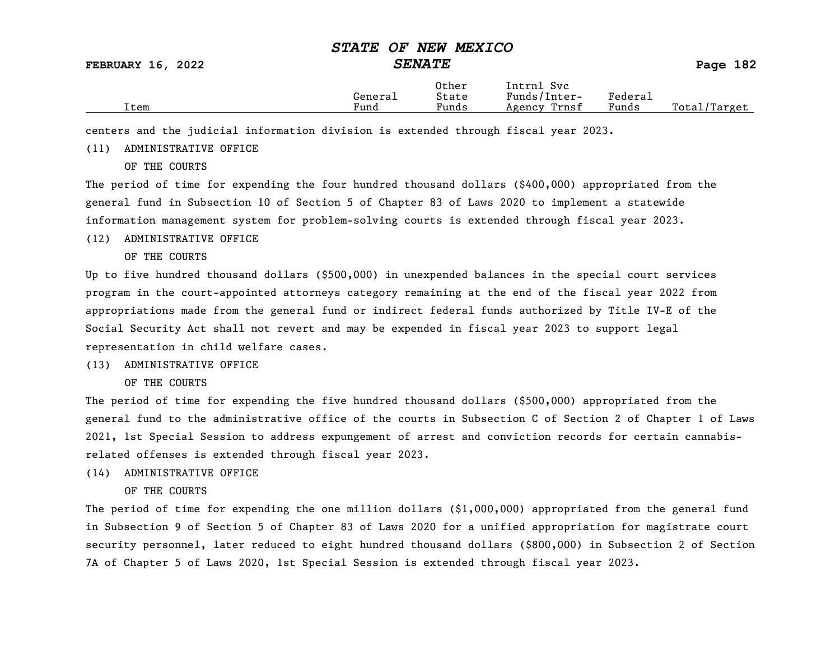FEBRUARY 16, 2022 SENATE SENATE SENATE Page 182

Other Intrnl Svc<br>General State Funds/Inter General State Funds/Inter- Federal Total/Target

centers and the judicial information division is extended through fiscal year 2023.

(11) ADMINISTRATIVE OFFICE

OF THE COURTS

The period of time for expending the four hundred thousand dollars (\$400,000) appropriated from the general fund in Subsection 10 of Section 5 of Chapter 83 of Laws 2020 to implement a statewide information management system for problem-solving courts is extended through fiscal year 2023.

#### (12) ADMINISTRATIVE OFFICE

OF THE COURTS

Up to five hundred thousand dollars (\$500,000) in unexpended balances in the special court services program in the court-appointed attorneys category remaining at the end of the fiscal year 2022 from appropriations made from the general fund or indirect federal funds authorized by Title IV-E of the Social Security Act shall not revert and may be expended in fiscal year 2023 to support legal representation in child welfare cases.

### (13) ADMINISTRATIVE OFFICE

OF THE COURTS

The period of time for expending the five hundred thousand dollars (\$500,000) appropriated from the general fund to the administrative office of the courts in Subsection C of Section 2 of Chapter 1 of Laws 2021, 1st Special Session to address expungement of arrest and conviction records for certain cannabisrelated offenses is extended through fiscal year 2023.

### (14) ADMINISTRATIVE OFFICE

OF THE COURTS

The period of time for expending the one million dollars (\$1,000,000) appropriated from the general fund in Subsection 9 of Section 5 of Chapter 83 of Laws 2020 for a unified appropriation for magistrate court security personnel, later reduced to eight hundred thousand dollars (\$800,000) in Subsection 2 of Section 7A of Chapter 5 of Laws 2020, 1st Special Session is extended through fiscal year 2023.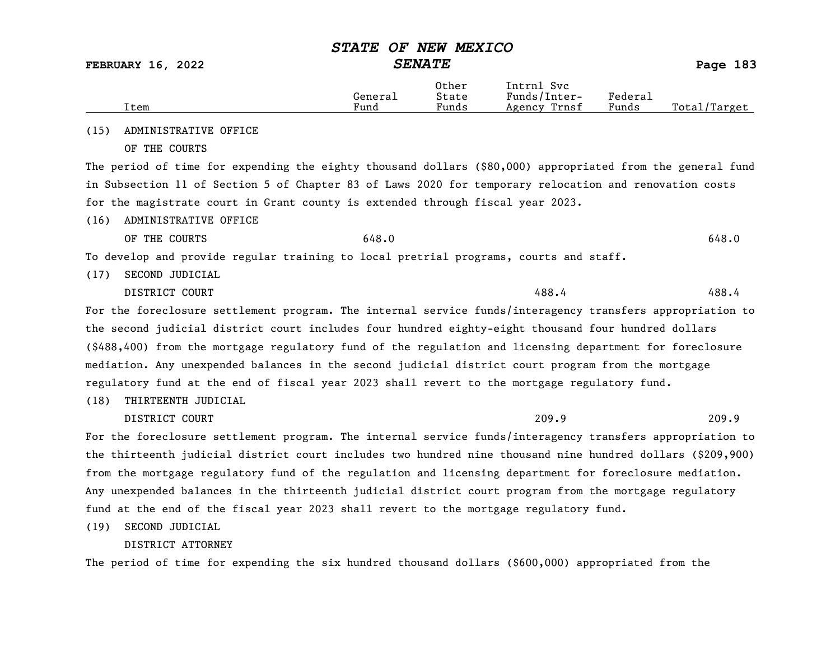FEBRUARY 16, 2022 SENATE Page 183

|      |         | Other                  | Intrnl<br>Sv c  |                                    |                  |
|------|---------|------------------------|-----------------|------------------------------------|------------------|
|      | General | State                  | Funds/Inter-    | ${}_{\rm \texttt{Federa}_{\perp}}$ |                  |
| Item | Fund    | $\sim$ $\sim$<br>Funds | Trnsf<br>Agency | Funds                              | Total<br>'Target |

(15) ADMINISTRATIVE OFFICE

OF THE COURTS

The period of time for expending the eighty thousand dollars (\$80,000) appropriated from the general fund in Subsection 11 of Section 5 of Chapter 83 of Laws 2020 for temporary relocation and renovation costs for the magistrate court in Grant county is extended through fiscal year 2023.

(16) ADMINISTRATIVE OFFICE

OF THE COURTS  $648.0$ 

To develop and provide regular training to local pretrial programs, courts and staff.

(17) SECOND JUDICIAL

DISTRICT COURT 488.4

For the foreclosure settlement program. The internal service funds/interagency transfers appropriation to the second judicial district court includes four hundred eighty-eight thousand four hundred dollars (\$488,400) from the mortgage regulatory fund of the regulation and licensing department for foreclosure mediation. Any unexpended balances in the second judicial district court program from the mortgage regulatory fund at the end of fiscal year 2023 shall revert to the mortgage regulatory fund.

(18) THIRTEENTH JUDICIAL

DISTRICT COURT 209.9

For the foreclosure settlement program. The internal service funds/interagency transfers appropriation to the thirteenth judicial district court includes two hundred nine thousand nine hundred dollars (\$209,900) from the mortgage regulatory fund of the regulation and licensing department for foreclosure mediation. Any unexpended balances in the thirteenth judicial district court program from the mortgage regulatory fund at the end of the fiscal year 2023 shall revert to the mortgage regulatory fund.

(19) SECOND JUDICIAL

### DISTRICT ATTORNEY

The period of time for expending the six hundred thousand dollars (\$600,000) appropriated from the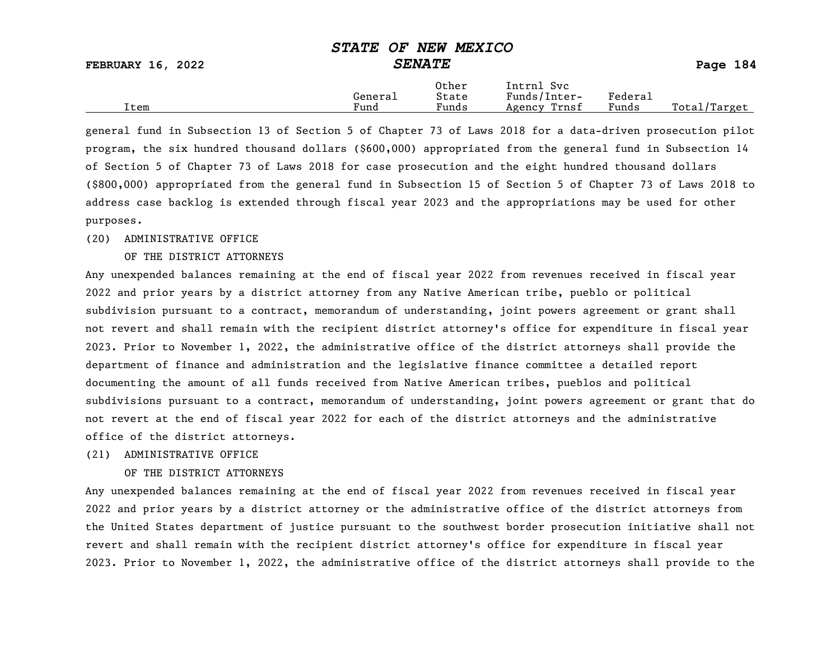FEBRUARY 16, 2022 SENATE Page 184

|      | General              | Other<br>State                    | Intrnl<br>Svc<br>Funds/Inter- | ${}_{\rm Federa}$ |                  |
|------|----------------------|-----------------------------------|-------------------------------|-------------------|------------------|
| Item | $\mathbf{r}$<br>Fund | $\overline{\phantom{a}}$<br>Funds | Trnsf<br>Agency               | Funds             | Total,<br>Target |

general fund in Subsection 13 of Section 5 of Chapter 73 of Laws 2018 for a data-driven prosecution pilot program, the six hundred thousand dollars (\$600,000) appropriated from the general fund in Subsection 14 of Section 5 of Chapter 73 of Laws 2018 for case prosecution and the eight hundred thousand dollars (\$800,000) appropriated from the general fund in Subsection 15 of Section 5 of Chapter 73 of Laws 2018 to address case backlog is extended through fiscal year 2023 and the appropriations may be used for other purposes.

### (20) ADMINISTRATIVE OFFICE

#### OF THE DISTRICT ATTORNEYS

Any unexpended balances remaining at the end of fiscal year 2022 from revenues received in fiscal year 2022 and prior years by a district attorney from any Native American tribe, pueblo or political subdivision pursuant to a contract, memorandum of understanding, joint powers agreement or grant shall not revert and shall remain with the recipient district attorney's office for expenditure in fiscal year 2023. Prior to November 1, 2022, the administrative office of the district attorneys shall provide the department of finance and administration and the legislative finance committee a detailed report documenting the amount of all funds received from Native American tribes, pueblos and political subdivisions pursuant to a contract, memorandum of understanding, joint powers agreement or grant that do not revert at the end of fiscal year 2022 for each of the district attorneys and the administrative office of the district attorneys.

### (21) ADMINISTRATIVE OFFICE

### OF THE DISTRICT ATTORNEYS

Any unexpended balances remaining at the end of fiscal year 2022 from revenues received in fiscal year 2022 and prior years by a district attorney or the administrative office of the district attorneys from the United States department of justice pursuant to the southwest border prosecution initiative shall not revert and shall remain with the recipient district attorney's office for expenditure in fiscal year 2023. Prior to November 1, 2022, the administrative office of the district attorneys shall provide to the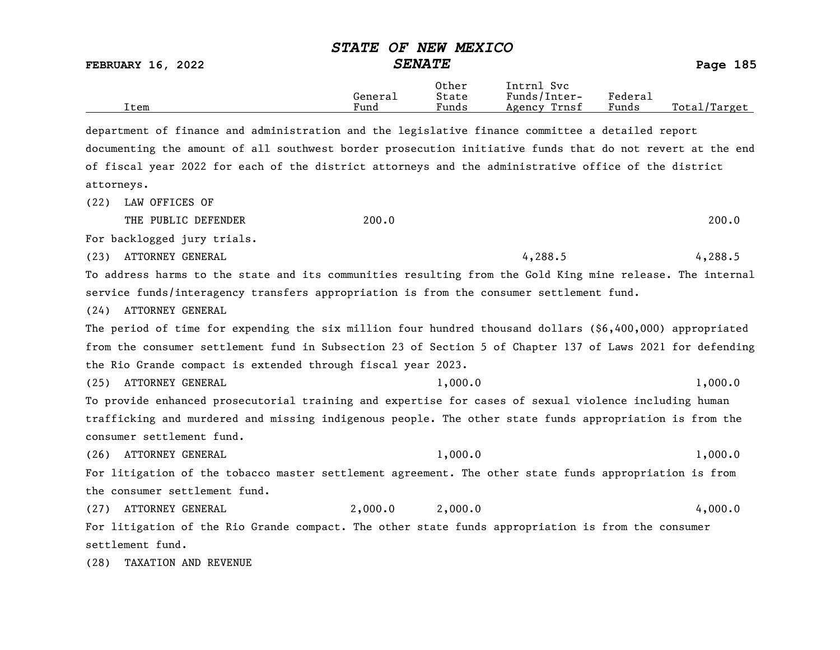|  |  |  | STATE OF NEW MEXICO |
|--|--|--|---------------------|
|--|--|--|---------------------|

FEBRUARY 16, 2022 SENATE Page 185

|      | Genera⊥ | Other<br>State                    | Intrnl<br>Svc<br>Funds/Inter- | ${}_{\rm Federa}$ |                   |
|------|---------|-----------------------------------|-------------------------------|-------------------|-------------------|
| Item | Fund    | $\overline{\phantom{a}}$<br>Funds | Trnsf<br>Agency               | Funds             | Total,<br>Target/ |

department of finance and administration and the legislative finance committee a detailed report documenting the amount of all southwest border prosecution initiative funds that do not revert at the end of fiscal year 2022 for each of the district attorneys and the administrative office of the district attorneys.

(22) LAW OFFICES OF

THE PUBLIC DEFENDER 200.0 200.0 200.0 200.0 200.0 200.0 200.0 200.0 200.0 200.0 200.0 200.0 200.0 200.0 200.0 200.0 200.0 200.0 200.0 200.0 200.0 200.0 200.0 200.0 200.0 200.0 200.0 200.0 200.0 200.0 200.0 200.0 201 201 20

For backlogged jury trials.

(23) ATTORNEY GENERAL 4,288.5 4,288.5

To address harms to the state and its communities resulting from the Gold King mine release. The internal service funds/interagency transfers appropriation is from the consumer settlement fund.

(24) ATTORNEY GENERAL

The period of time for expending the six million four hundred thousand dollars (\$6,400,000) appropriated from the consumer settlement fund in Subsection 23 of Section 5 of Chapter 137 of Laws 2021 for defending the Rio Grande compact is extended through fiscal year 2023.

(25) ATTORNEY GENERAL 1,000.0 1,000.0 1,000.0

To provide enhanced prosecutorial training and expertise for cases of sexual violence including human trafficking and murdered and missing indigenous people. The other state funds appropriation is from the consumer settlement fund.

(26) ATTORNEY GENERAL 1,000.0 1,000.0 1,000.0

For litigation of the tobacco master settlement agreement. The other state funds appropriation is from the consumer settlement fund.

(27) ATTORNEY GENERAL 2,000.0 2,000.0 4,000.0 For litigation of the Rio Grande compact. The other state funds appropriation is from the consumer settlement fund.

(28) TAXATION AND REVENUE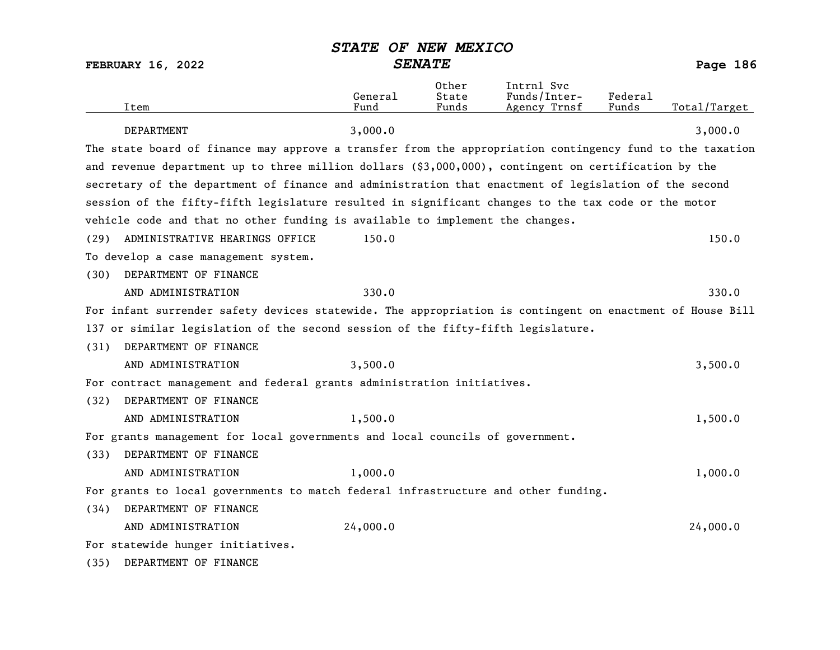| <b>FEBRUARY 16, 2022</b>                                                                                  | <b>SENATE</b>   |                         |                                            | Page 186         |              |
|-----------------------------------------------------------------------------------------------------------|-----------------|-------------------------|--------------------------------------------|------------------|--------------|
| Item                                                                                                      | General<br>Fund | Other<br>State<br>Funds | Intrnl Svc<br>Funds/Inter-<br>Agency Trnsf | Federal<br>Funds | Total/Target |
| DEPARTMENT                                                                                                | 3,000.0         |                         |                                            |                  | 3,000.0      |
| The state board of finance may approve a transfer from the appropriation contingency fund to the taxation |                 |                         |                                            |                  |              |
| and revenue department up to three million dollars (\$3,000,000), contingent on certification by the      |                 |                         |                                            |                  |              |
| secretary of the department of finance and administration that enactment of legislation of the second     |                 |                         |                                            |                  |              |
| session of the fifty-fifth legislature resulted in significant changes to the tax code or the motor       |                 |                         |                                            |                  |              |
| vehicle code and that no other funding is available to implement the changes.                             |                 |                         |                                            |                  |              |
| ADMINISTRATIVE HEARINGS OFFICE<br>(29)                                                                    | 150.0           |                         |                                            |                  | 150.0        |
| To develop a case management system.                                                                      |                 |                         |                                            |                  |              |
| DEPARTMENT OF FINANCE<br>(30)                                                                             |                 |                         |                                            |                  |              |
| AND ADMINISTRATION                                                                                        | 330.0           |                         |                                            |                  | 330.0        |
| For infant surrender safety devices statewide. The appropriation is contingent on enactment of House Bill |                 |                         |                                            |                  |              |
| 137 or similar legislation of the second session of the fifty-fifth legislature.                          |                 |                         |                                            |                  |              |
| DEPARTMENT OF FINANCE<br>(31)                                                                             |                 |                         |                                            |                  |              |
| AND ADMINISTRATION                                                                                        | 3,500.0         |                         |                                            |                  | 3,500.0      |
| For contract management and federal grants administration initiatives.                                    |                 |                         |                                            |                  |              |
| DEPARTMENT OF FINANCE<br>(32)                                                                             |                 |                         |                                            |                  |              |
| AND ADMINISTRATION                                                                                        | 1,500.0         |                         |                                            |                  | 1,500.0      |
| For grants management for local governments and local councils of government.                             |                 |                         |                                            |                  |              |
| DEPARTMENT OF FINANCE<br>(33)                                                                             |                 |                         |                                            |                  |              |
| AND ADMINISTRATION                                                                                        | 1,000.0         |                         |                                            |                  | 1,000.0      |
| For grants to local governments to match federal infrastructure and other funding.                        |                 |                         |                                            |                  |              |
| DEPARTMENT OF FINANCE<br>(34)                                                                             |                 |                         |                                            |                  |              |
| AND ADMINISTRATION                                                                                        | 24,000.0        |                         |                                            |                  | 24,000.0     |
| For statewide hunger initiatives.                                                                         |                 |                         |                                            |                  |              |

(35) DEPARTMENT OF FINANCE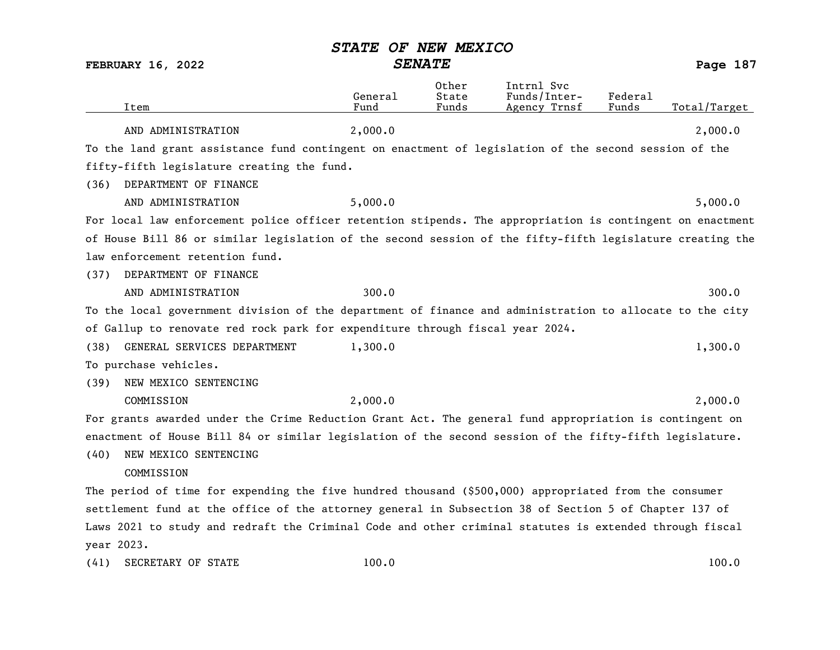|      | Item                                                                                                      | General<br>Fund | Other<br>State<br>Funds | Intrnl Svc<br>Funds/Inter-<br>Agency Trnsf | Federal<br>Funds | Total/Target |
|------|-----------------------------------------------------------------------------------------------------------|-----------------|-------------------------|--------------------------------------------|------------------|--------------|
|      | AND ADMINISTRATION                                                                                        | 2,000.0         |                         |                                            |                  | 2,000.0      |
|      | To the land grant assistance fund contingent on enactment of legislation of the second session of the     |                 |                         |                                            |                  |              |
|      | fifty-fifth legislature creating the fund.                                                                |                 |                         |                                            |                  |              |
| (36) | DEPARTMENT OF FINANCE                                                                                     |                 |                         |                                            |                  |              |
|      | AND ADMINISTRATION                                                                                        | 5,000.0         |                         |                                            |                  | 5,000.0      |
|      | For local law enforcement police officer retention stipends. The appropriation is contingent on enactment |                 |                         |                                            |                  |              |
|      | of House Bill 86 or similar legislation of the second session of the fifty-fifth legislature creating the |                 |                         |                                            |                  |              |
|      | law enforcement retention fund.                                                                           |                 |                         |                                            |                  |              |
| (37) | DEPARTMENT OF FINANCE                                                                                     |                 |                         |                                            |                  |              |
|      | AND ADMINISTRATION                                                                                        | 300.0           |                         |                                            |                  | 300.0        |
|      | To the local government division of the department of finance and administration to allocate to the city  |                 |                         |                                            |                  |              |
|      | of Gallup to renovate red rock park for expenditure through fiscal year 2024.                             |                 |                         |                                            |                  |              |
| (38) | GENERAL SERVICES DEPARTMENT                                                                               | 1,300.0         |                         |                                            |                  | 1,300.0      |
|      | To purchase vehicles.                                                                                     |                 |                         |                                            |                  |              |
| (39) | NEW MEXICO SENTENCING                                                                                     |                 |                         |                                            |                  |              |
|      | COMMISSION                                                                                                | 2,000.0         |                         |                                            |                  | 2,000.0      |
|      | For grants awarded under the Crime Reduction Grant Act. The general fund appropriation is contingent on   |                 |                         |                                            |                  |              |
|      | enactment of House Bill 84 or similar legislation of the second session of the fifty-fifth legislature.   |                 |                         |                                            |                  |              |
| (40) | NEW MEXICO SENTENCING                                                                                     |                 |                         |                                            |                  |              |
|      | COMMISSION                                                                                                |                 |                         |                                            |                  |              |
|      | The period of time for expending the five hundred thousand (\$500,000) appropriated from the consumer     |                 |                         |                                            |                  |              |
|      | settlement fund at the office of the attorney general in Subsection 38 of Section 5 of Chapter 137 of     |                 |                         |                                            |                  |              |
|      | Laws 2021 to study and redraft the Criminal Code and other criminal statutes is extended through fiscal   |                 |                         |                                            |                  |              |
|      | year 2023.                                                                                                |                 |                         |                                            |                  |              |
| (41) | SECRETARY OF STATE                                                                                        | 100.0           |                         |                                            |                  | 100.0        |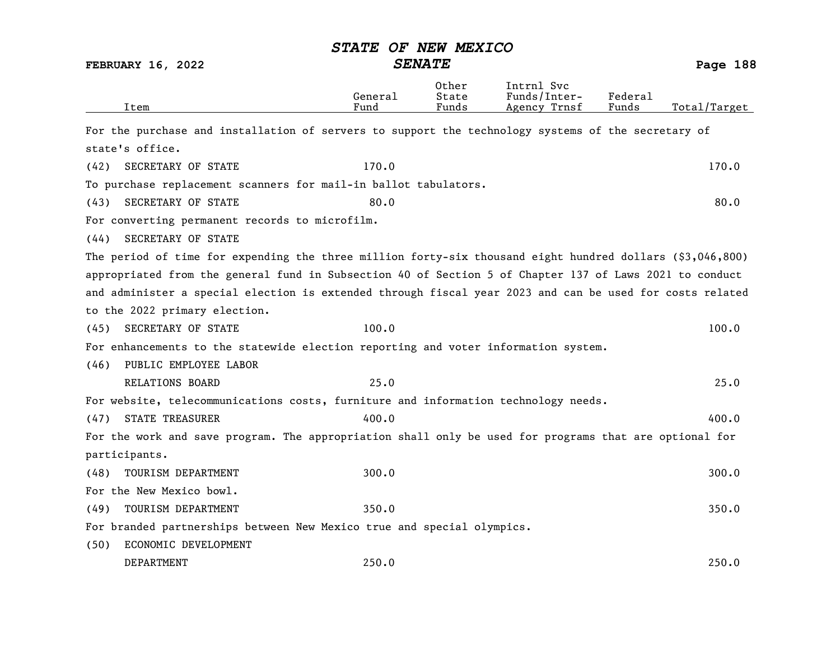|      | <b>FEBRUARY 16, 2022</b>                                                                                  | <b>SENATE</b>   |                         |                                            |                  | Page 188     |
|------|-----------------------------------------------------------------------------------------------------------|-----------------|-------------------------|--------------------------------------------|------------------|--------------|
|      | Item                                                                                                      | General<br>Fund | Other<br>State<br>Funds | Intrnl Svc<br>Funds/Inter-<br>Agency Trnsf | Federal<br>Funds | Total/Target |
|      | For the purchase and installation of servers to support the technology systems of the secretary of        |                 |                         |                                            |                  |              |
|      | state's office.                                                                                           |                 |                         |                                            |                  |              |
| (42) | SECRETARY OF STATE                                                                                        | 170.0           |                         |                                            |                  | 170.0        |
|      | To purchase replacement scanners for mail-in ballot tabulators.                                           |                 |                         |                                            |                  |              |
| (43) | SECRETARY OF STATE                                                                                        | 80.0            |                         |                                            |                  | 80.0         |
|      | For converting permanent records to microfilm.                                                            |                 |                         |                                            |                  |              |
| (44) | SECRETARY OF STATE                                                                                        |                 |                         |                                            |                  |              |
|      | The period of time for expending the three million forty-six thousand eight hundred dollars (\$3,046,800) |                 |                         |                                            |                  |              |
|      | appropriated from the general fund in Subsection 40 of Section 5 of Chapter 137 of Laws 2021 to conduct   |                 |                         |                                            |                  |              |
|      | and administer a special election is extended through fiscal year 2023 and can be used for costs related  |                 |                         |                                            |                  |              |
|      | to the 2022 primary election.                                                                             |                 |                         |                                            |                  |              |
| (45) | SECRETARY OF STATE                                                                                        | 100.0           |                         |                                            |                  | 100.0        |
|      | For enhancements to the statewide election reporting and voter information system.                        |                 |                         |                                            |                  |              |
| (46) | PUBLIC EMPLOYEE LABOR                                                                                     |                 |                         |                                            |                  |              |
|      | <b>RELATIONS BOARD</b>                                                                                    | 25.0            |                         |                                            |                  | 25.0         |
|      | For website, telecommunications costs, furniture and information technology needs.                        |                 |                         |                                            |                  |              |
| (47) | <b>STATE TREASURER</b>                                                                                    | 400.0           |                         |                                            |                  | 400.0        |
|      | For the work and save program. The appropriation shall only be used for programs that are optional for    |                 |                         |                                            |                  |              |
|      | participants.                                                                                             |                 |                         |                                            |                  |              |
| (48) | TOURISM DEPARTMENT                                                                                        | 300.0           |                         |                                            |                  | 300.0        |
|      | For the New Mexico bowl.                                                                                  |                 |                         |                                            |                  |              |
| (49) | TOURISM DEPARTMENT                                                                                        | 350.0           |                         |                                            |                  | 350.0        |
|      |                                                                                                           |                 |                         |                                            |                  |              |

For branded partnerships between New Mexico true and special olympics.

(50) ECONOMIC DEVELOPMENT

| DEPARTMENT | 250.0 | 250.0 |
|------------|-------|-------|
|            |       |       |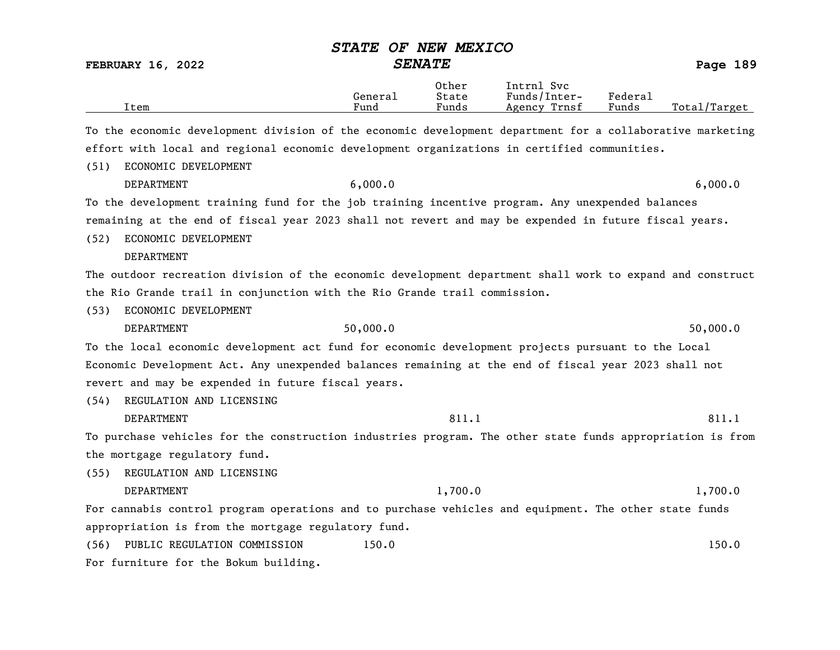|      |                                                                                                           | <b>STATE</b>    | OF NEW MEXICO           |                                            |                  |              |
|------|-----------------------------------------------------------------------------------------------------------|-----------------|-------------------------|--------------------------------------------|------------------|--------------|
|      | <b>FEBRUARY 16, 2022</b>                                                                                  | <b>SENATE</b>   |                         |                                            |                  | Page 189     |
|      | Item                                                                                                      | General<br>Fund | Other<br>State<br>Funds | Intrnl Svc<br>Funds/Inter-<br>Agency Trnsf | Federal<br>Funds | Total/Target |
|      | To the economic development division of the economic development department for a collaborative marketing |                 |                         |                                            |                  |              |
|      | effort with local and regional economic development organizations in certified communities.               |                 |                         |                                            |                  |              |
| (51) | ECONOMIC DEVELOPMENT                                                                                      |                 |                         |                                            |                  |              |
|      | DEPARTMENT                                                                                                | 6,000.0         |                         |                                            |                  | 6,000.0      |
|      | To the development training fund for the job training incentive program. Any unexpended balances          |                 |                         |                                            |                  |              |
|      | remaining at the end of fiscal year 2023 shall not revert and may be expended in future fiscal years.     |                 |                         |                                            |                  |              |
| (52) | ECONOMIC DEVELOPMENT                                                                                      |                 |                         |                                            |                  |              |
|      | DEPARTMENT                                                                                                |                 |                         |                                            |                  |              |
|      | The outdoor recreation division of the economic development department shall work to expand and construct |                 |                         |                                            |                  |              |
|      | the Rio Grande trail in conjunction with the Rio Grande trail commission.                                 |                 |                         |                                            |                  |              |
| (53) | ECONOMIC DEVELOPMENT                                                                                      |                 |                         |                                            |                  |              |
|      | DEPARTMENT                                                                                                | 50,000.0        |                         |                                            |                  | 50,000.0     |
|      | To the local economic development act fund for economic development projects pursuant to the Local        |                 |                         |                                            |                  |              |
|      | Economic Development Act. Any unexpended balances remaining at the end of fiscal year 2023 shall not      |                 |                         |                                            |                  |              |
|      | revert and may be expended in future fiscal years.                                                        |                 |                         |                                            |                  |              |
| (54) | REGULATION AND LICENSING                                                                                  |                 |                         |                                            |                  |              |
|      | <b>DEPARTMENT</b>                                                                                         |                 | 811.1                   |                                            |                  | 811.1        |
|      | To purchase vehicles for the construction industries program. The other state funds appropriation is from |                 |                         |                                            |                  |              |
|      | the mortgage regulatory fund.                                                                             |                 |                         |                                            |                  |              |
| (55) | REGULATION AND LICENSING                                                                                  |                 |                         |                                            |                  |              |
|      | DEPARTMENT                                                                                                |                 | 1,700.0                 |                                            |                  | 1,700.0      |
|      | For cannabis control program operations and to purchase vehicles and equipment. The other state funds     |                 |                         |                                            |                  |              |
|      | appropriation is from the mortgage regulatory fund.                                                       |                 |                         |                                            |                  |              |
| (56) | PUBLIC REGULATION COMMISSION                                                                              | 150.0           |                         |                                            |                  | 150.0        |
|      | For furniture for the Bokum building.                                                                     |                 |                         |                                            |                  |              |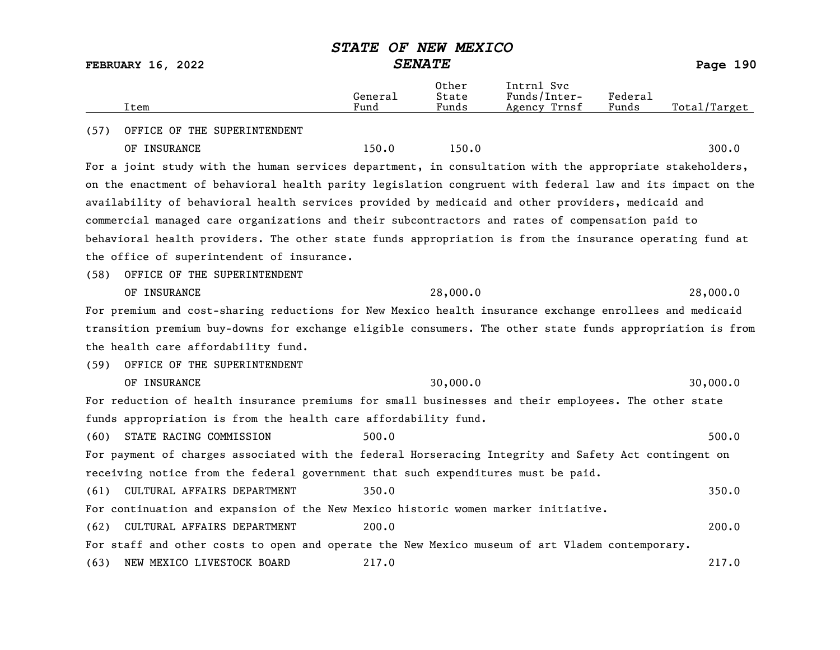FEBRUARY 16, 2022 SENATE SENATE

|      | Item                                                                                                      | General<br>Fund | Other<br>State<br>Funds | Intrnl Svc<br>Funds/Inter-<br>Agency Trnsf | Federal<br>Funds | Total/Target |
|------|-----------------------------------------------------------------------------------------------------------|-----------------|-------------------------|--------------------------------------------|------------------|--------------|
| (57) | OFFICE OF THE SUPERINTENDENT                                                                              |                 |                         |                                            |                  |              |
|      | OF INSURANCE                                                                                              | 150.0           | 150.0                   |                                            |                  | 300.0        |
|      | For a joint study with the human services department, in consultation with the appropriate stakeholders,  |                 |                         |                                            |                  |              |
|      | on the enactment of behavioral health parity legislation congruent with federal law and its impact on the |                 |                         |                                            |                  |              |
|      | availability of behavioral health services provided by medicaid and other providers, medicaid and         |                 |                         |                                            |                  |              |
|      | commercial managed care organizations and their subcontractors and rates of compensation paid to          |                 |                         |                                            |                  |              |
|      | behavioral health providers. The other state funds appropriation is from the insurance operating fund at  |                 |                         |                                            |                  |              |
|      | the office of superintendent of insurance.                                                                |                 |                         |                                            |                  |              |
| (58) | OFFICE OF THE SUPERINTENDENT                                                                              |                 |                         |                                            |                  |              |
|      | OF INSURANCE                                                                                              |                 | 28,000.0                |                                            |                  | 28,000.0     |
|      | For premium and cost-sharing reductions for New Mexico health insurance exchange enrollees and medicaid   |                 |                         |                                            |                  |              |
|      | transition premium buy-downs for exchange eligible consumers. The other state funds appropriation is from |                 |                         |                                            |                  |              |
|      | the health care affordability fund.                                                                       |                 |                         |                                            |                  |              |
| (59) | OFFICE OF THE SUPERINTENDENT                                                                              |                 |                         |                                            |                  |              |
|      | OF INSURANCE                                                                                              |                 | 30,000.0                |                                            |                  | 30,000.0     |
|      | For reduction of health insurance premiums for small businesses and their employees. The other state      |                 |                         |                                            |                  |              |
|      | funds appropriation is from the health care affordability fund.                                           |                 |                         |                                            |                  |              |
| (60) | STATE RACING COMMISSION                                                                                   | 500.0           |                         |                                            |                  | 500.0        |
|      | For payment of charges associated with the federal Horseracing Integrity and Safety Act contingent on     |                 |                         |                                            |                  |              |
|      | receiving notice from the federal government that such expenditures must be paid.                         |                 |                         |                                            |                  |              |
| (61) | CULTURAL AFFAIRS DEPARTMENT                                                                               | 350.0           |                         |                                            |                  | 350.0        |
|      | For continuation and expansion of the New Mexico historic women marker initiative.                        |                 |                         |                                            |                  |              |
| (62) | CULTURAL AFFAIRS DEPARTMENT                                                                               | 200.0           |                         |                                            |                  | 200.0        |
|      | For staff and other costs to open and operate the New Mexico museum of art Vladem contemporary.           |                 |                         |                                            |                  |              |
| (63) | NEW MEXICO LIVESTOCK BOARD                                                                                | 217.0           |                         |                                            |                  | 217.0        |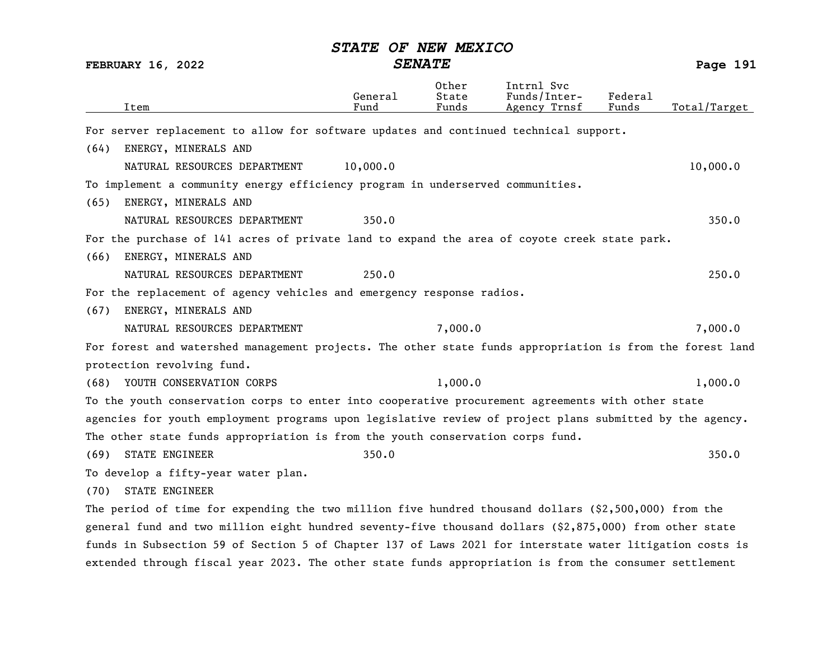|                                                                                                           |                 | VI NSM PSAICV           |                                            |                  |              |
|-----------------------------------------------------------------------------------------------------------|-----------------|-------------------------|--------------------------------------------|------------------|--------------|
| <b>FEBRUARY 16, 2022</b>                                                                                  |                 | <b>SENATE</b>           |                                            |                  | Page 191     |
| Item                                                                                                      | General<br>Fund | Other<br>State<br>Funds | Intrnl Svc<br>Funds/Inter-<br>Agency Trnsf | Federal<br>Funds | Total/Target |
| For server replacement to allow for software updates and continued technical support.                     |                 |                         |                                            |                  |              |
| ENERGY, MINERALS AND<br>(64)                                                                              |                 |                         |                                            |                  |              |
| NATURAL RESOURCES DEPARTMENT                                                                              | 10,000.0        |                         |                                            |                  | 10,000.0     |
| To implement a community energy efficiency program in underserved communities.                            |                 |                         |                                            |                  |              |
| ENERGY, MINERALS AND<br>(65)                                                                              |                 |                         |                                            |                  |              |
| NATURAL RESOURCES DEPARTMENT                                                                              | 350.0           |                         |                                            |                  | 350.0        |
| For the purchase of 141 acres of private land to expand the area of coyote creek state park.              |                 |                         |                                            |                  |              |
| ENERGY, MINERALS AND<br>(66)                                                                              |                 |                         |                                            |                  |              |
| NATURAL RESOURCES DEPARTMENT                                                                              | 250.0           |                         |                                            |                  | 250.0        |
| For the replacement of agency vehicles and emergency response radios.                                     |                 |                         |                                            |                  |              |
| ENERGY, MINERALS AND<br>(67)                                                                              |                 |                         |                                            |                  |              |
| NATURAL RESOURCES DEPARTMENT                                                                              |                 | 7,000.0                 |                                            |                  | 7,000.0      |
| For forest and watershed management projects. The other state funds appropriation is from the forest land |                 |                         |                                            |                  |              |
| protection revolving fund.                                                                                |                 |                         |                                            |                  |              |
| YOUTH CONSERVATION CORPS<br>(68)                                                                          |                 | 1,000.0                 |                                            |                  | 1,000.0      |
| To the youth conservation corps to enter into cooperative procurement agreements with other state         |                 |                         |                                            |                  |              |
| agencies for youth employment programs upon legislative review of project plans submitted by the agency.  |                 |                         |                                            |                  |              |
| The other state funds appropriation is from the youth conservation corps fund.                            |                 |                         |                                            |                  |              |
| STATE ENGINEER<br>(69)                                                                                    | 350.0           |                         |                                            |                  | 350.0        |
| To develop a fifty-year water plan.                                                                       |                 |                         |                                            |                  |              |
| <b>STATE ENGINEER</b><br>(70)                                                                             |                 |                         |                                            |                  |              |
| The period of time for expending the two million five hundred thousand dollars $(2,500,000)$ from the     |                 |                         |                                            |                  |              |
| general fund and two million eight hundred seventy-five thousand dollars (\$2,875,000) from other state   |                 |                         |                                            |                  |              |
| funds in Subsection 59 of Section 5 of Chapter 137 of Laws 2021 for interstate water litigation costs is  |                 |                         |                                            |                  |              |
| extended through fiscal year 2023. The other state funds appropriation is from the consumer settlement    |                 |                         |                                            |                  |              |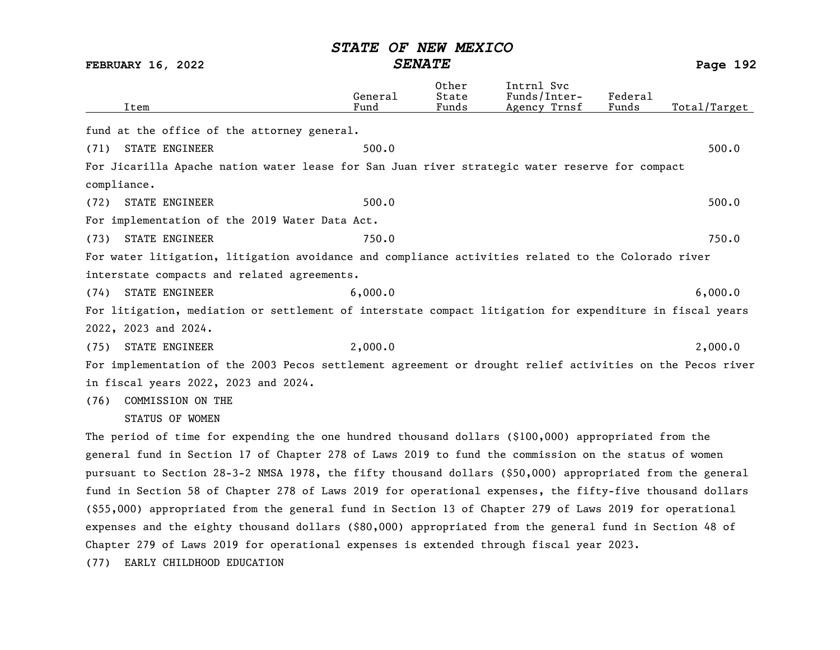FEBRUARY 16, 2022 SENATE Page 192 Other Intrnl Svc<br>General State Funds/Inter General State Funds/Inter- Federal Total/Target fund at the office of the attorney general. (71) STATE ENGINEER 500.0 500.0 500.0 500.0 500.0 500.0 500.0 500.0 500.0 500.0 500.0 500.0 500.0 500.0 500.0 500.0 500.0 500.0 500.0 500.0 500.0 500.0 500.0 500.0 500.0 500.0 500.0 500.0 500.0 500.0 500.0 500.0 500.0 500. For Jicarilla Apache nation water lease for San Juan river strategic water reserve for compact compliance. (72) STATE ENGINEER 500.0 500.0 500.0 500.0 500.0 500.0 500.0 500.0 500.0 500.0 500.0 500.0 500.0 500.0 500.0 500.0 500.0 500.0 500.0 500.0 500.0 500.0 500.0 500.0 500.0 500.0 500.0 500.0 500.0 500.0 500.0 500.0 500.0 500. For implementation of the 2019 Water Data Act. (73) STATE ENGINEER 750.0 750.0 750.0 750.0 For water litigation, litigation avoidance and compliance activities related to the Colorado river interstate compacts and related agreements. (74) STATE ENGINEER 6,000.0 6,000.0 For litigation, mediation or settlement of interstate compact litigation for expenditure in fiscal years 2022, 2023 and 2024. (75) STATE ENGINEER 2,000.0 2,000.0 2,000 2,000.0 For implementation of the 2003 Pecos settlement agreement or drought relief activities on the Pecos river in fiscal years 2022, 2023 and 2024. (76) COMMISSION ON THE STATUS OF WOMEN The period of time for expending the one hundred thousand dollars (\$100,000) appropriated from the general fund in Section 17 of Chapter 278 of Laws 2019 to fund the commission on the status of women pursuant to Section 28-3-2 NMSA 1978, the fifty thousand dollars (\$50,000) appropriated from the general fund in Section 58 of Chapter 278 of Laws 2019 for operational expenses, the fifty-five thousand dollars (\$55,000) appropriated from the general fund in Section 13 of Chapter 279 of Laws 2019 for operational expenses and the eighty thousand dollars (\$80,000) appropriated from the general fund in Section 48 of Chapter 279 of Laws 2019 for operational expenses is extended through fiscal year 2023.

(77) EARLY CHILDHOOD EDUCATION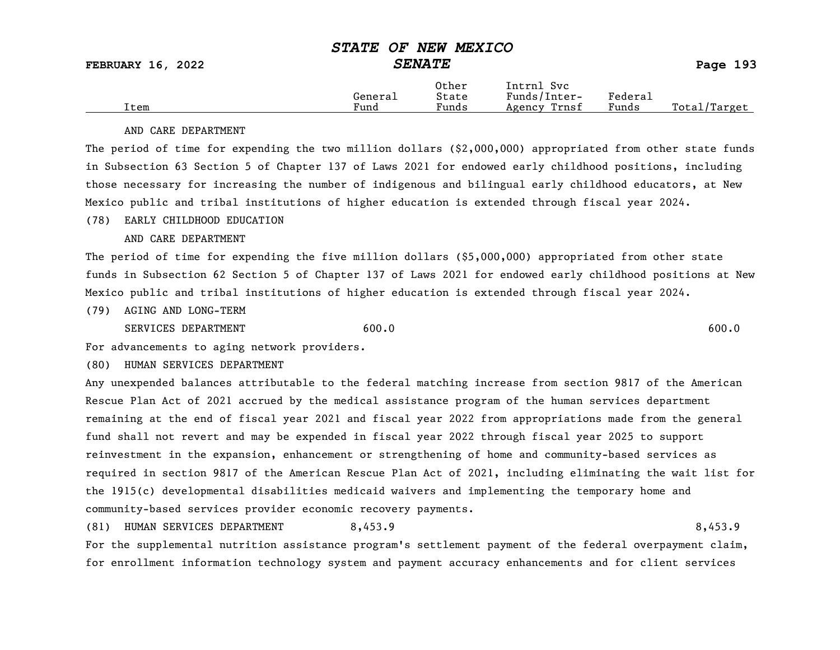|      |         | Other                             | Intrnl<br>Svc   |         |                   |
|------|---------|-----------------------------------|-----------------|---------|-------------------|
|      | Generai | State                             | Funds/Inter-    | Federau |                   |
| Item | Fund    | $\overline{\phantom{a}}$<br>Funds | Trnsf<br>Agency | Funds   | Total,<br>/Target |

#### AND CARE DEPARTMENT

The period of time for expending the two million dollars (\$2,000,000) appropriated from other state funds in Subsection 63 Section 5 of Chapter 137 of Laws 2021 for endowed early childhood positions, including those necessary for increasing the number of indigenous and bilingual early childhood educators, at New Mexico public and tribal institutions of higher education is extended through fiscal year 2024.

### (78) EARLY CHILDHOOD EDUCATION

AND CARE DEPARTMENT

The period of time for expending the five million dollars (\$5,000,000) appropriated from other state funds in Subsection 62 Section 5 of Chapter 137 of Laws 2021 for endowed early childhood positions at New Mexico public and tribal institutions of higher education is extended through fiscal year 2024.

(79) AGING AND LONG-TERM

SERVICES DEPARTMENT 600.0 600.0 600.0 600.0 600.0 600.0 600.0 600.0 600.0 600.0 600.0 600.0 600.0 600.0 600.0 600.0 600.0 600.0 600.0 600.0 600.0 600.0 600.0 600.0 600.0 600.0 600.0 600.0 600.0 600.0 600.0 600.0 600.0 600.

For advancements to aging network providers.

(80) HUMAN SERVICES DEPARTMENT

Any unexpended balances attributable to the federal matching increase from section 9817 of the American Rescue Plan Act of 2021 accrued by the medical assistance program of the human services department remaining at the end of fiscal year 2021 and fiscal year 2022 from appropriations made from the general fund shall not revert and may be expended in fiscal year 2022 through fiscal year 2025 to support reinvestment in the expansion, enhancement or strengthening of home and community-based services as required in section 9817 of the American Rescue Plan Act of 2021, including eliminating the wait list for the 1915(c) developmental disabilities medicaid waivers and implementing the temporary home and community-based services provider economic recovery payments.

(81) HUMAN SERVICES DEPARTMENT 8,453.9 8,453.9

For the supplemental nutrition assistance program's settlement payment of the federal overpayment claim, for enrollment information technology system and payment accuracy enhancements and for client services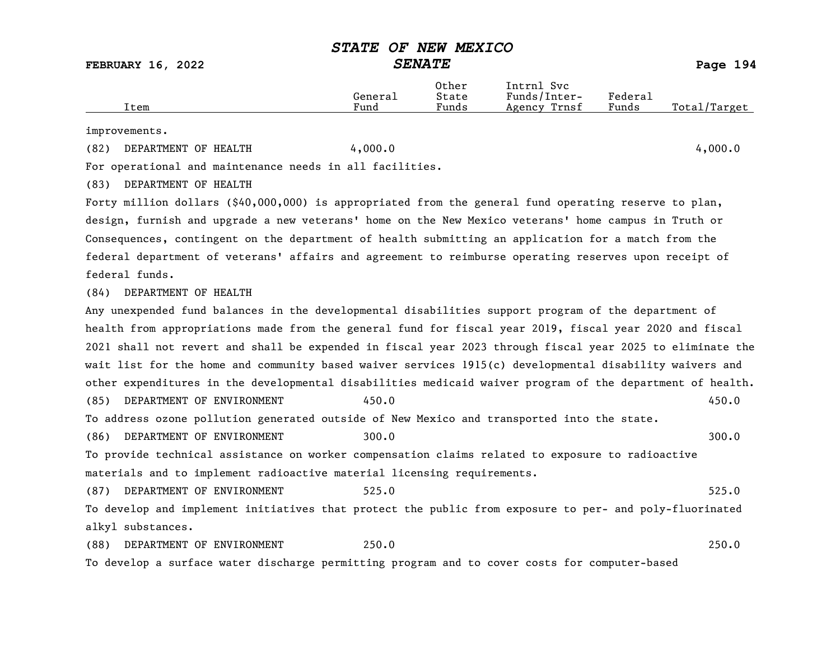FEBRUARY 16, 2022 SENATE Page 194

|      |         | Other | Intrnl<br>Svc   |         |                            |
|------|---------|-------|-----------------|---------|----------------------------|
|      | General | State | Funds/Inter-    | Federal |                            |
| Item | Fund    | Funds | Trnsf<br>Agency | Funds   | Total<br>' <i>'</i> Target |
|      |         |       |                 |         |                            |

improvements.

(82) DEPARTMENT OF HEALTH 4,000.0 4,000.0

For operational and maintenance needs in all facilities.

(83) DEPARTMENT OF HEALTH

Forty million dollars (\$40,000,000) is appropriated from the general fund operating reserve to plan, design, furnish and upgrade a new veterans' home on the New Mexico veterans' home campus in Truth or Consequences, contingent on the department of health submitting an application for a match from the federal department of veterans' affairs and agreement to reimburse operating reserves upon receipt of federal funds.

(84) DEPARTMENT OF HEALTH

Any unexpended fund balances in the developmental disabilities support program of the department of health from appropriations made from the general fund for fiscal year 2019, fiscal year 2020 and fiscal 2021 shall not revert and shall be expended in fiscal year 2023 through fiscal year 2025 to eliminate the wait list for the home and community based waiver services 1915(c) developmental disability waivers and other expenditures in the developmental disabilities medicaid waiver program of the department of health. (85) DEPARTMENT OF ENVIRONMENT 450.0 450.0 To address ozone pollution generated outside of New Mexico and transported into the state. (86) DEPARTMENT OF ENVIRONMENT 300.0 300.0 300.0 300.0 300.0 300.0 300.0 300.0 300 To provide technical assistance on worker compensation claims related to exposure to radioactive materials and to implement radioactive material licensing requirements. (87) DEPARTMENT OF ENVIRONMENT 525.0 525.0 To develop and implement initiatives that protect the public from exposure to per- and poly-fluorinated alkyl substances.

(88) DEPARTMENT OF ENVIRONMENT 250.0 250.0 To develop a surface water discharge permitting program and to cover costs for computer-based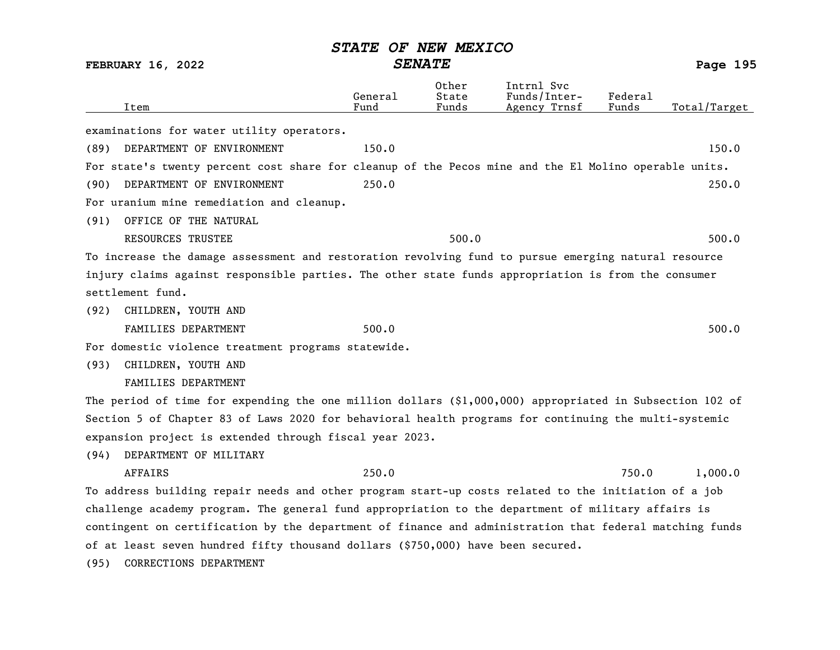| <b>FEBRUARY 16, 2022</b>                                                                                  | <b>SENATE</b>   |                         |                                            | Page 195         |              |
|-----------------------------------------------------------------------------------------------------------|-----------------|-------------------------|--------------------------------------------|------------------|--------------|
| Item                                                                                                      | General<br>Fund | Other<br>State<br>Funds | Intrnl Svc<br>Funds/Inter-<br>Agency Trnsf | Federal<br>Funds | Total/Target |
| examinations for water utility operators.                                                                 |                 |                         |                                            |                  |              |
| DEPARTMENT OF ENVIRONMENT<br>(89)                                                                         | 150.0           |                         |                                            |                  | 150.0        |
| For state's twenty percent cost share for cleanup of the Pecos mine and the El Molino operable units.     |                 |                         |                                            |                  |              |
| DEPARTMENT OF ENVIRONMENT<br>(90)                                                                         | 250.0           |                         |                                            |                  | 250.0        |
| For uranium mine remediation and cleanup.                                                                 |                 |                         |                                            |                  |              |
| OFFICE OF THE NATURAL<br>(91)                                                                             |                 |                         |                                            |                  |              |
| <b>RESOURCES TRUSTEE</b>                                                                                  |                 | 500.0                   |                                            |                  | 500.0        |
| To increase the damage assessment and restoration revolving fund to pursue emerging natural resource      |                 |                         |                                            |                  |              |
| injury claims against responsible parties. The other state funds appropriation is from the consumer       |                 |                         |                                            |                  |              |
| settlement fund.                                                                                          |                 |                         |                                            |                  |              |
| CHILDREN, YOUTH AND<br>(92)                                                                               |                 |                         |                                            |                  |              |
| FAMILIES DEPARTMENT                                                                                       | 500.0           |                         |                                            |                  | 500.0        |
| For domestic violence treatment programs statewide.                                                       |                 |                         |                                            |                  |              |
| CHILDREN, YOUTH AND<br>(93)                                                                               |                 |                         |                                            |                  |              |
| FAMILIES DEPARTMENT                                                                                       |                 |                         |                                            |                  |              |
| The period of time for expending the one million dollars $(91,000,000)$ appropriated in Subsection 102 of |                 |                         |                                            |                  |              |
| Section 5 of Chapter 83 of Laws 2020 for behavioral health programs for continuing the multi-systemic     |                 |                         |                                            |                  |              |
| expansion project is extended through fiscal year 2023.                                                   |                 |                         |                                            |                  |              |
| DEPARTMENT OF MILITARY<br>(94)                                                                            |                 |                         |                                            |                  |              |
| <b>AFFAIRS</b>                                                                                            | 250.0           |                         |                                            | 750.0            | 1,000.0      |
| To address building repair needs and other program start-up costs related to the initiation of a job      |                 |                         |                                            |                  |              |
| challenge academy program. The general fund appropriation to the department of military affairs is        |                 |                         |                                            |                  |              |
| contingent on certification by the department of finance and administration that federal matching funds   |                 |                         |                                            |                  |              |
| of at least seven hundred fifty thousand dollars (\$750,000) have been secured.                           |                 |                         |                                            |                  |              |
| CORRECTIONS DEPARTMENT<br>(95)                                                                            |                 |                         |                                            |                  |              |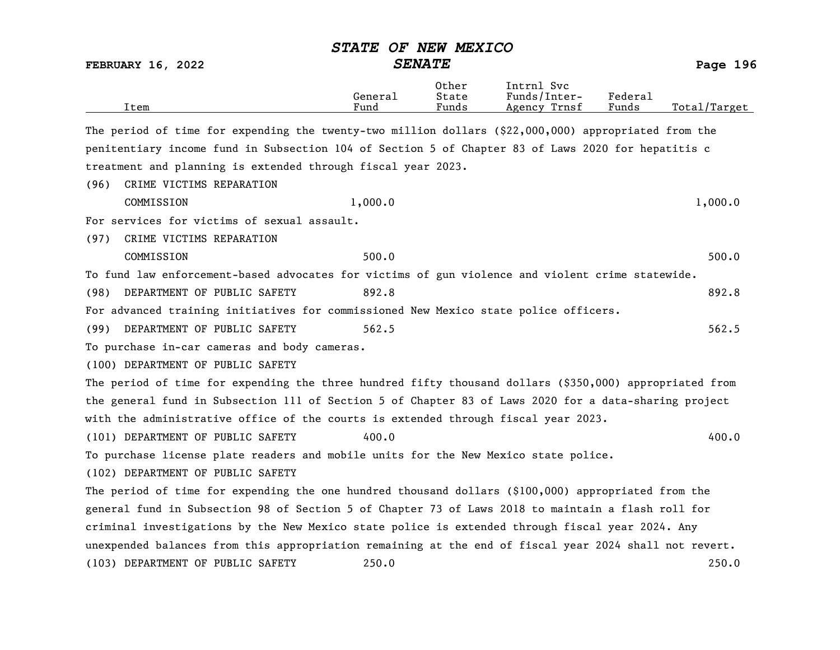|      |                                                                                                         | <b>STATE</b>    | OF NEW MEXICO           |                                            |                  |              |
|------|---------------------------------------------------------------------------------------------------------|-----------------|-------------------------|--------------------------------------------|------------------|--------------|
|      | <b>FEBRUARY 16, 2022</b>                                                                                | <b>SENATE</b>   |                         |                                            |                  |              |
|      | Item                                                                                                    | General<br>Fund | Other<br>State<br>Funds | Intrnl Svc<br>Funds/Inter-<br>Agency Trnsf | Federal<br>Funds | Total/Target |
|      | The period of time for expending the twenty-two million dollars (\$22,000,000) appropriated from the    |                 |                         |                                            |                  |              |
|      | penitentiary income fund in Subsection 104 of Section 5 of Chapter 83 of Laws 2020 for hepatitis c      |                 |                         |                                            |                  |              |
|      | treatment and planning is extended through fiscal year 2023.                                            |                 |                         |                                            |                  |              |
| (96) | CRIME VICTIMS REPARATION                                                                                |                 |                         |                                            |                  |              |
|      | COMMISSION                                                                                              | 1,000.0         |                         |                                            |                  | 1,000.0      |
|      | For services for victims of sexual assault.                                                             |                 |                         |                                            |                  |              |
| (97) | CRIME VICTIMS REPARATION                                                                                |                 |                         |                                            |                  |              |
|      | COMMISSION                                                                                              | 500.0           |                         |                                            |                  | 500.0        |
|      | To fund law enforcement-based advocates for victims of gun violence and violent crime statewide.        |                 |                         |                                            |                  |              |
| (98) | DEPARTMENT OF PUBLIC SAFETY                                                                             | 892.8           |                         |                                            |                  | 892.8        |
|      | For advanced training initiatives for commissioned New Mexico state police officers.                    |                 |                         |                                            |                  |              |
| (99) | DEPARTMENT OF PUBLIC SAFETY                                                                             | 562.5           |                         |                                            |                  | 562.5        |
|      | To purchase in-car cameras and body cameras.                                                            |                 |                         |                                            |                  |              |
|      | (100) DEPARTMENT OF PUBLIC SAFETY                                                                       |                 |                         |                                            |                  |              |
|      | The period of time for expending the three hundred fifty thousand dollars (\$350,000) appropriated from |                 |                         |                                            |                  |              |
|      | the general fund in Subsection 111 of Section 5 of Chapter 83 of Laws 2020 for a data-sharing project   |                 |                         |                                            |                  |              |
|      | with the administrative office of the courts is extended through fiscal year 2023.                      |                 |                         |                                            |                  |              |
|      | (101) DEPARTMENT OF PUBLIC SAFETY                                                                       | 400.0           |                         |                                            |                  | 400.0        |
|      | To purchase license plate readers and mobile units for the New Mexico state police.                     |                 |                         |                                            |                  |              |
|      | (102) DEPARTMENT OF PUBLIC SAFETY                                                                       |                 |                         |                                            |                  |              |
|      | The period of time for expending the one hundred thousand dollars (\$100,000) appropriated from the     |                 |                         |                                            |                  |              |
|      | general fund in Subsection 98 of Section 5 of Chapter 73 of Laws 2018 to maintain a flash roll for      |                 |                         |                                            |                  |              |
|      | criminal investigations by the New Mexico state police is extended through fiscal year 2024. Any        |                 |                         |                                            |                  |              |
|      | unexpended balances from this appropriation remaining at the end of fiscal year 2024 shall not revert.  |                 |                         |                                            |                  |              |
|      | (103) DEPARTMENT OF PUBLIC SAFETY                                                                       | 250.0           |                         |                                            |                  | 250.0        |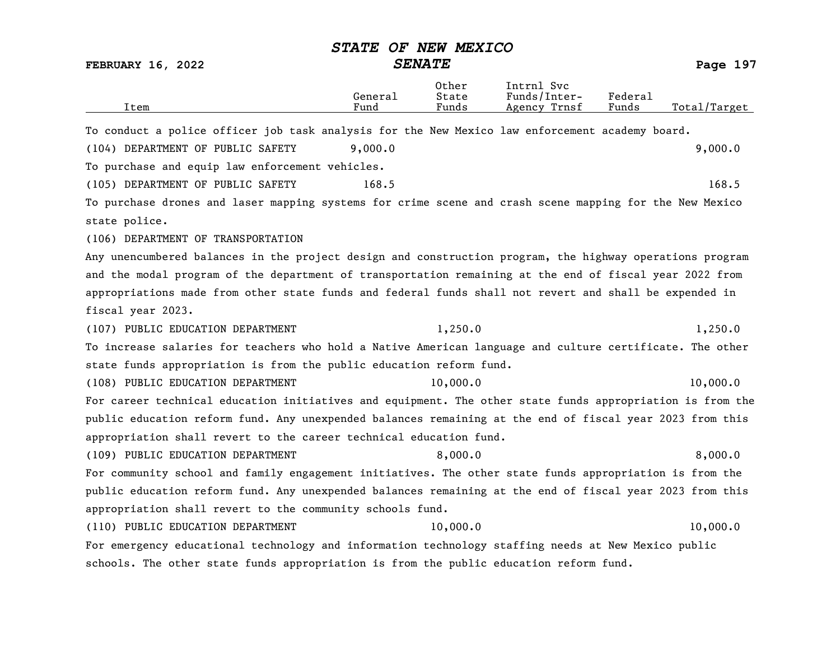| Item                                                                                                      | General<br>Fund | Other<br>State<br>Funds | Intrnl Svc<br>Funds/Inter-<br>Agency Trnsf | Federal<br>Funds | Total/Target |
|-----------------------------------------------------------------------------------------------------------|-----------------|-------------------------|--------------------------------------------|------------------|--------------|
| To conduct a police officer job task analysis for the New Mexico law enforcement academy board.           |                 |                         |                                            |                  |              |
| (104) DEPARTMENT OF PUBLIC SAFETY                                                                         | 9,000.0         |                         |                                            |                  | 9,000.0      |
| To purchase and equip law enforcement vehicles.                                                           |                 |                         |                                            |                  |              |
| (105) DEPARTMENT OF PUBLIC SAFETY                                                                         | 168.5           |                         |                                            |                  | 168.5        |
| To purchase drones and laser mapping systems for crime scene and crash scene mapping for the New Mexico   |                 |                         |                                            |                  |              |
| state police.                                                                                             |                 |                         |                                            |                  |              |
| (106) DEPARTMENT OF TRANSPORTATION                                                                        |                 |                         |                                            |                  |              |
| Any unencumbered balances in the project design and construction program, the highway operations program  |                 |                         |                                            |                  |              |
| and the modal program of the department of transportation remaining at the end of fiscal year 2022 from   |                 |                         |                                            |                  |              |
| appropriations made from other state funds and federal funds shall not revert and shall be expended in    |                 |                         |                                            |                  |              |
| fiscal year 2023.                                                                                         |                 |                         |                                            |                  |              |
| (107) PUBLIC EDUCATION DEPARTMENT                                                                         |                 | 1,250.0                 |                                            |                  | 1,250.0      |
| To increase salaries for teachers who hold a Native American language and culture certificate. The other  |                 |                         |                                            |                  |              |
| state funds appropriation is from the public education reform fund.                                       |                 |                         |                                            |                  |              |
| (108) PUBLIC EDUCATION DEPARTMENT                                                                         |                 | 10,000.0                |                                            |                  | 10,000.0     |
| For career technical education initiatives and equipment. The other state funds appropriation is from the |                 |                         |                                            |                  |              |
| public education reform fund. Any unexpended balances remaining at the end of fiscal year 2023 from this  |                 |                         |                                            |                  |              |
| appropriation shall revert to the career technical education fund.                                        |                 |                         |                                            |                  |              |
| (109) PUBLIC EDUCATION DEPARTMENT                                                                         |                 | 8,000.0                 |                                            |                  | 8,000.0      |
| For community school and family engagement initiatives. The other state funds appropriation is from the   |                 |                         |                                            |                  |              |
| public education reform fund. Any unexpended balances remaining at the end of fiscal year 2023 from this  |                 |                         |                                            |                  |              |
| appropriation shall revert to the community schools fund.                                                 |                 |                         |                                            |                  |              |
| (110) PUBLIC EDUCATION DEPARTMENT                                                                         |                 | 10,000.0                |                                            |                  | 10,000.0     |
| For emergency educational technology and information technology staffing needs at New Mexico public       |                 |                         |                                            |                  |              |
| schools. The other state funds appropriation is from the public education reform fund.                    |                 |                         |                                            |                  |              |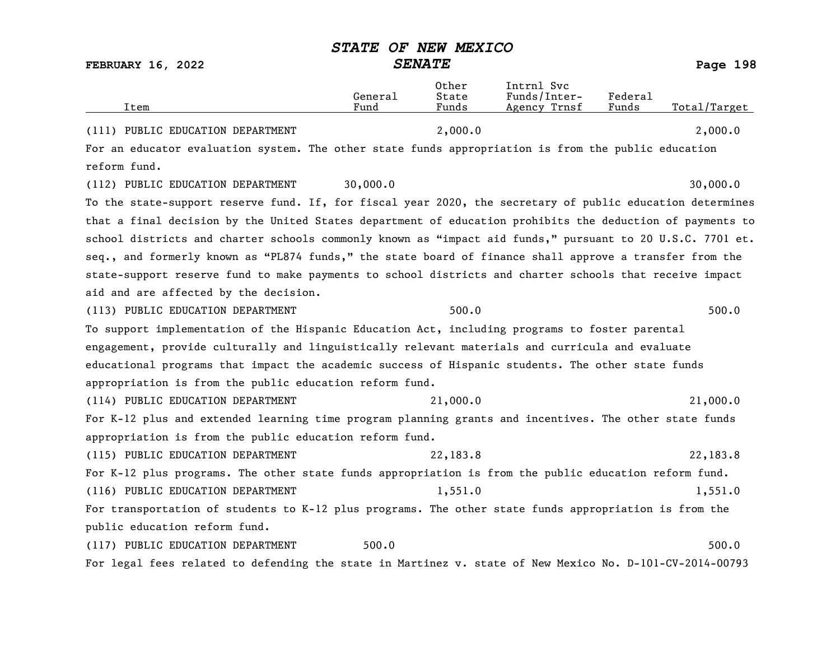| Item                                                                                                      | General<br>Fund | Other<br>State<br>Funds | Intrnl Svc<br>Funds/Inter-<br>Agency Trnsf | Federal<br>Funds | Total/Target |
|-----------------------------------------------------------------------------------------------------------|-----------------|-------------------------|--------------------------------------------|------------------|--------------|
| (111) PUBLIC EDUCATION DEPARTMENT                                                                         |                 | 2,000.0                 |                                            |                  | 2,000.0      |
| For an educator evaluation system. The other state funds appropriation is from the public education       |                 |                         |                                            |                  |              |
| reform fund.                                                                                              |                 |                         |                                            |                  |              |
| (112) PUBLIC EDUCATION DEPARTMENT                                                                         | 30,000.0        |                         |                                            |                  | 30,000.0     |
| To the state-support reserve fund. If, for fiscal year 2020, the secretary of public education determines |                 |                         |                                            |                  |              |
| that a final decision by the United States department of education prohibits the deduction of payments to |                 |                         |                                            |                  |              |
| school districts and charter schools commonly known as "impact aid funds," pursuant to 20 U.S.C. 7701 et. |                 |                         |                                            |                  |              |
| seq., and formerly known as "PL874 funds," the state board of finance shall approve a transfer from the   |                 |                         |                                            |                  |              |
| state-support reserve fund to make payments to school districts and charter schools that receive impact   |                 |                         |                                            |                  |              |
| aid and are affected by the decision.                                                                     |                 |                         |                                            |                  |              |
| (113) PUBLIC EDUCATION DEPARTMENT                                                                         |                 | 500.0                   |                                            |                  | 500.0        |
| To support implementation of the Hispanic Education Act, including programs to foster parental            |                 |                         |                                            |                  |              |
| engagement, provide culturally and linguistically relevant materials and curricula and evaluate           |                 |                         |                                            |                  |              |
| educational programs that impact the academic success of Hispanic students. The other state funds         |                 |                         |                                            |                  |              |
| appropriation is from the public education reform fund.                                                   |                 |                         |                                            |                  |              |
| (114) PUBLIC EDUCATION DEPARTMENT                                                                         |                 | 21,000.0                |                                            |                  | 21,000.0     |
| For K-12 plus and extended learning time program planning grants and incentives. The other state funds    |                 |                         |                                            |                  |              |
| appropriation is from the public education reform fund.                                                   |                 |                         |                                            |                  |              |
| (115) PUBLIC EDUCATION DEPARTMENT                                                                         |                 | 22,183.8                |                                            |                  | 22,183.8     |
| For K-12 plus programs. The other state funds appropriation is from the public education reform fund.     |                 |                         |                                            |                  |              |
| (116) PUBLIC EDUCATION DEPARTMENT                                                                         |                 | 1,551.0                 |                                            |                  | 1,551.0      |
| For transportation of students to K-12 plus programs. The other state funds appropriation is from the     |                 |                         |                                            |                  |              |
| public education reform fund.                                                                             |                 |                         |                                            |                  |              |
| (117) PUBLIC EDUCATION DEPARTMENT                                                                         | 500.0           |                         |                                            |                  | 500.0        |
| For legal fees related to defending the state in Martinez v. state of New Mexico No. D-101-CV-2014-00793  |                 |                         |                                            |                  |              |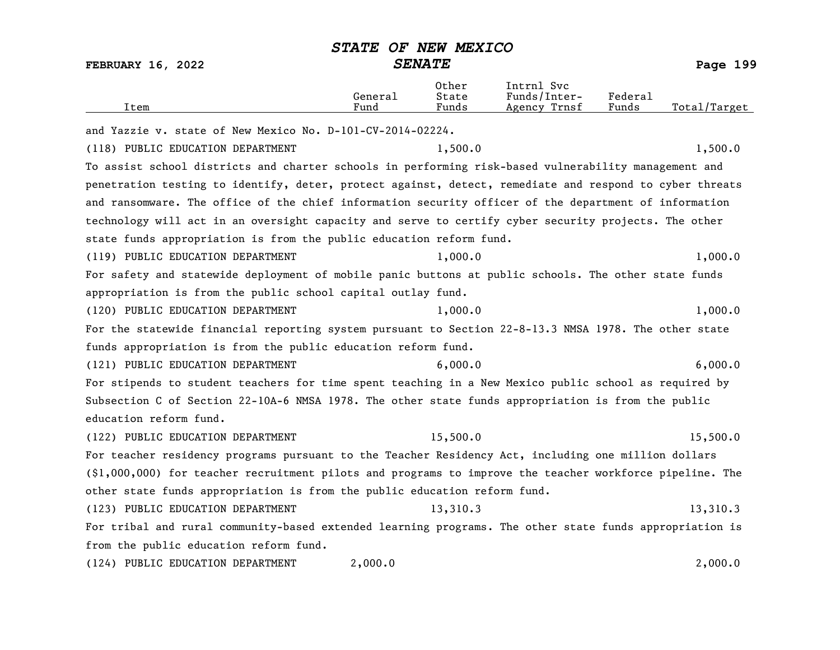Other Intrnl Svc

| Item                                                                                                       | General<br>Fund | State<br>Funds | Funds/Inter-<br>Agency Trnsf | Federal<br>Funds | Total/Target |  |  |  |  |
|------------------------------------------------------------------------------------------------------------|-----------------|----------------|------------------------------|------------------|--------------|--|--|--|--|
| and Yazzie v. state of New Mexico No. D-101-CV-2014-02224.                                                 |                 |                |                              |                  |              |  |  |  |  |
| (118) PUBLIC EDUCATION DEPARTMENT                                                                          |                 | 1,500.0        |                              |                  | 1,500.0      |  |  |  |  |
| To assist school districts and charter schools in performing risk-based vulnerability management and       |                 |                |                              |                  |              |  |  |  |  |
| penetration testing to identify, deter, protect against, detect, remediate and respond to cyber threats    |                 |                |                              |                  |              |  |  |  |  |
| and ransomware. The office of the chief information security officer of the department of information      |                 |                |                              |                  |              |  |  |  |  |
| technology will act in an oversight capacity and serve to certify cyber security projects. The other       |                 |                |                              |                  |              |  |  |  |  |
| state funds appropriation is from the public education reform fund.                                        |                 |                |                              |                  |              |  |  |  |  |
| (119) PUBLIC EDUCATION DEPARTMENT                                                                          |                 | 1,000.0        |                              |                  | 1,000.0      |  |  |  |  |
| For safety and statewide deployment of mobile panic buttons at public schools. The other state funds       |                 |                |                              |                  |              |  |  |  |  |
| appropriation is from the public school capital outlay fund.                                               |                 |                |                              |                  |              |  |  |  |  |
| (120) PUBLIC EDUCATION DEPARTMENT                                                                          |                 | 1,000.0        |                              |                  | 1,000.0      |  |  |  |  |
| For the statewide financial reporting system pursuant to Section 22-8-13.3 NMSA 1978. The other state      |                 |                |                              |                  |              |  |  |  |  |
| funds appropriation is from the public education reform fund.                                              |                 |                |                              |                  |              |  |  |  |  |
| (121) PUBLIC EDUCATION DEPARTMENT                                                                          |                 | 6,000.0        |                              |                  | 6,000.0      |  |  |  |  |
| For stipends to student teachers for time spent teaching in a New Mexico public school as required by      |                 |                |                              |                  |              |  |  |  |  |
| Subsection C of Section 22-10A-6 NMSA 1978. The other state funds appropriation is from the public         |                 |                |                              |                  |              |  |  |  |  |
| education reform fund.                                                                                     |                 |                |                              |                  |              |  |  |  |  |
| (122) PUBLIC EDUCATION DEPARTMENT                                                                          |                 | 15,500.0       |                              |                  | 15,500.0     |  |  |  |  |
| For teacher residency programs pursuant to the Teacher Residency Act, including one million dollars        |                 |                |                              |                  |              |  |  |  |  |
| $(\$1,000,000)$ for teacher recruitment pilots and programs to improve the teacher workforce pipeline. The |                 |                |                              |                  |              |  |  |  |  |
| other state funds appropriation is from the public education reform fund.                                  |                 |                |                              |                  |              |  |  |  |  |
| (123) PUBLIC EDUCATION DEPARTMENT                                                                          |                 | 13,310.3       |                              |                  | 13,310.3     |  |  |  |  |
| For tribal and rural community-based extended learning programs. The other state funds appropriation is    |                 |                |                              |                  |              |  |  |  |  |
| from the public education reform fund.                                                                     |                 |                |                              |                  |              |  |  |  |  |
| (124) PUBLIC EDUCATION DEPARTMENT                                                                          | 2,000.0         |                |                              |                  | 2,000.0      |  |  |  |  |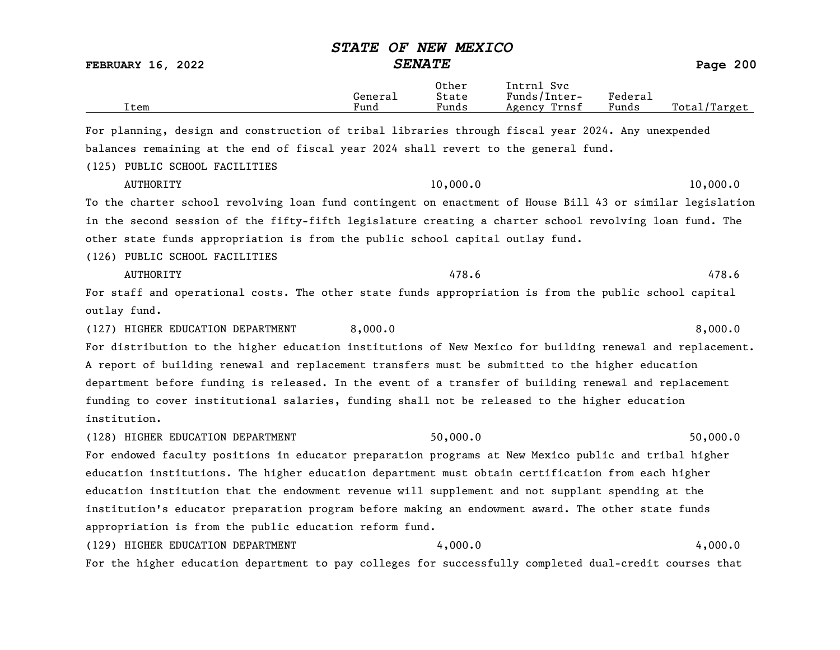|                                                                                                           | <i><b>STATE</b></i> | OF NEW MEXICO           |                                            |                  |              |  |  |
|-----------------------------------------------------------------------------------------------------------|---------------------|-------------------------|--------------------------------------------|------------------|--------------|--|--|
| <b>FEBRUARY 16, 2022</b>                                                                                  | <b>SENATE</b>       |                         |                                            |                  | Page 200     |  |  |
| Item                                                                                                      | General<br>Fund     | Other<br>State<br>Funds | Intrnl Svc<br>Funds/Inter-<br>Agency Trnsf | Federal<br>Funds | Total/Target |  |  |
| For planning, design and construction of tribal libraries through fiscal year 2024. Any unexpended        |                     |                         |                                            |                  |              |  |  |
| balances remaining at the end of fiscal year 2024 shall revert to the general fund.                       |                     |                         |                                            |                  |              |  |  |
| (125) PUBLIC SCHOOL FACILITIES                                                                            |                     |                         |                                            |                  |              |  |  |
| <b>AUTHORITY</b>                                                                                          |                     | 10,000.0                |                                            |                  | 10,000.0     |  |  |
| To the charter school revolving loan fund contingent on enactment of House Bill 43 or similar legislation |                     |                         |                                            |                  |              |  |  |
| in the second session of the fifty-fifth legislature creating a charter school revolving loan fund. The   |                     |                         |                                            |                  |              |  |  |
| other state funds appropriation is from the public school capital outlay fund.                            |                     |                         |                                            |                  |              |  |  |
| (126) PUBLIC SCHOOL FACILITIES                                                                            |                     |                         |                                            |                  |              |  |  |
| <b>AUTHORITY</b>                                                                                          |                     | 478.6                   |                                            |                  | 478.6        |  |  |
| For staff and operational costs. The other state funds appropriation is from the public school capital    |                     |                         |                                            |                  |              |  |  |
| outlay fund.                                                                                              |                     |                         |                                            |                  |              |  |  |
| (127) HIGHER EDUCATION DEPARTMENT                                                                         | 8,000.0             |                         |                                            |                  | 8,000.0      |  |  |
| For distribution to the higher education institutions of New Mexico for building renewal and replacement. |                     |                         |                                            |                  |              |  |  |
| A report of building renewal and replacement transfers must be submitted to the higher education          |                     |                         |                                            |                  |              |  |  |
| department before funding is released. In the event of a transfer of building renewal and replacement     |                     |                         |                                            |                  |              |  |  |
| funding to cover institutional salaries, funding shall not be released to the higher education            |                     |                         |                                            |                  |              |  |  |
| institution.                                                                                              |                     |                         |                                            |                  |              |  |  |
| (128) HIGHER EDUCATION DEPARTMENT                                                                         |                     | 50,000.0                |                                            |                  | 50,000.0     |  |  |
| For endowed faculty positions in educator preparation programs at New Mexico public and tribal higher     |                     |                         |                                            |                  |              |  |  |
| education institutions. The higher education department must obtain certification from each higher        |                     |                         |                                            |                  |              |  |  |
| education institution that the endowment revenue will supplement and not supplant spending at the         |                     |                         |                                            |                  |              |  |  |
| institution's educator preparation program before making an endowment award. The other state funds        |                     |                         |                                            |                  |              |  |  |
| appropriation is from the public education reform fund.                                                   |                     |                         |                                            |                  |              |  |  |
| (129) HIGHER EDUCATION DEPARTMENT                                                                         |                     | 4,000.0                 |                                            |                  | 4,000.0      |  |  |
| For the higher education department to pay colleges for successfully completed dual-credit courses that   |                     |                         |                                            |                  |              |  |  |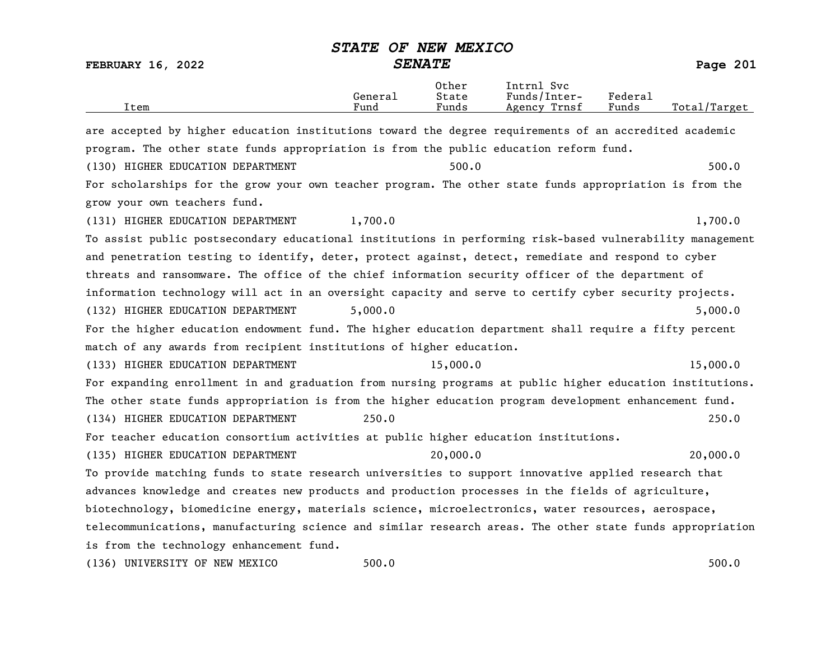FEBRUARY 16, 2022 SENATE SENATE

| Item                                                                                                      | General<br>Fund          | Other<br>State<br>Funds | Intrnl Svc<br>Funds/Inter-<br>Agency Trnsf | Federal<br>Funds | Total/Target      |
|-----------------------------------------------------------------------------------------------------------|--------------------------|-------------------------|--------------------------------------------|------------------|-------------------|
| are accepted by higher education institutions toward the degree requirements of an accredited academic    |                          |                         |                                            |                  |                   |
| program. The other state funds appropriation is from the public education reform fund.                    |                          |                         |                                            |                  |                   |
| (130) HIGHER EDUCATION DEPARTMENT                                                                         |                          | 500.0                   |                                            |                  | 500.0             |
| For scholarships for the grow your own teacher program. The other state funds appropriation is from the   |                          |                         |                                            |                  |                   |
| grow your own teachers fund.                                                                              |                          |                         |                                            |                  |                   |
| (131) HIGHER EDUCATION DEPARTMENT                                                                         | 1,700.0                  |                         |                                            |                  | 1,700.0           |
| To assist public postsecondary educational institutions in performing risk-based vulnerability management |                          |                         |                                            |                  |                   |
| and penetration testing to identify, deter, protect against, detect, remediate and respond to cyber       |                          |                         |                                            |                  |                   |
| threats and ransomware. The office of the chief information security officer of the department of         |                          |                         |                                            |                  |                   |
| information technology will act in an oversight capacity and serve to certify cyber security projects.    |                          |                         |                                            |                  |                   |
| (132) HIGHER EDUCATION DEPARTMENT                                                                         | 5,000.0                  |                         |                                            |                  | 5,000.0           |
| For the higher education endowment fund. The higher education department shall require a fifty percent    |                          |                         |                                            |                  |                   |
| match of any awards from recipient institutions of higher education.                                      |                          |                         |                                            |                  |                   |
| (133) HIGHER EDUCATION DEPARTMENT                                                                         |                          | 15,000.0                |                                            |                  | 15,000.0          |
| For expanding enrollment in and graduation from nursing programs at public higher education institutions. |                          |                         |                                            |                  |                   |
| The other state funds appropriation is from the higher education program development enhancement fund.    |                          |                         |                                            |                  |                   |
| (134) HIGHER EDUCATION DEPARTMENT                                                                         | 250.0                    |                         |                                            |                  | 250.0             |
| For teacher education consortium activities at public higher education institutions.                      |                          |                         |                                            |                  |                   |
| (135) HIGHER EDUCATION DEPARTMENT                                                                         |                          | 20,000.0                |                                            |                  | 20,000.0          |
| To provide matching funds to state research universities to support innovative applied research that      |                          |                         |                                            |                  |                   |
| advances knowledge and creates new products and production processes in the fields of agriculture,        |                          |                         |                                            |                  |                   |
| biotechnology, biomedicine energy, materials science, microelectronics, water resources, aerospace,       |                          |                         |                                            |                  |                   |
| telecommunications, manufacturing science and similar research areas. The other state funds appropriation |                          |                         |                                            |                  |                   |
| is from the technology enhancement fund.                                                                  |                          |                         |                                            |                  |                   |
| $(105)$ $\ldots$ $\ldots$                                                                                 | $\overline{\phantom{a}}$ |                         |                                            |                  | $\sim$ 0.0 $\sim$ |

(136) UNIVERSITY OF NEW MEXICO 500.0 500.0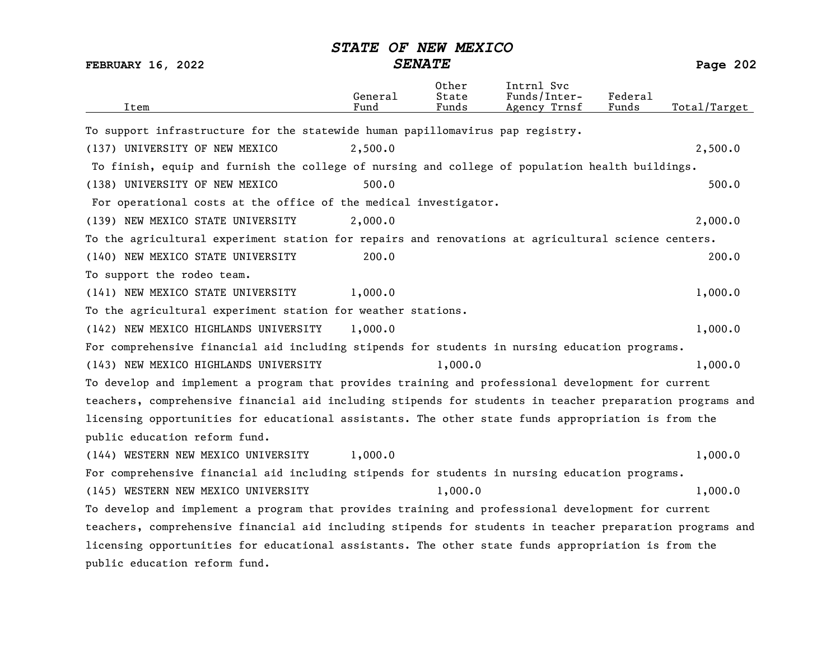| Item                                                                                                      | General<br>Fund | Other<br>State<br>Funds | Intrnl Svc<br>Funds/Inter-<br>Agency Trnsf | Federal<br>Funds | Total/Target |
|-----------------------------------------------------------------------------------------------------------|-----------------|-------------------------|--------------------------------------------|------------------|--------------|
| To support infrastructure for the statewide human papillomavirus pap registry.                            |                 |                         |                                            |                  |              |
| (137) UNIVERSITY OF NEW MEXICO                                                                            | 2,500.0         |                         |                                            |                  | 2,500.0      |
| To finish, equip and furnish the college of nursing and college of population health buildings.           |                 |                         |                                            |                  |              |
| (138) UNIVERSITY OF NEW MEXICO                                                                            | 500.0           |                         |                                            |                  | 500.0        |
| For operational costs at the office of the medical investigator.                                          |                 |                         |                                            |                  |              |
| (139) NEW MEXICO STATE UNIVERSITY                                                                         | 2,000.0         |                         |                                            |                  | 2,000.0      |
| To the agricultural experiment station for repairs and renovations at agricultural science centers.       |                 |                         |                                            |                  |              |
| (140) NEW MEXICO STATE UNIVERSITY                                                                         | 200.0           |                         |                                            |                  | 200.0        |
| To support the rodeo team.                                                                                |                 |                         |                                            |                  |              |
| (141) NEW MEXICO STATE UNIVERSITY                                                                         | 1,000.0         |                         |                                            |                  | 1,000.0      |
| To the agricultural experiment station for weather stations.                                              |                 |                         |                                            |                  |              |
| (142) NEW MEXICO HIGHLANDS UNIVERSITY                                                                     | 1,000.0         |                         |                                            |                  | 1,000.0      |
| For comprehensive financial aid including stipends for students in nursing education programs.            |                 |                         |                                            |                  |              |
| (143) NEW MEXICO HIGHLANDS UNIVERSITY                                                                     |                 | 1,000.0                 |                                            |                  | 1,000.0      |
| To develop and implement a program that provides training and professional development for current        |                 |                         |                                            |                  |              |
| teachers, comprehensive financial aid including stipends for students in teacher preparation programs and |                 |                         |                                            |                  |              |
| licensing opportunities for educational assistants. The other state funds appropriation is from the       |                 |                         |                                            |                  |              |
| public education reform fund.                                                                             |                 |                         |                                            |                  |              |
| (144) WESTERN NEW MEXICO UNIVERSITY                                                                       | 1,000.0         |                         |                                            |                  | 1,000.0      |
| For comprehensive financial aid including stipends for students in nursing education programs.            |                 |                         |                                            |                  |              |
| (145) WESTERN NEW MEXICO UNIVERSITY                                                                       |                 | 1,000.0                 |                                            |                  | 1,000.0      |
| To develop and implement a program that provides training and professional development for current        |                 |                         |                                            |                  |              |
| teachers, comprehensive financial aid including stipends for students in teacher preparation programs and |                 |                         |                                            |                  |              |
| licensing opportunities for educational assistants. The other state funds appropriation is from the       |                 |                         |                                            |                  |              |
| public education reform fund.                                                                             |                 |                         |                                            |                  |              |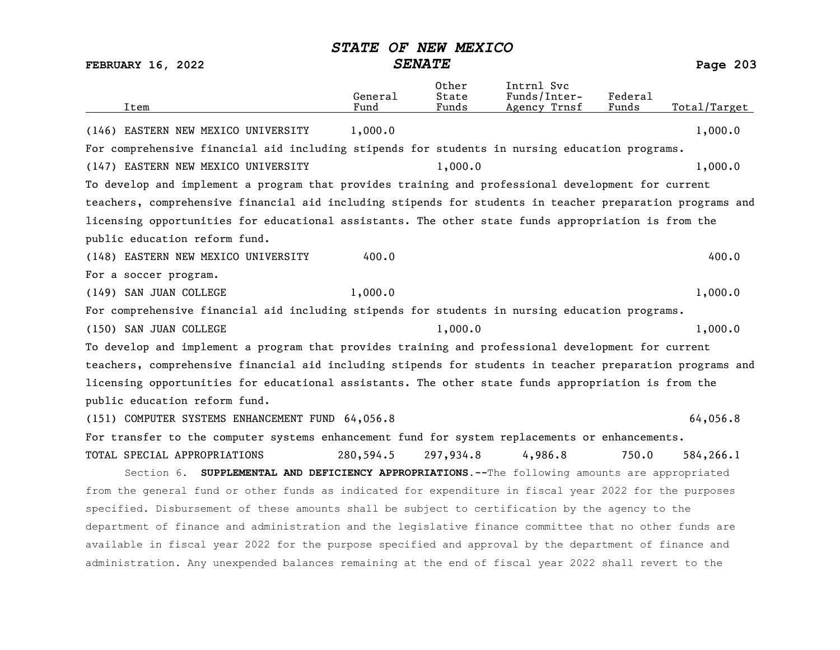| Item                                                                                                      | General<br>Fund | Other<br>State<br>Funds | Intrnl Svc<br>Funds/Inter-<br>Agency Trnsf | Federal<br>Funds | Total/Target |
|-----------------------------------------------------------------------------------------------------------|-----------------|-------------------------|--------------------------------------------|------------------|--------------|
| (146) EASTERN NEW MEXICO UNIVERSITY                                                                       | 1,000.0         |                         |                                            |                  | 1,000.0      |
| For comprehensive financial aid including stipends for students in nursing education programs.            |                 |                         |                                            |                  |              |
| (147) EASTERN NEW MEXICO UNIVERSITY                                                                       |                 | 1,000.0                 |                                            |                  | 1,000.0      |
| To develop and implement a program that provides training and professional development for current        |                 |                         |                                            |                  |              |
| teachers, comprehensive financial aid including stipends for students in teacher preparation programs and |                 |                         |                                            |                  |              |
| licensing opportunities for educational assistants. The other state funds appropriation is from the       |                 |                         |                                            |                  |              |
| public education reform fund.                                                                             |                 |                         |                                            |                  |              |
| (148) EASTERN NEW MEXICO UNIVERSITY                                                                       | 400.0           |                         |                                            |                  | 400.0        |
| For a soccer program.                                                                                     |                 |                         |                                            |                  |              |
| (149) SAN JUAN COLLEGE                                                                                    | 1,000.0         |                         |                                            |                  | 1,000.0      |
| For comprehensive financial aid including stipends for students in nursing education programs.            |                 |                         |                                            |                  |              |
| (150) SAN JUAN COLLEGE                                                                                    |                 | 1,000.0                 |                                            |                  | 1,000.0      |
| To develop and implement a program that provides training and professional development for current        |                 |                         |                                            |                  |              |
| teachers, comprehensive financial aid including stipends for students in teacher preparation programs and |                 |                         |                                            |                  |              |
| licensing opportunities for educational assistants. The other state funds appropriation is from the       |                 |                         |                                            |                  |              |
| public education reform fund.                                                                             |                 |                         |                                            |                  |              |
| (151) COMPUTER SYSTEMS ENHANCEMENT FUND 64,056.8                                                          |                 |                         |                                            |                  | 64,056.8     |
| For transfer to the computer systems enhancement fund for system replacements or enhancements.            |                 |                         |                                            |                  |              |
| TOTAL SPECIAL APPROPRIATIONS                                                                              | 280,594.5       | 297,934.8               | 4,986.8                                    | 750.0            | 584, 266.1   |
| Section 6. SUPPLEMENTAL AND DEFICIENCY APPROPRIATIONS. -- The following amounts are appropriated          |                 |                         |                                            |                  |              |
| from the general fund or other funds as indicated for expenditure in fiscal year 2022 for the purposes    |                 |                         |                                            |                  |              |
| specified. Disbursement of these amounts shall be subject to certification by the agency to the           |                 |                         |                                            |                  |              |
| department of finance and administration and the legislative finance committee that no other funds are    |                 |                         |                                            |                  |              |
| available in fiscal year 2022 for the purpose specified and approval by the department of finance and     |                 |                         |                                            |                  |              |
| administration. Any unexpended balances remaining at the end of fiscal year 2022 shall revert to the      |                 |                         |                                            |                  |              |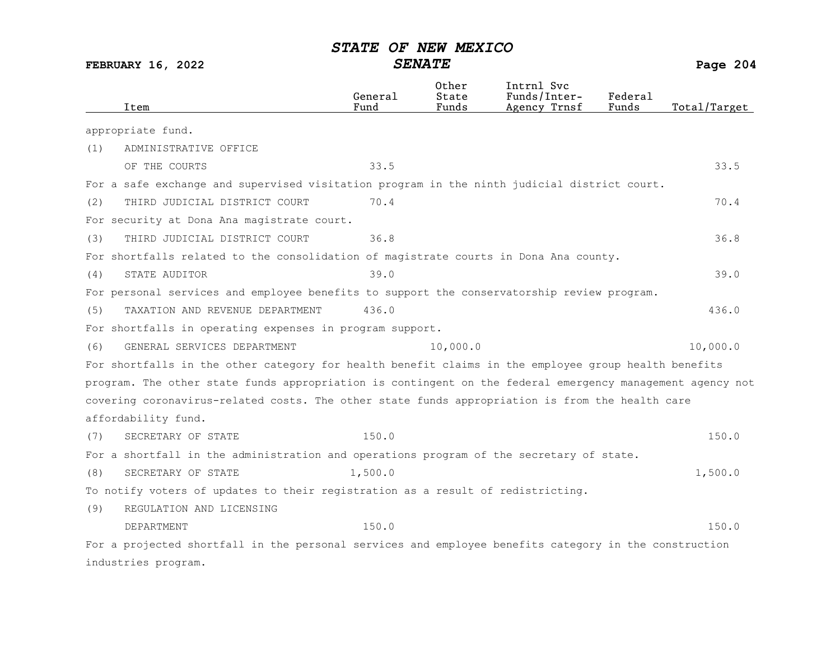| Item                                                                                                      | General<br>Fund | Other<br>State<br>Funds | Intrnl Svc<br>Funds/Inter-<br>Agency Trnsf | Federa1<br>Funds | Total/Target |
|-----------------------------------------------------------------------------------------------------------|-----------------|-------------------------|--------------------------------------------|------------------|--------------|
| appropriate fund.                                                                                         |                 |                         |                                            |                  |              |
| ADMINISTRATIVE OFFICE<br>(1)                                                                              |                 |                         |                                            |                  |              |
| OF THE COURTS                                                                                             | 33.5            |                         |                                            |                  | 33.5         |
| For a safe exchange and supervised visitation program in the ninth judicial district court.               |                 |                         |                                            |                  |              |
| (2)<br>THIRD JUDICIAL DISTRICT COURT                                                                      | 70.4            |                         |                                            |                  | 70.4         |
| For security at Dona Ana magistrate court.                                                                |                 |                         |                                            |                  |              |
| THIRD JUDICIAL DISTRICT COURT<br>(3)                                                                      | 36.8            |                         |                                            |                  | 36.8         |
| For shortfalls related to the consolidation of magistrate courts in Dona Ana county.                      |                 |                         |                                            |                  |              |
| STATE AUDITOR<br>(4)                                                                                      | 39.0            |                         |                                            |                  | 39.0         |
| For personal services and employee benefits to support the conservatorship review program.                |                 |                         |                                            |                  |              |
| TAXATION AND REVENUE DEPARTMENT<br>(5)                                                                    | 436.0           |                         |                                            |                  | 436.0        |
| For shortfalls in operating expenses in program support.                                                  |                 |                         |                                            |                  |              |
| GENERAL SERVICES DEPARTMENT<br>(6)                                                                        |                 | 10,000.0                |                                            |                  | 10,000.0     |
| For shortfalls in the other category for health benefit claims in the employee group health benefits      |                 |                         |                                            |                  |              |
| program. The other state funds appropriation is contingent on the federal emergency management agency not |                 |                         |                                            |                  |              |
| covering coronavirus-related costs. The other state funds appropriation is from the health care           |                 |                         |                                            |                  |              |
| affordability fund.                                                                                       |                 |                         |                                            |                  |              |
| SECRETARY OF STATE<br>(7)                                                                                 | 150.0           |                         |                                            |                  | 150.0        |
| For a shortfall in the administration and operations program of the secretary of state.                   |                 |                         |                                            |                  |              |
| (8)<br>SECRETARY OF STATE                                                                                 | 1,500.0         |                         |                                            |                  | 1,500.0      |
| To notify voters of updates to their registration as a result of redistricting.                           |                 |                         |                                            |                  |              |
| (9)<br>REGULATION AND LICENSING                                                                           |                 |                         |                                            |                  |              |
| DEPARTMENT                                                                                                | 150.0           |                         |                                            |                  | 150.0        |
| For a projected shortfall in the personal services and employee benefits category in the construction     |                 |                         |                                            |                  |              |
| industries program.                                                                                       |                 |                         |                                            |                  |              |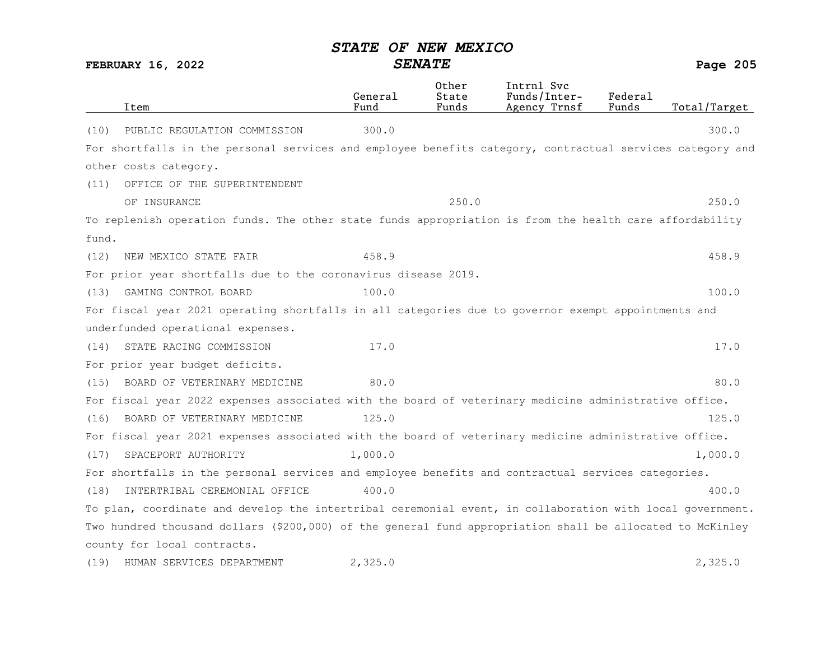|       | Item                                                                                                      | General<br>Fund | Other<br>State<br>Funds | Intrnl Svc<br>Funds/Inter-<br>Agency Trnsf | Federal<br>Funds | Total/Target |
|-------|-----------------------------------------------------------------------------------------------------------|-----------------|-------------------------|--------------------------------------------|------------------|--------------|
| (10)  | PUBLIC REGULATION COMMISSION                                                                              | 300.0           |                         |                                            |                  | 300.0        |
|       | For shortfalls in the personal services and employee benefits category, contractual services category and |                 |                         |                                            |                  |              |
|       | other costs category.                                                                                     |                 |                         |                                            |                  |              |
| (11)  | OFFICE OF THE SUPERINTENDENT                                                                              |                 |                         |                                            |                  |              |
|       | OF INSURANCE                                                                                              |                 | 250.0                   |                                            |                  | 250.0        |
|       | To replenish operation funds. The other state funds appropriation is from the health care affordability   |                 |                         |                                            |                  |              |
| fund. |                                                                                                           |                 |                         |                                            |                  |              |
| (12)  | NEW MEXICO STATE FAIR                                                                                     | 458.9           |                         |                                            |                  | 458.9        |
|       | For prior year shortfalls due to the coronavirus disease 2019.                                            |                 |                         |                                            |                  |              |
| (13)  | GAMING CONTROL BOARD                                                                                      | 100.0           |                         |                                            |                  | 100.0        |
|       | For fiscal year 2021 operating shortfalls in all categories due to governor exempt appointments and       |                 |                         |                                            |                  |              |
|       | underfunded operational expenses.                                                                         |                 |                         |                                            |                  |              |
| (14)  | STATE RACING COMMISSION                                                                                   | 17.0            |                         |                                            |                  | 17.0         |
|       | For prior year budget deficits.                                                                           |                 |                         |                                            |                  |              |
| (15)  | BOARD OF VETERINARY MEDICINE                                                                              | 80.0            |                         |                                            |                  | 80.0         |
|       | For fiscal year 2022 expenses associated with the board of veterinary medicine administrative office.     |                 |                         |                                            |                  |              |
| (16)  | BOARD OF VETERINARY MEDICINE                                                                              | 125.0           |                         |                                            |                  | 125.0        |
|       | For fiscal year 2021 expenses associated with the board of veterinary medicine administrative office.     |                 |                         |                                            |                  |              |
| (17)  | SPACEPORT AUTHORITY                                                                                       | 1,000.0         |                         |                                            |                  | 1,000.0      |
|       | For shortfalls in the personal services and employee benefits and contractual services categories.        |                 |                         |                                            |                  |              |
| (18)  | INTERTRIBAL CEREMONIAL OFFICE                                                                             | 400.0           |                         |                                            |                  | 400.0        |
|       | To plan, coordinate and develop the intertribal ceremonial event, in collaboration with local government. |                 |                         |                                            |                  |              |
|       | Two hundred thousand dollars (\$200,000) of the general fund appropriation shall be allocated to McKinley |                 |                         |                                            |                  |              |
|       | county for local contracts.                                                                               |                 |                         |                                            |                  |              |
| (19)  | HUMAN SERVICES DEPARTMENT                                                                                 | 2,325.0         |                         |                                            |                  | 2,325.0      |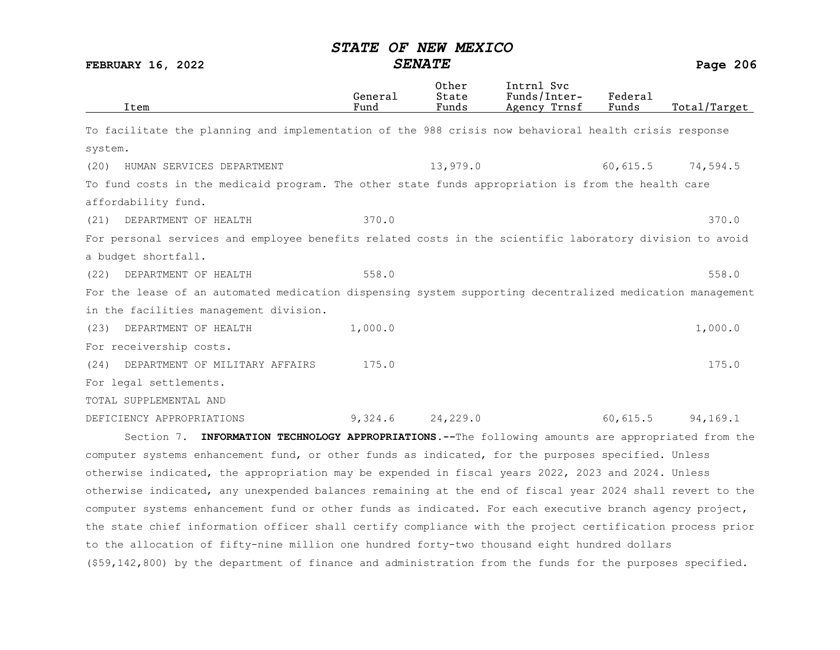FEBRUARY 16, 2022 SENATE Page 206

| Item                                                                                                      | General<br>Fund | Other<br>State<br>Funds | Intrnl Svc<br>Funds/Inter-<br>Agency Trnsf | Federal<br>Funds | Total/Target |
|-----------------------------------------------------------------------------------------------------------|-----------------|-------------------------|--------------------------------------------|------------------|--------------|
| To facilitate the planning and implementation of the 988 crisis now behavioral health crisis response     |                 |                         |                                            |                  |              |
| system.                                                                                                   |                 |                         |                                            |                  |              |
| (20)<br>HUMAN SERVICES DEPARTMENT                                                                         |                 | 13,979.0                |                                            | 60,615.5         | 74,594.5     |
| To fund costs in the medicaid program. The other state funds appropriation is from the health care        |                 |                         |                                            |                  |              |
| affordability fund.                                                                                       |                 |                         |                                            |                  |              |
| DEPARTMENT OF HEALTH<br>(21)                                                                              | 370.0           |                         |                                            |                  | 370.0        |
| For personal services and employee benefits related costs in the scientific laboratory division to avoid  |                 |                         |                                            |                  |              |
| a budget shortfall.                                                                                       |                 |                         |                                            |                  |              |
| DEPARTMENT OF HEALTH<br>(22)                                                                              | 558.0           |                         |                                            |                  | 558.0        |
| For the lease of an automated medication dispensing system supporting decentralized medication management |                 |                         |                                            |                  |              |
| in the facilities management division.                                                                    |                 |                         |                                            |                  |              |
| (23)<br>DEPARTMENT OF HEALTH                                                                              | 1,000.0         |                         |                                            |                  | 1,000.0      |
| For receivership costs.                                                                                   |                 |                         |                                            |                  |              |
| DEPARTMENT OF MILITARY AFFAIRS<br>(24)                                                                    | 175.0           |                         |                                            |                  | 175.0        |
| For legal settlements.                                                                                    |                 |                         |                                            |                  |              |
| TOTAL SUPPLEMENTAL AND                                                                                    |                 |                         |                                            |                  |              |
| DEFICIENCY APPROPRIATIONS                                                                                 | 9,324.6         | 24,229.0                |                                            | 60, 615.5        | 94,169.1     |
| Section 7. INFORMATION TECHNOLOGY APPROPRIATIONS. -- The following amounts are appropriated from the      |                 |                         |                                            |                  |              |
| computer systems enhancement fund, or other funds as indicated, for the purposes specified. Unless        |                 |                         |                                            |                  |              |
| otherwise indicated, the appropriation may be expended in fiscal years 2022, 2023 and 2024. Unless        |                 |                         |                                            |                  |              |
|                                                                                                           |                 |                         |                                            |                  |              |

otherwise indicated, any unexpended balances remaining at the end of fiscal year 2024 shall revert to the computer systems enhancement fund or other funds as indicated. For each executive branch agency project, the state chief information officer shall certify compliance with the project certification process prior to the allocation of fifty-nine million one hundred forty-two thousand eight hundred dollars (\$59,142,800) by the department of finance and administration from the funds for the purposes specified.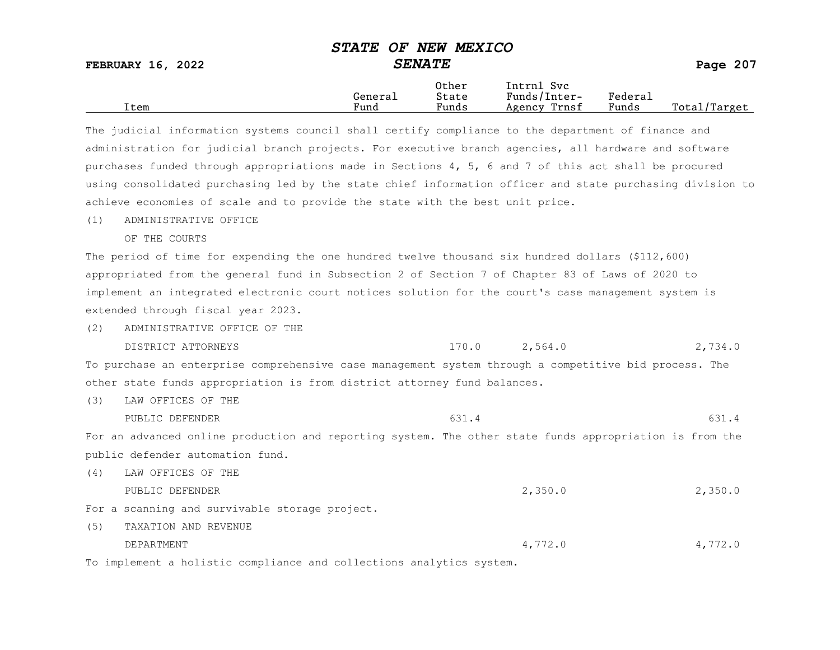FEBRUARY 16, 2022 SENATE SENATE

|      |         | Other                 | Svc<br>[ntrnl   |         |                  |
|------|---------|-----------------------|-----------------|---------|------------------|
|      | General | State                 | Funds/Inter-    | Federau |                  |
| Item | Fund    | $\mathbf{r}$<br>Funds | Trnsf<br>Agency | Funds   | Total,<br>Target |

The judicial information systems council shall certify compliance to the department of finance and administration for judicial branch projects. For executive branch agencies, all hardware and software purchases funded through appropriations made in Sections 4, 5, 6 and 7 of this act shall be procured using consolidated purchasing led by the state chief information officer and state purchasing division to achieve economies of scale and to provide the state with the best unit price.

(1) ADMINISTRATIVE OFFICE

OF THE COURTS

The period of time for expending the one hundred twelve thousand six hundred dollars (\$112,600) appropriated from the general fund in Subsection 2 of Section 7 of Chapter 83 of Laws of 2020 to implement an integrated electronic court notices solution for the court's case management system is extended through fiscal year 2023.

- (2) ADMINISTRATIVE OFFICE OF THE
	- DISTRICT ATTORNEYS 170.0 2,564.0 2,734.0

To purchase an enterprise comprehensive case management system through a competitive bid process. The other state funds appropriation is from district attorney fund balances.

(3) LAW OFFICES OF THE

PUBLIC DEFENDER 631.4 631.4

For an advanced online production and reporting system. The other state funds appropriation is from the public defender automation fund.

- (4) LAW OFFICES OF THE PUBLIC DEFENDER 2,350.0 2,350.0 For a scanning and survivable storage project.
- (5) TAXATION AND REVENUE DEPARTMENT 4,772.0 4,772.0

To implement a holistic compliance and collections analytics system.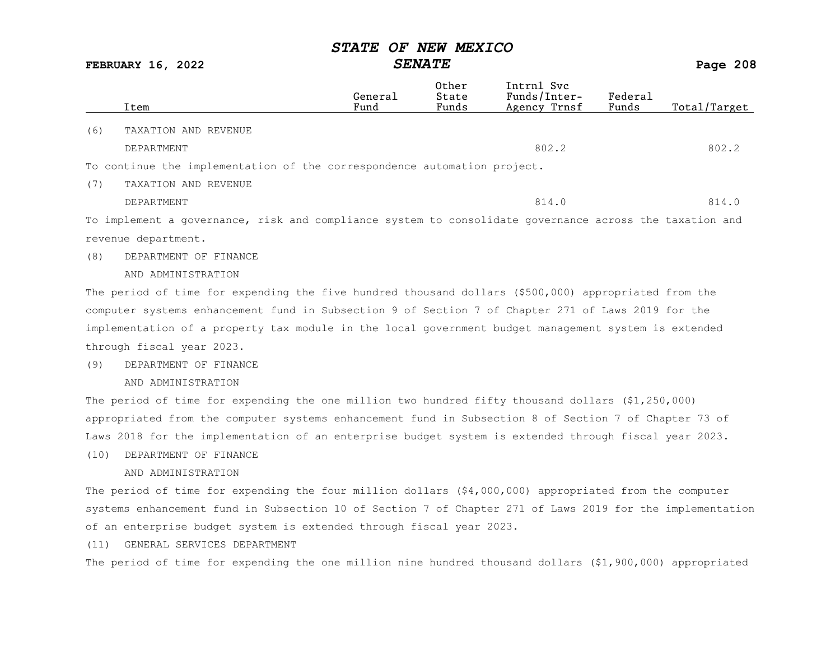FEBRUARY 16, 2022 SENATE Page 208

|     |                                                                                                         | General | Other<br>State | Intrnl Svc<br>Funds/Inter- | Federal |              |
|-----|---------------------------------------------------------------------------------------------------------|---------|----------------|----------------------------|---------|--------------|
|     | Item                                                                                                    | Fund    | Funds          | Agency Trnsf               | Funds   | Total/Target |
| (6) | TAXATION AND REVENUE                                                                                    |         |                |                            |         |              |
|     | DEPARTMENT                                                                                              |         |                | 802.2                      |         | 802.2        |
|     | To continue the implementation of the correspondence automation project.                                |         |                |                            |         |              |
| (7) | TAXATION AND REVENUE                                                                                    |         |                |                            |         |              |
|     | DEPARTMENT                                                                                              |         |                | 814.0                      |         | 814.0        |
|     | To implement a governance, risk and compliance system to consolidate governance across the taxation and |         |                |                            |         |              |
|     | revenue department.                                                                                     |         |                |                            |         |              |
| (8) | DEPARTMENT OF FINANCE                                                                                   |         |                |                            |         |              |
|     | AND ADMINISTRATION                                                                                      |         |                |                            |         |              |
|     | The period of time for expending the five hundred thousand dollars (\$500,000) appropriated from the    |         |                |                            |         |              |

computer systems enhancement fund in Subsection 9 of Section 7 of Chapter 271 of Laws 2019 for the implementation of a property tax module in the local government budget management system is extended through fiscal year 2023.

### (9) DEPARTMENT OF FINANCE

AND ADMINISTRATION

The period of time for expending the one million two hundred fifty thousand dollars (\$1,250,000) appropriated from the computer systems enhancement fund in Subsection 8 of Section 7 of Chapter 73 of Laws 2018 for the implementation of an enterprise budget system is extended through fiscal year 2023.

### (10) DEPARTMENT OF FINANCE

### AND ADMINISTRATION

The period of time for expending the four million dollars (\$4,000,000) appropriated from the computer systems enhancement fund in Subsection 10 of Section 7 of Chapter 271 of Laws 2019 for the implementation of an enterprise budget system is extended through fiscal year 2023.

(11) GENERAL SERVICES DEPARTMENT

The period of time for expending the one million nine hundred thousand dollars (\$1,900,000) appropriated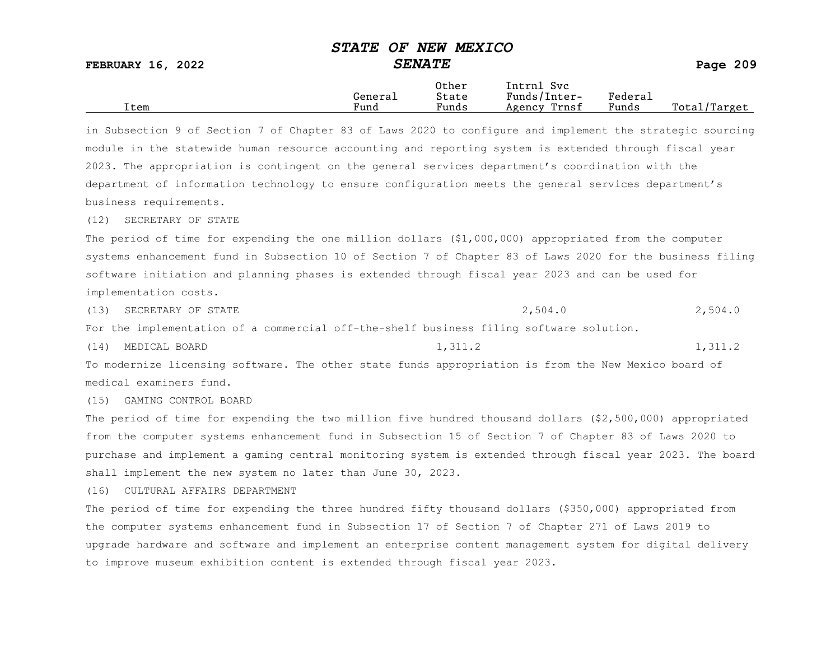FEBRUARY 16, 2022 SENATE SENATE

|      |         | Other                 | Svc<br>[ntrnl   |         |                  |
|------|---------|-----------------------|-----------------|---------|------------------|
|      | General | State                 | Funds/Inter-    | Federau |                  |
| Item | Fund    | $\mathbf{r}$<br>Funds | Trnsf<br>Agency | Funds   | Total,<br>Target |

in Subsection 9 of Section 7 of Chapter 83 of Laws 2020 to configure and implement the strategic sourcing module in the statewide human resource accounting and reporting system is extended through fiscal year 2023. The appropriation is contingent on the general services department's coordination with the department of information technology to ensure configuration meets the general services department's business requirements.

(12) SECRETARY OF STATE

The period of time for expending the one million dollars (\$1,000,000) appropriated from the computer systems enhancement fund in Subsection 10 of Section 7 of Chapter 83 of Laws 2020 for the business filing software initiation and planning phases is extended through fiscal year 2023 and can be used for implementation costs.

(13) SECRETARY OF STATE  $2,504.0$ 

For the implementation of a commercial off-the-shelf business filing software solution.

(14) MEDICAL BOARD 1,311.2 1,311.2 1,311.2

To modernize licensing software. The other state funds appropriation is from the New Mexico board of medical examiners fund.

(15) GAMING CONTROL BOARD

The period of time for expending the two million five hundred thousand dollars (\$2,500,000) appropriated from the computer systems enhancement fund in Subsection 15 of Section 7 of Chapter 83 of Laws 2020 to purchase and implement a gaming central monitoring system is extended through fiscal year 2023. The board shall implement the new system no later than June 30, 2023.

(16) CULTURAL AFFAIRS DEPARTMENT

The period of time for expending the three hundred fifty thousand dollars (\$350,000) appropriated from the computer systems enhancement fund in Subsection 17 of Section 7 of Chapter 271 of Laws 2019 to upgrade hardware and software and implement an enterprise content management system for digital delivery to improve museum exhibition content is extended through fiscal year 2023.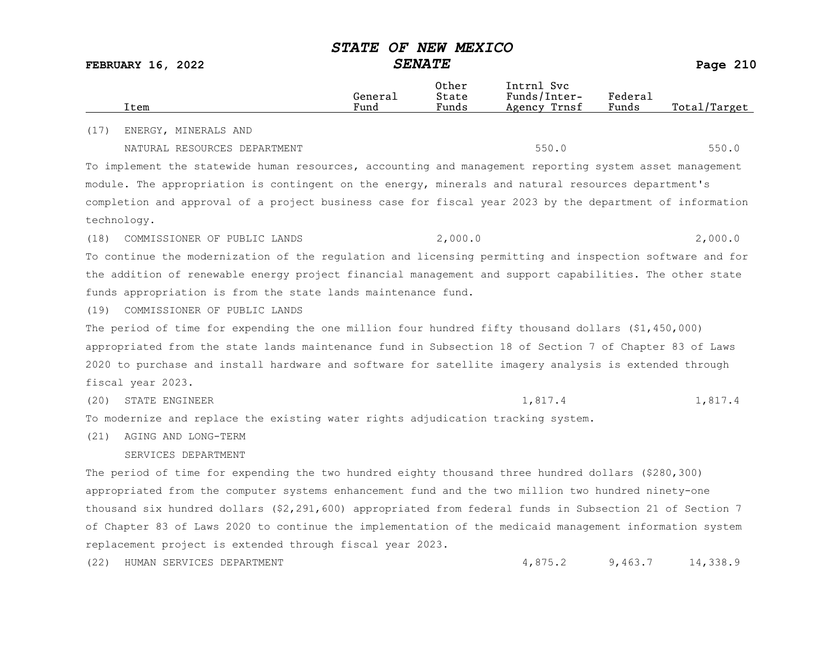| Item                                                                                                     | General<br>Fund | Other<br>State<br>Funds | Intrnl Svc<br>Funds/Inter-<br>Agency Trnsf | Federal<br>Funds | Total/Target |
|----------------------------------------------------------------------------------------------------------|-----------------|-------------------------|--------------------------------------------|------------------|--------------|
| (17)<br>ENERGY, MINERALS AND                                                                             |                 |                         |                                            |                  |              |
| NATURAL RESOURCES DEPARTMENT                                                                             |                 |                         | 550.0                                      |                  | 550.0        |
| To implement the statewide human resources, accounting and management reporting system asset management  |                 |                         |                                            |                  |              |
| module. The appropriation is contingent on the energy, minerals and natural resources department's       |                 |                         |                                            |                  |              |
| completion and approval of a project business case for fiscal year 2023 by the department of information |                 |                         |                                            |                  |              |
| technology.                                                                                              |                 |                         |                                            |                  |              |
| (18)<br>COMMISSIONER OF PUBLIC LANDS                                                                     |                 | 2,000.0                 |                                            |                  | 2,000.0      |
| To continue the modernization of the regulation and licensing permitting and inspection software and for |                 |                         |                                            |                  |              |
| the addition of renewable energy project financial management and support capabilities. The other state  |                 |                         |                                            |                  |              |
| funds appropriation is from the state lands maintenance fund.                                            |                 |                         |                                            |                  |              |
| COMMISSIONER OF PUBLIC LANDS<br>(19)                                                                     |                 |                         |                                            |                  |              |
| The period of time for expending the one million four hundred fifty thousand dollars (\$1,450,000)       |                 |                         |                                            |                  |              |
| appropriated from the state lands maintenance fund in Subsection 18 of Section 7 of Chapter 83 of Laws   |                 |                         |                                            |                  |              |
| 2020 to purchase and install hardware and software for satellite imagery analysis is extended through    |                 |                         |                                            |                  |              |
| fiscal year 2023.                                                                                        |                 |                         |                                            |                  |              |
| STATE ENGINEER<br>(20)                                                                                   |                 |                         | 1,817.4                                    |                  | 1,817.4      |
| To modernize and replace the existing water rights adjudication tracking system.                         |                 |                         |                                            |                  |              |
| (21)<br>AGING AND LONG-TERM                                                                              |                 |                         |                                            |                  |              |
| SERVICES DEPARTMENT                                                                                      |                 |                         |                                            |                  |              |
| The period of time for expending the two hundred eighty thousand three hundred dollars (\$280,300)       |                 |                         |                                            |                  |              |
| appropriated from the computer systems enhancement fund and the two million two hundred ninety-one       |                 |                         |                                            |                  |              |
| thousand six hundred dollars (\$2,291,600) appropriated from federal funds in Subsection 21 of Section 7 |                 |                         |                                            |                  |              |
| of Chapter 83 of Laws 2020 to continue the implementation of the medicaid management information system  |                 |                         |                                            |                  |              |
| replacement project is extended through fiscal year 2023.                                                |                 |                         |                                            |                  |              |
| (22)<br>HUMAN SERVICES DEPARTMENT                                                                        |                 |                         | 4,875.2                                    | 9,463.7          | 14,338.9     |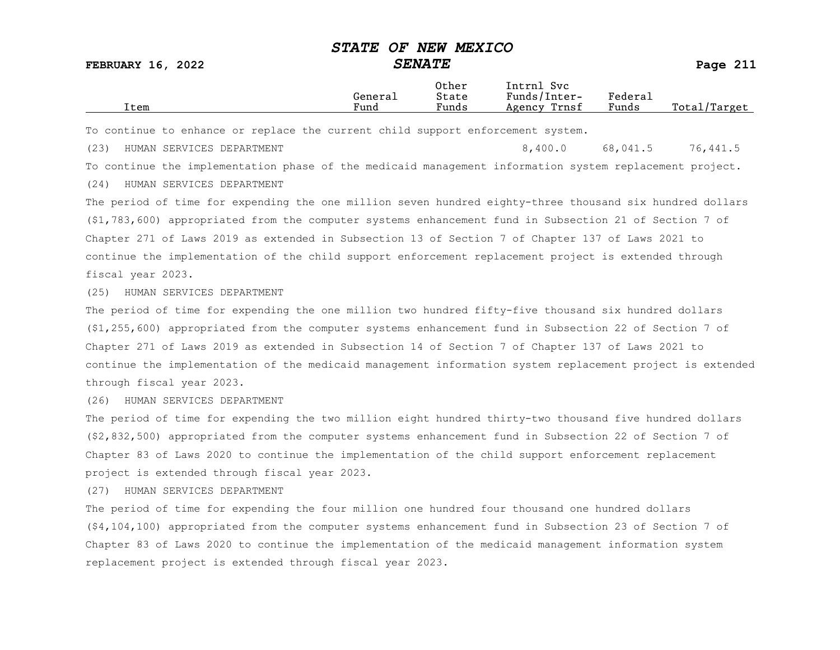FEBRUARY 16, 2022 SENATE Page 211

Other Intrnl Svc<br>General State Funds/Inter General State Funds/Inter- Federal<br>Trem Funds Funds Agency Trnsf Funds Total/Target

To continue to enhance or replace the current child support enforcement system.

(23) HUMAN SERVICES DEPARTMENT 8,400.0 68,041.5 76,441.5 To continue the implementation phase of the medicaid management information system replacement project. (24) HUMAN SERVICES DEPARTMENT

The period of time for expending the one million seven hundred eighty-three thousand six hundred dollars (\$1,783,600) appropriated from the computer systems enhancement fund in Subsection 21 of Section 7 of Chapter 271 of Laws 2019 as extended in Subsection 13 of Section 7 of Chapter 137 of Laws 2021 to continue the implementation of the child support enforcement replacement project is extended through fiscal year 2023.

(25) HUMAN SERVICES DEPARTMENT

The period of time for expending the one million two hundred fifty-five thousand six hundred dollars (\$1,255,600) appropriated from the computer systems enhancement fund in Subsection 22 of Section 7 of Chapter 271 of Laws 2019 as extended in Subsection 14 of Section 7 of Chapter 137 of Laws 2021 to continue the implementation of the medicaid management information system replacement project is extended through fiscal year 2023.

(26) HUMAN SERVICES DEPARTMENT

The period of time for expending the two million eight hundred thirty-two thousand five hundred dollars (\$2,832,500) appropriated from the computer systems enhancement fund in Subsection 22 of Section 7 of Chapter 83 of Laws 2020 to continue the implementation of the child support enforcement replacement project is extended through fiscal year 2023.

(27) HUMAN SERVICES DEPARTMENT

The period of time for expending the four million one hundred four thousand one hundred dollars (\$4,104,100) appropriated from the computer systems enhancement fund in Subsection 23 of Section 7 of Chapter 83 of Laws 2020 to continue the implementation of the medicaid management information system replacement project is extended through fiscal year 2023.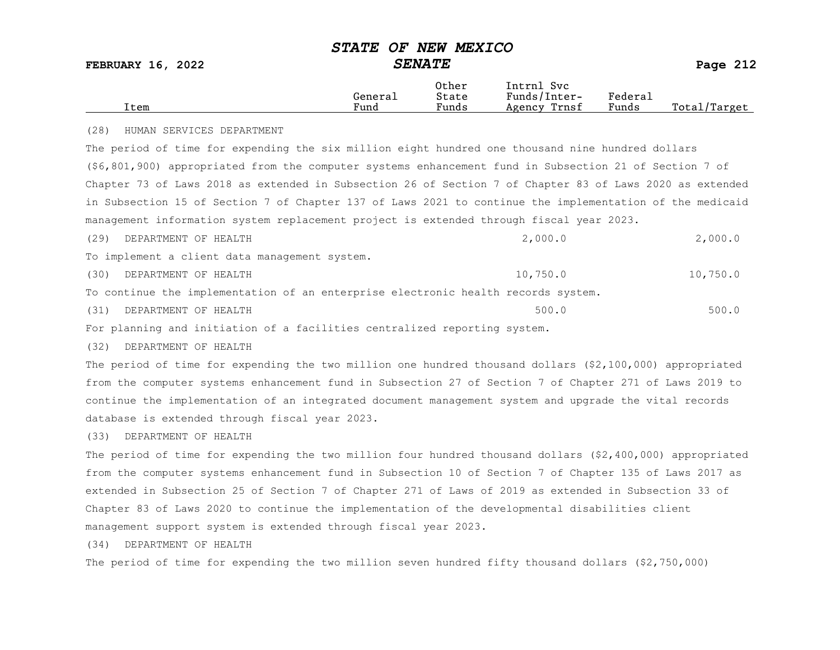| <b>FEBRUARY 16, 2022</b>                                                                                  |                 | <b>SENATE</b>           |                                            |                  |              |
|-----------------------------------------------------------------------------------------------------------|-----------------|-------------------------|--------------------------------------------|------------------|--------------|
| Item                                                                                                      | General<br>Fund | Other<br>State<br>Funds | Intrnl Svc<br>Funds/Inter-<br>Agency Trnsf | Federal<br>Funds | Total/Target |
| (28)<br>HUMAN SERVICES DEPARTMENT                                                                         |                 |                         |                                            |                  |              |
| The period of time for expending the six million eight hundred one thousand nine hundred dollars          |                 |                         |                                            |                  |              |
| (\$6,801,900) appropriated from the computer systems enhancement fund in Subsection 21 of Section 7 of    |                 |                         |                                            |                  |              |
| Chapter 73 of Laws 2018 as extended in Subsection 26 of Section 7 of Chapter 83 of Laws 2020 as extended  |                 |                         |                                            |                  |              |
| in Subsection 15 of Section 7 of Chapter 137 of Laws 2021 to continue the implementation of the medicaid  |                 |                         |                                            |                  |              |
| management information system replacement project is extended through fiscal year 2023.                   |                 |                         |                                            |                  |              |
| (29)<br>DEPARTMENT OF HEALTH                                                                              |                 |                         | 2,000.0                                    |                  | 2,000.0      |
| To implement a client data management system.                                                             |                 |                         |                                            |                  |              |
| DEPARTMENT OF HEALTH<br>(30)                                                                              |                 |                         | 10,750.0                                   |                  | 10,750.0     |
| To continue the implementation of an enterprise electronic health records system.                         |                 |                         |                                            |                  |              |
| DEPARTMENT OF HEALTH<br>(31)                                                                              |                 |                         | 500.0                                      |                  | 500.0        |
| For planning and initiation of a facilities centralized reporting system.                                 |                 |                         |                                            |                  |              |
| (32)<br>DEPARTMENT OF HEALTH                                                                              |                 |                         |                                            |                  |              |
| The period of time for expending the two million one hundred thousand dollars (\$2,100,000) appropriated  |                 |                         |                                            |                  |              |
| from the computer systems enhancement fund in Subsection 27 of Section 7 of Chapter 271 of Laws 2019 to   |                 |                         |                                            |                  |              |
| continue the implementation of an integrated document management system and upgrade the vital records     |                 |                         |                                            |                  |              |
| database is extended through fiscal year 2023.                                                            |                 |                         |                                            |                  |              |
| (33)<br>DEPARTMENT OF HEALTH                                                                              |                 |                         |                                            |                  |              |
| The period of time for expending the two million four hundred thousand dollars (\$2,400,000) appropriated |                 |                         |                                            |                  |              |
| from the computer systems enhancement fund in Subsection 10 of Section 7 of Chapter 135 of Laws 2017 as   |                 |                         |                                            |                  |              |
| extended in Subsection 25 of Section 7 of Chapter 271 of Laws of 2019 as extended in Subsection 33 of     |                 |                         |                                            |                  |              |
| Chapter 83 of Laws 2020 to continue the implementation of the developmental disabilities client           |                 |                         |                                            |                  |              |
| management support system is extended through fiscal year 2023.                                           |                 |                         |                                            |                  |              |
| (34)<br>DEPARTMENT OF HEALTH                                                                              |                 |                         |                                            |                  |              |

The period of time for expending the two million seven hundred fifty thousand dollars (\$2,750,000)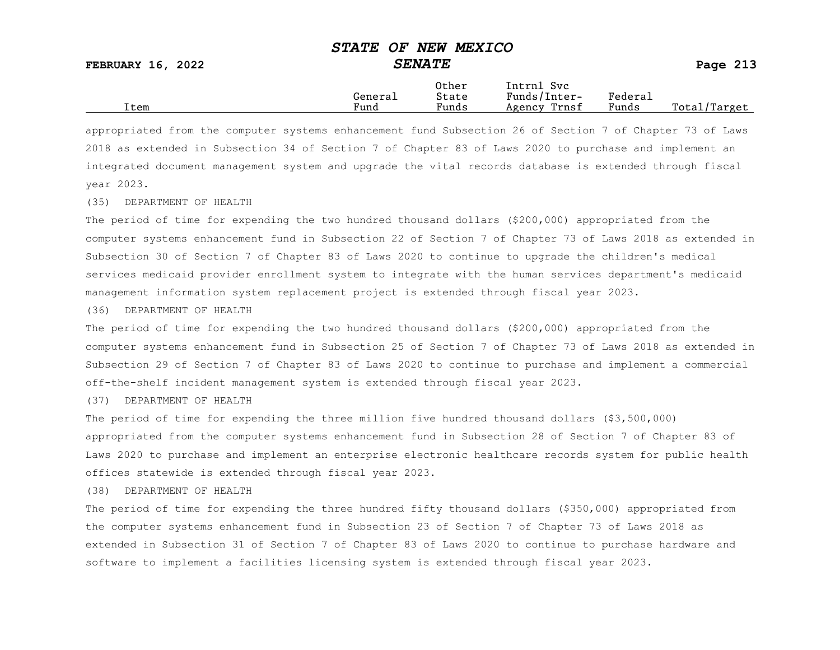|      |         | Other                 | Intrnl<br>Sv c  |                     |                   |
|------|---------|-----------------------|-----------------|---------------------|-------------------|
|      | Generai | State                 | Funds/Inter-    | Federa <sub>1</sub> |                   |
| Item | Fund    | $\mathbf{r}$<br>Funds | Trnsf<br>Agency | Funds               | Total,<br>'Target |

appropriated from the computer systems enhancement fund Subsection 26 of Section 7 of Chapter 73 of Laws 2018 as extended in Subsection 34 of Section 7 of Chapter 83 of Laws 2020 to purchase and implement an integrated document management system and upgrade the vital records database is extended through fiscal year 2023.

(35) DEPARTMENT OF HEALTH

The period of time for expending the two hundred thousand dollars (\$200,000) appropriated from the computer systems enhancement fund in Subsection 22 of Section 7 of Chapter 73 of Laws 2018 as extended in Subsection 30 of Section 7 of Chapter 83 of Laws 2020 to continue to upgrade the children's medical services medicaid provider enrollment system to integrate with the human services department's medicaid management information system replacement project is extended through fiscal year 2023.

(36) DEPARTMENT OF HEALTH

The period of time for expending the two hundred thousand dollars (\$200,000) appropriated from the computer systems enhancement fund in Subsection 25 of Section 7 of Chapter 73 of Laws 2018 as extended in Subsection 29 of Section 7 of Chapter 83 of Laws 2020 to continue to purchase and implement a commercial off-the-shelf incident management system is extended through fiscal year 2023.

(37) DEPARTMENT OF HEALTH

The period of time for expending the three million five hundred thousand dollars (\$3,500,000) appropriated from the computer systems enhancement fund in Subsection 28 of Section 7 of Chapter 83 of Laws 2020 to purchase and implement an enterprise electronic healthcare records system for public health offices statewide is extended through fiscal year 2023.

(38) DEPARTMENT OF HEALTH

The period of time for expending the three hundred fifty thousand dollars (\$350,000) appropriated from the computer systems enhancement fund in Subsection 23 of Section 7 of Chapter 73 of Laws 2018 as extended in Subsection 31 of Section 7 of Chapter 83 of Laws 2020 to continue to purchase hardware and software to implement a facilities licensing system is extended through fiscal year 2023.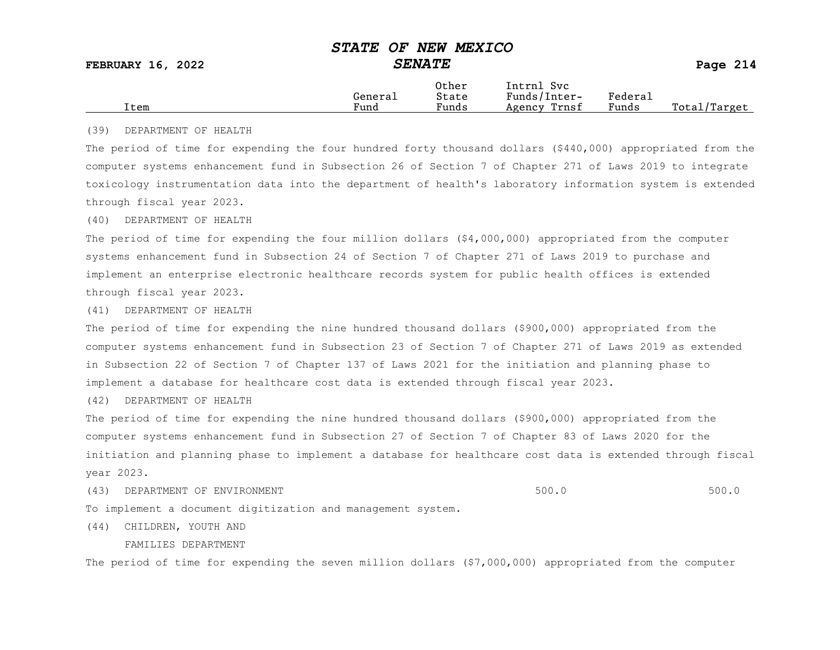|      |         | Other                 | Intrnl<br><b>Svc</b> |                             |                 |
|------|---------|-----------------------|----------------------|-----------------------------|-----------------|
|      | General | State                 | Funds/Inter-         | ${}_{\rm \texttt{Federau}}$ |                 |
| Item | Fund    | $\mathbf{r}$<br>Funds | Trnsf<br>Agency      | Funds                       | Total<br>Target |

#### (39) DEPARTMENT OF HEALTH

The period of time for expending the four hundred forty thousand dollars (\$440,000) appropriated from the computer systems enhancement fund in Subsection 26 of Section 7 of Chapter 271 of Laws 2019 to integrate toxicology instrumentation data into the department of health's laboratory information system is extended through fiscal year 2023.

#### (40) DEPARTMENT OF HEALTH

The period of time for expending the four million dollars (\$4,000,000) appropriated from the computer systems enhancement fund in Subsection 24 of Section 7 of Chapter 271 of Laws 2019 to purchase and implement an enterprise electronic healthcare records system for public health offices is extended through fiscal year 2023.

#### (41) DEPARTMENT OF HEALTH

The period of time for expending the nine hundred thousand dollars (\$900,000) appropriated from the computer systems enhancement fund in Subsection 23 of Section 7 of Chapter 271 of Laws 2019 as extended in Subsection 22 of Section 7 of Chapter 137 of Laws 2021 for the initiation and planning phase to implement a database for healthcare cost data is extended through fiscal year 2023.

(42) DEPARTMENT OF HEALTH

The period of time for expending the nine hundred thousand dollars (\$900,000) appropriated from the computer systems enhancement fund in Subsection 27 of Section 7 of Chapter 83 of Laws 2020 for the initiation and planning phase to implement a database for healthcare cost data is extended through fiscal year 2023.

(43) DEPARTMENT OF ENVIRONMENT (2000) SOULD SUB-SECTION AND SOULD SOULD SOULD SOULD SOULD SOULD SUB-

To implement a document digitization and management system.

(44) CHILDREN, YOUTH AND

FAMILIES DEPARTMENT

The period of time for expending the seven million dollars (\$7,000,000) appropriated from the computer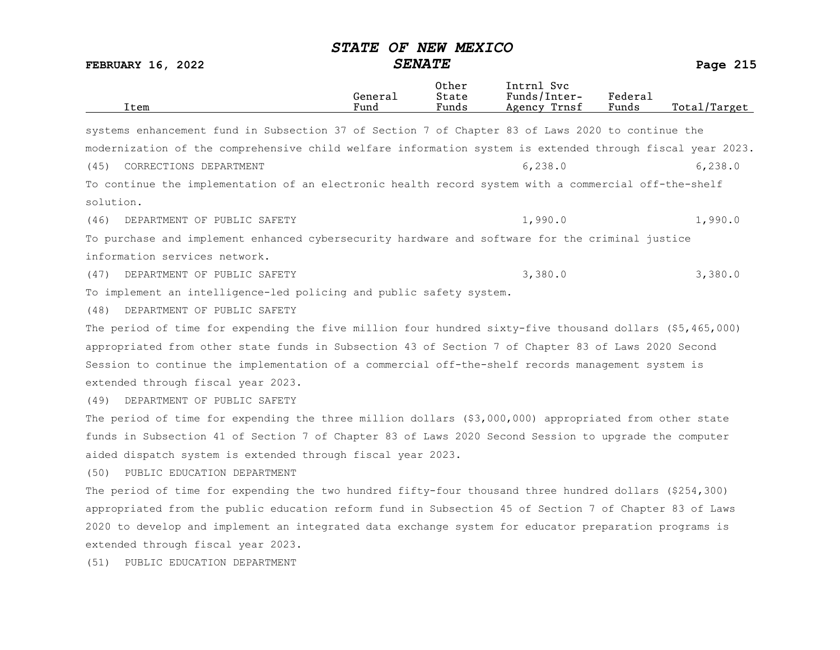| Item                                                                                                      | General<br>Fund | Other<br>State<br>Funds | Intrnl Svc<br>Funds/Inter-<br>Agency Trnsf | Federal<br>Funds | Total/Target |
|-----------------------------------------------------------------------------------------------------------|-----------------|-------------------------|--------------------------------------------|------------------|--------------|
| systems enhancement fund in Subsection 37 of Section 7 of Chapter 83 of Laws 2020 to continue the         |                 |                         |                                            |                  |              |
|                                                                                                           |                 |                         |                                            |                  |              |
| modernization of the comprehensive child welfare information system is extended through fiscal year 2023. |                 |                         |                                            |                  |              |
| CORRECTIONS DEPARTMENT<br>(45)                                                                            |                 |                         | 6, 238.0                                   |                  | 6, 238.0     |
| To continue the implementation of an electronic health record system with a commercial off-the-shelf      |                 |                         |                                            |                  |              |
| solution.                                                                                                 |                 |                         |                                            |                  |              |
| (46)<br>DEPARTMENT OF PUBLIC SAFETY                                                                       |                 |                         | 1,990.0                                    |                  | 1,990.0      |
| To purchase and implement enhanced cybersecurity hardware and software for the criminal justice           |                 |                         |                                            |                  |              |
| information services network.                                                                             |                 |                         |                                            |                  |              |
| (47)<br>DEPARTMENT OF PUBLIC SAFETY                                                                       |                 |                         | 3,380.0                                    |                  | 3,380.0      |
| To implement an intelligence-led policing and public safety system.                                       |                 |                         |                                            |                  |              |
| DEPARTMENT OF PUBLIC SAFETY<br>(48)                                                                       |                 |                         |                                            |                  |              |
| The period of time for expending the five million four hundred sixty-five thousand dollars (\$5,465,000)  |                 |                         |                                            |                  |              |
| appropriated from other state funds in Subsection 43 of Section 7 of Chapter 83 of Laws 2020 Second       |                 |                         |                                            |                  |              |
| Session to continue the implementation of a commercial off-the-shelf records management system is         |                 |                         |                                            |                  |              |
| extended through fiscal year 2023.                                                                        |                 |                         |                                            |                  |              |
| DEPARTMENT OF PUBLIC SAFETY<br>(49)                                                                       |                 |                         |                                            |                  |              |
| The period of time for expending the three million dollars (\$3,000,000) appropriated from other state    |                 |                         |                                            |                  |              |
| funds in Subsection 41 of Section 7 of Chapter 83 of Laws 2020 Second Session to upgrade the computer     |                 |                         |                                            |                  |              |
| aided dispatch system is extended through fiscal year 2023.                                               |                 |                         |                                            |                  |              |
| (50)<br>PUBLIC EDUCATION DEPARTMENT                                                                       |                 |                         |                                            |                  |              |
| The period of time for expending the two hundred fifty-four thousand three hundred dollars (\$254,300)    |                 |                         |                                            |                  |              |
| appropriated from the public education reform fund in Subsection 45 of Section 7 of Chapter 83 of Laws    |                 |                         |                                            |                  |              |
| 2020 to develop and implement an integrated data exchange system for educator preparation programs is     |                 |                         |                                            |                  |              |
| extended through fiscal year 2023.                                                                        |                 |                         |                                            |                  |              |
| PUBLIC EDUCATION DEPARTMENT<br>(51)                                                                       |                 |                         |                                            |                  |              |
|                                                                                                           |                 |                         |                                            |                  |              |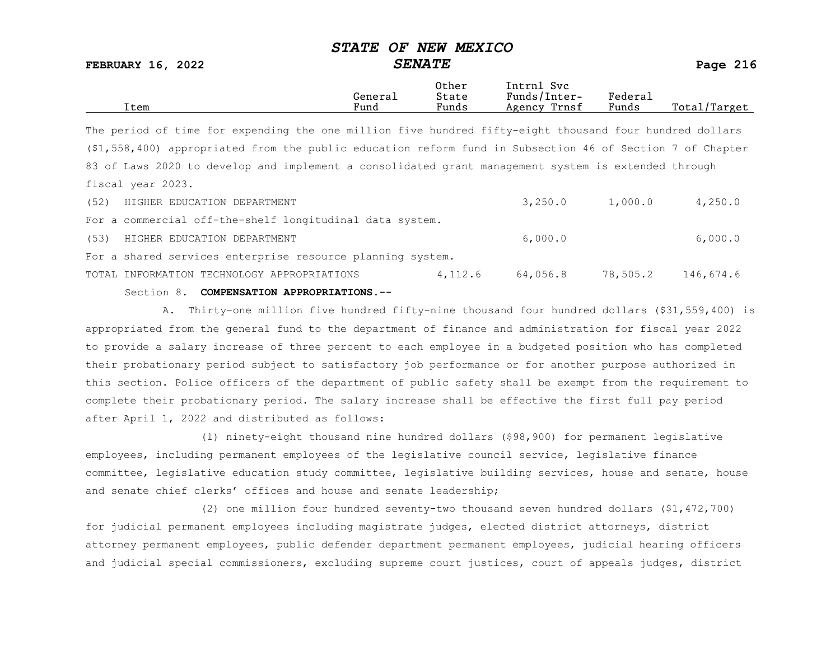FEBRUARY 16, 2022 SENATE SENATE

|      |         | Other | Svc<br>[ntrnl   |         |                  |
|------|---------|-------|-----------------|---------|------------------|
|      | Generai | State | Funds/Inter-    | Federau |                  |
| Item | Fund    | Funds | Trnsf<br>Agency | Funds   | Total<br>Target/ |

The period of time for expending the one million five hundred fifty-eight thousand four hundred dollars (\$1,558,400) appropriated from the public education reform fund in Subsection 46 of Section 7 of Chapter 83 of Laws 2020 to develop and implement a consolidated grant management system is extended through fiscal year 2023.

|      | Section 8. COMPENSATION APPROPRIATIONS.--                  |         |          |          |           |
|------|------------------------------------------------------------|---------|----------|----------|-----------|
|      | TOTAL INFORMATION TECHNOLOGY APPROPRIATIONS                | 4,112.6 | 64,056.8 | 78,505.2 | 146,674.6 |
|      | For a shared services enterprise resource planning system. |         |          |          |           |
| (53) | HIGHER EDUCATION DEPARTMENT                                |         | 6,000.0  |          | 6,000.0   |
|      | For a commercial off-the-shelf longitudinal data system.   |         |          |          |           |
| (52) | HIGHER EDUCATION DEPARTMENT                                |         | 3,250.0  | 1,000.0  | 4,250.0   |

A. Thirty-one million five hundred fifty-nine thousand four hundred dollars (\$31,559,400) is appropriated from the general fund to the department of finance and administration for fiscal year 2022 to provide a salary increase of three percent to each employee in a budgeted position who has completed their probationary period subject to satisfactory job performance or for another purpose authorized in this section. Police officers of the department of public safety shall be exempt from the requirement to complete their probationary period. The salary increase shall be effective the first full pay period after April 1, 2022 and distributed as follows:

(1) ninety-eight thousand nine hundred dollars (\$98,900) for permanent legislative employees, including permanent employees of the legislative council service, legislative finance committee, legislative education study committee, legislative building services, house and senate, house and senate chief clerks' offices and house and senate leadership;

(2) one million four hundred seventy-two thousand seven hundred dollars (\$1,472,700) for judicial permanent employees including magistrate judges, elected district attorneys, district attorney permanent employees, public defender department permanent employees, judicial hearing officers and judicial special commissioners, excluding supreme court justices, court of appeals judges, district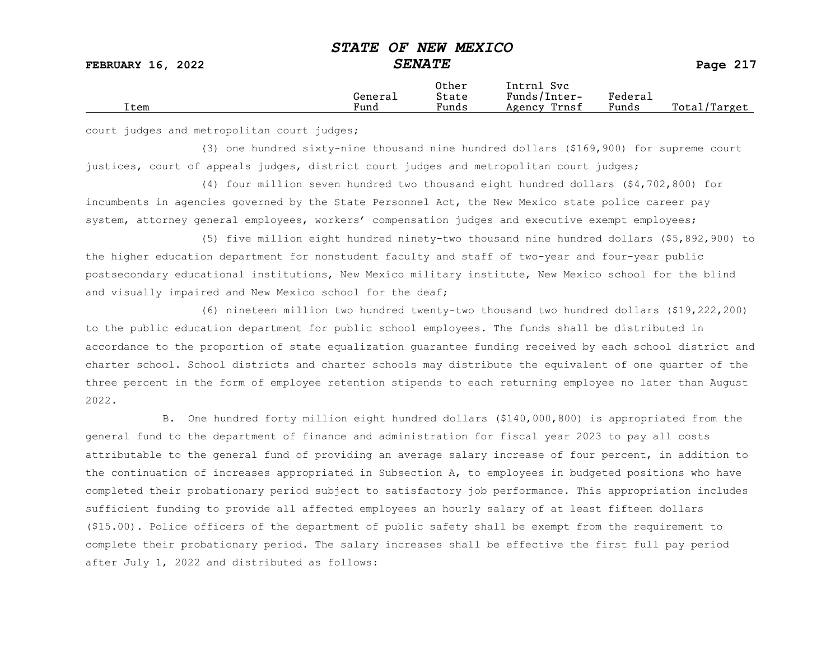FEBRUARY 16, 2022 SENATE SENATE

|      |         | Other                             | Intrnl<br><b>Svc</b> |         |                  |
|------|---------|-----------------------------------|----------------------|---------|------------------|
|      | General | State                             | Funds/Inter-         | Federa⊥ |                  |
| Item | Fund    | $\overline{\phantom{0}}$<br>Funds | Trnsf<br>Agency      | Funds   | Total<br>'Target |
|      |         |                                   |                      |         |                  |

court judges and metropolitan court judges;

(3) one hundred sixty-nine thousand nine hundred dollars (\$169,900) for supreme court justices, court of appeals judges, district court judges and metropolitan court judges;

(4) four million seven hundred two thousand eight hundred dollars (\$4,702,800) for incumbents in agencies governed by the State Personnel Act, the New Mexico state police career pay system, attorney general employees, workers' compensation judges and executive exempt employees;

(5) five million eight hundred ninety-two thousand nine hundred dollars (\$5,892,900) to the higher education department for nonstudent faculty and staff of two-year and four-year public postsecondary educational institutions, New Mexico military institute, New Mexico school for the blind and visually impaired and New Mexico school for the deaf;

(6) nineteen million two hundred twenty-two thousand two hundred dollars (\$19,222,200) to the public education department for public school employees. The funds shall be distributed in accordance to the proportion of state equalization guarantee funding received by each school district and charter school. School districts and charter schools may distribute the equivalent of one quarter of the three percent in the form of employee retention stipends to each returning employee no later than August 2022.

B. One hundred forty million eight hundred dollars (\$140,000,800) is appropriated from the general fund to the department of finance and administration for fiscal year 2023 to pay all costs attributable to the general fund of providing an average salary increase of four percent, in addition to the continuation of increases appropriated in Subsection A, to employees in budgeted positions who have completed their probationary period subject to satisfactory job performance. This appropriation includes sufficient funding to provide all affected employees an hourly salary of at least fifteen dollars (\$15.00). Police officers of the department of public safety shall be exempt from the requirement to complete their probationary period. The salary increases shall be effective the first full pay period after July 1, 2022 and distributed as follows: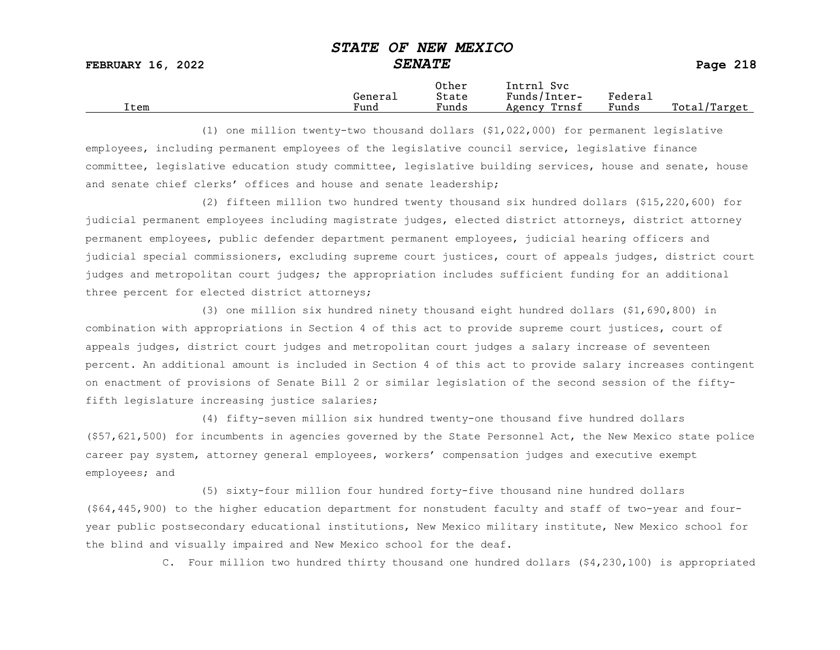FEBRUARY 16, 2022 SENATE SENATE SERUARY 16, 2022

|      |         | Other                 | Intrnl<br>Sv c  |                     |                   |
|------|---------|-----------------------|-----------------|---------------------|-------------------|
|      | Generai | State                 | Funds/Inter-    | Federa <sub>1</sub> |                   |
| Item | Fund    | $\mathbf{r}$<br>Funds | Trnsf<br>Agency | Funds               | Total,<br>'Target |

(1) one million twenty-two thousand dollars (\$1,022,000) for permanent legislative employees, including permanent employees of the legislative council service, legislative finance committee, legislative education study committee, legislative building services, house and senate, house and senate chief clerks' offices and house and senate leadership;

(2) fifteen million two hundred twenty thousand six hundred dollars (\$15,220,600) for judicial permanent employees including magistrate judges, elected district attorneys, district attorney permanent employees, public defender department permanent employees, judicial hearing officers and judicial special commissioners, excluding supreme court justices, court of appeals judges, district court judges and metropolitan court judges; the appropriation includes sufficient funding for an additional three percent for elected district attorneys;

(3) one million six hundred ninety thousand eight hundred dollars (\$1,690,800) in combination with appropriations in Section 4 of this act to provide supreme court justices, court of appeals judges, district court judges and metropolitan court judges a salary increase of seventeen percent. An additional amount is included in Section 4 of this act to provide salary increases contingent on enactment of provisions of Senate Bill 2 or similar legislation of the second session of the fiftyfifth legislature increasing justice salaries;

(4) fifty-seven million six hundred twenty-one thousand five hundred dollars (\$57,621,500) for incumbents in agencies governed by the State Personnel Act, the New Mexico state police career pay system, attorney general employees, workers' compensation judges and executive exempt employees; and

(5) sixty-four million four hundred forty-five thousand nine hundred dollars (\$64,445,900) to the higher education department for nonstudent faculty and staff of two-year and fouryear public postsecondary educational institutions, New Mexico military institute, New Mexico school for the blind and visually impaired and New Mexico school for the deaf.

C. Four million two hundred thirty thousand one hundred dollars (\$4,230,100) is appropriated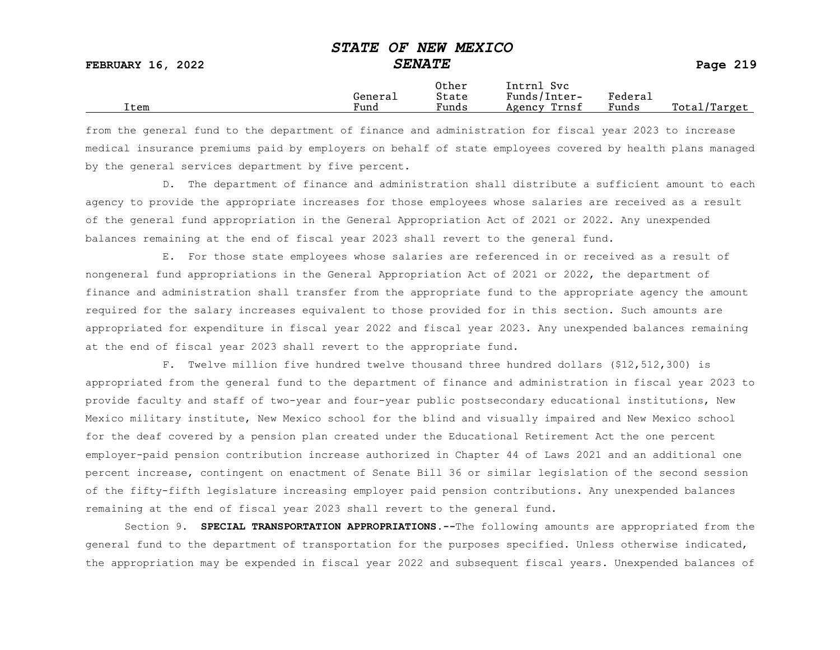|  |  | Pago |
|--|--|------|
|  |  |      |

|      |         | Other                 | Intrnl<br>Sv c  |                     |                   |
|------|---------|-----------------------|-----------------|---------------------|-------------------|
|      | Generai | State                 | Funds/Inter-    | Federa <sub>1</sub> |                   |
| Item | Fund    | $\mathbf{r}$<br>Funds | Trnsf<br>Agency | Funds               | Total,<br>'Target |

from the general fund to the department of finance and administration for fiscal year 2023 to increase medical insurance premiums paid by employers on behalf of state employees covered by health plans managed by the general services department by five percent.

D. The department of finance and administration shall distribute a sufficient amount to each agency to provide the appropriate increases for those employees whose salaries are received as a result of the general fund appropriation in the General Appropriation Act of 2021 or 2022. Any unexpended balances remaining at the end of fiscal year 2023 shall revert to the general fund.

E. For those state employees whose salaries are referenced in or received as a result of nongeneral fund appropriations in the General Appropriation Act of 2021 or 2022, the department of finance and administration shall transfer from the appropriate fund to the appropriate agency the amount required for the salary increases equivalent to those provided for in this section. Such amounts are appropriated for expenditure in fiscal year 2022 and fiscal year 2023. Any unexpended balances remaining at the end of fiscal year 2023 shall revert to the appropriate fund.

F. Twelve million five hundred twelve thousand three hundred dollars (\$12,512,300) is appropriated from the general fund to the department of finance and administration in fiscal year 2023 to provide faculty and staff of two-year and four-year public postsecondary educational institutions, New Mexico military institute, New Mexico school for the blind and visually impaired and New Mexico school for the deaf covered by a pension plan created under the Educational Retirement Act the one percent employer-paid pension contribution increase authorized in Chapter 44 of Laws 2021 and an additional one percent increase, contingent on enactment of Senate Bill 36 or similar legislation of the second session of the fifty-fifth legislature increasing employer paid pension contributions. Any unexpended balances remaining at the end of fiscal year 2023 shall revert to the general fund.

Section 9. SPECIAL TRANSPORTATION APPROPRIATIONS. -- The following amounts are appropriated from the general fund to the department of transportation for the purposes specified. Unless otherwise indicated, the appropriation may be expended in fiscal year 2022 and subsequent fiscal years. Unexpended balances of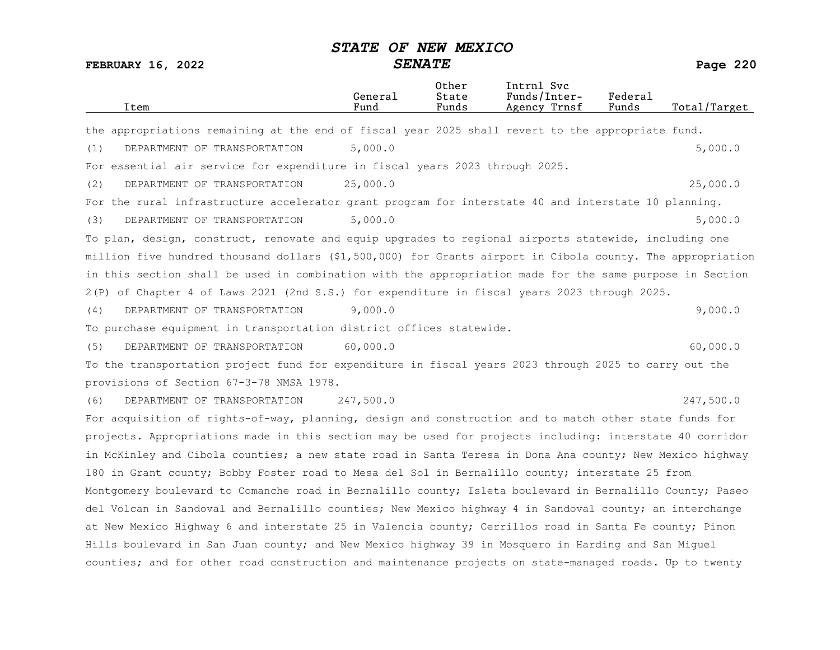| Item                                                                                                       | General<br>Fund | Other<br>State<br>Funds | Intrnl Svc<br>Funds/Inter-<br>Agency Trnsf | Federal<br>Funds | Total/Target |
|------------------------------------------------------------------------------------------------------------|-----------------|-------------------------|--------------------------------------------|------------------|--------------|
| the appropriations remaining at the end of fiscal year 2025 shall revert to the appropriate fund.          |                 |                         |                                            |                  |              |
| DEPARTMENT OF TRANSPORTATION<br>(1)                                                                        | 5,000.0         |                         |                                            |                  | 5,000.0      |
| For essential air service for expenditure in fiscal years 2023 through 2025.                               |                 |                         |                                            |                  |              |
| DEPARTMENT OF TRANSPORTATION<br>(2)                                                                        | 25,000.0        |                         |                                            |                  | 25,000.0     |
| For the rural infrastructure accelerator grant program for interstate 40 and interstate 10 planning.       |                 |                         |                                            |                  |              |
| (3)<br>DEPARTMENT OF TRANSPORTATION                                                                        | 5,000.0         |                         |                                            |                  | 5,000.0      |
| To plan, design, construct, renovate and equip upgrades to regional airports statewide, including one      |                 |                         |                                            |                  |              |
| million five hundred thousand dollars (\$1,500,000) for Grants airport in Cibola county. The appropriation |                 |                         |                                            |                  |              |
| in this section shall be used in combination with the appropriation made for the same purpose in Section   |                 |                         |                                            |                  |              |
| 2(P) of Chapter 4 of Laws 2021 (2nd S.S.) for expenditure in fiscal years 2023 through 2025.               |                 |                         |                                            |                  |              |
| DEPARTMENT OF TRANSPORTATION<br>(4)                                                                        | 9,000.0         |                         |                                            |                  | 9,000.0      |
| To purchase equipment in transportation district offices statewide.                                        |                 |                         |                                            |                  |              |
| DEPARTMENT OF TRANSPORTATION<br>(5)                                                                        | 60,000.0        |                         |                                            |                  | 60,000.0     |
| To the transportation project fund for expenditure in fiscal years 2023 through 2025 to carry out the      |                 |                         |                                            |                  |              |
| provisions of Section 67-3-78 NMSA 1978.                                                                   |                 |                         |                                            |                  |              |
| DEPARTMENT OF TRANSPORTATION<br>(6)                                                                        | 247,500.0       |                         |                                            |                  | 247,500.0    |
| For acquisition of rights-of-way, planning, design and construction and to match other state funds for     |                 |                         |                                            |                  |              |
| projects. Appropriations made in this section may be used for projects including: interstate 40 corridor   |                 |                         |                                            |                  |              |
| in McKinley and Cibola counties; a new state road in Santa Teresa in Dona Ana county; New Mexico highway   |                 |                         |                                            |                  |              |
| 180 in Grant county; Bobby Foster road to Mesa del Sol in Bernalillo county; interstate 25 from            |                 |                         |                                            |                  |              |
| Montgomery boulevard to Comanche road in Bernalillo county; Isleta boulevard in Bernalillo County; Paseo   |                 |                         |                                            |                  |              |
| del Volcan in Sandoval and Bernalillo counties; New Mexico highway 4 in Sandoval county; an interchange    |                 |                         |                                            |                  |              |
| at New Mexico Highway 6 and interstate 25 in Valencia county; Cerrillos road in Santa Fe county; Pinon     |                 |                         |                                            |                  |              |
| Hills boulevard in San Juan county; and New Mexico highway 39 in Mosquero in Harding and San Miguel        |                 |                         |                                            |                  |              |
| counties; and for other road construction and maintenance projects on state-managed roads. Up to twenty    |                 |                         |                                            |                  |              |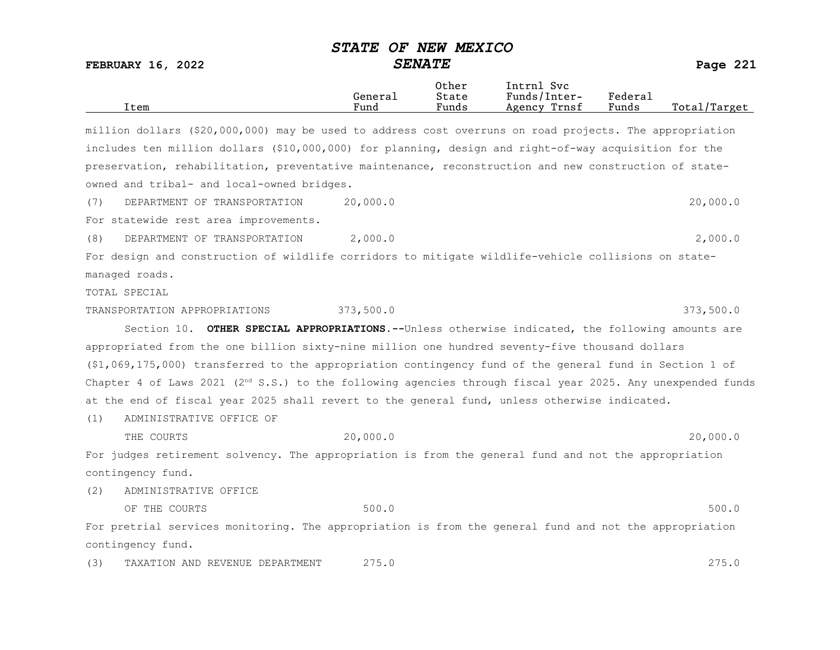| Item                                                                                                          | General<br>Fund | Other<br>State<br>Funds | Intrnl Svc<br>Funds/Inter-<br>Agency Trnsf | Federal<br>Funds | Total/Target |
|---------------------------------------------------------------------------------------------------------------|-----------------|-------------------------|--------------------------------------------|------------------|--------------|
| million dollars (\$20,000,000) may be used to address cost overruns on road projects. The appropriation       |                 |                         |                                            |                  |              |
| includes ten million dollars (\$10,000,000) for planning, design and right-of-way acquisition for the         |                 |                         |                                            |                  |              |
| preservation, rehabilitation, preventative maintenance, reconstruction and new construction of state-         |                 |                         |                                            |                  |              |
| owned and tribal- and local-owned bridges.                                                                    |                 |                         |                                            |                  |              |
| DEPARTMENT OF TRANSPORTATION<br>(7)                                                                           | 20,000.0        |                         |                                            |                  | 20,000.0     |
| For statewide rest area improvements.                                                                         |                 |                         |                                            |                  |              |
| (8)<br>DEPARTMENT OF TRANSPORTATION                                                                           | 2,000.0         |                         |                                            |                  | 2,000.0      |
| For design and construction of wildlife corridors to mitigate wildlife-vehicle collisions on state-           |                 |                         |                                            |                  |              |
| managed roads.                                                                                                |                 |                         |                                            |                  |              |
| TOTAL SPECIAL                                                                                                 |                 |                         |                                            |                  |              |
| TRANSPORTATION APPROPRIATIONS                                                                                 | 373,500.0       |                         |                                            |                  | 373,500.0    |
| Section 10. OTHER SPECIAL APPROPRIATIONS.--Unless otherwise indicated, the following amounts are              |                 |                         |                                            |                  |              |
| appropriated from the one billion sixty-nine million one hundred seventy-five thousand dollars                |                 |                         |                                            |                  |              |
| (\$1,069,175,000) transferred to the appropriation contingency fund of the general fund in Section 1 of       |                 |                         |                                            |                  |              |
| Chapter 4 of Laws 2021 ( $2nd$ S.S.) to the following agencies through fiscal year 2025. Any unexpended funds |                 |                         |                                            |                  |              |
| at the end of fiscal year 2025 shall revert to the general fund, unless otherwise indicated.                  |                 |                         |                                            |                  |              |
| ADMINISTRATIVE OFFICE OF<br>(1)                                                                               |                 |                         |                                            |                  |              |
| THE COURTS                                                                                                    | 20,000.0        |                         |                                            |                  | 20,000.0     |
| For judges retirement solvency. The appropriation is from the general fund and not the appropriation          |                 |                         |                                            |                  |              |
| contingency fund.                                                                                             |                 |                         |                                            |                  |              |
| (2)<br>ADMINISTRATIVE OFFICE                                                                                  |                 |                         |                                            |                  |              |
| OF THE COURTS                                                                                                 | 500.0           |                         |                                            |                  | 500.0        |
| For pretrial services monitoring. The appropriation is from the general fund and not the appropriation        |                 |                         |                                            |                  |              |
| contingency fund.                                                                                             |                 |                         |                                            |                  |              |
| (3)<br>TAXATION AND REVENUE DEPARTMENT                                                                        | 275.0           |                         |                                            |                  | 275.0        |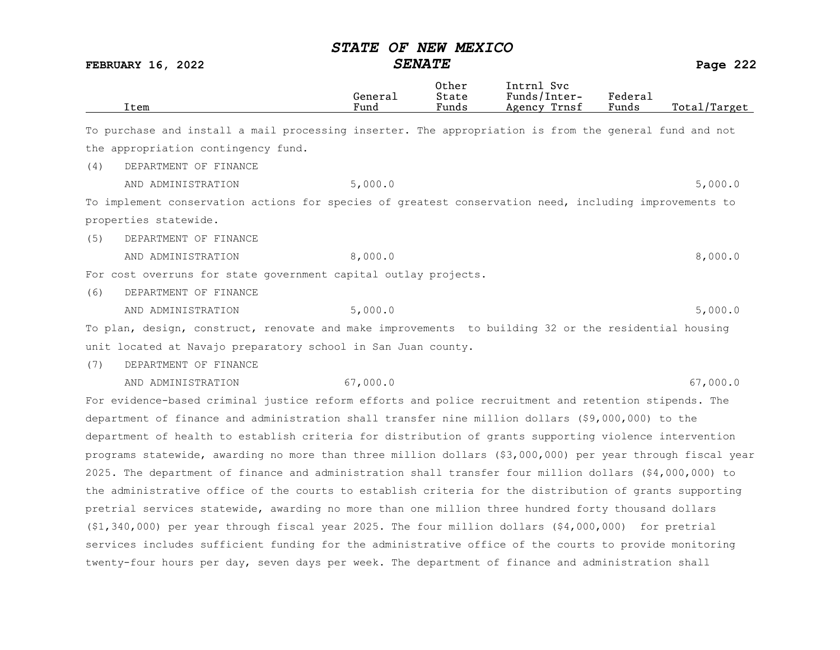|     | Item                                                                                                       | General<br>Fund | Other<br>State<br>Funds | Intrnl Svc<br>Funds/Inter-<br>Agency Trnsf | Federal<br>Funds | Total/Target |
|-----|------------------------------------------------------------------------------------------------------------|-----------------|-------------------------|--------------------------------------------|------------------|--------------|
|     | To purchase and install a mail processing inserter. The appropriation is from the general fund and not     |                 |                         |                                            |                  |              |
|     | the appropriation contingency fund.                                                                        |                 |                         |                                            |                  |              |
| (4) | DEPARTMENT OF FINANCE                                                                                      |                 |                         |                                            |                  |              |
|     | AND ADMINISTRATION                                                                                         | 5,000.0         |                         |                                            |                  | 5,000.0      |
|     | To implement conservation actions for species of greatest conservation need, including improvements to     |                 |                         |                                            |                  |              |
|     | properties statewide.                                                                                      |                 |                         |                                            |                  |              |
| (5) | DEPARTMENT OF FINANCE                                                                                      |                 |                         |                                            |                  |              |
|     | AND ADMINISTRATION                                                                                         | 8,000.0         |                         |                                            |                  | 8,000.0      |
|     | For cost overruns for state government capital outlay projects.                                            |                 |                         |                                            |                  |              |
| (6) | DEPARTMENT OF FINANCE                                                                                      |                 |                         |                                            |                  |              |
|     | AND ADMINISTRATION                                                                                         | 5,000.0         |                         |                                            |                  | 5,000.0      |
|     | To plan, design, construct, renovate and make improvements to building 32 or the residential housing       |                 |                         |                                            |                  |              |
|     | unit located at Navajo preparatory school in San Juan county.                                              |                 |                         |                                            |                  |              |
| (7) | DEPARTMENT OF FINANCE                                                                                      |                 |                         |                                            |                  |              |
|     | AND ADMINISTRATION                                                                                         | 67,000.0        |                         |                                            |                  | 67,000.0     |
|     | For evidence-based criminal justice reform efforts and police recruitment and retention stipends. The      |                 |                         |                                            |                  |              |
|     | department of finance and administration shall transfer nine million dollars (\$9,000,000) to the          |                 |                         |                                            |                  |              |
|     | department of health to establish criteria for distribution of grants supporting violence intervention     |                 |                         |                                            |                  |              |
|     | programs statewide, awarding no more than three million dollars (\$3,000,000) per year through fiscal year |                 |                         |                                            |                  |              |
|     | 2025. The department of finance and administration shall transfer four million dollars (\$4,000,000) to    |                 |                         |                                            |                  |              |
|     | the administrative office of the courts to establish criteria for the distribution of grants supporting    |                 |                         |                                            |                  |              |
|     | pretrial services statewide, awarding no more than one million three hundred forty thousand dollars        |                 |                         |                                            |                  |              |
|     | $(51, 340, 000)$ per year through fiscal year 2025. The four million dollars $(54, 000, 000)$ for pretrial |                 |                         |                                            |                  |              |
|     | services includes sufficient funding for the administrative office of the courts to provide monitoring     |                 |                         |                                            |                  |              |
|     | twenty-four hours per day, seven days per week. The department of finance and administration shall         |                 |                         |                                            |                  |              |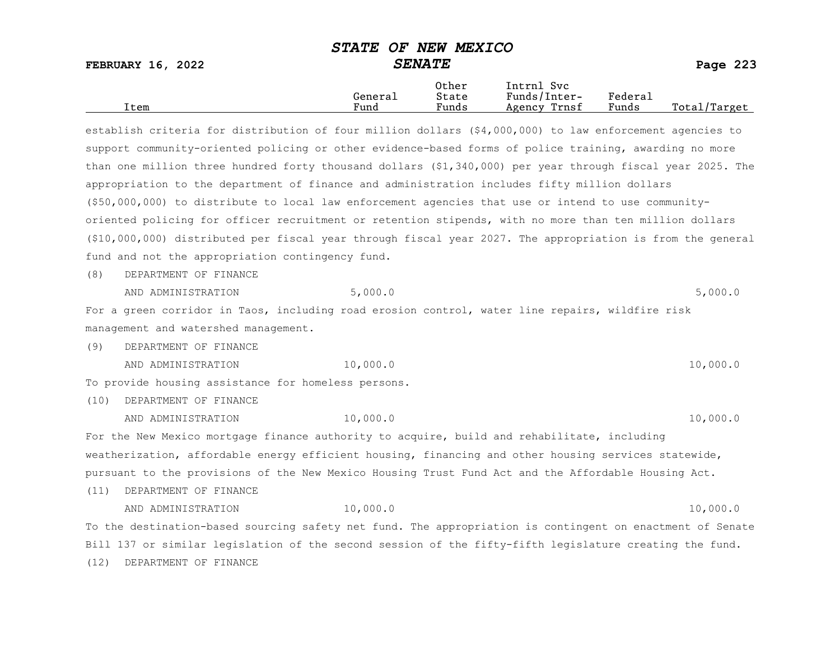FEBRUARY 16, 2022 SENATE SENATE

|      |         | Other                             | Intrnl<br>Sv c  |         |                   |
|------|---------|-----------------------------------|-----------------|---------|-------------------|
|      | Genera⊥ | State                             | Funds/Inter-    | Federau |                   |
| Item | Fund    | $\overline{\phantom{a}}$<br>Funds | Trnsf<br>Agency | Funds   | Total,<br>/Target |

establish criteria for distribution of four million dollars (\$4,000,000) to law enforcement agencies to support community-oriented policing or other evidence-based forms of police training, awarding no more than one million three hundred forty thousand dollars (\$1,340,000) per year through fiscal year 2025. The appropriation to the department of finance and administration includes fifty million dollars (\$50,000,000) to distribute to local law enforcement agencies that use or intend to use communityoriented policing for officer recruitment or retention stipends, with no more than ten million dollars (\$10,000,000) distributed per fiscal year through fiscal year 2027. The appropriation is from the general fund and not the appropriation contingency fund.

(8) DEPARTMENT OF FINANCE

AND ADMINISTRATION 5,000.0 5,000.0

For a green corridor in Taos, including road erosion control, water line repairs, wildfire risk management and watershed management.

(9) DEPARTMENT OF FINANCE

AND ADMINISTRATION 10,000.0 10,000.0 10,000 10,000.0

To provide housing assistance for homeless persons.

(10) DEPARTMENT OF FINANCE

AND ADMINISTRATION 10,000.0 10.000.0 10,000 10,000 10,000 10,000 10,000 10,000 10,000 10,000 10,000 10,000 10,000 10 For the New Mexico mortgage finance authority to acquire, build and rehabilitate, including weatherization, affordable energy efficient housing, financing and other housing services statewide, pursuant to the provisions of the New Mexico Housing Trust Fund Act and the Affordable Housing Act.

(11) DEPARTMENT OF FINANCE

AND ADMINISTRATION 10,000.0 10.000 PM 10,000 10,000 PM 10,000 PM 10,000 PM 10,000 PM 10,000 PM 10,000 PM 10,000 PM 10,000 PM 10,000 PM 10,000 PM 10,000 PM 10,000 PM 10,000 PM 10,000 PM 10,000 PM 10,000 PM 10,000 PM 10,000 To the destination-based sourcing safety net fund. The appropriation is contingent on enactment of Senate Bill 137 or similar legislation of the second session of the fifty-fifth legislature creating the fund. (12) DEPARTMENT OF FINANCE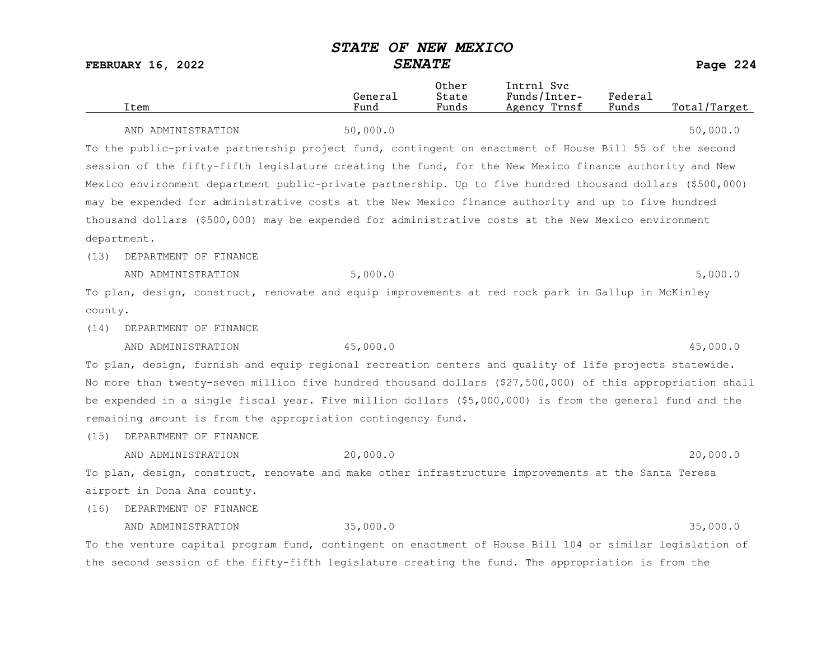|         | Item                                                                                                       | General<br>Fund | Other<br>State<br>Funds | Intrnl Svc<br>Funds/Inter-<br>Agency Trnsf | Federal<br>Funds | Total/Target |
|---------|------------------------------------------------------------------------------------------------------------|-----------------|-------------------------|--------------------------------------------|------------------|--------------|
|         | AND ADMINISTRATION                                                                                         | 50,000.0        |                         |                                            |                  | 50,000.0     |
|         | To the public-private partnership project fund, contingent on enactment of House Bill 55 of the second     |                 |                         |                                            |                  |              |
|         | session of the fifty-fifth legislature creating the fund, for the New Mexico finance authority and New     |                 |                         |                                            |                  |              |
|         | Mexico environment department public-private partnership. Up to five hundred thousand dollars (\$500,000)  |                 |                         |                                            |                  |              |
|         | may be expended for administrative costs at the New Mexico finance authority and up to five hundred        |                 |                         |                                            |                  |              |
|         | thousand dollars (\$500,000) may be expended for administrative costs at the New Mexico environment        |                 |                         |                                            |                  |              |
|         | department.                                                                                                |                 |                         |                                            |                  |              |
| (13)    | DEPARTMENT OF FINANCE                                                                                      |                 |                         |                                            |                  |              |
|         | AND ADMINISTRATION                                                                                         | 5,000.0         |                         |                                            |                  | 5,000.0      |
|         | To plan, design, construct, renovate and equip improvements at red rock park in Gallup in McKinley         |                 |                         |                                            |                  |              |
| county. |                                                                                                            |                 |                         |                                            |                  |              |
| (14)    | DEPARTMENT OF FINANCE                                                                                      |                 |                         |                                            |                  |              |
|         | AND ADMINISTRATION                                                                                         | 45,000.0        |                         |                                            |                  | 45,000.0     |
|         | To plan, design, furnish and equip regional recreation centers and quality of life projects statewide.     |                 |                         |                                            |                  |              |
|         | No more than twenty-seven million five hundred thousand dollars (\$27,500,000) of this appropriation shall |                 |                         |                                            |                  |              |
|         | be expended in a single fiscal year. Five million dollars (\$5,000,000) is from the general fund and the   |                 |                         |                                            |                  |              |
|         | remaining amount is from the appropriation contingency fund.                                               |                 |                         |                                            |                  |              |
| (15)    | DEPARTMENT OF FINANCE                                                                                      |                 |                         |                                            |                  |              |
|         | AND ADMINISTRATION                                                                                         | 20,000.0        |                         |                                            |                  | 20,000.0     |
|         | To plan, design, construct, renovate and make other infrastructure improvements at the Santa Teresa        |                 |                         |                                            |                  |              |
|         | airport in Dona Ana county.                                                                                |                 |                         |                                            |                  |              |
| (16)    | DEPARTMENT OF FINANCE                                                                                      |                 |                         |                                            |                  |              |
|         | AND ADMINISTRATION                                                                                         | 35,000.0        |                         |                                            |                  | 35,000.0     |
|         | To the venture capital program fund, contingent on enactment of House Bill 104 or similar legislation of   |                 |                         |                                            |                  |              |
|         | the second session of the fifty-fifth legislature creating the fund. The appropriation is from the         |                 |                         |                                            |                  |              |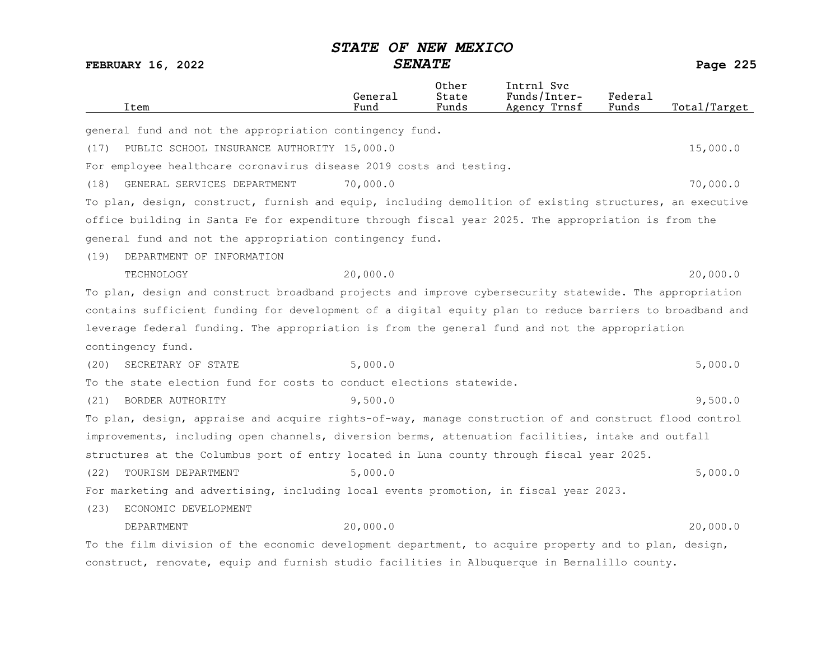|      | Item                                                                                                     | General<br>Fund | Other<br>State<br>Funds | Intrnl Svc<br>Funds/Inter-<br>Agency Trnsf | Federal<br>Funds | Total/Target |
|------|----------------------------------------------------------------------------------------------------------|-----------------|-------------------------|--------------------------------------------|------------------|--------------|
|      | general fund and not the appropriation contingency fund.                                                 |                 |                         |                                            |                  |              |
| (17) | PUBLIC SCHOOL INSURANCE AUTHORITY 15,000.0                                                               |                 |                         |                                            |                  | 15,000.0     |
|      | For employee healthcare coronavirus disease 2019 costs and testing.                                      |                 |                         |                                            |                  |              |
| (18) | GENERAL SERVICES DEPARTMENT                                                                              | 70,000.0        |                         |                                            |                  | 70,000.0     |
|      | To plan, design, construct, furnish and equip, including demolition of existing structures, an executive |                 |                         |                                            |                  |              |
|      | office building in Santa Fe for expenditure through fiscal year 2025. The appropriation is from the      |                 |                         |                                            |                  |              |
|      | general fund and not the appropriation contingency fund.                                                 |                 |                         |                                            |                  |              |
| (19) | DEPARTMENT OF INFORMATION                                                                                |                 |                         |                                            |                  |              |
|      | TECHNOLOGY                                                                                               | 20,000.0        |                         |                                            |                  | 20,000.0     |
|      | To plan, design and construct broadband projects and improve cybersecurity statewide. The appropriation  |                 |                         |                                            |                  |              |
|      | contains sufficient funding for development of a digital equity plan to reduce barriers to broadband and |                 |                         |                                            |                  |              |
|      | leverage federal funding. The appropriation is from the general fund and not the appropriation           |                 |                         |                                            |                  |              |
|      | contingency fund.                                                                                        |                 |                         |                                            |                  |              |
| (20) | SECRETARY OF STATE                                                                                       | 5,000.0         |                         |                                            |                  | 5,000.0      |
|      | To the state election fund for costs to conduct elections statewide.                                     |                 |                         |                                            |                  |              |
| (21) | BORDER AUTHORITY                                                                                         | 9,500.0         |                         |                                            |                  | 9,500.0      |
|      | To plan, design, appraise and acquire rights-of-way, manage construction of and construct flood control  |                 |                         |                                            |                  |              |
|      | improvements, including open channels, diversion berms, attenuation facilities, intake and outfall       |                 |                         |                                            |                  |              |
|      | structures at the Columbus port of entry located in Luna county through fiscal year 2025.                |                 |                         |                                            |                  |              |
| (22) | TOURISM DEPARTMENT                                                                                       | 5,000.0         |                         |                                            |                  | 5,000.0      |
|      | For marketing and advertising, including local events promotion, in fiscal year 2023.                    |                 |                         |                                            |                  |              |
| (23) | ECONOMIC DEVELOPMENT                                                                                     |                 |                         |                                            |                  |              |
|      | DEPARTMENT                                                                                               | 20,000.0        |                         |                                            |                  | 20,000.0     |
|      | To the film division of the economic development department, to acquire property and to plan, design,    |                 |                         |                                            |                  |              |
|      | construct, renovate, equip and furnish studio facilities in Albuquerque in Bernalillo county.            |                 |                         |                                            |                  |              |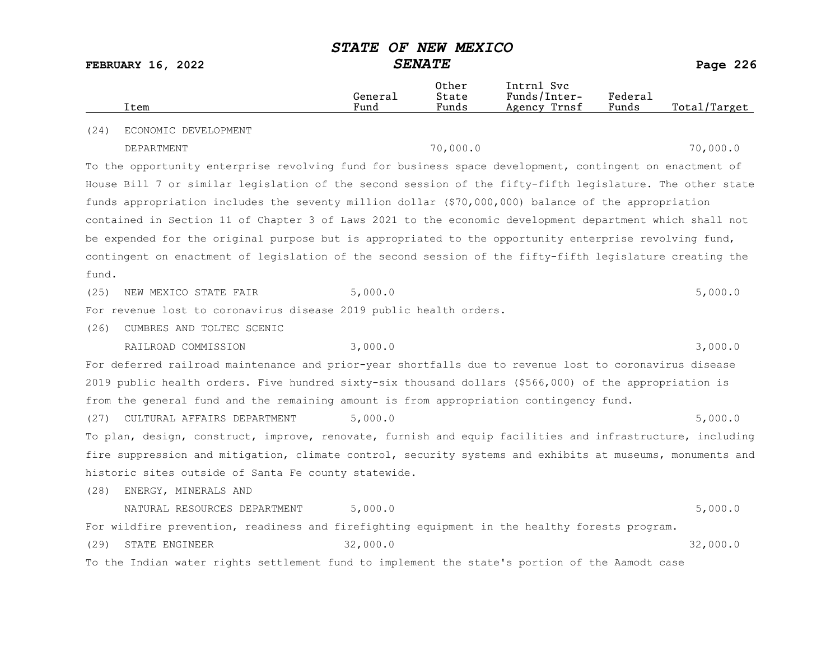|       | Item                                                                                                      | General<br>Fund | Other<br>State<br>Funds | Intrnl Svc<br>Funds/Inter-<br>Agency Trnsf | Federal<br>Funds | Total/Target |
|-------|-----------------------------------------------------------------------------------------------------------|-----------------|-------------------------|--------------------------------------------|------------------|--------------|
| (24)  | ECONOMIC DEVELOPMENT                                                                                      |                 |                         |                                            |                  |              |
|       | DEPARTMENT                                                                                                |                 | 70,000.0                |                                            |                  | 70,000.0     |
|       | To the opportunity enterprise revolving fund for business space development, contingent on enactment of   |                 |                         |                                            |                  |              |
|       | House Bill 7 or similar legislation of the second session of the fifty-fifth legislature. The other state |                 |                         |                                            |                  |              |
|       | funds appropriation includes the seventy million dollar (\$70,000,000) balance of the appropriation       |                 |                         |                                            |                  |              |
|       | contained in Section 11 of Chapter 3 of Laws 2021 to the economic development department which shall not  |                 |                         |                                            |                  |              |
|       | be expended for the original purpose but is appropriated to the opportunity enterprise revolving fund,    |                 |                         |                                            |                  |              |
|       | contingent on enactment of legislation of the second session of the fifty-fifth legislature creating the  |                 |                         |                                            |                  |              |
| fund. |                                                                                                           |                 |                         |                                            |                  |              |
| (25)  | NEW MEXICO STATE FAIR                                                                                     | 5,000.0         |                         |                                            |                  | 5,000.0      |
|       | For revenue lost to coronavirus disease 2019 public health orders.                                        |                 |                         |                                            |                  |              |
| (26)  | CUMBRES AND TOLTEC SCENIC                                                                                 |                 |                         |                                            |                  |              |
|       | RAILROAD COMMISSION                                                                                       | 3,000.0         |                         |                                            |                  | 3,000.0      |
|       | For deferred railroad maintenance and prior-year shortfalls due to revenue lost to coronavirus disease    |                 |                         |                                            |                  |              |
|       | 2019 public health orders. Five hundred sixty-six thousand dollars (\$566,000) of the appropriation is    |                 |                         |                                            |                  |              |
|       | from the general fund and the remaining amount is from appropriation contingency fund.                    |                 |                         |                                            |                  |              |
| (27)  | CULTURAL AFFAIRS DEPARTMENT                                                                               | 5,000.0         |                         |                                            |                  | 5,000.0      |
|       | To plan, design, construct, improve, renovate, furnish and equip facilities and infrastructure, including |                 |                         |                                            |                  |              |
|       | fire suppression and mitigation, climate control, security systems and exhibits at museums, monuments and |                 |                         |                                            |                  |              |
|       | historic sites outside of Santa Fe county statewide.                                                      |                 |                         |                                            |                  |              |
| (28)  | ENERGY, MINERALS AND                                                                                      |                 |                         |                                            |                  |              |
|       | NATURAL RESOURCES DEPARTMENT                                                                              | 5,000.0         |                         |                                            |                  | 5,000.0      |
|       | For wildfire prevention, readiness and firefighting equipment in the healthy forests program.             |                 |                         |                                            |                  |              |
| (29)  | STATE ENGINEER                                                                                            | 32,000.0        |                         |                                            |                  | 32,000.0     |
|       | To the Indian water rights settlement fund to implement the state's portion of the Aamodt case            |                 |                         |                                            |                  |              |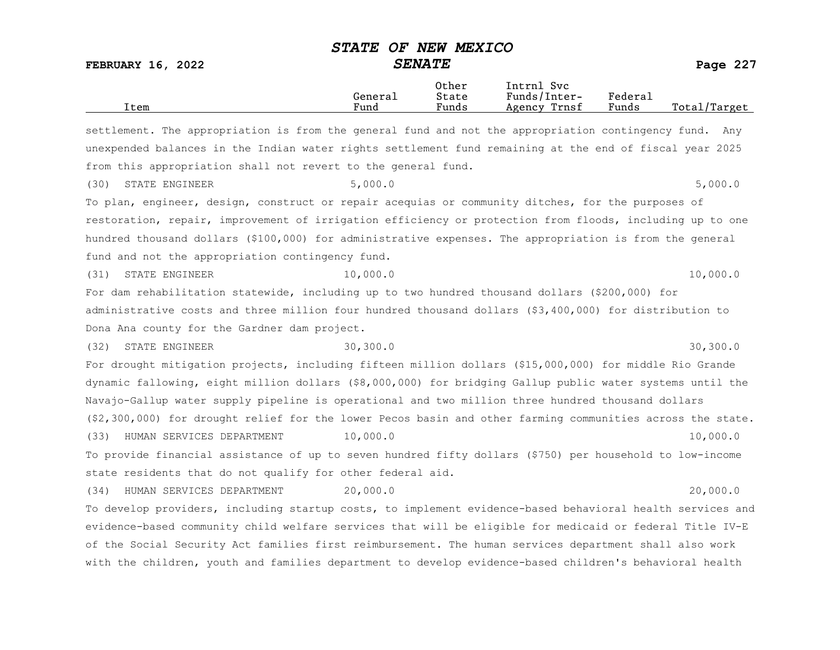| Item                                                                                                       | General<br>Fund | Other<br>State<br>Funds | Intrnl Svc<br>Funds/Inter-<br>Agency Trnsf | Federal<br>Funds | Total/Target |         |
|------------------------------------------------------------------------------------------------------------|-----------------|-------------------------|--------------------------------------------|------------------|--------------|---------|
| settlement. The appropriation is from the general fund and not the appropriation contingency fund. Any     |                 |                         |                                            |                  |              |         |
| unexpended balances in the Indian water rights settlement fund remaining at the end of fiscal year 2025    |                 |                         |                                            |                  |              |         |
| from this appropriation shall not revert to the general fund.                                              |                 |                         |                                            |                  |              |         |
| STATE ENGINEER<br>(30)                                                                                     | 5,000.0         |                         |                                            |                  |              | 5,000.0 |
| To plan, engineer, design, construct or repair acequias or community ditches, for the purposes of          |                 |                         |                                            |                  |              |         |
| restoration, repair, improvement of irrigation efficiency or protection from floods, including up to one   |                 |                         |                                            |                  |              |         |
| hundred thousand dollars (\$100,000) for administrative expenses. The appropriation is from the general    |                 |                         |                                            |                  |              |         |
| fund and not the appropriation contingency fund.                                                           |                 |                         |                                            |                  |              |         |
| STATE ENGINEER<br>(31)                                                                                     | 10,000.0        |                         |                                            |                  | 10,000.0     |         |
| For dam rehabilitation statewide, including up to two hundred thousand dollars (\$200,000) for             |                 |                         |                                            |                  |              |         |
| administrative costs and three million four hundred thousand dollars (\$3,400,000) for distribution to     |                 |                         |                                            |                  |              |         |
| Dona Ana county for the Gardner dam project.                                                               |                 |                         |                                            |                  |              |         |
| STATE ENGINEER<br>(32)                                                                                     | 30, 300.0       |                         |                                            |                  | 30, 300.0    |         |
| For drought mitigation projects, including fifteen million dollars (\$15,000,000) for middle Rio Grande    |                 |                         |                                            |                  |              |         |
| dynamic fallowing, eight million dollars (\$8,000,000) for bridging Gallup public water systems until the  |                 |                         |                                            |                  |              |         |
| Navajo-Gallup water supply pipeline is operational and two million three hundred thousand dollars          |                 |                         |                                            |                  |              |         |
| (\$2,300,000) for drought relief for the lower Pecos basin and other farming communities across the state. |                 |                         |                                            |                  |              |         |
| HUMAN SERVICES DEPARTMENT<br>(33)                                                                          | 10,000.0        |                         |                                            |                  | 10,000.0     |         |
| To provide financial assistance of up to seven hundred fifty dollars (\$750) per household to low-income   |                 |                         |                                            |                  |              |         |
| state residents that do not qualify for other federal aid.                                                 |                 |                         |                                            |                  |              |         |
| HUMAN SERVICES DEPARTMENT<br>(34)                                                                          | 20,000.0        |                         |                                            |                  | 20,000.0     |         |
| To develop providers, including startup costs, to implement evidence-based behavioral health services and  |                 |                         |                                            |                  |              |         |
| evidence-based community child welfare services that will be eligible for medicaid or federal Title IV-E   |                 |                         |                                            |                  |              |         |
| of the Social Security Act families first reimbursement. The human services department shall also work     |                 |                         |                                            |                  |              |         |
| with the children, youth and families department to develop evidence-based children's behavioral health    |                 |                         |                                            |                  |              |         |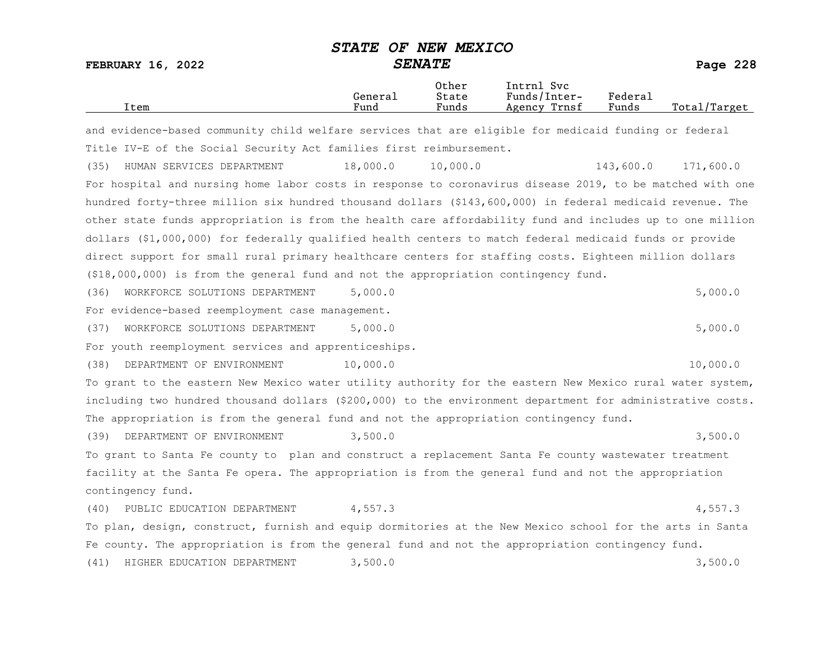| Item                                                                                                       | General<br>Fund | Other<br>State<br>Funds | Intrnl Svc<br>Funds/Inter-<br>Agency Trnsf | Federal<br>Funds | Total/Target |
|------------------------------------------------------------------------------------------------------------|-----------------|-------------------------|--------------------------------------------|------------------|--------------|
| and evidence-based community child welfare services that are eligible for medicaid funding or federal      |                 |                         |                                            |                  |              |
| Title IV-E of the Social Security Act families first reimbursement.                                        |                 |                         |                                            |                  |              |
| HUMAN SERVICES DEPARTMENT<br>(35)                                                                          | 18,000.0        | 10,000.0                |                                            | 143,600.0        | 171,600.0    |
| For hospital and nursing home labor costs in response to coronavirus disease 2019, to be matched with one  |                 |                         |                                            |                  |              |
| hundred forty-three million six hundred thousand dollars (\$143,600,000) in federal medicaid revenue. The  |                 |                         |                                            |                  |              |
| other state funds appropriation is from the health care affordability fund and includes up to one million  |                 |                         |                                            |                  |              |
| dollars (\$1,000,000) for federally qualified health centers to match federal medicaid funds or provide    |                 |                         |                                            |                  |              |
| direct support for small rural primary healthcare centers for staffing costs. Eighteen million dollars     |                 |                         |                                            |                  |              |
| (\$18,000,000) is from the general fund and not the appropriation contingency fund.                        |                 |                         |                                            |                  |              |
| (36)<br>WORKFORCE SOLUTIONS DEPARTMENT                                                                     | 5,000.0         |                         |                                            |                  | 5,000.0      |
| For evidence-based reemployment case management.                                                           |                 |                         |                                            |                  |              |
| WORKFORCE SOLUTIONS DEPARTMENT<br>(37)                                                                     | 5,000.0         |                         |                                            |                  | 5,000.0      |
| For youth reemployment services and apprenticeships.                                                       |                 |                         |                                            |                  |              |
| DEPARTMENT OF ENVIRONMENT<br>(38)                                                                          | 10,000.0        |                         |                                            |                  | 10,000.0     |
| To grant to the eastern New Mexico water utility authority for the eastern New Mexico rural water system,  |                 |                         |                                            |                  |              |
| including two hundred thousand dollars (\$200,000) to the environment department for administrative costs. |                 |                         |                                            |                  |              |
| The appropriation is from the general fund and not the appropriation contingency fund.                     |                 |                         |                                            |                  |              |
| DEPARTMENT OF ENVIRONMENT<br>(39)                                                                          | 3,500.0         |                         |                                            |                  | 3,500.0      |
| To grant to Santa Fe county to plan and construct a replacement Santa Fe county wastewater treatment       |                 |                         |                                            |                  |              |
| facility at the Santa Fe opera. The appropriation is from the general fund and not the appropriation       |                 |                         |                                            |                  |              |
| contingency fund.                                                                                          |                 |                         |                                            |                  |              |
| PUBLIC EDUCATION DEPARTMENT<br>(40)                                                                        | 4,557.3         |                         |                                            |                  | 4,557.3      |
| To plan, design, construct, furnish and equip dormitories at the New Mexico school for the arts in Santa   |                 |                         |                                            |                  |              |
| Fe county. The appropriation is from the general fund and not the appropriation contingency fund.          |                 |                         |                                            |                  |              |
| HIGHER EDUCATION DEPARTMENT<br>(41)                                                                        | 3,500.0         |                         |                                            |                  | 3,500.0      |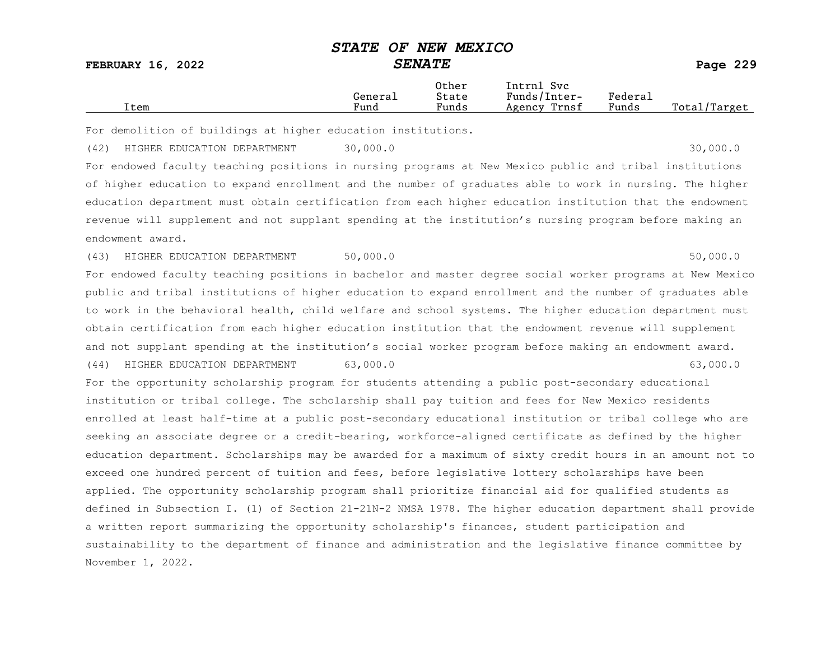FEBRUARY 16, 2022 SENATE Page 229

|      |         | Other                             | Intrnl<br>Svc   |         |                   |
|------|---------|-----------------------------------|-----------------|---------|-------------------|
|      | Generai | State                             | Funds/Inter-    | Federau |                   |
| Item | Fund    | $\overline{\phantom{a}}$<br>Funds | Trnsf<br>Agency | Funds   | Total,<br>/Target |

For demolition of buildings at higher education institutions.

(42) HIGHER EDUCATION DEPARTMENT 30,000.0 30,000 30,000.0

For endowed faculty teaching positions in nursing programs at New Mexico public and tribal institutions of higher education to expand enrollment and the number of graduates able to work in nursing. The higher education department must obtain certification from each higher education institution that the endowment revenue will supplement and not supplant spending at the institution's nursing program before making an endowment award.

(43) HIGHER EDUCATION DEPARTMENT 50,000.0 50,000 50,000.0

For endowed faculty teaching positions in bachelor and master degree social worker programs at New Mexico public and tribal institutions of higher education to expand enrollment and the number of graduates able to work in the behavioral health, child welfare and school systems. The higher education department must obtain certification from each higher education institution that the endowment revenue will supplement and not supplant spending at the institution's social worker program before making an endowment award.

(44) HIGHER EDUCATION DEPARTMENT 63,000.0 63,000.0

For the opportunity scholarship program for students attending a public post-secondary educational institution or tribal college. The scholarship shall pay tuition and fees for New Mexico residents enrolled at least half-time at a public post-secondary educational institution or tribal college who are seeking an associate degree or a credit-bearing, workforce-aligned certificate as defined by the higher education department. Scholarships may be awarded for a maximum of sixty credit hours in an amount not to exceed one hundred percent of tuition and fees, before legislative lottery scholarships have been applied. The opportunity scholarship program shall prioritize financial aid for qualified students as defined in Subsection I. (1) of Section 21-21N-2 NMSA 1978. The higher education department shall provide a written report summarizing the opportunity scholarship's finances, student participation and sustainability to the department of finance and administration and the legislative finance committee by November 1, 2022.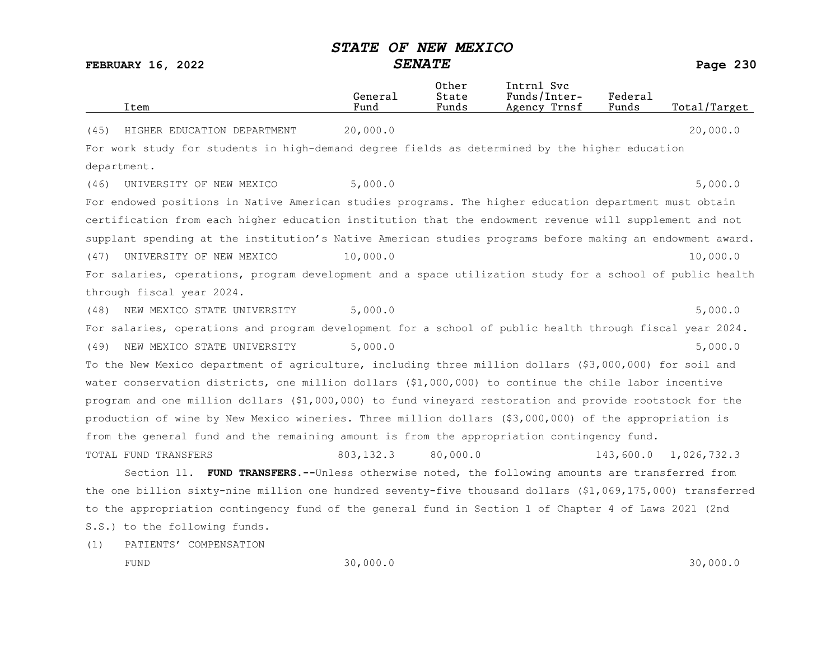FEBRUARY 16, 2022 SENATE Page 230

|                      |                                                                                                            | General    | Other<br>State | Intrnl Svc<br>Funds/Inter- | Federal   |              |
|----------------------|------------------------------------------------------------------------------------------------------------|------------|----------------|----------------------------|-----------|--------------|
| Item                 |                                                                                                            | Fund       | Funds          | Agency Trnsf               | Funds     | Total/Target |
| (45)                 | HIGHER EDUCATION DEPARTMENT                                                                                | 20,000.0   |                |                            |           | 20,000.0     |
|                      | For work study for students in high-demand degree fields as determined by the higher education             |            |                |                            |           |              |
| department.          |                                                                                                            |            |                |                            |           |              |
| (46)                 | UNIVERSITY OF NEW MEXICO                                                                                   | 5,000.0    |                |                            |           | 5,000.0      |
|                      | For endowed positions in Native American studies programs. The higher education department must obtain     |            |                |                            |           |              |
|                      | certification from each higher education institution that the endowment revenue will supplement and not    |            |                |                            |           |              |
|                      | supplant spending at the institution's Native American studies programs before making an endowment award.  |            |                |                            |           |              |
| (47)                 | UNIVERSITY OF NEW MEXICO                                                                                   | 10,000.0   |                |                            |           | 10,000.0     |
|                      | For salaries, operations, program development and a space utilization study for a school of public health  |            |                |                            |           |              |
|                      | through fiscal year 2024.                                                                                  |            |                |                            |           |              |
| (48)                 | NEW MEXICO STATE UNIVERSITY                                                                                | 5,000.0    |                |                            |           | 5,000.0      |
|                      | For salaries, operations and program development for a school of public health through fiscal year 2024.   |            |                |                            |           |              |
| (49)                 | NEW MEXICO STATE UNIVERSITY                                                                                | 5,000.0    |                |                            |           | 5,000.0      |
|                      | To the New Mexico department of agriculture, including three million dollars (\$3,000,000) for soil and    |            |                |                            |           |              |
|                      | water conservation districts, one million dollars (\$1,000,000) to continue the chile labor incentive      |            |                |                            |           |              |
|                      | program and one million dollars (\$1,000,000) to fund vineyard restoration and provide rootstock for the   |            |                |                            |           |              |
|                      | production of wine by New Mexico wineries. Three million dollars (\$3,000,000) of the appropriation is     |            |                |                            |           |              |
|                      | from the general fund and the remaining amount is from the appropriation contingency fund.                 |            |                |                            |           |              |
| TOTAL FUND TRANSFERS |                                                                                                            | 803, 132.3 | 80,000.0       |                            | 143,600.0 | 1,026,732.3  |
|                      | Section 11. FUND TRANSFERS.--Unless otherwise noted, the following amounts are transferred from            |            |                |                            |           |              |
|                      | the one billion sixty-nine million one hundred seventy-five thousand dollars (\$1,069,175,000) transferred |            |                |                            |           |              |
|                      | to the appropriation contingency fund of the general fund in Section 1 of Chapter 4 of Laws 2021 (2nd      |            |                |                            |           |              |
|                      | S.S.) to the following funds.                                                                              |            |                |                            |           |              |

(1) PATIENTS' COMPENSATION

FUND 30,000.0 30,000.0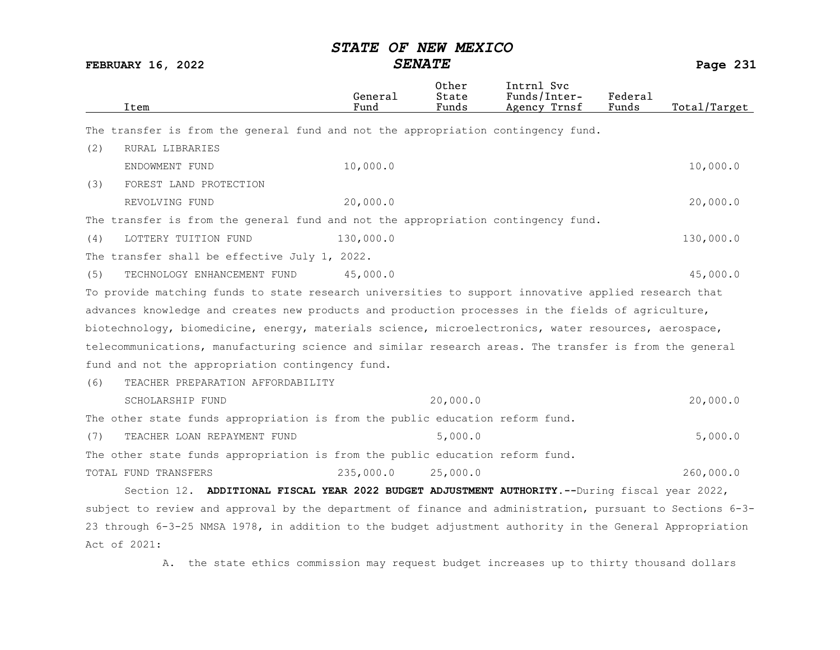FEBRUARY 16, 2022 SENATE Page 231

| Item                                                                                                      | General<br>Fund | Other<br>State<br>Funds | Intrnl Svc<br>Funds/Inter-<br>Agency Trnsf | Federal<br>Funds | Total/Target |
|-----------------------------------------------------------------------------------------------------------|-----------------|-------------------------|--------------------------------------------|------------------|--------------|
| The transfer is from the general fund and not the appropriation contingency fund.                         |                 |                         |                                            |                  |              |
| (2)<br>RURAL LIBRARIES                                                                                    |                 |                         |                                            |                  |              |
| ENDOWMENT FUND                                                                                            | 10,000.0        |                         |                                            |                  | 10,000.0     |
| (3)<br>FOREST LAND PROTECTION                                                                             |                 |                         |                                            |                  |              |
| REVOLVING FUND                                                                                            | 20,000.0        |                         |                                            |                  | 20,000.0     |
| The transfer is from the general fund and not the appropriation contingency fund.                         |                 |                         |                                            |                  |              |
| LOTTERY TUITION FUND<br>(4)                                                                               | 130,000.0       |                         |                                            |                  | 130,000.0    |
| The transfer shall be effective July 1, 2022.                                                             |                 |                         |                                            |                  |              |
| TECHNOLOGY ENHANCEMENT FUND<br>(5)                                                                        | 45,000.0        |                         |                                            |                  | 45,000.0     |
| To provide matching funds to state research universities to support innovative applied research that      |                 |                         |                                            |                  |              |
| advances knowledge and creates new products and production processes in the fields of agriculture,        |                 |                         |                                            |                  |              |
| biotechnology, biomedicine, energy, materials science, microelectronics, water resources, aerospace,      |                 |                         |                                            |                  |              |
| telecommunications, manufacturing science and similar research areas. The transfer is from the general    |                 |                         |                                            |                  |              |
| fund and not the appropriation contingency fund.                                                          |                 |                         |                                            |                  |              |
| TEACHER PREPARATION AFFORDABILITY<br>(6)                                                                  |                 |                         |                                            |                  |              |
| SCHOLARSHIP FUND                                                                                          |                 | 20,000.0                |                                            |                  | 20,000.0     |
| The other state funds appropriation is from the public education reform fund.                             |                 |                         |                                            |                  |              |
| TEACHER LOAN REPAYMENT FUND<br>(7)                                                                        |                 | 5,000.0                 |                                            |                  | 5,000.0      |
| The other state funds appropriation is from the public education reform fund.                             |                 |                         |                                            |                  |              |
| TOTAL FUND TRANSFERS                                                                                      | 235,000.0       | 25,000.0                |                                            |                  | 260,000.0    |
| Section 12. ADDITIONAL FISCAL YEAR 2022 BUDGET ADJUSTMENT AUTHORITY. -- During fiscal year 2022,          |                 |                         |                                            |                  |              |
| subject to review and approval by the department of finance and administration, pursuant to Sections 6-3- |                 |                         |                                            |                  |              |
| 23 through 6-3-25 NMSA 1978, in addition to the budget adjustment authority in the General Appropriation  |                 |                         |                                            |                  |              |
| Act of 2021:                                                                                              |                 |                         |                                            |                  |              |

A. the state ethics commission may request budget increases up to thirty thousand dollars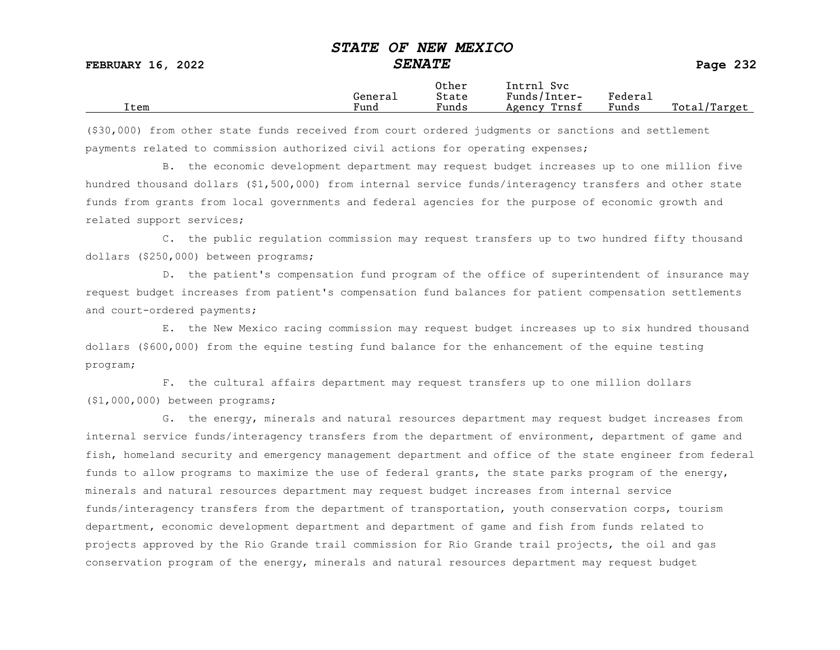|      |         | Other                             | Intrnl<br><b>Svc</b> |                   |                   |
|------|---------|-----------------------------------|----------------------|-------------------|-------------------|
|      | Generai | State                             | Funds/Inter-         | ${}_{\rm Federa}$ |                   |
| Item | Fund    | $\overline{\phantom{a}}$<br>Funds | Trnsf<br>Agency      | Funds             | Total,<br>/Target |

(\$30,000) from other state funds received from court ordered judgments or sanctions and settlement payments related to commission authorized civil actions for operating expenses;

B. the economic development department may request budget increases up to one million five hundred thousand dollars (\$1,500,000) from internal service funds/interagency transfers and other state funds from grants from local governments and federal agencies for the purpose of economic growth and related support services;

C. the public regulation commission may request transfers up to two hundred fifty thousand dollars (\$250,000) between programs;

D. the patient's compensation fund program of the office of superintendent of insurance may request budget increases from patient's compensation fund balances for patient compensation settlements and court-ordered payments;

E. the New Mexico racing commission may request budget increases up to six hundred thousand dollars (\$600,000) from the equine testing fund balance for the enhancement of the equine testing program;

F. the cultural affairs department may request transfers up to one million dollars (\$1,000,000) between programs;

G. the energy, minerals and natural resources department may request budget increases from internal service funds/interagency transfers from the department of environment, department of game and fish, homeland security and emergency management department and office of the state engineer from federal funds to allow programs to maximize the use of federal grants, the state parks program of the energy, minerals and natural resources department may request budget increases from internal service funds/interagency transfers from the department of transportation, youth conservation corps, tourism department, economic development department and department of game and fish from funds related to projects approved by the Rio Grande trail commission for Rio Grande trail projects, the oil and gas conservation program of the energy, minerals and natural resources department may request budget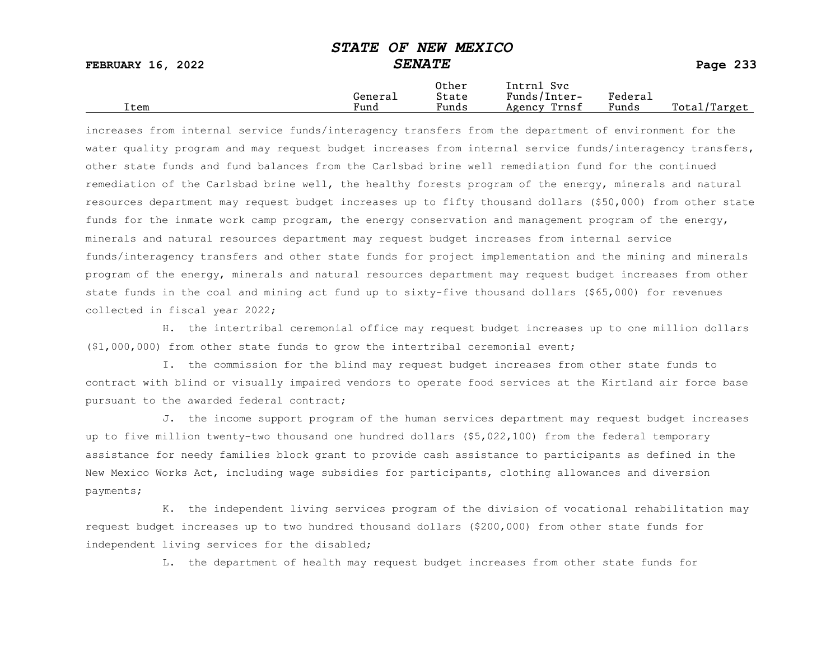FEBRUARY 16, 2022 SENATE SENATE SERUARY 16, 2022

|      |         | Other                             | Intrnl<br>Sv c  |         |                   |
|------|---------|-----------------------------------|-----------------|---------|-------------------|
|      | Genera⊥ | State                             | Funds/Inter-    | Federau |                   |
| Item | Fund    | $\overline{\phantom{a}}$<br>Funds | Trnsf<br>Agency | Funds   | Total,<br>/Target |

increases from internal service funds/interagency transfers from the department of environment for the water quality program and may request budget increases from internal service funds/interagency transfers, other state funds and fund balances from the Carlsbad brine well remediation fund for the continued remediation of the Carlsbad brine well, the healthy forests program of the energy, minerals and natural resources department may request budget increases up to fifty thousand dollars (\$50,000) from other state funds for the inmate work camp program, the energy conservation and management program of the energy, minerals and natural resources department may request budget increases from internal service funds/interagency transfers and other state funds for project implementation and the mining and minerals program of the energy, minerals and natural resources department may request budget increases from other state funds in the coal and mining act fund up to sixty-five thousand dollars (\$65,000) for revenues collected in fiscal year 2022;

H. the intertribal ceremonial office may request budget increases up to one million dollars (\$1,000,000) from other state funds to grow the intertribal ceremonial event;

I. the commission for the blind may request budget increases from other state funds to contract with blind or visually impaired vendors to operate food services at the Kirtland air force base pursuant to the awarded federal contract;

J. the income support program of the human services department may request budget increases up to five million twenty-two thousand one hundred dollars (\$5,022,100) from the federal temporary assistance for needy families block grant to provide cash assistance to participants as defined in the New Mexico Works Act, including wage subsidies for participants, clothing allowances and diversion payments;

K. the independent living services program of the division of vocational rehabilitation may request budget increases up to two hundred thousand dollars (\$200,000) from other state funds for independent living services for the disabled;

L. the department of health may request budget increases from other state funds for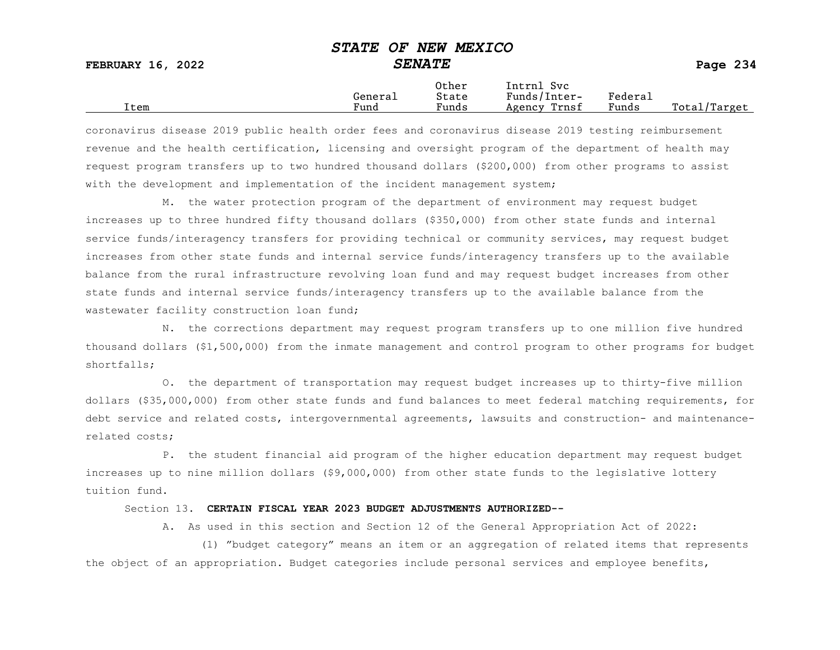FEBRUARY 16, 2022 SENATE SENATE

|      | General              | Other<br>State                    | Intrnl<br>Svc<br>Funds/Inter- | ${}_{\rm Federa}$ |                  |
|------|----------------------|-----------------------------------|-------------------------------|-------------------|------------------|
| Item | $\mathbf{r}$<br>Fund | $\overline{\phantom{a}}$<br>Funds | Trnsf<br>Agency               | Funds             | Total,<br>Target |

coronavirus disease 2019 public health order fees and coronavirus disease 2019 testing reimbursement revenue and the health certification, licensing and oversight program of the department of health may request program transfers up to two hundred thousand dollars (\$200,000) from other programs to assist with the development and implementation of the incident management system;

M. the water protection program of the department of environment may request budget increases up to three hundred fifty thousand dollars (\$350,000) from other state funds and internal service funds/interagency transfers for providing technical or community services, may request budget increases from other state funds and internal service funds/interagency transfers up to the available balance from the rural infrastructure revolving loan fund and may request budget increases from other state funds and internal service funds/interagency transfers up to the available balance from the wastewater facility construction loan fund;

N. the corrections department may request program transfers up to one million five hundred thousand dollars (\$1,500,000) from the inmate management and control program to other programs for budget shortfalls;

O. the department of transportation may request budget increases up to thirty-five million dollars (\$35,000,000) from other state funds and fund balances to meet federal matching requirements, for debt service and related costs, intergovernmental agreements, lawsuits and construction- and maintenancerelated costs;

P. the student financial aid program of the higher education department may request budget increases up to nine million dollars (\$9,000,000) from other state funds to the legislative lottery tuition fund.

#### Section 13. CERTAIN FISCAL YEAR 2023 BUDGET ADJUSTMENTS AUTHORIZED--

A. As used in this section and Section 12 of the General Appropriation Act of 2022:

(1) "budget category" means an item or an aggregation of related items that represents the object of an appropriation. Budget categories include personal services and employee benefits,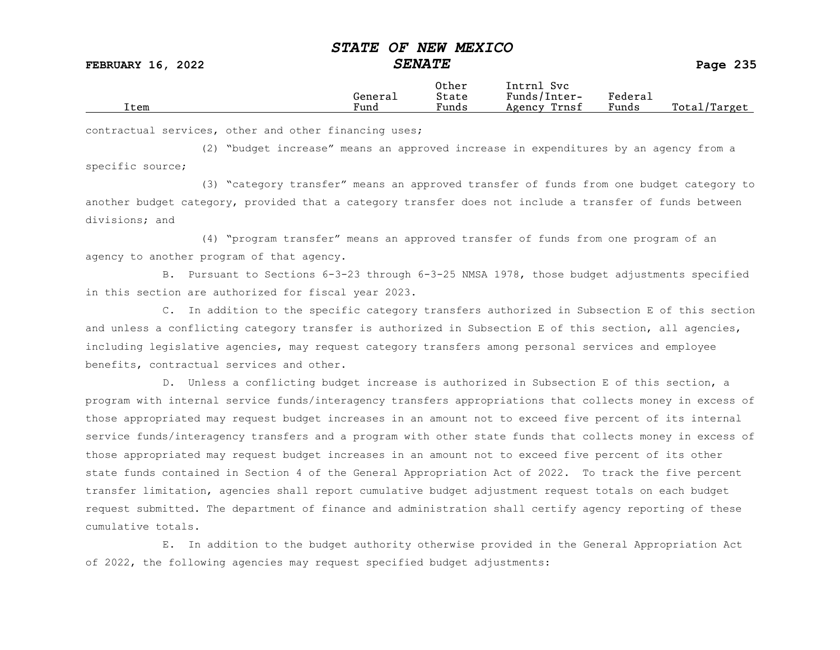FEBRUARY 16, 2022 SENATE Page 235

|      | General | Other<br>State        | Svc<br>[ntrnl<br>Funds/Inter- | Federau |                 |
|------|---------|-----------------------|-------------------------------|---------|-----------------|
| Item | Fund    | $\mathbf{r}$<br>Funds | Trnsf<br>Agency               | Funds   | Total<br>Target |

contractual services, other and other financing uses;

(2) "budget increase" means an approved increase in expenditures by an agency from a specific source;

(3) "category transfer" means an approved transfer of funds from one budget category to another budget category, provided that a category transfer does not include a transfer of funds between divisions; and

(4) "program transfer" means an approved transfer of funds from one program of an agency to another program of that agency.

B. Pursuant to Sections 6-3-23 through 6-3-25 NMSA 1978, those budget adjustments specified in this section are authorized for fiscal year 2023.

C. In addition to the specific category transfers authorized in Subsection E of this section and unless a conflicting category transfer is authorized in Subsection E of this section, all agencies, including legislative agencies, may request category transfers among personal services and employee benefits, contractual services and other.

D. Unless a conflicting budget increase is authorized in Subsection E of this section, a program with internal service funds/interagency transfers appropriations that collects money in excess of those appropriated may request budget increases in an amount not to exceed five percent of its internal service funds/interagency transfers and a program with other state funds that collects money in excess of those appropriated may request budget increases in an amount not to exceed five percent of its other state funds contained in Section 4 of the General Appropriation Act of 2022. To track the five percent transfer limitation, agencies shall report cumulative budget adjustment request totals on each budget request submitted. The department of finance and administration shall certify agency reporting of these cumulative totals.

E. In addition to the budget authority otherwise provided in the General Appropriation Act of 2022, the following agencies may request specified budget adjustments: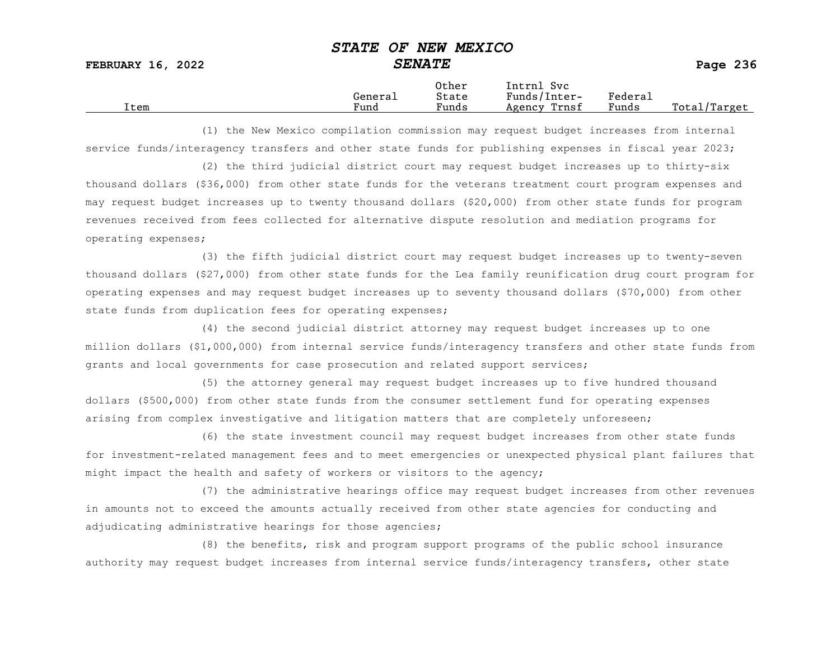|      | General              | Other<br>State                    | Intrnl<br>Svc<br>Funds/Inter- | ${}_{\rm Federa}$ |                  |
|------|----------------------|-----------------------------------|-------------------------------|-------------------|------------------|
| Item | $\mathbf{r}$<br>Fund | $\overline{\phantom{a}}$<br>Funds | Trnsf<br>Agency               | Funds             | Total,<br>Target |

(1) the New Mexico compilation commission may request budget increases from internal service funds/interagency transfers and other state funds for publishing expenses in fiscal year 2023;

(2) the third judicial district court may request budget increases up to thirty-six thousand dollars (\$36,000) from other state funds for the veterans treatment court program expenses and may request budget increases up to twenty thousand dollars (\$20,000) from other state funds for program revenues received from fees collected for alternative dispute resolution and mediation programs for operating expenses;

(3) the fifth judicial district court may request budget increases up to twenty-seven thousand dollars (\$27,000) from other state funds for the Lea family reunification drug court program for operating expenses and may request budget increases up to seventy thousand dollars (\$70,000) from other state funds from duplication fees for operating expenses;

(4) the second judicial district attorney may request budget increases up to one million dollars (\$1,000,000) from internal service funds/interagency transfers and other state funds from grants and local governments for case prosecution and related support services;

(5) the attorney general may request budget increases up to five hundred thousand dollars (\$500,000) from other state funds from the consumer settlement fund for operating expenses arising from complex investigative and litigation matters that are completely unforeseen;

(6) the state investment council may request budget increases from other state funds for investment-related management fees and to meet emergencies or unexpected physical plant failures that might impact the health and safety of workers or visitors to the agency;

(7) the administrative hearings office may request budget increases from other revenues in amounts not to exceed the amounts actually received from other state agencies for conducting and adjudicating administrative hearings for those agencies;

(8) the benefits, risk and program support programs of the public school insurance authority may request budget increases from internal service funds/interagency transfers, other state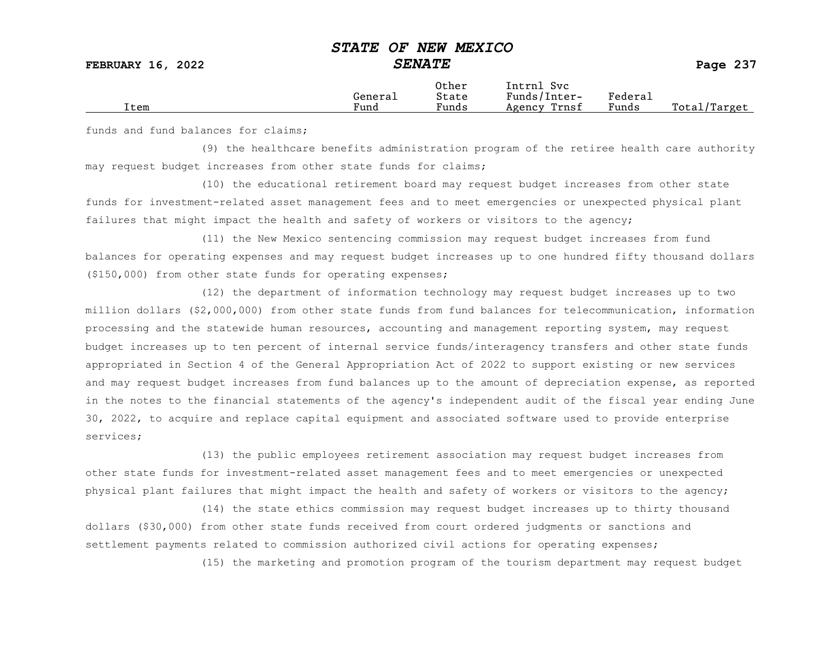|      |                      | Other                             | Intrnl<br>Sv c  |                                            |                  |
|------|----------------------|-----------------------------------|-----------------|--------------------------------------------|------------------|
|      | General              | State                             | Funds/Inter-    | ${}_{\rm Federa}$                          |                  |
| Item | $\mathbf{r}$<br>Fund | $\overline{\phantom{a}}$<br>Funds | Trnsf<br>Agency | and the state of the state of the<br>Funds | Total<br>'Target |
|      |                      |                                   |                 |                                            |                  |

funds and fund balances for claims;

(9) the healthcare benefits administration program of the retiree health care authority may request budget increases from other state funds for claims;

(10) the educational retirement board may request budget increases from other state funds for investment-related asset management fees and to meet emergencies or unexpected physical plant failures that might impact the health and safety of workers or visitors to the agency;

(11) the New Mexico sentencing commission may request budget increases from fund balances for operating expenses and may request budget increases up to one hundred fifty thousand dollars (\$150,000) from other state funds for operating expenses;

(12) the department of information technology may request budget increases up to two million dollars (\$2,000,000) from other state funds from fund balances for telecommunication, information processing and the statewide human resources, accounting and management reporting system, may request budget increases up to ten percent of internal service funds/interagency transfers and other state funds appropriated in Section 4 of the General Appropriation Act of 2022 to support existing or new services and may request budget increases from fund balances up to the amount of depreciation expense, as reported in the notes to the financial statements of the agency's independent audit of the fiscal year ending June 30, 2022, to acquire and replace capital equipment and associated software used to provide enterprise services;

(13) the public employees retirement association may request budget increases from other state funds for investment-related asset management fees and to meet emergencies or unexpected physical plant failures that might impact the health and safety of workers or visitors to the agency;

(14) the state ethics commission may request budget increases up to thirty thousand dollars (\$30,000) from other state funds received from court ordered judgments or sanctions and settlement payments related to commission authorized civil actions for operating expenses;

(15) the marketing and promotion program of the tourism department may request budget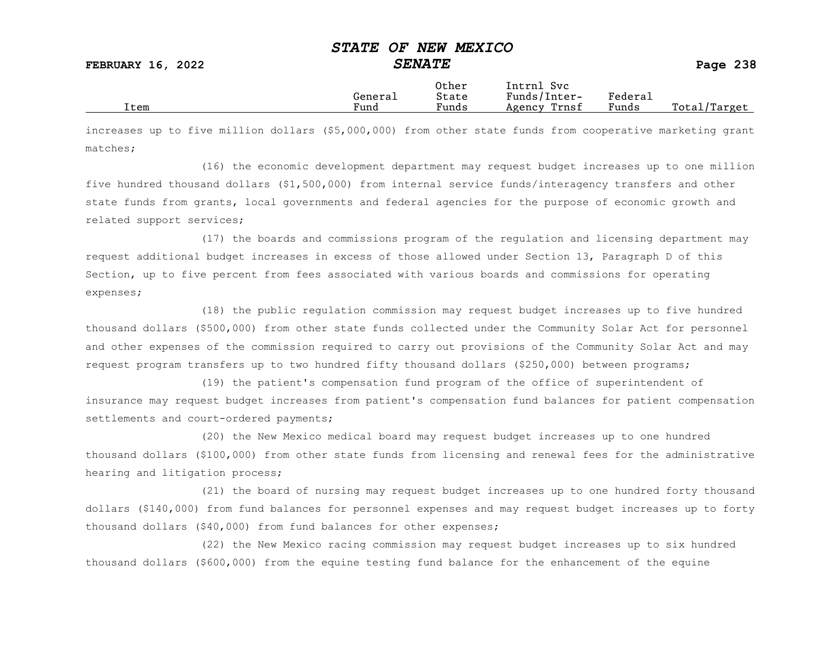FEBRUARY 16, 2022 SENATE SENATE

|      |         | Other                 | Intrnl<br>Sv c  |                     |                   |
|------|---------|-----------------------|-----------------|---------------------|-------------------|
|      | Generai | State                 | Funds/Inter-    | Federa <sub>1</sub> |                   |
| Item | Fund    | $\mathbf{r}$<br>Funds | Trnsf<br>Agency | Funds               | Total,<br>'Target |

increases up to five million dollars (\$5,000,000) from other state funds from cooperative marketing grant matches;

(16) the economic development department may request budget increases up to one million five hundred thousand dollars (\$1,500,000) from internal service funds/interagency transfers and other state funds from grants, local governments and federal agencies for the purpose of economic growth and related support services;

(17) the boards and commissions program of the regulation and licensing department may request additional budget increases in excess of those allowed under Section 13, Paragraph D of this Section, up to five percent from fees associated with various boards and commissions for operating expenses;

(18) the public regulation commission may request budget increases up to five hundred thousand dollars (\$500,000) from other state funds collected under the Community Solar Act for personnel and other expenses of the commission required to carry out provisions of the Community Solar Act and may request program transfers up to two hundred fifty thousand dollars (\$250,000) between programs;

(19) the patient's compensation fund program of the office of superintendent of insurance may request budget increases from patient's compensation fund balances for patient compensation settlements and court-ordered payments;

(20) the New Mexico medical board may request budget increases up to one hundred thousand dollars (\$100,000) from other state funds from licensing and renewal fees for the administrative hearing and litigation process;

(21) the board of nursing may request budget increases up to one hundred forty thousand dollars (\$140,000) from fund balances for personnel expenses and may request budget increases up to forty thousand dollars (\$40,000) from fund balances for other expenses;

(22) the New Mexico racing commission may request budget increases up to six hundred thousand dollars (\$600,000) from the equine testing fund balance for the enhancement of the equine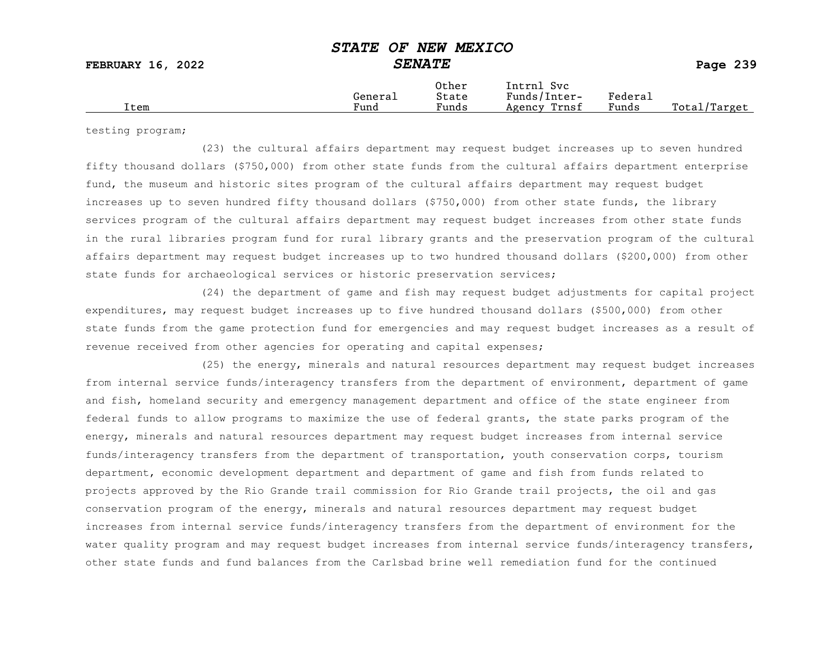|  | Item | Generai<br>Fund | Other<br>State<br>$\sim$<br>Funds | Intrnl<br><b>Svc</b><br>Funds/Inter-<br>Trnsf<br>Agency | Federau<br>Funds | Total<br>Target |
|--|------|-----------------|-----------------------------------|---------------------------------------------------------|------------------|-----------------|
|--|------|-----------------|-----------------------------------|---------------------------------------------------------|------------------|-----------------|

testing program;

(23) the cultural affairs department may request budget increases up to seven hundred fifty thousand dollars (\$750,000) from other state funds from the cultural affairs department enterprise fund, the museum and historic sites program of the cultural affairs department may request budget increases up to seven hundred fifty thousand dollars (\$750,000) from other state funds, the library services program of the cultural affairs department may request budget increases from other state funds in the rural libraries program fund for rural library grants and the preservation program of the cultural affairs department may request budget increases up to two hundred thousand dollars (\$200,000) from other state funds for archaeological services or historic preservation services;

(24) the department of game and fish may request budget adjustments for capital project expenditures, may request budget increases up to five hundred thousand dollars (\$500,000) from other state funds from the game protection fund for emergencies and may request budget increases as a result of revenue received from other agencies for operating and capital expenses;

(25) the energy, minerals and natural resources department may request budget increases from internal service funds/interagency transfers from the department of environment, department of game and fish, homeland security and emergency management department and office of the state engineer from federal funds to allow programs to maximize the use of federal grants, the state parks program of the energy, minerals and natural resources department may request budget increases from internal service funds/interagency transfers from the department of transportation, youth conservation corps, tourism department, economic development department and department of game and fish from funds related to projects approved by the Rio Grande trail commission for Rio Grande trail projects, the oil and gas conservation program of the energy, minerals and natural resources department may request budget increases from internal service funds/interagency transfers from the department of environment for the water quality program and may request budget increases from internal service funds/interagency transfers, other state funds and fund balances from the Carlsbad brine well remediation fund for the continued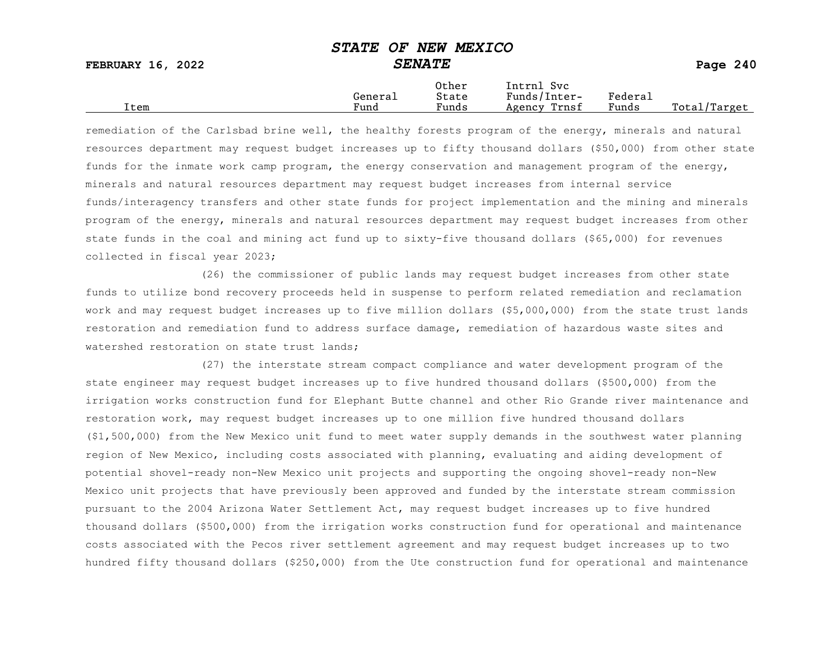FEBRUARY 16, 2022 SENATE SENATE

|      | General              | Other<br>State                    | Intrnl<br>Svc<br>Funds/Inter- | ${}_{\rm Federa}$ |                  |
|------|----------------------|-----------------------------------|-------------------------------|-------------------|------------------|
| Item | $\mathbf{r}$<br>Fund | $\overline{\phantom{a}}$<br>Funds | Trnsf<br>Agency               | Funds             | Total,<br>Target |

remediation of the Carlsbad brine well, the healthy forests program of the energy, minerals and natural resources department may request budget increases up to fifty thousand dollars (\$50,000) from other state funds for the inmate work camp program, the energy conservation and management program of the energy, minerals and natural resources department may request budget increases from internal service funds/interagency transfers and other state funds for project implementation and the mining and minerals program of the energy, minerals and natural resources department may request budget increases from other state funds in the coal and mining act fund up to sixty-five thousand dollars (\$65,000) for revenues collected in fiscal year 2023;

(26) the commissioner of public lands may request budget increases from other state funds to utilize bond recovery proceeds held in suspense to perform related remediation and reclamation work and may request budget increases up to five million dollars (\$5,000,000) from the state trust lands restoration and remediation fund to address surface damage, remediation of hazardous waste sites and watershed restoration on state trust lands:

(27) the interstate stream compact compliance and water development program of the state engineer may request budget increases up to five hundred thousand dollars (\$500,000) from the irrigation works construction fund for Elephant Butte channel and other Rio Grande river maintenance and restoration work, may request budget increases up to one million five hundred thousand dollars (\$1,500,000) from the New Mexico unit fund to meet water supply demands in the southwest water planning region of New Mexico, including costs associated with planning, evaluating and aiding development of potential shovel-ready non-New Mexico unit projects and supporting the ongoing shovel-ready non-New Mexico unit projects that have previously been approved and funded by the interstate stream commission pursuant to the 2004 Arizona Water Settlement Act, may request budget increases up to five hundred thousand dollars (\$500,000) from the irrigation works construction fund for operational and maintenance costs associated with the Pecos river settlement agreement and may request budget increases up to two hundred fifty thousand dollars (\$250,000) from the Ute construction fund for operational and maintenance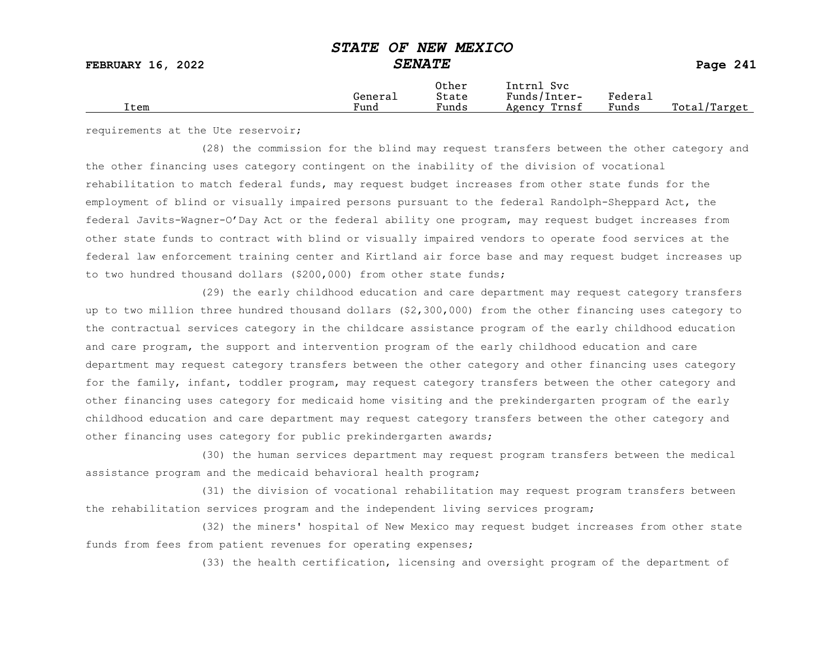|      |                      | Other                             | Intrnl<br>Sv c  |                                            |                  |
|------|----------------------|-----------------------------------|-----------------|--------------------------------------------|------------------|
|      | General              | State                             | Funds/Inter-    | ${}_{\rm Federa}$                          |                  |
| Item | $\mathbf{r}$<br>Fund | $\overline{\phantom{a}}$<br>Funds | Trnsf<br>Agency | and the state of the state of the<br>Funds | Total<br>'Target |
|      |                      |                                   |                 |                                            |                  |

requirements at the Ute reservoir;

(28) the commission for the blind may request transfers between the other category and the other financing uses category contingent on the inability of the division of vocational rehabilitation to match federal funds, may request budget increases from other state funds for the employment of blind or visually impaired persons pursuant to the federal Randolph-Sheppard Act, the federal Javits-Wagner-O'Day Act or the federal ability one program, may request budget increases from other state funds to contract with blind or visually impaired vendors to operate food services at the federal law enforcement training center and Kirtland air force base and may request budget increases up to two hundred thousand dollars (\$200,000) from other state funds;

(29) the early childhood education and care department may request category transfers up to two million three hundred thousand dollars (\$2,300,000) from the other financing uses category to the contractual services category in the childcare assistance program of the early childhood education and care program, the support and intervention program of the early childhood education and care department may request category transfers between the other category and other financing uses category for the family, infant, toddler program, may request category transfers between the other category and other financing uses category for medicaid home visiting and the prekindergarten program of the early childhood education and care department may request category transfers between the other category and other financing uses category for public prekindergarten awards;

(30) the human services department may request program transfers between the medical assistance program and the medicaid behavioral health program;

(31) the division of vocational rehabilitation may request program transfers between the rehabilitation services program and the independent living services program;

(32) the miners' hospital of New Mexico may request budget increases from other state funds from fees from patient revenues for operating expenses;

(33) the health certification, licensing and oversight program of the department of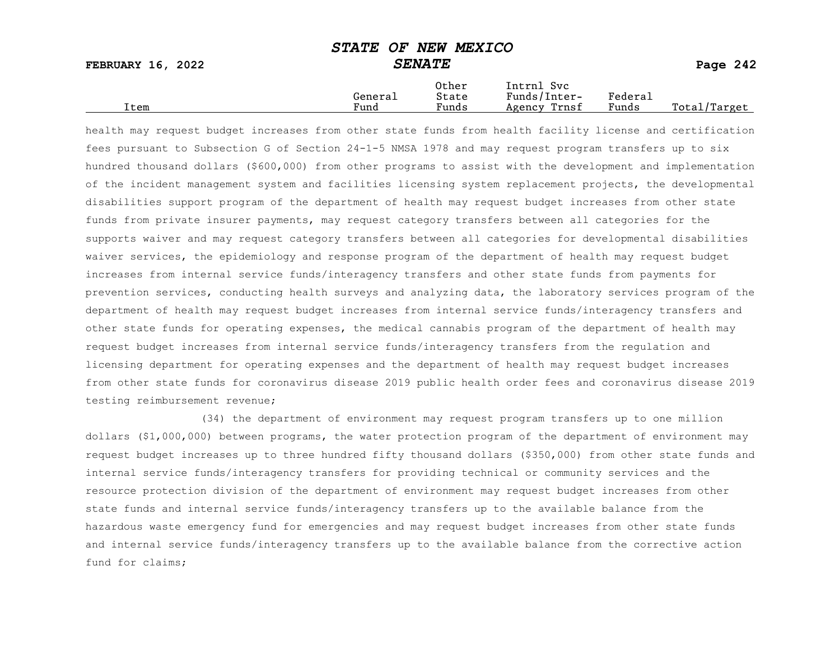FEBRUARY 16, 2022 SENATE SENATE

|      |         | Other                 | Intrnl<br>Sv c  |                     |                   |
|------|---------|-----------------------|-----------------|---------------------|-------------------|
|      | Generai | State                 | Funds/Inter-    | Federa <sub>1</sub> |                   |
| Item | Fund    | $\mathbf{r}$<br>Funds | Trnsf<br>Agency | Funds               | Total,<br>'Target |

health may request budget increases from other state funds from health facility license and certification fees pursuant to Subsection G of Section 24-1-5 NMSA 1978 and may request program transfers up to six hundred thousand dollars (\$600,000) from other programs to assist with the development and implementation of the incident management system and facilities licensing system replacement projects, the developmental disabilities support program of the department of health may request budget increases from other state funds from private insurer payments, may request category transfers between all categories for the supports waiver and may request category transfers between all categories for developmental disabilities waiver services, the epidemiology and response program of the department of health may request budget increases from internal service funds/interagency transfers and other state funds from payments for prevention services, conducting health surveys and analyzing data, the laboratory services program of the department of health may request budget increases from internal service funds/interagency transfers and other state funds for operating expenses, the medical cannabis program of the department of health may request budget increases from internal service funds/interagency transfers from the regulation and licensing department for operating expenses and the department of health may request budget increases from other state funds for coronavirus disease 2019 public health order fees and coronavirus disease 2019 testing reimbursement revenue;

(34) the department of environment may request program transfers up to one million dollars (\$1,000,000) between programs, the water protection program of the department of environment may request budget increases up to three hundred fifty thousand dollars (\$350,000) from other state funds and internal service funds/interagency transfers for providing technical or community services and the resource protection division of the department of environment may request budget increases from other state funds and internal service funds/interagency transfers up to the available balance from the hazardous waste emergency fund for emergencies and may request budget increases from other state funds and internal service funds/interagency transfers up to the available balance from the corrective action fund for claims;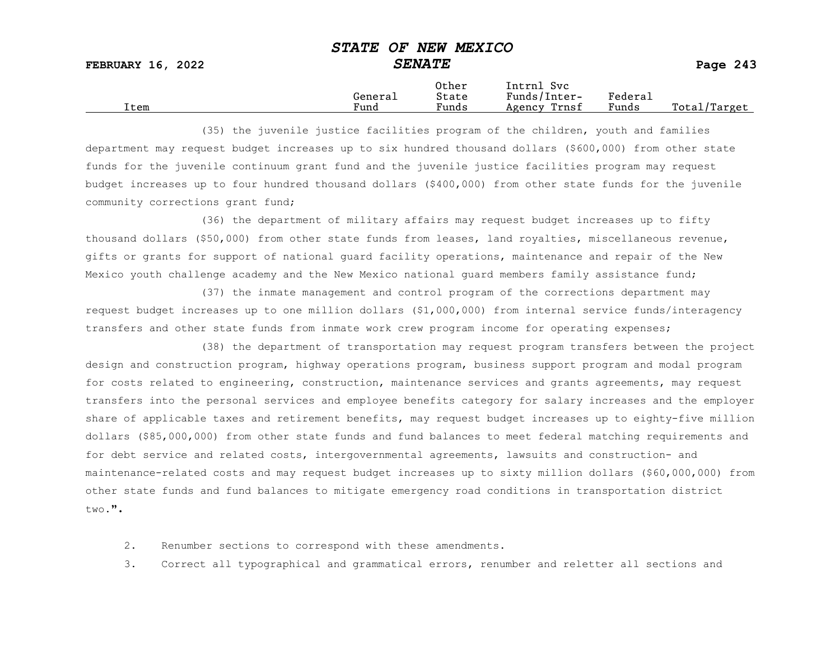|      |         | Other                 | Intrnl<br>Sv c  |                     |                   |
|------|---------|-----------------------|-----------------|---------------------|-------------------|
|      | Generai | State                 | Funds/Inter-    | Federa <sub>1</sub> |                   |
| Item | Fund    | $\mathbf{r}$<br>Funds | Trnsf<br>Agency | Funds               | Total,<br>'Target |

(35) the juvenile justice facilities program of the children, youth and families department may request budget increases up to six hundred thousand dollars (\$600,000) from other state funds for the juvenile continuum grant fund and the juvenile justice facilities program may request budget increases up to four hundred thousand dollars (\$400,000) from other state funds for the juvenile community corrections grant fund;

(36) the department of military affairs may request budget increases up to fifty thousand dollars (\$50,000) from other state funds from leases, land royalties, miscellaneous revenue, gifts or grants for support of national guard facility operations, maintenance and repair of the New Mexico youth challenge academy and the New Mexico national guard members family assistance fund;

(37) the inmate management and control program of the corrections department may request budget increases up to one million dollars (\$1,000,000) from internal service funds/interagency transfers and other state funds from inmate work crew program income for operating expenses;

(38) the department of transportation may request program transfers between the project design and construction program, highway operations program, business support program and modal program for costs related to engineering, construction, maintenance services and grants agreements, may request transfers into the personal services and employee benefits category for salary increases and the employer share of applicable taxes and retirement benefits, may request budget increases up to eighty-five million dollars (\$85,000,000) from other state funds and fund balances to meet federal matching requirements and for debt service and related costs, intergovernmental agreements, lawsuits and construction- and maintenance-related costs and may request budget increases up to sixty million dollars (\$60,000,000) from other state funds and fund balances to mitigate emergency road conditions in transportation district  $t_{WQ}$ .".

2. Renumber sections to correspond with these amendments.

3. Correct all typographical and grammatical errors, renumber and reletter all sections and